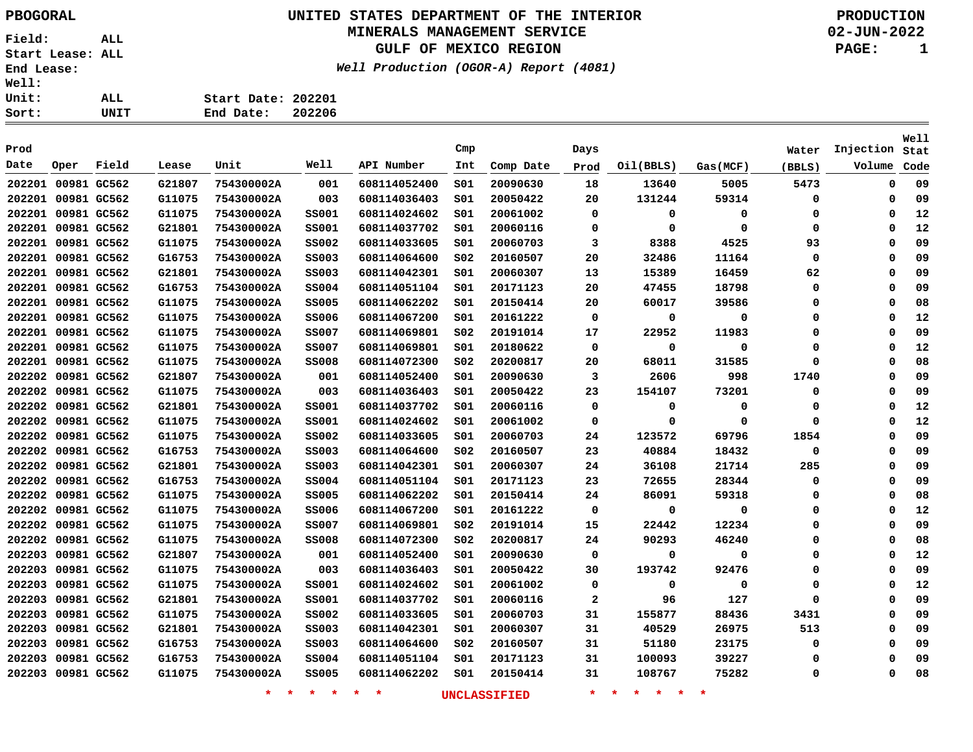**Start Date: 202201 End Date: 202206**

## **UNITED STATES DEPARTMENT OF THE INTERIOR PBOGORAL PRODUCTION**

### **MINERALS MANAGEMENT SERVICE**

**GULF OF MEXICO REGION**

**Well Production (OGOR-A) Report (4081)**

**02-JUN-2022**

**PAGE: 1**

| Prod               |                    |       |        |            |              |              | Cmp             |           | Days         |           |             | Water  | Injection   | Well<br>Stat |
|--------------------|--------------------|-------|--------|------------|--------------|--------------|-----------------|-----------|--------------|-----------|-------------|--------|-------------|--------------|
| Date               | Oper               | Field | Lease  | Unit       | Well         | API Number   | Int             | Comp Date | Prod         | Oil(BBLS) | Gas (MCF)   | (BBLS) | Volume      | Code         |
| 202201             | 00981 GC562        |       | G21807 | 754300002A | 001          | 608114052400 | S01             | 20090630  | 18           | 13640     | 5005        | 5473   | 0           | 09           |
| 202201 00981 GC562 |                    |       | G11075 | 754300002A | 003          | 608114036403 | S01             | 20050422  | 20           | 131244    | 59314       | 0      | 0           | 09           |
| 202201 00981 GC562 |                    |       | G11075 | 754300002A | <b>SS001</b> | 608114024602 | SO1             | 20061002  | 0            | 0         | 0           | 0      | 0           | 12           |
| 202201 00981 GC562 |                    |       | G21801 | 754300002A | <b>SS001</b> | 608114037702 | SO1             | 20060116  | 0            | 0         | $\mathbf 0$ | 0      | $\mathbf 0$ | 12           |
|                    | 202201 00981 GC562 |       | G11075 | 754300002A | <b>SS002</b> | 608114033605 | SO1             | 20060703  | 3            | 8388      | 4525        | 93     | $\mathbf 0$ | 09           |
|                    | 202201 00981 GC562 |       | G16753 | 754300002A | <b>SS003</b> | 608114064600 | S02             | 20160507  | 20           | 32486     | 11164       | 0      | 0           | 09           |
|                    | 202201 00981 GC562 |       | G21801 | 754300002A | <b>SS003</b> | 608114042301 | SO1             | 20060307  | 13           | 15389     | 16459       | 62     | $\mathbf 0$ | 09           |
|                    | 202201 00981 GC562 |       | G16753 | 754300002A | <b>SS004</b> | 608114051104 | SO1             | 20171123  | 20           | 47455     | 18798       | 0      | 0           | 09           |
|                    | 202201 00981 GC562 |       | G11075 | 754300002A | <b>SS005</b> | 608114062202 | SO1             | 20150414  | 20           | 60017     | 39586       | 0      | 0           | 08           |
|                    | 202201 00981 GC562 |       | G11075 | 754300002A | <b>SS006</b> | 608114067200 | S01             | 20161222  | 0            | 0         | 0           | 0      | 0           | 12           |
|                    | 202201 00981 GC562 |       | G11075 | 754300002A | <b>SS007</b> | 608114069801 | S02             | 20191014  | 17           | 22952     | 11983       | 0      | 0           | 09           |
|                    | 202201 00981 GC562 |       | G11075 | 754300002A | <b>SS007</b> | 608114069801 | SO1             | 20180622  | 0            | 0         | $\Omega$    | 0      | 0           | 12           |
|                    | 202201 00981 GC562 |       | G11075 | 754300002A | <b>SS008</b> | 608114072300 | S02             | 20200817  | 20           | 68011     | 31585       | 0      | 0           | 08           |
|                    | 202202 00981 GC562 |       | G21807 | 754300002A | 001          | 608114052400 | SO1             | 20090630  | 3            | 2606      | 998         | 1740   | 0           | 09           |
|                    | 202202 00981 GC562 |       | G11075 | 754300002A | 003          | 608114036403 | SO1             | 20050422  | 23           | 154107    | 73201       | 0      | 0           | 09           |
|                    | 202202 00981 GC562 |       | G21801 | 754300002A | <b>SS001</b> | 608114037702 | SO1             | 20060116  | 0            | 0         | 0           | 0      | $\mathbf 0$ | 12           |
|                    | 202202 00981 GC562 |       | G11075 | 754300002A | <b>SS001</b> | 608114024602 | SO1             | 20061002  | 0            | 0         | $\Omega$    | 0      | 0           | 12           |
|                    | 202202 00981 GC562 |       | G11075 | 754300002A | <b>SS002</b> | 608114033605 | S01             | 20060703  | 24           | 123572    | 69796       | 1854   | 0           | 09           |
|                    | 202202 00981 GC562 |       | G16753 | 754300002A | <b>SS003</b> | 608114064600 | SO <sub>2</sub> | 20160507  | 23           | 40884     | 18432       | 0      | 0           | 09           |
|                    | 202202 00981 GC562 |       | G21801 | 754300002A | <b>SS003</b> | 608114042301 | SO1             | 20060307  | 24           | 36108     | 21714       | 285    | 0           | 09           |
|                    | 202202 00981 GC562 |       | G16753 | 754300002A | <b>SS004</b> | 608114051104 | SO1             | 20171123  | 23           | 72655     | 28344       | 0      | 0           | 09           |
|                    | 202202 00981 GC562 |       | G11075 | 754300002A | <b>SS005</b> | 608114062202 | SO1             | 20150414  | 24           | 86091     | 59318       | 0      | 0           | 08           |
|                    | 202202 00981 GC562 |       | G11075 | 754300002A | <b>SS006</b> | 608114067200 | SO1             | 20161222  | 0            | 0         | 0           | 0      | $\mathbf 0$ | 12           |
|                    | 202202 00981 GC562 |       | G11075 | 754300002A | <b>SS007</b> | 608114069801 | SO <sub>2</sub> | 20191014  | 15           | 22442     | 12234       | 0      | 0           | 09           |
|                    | 202202 00981 GC562 |       | G11075 | 754300002A | <b>SS008</b> | 608114072300 | S02             | 20200817  | 24           | 90293     | 46240       | 0      | 0           | 08           |
|                    | 202203 00981 GC562 |       | G21807 | 754300002A | 001          | 608114052400 | SO1             | 20090630  | 0            | 0         | $\Omega$    | 0      | $\Omega$    | 12           |
| 202203             | 00981 GC562        |       | G11075 | 754300002A | 003          | 608114036403 | SO1             | 20050422  | 30           | 193742    | 92476       | 0      | 0           | 09           |
| 202203             | 00981 GC562        |       | G11075 | 754300002A | <b>SS001</b> | 608114024602 | SO1             | 20061002  | 0            | 0         | $\mathbf 0$ | 0      | $\mathbf 0$ | 12           |
| 202203             | 00981 GC562        |       | G21801 | 754300002A | <b>SS001</b> | 608114037702 | SO1             | 20060116  | $\mathbf{2}$ | 96        | 127         | 0      | 0           | 09           |
| 202203             | 00981 GC562        |       | G11075 | 754300002A | <b>SS002</b> | 608114033605 | SO1             | 20060703  | 31           | 155877    | 88436       | 3431   | 0           | 09           |
| 202203             | 00981 GC562        |       | G21801 | 754300002A | <b>SS003</b> | 608114042301 | SO1             | 20060307  | 31           | 40529     | 26975       | 513    | 0           | 09           |
| 202203             | 00981 GC562        |       | G16753 | 754300002A | <b>SS003</b> | 608114064600 | S02             | 20160507  | 31           | 51180     | 23175       | 0      | 0           | 09           |
| 202203             | 00981 GC562        |       | G16753 | 754300002A | <b>SS004</b> | 608114051104 | SO1             | 20171123  | 31           | 100093    | 39227       | 0      | 0           | 09           |
|                    | 202203 00981 GC562 |       | G11075 | 754300002A | <b>SS005</b> | 608114062202 | SO1             | 20150414  | 31           | 108767    | 75282       | 0      | 0           | 08           |
|                    |                    |       |        |            |              |              |                 |           |              |           |             |        |             |              |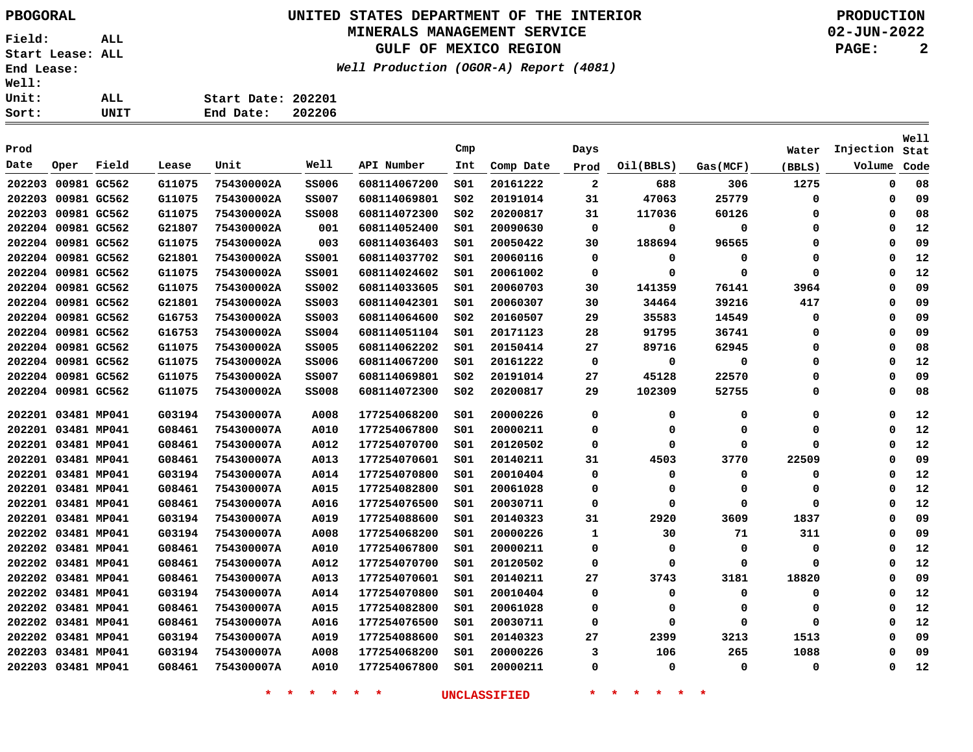**03481 MP041 03481 MP041 03481 MP041** **G03194 G03194 G08461** **754300007A 754300007A 754300007A**

**Start Date: 202201**

# **UNITED STATES DEPARTMENT OF THE INTERIOR PBOGORAL PRODUCTION**

### **MINERALS MANAGEMENT SERVICE**

**GULF OF MEXICO REGION**

**Well Production (OGOR-A) Report (4081)**

**02-JUN-2022**

**PAGE: 2**

**Stat Injection**Volume Code

**Well**

| Sort:        |                    | UNIT  |        | End Date:  | 202206       |              |                       |           |              |           |          |                 |                     |
|--------------|--------------------|-------|--------|------------|--------------|--------------|-----------------------|-----------|--------------|-----------|----------|-----------------|---------------------|
| Prod<br>Date | Oper               | Field | Lease  | Unit       | Well         | API Number   | $\texttt{Cmp}$<br>Int | Comp Date | Days<br>Prod | Oil(BBLS) | Gas(MCF) | Water<br>(BBLS) | Injection<br>Volume |
|              | 202203 00981 GC562 |       | G11075 | 754300002A | <b>SS006</b> | 608114067200 | S01                   | 20161222  | 2            | 688       | 306      | 1275            |                     |
|              | 202203 00981 GC562 |       | G11075 | 754300002A | <b>SS007</b> | 608114069801 | SO <sub>2</sub>       | 20191014  | 31           | 47063     | 25779    | 0               |                     |
|              | 202203 00981 GC562 |       | G11075 | 754300002A | <b>SS008</b> | 608114072300 | S02                   | 20200817  | 31           | 117036    | 60126    | 0               |                     |
|              | 202204 00981 GC562 |       | G21807 | 754300002A | 001          | 608114052400 | SO1                   | 20090630  | 0            | 0         | 0        | 0               |                     |
|              | 202204 00981 GC562 |       | G11075 | 754300002A | 003          | 608114036403 | S01                   | 20050422  | 30           | 188694    | 96565    | 0               |                     |
|              | 202204 00981 GC562 |       | G21801 | 754300002A | <b>SS001</b> | 608114037702 | S01                   | 20060116  | 0            | 0         | 0        | 0               |                     |
|              | 202204 00981 GC562 |       | G11075 | 754300002A | <b>SS001</b> | 608114024602 | S01                   | 20061002  | 0            | 0         | $\Omega$ | 0               |                     |
|              | 202204 00981 GC562 |       | G11075 | 754300002A | <b>SS002</b> | 608114033605 | SO1                   | 20060703  | 30           | 141359    | 76141    | 3964            |                     |
|              | 202204 00981 GC562 |       | G21801 | 754300002A | <b>SS003</b> | 608114042301 | S01                   | 20060307  | 30           | 34464     | 39216    | 417             |                     |
|              | 202204 00981 GC562 |       | G16753 | 754300002A | <b>SS003</b> | 608114064600 | s02                   | 20160507  | 29           | 35583     | 14549    | 0               |                     |
|              | 202204 00981 GC562 |       | G16753 | 754300002A | <b>SS004</b> | 608114051104 | SO1                   | 20171123  | 28           | 91795     | 36741    | 0               |                     |
|              | 202204 00981 GC562 |       | G11075 | 754300002A | <b>SS005</b> | 608114062202 | 501                   | 20150414  | 27           | 89716     | 62945    | 0               |                     |
|              | 202204 00981 GC562 |       | G11075 | 754300002A | <b>SS006</b> | 608114067200 | S01                   | 20161222  | 0            | 0         | 0        | 0               |                     |
|              | 202204 00981 GC562 |       | G11075 | 754300002A | <b>SS007</b> | 608114069801 | S02                   | 20191014  | 27           | 45128     | 22570    | 0               |                     |
|              | 202204 00981 GC562 |       | G11075 | 754300002A | <b>SS008</b> | 608114072300 | S02                   | 20200817  | 29           | 102309    | 52755    | 0               |                     |
|              | 202201 03481 MP041 |       | G03194 | 754300007A | A008         | 177254068200 | SO1                   | 20000226  | 0            | 0         | 0        | 0               |                     |
|              | 202201 03481 MP041 |       | G08461 | 754300007A | A010         | 177254067800 | S01                   | 20000211  | 0            | 0         | 0        | 0               |                     |
|              | 202201 03481 MP041 |       | G08461 | 754300007A | A012         | 177254070700 | S01                   | 20120502  | 0            | 0         | 0        | 0               |                     |
|              | 202201 03481 MP041 |       | G08461 | 754300007A | A013         | 177254070601 | 501                   | 20140211  | 31           | 4503      | 3770     | 22509           |                     |
|              | 202201 03481 MP041 |       | G03194 | 754300007A | A014         | 177254070800 | 501                   | 20010404  | 0            | 0         | 0        | 0               |                     |
|              | 202201 03481 MP041 |       | G08461 | 754300007A | A015         | 177254082800 | S01                   | 20061028  | 0            | 0         | 0        | 0               |                     |
|              | 202201 03481 MP041 |       | G08461 | 754300007A | A016         | 177254076500 | S01                   | 20030711  | 0            | 0         | 0        | 0               |                     |
|              | 202201 03481 MP041 |       | G03194 | 754300007A | <b>A019</b>  | 177254088600 | SO1                   | 20140323  | 31           | 2920      | 3609     | 1837            |                     |
|              | 202202 03481 MP041 |       | G03194 | 754300007A | A008         | 177254068200 | SO1                   | 20000226  | 1            | 30        | 71       | 311             |                     |
|              | 202202 03481 MP041 |       | G08461 | 754300007A | A010         | 177254067800 | S01                   | 20000211  | 0            | 0         | 0        | 0               |                     |
|              | 202202 03481 MP041 |       | G08461 | 754300007A | A012         | 177254070700 | S01                   | 20120502  | 0            | 0         | 0        | 0               |                     |
|              | 202202 03481 MP041 |       | G08461 | 754300007A | A013         | 177254070601 | S01                   | 20140211  | 27           | 3743      | 3181     | 18820           |                     |
|              | 202202 03481 MP041 |       | G03194 | 754300007A | A014         | 177254070800 | 501                   | 20010404  | 0            | 0         | 0        | 0               |                     |
|              | 202202 03481 MP041 |       | G08461 | 754300007A | A015         | 177254082800 | S01                   | 20061028  | 0            | 0         |          |                 |                     |
|              | 202202 03481 MP041 |       | G08461 | 754300007A | A016         | 177254076500 | S01                   | 20030711  | 0            | 0         | 0        | 0               |                     |

**\* \* \* \* \* \* UNCLASSIFIED \* \* \* \* \* \***

**S01 S01 S01**  

 

 

 

 

 **A019 A008 A010**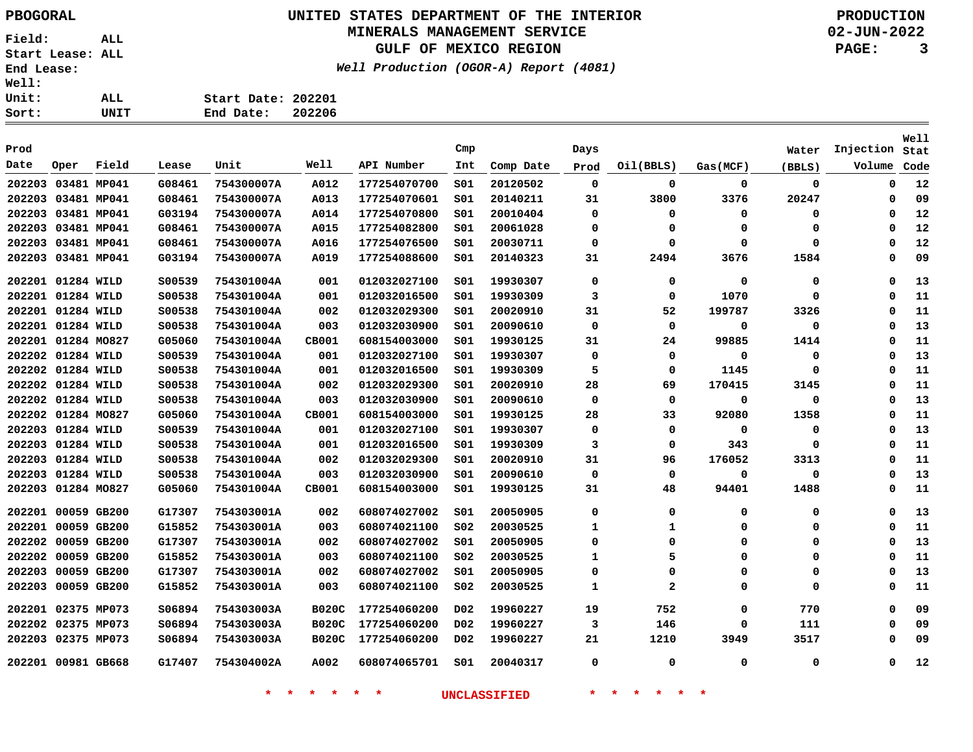## **UNITED STATES DEPARTMENT OF THE INTERIOR PBOGORAL PRODUCTION**

#### **MINERALS MANAGEMENT SERVICE**

**GULF OF MEXICO REGION**

**Well Production (OGOR-A) Report (4081)**

**02-JUN-2022**

**PAGE: 3**

| <b>Well:</b> |      |                     |
|--------------|------|---------------------|
| Unit:        | ALL. | Start Date: 202201  |
| Sort:        | UNIT | 202206<br>End Date: |
|              |      |                     |

| Prod               |             |       |         |            |              |              | Cmp             |           | Days        |                |          | Water       | Injection | Well<br>Stat |
|--------------------|-------------|-------|---------|------------|--------------|--------------|-----------------|-----------|-------------|----------------|----------|-------------|-----------|--------------|
| Date               | Oper        | Field | Lease   | Unit       | Well         | API Number   | Int             | Comp Date | Prod        | Oil(BBLS)      | Gas(MCF) | (BBLS)      | Volume    | Code         |
| 202203             | 03481 MP041 |       | G08461  | 754300007A | A012         | 177254070700 | s01             | 20120502  | $\mathbf 0$ | 0              | 0        | $\mathbf 0$ | 0         | 12           |
| 202203             | 03481 MP041 |       | G08461  | 754300007A | A013         | 177254070601 | SO1             | 20140211  | 31          | 3800           | 3376     | 20247       | 0         | 09           |
| 202203             | 03481 MP041 |       | G03194  | 754300007A | A014         | 177254070800 | S01             | 20010404  | $\Omega$    | 0              | 0        | $\Omega$    | 0         | 12           |
| 202203 03481 MP041 |             |       | G08461  | 754300007A | A015         | 177254082800 | SO1             | 20061028  | $\Omega$    | 0              | 0        | $\Omega$    | 0         | 12           |
| 202203 03481 MP041 |             |       | G08461  | 754300007A | A016         | 177254076500 | S01             | 20030711  | $\Omega$    | 0              | 0        | $\Omega$    | 0         | 12           |
| 202203             | 03481 MP041 |       | G03194  | 754300007A | A019         | 177254088600 | SO1             | 20140323  | 31          | 2494           | 3676     | 1584        | 0         | 09           |
| 202201             | 01284 WILD  |       | \$00539 | 754301004A | 001          | 012032027100 | SO1             | 19930307  | 0           | 0              | 0        | 0           | 0         | 13           |
| 202201             | 01284 WILD  |       | \$00538 | 754301004A | 001          | 012032016500 | SO1             | 19930309  | 3           | 0              | 1070     | 0           | 0         | 11           |
| 202201 01284 WILD  |             |       | \$00538 | 754301004A | 002          | 012032029300 | SO1             | 20020910  | 31          | 52             | 199787   | 3326        | 0         | 11           |
| 202201 01284 WILD  |             |       | \$00538 | 754301004A | 003          | 012032030900 | S01             | 20090610  | 0           | 0              | 0        | 0           | 0         | 13           |
| 202201 01284 MO827 |             |       | G05060  | 754301004A | CB001        | 608154003000 | SO1             | 19930125  | 31          | 24             | 99885    | 1414        | 0         | 11           |
| 202202 01284 WILD  |             |       | \$00539 | 754301004A | 001          | 012032027100 | S01             | 19930307  | 0           | 0              | 0        | 0           | 0         | 13           |
| 202202 01284 WILD  |             |       | \$00538 | 754301004A | 001          | 012032016500 | SO1             | 19930309  | 5           | 0              | 1145     | 0           | 0         | 11           |
| 202202             | 01284 WILD  |       | \$00538 | 754301004A | 002          | 012032029300 | S01             | 20020910  | 28          | 69             | 170415   | 3145        | 0         | 11           |
| 202202             | 01284 WILD  |       | \$00538 | 754301004A | 003          | 012032030900 | SO1             | 20090610  | 0           | 0              | 0        | 0           | 0         | 13           |
| 202202             | 01284 MO827 |       | G05060  | 754301004A | CB001        | 608154003000 | S01             | 19930125  | 28          | 33             | 92080    | 1358        | 0         | 11           |
| 202203 01284 WILD  |             |       | \$00539 | 754301004A | 001          | 012032027100 | SO1             | 19930307  | 0           | 0              | 0        | 0           | 0         | 13           |
| 202203             | 01284 WILD  |       | S00538  | 754301004A | 001          | 012032016500 | SO1             | 19930309  | 3           | 0              | 343      | $\Omega$    | 0         | 11           |
| 202203             | 01284 WILD  |       | \$00538 | 754301004A | 002          | 012032029300 | SO1             | 20020910  | 31          | 96             | 176052   | 3313        | 0         | 11           |
| 202203             | 01284 WILD  |       | \$00538 | 754301004A | 003          | 012032030900 | S01             | 20090610  | $\Omega$    | 0              | 0        | $\Omega$    | $\Omega$  | 13           |
| 202203             | 01284 MO827 |       | G05060  | 754301004A | CB001        | 608154003000 | SO1             | 19930125  | 31          | 48             | 94401    | 1488        | 0         | 11           |
| 202201             | 00059 GB200 |       | G17307  | 754303001A | 002          | 608074027002 | SO1             | 20050905  | 0           | 0              | 0        | 0           | 0         | 13           |
| 202201             | 00059 GB200 |       | G15852  | 754303001A | 003          | 608074021100 | S02             | 20030525  | 1           | 1              | 0        | 0           | 0         | 11           |
| 202202             | 00059 GB200 |       | G17307  | 754303001A | 002          | 608074027002 | SO1             | 20050905  | $\Omega$    | 0              | 0        | 0           | 0         | 13           |
| 202202             | 00059 GB200 |       | G15852  | 754303001A | 003          | 608074021100 | S02             | 20030525  | 1           | 5              | 0        | $\Omega$    | $\Omega$  | 11           |
| 202203             | 00059 GB200 |       | G17307  | 754303001A | 002          | 608074027002 | SO1             | 20050905  | $\Omega$    | 0              | 0        | $\Omega$    | 0         | 13           |
| 202203             | 00059 GB200 |       | G15852  | 754303001A | 003          | 608074021100 | S02             | 20030525  | 1           | $\overline{a}$ | $\Omega$ | $\Omega$    | $\Omega$  | 11           |
| 202201             | 02375 MP073 |       | S06894  | 754303003A | <b>B020C</b> | 177254060200 | DO <sub>2</sub> | 19960227  | 19          | 752            | 0        | 770         | 0         | 09           |
| 202202             | 02375 MP073 |       | S06894  | 754303003A | <b>B020C</b> | 177254060200 | DO <sub>2</sub> | 19960227  | 3           | 146            | 0        | 111         | 0         | 09           |
| 202203             | 02375 MP073 |       | S06894  | 754303003A | <b>B020C</b> | 177254060200 | D02             | 19960227  | 21          | 1210           | 3949     | 3517        | 0         | 09           |
| 202201 00981 GB668 |             |       | G17407  | 754304002A | A002         | 608074065701 | SO1             | 20040317  | $\Omega$    | 0              | 0        | 0           | 0         | 12           |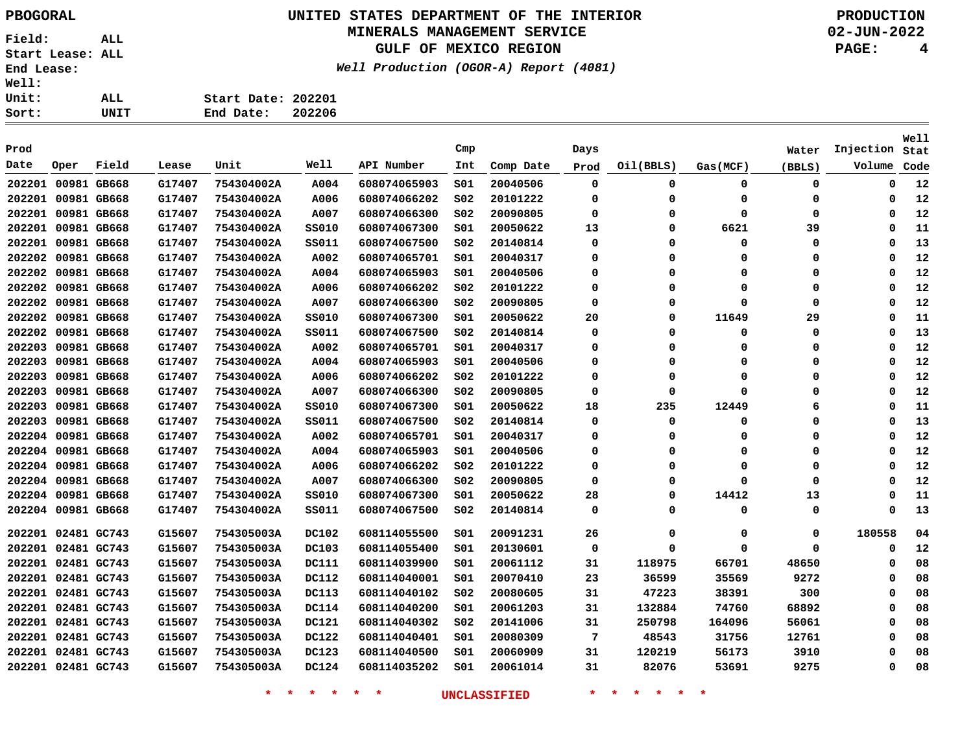## **UNITED STATES DEPARTMENT OF THE INTERIOR PBOGORAL PRODUCTION**

#### **MINERALS MANAGEMENT SERVICE**

**GULF OF MEXICO REGION**

**Well Production (OGOR-A) Report (4081)**

**02-JUN-2022**

**PAGE: 4**

**Stat Injection**Volume Code

**Well**

 

| Unit:              |             | ALL         |        | Start Date: 202201 |              |              |                 |           |      |           |           |        |           |
|--------------------|-------------|-------------|--------|--------------------|--------------|--------------|-----------------|-----------|------|-----------|-----------|--------|-----------|
| Sort:              |             | <b>UNIT</b> |        | End Date:          | 202206       |              |                 |           |      |           |           |        |           |
| Prod               |             |             |        |                    |              |              | Cmp             |           | Days |           |           | Water  | Injection |
| Date               | Oper        | Field       | Lease  | Unit               | Well         | API Number   | Int             | Comp Date | Prod | Oil(BBLS) | Gas (MCF) | (BBLS) | Volume    |
| 202201             |             | 00981 GB668 | G17407 | 754304002A         | A004         | 608074065903 | SO1             | 20040506  | 0    | 0         | 0         | 0      |           |
| 202201 00981 GB668 |             |             | G17407 | 754304002A         | A006         | 608074066202 | SO <sub>2</sub> | 20101222  | 0    | 0         | 0         | 0      |           |
| 202201             |             | 00981 GB668 | G17407 | 754304002A         | A007         | 608074066300 | S02             | 20090805  | 0    | 0         | 0         | 0      |           |
| 202201             |             | 00981 GB668 | G17407 | 754304002A         | <b>SS010</b> | 608074067300 | SO1             | 20050622  | 13   | 0         | 6621      | 39     |           |
| 202201             | 00981 GB668 |             | G17407 | 754304002A         | SS011        | 608074067500 | SO <sub>2</sub> | 20140814  | 0    | 0         | 0         | 0      |           |
| 202202             |             | 00981 GB668 | G17407 | 754304002A         | A002         | 608074065701 | S01             | 20040317  | 0    | 0         | 0         | 0      |           |
| 202202 00981 GB668 |             |             | G17407 | 754304002A         | A004         | 608074065903 | SO1             | 20040506  | 0    | $\Omega$  | 0         | 0      |           |
| 202202             |             | 00981 GB668 | G17407 | 754304002A         | A006         | 608074066202 | SO <sub>2</sub> | 20101222  | 0    | 0         | $\Omega$  | 0      |           |
| 202202             | 00981 GB668 |             | G17407 | 754304002A         | A007         | 608074066300 | SO <sub>2</sub> | 20090805  | 0    | 0         | 0         | 0      |           |
| 202202             |             | 00981 GB668 | G17407 | 754304002A         | SS010        | 608074067300 | S01             | 20050622  | 20   | $\Omega$  | 11649     | 29     |           |
| 202202             |             | 00981 GB668 | G17407 | 754304002A         | SS011        | 608074067500 | SO <sub>2</sub> | 20140814  | 0    | 0         | 0         | 0      |           |
| 202203             |             | 00981 GB668 | G17407 | 754304002A         | A002         | 608074065701 | SO1             | 20040317  | 0    | 0         | 0         | 0      |           |
| 202203             |             | 00981 GB668 | G17407 | 754304002A         | A004         | 608074065903 | S01             | 20040506  | 0    | $\Omega$  | 0         | 0      |           |
| 202203             |             | 00981 GB668 | G17407 | 754304002A         | A006         | 608074066202 | SO <sub>2</sub> | 20101222  | 0    | 0         | 0         | 0      |           |
| 202203             |             | 00981 GB668 | G17407 | 754304002A         | A007         | 608074066300 | SO <sub>2</sub> | 20090805  | 0    | 0         | O         | 0      |           |
| 202203             |             | 00981 GB668 | G17407 | 754304002A         | SS010        | 608074067300 | S01             | 20050622  | 18   | 235       | 12449     | 6      |           |
| 202203             |             | 00981 GB668 | G17407 | 754304002A         | <b>SS011</b> | 608074067500 | S02             | 20140814  | 0    | 0         | 0         | 0      |           |
| 202204 00981 GB668 |             |             | G17407 | 754304002A         | A002         | 608074065701 | SO1             | 20040317  | 0    | 0         | 0         | 0      |           |
| 202204 00981 GB668 |             |             | G17407 | 754304002A         | A004         | 608074065903 | SO1             | 20040506  | 0    | 0         | 0         | 0      |           |
| 202204 00981 GB668 |             |             | G17407 | 754304002A         | A006         | 608074066202 | SO <sub>2</sub> | 20101222  | 0    | 0         | 0         | 0      |           |
| 202204 00981 GB668 |             |             | G17407 | 754304002A         | A007         | 608074066300 | S02             | 20090805  | 0    | $\Omega$  | $\Omega$  | 0      |           |
| 202204 00981 GB668 |             |             | G17407 | 754304002A         | <b>SS010</b> | 608074067300 | SO1             | 20050622  | 28   | 0         | 14412     | 13     |           |
| 202204 00981 GB668 |             |             | G17407 | 754304002A         | SS011        | 608074067500 | SO <sub>2</sub> | 20140814  | 0    | 0         | 0         | 0      |           |
| 202201             | 02481 GC743 |             | G15607 | 754305003A         | <b>DC102</b> | 608114055500 | S01             | 20091231  | 26   | 0         | 0         | 0      | 180558    |
| 202201 02481 GC743 |             |             | G15607 | 754305003A         | <b>DC103</b> | 608114055400 | S01             | 20130601  | 0    | 0         | 0         | 0      |           |
| 202201 02481 GC743 |             |             | G15607 | 754305003A         | <b>DC111</b> | 608114039900 | SO1             | 20061112  | 31   | 118975    | 66701     | 48650  |           |
| 202201 02481 GC743 |             |             | G15607 | 754305003A         | <b>DC112</b> | 608114040001 | SO1             | 20070410  | 23   | 36599     | 35569     | 9272   |           |
|                    |             |             |        |                    |              |              |                 |           |      |           |           |        |           |

 **02481 GC743 02481 GC743 02481 GC743 02481 GC743 02481 GC743 02481 GC743 G15607 G15607 G15607 G15607 G15607 G15607 754305003A 754305003A 754305003A 754305003A 754305003A 754305003A DC113 DC114 DC121 DC122 DC123 DC124 S02 S01 S02 S01 S01 S01**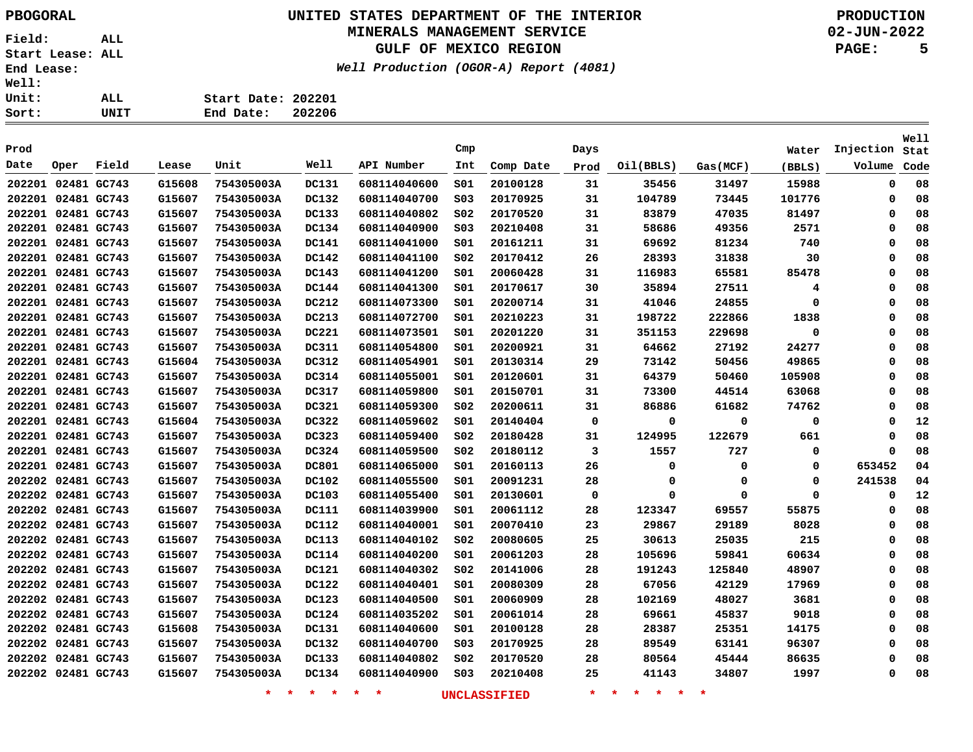### **UNITED STATES DEPARTMENT OF THE INTERIOR PBOGORAL PRODUCTION MINERALS MANAGEMENT SERVICE**

**GULF OF MEXICO REGION**

**02-JUN-2022 PAGE: 5**

**Well Production (OGOR-A) Report (4081) Start Date: 202201 End Date: 202206**

|      |                    |       |        |                    |                 |              |                 |                     |         |                                             |          |          |             | Well |
|------|--------------------|-------|--------|--------------------|-----------------|--------------|-----------------|---------------------|---------|---------------------------------------------|----------|----------|-------------|------|
| Prod |                    |       |        |                    |                 |              | Cmp             |                     | Days    |                                             |          | Water    | Injection   | Stat |
| Date | Oper               | Field | Lease  | Unit               | Well            | API Number   | Int             | Comp Date           | Prod    | Oil(BBLS)                                   | Gas(MCF) | (BBLS)   | Volume      | Code |
|      | 202201 02481 GC743 |       | G15608 | 754305003A         | <b>DC131</b>    | 608114040600 | SO1             | 20100128            | 31      | 35456                                       | 31497    | 15988    | $\mathbf 0$ | 08   |
|      | 202201 02481 GC743 |       | G15607 | 754305003A         | <b>DC132</b>    | 608114040700 | SO <sub>3</sub> | 20170925            | 31      | 104789                                      | 73445    | 101776   | 0           | 08   |
|      | 202201 02481 GC743 |       | G15607 | 754305003A         | DC133           | 608114040802 | SO <sub>2</sub> | 20170520            | 31      | 83879                                       | 47035    | 81497    | 0           | 08   |
|      | 202201 02481 GC743 |       | G15607 | 754305003A         | DC134           | 608114040900 | SO <sub>3</sub> | 20210408            | 31      | 58686                                       | 49356    | 2571     | 0           | 08   |
|      | 202201 02481 GC743 |       | G15607 | 754305003A         | <b>DC141</b>    | 608114041000 | S01             | 20161211            | 31      | 69692                                       | 81234    | 740      | 0           | 08   |
|      | 202201 02481 GC743 |       | G15607 | 754305003A         | DC142           | 608114041100 | SO <sub>2</sub> | 20170412            | 26      | 28393                                       | 31838    | 30       | 0           | 08   |
|      | 202201 02481 GC743 |       | G15607 | 754305003A         | <b>DC143</b>    | 608114041200 | S01             | 20060428            | 31      | 116983                                      | 65581    | 85478    | 0           | 08   |
|      | 202201 02481 GC743 |       | G15607 | 754305003A         | DC144           | 608114041300 | 501             | 20170617            | 30      | 35894                                       | 27511    | 4        | 0           | 08   |
|      | 202201 02481 GC743 |       | G15607 | 754305003A         | DC212           | 608114073300 | SO1             | 20200714            | 31      | 41046                                       | 24855    | 0        | 0           | 08   |
|      | 202201 02481 GC743 |       | G15607 | 754305003A         | DC213           | 608114072700 | 501             | 20210223            | 31      | 198722                                      | 222866   | 1838     | 0           | 08   |
|      | 202201 02481 GC743 |       | G15607 | 754305003A         | <b>DC221</b>    | 608114073501 | 501             | 20201220            | 31      | 351153                                      | 229698   | 0        | 0           | 08   |
|      | 202201 02481 GC743 |       | G15607 | 754305003A         | DC311           | 608114054800 | SO1             | 20200921            | 31      | 64662                                       | 27192    | 24277    | 0           | 08   |
|      | 202201 02481 GC743 |       | G15604 | 754305003A         | DC312           | 608114054901 | S01             | 20130314            | 29      | 73142                                       | 50456    | 49865    | 0           | 08   |
|      | 202201 02481 GC743 |       | G15607 | 754305003A         | DC314           | 608114055001 | S01             | 20120601            | 31      | 64379                                       | 50460    | 105908   | 0           | 08   |
|      | 202201 02481 GC743 |       | G15607 | 754305003A         | <b>DC317</b>    | 608114059800 | 501             | 20150701            | 31      | 73300                                       | 44514    | 63068    | $\Omega$    | 08   |
|      | 202201 02481 GC743 |       | G15607 | 754305003A         | DC321           | 608114059300 | SO <sub>2</sub> | 20200611            | 31      | 86886                                       | 61682    | 74762    | 0           | 08   |
|      | 202201 02481 GC743 |       | G15604 | 754305003A         | DC322           | 608114059602 | 501             | 20140404            | 0       | 0                                           | 0        | 0        | 0           | 12   |
|      | 202201 02481 GC743 |       | G15607 | 754305003A         | DC323           | 608114059400 | S02             | 20180428            | 31      | 124995                                      | 122679   | 661      | 0           | 08   |
|      | 202201 02481 GC743 |       | G15607 | 754305003A         | DC324           | 608114059500 | S02             | 20180112            | 3       | 1557                                        | 727      | 0        | 0           | 08   |
|      | 202201 02481 GC743 |       | G15607 | 754305003A         | DC801           | 608114065000 | SO1             | 20160113            | 26      | 0                                           | 0        | 0        | 653452      | 04   |
|      | 202202 02481 GC743 |       | G15607 | 754305003A         | <b>DC102</b>    | 608114055500 | SO1             | 20091231            | 28      | 0                                           | 0        | 0        | 241538      | 04   |
|      | 202202 02481 GC743 |       | G15607 | 754305003A         | <b>DC103</b>    | 608114055400 | SO1             | 20130601            | 0       | 0                                           | 0        | $\Omega$ | 0           | 12   |
|      | 202202 02481 GC743 |       | G15607 | 754305003A         | DC111           | 608114039900 | SO1             | 20061112            | 28      | 123347                                      | 69557    | 55875    | 0           | 08   |
|      | 202202 02481 GC743 |       | G15607 | 754305003A         | <b>DC112</b>    | 608114040001 | SO1             | 20070410            | 23      | 29867                                       | 29189    | 8028     | 0           | 08   |
|      | 202202 02481 GC743 |       | G15607 | 754305003A         | <b>DC113</b>    | 608114040102 | SO <sub>2</sub> | 20080605            | 25      | 30613                                       | 25035    | 215      | 0           | 08   |
|      | 202202 02481 GC743 |       | G15607 | 754305003A         | <b>DC114</b>    | 608114040200 | SO1             | 20061203            | 28      | 105696                                      | 59841    | 60634    | 0           | 08   |
|      | 202202 02481 GC743 |       | G15607 | 754305003A         | <b>DC121</b>    | 608114040302 | SO <sub>2</sub> | 20141006            | 28      | 191243                                      | 125840   | 48907    | 0           | 08   |
|      | 202202 02481 GC743 |       | G15607 | 754305003A         | <b>DC122</b>    | 608114040401 | 501             | 20080309            | 28      | 67056                                       | 42129    | 17969    | 0           | 08   |
|      | 202202 02481 GC743 |       | G15607 | 754305003A         | <b>DC123</b>    | 608114040500 | SO1             | 20060909            | 28      | 102169                                      | 48027    | 3681     | 0           | 08   |
|      | 202202 02481 GC743 |       | G15607 | 754305003A         | DC124           | 608114035202 | SO1             | 20061014            | 28      | 69661                                       | 45837    | 9018     | 0           | 08   |
|      | 202202 02481 GC743 |       | G15608 | 754305003A         | <b>DC131</b>    | 608114040600 | 501             | 20100128            | 28      | 28387                                       | 25351    | 14175    | 0           | 08   |
|      | 202202 02481 GC743 |       | G15607 | 754305003A         | DC132           | 608114040700 | SO <sub>3</sub> | 20170925            | 28      | 89549                                       | 63141    | 96307    | 0           | 08   |
|      | 202202 02481 GC743 |       | G15607 | 754305003A         | DC133           | 608114040802 | SO <sub>2</sub> | 20170520            | 28      | 80564                                       | 45444    | 86635    | 0           | 08   |
|      | 202202 02481 GC743 |       | G15607 | 754305003A         | DC134           | 608114040900 | SO <sub>3</sub> | 20210408            | 25      | 41143                                       | 34807    | 1997     | $\Omega$    | 08   |
|      |                    |       |        | $\star$<br>$\star$ | $\star$ $\star$ | $*$ *        |                 | <b>UNCLASSIFIED</b> | $\star$ | $\star$<br>$\star$<br><b>Reserves</b><br>一大 | $\star$  |          |             |      |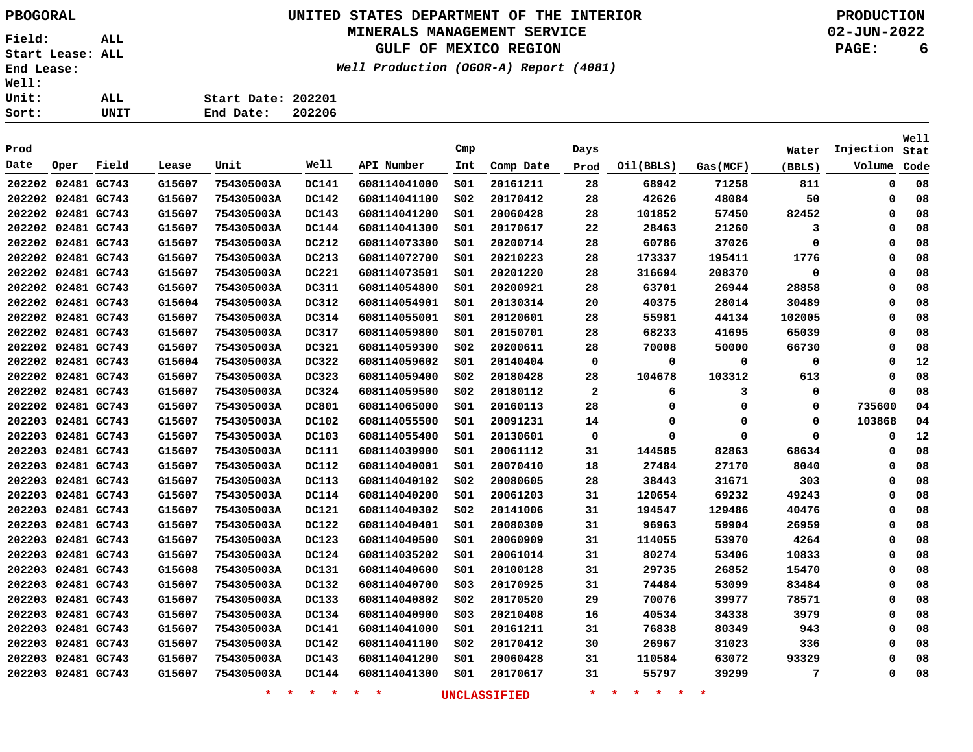### **UNITED STATES DEPARTMENT OF THE INTERIOR PBOGORAL PRODUCTION MINERALS MANAGEMENT SERVICE**

**GULF OF MEXICO REGION**

**Well Production (OGOR-A) Report (4081)**

**02-JUN-2022 PAGE: 6**

| . :          |      |                    |        |
|--------------|------|--------------------|--------|
| $\mathbf{r}$ | ALL. | Start Date: 202201 |        |
| : :          | UNIT | End Date:          | 202206 |

| Prod               |             |             |        |                    |              |              | Cmp             |              | Days         |                           |          | Water  | Injection | <b>Well</b><br>Stat |
|--------------------|-------------|-------------|--------|--------------------|--------------|--------------|-----------------|--------------|--------------|---------------------------|----------|--------|-----------|---------------------|
| Date               | Oper        | Field       | Lease  | Unit               | Well         | API Number   | Int             | Comp Date    | Prod         | Oil(BBLS)                 | Gas(MCF) | (BBLS) | Volume    | Code                |
| 202202 02481 GC743 |             |             | G15607 | 754305003A         | <b>DC141</b> | 608114041000 | SO1             | 20161211     | 28           | 68942                     | 71258    | 811    | 0         | 08                  |
| 202202 02481 GC743 |             |             | G15607 | 754305003A         | <b>DC142</b> | 608114041100 | SO <sub>2</sub> | 20170412     | 28           | 42626                     | 48084    | 50     | 0         | 08                  |
| 202202 02481 GC743 |             |             | G15607 | 754305003A         | DC143        | 608114041200 | SO1             | 20060428     | 28           | 101852                    | 57450    | 82452  | $\Omega$  | 08                  |
| 202202 02481 GC743 |             |             | G15607 | 754305003A         | <b>DC144</b> | 608114041300 | SO1             | 20170617     | 22           | 28463                     | 21260    | 3      | 0         | 08                  |
| 202202 02481 GC743 |             |             | G15607 | 754305003A         | DC212        | 608114073300 | SO1             | 20200714     | 28           | 60786                     | 37026    | 0      | 0         | 08                  |
| 202202 02481 GC743 |             |             | G15607 | 754305003A         | DC213        | 608114072700 | SO1             | 20210223     | 28           | 173337                    | 195411   | 1776   | 0         | 08                  |
| 202202 02481 GC743 |             |             | G15607 | 754305003A         | <b>DC221</b> | 608114073501 | SO1             | 20201220     | 28           | 316694                    | 208370   | 0      | 0         | 08                  |
| 202202 02481 GC743 |             |             | G15607 | 754305003A         | <b>DC311</b> | 608114054800 | SO1             | 20200921     | 28           | 63701                     | 26944    | 28858  | 0         | 08                  |
| 202202 02481 GC743 |             |             | G15604 | 754305003A         | DC312        | 608114054901 | SO1             | 20130314     | 20           | 40375                     | 28014    | 30489  | 0         | 08                  |
| 202202 02481 GC743 |             |             | G15607 | 754305003A         | DC314        | 608114055001 | SO1             | 20120601     | 28           | 55981                     | 44134    | 102005 | $\Omega$  | 08                  |
| 202202 02481 GC743 |             |             | G15607 | 754305003A         | DC317        | 608114059800 | SO1             | 20150701     | 28           | 68233                     | 41695    | 65039  | $\Omega$  | 08                  |
| 202202 02481 GC743 |             |             | G15607 | 754305003A         | DC321        | 608114059300 | SO <sub>2</sub> | 20200611     | 28           | 70008                     | 50000    | 66730  | $\Omega$  | 08                  |
| 202202 02481 GC743 |             |             | G15604 | 754305003A         | DC322        | 608114059602 | SO1             | 20140404     | 0            | 0                         | 0        | 0      | 0         | 12                  |
| 202202 02481 GC743 |             |             | G15607 | 754305003A         | DC323        | 608114059400 | SO <sub>2</sub> | 20180428     | 28           | 104678                    | 103312   | 613    | $\Omega$  | 08                  |
| 202202 02481 GC743 |             |             | G15607 | 754305003A         | DC324        | 608114059500 | SO <sub>2</sub> | 20180112     | $\mathbf{2}$ | 6                         | 3        | 0      | $\Omega$  | 08                  |
| 202202 02481 GC743 |             |             | G15607 | 754305003A         | <b>DC801</b> | 608114065000 | SO1             | 20160113     | 28           | 0                         | 0        | 0      | 735600    | 04                  |
| 202203             |             | 02481 GC743 | G15607 | 754305003A         | <b>DC102</b> | 608114055500 | SO1             | 20091231     | 14           | 0                         | 0        | 0      | 103868    | 04                  |
| 202203 02481 GC743 |             |             | G15607 | 754305003A         | DC103        | 608114055400 | SO1             | 20130601     | 0            | 0                         | 0        | 0      | 0         | 12                  |
| 202203             | 02481 GC743 |             | G15607 | 754305003A         | <b>DC111</b> | 608114039900 | SO1             | 20061112     | 31           | 144585                    | 82863    | 68634  | 0         | 08                  |
| 202203             | 02481 GC743 |             | G15607 | 754305003A         | <b>DC112</b> | 608114040001 | SO1             | 20070410     | 18           | 27484                     | 27170    | 8040   | 0         | 08                  |
| 202203 02481 GC743 |             |             | G15607 | 754305003A         | DC113        | 608114040102 | SO <sub>2</sub> | 20080605     | 28           | 38443                     | 31671    | 303    | 0         | 08                  |
| 202203 02481 GC743 |             |             | G15607 | 754305003A         | DC114        | 608114040200 | SO1             | 20061203     | 31           | 120654                    | 69232    | 49243  | $\Omega$  | 08                  |
| 202203             | 02481 GC743 |             | G15607 | 754305003A         | DC121        | 608114040302 | SO <sub>2</sub> | 20141006     | 31           | 194547                    | 129486   | 40476  | 0         | 08                  |
| 202203             | 02481 GC743 |             | G15607 | 754305003A         | DC122        | 608114040401 | SO1             | 20080309     | 31           | 96963                     | 59904    | 26959  | $\Omega$  | 08                  |
| 202203             | 02481 GC743 |             | G15607 | 754305003A         | DC123        | 608114040500 | SO1             | 20060909     | 31           | 114055                    | 53970    | 4264   | 0         | 08                  |
| 202203             |             | 02481 GC743 | G15607 | 754305003A         | DC124        | 608114035202 | SO1             | 20061014     | 31           | 80274                     | 53406    | 10833  | 0         | 08                  |
| 202203             |             | 02481 GC743 | G15608 | 754305003A         | DC131        | 608114040600 | SO1             | 20100128     | 31           | 29735                     | 26852    | 15470  | 0         | 08                  |
| 202203             | 02481 GC743 |             | G15607 | 754305003A         | DC132        | 608114040700 | S03             | 20170925     | 31           | 74484                     | 53099    | 83484  | 0         | 08                  |
| 202203             | 02481 GC743 |             | G15607 | 754305003A         | DC133        | 608114040802 | SO <sub>2</sub> | 20170520     | 29           | 70076                     | 39977    | 78571  | $\Omega$  | 08                  |
| 202203             | 02481 GC743 |             | G15607 | 754305003A         | DC134        | 608114040900 | SO <sub>3</sub> | 20210408     | 16           | 40534                     | 34338    | 3979   | $\Omega$  | 08                  |
| 202203 02481 GC743 |             |             | G15607 | 754305003A         | DC141        | 608114041000 | SO1             | 20161211     | 31           | 76838                     | 80349    | 943    | 0         | 08                  |
| 202203 02481 GC743 |             |             | G15607 | 754305003A         | DC142        | 608114041100 | SO <sub>2</sub> | 20170412     | 30           | 26967                     | 31023    | 336    | $\Omega$  | 08                  |
| 202203 02481 GC743 |             |             | G15607 | 754305003A         | DC143        | 608114041200 | SO1             | 20060428     | 31           | 110584                    | 63072    | 93329  | 0         | 08                  |
| 202203             | 02481 GC743 |             | G15607 | 754305003A         | DC144        | 608114041300 | SO1             | 20170617     | 31           | 55797                     | 39299    | 7      | 0         | 08                  |
|                    |             |             |        | $\star$<br>$\star$ | $*$ $*$      | $\star$<br>未 |                 | UNCLASSIFIED | $\star$      | $\star$<br>一大<br>一大<br>一大 | 未        |        |           |                     |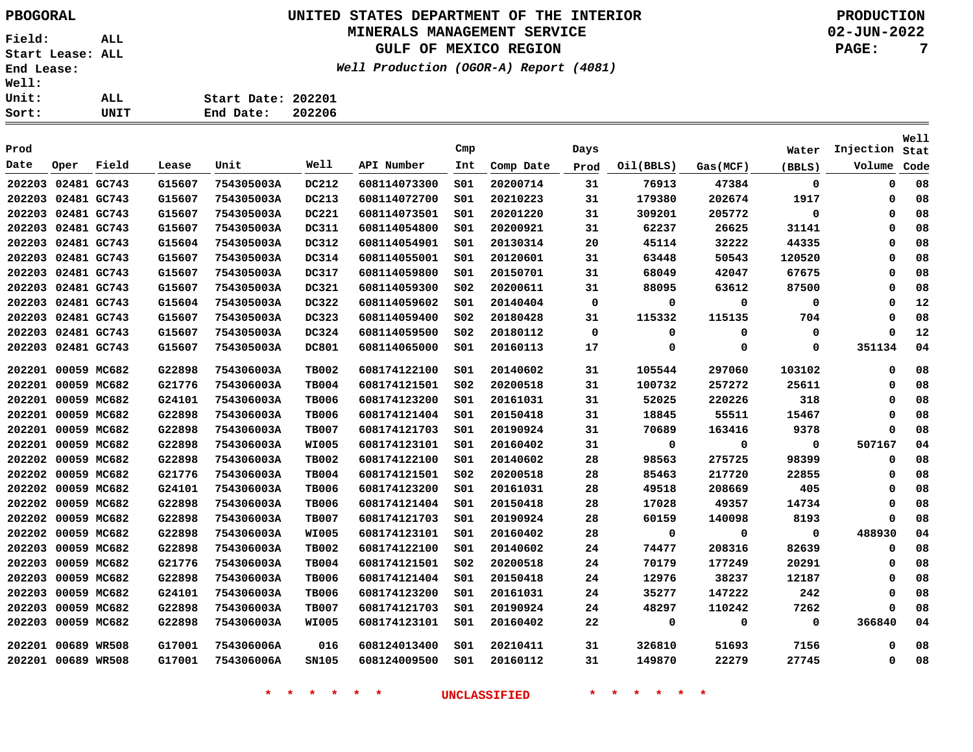**Start Date: 202201 End Date: 202206**

## **UNITED STATES DEPARTMENT OF THE INTERIOR PBOGORAL PRODUCTION**

#### **MINERALS MANAGEMENT SERVICE**

**GULF OF MEXICO REGION**

**Well Production (OGOR-A) Report (4081)**

**02-JUN-2022 PAGE: 7**

|                    |                    |       |        |                    |                    |              |                 |                     |         |                                   |             |              |                | Well   |
|--------------------|--------------------|-------|--------|--------------------|--------------------|--------------|-----------------|---------------------|---------|-----------------------------------|-------------|--------------|----------------|--------|
| Prod<br>Date       |                    |       |        | Unit               | Well               | API Number   | Cmp             |                     | Days    |                                   |             | Water        | Injection Stat |        |
|                    | Oper               | Field | Lease  |                    |                    |              | Int             | Comp Date           | Prod    | Oil(BBLS)                         | Gas(MCF)    | (BBLS)       | Volume         | Code   |
| 202203 02481 GC743 |                    |       | G15607 | 754305003A         | <b>DC212</b>       | 608114073300 | SO1             | 20200714            | 31      | 76913                             | 47384       | 0            | 0              | 08     |
| 202203 02481 GC743 |                    |       | G15607 | 754305003A         | DC213              | 608114072700 | SO1             | 20210223            | 31      | 179380                            | 202674      | 1917         | 0              | 08     |
| 202203 02481 GC743 |                    |       | G15607 | 754305003A         | <b>DC221</b>       | 608114073501 | S01             | 20201220            | 31      | 309201                            | 205772      | $\mathbf 0$  | $\mathbf 0$    | 08     |
|                    | 202203 02481 GC743 |       | G15607 | 754305003A         | DC311              | 608114054800 | SO1             | 20200921            | 31      | 62237                             | 26625       | 31141        | 0              | 08     |
|                    | 202203 02481 GC743 |       | G15604 | 754305003A         | DC312              | 608114054901 | S01             | 20130314            | 20      | 45114                             | 32222       | 44335        | 0              | 08     |
|                    | 202203 02481 GC743 |       | G15607 | 754305003A         | DC314              | 608114055001 | SO1             | 20120601            | 31      | 63448                             | 50543       | 120520       | $\mathbf 0$    | 08     |
| 202203 02481 GC743 |                    |       | G15607 | 754305003A         | DC317              | 608114059800 | S01             | 20150701            | 31      | 68049                             | 42047       | 67675        | 0              | 08     |
|                    | 202203 02481 GC743 |       | G15607 | 754305003A         | DC321              | 608114059300 | SO <sub>2</sub> | 20200611            | 31      | 88095                             | 63612       | 87500        | $\mathbf 0$    | 08     |
|                    | 202203 02481 GC743 |       | G15604 | 754305003A         | DC322              | 608114059602 | S01             | 20140404            | 0       | 0                                 | 0           | 0            | 0              | 12     |
|                    | 202203 02481 GC743 |       | G15607 | 754305003A         | DC323              | 608114059400 | SO <sub>2</sub> | 20180428            | 31      | 115332                            | 115135      | 704          | $\mathbf 0$    | 08     |
|                    | 202203 02481 GC743 |       | G15607 | 754305003A         | DC324              | 608114059500 | SO <sub>2</sub> | 20180112            | 0       | 0                                 | $\mathbf 0$ | $\mathbf 0$  | 0              | 12     |
|                    | 202203 02481 GC743 |       | G15607 | 754305003A         | <b>DC801</b>       | 608114065000 | S01             | 20160113            | 17      | $\mathbf{o}$                      | $\mathbf 0$ | $\mathbf 0$  | 351134         | 04     |
| 202201             | 00059 MC682        |       | G22898 | 754306003A         | <b>TB002</b>       | 608174122100 | 501             | 20140602            | 31      | 105544                            | 297060      | 103102       | $\mathbf 0$    | 08     |
| 202201 00059 MC682 |                    |       | G21776 | 754306003A         | <b>TB004</b>       | 608174121501 | SO <sub>2</sub> | 20200518            | 31      | 100732                            | 257272      | 25611        | 0              | 08     |
| 202201 00059 MC682 |                    |       | G24101 | 754306003A         | <b>TB006</b>       | 608174123200 | S01             | 20161031            | 31      | 52025                             | 220226      | 318          | 0              | 08     |
| 202201 00059 MC682 |                    |       | G22898 | 754306003A         | <b>TB006</b>       | 608174121404 | S01             | 20150418            | 31      | 18845                             | 55511       | 15467        | 0              | 08     |
| 202201 00059 MC682 |                    |       | G22898 | 754306003A         | <b>TB007</b>       | 608174121703 | S01             | 20190924            | 31      | 70689                             | 163416      | 9378         | $\mathbf 0$    | 08     |
|                    | 202201 00059 MC682 |       | G22898 | 754306003A         | <b>WI005</b>       | 608174123101 | SO1             | 20160402            | 31      | 0                                 | $\mathbf 0$ | $\mathbf{o}$ | 507167         | 04     |
|                    | 202202 00059 MC682 |       | G22898 | 754306003A         | <b>TB002</b>       | 608174122100 | S01             | 20140602            | 28      | 98563                             | 275725      | 98399        | 0              | 08     |
|                    | 202202 00059 MC682 |       | G21776 | 754306003A         | <b>TB004</b>       | 608174121501 | SO <sub>2</sub> | 20200518            | 28      | 85463                             | 217720      | 22855        | $\mathbf 0$    | 08     |
|                    | 202202 00059 MC682 |       | G24101 | 754306003A         | <b>TB006</b>       | 608174123200 | SO1             | 20161031            | 28      | 49518                             | 208669      | 405          | 0              | 08     |
|                    | 202202 00059 MC682 |       | G22898 | 754306003A         | <b>TB006</b>       | 608174121404 | S01             | 20150418            | 28      | 17028                             | 49357       | 14734        | 0              | 08     |
|                    | 202202 00059 MC682 |       | G22898 | 754306003A         | <b>TB007</b>       | 608174121703 | SO1             | 20190924            | 28      | 60159                             | 140098      | 8193         | 0              | 08     |
|                    | 202202 00059 MC682 |       | G22898 | 754306003A         | <b>WI005</b>       | 608174123101 | 501             | 20160402            | 28      | 0                                 | $\mathbf 0$ | $\mathbf 0$  | 488930         | 04     |
|                    | 202203 00059 MC682 |       | G22898 | 754306003A         | <b>TB002</b>       | 608174122100 | S01             | 20140602            | 24      | 74477                             | 208316      | 82639        | 0              | 08     |
|                    | 202203 00059 MC682 |       | G21776 | 754306003A         | <b>TB004</b>       | 608174121501 | S02             | 20200518            | 24      | 70179                             | 177249      | 20291        | 0              | 08     |
|                    | 202203 00059 MC682 |       | G22898 | 754306003A         | <b>TB006</b>       | 608174121404 | SO1             | 20150418            | 24      | 12976                             | 38237       | 12187        | 0              | 08     |
|                    | 202203 00059 MC682 |       | G24101 | 754306003A         | <b>TB006</b>       | 608174123200 | S01             | 20161031            | 24      | 35277                             | 147222      | 242          | 0              | 08     |
|                    | 202203 00059 MC682 |       | G22898 | 754306003A         | <b>TB007</b>       | 608174121703 | S01             | 20190924            | 24      | 48297                             | 110242      | 7262         | $\mathbf 0$    | 08     |
|                    | 202203 00059 MC682 |       | G22898 | 754306003A         | <b>WI005</b>       | 608174123101 | S01             | 20160402            | 22      | $\mathbf 0$                       | $\mathbf 0$ | $\mathbf 0$  | 366840         | 04     |
|                    | 202201 00689 WR508 |       | G17001 | 754306006A         | 016                | 608124013400 | S01             | 20210411            | 31      | 326810                            | 51693       | 7156         | 0              | 08     |
| 202201 00689 WR508 |                    |       | G17001 | 754306006A         | SN105              | 608124009500 |                 | S01 20160112        | 31      | 149870                            | 22279       | 27745        |                | $0$ 08 |
|                    |                    |       |        | $\star$<br>$\star$ | $\star$<br>$\star$ | $\ast$<br>一大 |                 | <b>UNCLASSIFIED</b> | $\star$ | 未<br>$\star$<br>$\star$<br>$\ast$ |             |              |                |        |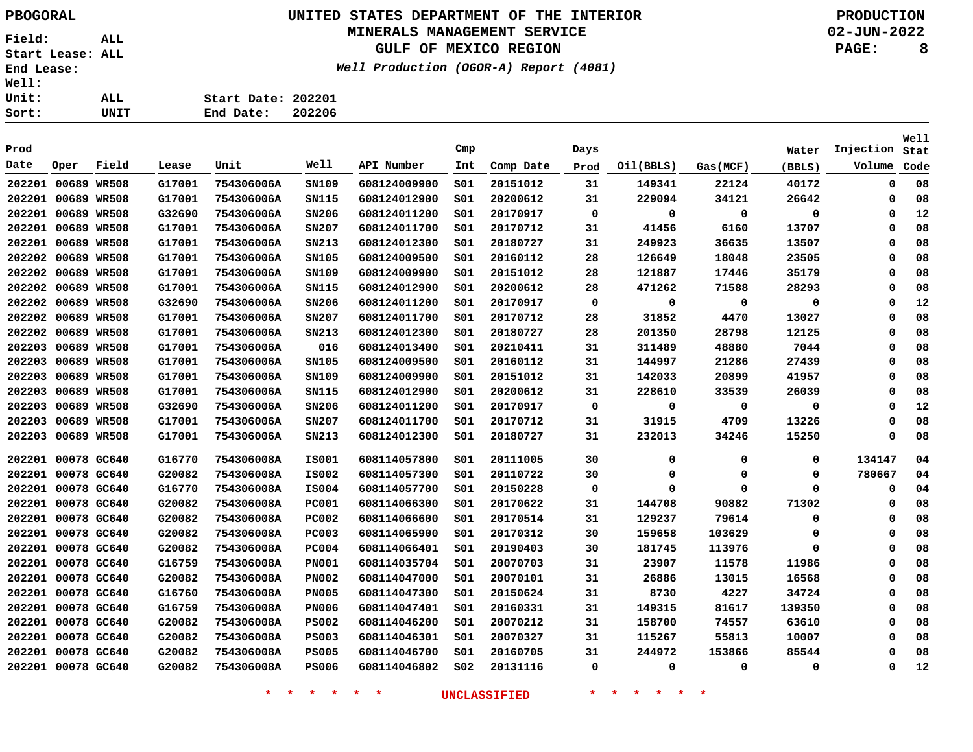**Start Date: 202201**

### **UNITED STATES DEPARTMENT OF THE INTERIOR PBOGORAL PRODUCTION MINERALS MANAGEMENT SERVICE**

**GULF OF MEXICO REGION**

**Well Production (OGOR-A) Report (4081)**

**02-JUN-2022 PAGE: 8**

**Stat Injection**Volume Code

**Well**

| Sort:              |         | UNIT         |        | End Date:  | 202206                               |              |     |           |      |           |          |             |
|--------------------|---------|--------------|--------|------------|--------------------------------------|--------------|-----|-----------|------|-----------|----------|-------------|
| Prod               |         |              |        |            |                                      |              | Cmp |           | Days |           |          | Water       |
| Date               | Oper    | Field        | Lease  | Unit       | Well                                 | API Number   | Int | Comp Date | Prod | Oil(BBLS) | Gas(MCF) | (BBLS)      |
| 202201             |         | 00689 WR508  | G17001 | 754306006A | SN109                                | 608124009900 | SO1 | 20151012  | 31   | 149341    | 22124    | 40172       |
| 202201             |         | 00689 WR508  | G17001 | 754306006A | SN115                                | 608124012900 | SO1 | 20200612  | 31   | 229094    | 34121    | 26642       |
| 202201             | 00689   | <b>WR508</b> | G32690 | 754306006A | SN206                                | 608124011200 | SO1 | 20170917  | 0    | 0         | 0        | $\mathbf 0$ |
| 202201             |         | 00689 WR508  | G17001 | 754306006A | SN207                                | 608124011700 | SO1 | 20170712  | 31   | 41456     | 6160     | 13707       |
| 202201             |         | 00689 WR508  | G17001 | 754306006A | SN213                                | 608124012300 | SO1 | 20180727  | 31   | 249923    | 36635    | 13507       |
| 202202             |         | 00689 WR508  | G17001 | 754306006A | SN105                                | 608124009500 | SO1 | 20160112  | 28   | 126649    | 18048    | 23505       |
| 202202 00689 WR508 |         |              | G17001 | 754306006A | SN109                                | 608124009900 | SO1 | 20151012  | 28   | 121887    | 17446    | 35179       |
| 202202 00689 WR508 |         |              | G17001 | 754306006A | SN115                                | 608124012900 | SO1 | 20200612  | 28   | 471262    | 71588    | 28293       |
| 202202 00689       |         | <b>WR508</b> | G32690 | 754306006A | SN206                                | 608124011200 | SO1 | 20170917  | 0    | 0         | 0        | 0           |
|                    | <i></i> |              | ------ | -- -       | $\cdots \cdots \cdots \cdots \cdots$ | ------------ |     |           |      | -----     |          |             |

| 202202 00689 WR508 |             | G17001 | 754306006A | SN105        | 608124009500 | S01             | 20160112 | 28 | 126649 | 18048  | 23505  | $\Omega$ | 08 |
|--------------------|-------------|--------|------------|--------------|--------------|-----------------|----------|----|--------|--------|--------|----------|----|
| 202202 00689 WR508 |             | G17001 | 754306006A | SN109        | 608124009900 | SO1             | 20151012 | 28 | 121887 | 17446  | 35179  | 0        | 08 |
| 202202 00689 WR508 |             | G17001 | 754306006A | SN115        | 608124012900 | S01             | 20200612 | 28 | 471262 | 71588  | 28293  | 0        | 08 |
| 202202 00689 WR508 |             | G32690 | 754306006A | SN206        | 608124011200 | S01             | 20170917 | 0  | 0      | 0      | 0      | 0        | 12 |
| 202202 00689 WR508 |             | G17001 | 754306006A | SN207        | 608124011700 | SO1             | 20170712 | 28 | 31852  | 4470   | 13027  | Ω        | 08 |
| 202202 00689 WR508 |             | G17001 | 754306006A | SN213        | 608124012300 | S01             | 20180727 | 28 | 201350 | 28798  | 12125  | 0        | 08 |
| 202203 00689 WR508 |             | G17001 | 754306006A | 016          | 608124013400 | SO1             | 20210411 | 31 | 311489 | 48880  | 7044   | 0        | 08 |
| 202203 00689 WR508 |             | G17001 | 754306006A | SN105        | 608124009500 | S01             | 20160112 | 31 | 144997 | 21286  | 27439  | 0        | 08 |
| 202203 00689 WR508 |             | G17001 | 754306006A | SN109        | 608124009900 | S01             | 20151012 | 31 | 142033 | 20899  | 41957  | Ω        | 08 |
| 202203 00689 WR508 |             | G17001 | 754306006A | SN115        | 608124012900 | S01             | 20200612 | 31 | 228610 | 33539  | 26039  | 0        | 08 |
| 202203 00689 WR508 |             | G32690 | 754306006A | SN206        | 608124011200 | SO1             | 20170917 | 0  | 0      | 0      | 0      | 0        | 12 |
| 202203 00689 WR508 |             | G17001 | 754306006A | SN207        | 608124011700 | SO1             | 20170712 | 31 | 31915  | 4709   | 13226  | Ω        | 08 |
| 202203 00689 WR508 |             | G17001 | 754306006A | SN213        | 608124012300 | SO1             | 20180727 | 31 | 232013 | 34246  | 15250  | 0        | 08 |
| 202201 00078 GC640 |             | G16770 | 754306008A | <b>IS001</b> | 608114057800 | S01             | 20111005 | 30 | 0      | 0      | 0      | 134147   | 04 |
| 202201 00078 GC640 |             | G20082 | 754306008A | <b>IS002</b> | 608114057300 | SO1             | 20110722 | 30 | 0      | 0      | 0      | 780667   | 04 |
| 202201 00078 GC640 |             | G16770 | 754306008A | <b>IS004</b> | 608114057700 | SO1             | 20150228 | 0  | 0      | 0      | 0      | 0        | 04 |
| 202201 00078 GC640 |             | G20082 | 754306008A | <b>PC001</b> | 608114066300 | SO1             | 20170622 | 31 | 144708 | 90882  | 71302  | $\Omega$ | 08 |
| 202201 00078 GC640 |             | G20082 | 754306008A | <b>PC002</b> | 608114066600 | S01             | 20170514 | 31 | 129237 | 79614  | 0      | 0        | 08 |
| 202201 00078 GC640 |             | G20082 | 754306008A | <b>PC003</b> | 608114065900 | SO1             | 20170312 | 30 | 159658 | 103629 | 0      | 0        | 08 |
| 202201 00078 GC640 |             | G20082 | 754306008A | <b>PC004</b> | 608114066401 | SO1             | 20190403 | 30 | 181745 | 113976 | 0      | Ω        | 08 |
| 202201 00078 GC640 |             | G16759 | 754306008A | <b>PN001</b> | 608114035704 | SO1             | 20070703 | 31 | 23907  | 11578  | 11986  | 0        | 08 |
| 202201 00078 GC640 |             | G20082 | 754306008A | <b>PN002</b> | 608114047000 | SO1             | 20070101 | 31 | 26886  | 13015  | 16568  | Ω        | 08 |
| 202201 00078 GC640 |             | G16760 | 754306008A | <b>PN005</b> | 608114047300 | S01             | 20150624 | 31 | 8730   | 4227   | 34724  | Ω        | 08 |
| 202201 00078 GC640 |             | G16759 | 754306008A | <b>PN006</b> | 608114047401 | SO1             | 20160331 | 31 | 149315 | 81617  | 139350 | Ω        | 08 |
| 202201 00078 GC640 |             | G20082 | 754306008A | <b>PS002</b> | 608114046200 | S01             | 20070212 | 31 | 158700 | 74557  | 63610  | 0        | 08 |
| 202201             | 00078 GC640 | G20082 | 754306008A | <b>PS003</b> | 608114046301 | S01             | 20070327 | 31 | 115267 | 55813  | 10007  | 0        | 08 |
| 202201 00078 GC640 |             | G20082 | 754306008A | <b>PS005</b> | 608114046700 | S01             | 20160705 | 31 | 244972 | 153866 | 85544  | 0        | 08 |
| 202201 00078 GC640 |             | G20082 | 754306008A | <b>PS006</b> | 608114046802 | SO <sub>2</sub> | 20131116 | 0  | 0      | 0      | 0      | $\Omega$ | 12 |
|                    |             |        |            |              |              |                 |          |    |        |        |        |          |    |

**\* \* \* \* \* \* UNCLASSIFIED \* \* \* \* \* \***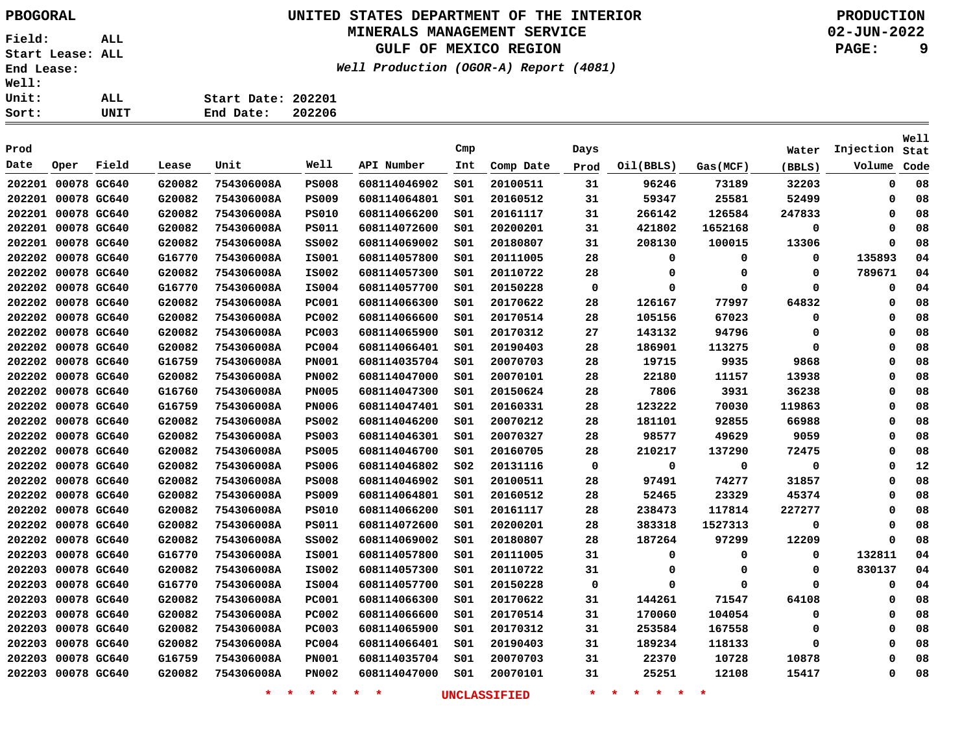### **UNITED STATES DEPARTMENT OF THE INTERIOR PBOGORAL PRODUCTION MINERALS MANAGEMENT SERVICE**

**GULF OF MEXICO REGION**

**Well Production (OGOR-A) Report (4081)**

**02-JUN-2022**

**PAGE: 9**

**Well**

| Sort:        | UNIT | End Date:<br>202206 |  |
|--------------|------|---------------------|--|
| <b>Unit:</b> | ALL  | Start Date: 202201  |  |
| <b>Well:</b> |      |                     |  |

| Prod               |             |       |        |            |              |              | Cmp             |           | Days        |           |          | Water    | Injection | Stat |
|--------------------|-------------|-------|--------|------------|--------------|--------------|-----------------|-----------|-------------|-----------|----------|----------|-----------|------|
| Date               | Oper        | Field | Lease  | Unit       | Well         | API Number   | Int             | Comp Date | Prod        | Oil(BBLS) | Gas(MCF) | (BBLS)   | Volume    | Code |
| 202201 00078 GC640 |             |       | G20082 | 754306008A | <b>PS008</b> | 608114046902 | SO1             | 20100511  | 31          | 96246     | 73189    | 32203    | 0         | 08   |
| 202201             | 00078 GC640 |       | G20082 | 754306008A | <b>PS009</b> | 608114064801 | SO1             | 20160512  | 31          | 59347     | 25581    | 52499    | 0         | 08   |
| 202201             | 00078 GC640 |       | G20082 | 754306008A | <b>PS010</b> | 608114066200 | SO1             | 20161117  | 31          | 266142    | 126584   | 247833   | $\Omega$  | 08   |
| 202201 00078 GC640 |             |       | G20082 | 754306008A | <b>PS011</b> | 608114072600 | 501             | 20200201  | 31          | 421802    | 1652168  | 0        | $\Omega$  | 08   |
| 202201 00078 GC640 |             |       | G20082 | 754306008A | <b>SS002</b> | 608114069002 | SO1             | 20180807  | 31          | 208130    | 100015   | 13306    | $\Omega$  | 08   |
| 202202             | 00078 GC640 |       | G16770 | 754306008A | <b>IS001</b> | 608114057800 | 501             | 20111005  | 28          | 0         | 0        | 0        | 135893    | 04   |
| 202202             | 00078 GC640 |       | G20082 | 754306008A | IS002        | 608114057300 | SO1             | 20110722  | 28          | 0         | 0        | 0        | 789671    | 04   |
| 202202             | 00078 GC640 |       | G16770 | 754306008A | IS004        | 608114057700 | SO1             | 20150228  | $\mathbf 0$ | $\Omega$  | $\Omega$ | $\Omega$ | 0         | 04   |
| 202202             | 00078 GC640 |       | G20082 | 754306008A | <b>PC001</b> | 608114066300 | S01             | 20170622  | 28          | 126167    | 77997    | 64832    | 0         | 08   |
| 202202             | 00078 GC640 |       | G20082 | 754306008A | <b>PC002</b> | 608114066600 | s01             | 20170514  | 28          | 105156    | 67023    | 0        | 0         | 08   |
| 202202             | 00078 GC640 |       | G20082 | 754306008A | <b>PC003</b> | 608114065900 | SO1             | 20170312  | 27          | 143132    | 94796    | 0        | $\Omega$  | 08   |
| 202202             | 00078 GC640 |       | G20082 | 754306008A | <b>PC004</b> | 608114066401 | SO1             | 20190403  | 28          | 186901    | 113275   | 0        | $\Omega$  | 08   |
| 202202             | 00078 GC640 |       | G16759 | 754306008A | <b>PN001</b> | 608114035704 | SO1             | 20070703  | 28          | 19715     | 9935     | 9868     | 0         | 08   |
| 202202             | 00078 GC640 |       | G20082 | 754306008A | <b>PN002</b> | 608114047000 | SO1             | 20070101  | 28          | 22180     | 11157    | 13938    | $\Omega$  | 08   |
| 202202             | 00078 GC640 |       | G16760 | 754306008A | <b>PN005</b> | 608114047300 | SO1             | 20150624  | 28          | 7806      | 3931     | 36238    | $\Omega$  | 08   |
| 202202             | 00078 GC640 |       | G16759 | 754306008A | <b>PN006</b> | 608114047401 | SO1             | 20160331  | 28          | 123222    | 70030    | 119863   | $\Omega$  | 08   |
| 202202             | 00078 GC640 |       | G20082 | 754306008A | <b>PS002</b> | 608114046200 | SO1             | 20070212  | 28          | 181101    | 92855    | 66988    | 0         | 08   |
| 202202             | 00078 GC640 |       | G20082 | 754306008A | <b>PS003</b> | 608114046301 | SO1             | 20070327  | 28          | 98577     | 49629    | 9059     | $\Omega$  | 08   |
| 202202             | 00078 GC640 |       | G20082 | 754306008A | <b>PS005</b> | 608114046700 | SO1             | 20160705  | 28          | 210217    | 137290   | 72475    | $\Omega$  | 08   |
| 202202             | 00078 GC640 |       | G20082 | 754306008A | <b>PS006</b> | 608114046802 | SO <sub>2</sub> | 20131116  | $\mathbf 0$ | 0         | 0        | 0        | O         | 12   |
| 202202             | 00078 GC640 |       | G20082 | 754306008A | <b>PS008</b> | 608114046902 | SO1             | 20100511  | 28          | 97491     | 74277    | 31857    | 0         | 08   |
| 202202             | 00078 GC640 |       | G20082 | 754306008A | <b>PS009</b> | 608114064801 | 501             | 20160512  | 28          | 52465     | 23329    | 45374    | $\Omega$  | 08   |
| 202202             | 00078 GC640 |       | G20082 | 754306008A | <b>PS010</b> | 608114066200 | SO1             | 20161117  | 28          | 238473    | 117814   | 227277   | $\Omega$  | 08   |
| 202202             | 00078 GC640 |       | G20082 | 754306008A | PS011        | 608114072600 | S01             | 20200201  | 28          | 383318    | 1527313  | 0        | 0         | 08   |
| 202202             | 00078 GC640 |       | G20082 | 754306008A | <b>SS002</b> | 608114069002 | S01             | 20180807  | 28          | 187264    | 97299    | 12209    | 0         | 08   |
| 202203             | 00078 GC640 |       | G16770 | 754306008A | <b>IS001</b> | 608114057800 | SO1             | 20111005  | 31          | 0         | 0        | 0        | 132811    | 04   |
| 202203             | 00078 GC640 |       | G20082 | 754306008A | IS002        | 608114057300 | SO1             | 20110722  | 31          | 0         | 0        | 0        | 830137    | 04   |
| 202203             | 00078 GC640 |       | G16770 | 754306008A | <b>IS004</b> | 608114057700 | S01             | 20150228  | 0           | $\Omega$  | $\Omega$ | 0        | 0         | 04   |
| 202203             | 00078 GC640 |       | G20082 | 754306008A | <b>PC001</b> | 608114066300 | s01             | 20170622  | 31          | 144261    | 71547    | 64108    | 0         | 08   |
| 202203             | 00078 GC640 |       | G20082 | 754306008A | <b>PC002</b> | 608114066600 | SO1             | 20170514  | 31          | 170060    | 104054   | 0        | 0         | 08   |
| 202203             | 00078 GC640 |       | G20082 | 754306008A | <b>PC003</b> | 608114065900 | SO1             | 20170312  | 31          | 253584    | 167558   | 0        | $\Omega$  | 08   |
| 202203             | 00078 GC640 |       | G20082 | 754306008A | <b>PC004</b> | 608114066401 | SO1             | 20190403  | 31          | 189234    | 118133   | 0        | $\Omega$  | 08   |
| 202203             | 00078 GC640 |       | G16759 | 754306008A | <b>PN001</b> | 608114035704 | SO1             | 20070703  | 31          | 22370     | 10728    | 10878    | 0         | 08   |
| 202203 00078 GC640 |             |       | G20082 | 754306008A | <b>PN002</b> | 608114047000 | SO1             | 20070101  | 31          | 25251     | 12108    | 15417    | $\Omega$  | 08   |
|                    |             |       |        |            |              |              |                 |           |             |           |          |          |           |      |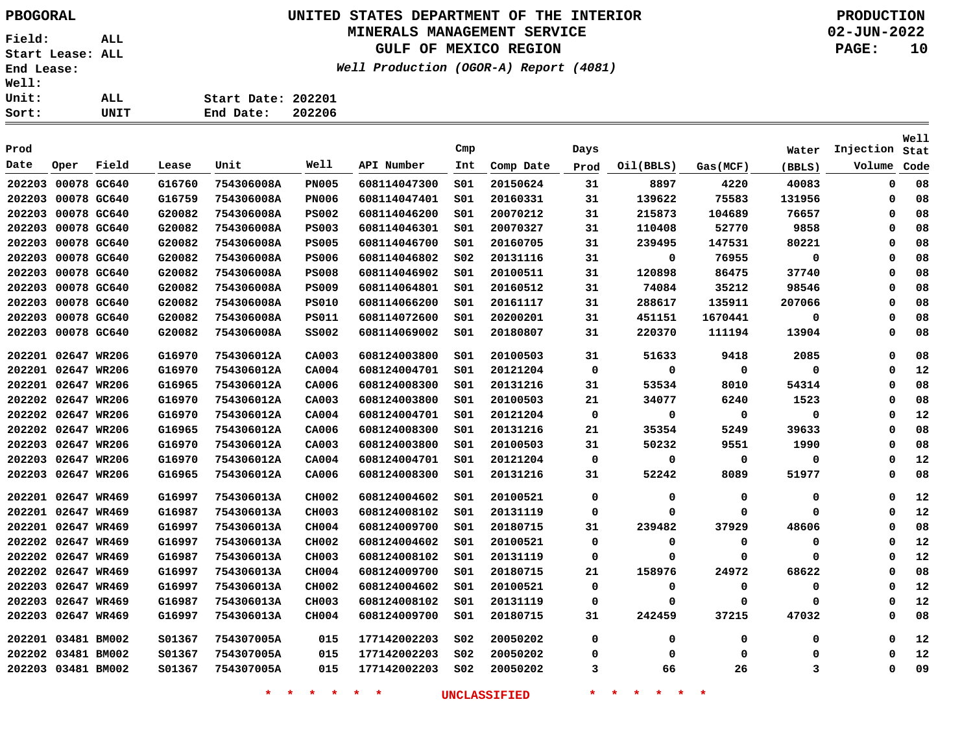### **UNITED STATES DEPARTMENT OF THE INTERIOR PBOGORAL PRODUCTION MINERALS MANAGEMENT SERVICE**

#### **GULF OF MEXICO REGION**

**Well Production (OGOR-A) Report (4081)**

**02-JUN-2022 PAGE: 10**

| ALL. | Start Date: 202201 |        |
|------|--------------------|--------|
| UNIT | End Date:          | 202206 |

|        |                    |             |        |            |              |              |                 |           |             |             |             |             |             | Well |
|--------|--------------------|-------------|--------|------------|--------------|--------------|-----------------|-----------|-------------|-------------|-------------|-------------|-------------|------|
| Prod   |                    |             |        |            |              |              | Cmp             |           | Days        |             |             | Water       | Injection   | Stat |
| Date   | Oper               | Field       | Lease  | Unit       | Well         | API Number   | Int             | Comp Date | Prod        | Oil(BBLS)   | Gas(MCF)    | (BBLS)      | Volume      | Code |
|        | 202203 00078 GC640 |             | G16760 | 754306008A | <b>PN005</b> | 608114047300 | SO1             | 20150624  | 31          | 8897        | 4220        | 40083       | $\mathbf 0$ | 08   |
| 202203 |                    | 00078 GC640 | G16759 | 754306008A | <b>PN006</b> | 608114047401 | SO1             | 20160331  | 31          | 139622      | 75583       | 131956      | $\mathbf 0$ | 08   |
| 202203 |                    | 00078 GC640 | G20082 | 754306008A | <b>PS002</b> | 608114046200 | SO1             | 20070212  | 31          | 215873      | 104689      | 76657       | $\mathbf 0$ | 08   |
| 202203 |                    | 00078 GC640 | G20082 | 754306008A | <b>PS003</b> | 608114046301 | 501             | 20070327  | 31          | 110408      | 52770       | 9858        | $\mathbf 0$ | 08   |
| 202203 |                    | 00078 GC640 | G20082 | 754306008A | <b>PS005</b> | 608114046700 | 501             | 20160705  | 31          | 239495      | 147531      | 80221       | $\mathbf 0$ | 08   |
| 202203 |                    | 00078 GC640 | G20082 | 754306008A | <b>PS006</b> | 608114046802 | SO <sub>2</sub> | 20131116  | 31          | 0           | 76955       | $\mathbf 0$ | $\mathbf 0$ | 08   |
| 202203 |                    | 00078 GC640 | G20082 | 754306008A | <b>PS008</b> | 608114046902 | 501             | 20100511  | 31          | 120898      | 86475       | 37740       | $\mathbf 0$ | 08   |
| 202203 |                    | 00078 GC640 | G20082 | 754306008A | <b>PS009</b> | 608114064801 | 501             | 20160512  | 31          | 74084       | 35212       | 98546       | $\mathbf 0$ | 08   |
| 202203 |                    | 00078 GC640 | G20082 | 754306008A | <b>PS010</b> | 608114066200 | 501             | 20161117  | 31          | 288617      | 135911      | 207066      | 0           | 08   |
| 202203 |                    | 00078 GC640 | G20082 | 754306008A | <b>PS011</b> | 608114072600 | 501             | 20200201  | 31          | 451151      | 1670441     | 0           | $\mathbf 0$ | 08   |
|        | 202203 00078 GC640 |             | G20082 | 754306008A | <b>SS002</b> | 608114069002 | 501             | 20180807  | 31          | 220370      | 111194      | 13904       | 0           | 08   |
|        | 202201 02647 WR206 |             | G16970 | 754306012A | CA003        | 608124003800 | SO1             | 20100503  | 31          | 51633       | 9418        | 2085        | $\mathbf 0$ | 08   |
|        | 202201 02647 WR206 |             | G16970 | 754306012A | CA004        | 608124004701 | SO1             | 20121204  | 0           | $\mathbf 0$ | $\mathbf 0$ | 0           | 0           | 12   |
|        | 202201 02647 WR206 |             | G16965 | 754306012A | CA006        | 608124008300 | 501             | 20131216  | 31          | 53534       | 8010        | 54314       | 0           | 08   |
|        | 202202 02647 WR206 |             | G16970 | 754306012A | CA003        | 608124003800 | 501             | 20100503  | 21          | 34077       | 6240        | 1523        | 0           | 08   |
|        | 202202 02647 WR206 |             | G16970 | 754306012A | CA004        | 608124004701 | 501             | 20121204  | $\mathbf 0$ | 0           | $\mathbf 0$ | 0           | 0           | 12   |
|        | 202202 02647 WR206 |             | G16965 | 754306012A | CA006        | 608124008300 | 501             | 20131216  | 21          | 35354       | 5249        | 39633       | 0           | 08   |
|        | 202203 02647 WR206 |             | G16970 | 754306012A | CA003        | 608124003800 | S01             | 20100503  | 31          | 50232       | 9551        | 1990        | 0           | 08   |
| 202203 |                    | 02647 WR206 | G16970 | 754306012A | CA004        | 608124004701 | 501             | 20121204  | 0           | 0           | 0           | 0           | 0           | 12   |
|        | 202203 02647 WR206 |             | G16965 | 754306012A | CA006        | 608124008300 | S01             | 20131216  | 31          | 52242       | 8089        | 51977       | 0           | 08   |
|        | 202201 02647 WR469 |             | G16997 | 754306013A | CH002        | 608124004602 | SO1             | 20100521  | 0           | 0           | $\mathbf 0$ | 0           | 0           | 12   |
|        | 202201 02647 WR469 |             | G16987 | 754306013A | CH003        | 608124008102 | S01             | 20131119  | 0           | 0           | $\Omega$    | 0           | 0           | 12   |
|        | 202201 02647 WR469 |             | G16997 | 754306013A | CH004        | 608124009700 | 501             | 20180715  | 31          | 239482      | 37929       | 48606       | 0           | 08   |
|        | 202202 02647 WR469 |             | G16997 | 754306013A | CH002        | 608124004602 | 501             | 20100521  | 0           | 0           | 0           | 0           | 0           | 12   |
|        | 202202 02647 WR469 |             | G16987 | 754306013A | CH003        | 608124008102 | S01             | 20131119  | 0           | 0           | $\Omega$    | 0           | 0           | 12   |
|        | 202202 02647 WR469 |             | G16997 | 754306013A | CH004        | 608124009700 | S01             | 20180715  | 21          | 158976      | 24972       | 68622       | 0           | 08   |
|        | 202203 02647 WR469 |             | G16997 | 754306013A | CH002        | 608124004602 | S01             | 20100521  | 0           | 0           | 0           | 0           | 0           | 12   |
|        | 202203 02647 WR469 |             | G16987 | 754306013A | CH003        | 608124008102 | S01             | 20131119  | 0           | 0           | 0           | 0           | 0           | 12   |
|        | 202203 02647 WR469 |             | G16997 | 754306013A | CH004        | 608124009700 | S01             | 20180715  | 31          | 242459      | 37215       | 47032       | 0           | 08   |
|        | 202201 03481 BM002 |             | S01367 | 754307005A | 015          | 177142002203 | SO <sub>2</sub> | 20050202  | 0           | 0           | 0           | 0           | 0           | 12   |
|        | 202202 03481 BM002 |             | S01367 | 754307005A | 015          | 177142002203 | S02             | 20050202  | 0           | 0           | 0           | 0           | 0           | 12   |
|        | 202203 03481 BM002 |             | S01367 | 754307005A | 015          | 177142002203 | S02             | 20050202  | 3           | 66          | 26          | 3           | 0           | 09   |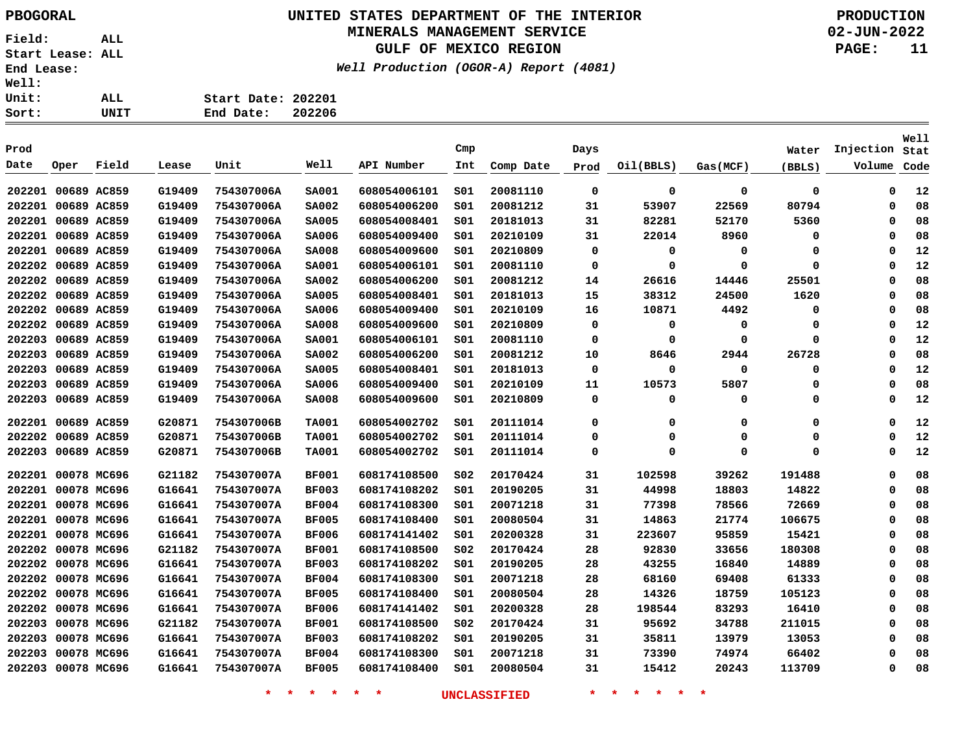# **UNITED STATES DEPARTMENT OF THE INTERIOR PBOGORAL PRODUCTION**

## **MINERALS MANAGEMENT SERVICE**

**GULF OF MEXICO REGION**

**Well Production (OGOR-A) Report (4081)**

**02-JUN-2022 PAGE: 11**

| Sort:        | UNIT | End Date:          | 202206 |
|--------------|------|--------------------|--------|
| Unit:        | ALL  | Start Date: 202201 |        |
| <b>Well:</b> |      |                    |        |

|        |                    |             |        |            |              |              |                 |           |          |             |          |        |           | Well |
|--------|--------------------|-------------|--------|------------|--------------|--------------|-----------------|-----------|----------|-------------|----------|--------|-----------|------|
| Prod   |                    |             |        |            |              |              | Cmp             |           | Days     |             |          | Water  | Injection | Stat |
| Date   | Oper               | Field       | Lease  | Unit       | Well         | API Number   | Int             | Comp Date | Prod     | Oil(BBLS)   | Gas(MCF) | (BBLS) | Volume    | Code |
|        | 202201 00689 AC859 |             | G19409 | 754307006A | <b>SA001</b> | 608054006101 | SO1             | 20081110  | 0        | 0           | 0        | 0      | 0         | 12   |
|        | 202201 00689 AC859 |             | G19409 | 754307006A | <b>SA002</b> | 608054006200 | SO1             | 20081212  | 31       | 53907       | 22569    | 80794  | 0         | 08   |
|        | 202201 00689 AC859 |             | G19409 | 754307006A | <b>SA005</b> | 608054008401 | SO1             | 20181013  | 31       | 82281       | 52170    | 5360   | 0         | 08   |
| 202201 | 00689 AC859        |             | G19409 | 754307006A | <b>SA006</b> | 608054009400 | S01             | 20210109  | 31       | 22014       | 8960     | 0      | 0         | 08   |
| 202201 | 00689 AC859        |             | G19409 | 754307006A | <b>SA008</b> | 608054009600 | S <sub>01</sub> | 20210809  | 0        | 0           | 0        | 0      | 0         | 12   |
| 202202 | 00689 AC859        |             | G19409 | 754307006A | <b>SA001</b> | 608054006101 | S01             | 20081110  | 0        | 0           | 0        | 0      | 0         | 12   |
| 202202 | 00689 AC859        |             | G19409 | 754307006A | <b>SA002</b> | 608054006200 | S01             | 20081212  | 14       | 26616       | 14446    | 25501  | 0         | 08   |
| 202202 |                    | 00689 AC859 | G19409 | 754307006A | <b>SA005</b> | 608054008401 | 501             | 20181013  | 15       | 38312       | 24500    | 1620   | 0         | 08   |
| 202202 |                    | 00689 AC859 | G19409 | 754307006A | <b>SA006</b> | 608054009400 | SO1             | 20210109  | 16       | 10871       | 4492     | 0      | 0         | 08   |
| 202202 |                    | 00689 AC859 | G19409 | 754307006A | <b>SA008</b> | 608054009600 | S <sub>01</sub> | 20210809  | 0        | $\mathbf 0$ | 0        | 0      | $\Omega$  | 12   |
| 202203 |                    | 00689 AC859 | G19409 | 754307006A | <b>SA001</b> | 608054006101 | SO1             | 20081110  | 0        | 0           | 0        | 0      | $\Omega$  | 12   |
| 202203 |                    | 00689 AC859 | G19409 | 754307006A | <b>SA002</b> | 608054006200 | SO1             | 20081212  | 10       | 8646        | 2944     | 26728  | $\Omega$  | 08   |
| 202203 |                    | 00689 AC859 | G19409 | 754307006A | <b>SA005</b> | 608054008401 | SO1             | 20181013  | 0        | $\mathbf 0$ | 0        | 0      | $\Omega$  | 12   |
| 202203 |                    | 00689 AC859 | G19409 | 754307006A | <b>SA006</b> | 608054009400 | SO1             | 20210109  | 11       | 10573       | 5807     | 0      | $\Omega$  | 08   |
| 202203 |                    | 00689 AC859 | G19409 | 754307006A | <b>SA008</b> | 608054009600 | SO1             | 20210809  | 0        | 0           | 0        | 0      | $\Omega$  | 12   |
| 202201 | 00689 AC859        |             | G20871 | 754307006B | <b>TA001</b> | 608054002702 | SO1             | 20111014  | $\Omega$ | 0           | 0        | 0      | $\Omega$  | 12   |
| 202202 | 00689 AC859        |             | G20871 | 754307006B | <b>TA001</b> | 608054002702 | SO1             | 20111014  | 0        | 0           | 0        | 0      | $\Omega$  | 12   |
| 202203 |                    | 00689 AC859 | G20871 | 754307006B | <b>TA001</b> | 608054002702 | S01             | 20111014  | 0        | 0           | 0        | 0      | 0         | 12   |
|        | 202201 00078 MC696 |             | G21182 | 754307007A | <b>BF001</b> | 608174108500 | SO <sub>2</sub> | 20170424  | 31       | 102598      | 39262    | 191488 | $\Omega$  | 08   |
|        | 202201 00078 MC696 |             | G16641 | 754307007A | <b>BF003</b> | 608174108202 | SO1             | 20190205  | 31       | 44998       | 18803    | 14822  | 0         | 08   |
|        | 202201 00078 MC696 |             | G16641 | 754307007A | <b>BF004</b> | 608174108300 | 501             | 20071218  | 31       | 77398       | 78566    | 72669  | $\Omega$  | 08   |
| 202201 |                    | 00078 MC696 | G16641 | 754307007A | <b>BF005</b> | 608174108400 | 501             | 20080504  | 31       | 14863       | 21774    | 106675 | 0         | 08   |
| 202201 |                    | 00078 MC696 | G16641 | 754307007A | <b>BF006</b> | 608174141402 | 501             | 20200328  | 31       | 223607      | 95859    | 15421  | 0         | 08   |
| 202202 |                    | 00078 MC696 | G21182 | 754307007A | <b>BF001</b> | 608174108500 | SO <sub>2</sub> | 20170424  | 28       | 92830       | 33656    | 180308 | 0         | 08   |
| 202202 |                    | 00078 MC696 | G16641 | 754307007A | <b>BF003</b> | 608174108202 | S01             | 20190205  | 28       | 43255       | 16840    | 14889  | 0         | 08   |
| 202202 |                    | 00078 MC696 | G16641 | 754307007A | <b>BF004</b> | 608174108300 | SO1             | 20071218  | 28       | 68160       | 69408    | 61333  | $\Omega$  | 08   |
| 202202 |                    | 00078 MC696 | G16641 | 754307007A | <b>BF005</b> | 608174108400 | SO1             | 20080504  | 28       | 14326       | 18759    | 105123 | $\Omega$  | 08   |
| 202202 |                    | 00078 MC696 | G16641 | 754307007A | <b>BF006</b> | 608174141402 | 501             | 20200328  | 28       | 198544      | 83293    | 16410  | 0         | 08   |
| 202203 |                    | 00078 MC696 | G21182 | 754307007A | <b>BF001</b> | 608174108500 | SO <sub>2</sub> | 20170424  | 31       | 95692       | 34788    | 211015 | $\Omega$  | 08   |
| 202203 |                    | 00078 MC696 | G16641 | 754307007A | <b>BF003</b> | 608174108202 | 501             | 20190205  | 31       | 35811       | 13979    | 13053  | 0         | 08   |
| 202203 |                    | 00078 MC696 | G16641 | 754307007A | <b>BF004</b> | 608174108300 | SO1             | 20071218  | 31       | 73390       | 74974    | 66402  | $\Omega$  | 08   |
|        | 202203 00078 MC696 |             | G16641 | 754307007A | <b>BF005</b> | 608174108400 | s01             | 20080504  | 31       | 15412       | 20243    | 113709 | $\Omega$  | 08   |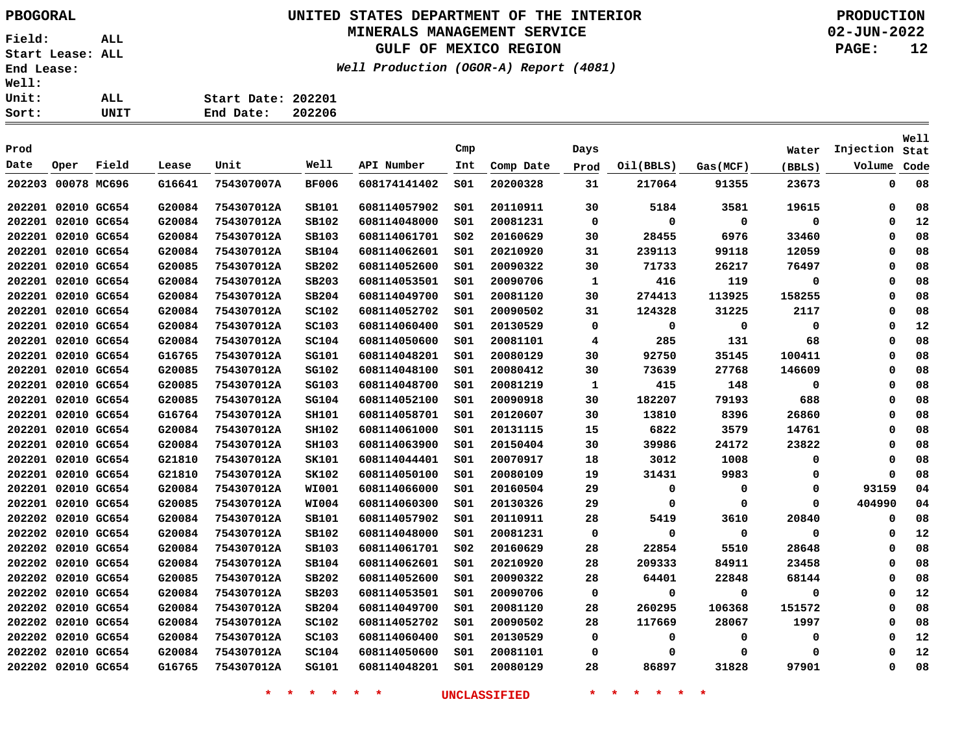# **UNITED STATES DEPARTMENT OF THE INTERIOR PBOGORAL PRODUCTION**

## **MINERALS MANAGEMENT SERVICE**

**GULF OF MEXICO REGION**

**Well Production (OGOR-A) Report (4081)**

**02-JUN-2022 PAGE: 12**

| ALL  | Start Date: 202201 |        |
|------|--------------------|--------|
| UNIT | End Date:          | 202206 |

| Prod               |                    |             |        |            |              |              | Cmp             |           | Days         |           |          | Water  | Injection   | Well<br>Stat |
|--------------------|--------------------|-------------|--------|------------|--------------|--------------|-----------------|-----------|--------------|-----------|----------|--------|-------------|--------------|
| Date               | Oper               | Field       | Lease  | Unit       | Well         | API Number   | Int             | Comp Date | Prod         | Oil(BBLS) | Gas(MCF) | (BBLS) | Volume      | Code         |
| 202203             |                    | 00078 MC696 | G16641 | 754307007A | <b>BF006</b> | 608174141402 | SO1             | 20200328  | 31           | 217064    | 91355    | 23673  | $\mathbf 0$ | 08           |
|                    | 202201 02010 GC654 |             | G20084 | 754307012A | SB101        | 608114057902 | SO1             | 20110911  | 30           | 5184      | 3581     | 19615  | $\Omega$    | 08           |
|                    | 202201 02010 GC654 |             | G20084 | 754307012A | SB102        | 608114048000 | SO1             | 20081231  | 0            | 0         | 0        | 0      | 0           | 12           |
|                    | 202201 02010 GC654 |             | G20084 | 754307012A | SB103        | 608114061701 | SO <sub>2</sub> | 20160629  | 30           | 28455     | 6976     | 33460  | $\mathbf 0$ | 08           |
| 202201             |                    | 02010 GC654 | G20084 | 754307012A | SB104        | 608114062601 | SO1             | 20210920  | 31           | 239113    | 99118    | 12059  | 0           | 08           |
| 202201             |                    | 02010 GC654 | G20085 | 754307012A | SB202        | 608114052600 | SO1             | 20090322  | 30           | 71733     | 26217    | 76497  | 0           | 08           |
| 202201             | 02010 GC654        |             | G20084 | 754307012A | SB203        | 608114053501 | SO1             | 20090706  | 1            | 416       | 119      | 0      | 0           | 08           |
| 202201             | 02010 GC654        |             | G20084 | 754307012A | SB204        | 608114049700 | SO1             | 20081120  | 30           | 274413    | 113925   | 158255 | 0           | 08           |
| 202201             |                    | 02010 GC654 | G20084 | 754307012A | SC102        | 608114052702 | SO1             | 20090502  | 31           | 124328    | 31225    | 2117   | 0           | 08           |
| 202201             | 02010 GC654        |             | G20084 | 754307012A | SC103        | 608114060400 | SO1             | 20130529  | 0            | 0         | 0        | 0      | 0           | 12           |
| 202201 02010 GC654 |                    |             | G20084 | 754307012A | <b>SC104</b> | 608114050600 | SO1             | 20081101  | 4            | 285       | 131      | 68     | $\Omega$    | 08           |
| 202201 02010 GC654 |                    |             | G16765 | 754307012A | <b>SG101</b> | 608114048201 | SO1             | 20080129  | 30           | 92750     | 35145    | 100411 | $\Omega$    | 08           |
| 202201 02010 GC654 |                    |             | G20085 | 754307012A | SG102        | 608114048100 | SO1             | 20080412  | 30           | 73639     | 27768    | 146609 | 0           | 08           |
| 202201 02010 GC654 |                    |             | G20085 | 754307012A | SG103        | 608114048700 | SO1             | 20081219  | $\mathbf{1}$ | 415       | 148      | 0      | $\mathbf 0$ | 08           |
|                    | 202201 02010 GC654 |             | G20085 | 754307012A | SG104        | 608114052100 | SO1             | 20090918  | 30           | 182207    | 79193    | 688    | 0           | 08           |
|                    | 202201 02010 GC654 |             | G16764 | 754307012A | <b>SH101</b> | 608114058701 | SO1             | 20120607  | 30           | 13810     | 8396     | 26860  | 0           | 08           |
| 202201 02010 GC654 |                    |             | G20084 | 754307012A | <b>SH102</b> | 608114061000 | S01             | 20131115  | 15           | 6822      | 3579     | 14761  | 0           | 08           |
|                    | 202201 02010 GC654 |             | G20084 | 754307012A | <b>SH103</b> | 608114063900 | SO1             | 20150404  | 30           | 39986     | 24172    | 23822  | $\Omega$    | 08           |
| 202201 02010 GC654 |                    |             | G21810 | 754307012A | SK101        | 608114044401 | SO1             | 20070917  | 18           | 3012      | 1008     | 0      | 0           | 08           |
| 202201             |                    | 02010 GC654 | G21810 | 754307012A | SK102        | 608114050100 | SO1             | 20080109  | 19           | 31431     | 9983     | 0      | 0           | 08           |
| 202201             |                    | 02010 GC654 | G20084 | 754307012A | <b>WI001</b> | 608114066000 | SO1             | 20160504  | 29           | 0         | 0        | 0      | 93159       | 04           |
| 202201             |                    | 02010 GC654 | G20085 | 754307012A | <b>WI004</b> | 608114060300 | SO1             | 20130326  | 29           | 0         | 0        | 0      | 404990      | 04           |
| 202202             |                    | 02010 GC654 | G20084 | 754307012A | SB101        | 608114057902 | SO1             | 20110911  | 28           | 5419      | 3610     | 20840  | 0           | 08           |
| 202202             |                    | 02010 GC654 | G20084 | 754307012A | SB102        | 608114048000 | SO1             | 20081231  | 0            | 0         | 0        | 0      | $\Omega$    | 12           |
| 202202             |                    | 02010 GC654 | G20084 | 754307012A | SB103        | 608114061701 | SO <sub>2</sub> | 20160629  | 28           | 22854     | 5510     | 28648  | 0           | 08           |
| 202202             |                    | 02010 GC654 | G20084 | 754307012A | SB104        | 608114062601 | SO1             | 20210920  | 28           | 209333    | 84911    | 23458  | 0           | 08           |
| 202202             |                    | 02010 GC654 | G20085 | 754307012A | SB202        | 608114052600 | SO1             | 20090322  | 28           | 64401     | 22848    | 68144  | 0           | 08           |
|                    | 202202 02010 GC654 |             | G20084 | 754307012A | SB203        | 608114053501 | SO1             | 20090706  | 0            | 0         | 0        | 0      | $\mathbf 0$ | 12           |
|                    | 202202 02010 GC654 |             | G20084 | 754307012A | SB204        | 608114049700 | SO1             | 20081120  | 28           | 260295    | 106368   | 151572 | 0           | 08           |
|                    | 202202 02010 GC654 |             | G20084 | 754307012A | SC102        | 608114052702 | SO1             | 20090502  | 28           | 117669    | 28067    | 1997   | 0           | 08           |
|                    | 202202 02010 GC654 |             | G20084 | 754307012A | SC103        | 608114060400 | SO1             | 20130529  | 0            | 0         | 0        | 0      | $\Omega$    | 12           |
|                    | 202202 02010 GC654 |             | G20084 | 754307012A | <b>SC104</b> | 608114050600 | SO1             | 20081101  | 0            | 0         | 0        | 0      | $\Omega$    | 12           |
|                    | 202202 02010 GC654 |             | G16765 | 754307012A | <b>SG101</b> | 608114048201 | SO1             | 20080129  | 28           | 86897     | 31828    | 97901  | 0           | 08           |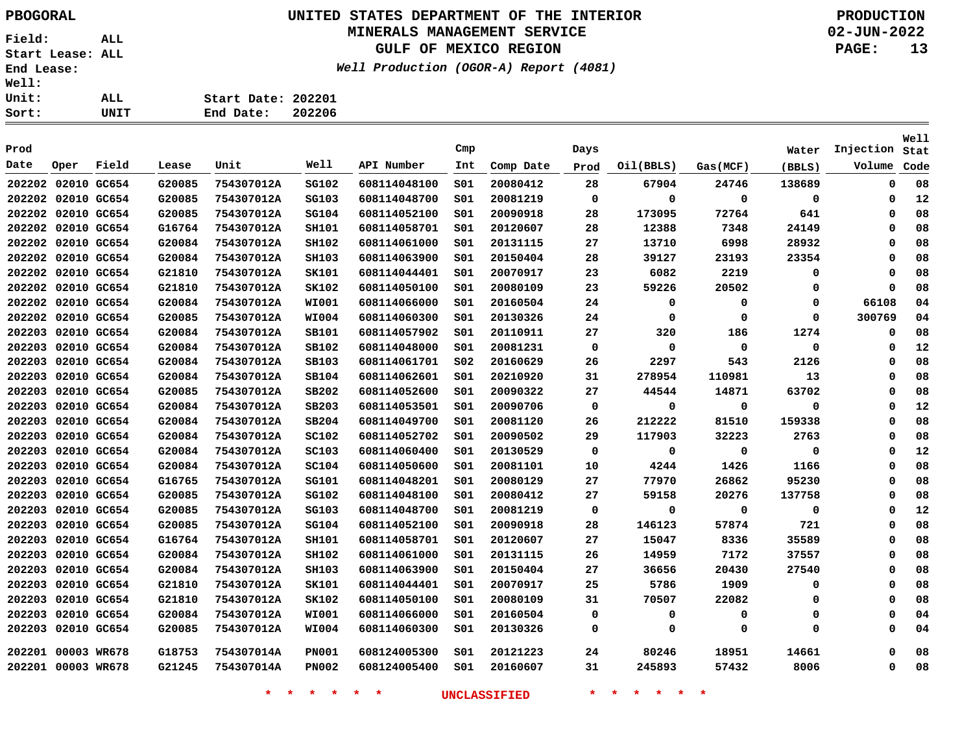### **UNITED STATES DEPARTMENT OF THE INTERIOR PBOGORAL PRODUCTION MINERALS MANAGEMENT SERVICE**

**GULF OF MEXICO REGION**

**Well Production (OGOR-A) Report (4081)**

**02-JUN-2022 PAGE: 13**

**Start Date: 202201 End Date: 202206**

| Prod   |                    |             |        |            |              |              | Cmp |           | Days        |           |             | Water       | Injection | Well<br>Stat |
|--------|--------------------|-------------|--------|------------|--------------|--------------|-----|-----------|-------------|-----------|-------------|-------------|-----------|--------------|
| Date   | Oper               | Field       | Lease  | Unit       | Well         | API Number   | Int | Comp Date | Prod        | Oil(BBLS) | Gas(MCF)    | (BBLS)      | Volume    | Code         |
| 202202 | 02010 GC654        |             | G20085 | 754307012A | SG102        | 608114048100 | 501 | 20080412  | 28          | 67904     | 24746       | 138689      | 0         | 08           |
| 202202 | 02010 GC654        |             | G20085 | 754307012A | SG103        | 608114048700 | SO1 | 20081219  | $\mathbf 0$ | 0         | $\mathbf 0$ | $\mathbf 0$ | 0         | 12           |
| 202202 | 02010 GC654        |             | G20085 | 754307012A | <b>SG104</b> | 608114052100 | SO1 | 20090918  | 28          | 173095    | 72764       | 641         | 0         | 08           |
| 202202 | 02010 GC654        |             | G16764 | 754307012A | <b>SH101</b> | 608114058701 | SO1 | 20120607  | 28          | 12388     | 7348        | 24149       | 0         | 08           |
| 202202 | 02010 GC654        |             | G20084 | 754307012A | <b>SH102</b> | 608114061000 | s01 | 20131115  | 27          | 13710     | 6998        | 28932       | 0         | 08           |
| 202202 | 02010 GC654        |             | G20084 | 754307012A | <b>SH103</b> | 608114063900 | S01 | 20150404  | 28          | 39127     | 23193       | 23354       | 0         | 08           |
|        | 202202 02010 GC654 |             | G21810 | 754307012A | SK101        | 608114044401 | S01 | 20070917  | 23          | 6082      | 2219        | 0           | 0         | 08           |
|        | 202202 02010 GC654 |             | G21810 | 754307012A | SK102        | 608114050100 | s01 | 20080109  | 23          | 59226     | 20502       | 0           | 0         | 08           |
|        | 202202 02010 GC654 |             | G20084 | 754307012A | <b>WI001</b> | 608114066000 | S01 | 20160504  | 24          | 0         | 0           | $\Omega$    | 66108     | 04           |
|        | 202202 02010 GC654 |             | G20085 | 754307012A | <b>WI004</b> | 608114060300 | S01 | 20130326  | 24          | 0         | 0           | 0           | 300769    | 04           |
|        | 202203 02010 GC654 |             | G20084 | 754307012A | SB101        | 608114057902 | S01 | 20110911  | 27          | 320       | 186         | 1274        | 0         | 08           |
|        | 202203 02010 GC654 |             | G20084 | 754307012A | SB102        | 608114048000 | s01 | 20081231  | 0           | 0         | 0           | 0           | 0         | 12           |
|        | 202203 02010 GC654 |             | G20084 | 754307012A | SB103        | 608114061701 | S02 | 20160629  | 26          | 2297      | 543         | 2126        | 0         | 08           |
| 202203 | 02010 GC654        |             | G20084 | 754307012A | SB104        | 608114062601 | S01 | 20210920  | 31          | 278954    | 110981      | 13          | 0         | 08           |
| 202203 | 02010 GC654        |             | G20085 | 754307012A | SB202        | 608114052600 | SO1 | 20090322  | 27          | 44544     | 14871       | 63702       | 0         | 08           |
| 202203 | 02010 GC654        |             | G20084 | 754307012A | SB203        | 608114053501 | SO1 | 20090706  | 0           | 0         | 0           | 0           | 0         | 12           |
| 202203 | 02010 GC654        |             | G20084 | 754307012A | SB204        | 608114049700 | S01 | 20081120  | 26          | 212222    | 81510       | 159338      | 0         | 08           |
| 202203 | 02010 GC654        |             | G20084 | 754307012A | <b>SC102</b> | 608114052702 | SO1 | 20090502  | 29          | 117903    | 32223       | 2763        | 0         | 08           |
| 202203 | 02010 GC654        |             | G20084 | 754307012A | SC103        | 608114060400 | SO1 | 20130529  | 0           | 0         | 0           | $\mathbf 0$ | 0         | 12           |
|        | 202203 02010 GC654 |             | G20084 | 754307012A | <b>SC104</b> | 608114050600 | S01 | 20081101  | 10          | 4244      | 1426        | 1166        | 0         | 08           |
|        | 202203 02010 GC654 |             | G16765 | 754307012A | <b>SG101</b> | 608114048201 | S01 | 20080129  | 27          | 77970     | 26862       | 95230       | 0         | 08           |
|        | 202203 02010 GC654 |             | G20085 | 754307012A | SG102        | 608114048100 | SO1 | 20080412  | 27          | 59158     | 20276       | 137758      | 0         | 08           |
| 202203 | 02010 GC654        |             | G20085 | 754307012A | SG103        | 608114048700 | S01 | 20081219  | 0           | 0         | 0           | 0           | 0         | 12           |
| 202203 | 02010 GC654        |             | G20085 | 754307012A | SG104        | 608114052100 | S01 | 20090918  | 28          | 146123    | 57874       | 721         | 0         | 08           |
|        | 202203 02010 GC654 |             | G16764 | 754307012A | <b>SH101</b> | 608114058701 | SO1 | 20120607  | 27          | 15047     | 8336        | 35589       | 0         | 08           |
|        | 202203 02010 GC654 |             | G20084 | 754307012A | SH102        | 608114061000 | SO1 | 20131115  | 26          | 14959     | 7172        | 37557       | 0         | 08           |
| 202203 | 02010 GC654        |             | G20084 | 754307012A | <b>SH103</b> | 608114063900 | SO1 | 20150404  | 27          | 36656     | 20430       | 27540       | 0         | 08           |
| 202203 | 02010 GC654        |             | G21810 | 754307012A | <b>SK101</b> | 608114044401 | SO1 | 20070917  | 25          | 5786      | 1909        | 0           | 0         | 08           |
| 202203 | 02010 GC654        |             | G21810 | 754307012A | SK102        | 608114050100 | SO1 | 20080109  | 31          | 70507     | 22082       | 0           | 0         | 08           |
| 202203 | 02010 GC654        |             | G20084 | 754307012A | <b>WI001</b> | 608114066000 | S01 | 20160504  | 0           | 0         | 0           | 0           | 0         | 04           |
| 202203 | 02010 GC654        |             | G20085 | 754307012A | <b>WI004</b> | 608114060300 | S01 | 20130326  | 0           | 0         | 0           | 0           | 0         | 04           |
| 202201 |                    | 00003 WR678 | G18753 | 754307014A | <b>PN001</b> | 608124005300 | s01 | 20121223  | 24          | 80246     | 18951       | 14661       | 0         | 08           |
|        | 202201 00003 WR678 |             | G21245 | 754307014A | <b>PN002</b> | 608124005400 | SO1 | 20160607  | 31          | 245893    | 57432       | 8006        | 0         | 08           |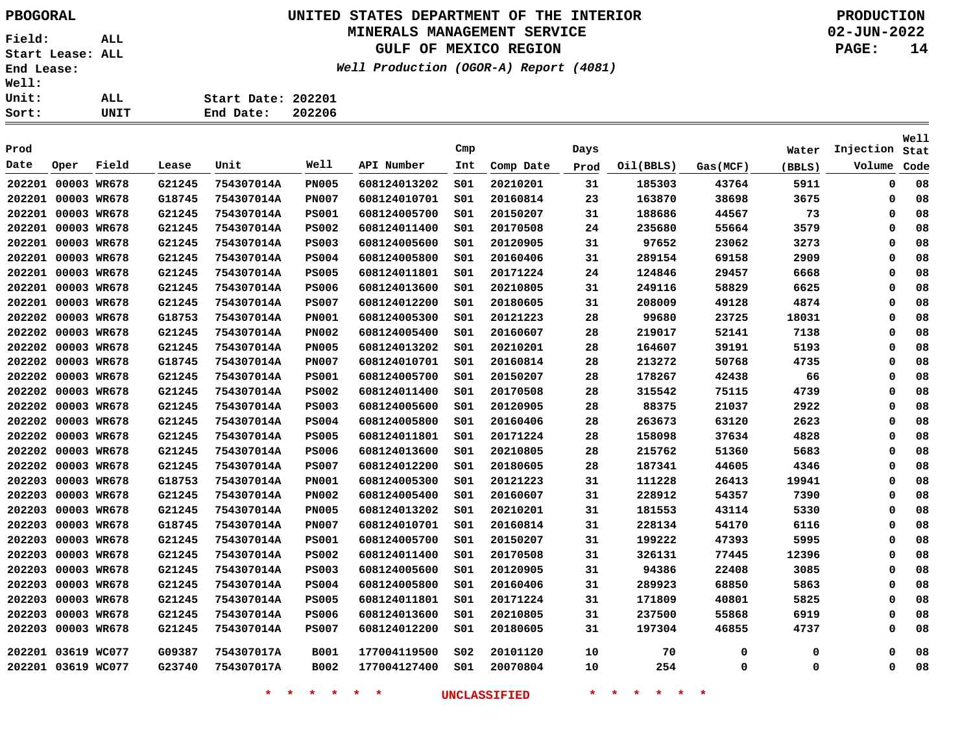### **UNITED STATES DEPARTMENT OF THE INTERIOR PBOGORAL PRODUCTION MINERALS MANAGEMENT SERVICE**

## **GULF OF MEXICO REGION**

**Well Production (OGOR-A) Report (4081)**

**02-JUN-2022 PAGE: 14**

| ALL. | Start Date: 202201 |        |
|------|--------------------|--------|
| UNIT | End Date:          | 202206 |

| Prod               |             |       |        |            |              |              | Cmp             |           | Days |           |             | Water  | Injection | Well<br>Stat |
|--------------------|-------------|-------|--------|------------|--------------|--------------|-----------------|-----------|------|-----------|-------------|--------|-----------|--------------|
| Date               | Oper        | Field | Lease  | Unit       | Well         | API Number   | Int             | Comp Date | Prod | Oil(BBLS) | Gas(MCF)    | (BBLS) | Volume    | Code         |
| 202201             | 00003 WR678 |       | G21245 | 754307014A | <b>PN005</b> | 608124013202 | SO1             | 20210201  | 31   | 185303    | 43764       | 5911   | $\Omega$  | 08           |
| 202201             | 00003 WR678 |       | G18745 | 754307014A | <b>PN007</b> | 608124010701 | s01             | 20160814  | 23   | 163870    | 38698       | 3675   | $\Omega$  | 08           |
| 202201             | 00003 WR678 |       | G21245 | 754307014A | <b>PS001</b> | 608124005700 | SO1             | 20150207  | 31   | 188686    | 44567       | 73     | $\Omega$  | 08           |
| 202201             | 00003 WR678 |       | G21245 | 754307014A | <b>PS002</b> | 608124011400 | S01             | 20170508  | 24   | 235680    | 55664       | 3579   | $\Omega$  | 08           |
| 202201             | 00003 WR678 |       | G21245 | 754307014A | <b>PS003</b> | 608124005600 | S01             | 20120905  | 31   | 97652     | 23062       | 3273   | $\Omega$  | 08           |
| 202201             | 00003 WR678 |       | G21245 | 754307014A | <b>PS004</b> | 608124005800 | S01             | 20160406  | 31   | 289154    | 69158       | 2909   | $\Omega$  | 08           |
| 202201             | 00003 WR678 |       | G21245 | 754307014A | <b>PS005</b> | 608124011801 | SO1             | 20171224  | 24   | 124846    | 29457       | 6668   | $\Omega$  | 08           |
| 202201             | 00003 WR678 |       | G21245 | 754307014A | <b>PS006</b> | 608124013600 | SO1             | 20210805  | 31   | 249116    | 58829       | 6625   | $\Omega$  | 08           |
| 202201             | 00003 WR678 |       | G21245 | 754307014A | <b>PS007</b> | 608124012200 | SO1             | 20180605  | 31   | 208009    | 49128       | 4874   | $\Omega$  | 08           |
| 202202             | 00003 WR678 |       | G18753 | 754307014A | <b>PN001</b> | 608124005300 | SO1             | 20121223  | 28   | 99680     | 23725       | 18031  | $\Omega$  | 08           |
| 202202             | 00003 WR678 |       | G21245 | 754307014A | <b>PN002</b> | 608124005400 | s01             | 20160607  | 28   | 219017    | 52141       | 7138   | $\Omega$  | 08           |
| 202202             | 00003 WR678 |       | G21245 | 754307014A | <b>PN005</b> | 608124013202 | SO1             | 20210201  | 28   | 164607    | 39191       | 5193   | $\Omega$  | 08           |
| 202202             | 00003 WR678 |       | G18745 | 754307014A | <b>PN007</b> | 608124010701 | 501             | 20160814  | 28   | 213272    | 50768       | 4735   | $\Omega$  | 08           |
| 202202             | 00003 WR678 |       | G21245 | 754307014A | <b>PS001</b> | 608124005700 | 501             | 20150207  | 28   | 178267    | 42438       | 66     | $\Omega$  | 08           |
| 202202             | 00003 WR678 |       | G21245 | 754307014A | <b>PS002</b> | 608124011400 | SO1             | 20170508  | 28   | 315542    | 75115       | 4739   | $\Omega$  | 08           |
| 202202             | 00003 WR678 |       | G21245 | 754307014A | <b>PS003</b> | 608124005600 | S01             | 20120905  | 28   | 88375     | 21037       | 2922   | $\Omega$  | 08           |
| 202202             | 00003 WR678 |       | G21245 | 754307014A | <b>PS004</b> | 608124005800 | SO1             | 20160406  | 28   | 263673    | 63120       | 2623   | $\Omega$  | 08           |
| 202202             | 00003 WR678 |       | G21245 | 754307014A | <b>PS005</b> | 608124011801 | SO1             | 20171224  | 28   | 158098    | 37634       | 4828   | $\Omega$  | 08           |
| 202202             | 00003 WR678 |       | G21245 | 754307014A | <b>PS006</b> | 608124013600 | SO1             | 20210805  | 28   | 215762    | 51360       | 5683   | $\Omega$  | 08           |
| 202202             | 00003 WR678 |       | G21245 | 754307014A | <b>PS007</b> | 608124012200 | 501             | 20180605  | 28   | 187341    | 44605       | 4346   | $\Omega$  | 08           |
| 202203             | 00003 WR678 |       | G18753 | 754307014A | <b>PN001</b> | 608124005300 | SO1             | 20121223  | 31   | 111228    | 26413       | 19941  | $\Omega$  | 08           |
| 202203             | 00003 WR678 |       | G21245 | 754307014A | <b>PN002</b> | 608124005400 | 501             | 20160607  | 31   | 228912    | 54357       | 7390   | $\Omega$  | 08           |
| 202203             | 00003 WR678 |       | G21245 | 754307014A | <b>PN005</b> | 608124013202 | 501             | 20210201  | 31   | 181553    | 43114       | 5330   | $\Omega$  | 08           |
| 202203             | 00003 WR678 |       | G18745 | 754307014A | <b>PN007</b> | 608124010701 | 501             | 20160814  | 31   | 228134    | 54170       | 6116   | 0         | 08           |
| 202203             | 00003 WR678 |       | G21245 | 754307014A | <b>PS001</b> | 608124005700 | S01             | 20150207  | 31   | 199222    | 47393       | 5995   | $\Omega$  | 08           |
| 202203             | 00003 WR678 |       | G21245 | 754307014A | <b>PS002</b> | 608124011400 | 501             | 20170508  | 31   | 326131    | 77445       | 12396  | $\Omega$  | 08           |
| 202203             | 00003 WR678 |       | G21245 | 754307014A | <b>PS003</b> | 608124005600 | SO1             | 20120905  | 31   | 94386     | 22408       | 3085   | $\Omega$  | 08           |
| 202203             | 00003 WR678 |       | G21245 | 754307014A | <b>PS004</b> | 608124005800 | SO1             | 20160406  | 31   | 289923    | 68850       | 5863   | 0         | 08           |
| 202203             | 00003 WR678 |       | G21245 | 754307014A | <b>PS005</b> | 608124011801 | SO1             | 20171224  | 31   | 171809    | 40801       | 5825   | 0         | 08           |
| 202203             | 00003 WR678 |       | G21245 | 754307014A | <b>PS006</b> | 608124013600 | SO1             | 20210805  | 31   | 237500    | 55868       | 6919   | $\Omega$  | 08           |
| 202203             | 00003 WR678 |       | G21245 | 754307014A | <b>PS007</b> | 608124012200 | S01             | 20180605  | 31   | 197304    | 46855       | 4737   | $\Omega$  | 08           |
| 202201 03619 WC077 |             |       | G09387 | 754307017A | <b>B001</b>  | 177004119500 | SO <sub>2</sub> | 20101120  | 10   | 70        | $\mathbf 0$ | 0      | $\Omega$  | 08           |
| 202201 03619 WC077 |             |       | G23740 | 754307017A | B002         | 177004127400 | S01             | 20070804  | 10   | 254       | 0           | 0      | $\Omega$  | 08           |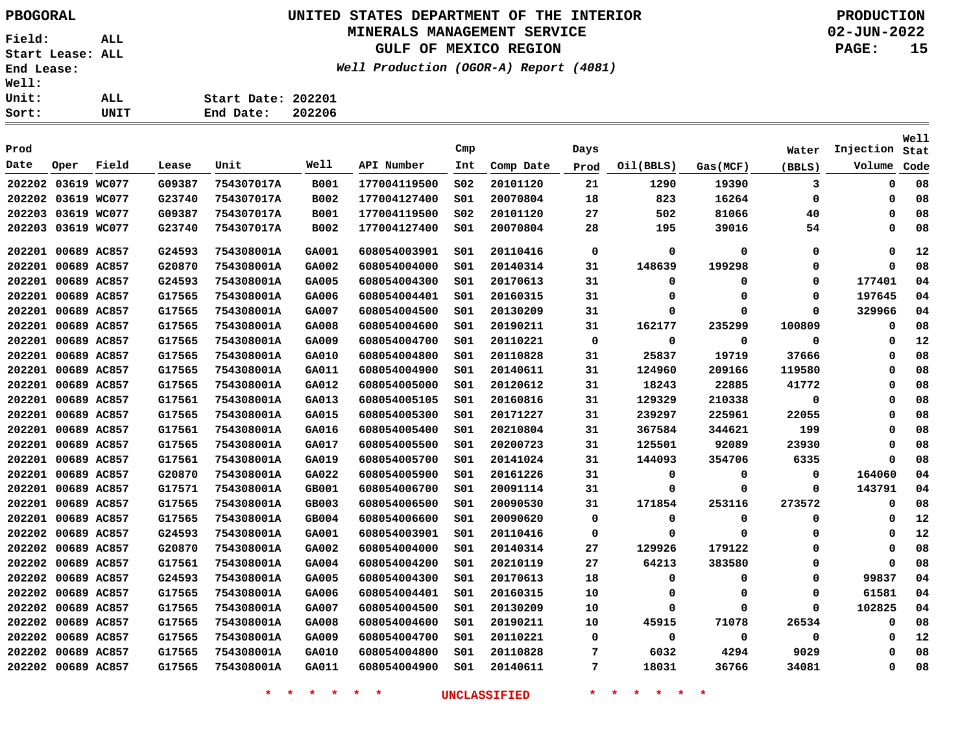## **UNITED STATES DEPARTMENT OF THE INTERIOR PBOGORAL PRODUCTION**

#### **MINERALS MANAGEMENT SERVICE**

**GULF OF MEXICO REGION**

**Well Production (OGOR-A) Report (4081)**

**02-JUN-2022 PAGE: 15**

**Well**

| Prod               |                    |       |        |            |             |              | Cmp             |           | Days        |             |             | Water       | Injection | Stat |
|--------------------|--------------------|-------|--------|------------|-------------|--------------|-----------------|-----------|-------------|-------------|-------------|-------------|-----------|------|
| Date               | Oper               | Field | Lease  | Unit       | Well        | API Number   | Int             | Comp Date | Prod        | Oil(BBLS)   | Gas(MCF)    | (BBLS)      | Volume    | Code |
| 202202 03619 WC077 |                    |       | G09387 | 754307017A | <b>B001</b> | 177004119500 | SO <sub>2</sub> | 20101120  | 21          | 1290        | 19390       | 3           | 0         | 08   |
| 202202 03619 WC077 |                    |       | G23740 | 754307017A | B002        | 177004127400 | SO1             | 20070804  | 18          | 823         | 16264       | 0           | 0         | 08   |
| 202203 03619 WC077 |                    |       | G09387 | 754307017A | B001        | 177004119500 | SO <sub>2</sub> | 20101120  | 27          | 502         | 81066       | 40          | 0         | 08   |
| 202203 03619 WC077 |                    |       | G23740 | 754307017A | B002        | 177004127400 | S01             | 20070804  | 28          | 195         | 39016       | 54          | 0         | 08   |
| 202201 00689 AC857 |                    |       | G24593 | 754308001A | GA001       | 608054003901 | SO1             | 20110416  | $\mathbf 0$ | 0           | 0           | 0           | 0         | 12   |
| 202201 00689 AC857 |                    |       | G20870 | 754308001A | GA002       | 608054004000 | SO1             | 20140314  | 31          | 148639      | 199298      | 0           | $\Omega$  | 08   |
|                    | 202201 00689 AC857 |       | G24593 | 754308001A | GA005       | 608054004300 | SO1             | 20170613  | 31          | 0           | 0           | 0           | 177401    | 04   |
| 202201 00689 AC857 |                    |       | G17565 | 754308001A | GA006       | 608054004401 | SO1             | 20160315  | 31          | 0           | 0           | 0           | 197645    | 04   |
| 202201             | 00689 AC857        |       | G17565 | 754308001A | GA007       | 608054004500 | 501             | 20130209  | 31          | 0           | 0           | $\Omega$    | 329966    | 04   |
| 202201             | 00689 AC857        |       | G17565 | 754308001A | GA008       | 608054004600 | S01             | 20190211  | 31          | 162177      | 235299      | 100809      | 0         | 08   |
| 202201 00689 AC857 |                    |       | G17565 | 754308001A | GA009       | 608054004700 | S01             | 20110221  | 0           | 0           | 0           | $\mathbf 0$ | 0         | 12   |
| 202201 00689 AC857 |                    |       | G17565 | 754308001A | GA010       | 608054004800 | S01             | 20110828  | 31          | 25837       | 19719       | 37666       | 0         | 08   |
| 202201             | 00689 AC857        |       | G17565 | 754308001A | GA011       | 608054004900 | S01             | 20140611  | 31          | 124960      | 209166      | 119580      | 0         | 08   |
| 202201             | 00689 AC857        |       | G17565 | 754308001A | GA012       | 608054005000 | S01             | 20120612  | 31          | 18243       | 22885       | 41772       | 0         | 08   |
| 202201             | 00689 AC857        |       | G17561 | 754308001A | GA013       | 608054005105 | SO1             | 20160816  | 31          | 129329      | 210338      | 0           | $\Omega$  | 08   |
|                    | 202201 00689 AC857 |       | G17565 | 754308001A | GA015       | 608054005300 | S01             | 20171227  | 31          | 239297      | 225961      | 22055       | O         | 08   |
| 202201 00689 AC857 |                    |       | G17561 | 754308001A | GA016       | 608054005400 | S01             | 20210804  | 31          | 367584      | 344621      | 199         | $\Omega$  | 08   |
| 202201 00689 AC857 |                    |       | G17565 | 754308001A | GA017       | 608054005500 | SO1             | 20200723  | 31          | 125501      | 92089       | 23930       | $\Omega$  | 08   |
| 202201             | 00689 AC857        |       | G17561 | 754308001A | GA019       | 608054005700 | 501             | 20141024  | 31          | 144093      | 354706      | 6335        | $\Omega$  | 08   |
| 202201 00689 AC857 |                    |       | G20870 | 754308001A | GA022       | 608054005900 | 501             | 20161226  | 31          | 0           | 0           | 0           | 164060    | 04   |
| 202201 00689 AC857 |                    |       | G17571 | 754308001A | GB001       | 608054006700 | 501             | 20091114  | 31          | 0           | $\mathbf 0$ | $\mathbf 0$ | 143791    | 04   |
| 202201 00689 AC857 |                    |       | G17565 | 754308001A | GB003       | 608054006500 | S01             | 20090530  | 31          | 171854      | 253116      | 273572      | 0         | 08   |
| 202201 00689 AC857 |                    |       | G17565 | 754308001A | GB004       | 608054006600 | SO1             | 20090620  | 0           | 0           | $\mathbf 0$ | 0           | 0         | 12   |
| 202202 00689 AC857 |                    |       | G24593 | 754308001A | GA001       | 608054003901 | S01             | 20110416  | 0           | $\mathbf 0$ | 0           | 0           | 0         | 12   |
| 202202 00689 AC857 |                    |       | G20870 | 754308001A | GA002       | 608054004000 | S01             | 20140314  | 27          | 129926      | 179122      | 0           | 0         | 08   |
| 202202 00689 AC857 |                    |       | G17561 | 754308001A | GA004       | 608054004200 | S01             | 20210119  | 27          | 64213       | 383580      | 0           | $\Omega$  | 08   |
|                    | 202202 00689 AC857 |       | G24593 | 754308001A | GA005       | 608054004300 | S01             | 20170613  | 18          | $\mathbf 0$ | 0           | 0           | 99837     | 04   |
| 202202 00689 AC857 |                    |       | G17565 | 754308001A | GA006       | 608054004401 | SO1             | 20160315  | 10          | 0           | 0           | 0           | 61581     | 04   |
| 202202 00689 AC857 |                    |       | G17565 | 754308001A | GA007       | 608054004500 | S01             | 20130209  | 10          | 0           | 0           | 0           | 102825    | 04   |
| 202202 00689 AC857 |                    |       | G17565 | 754308001A | GA008       | 608054004600 | S01             | 20190211  | 10          | 45915       | 71078       | 26534       | 0         | 08   |
| 202202 00689 AC857 |                    |       | G17565 | 754308001A | GA009       | 608054004700 | SO1             | 20110221  | 0           | 0           | 0           | 0           | 0         | 12   |
| 202202 00689 AC857 |                    |       | G17565 | 754308001A | GA010       | 608054004800 | S01             | 20110828  | 7           | 6032        | 4294        | 9029        | 0         | 08   |
| 202202 00689 AC857 |                    |       | G17565 | 754308001A | GA011       | 608054004900 | SO1             | 20140611  | 7           | 18031       | 36766       | 34081       | 0         | 08   |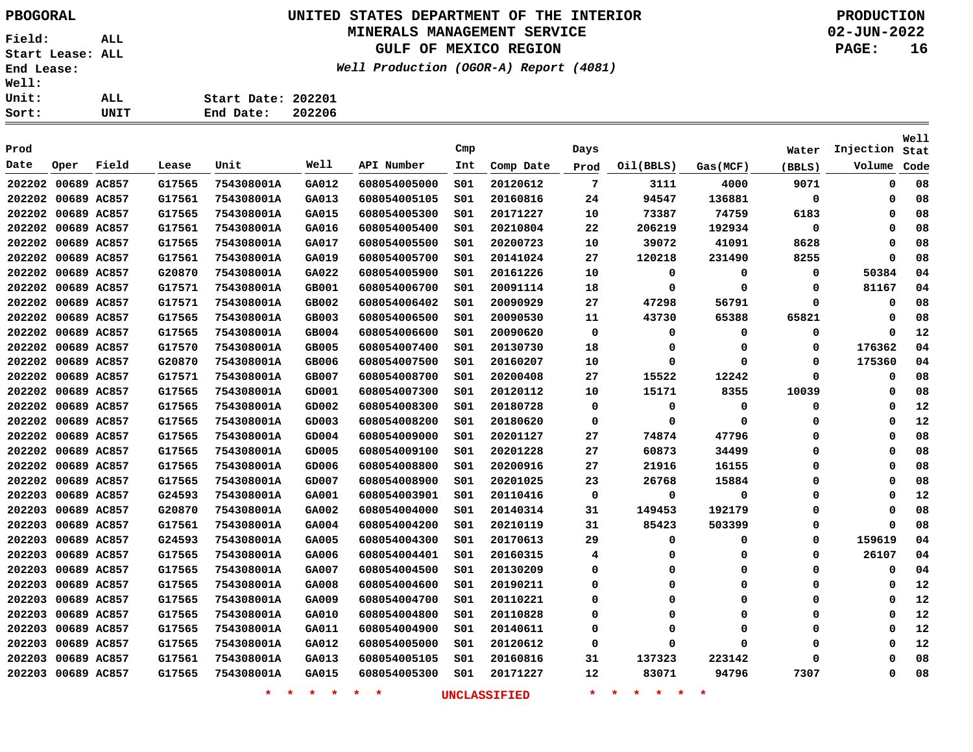### **UNITED STATES DEPARTMENT OF THE INTERIOR PBOGORAL PRODUCTION MINERALS MANAGEMENT SERVICE**

## **GULF OF MEXICO REGION**

**Well Production (OGOR-A) Report (4081)**

**02-JUN-2022 PAGE: 16**

|    | Start Date: 202201 |        |
|----|--------------------|--------|
| ΓT | End Date:          | 202206 |

|        |                    |             |        |            |       |              |     |           |             |           |          |          |             | Well |
|--------|--------------------|-------------|--------|------------|-------|--------------|-----|-----------|-------------|-----------|----------|----------|-------------|------|
| Prod   |                    |             |        |            |       |              | Cmp |           | Days        |           |          | Water    | Injection   | Stat |
| Date   | Oper               | Field       | Lease  | Unit       | Well  | API Number   | Int | Comp Date | Prod        | Oil(BBLS) | Gas(MCF) | (BBLS)   | Volume      | Code |
|        | 202202 00689 AC857 |             | G17565 | 754308001A | GA012 | 608054005000 | SO1 | 20120612  | 7           | 3111      | 4000     | 9071     | 0           | 08   |
| 202202 |                    | 00689 AC857 | G17561 | 754308001A | GA013 | 608054005105 | SO1 | 20160816  | 24          | 94547     | 136881   | 0        | 0           | 08   |
| 202202 |                    | 00689 AC857 | G17565 | 754308001A | GA015 | 608054005300 | SO1 | 20171227  | 10          | 73387     | 74759    | 6183     | 0           | 08   |
| 202202 |                    | 00689 AC857 | G17561 | 754308001A | GA016 | 608054005400 | S01 | 20210804  | 22          | 206219    | 192934   | 0        | 0           | 08   |
| 202202 |                    | 00689 AC857 | G17565 | 754308001A | GA017 | 608054005500 | S01 | 20200723  | 10          | 39072     | 41091    | 8628     | 0           | 08   |
| 202202 |                    | 00689 AC857 | G17561 | 754308001A | GA019 | 608054005700 | S01 | 20141024  | 27          | 120218    | 231490   | 8255     | 0           | 08   |
| 202202 |                    | 00689 AC857 | G20870 | 754308001A | GA022 | 608054005900 | SO1 | 20161226  | 10          | 0         | 0        | 0        | 50384       | 04   |
|        | 202202 00689 AC857 |             | G17571 | 754308001A | GB001 | 608054006700 | SO1 | 20091114  | 18          | 0         | 0        | 0        | 81167       | 04   |
|        | 202202 00689 AC857 |             | G17571 | 754308001A | GB002 | 608054006402 | S01 | 20090929  | 27          | 47298     | 56791    | 0        | 0           | 08   |
| 202202 |                    | 00689 AC857 | G17565 | 754308001A | GB003 | 608054006500 | S01 | 20090530  | 11          | 43730     | 65388    | 65821    | 0           | 08   |
|        | 202202 00689 AC857 |             | G17565 | 754308001A | GB004 | 608054006600 | SO1 | 20090620  | $\mathbf 0$ | 0         | 0        | 0        | 0           | 12   |
|        | 202202 00689 AC857 |             | G17570 | 754308001A | GB005 | 608054007400 | SO1 | 20130730  | 18          | 0         | $\Omega$ | 0        | 176362      | 04   |
|        | 202202 00689 AC857 |             | G20870 | 754308001A | GB006 | 608054007500 | SO1 | 20160207  | 10          | $\Omega$  | $\Omega$ | 0        | 175360      | 04   |
|        | 202202 00689 AC857 |             | G17571 | 754308001A | GB007 | 608054008700 | S01 | 20200408  | 27          | 15522     | 12242    | 0        | 0           | 08   |
|        | 202202 00689 AC857 |             | G17565 | 754308001A | GD001 | 608054007300 | S01 | 20120112  | 10          | 15171     | 8355     | 10039    | 0           | 08   |
|        | 202202 00689 AC857 |             | G17565 | 754308001A | GD002 | 608054008300 | SO1 | 20180728  | 0           | 0         | 0        | 0        | 0           | 12   |
|        | 202202 00689 AC857 |             | G17565 | 754308001A | GD003 | 608054008200 | SO1 | 20180620  | 0           | 0         | $\Omega$ | 0        | 0           | 12   |
|        | 202202 00689 AC857 |             | G17565 | 754308001A | GD004 | 608054009000 | SO1 | 20201127  | 27          | 74874     | 47796    | 0        | 0           | 08   |
|        | 202202 00689 AC857 |             | G17565 | 754308001A | GD005 | 608054009100 | S01 | 20201228  | 27          | 60873     | 34499    | 0        | 0           | 08   |
| 202202 |                    | 00689 AC857 | G17565 | 754308001A | GD006 | 608054008800 | S01 | 20200916  | 27          | 21916     | 16155    | 0        | 0           | 08   |
| 202202 |                    | 00689 AC857 | G17565 | 754308001A | GD007 | 608054008900 | SO1 | 20201025  | 23          | 26768     | 15884    | 0        | 0           | 08   |
| 202203 |                    | 00689 AC857 | G24593 | 754308001A | GA001 | 608054003901 | SO1 | 20110416  | 0           | 0         | 0        | 0        | 0           | 12   |
| 202203 |                    | 00689 AC857 | G20870 | 754308001A | GA002 | 608054004000 | SO1 | 20140314  | 31          | 149453    | 192179   | 0        | 0           | 08   |
| 202203 |                    | 00689 AC857 | G17561 | 754308001A | GA004 | 608054004200 | SO1 | 20210119  | 31          | 85423     | 503399   | 0        | $\mathbf 0$ | 08   |
| 202203 |                    | 00689 AC857 | G24593 | 754308001A | GA005 | 608054004300 | S01 | 20170613  | 29          | 0         | 0        | 0        | 159619      | 04   |
| 202203 |                    | 00689 AC857 | G17565 | 754308001A | GA006 | 608054004401 | S01 | 20160315  | 4           | 0         | 0        | 0        | 26107       | 04   |
| 202203 |                    | 00689 AC857 | G17565 | 754308001A | GA007 | 608054004500 | S01 | 20130209  | 0           | $\Omega$  | $\Omega$ | 0        | 0           | 04   |
| 202203 |                    | 00689 AC857 | G17565 | 754308001A | GA008 | 608054004600 | SO1 | 20190211  | 0           | $\Omega$  | $\Omega$ | 0        | 0           | 12   |
| 202203 |                    | 00689 AC857 | G17565 | 754308001A | GA009 | 608054004700 | SO1 | 20110221  | 0           | $\Omega$  | $\Omega$ | 0        | 0           | 12   |
| 202203 |                    | 00689 AC857 | G17565 | 754308001A | GA010 | 608054004800 | S01 | 20110828  | 0           | $\Omega$  | Ω        | 0        | 0           | 12   |
| 202203 |                    | 00689 AC857 | G17565 | 754308001A | GA011 | 608054004900 | S01 | 20140611  | 0           | 0         | 0        | 0        | 0           | 12   |
| 202203 |                    | 00689 AC857 | G17565 | 754308001A | GA012 | 608054005000 | S01 | 20120612  | 0           | $\Omega$  | $\Omega$ | 0        | 0           | 12   |
| 202203 |                    | 00689 AC857 | G17561 | 754308001A | GA013 | 608054005105 | SO1 | 20160816  | 31          | 137323    | 223142   | $\Omega$ | 0           | 08   |
|        | 202203 00689 AC857 |             | G17565 | 754308001A | GA015 | 608054005300 | SO1 | 20171227  | 12          | 83071     | 94796    | 7307     | 0           | 08   |
|        |                    |             |        |            |       |              |     |           |             |           |          |          |             |      |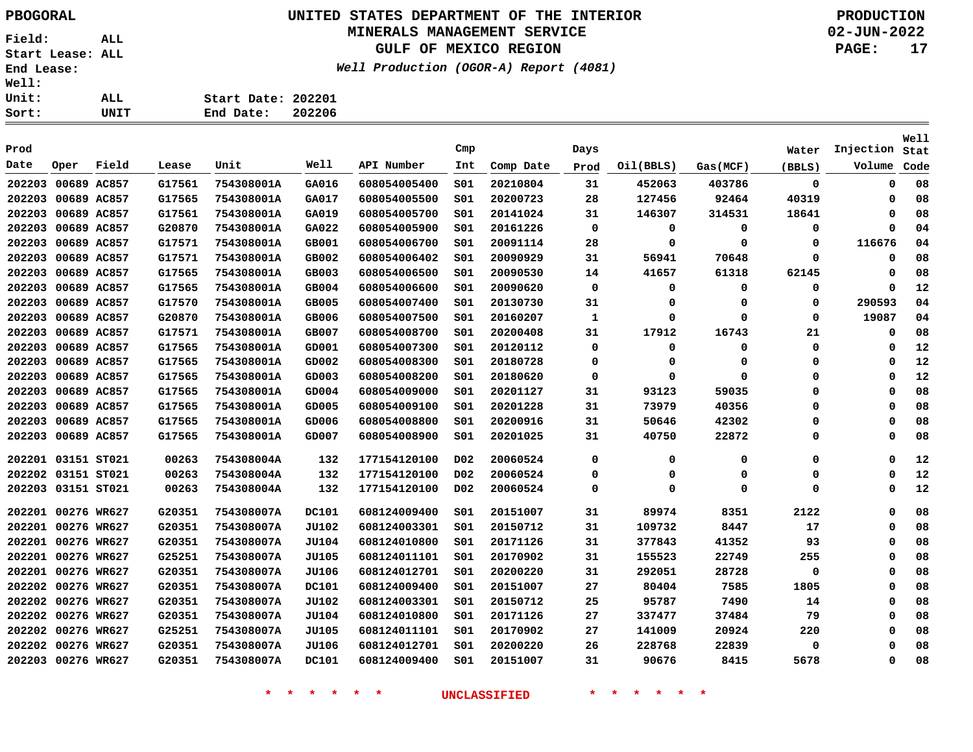### **UNITED STATES DEPARTMENT OF THE INTERIOR PBOGORAL PRODUCTION MINERALS MANAGEMENT SERVICE**

**GULF OF MEXICO REGION**

**Well Production (OGOR-A) Report (4081)**

**02-JUN-2022 PAGE: 17**

| ALL. | Start Date: 202201 |  |
|------|--------------------|--|
| UNIT | End Date: 202206   |  |

| Prod               |             |             |        |            |              |              | Cmp              |           | Days        |           |          | Water       | Injection | <b>Well</b><br>Stat |
|--------------------|-------------|-------------|--------|------------|--------------|--------------|------------------|-----------|-------------|-----------|----------|-------------|-----------|---------------------|
| Date               | Oper        | Field       | Lease  | Unit       | Well         | API Number   | Int              | Comp Date | Prod        | Oil(BBLS) | Gas(MCF) | (BBLS)      | Volume    | Code                |
| 202203             | 00689 AC857 |             | G17561 | 754308001A | GA016        | 608054005400 | SO1              | 20210804  | 31          | 452063    | 403786   | $\mathbf 0$ | 0         | 08                  |
| 202203             |             | 00689 AC857 | G17565 | 754308001A | GA017        | 608054005500 | SO1              | 20200723  | 28          | 127456    | 92464    | 40319       | 0         | 08                  |
| 202203             |             | 00689 AC857 | G17561 | 754308001A | GA019        | 608054005700 | SO1              | 20141024  | 31          | 146307    | 314531   | 18641       | $\Omega$  | 08                  |
| 202203             |             | 00689 AC857 | G20870 | 754308001A | GA022        | 608054005900 | SO1              | 20161226  | 0           | 0         | 0        | 0           | $\Omega$  | 04                  |
| 202203             |             | 00689 AC857 | G17571 | 754308001A | GB001        | 608054006700 | SO1              | 20091114  | 28          | 0         | 0        | 0           | 116676    | 04                  |
| 202203             |             | 00689 AC857 | G17571 | 754308001A | GB002        | 608054006402 | SO1              | 20090929  | 31          | 56941     | 70648    | 0           | 0         | 08                  |
| 202203             |             | 00689 AC857 | G17565 | 754308001A | GB003        | 608054006500 | SO1              | 20090530  | 14          | 41657     | 61318    | 62145       | $\Omega$  | 08                  |
| 202203             |             | 00689 AC857 | G17565 | 754308001A | GB004        | 608054006600 | SO1              | 20090620  | $\mathbf 0$ | 0         | 0        | 0           | $\Omega$  | 12                  |
| 202203             | 00689 AC857 |             | G17570 | 754308001A | GB005        | 608054007400 | SO1              | 20130730  | 31          | 0         | 0        | 0           | 290593    | 04                  |
| 202203             |             | 00689 AC857 | G20870 | 754308001A | GB006        | 608054007500 | S01              | 20160207  | 1           | 0         | 0        | 0           | 19087     | 04                  |
| 202203             |             | 00689 AC857 | G17571 | 754308001A | GB007        | 608054008700 | SO1              | 20200408  | 31          | 17912     | 16743    | 21          | 0         | 08                  |
| 202203             |             | 00689 AC857 | G17565 | 754308001A | GD001        | 608054007300 | SO1              | 20120112  | 0           | 0         | 0        | 0           | 0         | 12                  |
| 202203             |             | 00689 AC857 | G17565 | 754308001A | GD002        | 608054008300 | SO1              | 20180728  | 0           | 0         | 0        | 0           | 0         | 12                  |
| 202203             |             | 00689 AC857 | G17565 | 754308001A | GD003        | 608054008200 | SO1              | 20180620  | 0           | 0         | O        | 0           | $\Omega$  | 12                  |
| 202203             |             | 00689 AC857 | G17565 | 754308001A | GD004        | 608054009000 | SO1              | 20201127  | 31          | 93123     | 59035    | 0           | $\Omega$  | 08                  |
| 202203             |             | 00689 AC857 | G17565 | 754308001A | GD005        | 608054009100 | S <sub>01</sub>  | 20201228  | 31          | 73979     | 40356    | 0           | $\Omega$  | 08                  |
| 202203             |             | 00689 AC857 | G17565 | 754308001A | GD006        | 608054008800 | SO1              | 20200916  | 31          | 50646     | 42302    | 0           | $\Omega$  | 08                  |
| 202203             |             | 00689 AC857 | G17565 | 754308001A | GD007        | 608054008900 | SO1              | 20201025  | 31          | 40750     | 22872    | 0           | $\Omega$  | 08                  |
| 202201 03151 ST021 |             |             | 00263  | 754308004A | 132          | 177154120100 | D <sub>0</sub> 2 | 20060524  | 0           | 0         | 0        | 0           | 0         | 12                  |
| 202202             | 03151 ST021 |             | 00263  | 754308004A | 132          | 177154120100 | D02              | 20060524  | 0           | 0         | 0        | 0           | 0         | 12                  |
| 202203             |             | 03151 ST021 | 00263  | 754308004A | 132          | 177154120100 | D <sub>0</sub> 2 | 20060524  | 0           | 0         | 0        | 0           | 0         | 12                  |
| 202201 00276 WR627 |             |             | G20351 | 754308007A | <b>DC101</b> | 608124009400 | SO1              | 20151007  | 31          | 89974     | 8351     | 2122        | 0         | 08                  |
| 202201 00276 WR627 |             |             | G20351 | 754308007A | JU102        | 608124003301 | SO1              | 20150712  | 31          | 109732    | 8447     | 17          | 0         | 08                  |
| 202201 00276 WR627 |             |             | G20351 | 754308007A | <b>JU104</b> | 608124010800 | SO1              | 20171126  | 31          | 377843    | 41352    | 93          | 0         | 08                  |
| 202201 00276 WR627 |             |             | G25251 | 754308007A | <b>JU105</b> | 608124011101 | SO1              | 20170902  | 31          | 155523    | 22749    | 255         | 0         | 08                  |
| 202201 00276 WR627 |             |             | G20351 | 754308007A | JU106        | 608124012701 | SO1              | 20200220  | 31          | 292051    | 28728    | 0           | 0         | 08                  |
| 202202             | 00276 WR627 |             | G20351 | 754308007A | <b>DC101</b> | 608124009400 | SO1              | 20151007  | 27          | 80404     | 7585     | 1805        | $\Omega$  | 08                  |
| 202202             | 00276 WR627 |             | G20351 | 754308007A | JU102        | 608124003301 | SO1              | 20150712  | 25          | 95787     | 7490     | 14          | $\Omega$  | 08                  |
| 202202             | 00276 WR627 |             | G20351 | 754308007A | <b>JU104</b> | 608124010800 | SO1              | 20171126  | 27          | 337477    | 37484    | 79          | $\Omega$  | 08                  |
| 202202 00276 WR627 |             |             | G25251 | 754308007A | <b>JU105</b> | 608124011101 | S01              | 20170902  | 27          | 141009    | 20924    | 220         | 0         | 08                  |
| 202202             | 00276 WR627 |             | G20351 | 754308007A | JU106        | 608124012701 | SO1              | 20200220  | 26          | 228768    | 22839    | 0           | Ω         | 08                  |
| 202203             | 00276 WR627 |             | G20351 | 754308007A | <b>DC101</b> | 608124009400 | SO1              | 20151007  | 31          | 90676     | 8415     | 5678        | 0         | 08                  |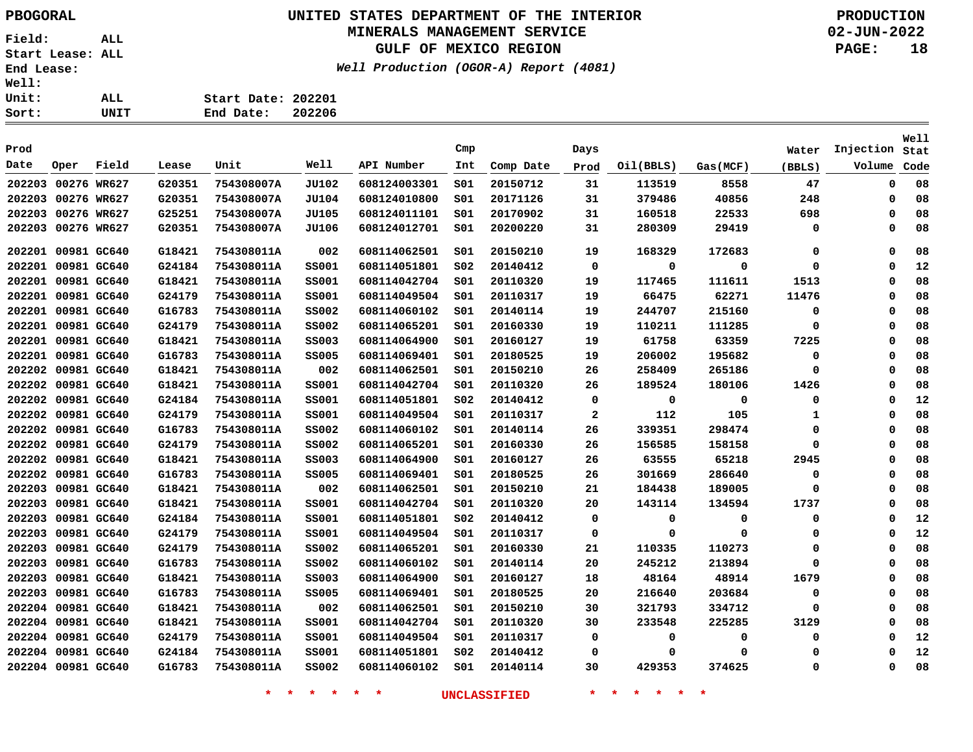# **UNITED STATES DEPARTMENT OF THE INTERIOR PBOGORAL PRODUCTION**

### **MINERALS MANAGEMENT SERVICE**

**GULF OF MEXICO REGION**

**Well Production (OGOR-A) Report (4081)**

**02-JUN-2022 PAGE: 18**

| ALL. | Start Date: 202201 |  |
|------|--------------------|--|
| UNIT | End Date: 202206   |  |
|      |                    |  |

| Prod   |                    |       |        |            |              |              | Cmp             |           | Days         |           |             |             | Injection   | Well |
|--------|--------------------|-------|--------|------------|--------------|--------------|-----------------|-----------|--------------|-----------|-------------|-------------|-------------|------|
| Date   | Oper               | Field | Lease  | Unit       | Well         | API Number   | Int             |           |              |           |             | Water       | Volume      | Stat |
|        |                    |       |        |            |              |              |                 | Comp Date | Prod         | Oil(BBLS) | Gas(MCF)    | (BBLS)      |             | Code |
| 202203 | 00276 WR627        |       | G20351 | 754308007A | <b>JU102</b> | 608124003301 | SO1             | 20150712  | 31           | 113519    | 8558        | 47          | $\mathbf 0$ | 08   |
| 202203 | 00276 WR627        |       | G20351 | 754308007A | JU104        | 608124010800 | SO1             | 20171126  | 31           | 379486    | 40856       | 248         | 0           | 08   |
| 202203 | 00276 WR627        |       | G25251 | 754308007A | <b>JU105</b> | 608124011101 | S01             | 20170902  | 31           | 160518    | 22533       | 698         | 0           | 08   |
| 202203 | 00276 WR627        |       | G20351 | 754308007A | JU106        | 608124012701 | S01             | 20200220  | 31           | 280309    | 29419       | 0           | 0           | 08   |
|        | 202201 00981 GC640 |       | G18421 | 754308011A | 002          | 608114062501 | SO1             | 20150210  | 19           | 168329    | 172683      | 0           | $\Omega$    | 08   |
| 202201 | 00981 GC640        |       | G24184 | 754308011A | <b>SS001</b> | 608114051801 | SO <sub>2</sub> | 20140412  | $\mathbf 0$  | 0         | 0           | 0           | 0           | 12   |
| 202201 | 00981 GC640        |       | G18421 | 754308011A | <b>SS001</b> | 608114042704 | SO1             | 20110320  | 19           | 117465    | 111611      | 1513        | $\Omega$    | 08   |
| 202201 | 00981 GC640        |       | G24179 | 754308011A | <b>SS001</b> | 608114049504 | SO1             | 20110317  | 19           | 66475     | 62271       | 11476       | $\mathbf 0$ | 08   |
| 202201 | 00981 GC640        |       | G16783 | 754308011A | <b>SS002</b> | 608114060102 | S01             | 20140114  | 19           | 244707    | 215160      | $\mathbf 0$ | $\Omega$    | 08   |
| 202201 | 00981 GC640        |       | G24179 | 754308011A | <b>SS002</b> | 608114065201 | SO1             | 20160330  | 19           | 110211    | 111285      | 0           | $\mathbf 0$ | 08   |
| 202201 | 00981 GC640        |       | G18421 | 754308011A | <b>SS003</b> | 608114064900 | SO1             | 20160127  | 19           | 61758     | 63359       | 7225        | $\mathbf 0$ | 08   |
| 202201 | 00981 GC640        |       | G16783 | 754308011A | <b>SS005</b> | 608114069401 | SO1             | 20180525  | 19           | 206002    | 195682      | 0           | $\Omega$    | 08   |
| 202202 | 00981 GC640        |       | G18421 | 754308011A | 002          | 608114062501 | SO1             | 20150210  | 26           | 258409    | 265186      | $\mathbf 0$ | $\mathbf 0$ | 08   |
| 202202 | 00981 GC640        |       | G18421 | 754308011A | <b>SS001</b> | 608114042704 | S01             | 20110320  | 26           | 189524    | 180106      | 1426        | $\Omega$    | 08   |
|        | 202202 00981 GC640 |       | G24184 | 754308011A | <b>SS001</b> | 608114051801 | SO <sub>2</sub> | 20140412  | 0            | 0         | $\mathbf 0$ | 0           | $\mathbf 0$ | 12   |
| 202202 | 00981 GC640        |       | G24179 | 754308011A | <b>SS001</b> | 608114049504 | SO1             | 20110317  | $\mathbf{2}$ | 112       | 105         | 1           | 0           | 08   |
|        | 202202 00981 GC640 |       | G16783 | 754308011A | <b>SS002</b> | 608114060102 | SO1             | 20140114  | 26           | 339351    | 298474      | 0           | $\Omega$    | 08   |
| 202202 | 00981 GC640        |       | G24179 | 754308011A | <b>SS002</b> | 608114065201 | SO1             | 20160330  | 26           | 156585    | 158158      | 0           | 0           | 08   |
| 202202 | 00981 GC640        |       | G18421 | 754308011A | <b>SS003</b> | 608114064900 | SO1             | 20160127  | 26           | 63555     | 65218       | 2945        | $\Omega$    | 08   |
| 202202 | 00981 GC640        |       | G16783 | 754308011A | <b>SS005</b> | 608114069401 | SO1             | 20180525  | 26           | 301669    | 286640      | $\mathbf 0$ | 0           | 08   |
| 202203 | 00981 GC640        |       | G18421 | 754308011A | 002          | 608114062501 | S01             | 20150210  | 21           | 184438    | 189005      | 0           | 0           | 08   |
| 202203 | 00981 GC640        |       | G18421 | 754308011A | <b>SS001</b> | 608114042704 | SO1             | 20110320  | 20           | 143114    | 134594      | 1737        | $\Omega$    | 08   |
| 202203 | 00981 GC640        |       | G24184 | 754308011A | <b>SS001</b> | 608114051801 | SO <sub>2</sub> | 20140412  | 0            | 0         | 0           | 0           | 0           | 12   |
| 202203 | 00981 GC640        |       | G24179 | 754308011A | <b>SS001</b> | 608114049504 | SO1             | 20110317  | 0            | 0         | $\Omega$    | 0           | $\Omega$    | 12   |
| 202203 | 00981 GC640        |       | G24179 | 754308011A | <b>SS002</b> | 608114065201 | s01             | 20160330  | 21           | 110335    | 110273      | $\mathbf 0$ | $\Omega$    | 08   |
| 202203 | 00981 GC640        |       | G16783 | 754308011A | <b>SS002</b> | 608114060102 | SO1             | 20140114  | 20           | 245212    | 213894      | 0           | 0           | 08   |
| 202203 | 00981 GC640        |       | G18421 | 754308011A | <b>SS003</b> | 608114064900 | SO1             | 20160127  | 18           | 48164     | 48914       | 1679        | $\Omega$    | 08   |
| 202203 | 00981 GC640        |       | G16783 | 754308011A | <b>SS005</b> | 608114069401 | SO1             | 20180525  | 20           | 216640    | 203684      | 0           | 0           | 08   |
|        | 202204 00981 GC640 |       | G18421 | 754308011A | 002          | 608114062501 | SO1             | 20150210  | 30           | 321793    | 334712      | $\mathbf 0$ | $\Omega$    | 08   |
|        | 202204 00981 GC640 |       | G18421 | 754308011A | <b>SS001</b> | 608114042704 | SO1             | 20110320  | 30           | 233548    | 225285      | 3129        | $\mathbf 0$ | 08   |
|        | 202204 00981 GC640 |       | G24179 | 754308011A | <b>SS001</b> | 608114049504 | S01             | 20110317  | 0            | 0         | $\Omega$    | 0           | 0           | 12   |
|        | 202204 00981 GC640 |       | G24184 | 754308011A | <b>SS001</b> | 608114051801 | SO <sub>2</sub> | 20140412  | $\Omega$     | $\Omega$  | $\Omega$    | $\mathbf 0$ | $\Omega$    | 12   |
|        | 202204 00981 GC640 |       | G16783 | 754308011A | <b>SS002</b> | 608114060102 | SO1             | 20140114  | 30           | 429353    | 374625      | $\mathbf 0$ | $\Omega$    | 08   |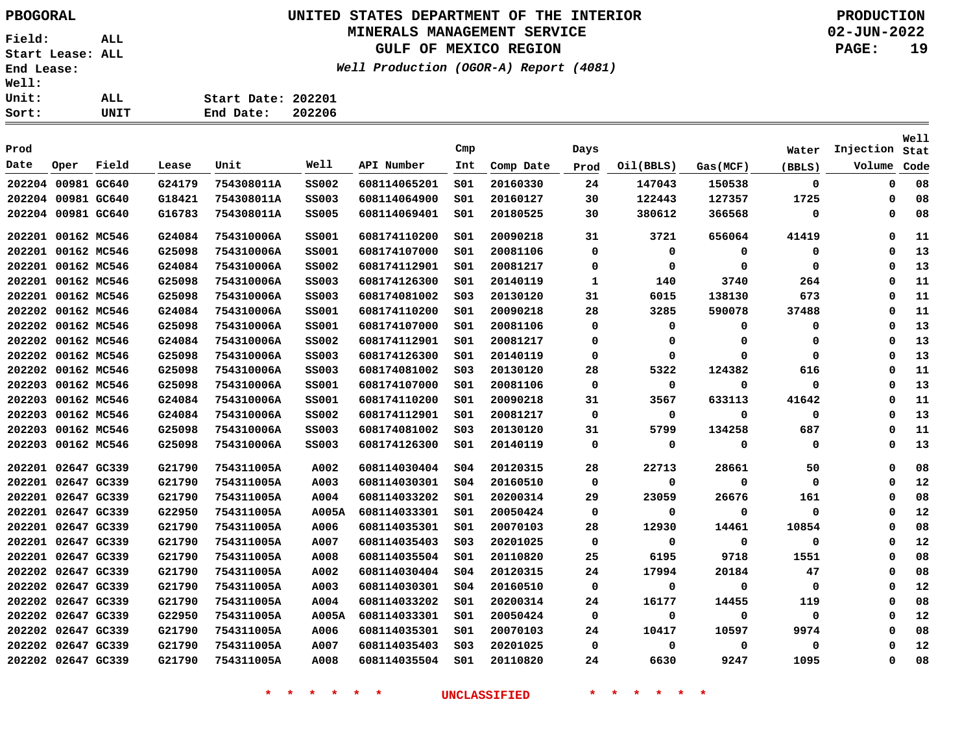Sort:

**Field: ALL Start Lease: ALL End Lease: Well: Unit:** 

## **UNITED STATES DEPARTMENT OF THE INTERIOR PBOGORAL PRODUCTION**

### **MINERALS MANAGEMENT SERVICE**

**GULF OF MEXICO REGION**

**Well Production (OGOR-A) Report (4081)**

**02-JUN-2022 PAGE: 19**

| ALL. | Start Date: 202201 |  |
|------|--------------------|--|
| UNIT | End Date: 202206   |  |
|      |                    |  |

| Prod   |                    |             |        |            |              |              | Cmp             |           | Days        |           |             |             | Injection | Well |
|--------|--------------------|-------------|--------|------------|--------------|--------------|-----------------|-----------|-------------|-----------|-------------|-------------|-----------|------|
| Date   |                    |             |        | Unit       | Well         | API Number   |                 |           |             |           |             | Water       |           | Stat |
|        | Oper               | Field       | Lease  |            |              |              | Int             | Comp Date | Prod        | Oil(BBLS) | Gas(MCF)    | (BBLS)      | Volume    | Code |
|        | 202204 00981 GC640 |             | G24179 | 754308011A | <b>SS002</b> | 608114065201 | SO1             | 20160330  | 24          | 147043    | 150538      | $\mathbf 0$ | 0         | 08   |
|        | 202204 00981 GC640 |             | G18421 | 754308011A | <b>SS003</b> | 608114064900 | SO1             | 20160127  | 30          | 122443    | 127357      | 1725        | 0         | 08   |
|        | 202204 00981 GC640 |             | G16783 | 754308011A | <b>SS005</b> | 608114069401 | S01             | 20180525  | 30          | 380612    | 366568      | 0           | 0         | 08   |
| 202201 | 00162 MC546        |             | G24084 | 754310006A | <b>SS001</b> | 608174110200 | SO1             | 20090218  | 31          | 3721      | 656064      | 41419       | 0         | 11   |
| 202201 | 00162 MC546        |             | G25098 | 754310006A | <b>SS001</b> | 608174107000 | S01             | 20081106  | 0           | 0         | 0           | 0           | 0         | 13   |
|        | 202201 00162 MC546 |             | G24084 | 754310006A | <b>SS002</b> | 608174112901 | SO1             | 20081217  | $\mathbf 0$ | 0         | $\Omega$    | $\Omega$    | $\Omega$  | 13   |
|        | 202201 00162 MC546 |             | G25098 | 754310006A | <b>SS003</b> | 608174126300 | SO1             | 20140119  | 1           | 140       | 3740        | 264         | 0         | 11   |
|        | 202201 00162 MC546 |             | G25098 | 754310006A | <b>SS003</b> | 608174081002 | SO <sub>3</sub> | 20130120  | 31          | 6015      | 138130      | 673         | 0         | 11   |
|        | 202202 00162 MC546 |             | G24084 | 754310006A | <b>SS001</b> | 608174110200 | 501             | 20090218  | 28          | 3285      | 590078      | 37488       | 0         | 11   |
| 202202 | 00162 MC546        |             | G25098 | 754310006A | <b>SS001</b> | 608174107000 | SO1             | 20081106  | 0           | 0         | 0           | 0           | 0         | 13   |
| 202202 | 00162 MC546        |             | G24084 | 754310006A | <b>SS002</b> | 608174112901 | S01             | 20081217  | 0           | 0         | $\Omega$    | 0           | 0         | 13   |
|        | 202202 00162 MC546 |             | G25098 | 754310006A | <b>SS003</b> | 608174126300 | SO1             | 20140119  | 0           | 0         | $\Omega$    | 0           | 0         | 13   |
| 202202 |                    | 00162 MC546 | G25098 | 754310006A | <b>SS003</b> | 608174081002 | SO <sub>3</sub> | 20130120  | 28          | 5322      | 124382      | 616         | 0         | 11   |
| 202203 |                    | 00162 MC546 | G25098 | 754310006A | <b>SS001</b> | 608174107000 | SO1             | 20081106  | 0           | 0         | $\Omega$    | $\Omega$    | 0         | 13   |
| 202203 |                    | 00162 MC546 | G24084 | 754310006A | <b>SS001</b> | 608174110200 | SO1             | 20090218  | 31          | 3567      | 633113      | 41642       | 0         | 11   |
| 202203 |                    | 00162 MC546 | G24084 | 754310006A | <b>SS002</b> | 608174112901 | SO1             | 20081217  | 0           | 0         | $\Omega$    | $\Omega$    | 0         | 13   |
| 202203 |                    | 00162 MC546 | G25098 | 754310006A | <b>SS003</b> | 608174081002 | SO <sub>3</sub> | 20130120  | 31          | 5799      | 134258      | 687         | $\Omega$  | 11   |
| 202203 |                    | 00162 MC546 | G25098 | 754310006A | <b>SS003</b> | 608174126300 | 501             | 20140119  | 0           | 0         | 0           | 0           | 0         | 13   |
|        | 202201 02647 GC339 |             | G21790 | 754311005A | A002         | 608114030404 | SO <sub>4</sub> | 20120315  | 28          | 22713     | 28661       | 50          | 0         | 08   |
|        | 202201 02647 GC339 |             | G21790 | 754311005A | A003         | 608114030301 | SO <sub>4</sub> | 20160510  | 0           | 0         | $\mathbf 0$ | 0           | 0         | 12   |
|        | 202201 02647 GC339 |             | G21790 | 754311005A | A004         | 608114033202 | S01             | 20200314  | 29          | 23059     | 26676       | 161         | 0         | 08   |
|        | 202201 02647 GC339 |             | G22950 | 754311005A | A005A        | 608114033301 | S01             | 20050424  | 0           | $\Omega$  | 0           | 0           | 0         | 12   |
| 202201 | 02647 GC339        |             | G21790 | 754311005A | A006         | 608114035301 | SO1             | 20070103  | 28          | 12930     | 14461       | 10854       | 0         | 08   |
| 202201 | 02647 GC339        |             | G21790 | 754311005A | A007         | 608114035403 | SO <sub>3</sub> | 20201025  | 0           | 0         | 0           | 0           | 0         | 12   |
|        | 202201 02647 GC339 |             | G21790 | 754311005A | A008         | 608114035504 | SO1             | 20110820  | 25          | 6195      | 9718        | 1551        | 0         | 08   |
| 202202 |                    | 02647 GC339 | G21790 | 754311005A | A002         | 608114030404 | SO <sub>4</sub> | 20120315  | 24          | 17994     | 20184       | 47          | 0         | 08   |
|        | 202202 02647 GC339 |             | G21790 | 754311005A | A003         | 608114030301 | SO <sub>4</sub> | 20160510  | 0           | $\Omega$  | $\Omega$    | 0           | 0         | 12   |
|        | 202202 02647 GC339 |             | G21790 | 754311005A | A004         | 608114033202 | S01             | 20200314  | 24          | 16177     | 14455       | 119         | 0         | 08   |
|        | 202202 02647 GC339 |             | G22950 | 754311005A | A005A        | 608114033301 | 501             | 20050424  | 0           | $\Omega$  | 0           | $\Omega$    | 0         | 12   |
|        | 202202 02647 GC339 |             | G21790 | 754311005A | A006         | 608114035301 | SO1             | 20070103  | 24          | 10417     | 10597       | 9974        | 0         | 08   |
| 202202 | 02647 GC339        |             | G21790 | 754311005A | A007         | 608114035403 | SO <sub>3</sub> | 20201025  | 0           | 0         | 0           | 0           | 0         | 12   |
|        | 202202 02647 GC339 |             | G21790 | 754311005A | A008         | 608114035504 | SO1             | 20110820  | 24          | 6630      | 9247        | 1095        | 0         | 08   |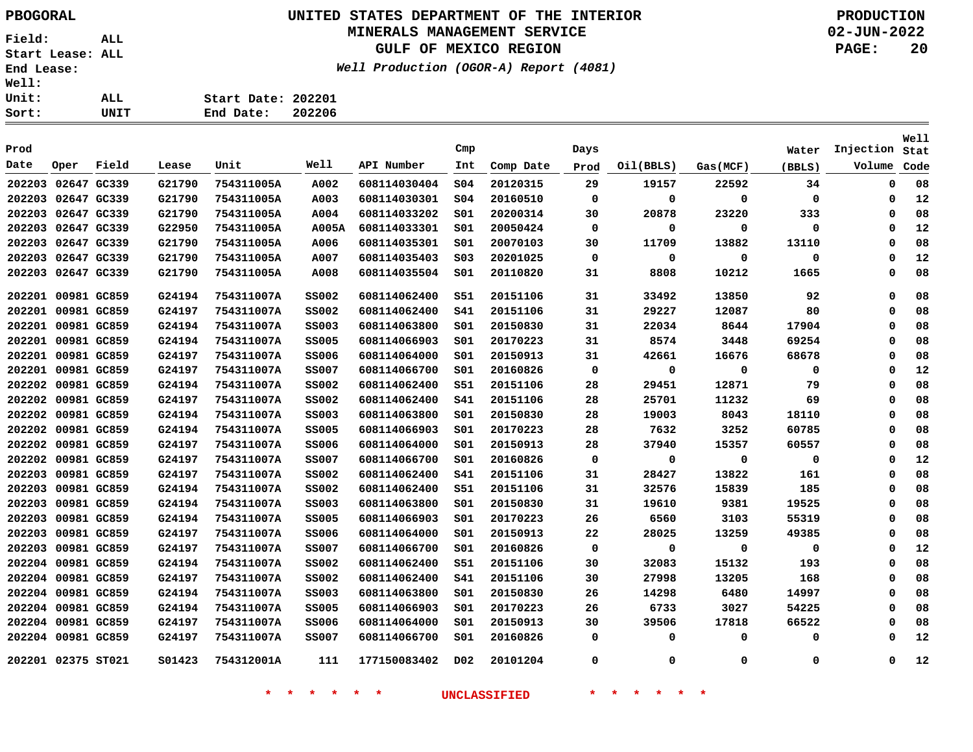# **UNITED STATES DEPARTMENT OF THE INTERIOR PBOGORAL PRODUCTION**

## **MINERALS MANAGEMENT SERVICE**

**GULF OF MEXICO REGION**

**Well Production (OGOR-A) Report (4081)**

**02-JUN-2022 PAGE: 20**

| ALL. | Start Date: 202201 |  |
|------|--------------------|--|
| UNIT | End Date: 202206   |  |
|      |                    |  |

| Prod                         |             |       |                  |                          |              |                              | Cmp              |                      | Days        |                      |             | Water       | Injection   | Well<br>Stat |
|------------------------------|-------------|-------|------------------|--------------------------|--------------|------------------------------|------------------|----------------------|-------------|----------------------|-------------|-------------|-------------|--------------|
| Date                         | Oper        | Field | Lease            | Unit                     | Well         | API Number                   | Int              | Comp Date            | Prod        | Oil(BBLS)            | Gas(MCF)    | (BBLS)      | Volume      | Code         |
| 202203                       | 02647 GC339 |       | G21790           | 754311005A               | A002         | 608114030404                 | SO <sub>4</sub>  | 20120315             | 29          | 19157                | 22592       | 34          | 0           | 08           |
| 202203                       | 02647 GC339 |       | G21790           | 754311005A               | A003         | 608114030301                 | SO <sub>4</sub>  | 20160510             | $\mathbf 0$ | 0                    | 0           | 0           | 0           | 12           |
|                              |             |       |                  |                          | A004         |                              |                  |                      |             |                      |             |             | $\mathbf 0$ |              |
| 202203 02647 GC339<br>202203 | 02647 GC339 |       | G21790<br>G22950 | 754311005A<br>754311005A | A005A        | 608114033202<br>608114033301 | SO1<br>SO1       | 20200314<br>20050424 | 30<br>0     | 20878<br>$\mathbf 0$ | 23220<br>0  | 333<br>0    | 0           | 08<br>12     |
| 202203                       | 02647 GC339 |       | G21790           | 754311005A               | A006         | 608114035301                 | SO1              | 20070103             |             | 11709                | 13882       | 13110       | $\mathbf 0$ | 08           |
| 202203                       | 02647 GC339 |       | G21790           |                          |              |                              | SO <sub>3</sub>  |                      | 30<br>0     | 0                    | 0           | 0           | $\mathbf 0$ | 12           |
|                              |             |       |                  | 754311005A               | A007         | 608114035403                 |                  | 20201025             |             |                      |             |             | $\mathbf 0$ |              |
| 202203                       | 02647 GC339 |       | G21790           | 754311005A               | A008         | 608114035504                 | 501              | 20110820             | 31          | 8808                 | 10212       | 1665        |             | 08           |
| 202201 00981 GC859           |             |       | G24194           | 754311007A               | <b>SS002</b> | 608114062400                 | <b>S51</b>       | 20151106             | 31          | 33492                | 13850       | 92          | 0           | 08           |
| 202201                       | 00981 GC859 |       | G24197           | 754311007A               | <b>SS002</b> | 608114062400                 | <b>S41</b>       | 20151106             | 31          | 29227                | 12087       | 80          | 0           | 08           |
| 202201 00981 GC859           |             |       | G24194           | 754311007A               | <b>SS003</b> | 608114063800                 | 501              | 20150830             | 31          | 22034                | 8644        | 17904       | 0           | 08           |
| 202201 00981 GC859           |             |       | G24194           | 754311007A               | <b>SS005</b> | 608114066903                 | 501              | 20170223             | 31          | 8574                 | 3448        | 69254       | 0           | 08           |
| 202201 00981 GC859           |             |       | G24197           | 754311007A               | <b>SS006</b> | 608114064000                 | S01              | 20150913             | 31          | 42661                | 16676       | 68678       | 0           | 08           |
| 202201 00981 GC859           |             |       | G24197           | 754311007A               | <b>SS007</b> | 608114066700                 | S01              | 20160826             | 0           | $\mathbf 0$          | 0           | 0           | $\mathbf 0$ | 12           |
| 202202 00981 GC859           |             |       | G24194           | 754311007A               | <b>SS002</b> | 608114062400                 | S51              | 20151106             | 28          | 29451                | 12871       | 79          | $\mathbf 0$ | 08           |
| 202202 00981 GC859           |             |       | G24197           | 754311007A               | <b>SS002</b> | 608114062400                 | S41              | 20151106             | 28          | 25701                | 11232       | 69          | 0           | 08           |
| 202202                       | 00981 GC859 |       | G24194           | 754311007A               | <b>SS003</b> | 608114063800                 | 501              | 20150830             | 28          | 19003                | 8043        | 18110       | $\mathbf 0$ | 08           |
| 202202                       | 00981 GC859 |       | G24194           | 754311007A               | <b>SS005</b> | 608114066903                 | 501              | 20170223             | 28          | 7632                 | 3252        | 60785       | $\mathbf 0$ | 08           |
| 202202                       | 00981 GC859 |       | G24197           | 754311007A               | <b>SS006</b> | 608114064000                 | SO1              | 20150913             | 28          | 37940                | 15357       | 60557       | $\mathbf 0$ | 08           |
| 202202                       | 00981 GC859 |       | G24197           | 754311007A               | <b>SS007</b> | 608114066700                 | 501              | 20160826             | 0           | 0                    | $\mathbf 0$ | 0           | $\mathbf 0$ | 12           |
| 202203                       | 00981 GC859 |       | G24197           | 754311007A               | <b>SS002</b> | 608114062400                 | <b>S41</b>       | 20151106             | 31          | 28427                | 13822       | 161         | $\mathbf 0$ | 08           |
| 202203                       | 00981 GC859 |       | G24194           | 754311007A               | <b>SS002</b> | 608114062400                 | S51              | 20151106             | 31          | 32576                | 15839       | 185         | $\mathbf 0$ | 08           |
| 202203                       | 00981 GC859 |       | G24194           | 754311007A               | <b>SS003</b> | 608114063800                 | 501              | 20150830             | 31          | 19610                | 9381        | 19525       | $\mathbf 0$ | 08           |
| 202203                       | 00981 GC859 |       | G24194           | 754311007A               | <b>SS005</b> | 608114066903                 | 501              | 20170223             | 26          | 6560                 | 3103        | 55319       | 0           | 08           |
| 202203                       | 00981 GC859 |       | G24197           | 754311007A               | <b>SS006</b> | 608114064000                 | SO1              | 20150913             | 22          | 28025                | 13259       | 49385       | 0           | 08           |
| 202203                       | 00981 GC859 |       | G24197           | 754311007A               | <b>SS007</b> | 608114066700                 | SO1              | 20160826             | $\mathbf 0$ | $\mathbf 0$          | $\Omega$    | 0           | 0           | 12           |
| 202204                       | 00981 GC859 |       | G24194           | 754311007A               | <b>SS002</b> | 608114062400                 | S51              | 20151106             | 30          | 32083                | 15132       | 193         | 0           | 08           |
| 202204 00981 GC859           |             |       | G24197           | 754311007A               | <b>SS002</b> | 608114062400                 | s41              | 20151106             | 30          | 27998                | 13205       | 168         | $\Omega$    | 08           |
| 202204 00981 GC859           |             |       | G24194           | 754311007A               | <b>SS003</b> | 608114063800                 | SO1              | 20150830             | 26          | 14298                | 6480        | 14997       | $\Omega$    | 08           |
| 202204 00981 GC859           |             |       | G24194           | 754311007A               | <b>SS005</b> | 608114066903                 | 501              | 20170223             | 26          | 6733                 | 3027        | 54225       | 0           | 08           |
| 202204 00981 GC859           |             |       | G24197           | 754311007A               | <b>SS006</b> | 608114064000                 | S01              | 20150913             | 30          | 39506                | 17818       | 66522       | 0           | 08           |
| 202204 00981 GC859           |             |       | G24197           | 754311007A               | <b>SS007</b> | 608114066700                 | S01              | 20160826             | 0           | 0                    | 0           | 0           | $\Omega$    | 12           |
| 202201 02375 ST021           |             |       | S01423           | 754312001A               | 111          | 177150083402                 | D <sub>0</sub> 2 | 20101204             | $\mathbf 0$ | $\mathbf 0$          | 0           | $\mathbf 0$ | $\Omega$    | 12           |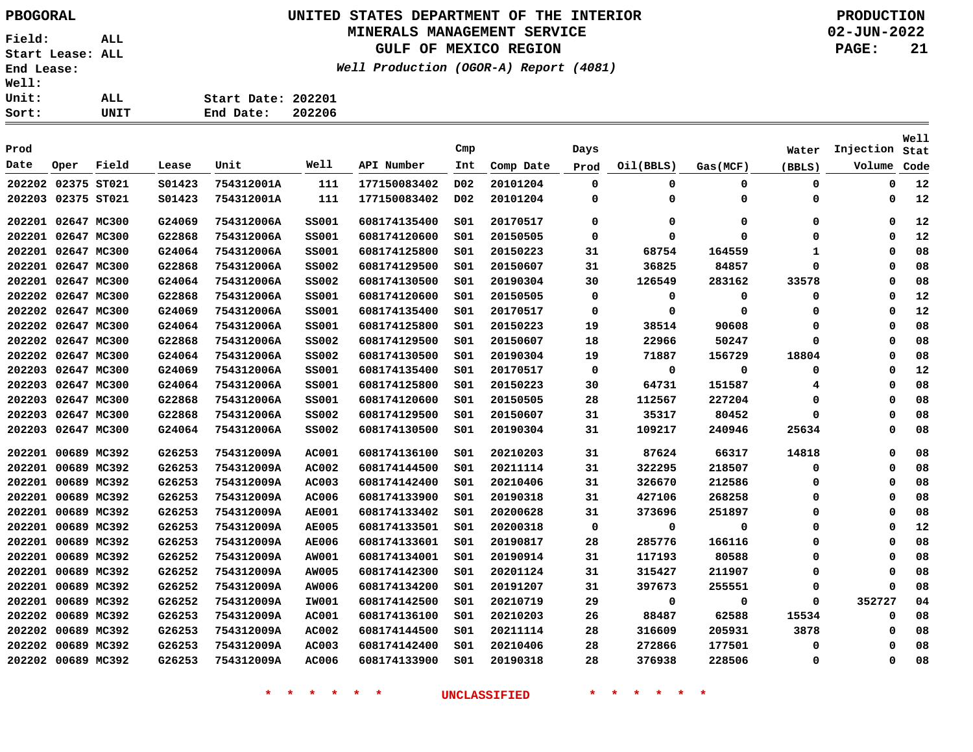## **UNITED STATES DEPARTMENT OF THE INTERIOR PBOGORAL PRODUCTION**

#### **MINERALS MANAGEMENT SERVICE**

**GULF OF MEXICO REGION**

**Well Production (OGOR-A) Report (4081)**

**02-JUN-2022 PAGE: 21**

| Sort: | UNIT | End Date:<br>202206 |  |
|-------|------|---------------------|--|
| Unit: | ALL  | Start Date: 202201  |  |
| Well: |      |                     |  |

| Prod   |                    |             |        |            |              |              | Cmp              |           | Days        |           |          | Water       | Injection | Well<br>Stat |
|--------|--------------------|-------------|--------|------------|--------------|--------------|------------------|-----------|-------------|-----------|----------|-------------|-----------|--------------|
| Date   | Oper               | Field       | Lease  | Unit       | Well         | API Number   | Int              | Comp Date | Prod        | Oil(BBLS) | Gas(MCF) | (BBLS)      | Volume    | Code         |
|        | 202202 02375 ST021 |             | S01423 | 754312001A | 111          | 177150083402 | D <sub>0</sub> 2 | 20101204  | $\mathbf 0$ | 0         | 0        | $\mathbf 0$ | 0         | 12           |
|        | 202203 02375 ST021 |             | S01423 | 754312001A | 111          | 177150083402 | D <sub>0</sub> 2 | 20101204  | 0           | 0         | 0        | 0           | $\Omega$  | 12           |
|        | 202201 02647 MC300 |             | G24069 | 754312006A | <b>SS001</b> | 608174135400 | SO1              | 20170517  | 0           | 0         | 0        | $\mathbf 0$ | 0         | 12           |
| 202201 | 02647 MC300        |             | G22868 | 754312006A | <b>SS001</b> | 608174120600 | SO1              | 20150505  | $\mathbf 0$ | 0         | $\Omega$ | 0           | $\Omega$  | 12           |
|        | 202201 02647 MC300 |             | G24064 | 754312006A | <b>SS001</b> | 608174125800 | SO1              | 20150223  | 31          | 68754     | 164559   | 1           | $\Omega$  | 08           |
| 202201 | 02647 MC300        |             | G22868 | 754312006A | <b>SS002</b> | 608174129500 | SO1              | 20150607  | 31          | 36825     | 84857    | 0           | $\Omega$  | 08           |
|        | 202201 02647 MC300 |             | G24064 | 754312006A | <b>SS002</b> | 608174130500 | SO1              | 20190304  | 30          | 126549    | 283162   | 33578       | $\Omega$  | 08           |
|        | 202202 02647 MC300 |             | G22868 | 754312006A | <b>SS001</b> | 608174120600 | S01              | 20150505  | 0           | 0         | 0        | 0           | $\Omega$  | 12           |
|        | 202202 02647 MC300 |             | G24069 | 754312006A | <b>SS001</b> | 608174135400 | SO1              | 20170517  | 0           | 0         | 0        | 0           | 0         | 12           |
| 202202 | 02647 MC300        |             | G24064 | 754312006A | <b>SS001</b> | 608174125800 | SO1              | 20150223  | 19          | 38514     | 90608    | 0           | 0         | 08           |
| 202202 | 02647 MC300        |             | G22868 | 754312006A | <b>SS002</b> | 608174129500 | SO1              | 20150607  | 18          | 22966     | 50247    | 0           | 0         | 08           |
|        | 202202 02647 MC300 |             | G24064 | 754312006A | <b>SS002</b> | 608174130500 | SO1              | 20190304  | 19          | 71887     | 156729   | 18804       | $\Omega$  | 08           |
|        | 202203 02647 MC300 |             | G24069 | 754312006A | <b>SS001</b> | 608174135400 | SO1              | 20170517  | $\mathbf 0$ | 0         | 0        | 0           | $\Omega$  | 12           |
|        | 202203 02647 MC300 |             | G24064 | 754312006A | <b>SS001</b> | 608174125800 | SO1              | 20150223  | 30          | 64731     | 151587   | 4           | $\Omega$  | 08           |
|        | 202203 02647 MC300 |             | G22868 | 754312006A | <b>SS001</b> | 608174120600 | SO1              | 20150505  | 28          | 112567    | 227204   | 0           | $\Omega$  | 08           |
|        | 202203 02647 MC300 |             | G22868 | 754312006A | <b>SS002</b> | 608174129500 | SO1              | 20150607  | 31          | 35317     | 80452    | 0           | $\Omega$  | 08           |
| 202203 | 02647 MC300        |             | G24064 | 754312006A | <b>SS002</b> | 608174130500 | SO1              | 20190304  | 31          | 109217    | 240946   | 25634       | 0         | 08           |
| 202201 |                    | 00689 MC392 | G26253 | 754312009A | AC001        | 608174136100 | SO1              | 20210203  | 31          | 87624     | 66317    | 14818       | $\Omega$  | 08           |
|        | 202201 00689 MC392 |             | G26253 | 754312009A | <b>AC002</b> | 608174144500 | SO1              | 20211114  | 31          | 322295    | 218507   | 0           | $\Omega$  | 08           |
|        | 202201 00689 MC392 |             | G26253 | 754312009A | AC003        | 608174142400 | S01              | 20210406  | 31          | 326670    | 212586   | 0           | $\Omega$  | 08           |
| 202201 | 00689 MC392        |             | G26253 | 754312009A | <b>AC006</b> | 608174133900 | SO1              | 20190318  | 31          | 427106    | 268258   | 0           | 0         | 08           |
| 202201 |                    | 00689 MC392 | G26253 | 754312009A | <b>AE001</b> | 608174133402 | S01              | 20200628  | 31          | 373696    | 251897   | 0           | 0         | 08           |
| 202201 |                    | 00689 MC392 | G26253 | 754312009A | <b>AE005</b> | 608174133501 | SO1              | 20200318  | 0           | 0         | 0        | 0           | 0         | 12           |
| 202201 | 00689 MC392        |             | G26253 | 754312009A | <b>AE006</b> | 608174133601 | SO1              | 20190817  | 28          | 285776    | 166116   | 0           | $\Omega$  | 08           |
| 202201 |                    | 00689 MC392 | G26252 | 754312009A | AW001        | 608174134001 | SO1              | 20190914  | 31          | 117193    | 80588    | 0           | $\Omega$  | 08           |
| 202201 |                    | 00689 MC392 | G26252 | 754312009A | AW005        | 608174142300 | SO1              | 20201124  | 31          | 315427    | 211907   | 0           | $\Omega$  | 08           |
|        | 202201 00689 MC392 |             | G26252 | 754312009A | AW006        | 608174134200 | SO1              | 20191207  | 31          | 397673    | 255551   | 0           | $\Omega$  | 08           |
|        | 202201 00689 MC392 |             | G26252 | 754312009A | IW001        | 608174142500 | SO1              | 20210719  | 29          | 0         | 0        | $\Omega$    | 352727    | 04           |
| 202202 |                    | 00689 MC392 | G26253 | 754312009A | AC001        | 608174136100 | SO1              | 20210203  | 26          | 88487     | 62588    | 15534       | 0         | 08           |
| 202202 |                    | 00689 MC392 | G26253 | 754312009A | <b>AC002</b> | 608174144500 | SO1              | 20211114  | 28          | 316609    | 205931   | 3878        | 0         | 08           |
| 202202 |                    | 00689 MC392 | G26253 | 754312009A | <b>AC003</b> | 608174142400 | SO1              | 20210406  | 28          | 272866    | 177501   | 0           | 0         | 08           |
|        | 202202 00689 MC392 |             | G26253 | 754312009A | AC006        | 608174133900 | SO1              | 20190318  | 28          | 376938    | 228506   | 0           | $\Omega$  | 08           |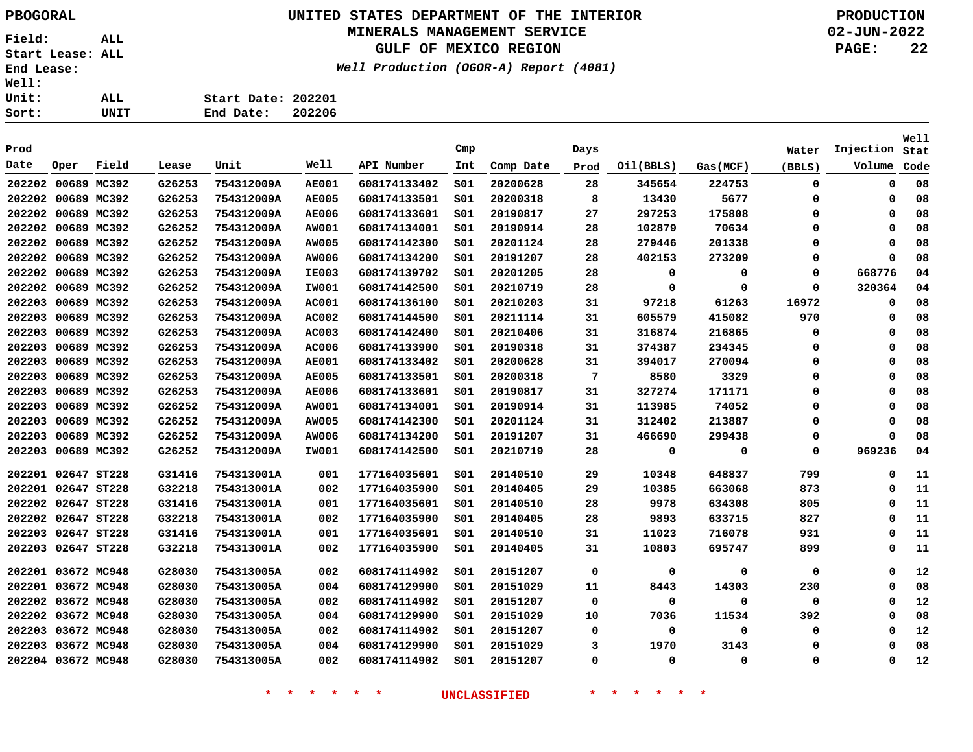# **UNITED STATES DEPARTMENT OF THE INTERIOR PBOGORAL PRODUCTION**

## **MINERALS MANAGEMENT SERVICE**

**GULF OF MEXICO REGION**

**Well Production (OGOR-A) Report (4081)**

**02-JUN-2022 PAGE: 22**

| ALL  | Start Date: 202201 |  |
|------|--------------------|--|
| UNIT | End Date: 202206   |  |
|      |                    |  |

|                    |             |       |        |            |              |              |                 |           |             |             |          |             |             | Well |
|--------------------|-------------|-------|--------|------------|--------------|--------------|-----------------|-----------|-------------|-------------|----------|-------------|-------------|------|
| Prod               |             |       |        |            |              |              | Cmp             |           | Days        |             |          | Water       | Injection   | Stat |
| Date               | Oper        | Field | Lease  | Unit       | Well         | API Number   | Int             | Comp Date | Prod        | Oil(BBLS)   | Gas(MCF) | (BBLS)      | Volume      | Code |
| 202202             | 00689 MC392 |       | G26253 | 754312009A | <b>AE001</b> | 608174133402 | 501             | 20200628  | 28          | 345654      | 224753   | 0           | 0           | 08   |
| 202202             | 00689 MC392 |       | G26253 | 754312009A | <b>AE005</b> | 608174133501 | SO1             | 20200318  | 8           | 13430       | 5677     | 0           | 0           | 08   |
| 202202             | 00689 MC392 |       | G26253 | 754312009A | <b>AE006</b> | 608174133601 | SO1             | 20190817  | 27          | 297253      | 175808   | 0           | $\Omega$    | 08   |
| 202202             | 00689 MC392 |       | G26252 | 754312009A | <b>AW001</b> | 608174134001 | S01             | 20190914  | 28          | 102879      | 70634    | 0           | $\Omega$    | 08   |
| 202202 00689 MC392 |             |       | G26252 | 754312009A | AW005        | 608174142300 | S01             | 20201124  | 28          | 279446      | 201338   | 0           | $\Omega$    | 08   |
| 202202 00689 MC392 |             |       | G26252 | 754312009A | AW006        | 608174134200 | SO1             | 20191207  | 28          | 402153      | 273209   | 0           | $\Omega$    | 08   |
| 202202             | 00689 MC392 |       | G26253 | 754312009A | <b>IE003</b> | 608174139702 | SO1             | 20201205  | 28          | 0           | 0        | 0           | 668776      | 04   |
| 202202             | 00689 MC392 |       | G26252 | 754312009A | <b>IW001</b> | 608174142500 | SO1             | 20210719  | 28          | $\Omega$    | $\Omega$ | $\mathbf 0$ | 320364      | 04   |
| 202203             | 00689 MC392 |       | G26253 | 754312009A | <b>AC001</b> | 608174136100 | SO1             | 20210203  | 31          | 97218       | 61263    | 16972       | 0           | 08   |
| 202203             | 00689 MC392 |       | G26253 | 754312009A | <b>AC002</b> | 608174144500 | SO1             | 20211114  | 31          | 605579      | 415082   | 970         | 0           | 08   |
| 202203             | 00689 MC392 |       | G26253 | 754312009A | <b>AC003</b> | 608174142400 | 501             | 20210406  | 31          | 316874      | 216865   | 0           | $\mathbf 0$ | 08   |
| 202203             | 00689 MC392 |       | G26253 | 754312009A | <b>AC006</b> | 608174133900 | 501             | 20190318  | 31          | 374387      | 234345   | 0           | $\mathbf 0$ | 08   |
| 202203             | 00689 MC392 |       | G26253 | 754312009A | <b>AE001</b> | 608174133402 | 501             | 20200628  | 31          | 394017      | 270094   | 0           | $\mathbf 0$ | 08   |
| 202203             | 00689 MC392 |       | G26253 | 754312009A | <b>AE005</b> | 608174133501 | S01             | 20200318  | 7           | 8580        | 3329     | 0           | $\Omega$    | 08   |
| 202203             | 00689 MC392 |       | G26253 | 754312009A | <b>AE006</b> | 608174133601 | SO1             | 20190817  | 31          | 327274      | 171171   | 0           | $\Omega$    | 08   |
| 202203             | 00689 MC392 |       | G26252 | 754312009A | <b>AW001</b> | 608174134001 | SO1             | 20190914  | 31          | 113985      | 74052    | 0           | $\Omega$    | 08   |
| 202203             | 00689 MC392 |       | G26252 | 754312009A | AW005        | 608174142300 | SO1             | 20201124  | 31          | 312402      | 213887   | 0           | 0           | 08   |
| 202203             | 00689 MC392 |       | G26252 | 754312009A | <b>AW006</b> | 608174134200 | S01             | 20191207  | 31          | 466690      | 299438   | 0           | $\mathbf 0$ | 08   |
| 202203             | 00689 MC392 |       | G26252 | 754312009A | IW001        | 608174142500 | SO1             | 20210719  | 28          | 0           | 0        | 0           | 969236      | 04   |
| 202201             | 02647 ST228 |       | G31416 | 754313001A | 001          | 177164035601 | S <sub>01</sub> | 20140510  | 29          | 10348       | 648837   | 799         | $\mathbf 0$ | 11   |
| 202201 02647 ST228 |             |       | G32218 | 754313001A | 002          | 177164035900 | SO1             | 20140405  | 29          | 10385       | 663068   | 873         | $\mathbf 0$ | 11   |
| 202202 02647 ST228 |             |       | G31416 | 754313001A | 001          | 177164035601 | SO1             | 20140510  | 28          | 9978        | 634308   | 805         | $\mathbf 0$ | 11   |
| 202202 02647 ST228 |             |       | G32218 | 754313001A | 002          | 177164035900 | 501             | 20140405  | 28          | 9893        | 633715   | 827         | $\mathbf 0$ | 11   |
| 202203 02647 ST228 |             |       | G31416 | 754313001A | 001          | 177164035601 | S01             | 20140510  | 31          | 11023       | 716078   | 931         | $\mathbf 0$ | 11   |
| 202203             | 02647 ST228 |       | G32218 | 754313001A | 002          | 177164035900 | 501             | 20140405  | 31          | 10803       | 695747   | 899         | 0           | 11   |
|                    |             |       |        |            |              |              |                 |           |             |             |          |             |             |      |
| 202201 03672 MC948 |             |       | G28030 | 754313005A | 002          | 608174114902 | 501             | 20151207  | $\mathbf 0$ | 0           | 0        | 0           | $\mathbf 0$ | 12   |
| 202201 03672 MC948 |             |       | G28030 | 754313005A | 004          | 608174129900 | SO1             | 20151029  | 11          | 8443        | 14303    | 230         | $\Omega$    | 08   |
| 202202 03672 MC948 |             |       | G28030 | 754313005A | 002          | 608174114902 | s01             | 20151207  | 0           | 0           | $\Omega$ | 0           | 0           | 12   |
| 202202 03672 MC948 |             |       | G28030 | 754313005A | 004          | 608174129900 | s01             | 20151029  | 10          | 7036        | 11534    | 392         | $\Omega$    | 08   |
| 202203 03672 MC948 |             |       | G28030 | 754313005A | 002          | 608174114902 | 501             | 20151207  | 0           | 0           | 0        | 0           | 0           | 12   |
| 202203             | 03672 MC948 |       | G28030 | 754313005A | 004          | 608174129900 | S01             | 20151029  | 3           | 1970        | 3143     | 0           | $\mathbf 0$ | 08   |
| 202204 03672 MC948 |             |       | G28030 | 754313005A | 002          | 608174114902 | S <sub>01</sub> | 20151207  | $\mathbf 0$ | $\mathbf 0$ | 0        | $\mathbf 0$ | $\Omega$    | 12   |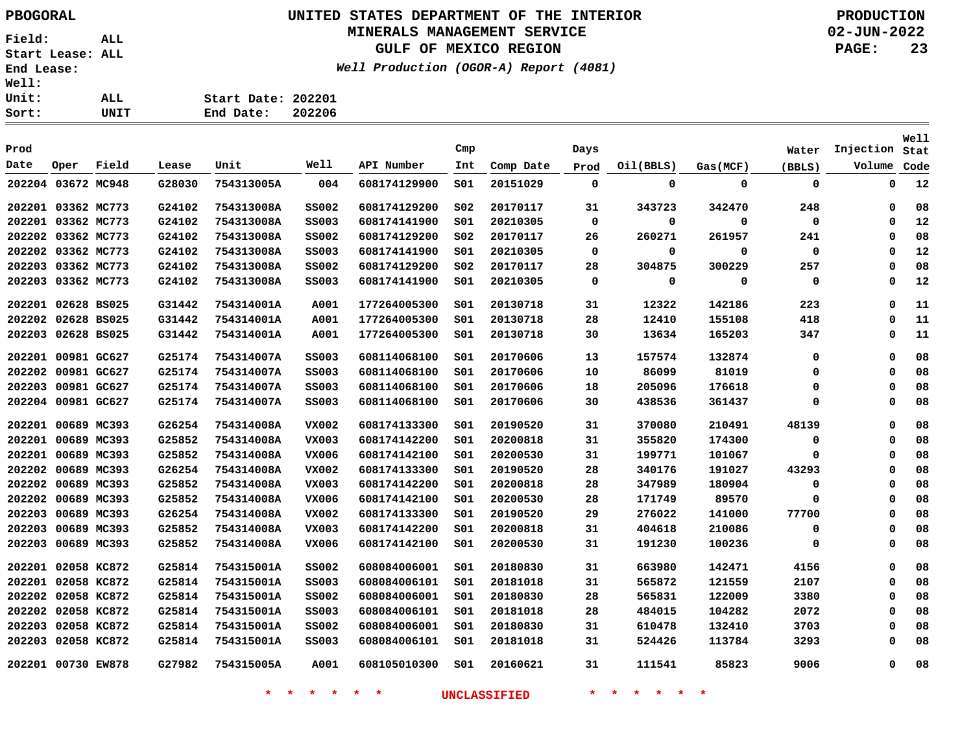Sort:

**Field: ALL Start Lease: ALL End Lease: Well: Unit:** 

**UNITED STATES DEPARTMENT OF THE INTERIOR PBOGORAL PRODUCTION**

## **MINERALS MANAGEMENT SERVICE**

**GULF OF MEXICO REGION**

**Well Production (OGOR-A) Report (4081)**

**02-JUN-2022 PAGE: 23**

| ALL. | Start Date: 202201 |  |
|------|--------------------|--|
| UNIT | End Date: 202206   |  |

|                    |             |       |        |            |              |              |                 |           |             |           |          |             |             | <b>Well</b> |
|--------------------|-------------|-------|--------|------------|--------------|--------------|-----------------|-----------|-------------|-----------|----------|-------------|-------------|-------------|
| Prod               |             |       |        |            |              |              | Cmp             |           | Days        |           |          | Water       | Injection   | Stat        |
| Date               | Oper        | Field | Lease  | Unit       | Well         | API Number   | Int             | Comp Date | Prod        | Oil(BBLS) | Gas(MCF) | (BBLS)      | Volume      | Code        |
| 202204 03672 MC948 |             |       | G28030 | 754313005A | 004          | 608174129900 | SO1             | 20151029  | 0           | 0         | 0        | 0           | 0           | 12          |
| 202201 03362 MC773 |             |       | G24102 | 754313008A | <b>SS002</b> | 608174129200 | SO <sub>2</sub> | 20170117  | 31          | 343723    | 342470   | 248         | $\mathbf 0$ | 08          |
| 202201 03362 MC773 |             |       | G24102 | 754313008A | SS003        | 608174141900 | SO1             | 20210305  | 0           | 0         | 0        | 0           | 0           | 12          |
| 202202             | 03362 MC773 |       | G24102 | 754313008A | SS002        | 608174129200 | SO <sub>2</sub> | 20170117  | 26          | 260271    | 261957   | 241         | 0           | 08          |
| 202202 03362 MC773 |             |       | G24102 | 754313008A | <b>SS003</b> | 608174141900 | SO1             | 20210305  | 0           | 0         | 0        | 0           | 0           | 12          |
| 202203 03362 MC773 |             |       | G24102 | 754313008A | <b>SS002</b> | 608174129200 | SO <sub>2</sub> | 20170117  | 28          | 304875    | 300229   | 257         | 0           | 08          |
| 202203 03362 MC773 |             |       | G24102 | 754313008A | <b>SS003</b> | 608174141900 | SO1             | 20210305  | $\mathbf 0$ | 0         | 0        | $\mathbf 0$ | $\mathbf 0$ | 12          |
| 202201 02628 BS025 |             |       | G31442 | 754314001A | A001         | 177264005300 | SO1             | 20130718  | 31          | 12322     | 142186   | 223         | 0           | 11          |
| 202202 02628 BS025 |             |       | G31442 | 754314001A | A001         | 177264005300 | SO1             | 20130718  | 28          | 12410     | 155108   | 418         | 0           | 11          |
| 202203 02628 BS025 |             |       | G31442 | 754314001A | A001         | 177264005300 | SO1             | 20130718  | 30          | 13634     | 165203   | 347         | 0           | 11          |
| 202201 00981 GC627 |             |       | G25174 | 754314007A | <b>SS003</b> | 608114068100 | SO1             | 20170606  | 13          | 157574    | 132874   | 0           | 0           | 08          |
| 202202 00981 GC627 |             |       | G25174 | 754314007A | <b>SS003</b> | 608114068100 | SO1             | 20170606  | 10          | 86099     | 81019    | 0           | 0           | 08          |
| 202203 00981 GC627 |             |       | G25174 | 754314007A | <b>SS003</b> | 608114068100 | SO1             | 20170606  | 18          | 205096    | 176618   | 0           | 0           | 08          |
| 202204 00981 GC627 |             |       | G25174 | 754314007A | <b>SS003</b> | 608114068100 | SO1             | 20170606  | 30          | 438536    | 361437   | 0           | 0           | 08          |
| 202201             | 00689 MC393 |       | G26254 | 754314008A | VX002        | 608174133300 | SO1             | 20190520  | 31          | 370080    | 210491   | 48139       | $\mathbf 0$ | 08          |
| 202201             | 00689 MC393 |       | G25852 | 754314008A | VX003        | 608174142200 | SO1             | 20200818  | 31          | 355820    | 174300   | 0           | 0           | 08          |
| 202201 00689 MC393 |             |       | G25852 | 754314008A | VX006        | 608174142100 | SO1             | 20200530  | 31          | 199771    | 101067   | 0           | 0           | 08          |
| 202202 00689 MC393 |             |       | G26254 | 754314008A | VX002        | 608174133300 | SO1             | 20190520  | 28          | 340176    | 191027   | 43293       | 0           | 08          |
| 202202 00689 MC393 |             |       | G25852 | 754314008A | VX003        | 608174142200 | SO1             | 20200818  | 28          | 347989    | 180904   | 0           | $\mathbf 0$ | 08          |
| 202202 00689 MC393 |             |       | G25852 | 754314008A | VX006        | 608174142100 | SO1             | 20200530  | 28          | 171749    | 89570    | 0           | 0           | 08          |
| 202203 00689 MC393 |             |       | G26254 | 754314008A | VX002        | 608174133300 | SO1             | 20190520  | 29          | 276022    | 141000   | 77700       | $\mathbf 0$ | 08          |
| 202203 00689 MC393 |             |       | G25852 | 754314008A | VX003        | 608174142200 | SO1             | 20200818  | 31          | 404618    | 210086   | 0           | 0           | 08          |
| 202203 00689 MC393 |             |       | G25852 | 754314008A | VX006        | 608174142100 | SO1             | 20200530  | 31          | 191230    | 100236   | 0           | 0           | 08          |
| 202201 02058 KC872 |             |       | G25814 | 754315001A | SS002        | 608084006001 | SO1             | 20180830  | 31          | 663980    | 142471   | 4156        | $\mathbf 0$ | 08          |
| 202201 02058 KC872 |             |       | G25814 | 754315001A | <b>SS003</b> | 608084006101 | SO1             | 20181018  | 31          | 565872    | 121559   | 2107        | 0           | 08          |
| 202202 02058 KC872 |             |       | G25814 | 754315001A | <b>SS002</b> | 608084006001 | SO1             | 20180830  | 28          | 565831    | 122009   | 3380        | 0           | 08          |
| 202202 02058 KC872 |             |       | G25814 | 754315001A | <b>SS003</b> | 608084006101 | SO1             | 20181018  | 28          | 484015    | 104282   | 2072        | 0           | 08          |
| 202203 02058 KC872 |             |       | G25814 | 754315001A | <b>SS002</b> | 608084006001 | SO1             | 20180830  | 31          | 610478    | 132410   | 3703        | 0           | 08          |
| 202203 02058 KC872 |             |       | G25814 | 754315001A | SS003        | 608084006101 | SO1             | 20181018  | 31          | 524426    | 113784   | 3293        | 0           | 08          |
| 202201 00730 EW878 |             |       | G27982 | 754315005A | A001         | 608105010300 | SO1             | 20160621  | 31          | 111541    | 85823    | 9006        | $\mathbf 0$ | 08          |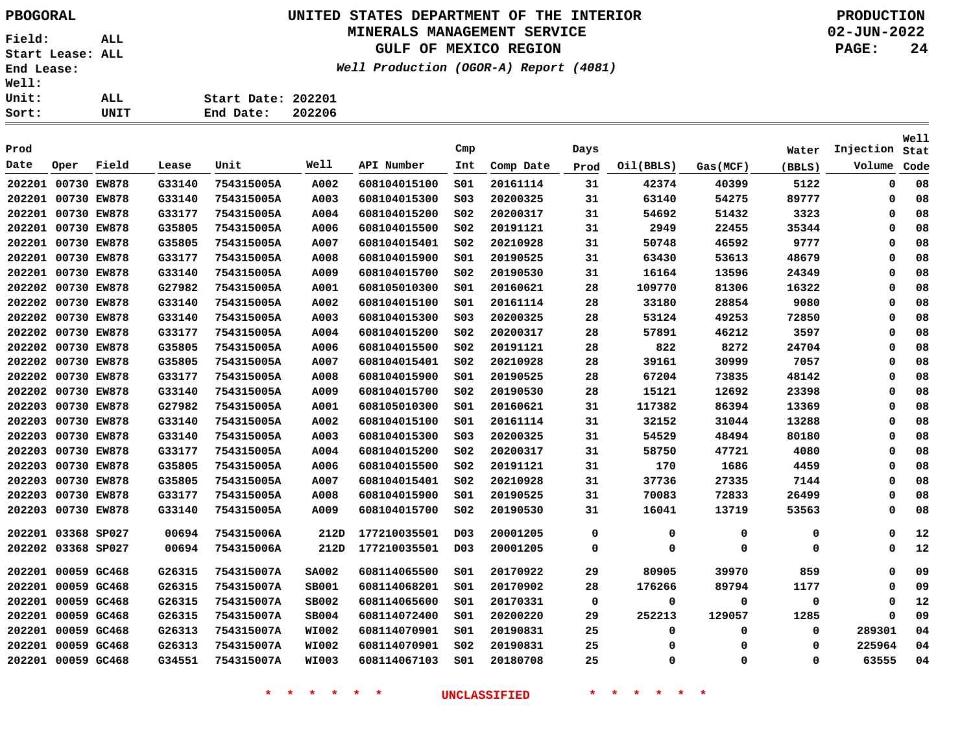### **UNITED STATES DEPARTMENT OF THE INTERIOR PBOGORAL PRODUCTION MINERALS MANAGEMENT SERVICE**

**GULF OF MEXICO REGION**

**Well Production (OGOR-A) Report (4081)**

**02-JUN-2022 PAGE: 24**

| ະ: | UNIT | End Date:          | 202206 |
|----|------|--------------------|--------|
| ະ: | ALL. | Start Date: 202201 |        |
| L: |      |                    |        |

| Prod   |                    |       |        |            |              |              | Cmp              |           | Days |           |          | Water  | Injection   | Well<br>Stat |
|--------|--------------------|-------|--------|------------|--------------|--------------|------------------|-----------|------|-----------|----------|--------|-------------|--------------|
| Date   | Oper               | Field | Lease  | Unit       | Well         | API Number   | Int              | Comp Date | Prod | Oil(BBLS) | Gas(MCF) | (BBLS) | Volume      | Code         |
|        | 202201 00730 EW878 |       | G33140 | 754315005A | A002         | 608104015100 | SO1              | 20161114  | 31   | 42374     | 40399    | 5122   | $\mathbf 0$ | 08           |
|        | 202201 00730 EW878 |       | G33140 | 754315005A | A003         | 608104015300 | SO <sub>3</sub>  | 20200325  | 31   | 63140     | 54275    | 89777  | $\mathbf 0$ | 08           |
|        | 202201 00730 EW878 |       | G33177 | 754315005A | A004         | 608104015200 | SO <sub>2</sub>  | 20200317  | 31   | 54692     | 51432    | 3323   | 0           | 08           |
|        | 202201 00730 EW878 |       | G35805 | 754315005A | A006         | 608104015500 | SO <sub>2</sub>  | 20191121  | 31   | 2949      | 22455    | 35344  | $\mathbf 0$ | 08           |
|        | 202201 00730 EW878 |       | G35805 | 754315005A | A007         | 608104015401 | SO <sub>2</sub>  | 20210928  | 31   | 50748     | 46592    | 9777   | $\mathbf 0$ | 08           |
| 202201 | 00730 EW878        |       | G33177 | 754315005A | A008         | 608104015900 | S01              | 20190525  | 31   | 63430     | 53613    | 48679  | 0           | 08           |
|        | 202201 00730 EW878 |       | G33140 | 754315005A | A009         | 608104015700 | SO <sub>2</sub>  | 20190530  | 31   | 16164     | 13596    | 24349  | 0           | 08           |
|        | 202202 00730 EW878 |       | G27982 | 754315005A | A001         | 608105010300 | SO1              | 20160621  | 28   | 109770    | 81306    | 16322  | $\mathbf 0$ | 08           |
|        | 202202 00730 EW878 |       | G33140 | 754315005A | A002         | 608104015100 | S01              | 20161114  | 28   | 33180     | 28854    | 9080   | 0           | 08           |
|        | 202202 00730 EW878 |       | G33140 | 754315005A | A003         | 608104015300 | S03              | 20200325  | 28   | 53124     | 49253    | 72850  | $\mathbf 0$ | 08           |
|        | 202202 00730 EW878 |       | G33177 | 754315005A | A004         | 608104015200 | SO <sub>2</sub>  | 20200317  | 28   | 57891     | 46212    | 3597   | 0           | 08           |
|        | 202202 00730 EW878 |       | G35805 | 754315005A | A006         | 608104015500 | S02              | 20191121  | 28   | 822       | 8272     | 24704  | 0           | 08           |
|        | 202202 00730 EW878 |       | G35805 | 754315005A | A007         | 608104015401 | SO <sub>2</sub>  | 20210928  | 28   | 39161     | 30999    | 7057   | 0           | 08           |
|        | 202202 00730 EW878 |       | G33177 | 754315005A | A008         | 608104015900 | S01              | 20190525  | 28   | 67204     | 73835    | 48142  | 0           | 08           |
|        | 202202 00730 EW878 |       | G33140 | 754315005A | A009         | 608104015700 | S02              | 20190530  | 28   | 15121     | 12692    | 23398  | 0           | 08           |
| 202203 | 00730 EW878        |       | G27982 | 754315005A | A001         | 608105010300 | SO1              | 20160621  | 31   | 117382    | 86394    | 13369  | 0           | 08           |
| 202203 | 00730 EW878        |       | G33140 | 754315005A | A002         | 608104015100 | S01              | 20161114  | 31   | 32152     | 31044    | 13288  | $\mathbf 0$ | 08           |
|        | 202203 00730 EW878 |       | G33140 | 754315005A | A003         | 608104015300 | SO <sub>3</sub>  | 20200325  | 31   | 54529     | 48494    | 80180  | 0           | 08           |
|        | 202203 00730 EW878 |       | G33177 | 754315005A | A004         | 608104015200 | S02              | 20200317  | 31   | 58750     | 47721    | 4080   | 0           | 08           |
|        | 202203 00730 EW878 |       | G35805 | 754315005A | A006         | 608104015500 | SO <sub>2</sub>  | 20191121  | 31   | 170       | 1686     | 4459   | 0           | 08           |
|        | 202203 00730 EW878 |       | G35805 | 754315005A | A007         | 608104015401 | SO <sub>2</sub>  | 20210928  | 31   | 37736     | 27335    | 7144   | $\mathbf 0$ | 08           |
|        | 202203 00730 EW878 |       | G33177 | 754315005A | A008         | 608104015900 | SO1              | 20190525  | 31   | 70083     | 72833    | 26499  | 0           | 08           |
|        | 202203 00730 EW878 |       | G33140 | 754315005A | A009         | 608104015700 | SO <sub>2</sub>  | 20190530  | 31   | 16041     | 13719    | 53563  | $\mathbf 0$ | 08           |
|        | 202201 03368 SP027 |       | 00694  | 754315006A | 212D         | 177210035501 | D <sub>0</sub> 3 | 20001205  | 0    | 0         | 0        | 0      | $\mathbf 0$ | 12           |
|        | 202202 03368 SP027 |       | 00694  | 754315006A | 212D         | 177210035501 | D <sub>0</sub> 3 | 20001205  | 0    | 0         | 0        | 0      | $\mathbf 0$ | 12           |
| 202201 | 00059 GC468        |       | G26315 | 754315007A | <b>SA002</b> | 608114065500 | SO1              | 20170922  | 29   | 80905     | 39970    | 859    | $\mathbf 0$ | 09           |
|        | 202201 00059 GC468 |       | G26315 | 754315007A | SB001        | 608114068201 | S01              | 20170902  | 28   | 176266    | 89794    | 1177   | 0           | 09           |
|        | 202201 00059 GC468 |       | G26315 | 754315007A | SB002        | 608114065600 | SO1              | 20170331  | 0    | 0         | 0        | 0      | 0           | 12           |
|        | 202201 00059 GC468 |       | G26315 | 754315007A | SB004        | 608114072400 | S01              | 20200220  | 29   | 252213    | 129057   | 1285   | $\mathbf 0$ | 09           |
|        | 202201 00059 GC468 |       | G26313 | 754315007A | <b>WI002</b> | 608114070901 | s01              | 20190831  | 25   | 0         | $\Omega$ | 0      | 289301      | 04           |
| 202201 | 00059 GC468        |       | G26313 | 754315007A | <b>WI002</b> | 608114070901 | SO <sub>2</sub>  | 20190831  | 25   | 0         | $\Omega$ | 0      | 225964      | 04           |
|        | 202201 00059 GC468 |       | G34551 | 754315007A | <b>WI003</b> | 608114067103 | SO1              | 20180708  | 25   | $\Omega$  | $\Omega$ | 0      | 63555       | 04           |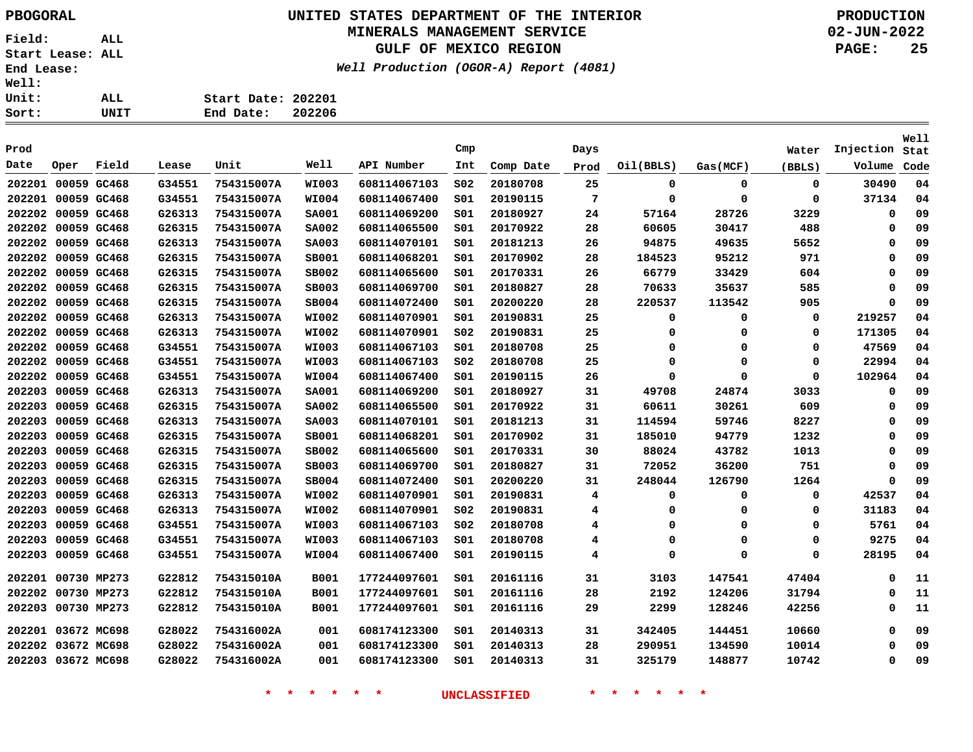# **UNITED STATES DEPARTMENT OF THE INTERIOR PBOGORAL PRODUCTION**

## **MINERALS MANAGEMENT SERVICE**

**GULF OF MEXICO REGION**

**Well Production (OGOR-A) Report (4081)**

**02-JUN-2022 PAGE: 25**

| Sort:        | UNIT | 202206<br>End Date: |
|--------------|------|---------------------|
| Unit:        | ALL  | Start Date: 202201  |
| <b>Well:</b> |      |                     |

| Prod   |                    |             |        |            |              |              | Cmp             |           | Days |             |             | Water       | Injection | Well<br>Stat |
|--------|--------------------|-------------|--------|------------|--------------|--------------|-----------------|-----------|------|-------------|-------------|-------------|-----------|--------------|
| Date   | Oper               | Field       | Lease  | Unit       | Well         | API Number   | Int             | Comp Date | Prod | Oil(BBLS)   | Gas(MCF)    | (BBLS)      | Volume    | Code         |
| 202201 | 00059 GC468        |             | G34551 | 754315007A | <b>WI003</b> | 608114067103 | SO <sub>2</sub> | 20180708  | 25   | 0           | $\mathbf 0$ | $\mathbf 0$ | 30490     | 04           |
|        | 202201 00059 GC468 |             | G34551 | 754315007A | <b>WI004</b> | 608114067400 | SO1             | 20190115  | 7    | 0           | 0           | 0           | 37134     | 04           |
| 202202 | 00059 GC468        |             | G26313 | 754315007A | <b>SA001</b> | 608114069200 | SO1             | 20180927  | 24   | 57164       | 28726       | 3229        | 0         | 09           |
| 202202 | 00059 GC468        |             | G26315 | 754315007A | <b>SA002</b> | 608114065500 | 501             | 20170922  | 28   | 60605       | 30417       | 488         | 0         | 09           |
| 202202 | 00059 GC468        |             | G26313 | 754315007A | <b>SA003</b> | 608114070101 | SO1             | 20181213  | 26   | 94875       | 49635       | 5652        | 0         | 09           |
| 202202 | 00059 GC468        |             | G26315 | 754315007A | <b>SB001</b> | 608114068201 | SO1             | 20170902  | 28   | 184523      | 95212       | 971         | 0         | 09           |
| 202202 | 00059 GC468        |             | G26315 | 754315007A | SB002        | 608114065600 | SO1             | 20170331  | 26   | 66779       | 33429       | 604         | 0         | 09           |
| 202202 | 00059 GC468        |             | G26315 | 754315007A | SB003        | 608114069700 | SO1             | 20180827  | 28   | 70633       | 35637       | 585         | $\Omega$  | 09           |
| 202202 | 00059 GC468        |             | G26315 | 754315007A | <b>SB004</b> | 608114072400 | SO1             | 20200220  | 28   | 220537      | 113542      | 905         | $\Omega$  | 09           |
| 202202 | 00059 GC468        |             | G26313 | 754315007A | WI002        | 608114070901 | SO1             | 20190831  | 25   | 0           | 0           | 0           | 219257    | 04           |
| 202202 | 00059 GC468        |             | G26313 | 754315007A | <b>WI002</b> | 608114070901 | SO <sub>2</sub> | 20190831  | 25   | 0           | 0           | 0           | 171305    | 04           |
| 202202 | 00059 GC468        |             | G34551 | 754315007A | WI003        | 608114067103 | S01             | 20180708  | 25   | 0           | 0           | 0           | 47569     | 04           |
| 202202 | 00059 GC468        |             | G34551 | 754315007A | <b>WI003</b> | 608114067103 | SO <sub>2</sub> | 20180708  | 25   | 0           | $\Omega$    | 0           | 22994     | 04           |
| 202202 | 00059 GC468        |             | G34551 | 754315007A | <b>WI004</b> | 608114067400 | SO1             | 20190115  | 26   | $\Omega$    | $\Omega$    | 0           | 102964    | 04           |
| 202203 |                    | 00059 GC468 | G26313 | 754315007A | <b>SA001</b> | 608114069200 | SO1             | 20180927  | 31   | 49708       | 24874       | 3033        | 0         | 09           |
| 202203 |                    | 00059 GC468 | G26315 | 754315007A | <b>SA002</b> | 608114065500 | SO1             | 20170922  | 31   | 60611       | 30261       | 609         | 0         | 09           |
| 202203 | 00059 GC468        |             | G26313 | 754315007A | <b>SA003</b> | 608114070101 | s01             | 20181213  | 31   | 114594      | 59746       | 8227        | 0         | 09           |
| 202203 |                    | 00059 GC468 | G26315 | 754315007A | <b>SB001</b> | 608114068201 | SO1             | 20170902  | 31   | 185010      | 94779       | 1232        | 0         | 09           |
| 202203 | 00059 GC468        |             | G26315 | 754315007A | SB002        | 608114065600 | 501             | 20170331  | 30   | 88024       | 43782       | 1013        | $\Omega$  | 09           |
| 202203 | 00059 GC468        |             | G26315 | 754315007A | <b>SB003</b> | 608114069700 | SO1             | 20180827  | 31   | 72052       | 36200       | 751         | $\Omega$  | 09           |
| 202203 | 00059 GC468        |             | G26315 | 754315007A | <b>SB004</b> | 608114072400 | SO1             | 20200220  | 31   | 248044      | 126790      | 1264        | $\Omega$  | 09           |
| 202203 | 00059 GC468        |             | G26313 | 754315007A | WI002        | 608114070901 | SO1             | 20190831  | 4    | 0           | 0           | 0           | 42537     | 04           |
| 202203 | 00059 GC468        |             | G26313 | 754315007A | <b>WI002</b> | 608114070901 | SO <sub>2</sub> | 20190831  | 4    | 0           | $\Omega$    | 0           | 31183     | 04           |
| 202203 | 00059 GC468        |             | G34551 | 754315007A | WI003        | 608114067103 | SO <sub>2</sub> | 20180708  | 4    | 0           | $\Omega$    | 0           | 5761      | 04           |
| 202203 |                    | 00059 GC468 | G34551 | 754315007A | WI003        | 608114067103 | 501             | 20180708  | 4    | 0           | 0           | 0           | 9275      | 04           |
| 202203 |                    | 00059 GC468 | G34551 | 754315007A | WI004        | 608114067400 | 501             | 20190115  | 4    | $\mathbf 0$ | $\Omega$    | $\Omega$    | 28195     | 04           |
| 202201 | 00730 MP273        |             | G22812 | 754315010A | <b>B001</b>  | 177244097601 | SO1             | 20161116  | 31   | 3103        | 147541      | 47404       | $\Omega$  | 11           |
| 202202 | 00730 MP273        |             | G22812 | 754315010A | <b>B001</b>  | 177244097601 | s01             | 20161116  | 28   | 2192        | 124206      | 31794       | 0         | 11           |
| 202203 | 00730 MP273        |             | G22812 | 754315010A | <b>B001</b>  | 177244097601 | SO1             | 20161116  | 29   | 2299        | 128246      | 42256       | 0         | 11           |
|        | 202201 03672 MC698 |             | G28022 | 754316002A | 001          | 608174123300 | SO1             | 20140313  | 31   | 342405      | 144451      | 10660       | 0         | 09           |
| 202202 | 03672 MC698        |             | G28022 | 754316002A | 001          | 608174123300 | S01             | 20140313  | 28   | 290951      | 134590      | 10014       | 0         | 09           |
|        | 202203 03672 MC698 |             | G28022 | 754316002A | 001          | 608174123300 | SO1             | 20140313  | 31   | 325179      | 148877      | 10742       | $\Omega$  | 09           |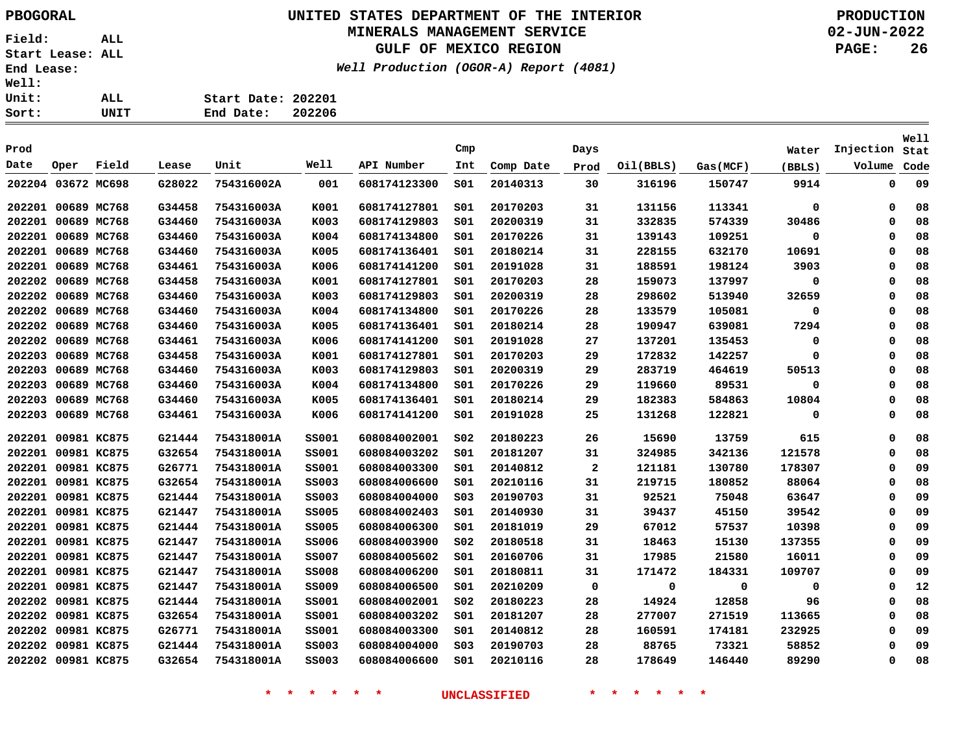### **UNITED STATES DEPARTMENT OF THE INTERIOR PBOGORAL PRODUCTION MINERALS MANAGEMENT SERVICE**

**GULF OF MEXICO REGION**

**Well Production (OGOR-A) Report (4081)**

**02-JUN-2022 PAGE: 26**

| Start Date: 202201 |         |
|--------------------|---------|
| Fnd Date:          | ່າດາາດຂ |

| .      |                    | ᄖᄔ          |        | anu vate:  | 202200       |              |                 |           |              |           |          |             |           |                     |
|--------|--------------------|-------------|--------|------------|--------------|--------------|-----------------|-----------|--------------|-----------|----------|-------------|-----------|---------------------|
| Prod   |                    |             |        |            |              |              | Cmp             |           | Days         |           |          | Water       | Injection | <b>Well</b><br>Stat |
| Date   | Oper               | Field       | Lease  | Unit       | Well         | API Number   | Int             | Comp Date | Prod         | Oil(BBLS) | Gas(MCF) | (BBLS)      | Volume    | Code                |
|        | 202204 03672 MC698 |             | G28022 | 754316002A | 001          | 608174123300 | SO1             | 20140313  | 30           | 316196    | 150747   | 9914        | 0         | 09                  |
|        | 202201 00689 MC768 |             | G34458 | 754316003A | K001         | 608174127801 | s01             | 20170203  | 31           | 131156    | 113341   | $\mathbf 0$ | 0         | 08                  |
|        | 202201 00689 MC768 |             | G34460 | 754316003A | K003         | 608174129803 | SO1             | 20200319  | 31           | 332835    | 574339   | 30486       | $\Omega$  | 08                  |
|        | 202201 00689 MC768 |             | G34460 | 754316003A | K004         | 608174134800 | SO1             | 20170226  | 31           | 139143    | 109251   | 0           | $\Omega$  | 08                  |
| 202201 |                    | 00689 MC768 | G34460 | 754316003A | K005         | 608174136401 | S01             | 20180214  | 31           | 228155    | 632170   | 10691       | 0         | 08                  |
|        | 202201 00689 MC768 |             | G34461 | 754316003A | K006         | 608174141200 | SO1             | 20191028  | 31           | 188591    | 198124   | 3903        | $\Omega$  | 08                  |
|        | 202202 00689 MC768 |             | G34458 | 754316003A | K001         | 608174127801 | SO1             | 20170203  | 28           | 159073    | 137997   | 0           | $\Omega$  | 08                  |
| 202202 |                    | 00689 MC768 | G34460 | 754316003A | K003         | 608174129803 | S01             | 20200319  | 28           | 298602    | 513940   | 32659       | $\Omega$  | 08                  |
| 202202 |                    | 00689 MC768 | G34460 | 754316003A | K004         | 608174134800 | SO1             | 20170226  | 28           | 133579    | 105081   | 0           | $\Omega$  | 08                  |
|        | 202202 00689 MC768 |             | G34460 | 754316003A | K005         | 608174136401 | SO1             | 20180214  | 28           | 190947    | 639081   | 7294        | $\Omega$  | 08                  |
|        | 202202 00689 MC768 |             | G34461 | 754316003A | K006         | 608174141200 | SO1             | 20191028  | 27           | 137201    | 135453   | 0           | $\Omega$  | 08                  |
| 202203 |                    | 00689 MC768 | G34458 | 754316003A | K001         | 608174127801 | SO1             | 20170203  | 29           | 172832    | 142257   | 0           | $\Omega$  | 08                  |
| 202203 |                    | 00689 MC768 | G34460 | 754316003A | K003         | 608174129803 | SO1             | 20200319  | 29           | 283719    | 464619   | 50513       | $\Omega$  | 08                  |
| 202203 |                    | 00689 MC768 | G34460 | 754316003A | K004         | 608174134800 | SO1             | 20170226  | 29           | 119660    | 89531    | $\mathbf 0$ | $\Omega$  | 08                  |
| 202203 |                    | 00689 MC768 | G34460 | 754316003A | K005         | 608174136401 | S01             | 20180214  | 29           | 182383    | 584863   | 10804       | 0         | 08                  |
| 202203 |                    | 00689 MC768 | G34461 | 754316003A | K006         | 608174141200 | S01             | 20191028  | 25           | 131268    | 122821   | 0           | $\Omega$  | 08                  |
|        | 202201 00981 KC875 |             | G21444 | 754318001A | <b>SS001</b> | 608084002001 | SO <sub>2</sub> | 20180223  | 26           | 15690     | 13759    | 615         | 0         | 08                  |
|        | 202201 00981 KC875 |             | G32654 | 754318001A | ss001        | 608084003202 | SO1             | 20181207  | 31           | 324985    | 342136   | 121578      | $\Omega$  | 08                  |
|        | 202201 00981 KC875 |             | G26771 | 754318001A | ss001        | 608084003300 | SO1             | 20140812  | $\mathbf{2}$ | 121181    | 130780   | 178307      | $\Omega$  | 09                  |
|        | 202201 00981 KC875 |             | G32654 | 754318001A | <b>SS003</b> | 608084006600 | S01             | 20210116  | 31           | 219715    | 180852   | 88064       | $\Omega$  | 08                  |
|        | 202201 00981 KC875 |             | G21444 | 754318001A | <b>SS003</b> | 608084004000 | S03             | 20190703  | 31           | 92521     | 75048    | 63647       | $\Omega$  | 09                  |
|        | 202201 00981 KC875 |             | G21447 | 754318001A | <b>SS005</b> | 608084002403 | SO1             | 20140930  | 31           | 39437     | 45150    | 39542       | $\Omega$  | 09                  |
|        | 202201 00981 KC875 |             | G21444 | 754318001A | <b>SS005</b> | 608084006300 | SO1             | 20181019  | 29           | 67012     | 57537    | 10398       | $\Omega$  | 09                  |
|        | 202201 00981 KC875 |             | G21447 | 754318001A | <b>SS006</b> | 608084003900 | S02             | 20180518  | 31           | 18463     | 15130    | 137355      | 0         | 09                  |
|        | 202201 00981 KC875 |             | G21447 | 754318001A | <b>SS007</b> | 608084005602 | SO1             | 20160706  | 31           | 17985     | 21580    | 16011       | $\Omega$  | 09                  |
|        | 202201 00981 KC875 |             | G21447 | 754318001A | <b>SS008</b> | 608084006200 | SO1             | 20180811  | 31           | 171472    | 184331   | 109707      | $\Omega$  | 09                  |
|        | 202201 00981 KC875 |             | G21447 | 754318001A | <b>SS009</b> | 608084006500 | SO1             | 20210209  | 0            | 0         | 0        | 0           | 0         | 12                  |
|        | 202202 00981 KC875 |             | G21444 | 754318001A | ss001        | 608084002001 | SO <sub>2</sub> | 20180223  | 28           | 14924     | 12858    | 96          | $\Omega$  | 08                  |
|        | 202202 00981 KC875 |             | G32654 | 754318001A | ss001        | 608084003202 | SO1             | 20181207  | 28           | 277007    | 271519   | 113665      | $\Omega$  | 08                  |
|        | 202202 00981 KC875 |             | G26771 | 754318001A | ss001        | 608084003300 | S01             | 20140812  | 28           | 160591    | 174181   | 232925      | $\Omega$  | 09                  |
|        | 202202 00981 KC875 |             | G21444 | 754318001A | <b>SS003</b> | 608084004000 | SO <sub>3</sub> | 20190703  | 28           | 88765     | 73321    | 58852       | $\Omega$  | 09                  |
|        | 202202 00981 KC875 |             | G32654 | 754318001A | <b>SS003</b> | 608084006600 | SO1             | 20210116  | 28           | 178649    | 146440   | 89290       | $\Omega$  | 08                  |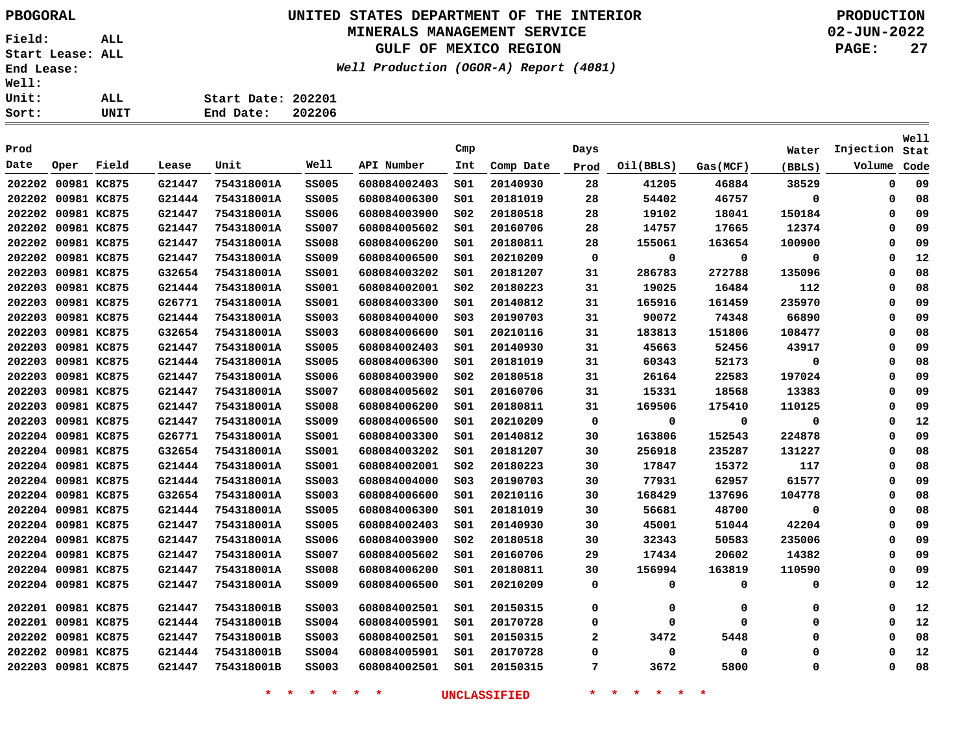### **UNITED STATES DEPARTMENT OF THE INTERIOR PBOGORAL PRODUCTION MINERALS MANAGEMENT SERVICE**

**GULF OF MEXICO REGION**

**Well Production (OGOR-A) Report (4081)**

**02-JUN-2022 PAGE: 27**

|  | Start Date: 202201 |  |
|--|--------------------|--|

**End Date: 202206**

|        |                    |             |        |            |              |              |                 |           |      |           |          |             |           | Well |
|--------|--------------------|-------------|--------|------------|--------------|--------------|-----------------|-----------|------|-----------|----------|-------------|-----------|------|
| Prod   |                    |             |        |            |              |              | Cmp             |           | Days |           |          | Water       | Injection | Stat |
| Date   | Oper               | Field       | Lease  | Unit       | Well         | API Number   | Int             | Comp Date | Prod | Oil(BBLS) | Gas(MCF) | (BBLS)      | Volume    | Code |
|        | 202202 00981 KC875 |             | G21447 | 754318001A | <b>SS005</b> | 608084002403 | SO1             | 20140930  | 28   | 41205     | 46884    | 38529       | $\Omega$  | 09   |
| 202202 | 00981 KC875        |             | G21444 | 754318001A | <b>SS005</b> | 608084006300 | SO1             | 20181019  | 28   | 54402     | 46757    | 0           | 0         | 08   |
|        | 202202 00981 KC875 |             | G21447 | 754318001A | <b>SS006</b> | 608084003900 | SO <sub>2</sub> | 20180518  | 28   | 19102     | 18041    | 150184      | 0         | 09   |
|        | 202202 00981 KC875 |             | G21447 | 754318001A | <b>SS007</b> | 608084005602 | S01             | 20160706  | 28   | 14757     | 17665    | 12374       | 0         | 09   |
|        | 202202 00981 KC875 |             | G21447 | 754318001A | <b>SS008</b> | 608084006200 | S01             | 20180811  | 28   | 155061    | 163654   | 100900      | 0         | 09   |
| 202202 | 00981 KC875        |             | G21447 | 754318001A | <b>SS009</b> | 608084006500 | SO1             | 20210209  | 0    | 0         | 0        | $\mathbf 0$ | $\Omega$  | 12   |
| 202203 | 00981 KC875        |             | G32654 | 754318001A | <b>SS001</b> | 608084003202 | SO1             | 20181207  | 31   | 286783    | 272788   | 135096      | $\Omega$  | 08   |
| 202203 | 00981 KC875        |             | G21444 | 754318001A | <b>SS001</b> | 608084002001 | SO <sub>2</sub> | 20180223  | 31   | 19025     | 16484    | 112         | $\Omega$  | 08   |
| 202203 | 00981 KC875        |             | G26771 | 754318001A | ss001        | 608084003300 | SO1             | 20140812  | 31   | 165916    | 161459   | 235970      | $\Omega$  | 09   |
| 202203 |                    | 00981 KC875 | G21444 | 754318001A | <b>SS003</b> | 608084004000 | SO <sub>3</sub> | 20190703  | 31   | 90072     | 74348    | 66890       | $\Omega$  | 09   |
| 202203 |                    | 00981 KC875 | G32654 | 754318001A | <b>SS003</b> | 608084006600 | SO1             | 20210116  | 31   | 183813    | 151806   | 108477      | 0         | 08   |
| 202203 |                    | 00981 KC875 | G21447 | 754318001A | <b>SS005</b> | 608084002403 | SO1             | 20140930  | 31   | 45663     | 52456    | 43917       | 0         | 09   |
| 202203 |                    | 00981 KC875 | G21444 | 754318001A | <b>SS005</b> | 608084006300 | SO1             | 20181019  | 31   | 60343     | 52173    | $\mathbf 0$ | $\Omega$  | 08   |
| 202203 |                    | 00981 KC875 | G21447 | 754318001A | <b>SS006</b> | 608084003900 | SO <sub>2</sub> | 20180518  | 31   | 26164     | 22583    | 197024      | $\Omega$  | 09   |
| 202203 | 00981 KC875        |             | G21447 | 754318001A | <b>SS007</b> | 608084005602 | SO1             | 20160706  | 31   | 15331     | 18568    | 13383       | $\Omega$  | 09   |
| 202203 | 00981 KC875        |             | G21447 | 754318001A | <b>SS008</b> | 608084006200 | SO1             | 20180811  | 31   | 169506    | 175410   | 110125      | $\Omega$  | 09   |
|        | 202203 00981 KC875 |             | G21447 | 754318001A | <b>SS009</b> | 608084006500 | SO1             | 20210209  | 0    | 0         | 0        | 0           | $\Omega$  | 12   |
|        | 202204 00981 KC875 |             | G26771 | 754318001A | ss001        | 608084003300 | SO1             | 20140812  | 30   | 163806    | 152543   | 224878      | $\Omega$  | 09   |
|        | 202204 00981 KC875 |             | G32654 | 754318001A | ss001        | 608084003202 | SO1             | 20181207  | 30   | 256918    | 235287   | 131227      | 0         | 08   |
|        | 202204 00981 KC875 |             | G21444 | 754318001A | <b>SS001</b> | 608084002001 | SO <sub>2</sub> | 20180223  | 30   | 17847     | 15372    | 117         | 0         | 08   |
|        | 202204 00981 KC875 |             | G21444 | 754318001A | <b>SS003</b> | 608084004000 | SO <sub>3</sub> | 20190703  | 30   | 77931     | 62957    | 61577       | $\Omega$  | 09   |
|        | 202204 00981 KC875 |             | G32654 | 754318001A | <b>SS003</b> | 608084006600 | SO1             | 20210116  | 30   | 168429    | 137696   | 104778      | $\Omega$  | 08   |
|        | 202204 00981 KC875 |             | G21444 | 754318001A | <b>SS005</b> | 608084006300 | SO1             | 20181019  | 30   | 56681     | 48700    | 0           | $\Omega$  | 08   |
|        | 202204 00981 KC875 |             | G21447 | 754318001A | <b>SS005</b> | 608084002403 | SO1             | 20140930  | 30   | 45001     | 51044    | 42204       | $\Omega$  | 09   |
|        | 202204 00981 KC875 |             | G21447 | 754318001A | <b>SS006</b> | 608084003900 | SO <sub>2</sub> | 20180518  | 30   | 32343     | 50583    | 235006      | 0         | 09   |
|        | 202204 00981 KC875 |             | G21447 | 754318001A | <b>SS007</b> | 608084005602 | S01             | 20160706  | 29   | 17434     | 20602    | 14382       | 0         | 09   |
|        | 202204 00981 KC875 |             | G21447 | 754318001A | <b>SS008</b> | 608084006200 | S01             | 20180811  | 30   | 156994    | 163819   | 110590      | 0         | 09   |
|        | 202204 00981 KC875 |             | G21447 | 754318001A | <b>SS009</b> | 608084006500 | SO1             | 20210209  | 0    | 0         | 0        | 0           | $\Omega$  | 12   |
|        | 202201 00981 KC875 |             | G21447 | 754318001B | <b>SS003</b> | 608084002501 | SO1             | 20150315  | 0    | 0         | 0        | 0           | 0         | 12   |
|        | 202201 00981 KC875 |             | G21444 | 754318001B | <b>SS004</b> | 608084005901 | SO1             | 20170728  | 0    | 0         | 0        | 0           | 0         | 12   |
|        | 202202 00981 KC875 |             | G21447 | 754318001B | <b>SS003</b> | 608084002501 | SO1             | 20150315  | 2    | 3472      | 5448     | 0           | 0         | 08   |
|        | 202202 00981 KC875 |             | G21444 | 754318001B | <b>SS004</b> | 608084005901 | SO1             | 20170728  | 0    | 0         | 0        | 0           | $\Omega$  | 12   |
|        | 202203 00981 KC875 |             | G21447 | 754318001B | <b>SS003</b> | 608084002501 | SO1             | 20150315  | 7    | 3672      | 5800     | 0           | 0         | 08   |
|        |                    |             |        |            |              |              |                 |           |      |           |          |             |           |      |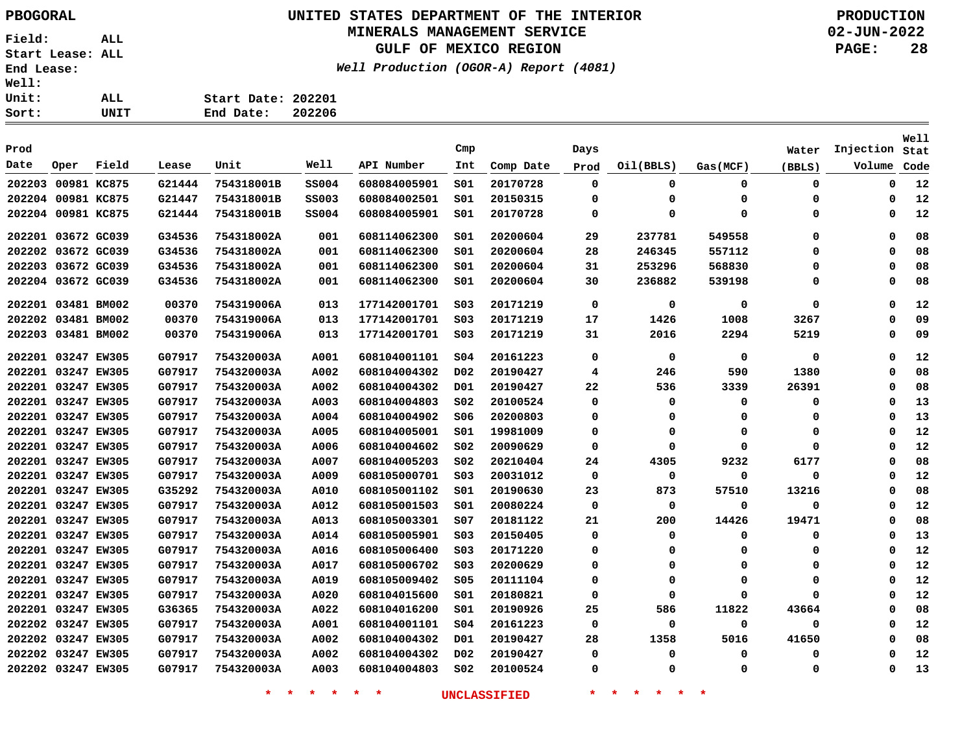## **UNITED STATES DEPARTMENT OF THE INTERIOR PBOGORAL PRODUCTION**

#### **MINERALS MANAGEMENT SERVICE**

**GULF OF MEXICO REGION**

**Well Production (OGOR-A) Report (4081)**

**02-JUN-2022 PAGE: 28**

| Sort:        | UNIT | End Date:          | 202206 |
|--------------|------|--------------------|--------|
| Unit:        | ALL  | Start Date: 202201 |        |
| <b>Well:</b> |      |                    |        |

| Prod               |             |       |        |            |              |              | Cmp             |           | Days        |             |             | Water       | Injection   | Well<br>Stat |
|--------------------|-------------|-------|--------|------------|--------------|--------------|-----------------|-----------|-------------|-------------|-------------|-------------|-------------|--------------|
| Date               | Oper        | Field | Lease  | Unit       | Well         | API Number   | Int             | Comp Date | Prod        | Oil(BBLS)   | Gas(MCF)    | (BBLS)      | Volume      | Code         |
| 202203             | 00981 KC875 |       | G21444 | 754318001B | <b>SS004</b> | 608084005901 | SO1             | 20170728  | $\Omega$    | $\mathbf 0$ | 0           | $\mathbf 0$ | $\Omega$    | 12           |
| 202204 00981 KC875 |             |       | G21447 | 754318001B | <b>SS003</b> | 608084002501 | SO1             | 20150315  | $\Omega$    | $\Omega$    | $\Omega$    | 0           | $\Omega$    | 12           |
| 202204 00981 KC875 |             |       | G21444 | 754318001B | <b>SS004</b> | 608084005901 | SO1             | 20170728  | 0           | $\Omega$    | $\Omega$    | 0           | $\Omega$    | 12           |
| 202201 03672 GC039 |             |       | G34536 | 754318002A | 001          | 608114062300 | SO1             | 20200604  | 29          | 237781      | 549558      | $\mathbf 0$ | 0           | 08           |
| 202202             | 03672 GC039 |       | G34536 | 754318002A | 001          | 608114062300 | SO1             | 20200604  | 28          | 246345      | 557112      | $\mathbf 0$ | $\Omega$    | 08           |
| 202203 03672 GC039 |             |       | G34536 | 754318002A | 001          | 608114062300 | SO1             | 20200604  | 31          | 253296      | 568830      | 0           | $\mathbf 0$ | 08           |
| 202204 03672 GC039 |             |       | G34536 | 754318002A | 001          | 608114062300 | S01             | 20200604  | 30          | 236882      | 539198      | 0           | $\mathbf 0$ | 08           |
| 202201 03481 BM002 |             |       | 00370  | 754319006A | 013          | 177142001701 | SO <sub>3</sub> | 20171219  | $\mathbf 0$ | 0           | 0           | 0           | 0           | 12           |
| 202202 03481 BM002 |             |       | 00370  | 754319006A | 013          | 177142001701 | SO <sub>3</sub> | 20171219  | 17          | 1426        | 1008        | 3267        | $\Omega$    | 09           |
| 202203             | 03481 BM002 |       | 00370  | 754319006A | 013          | 177142001701 | SO <sub>3</sub> | 20171219  | 31          | 2016        | 2294        | 5219        | $\Omega$    | 09           |
| 202201 03247 EW305 |             |       | G07917 | 754320003A | A001         | 608104001101 | SO <sub>4</sub> | 20161223  | 0           | $\mathbf 0$ | $\mathbf 0$ | 0           | $\Omega$    | 12           |
| 202201 03247 EW305 |             |       | G07917 | 754320003A | A002         | 608104004302 | D02             | 20190427  | 4           | 246         | 590         | 1380        | $\Omega$    | 08           |
| 202201 03247 EW305 |             |       | G07917 | 754320003A | A002         | 608104004302 | D01             | 20190427  | 22          | 536         | 3339        | 26391       | 0           | 08           |
| 202201 03247 EW305 |             |       | G07917 | 754320003A | A003         | 608104004803 | SO <sub>2</sub> | 20100524  | 0           | $\mathbf 0$ | 0           | 0           | 0           | 13           |
| 202201 03247 EW305 |             |       | G07917 | 754320003A | A004         | 608104004902 | 506             | 20200803  | 0           | 0           | $\Omega$    | 0           | 0           | 13           |
| 202201 03247 EW305 |             |       | G07917 | 754320003A | A005         | 608104005001 | S01             | 19981009  | 0           | $\Omega$    | $\Omega$    | 0           | 0           | 12           |
| 202201 03247 EW305 |             |       | G07917 | 754320003A | A006         | 608104004602 | S02             | 20090629  | 0           | $\Omega$    | $\Omega$    | $\mathbf 0$ | 0           | 12           |
| 202201 03247 EW305 |             |       | G07917 | 754320003A | A007         | 608104005203 | S02             | 20210404  | 24          | 4305        | 9232        | 6177        | 0           | 08           |
| 202201 03247 EW305 |             |       | G07917 | 754320003A | A009         | 608105000701 | S03             | 20031012  | $\mathbf 0$ | 0           | $\Omega$    | $\mathbf 0$ | 0           | 12           |
| 202201 03247 EW305 |             |       | G35292 | 754320003A | A010         | 608105001102 | S01             | 20190630  | 23          | 873         | 57510       | 13216       | 0           | 08           |
| 202201 03247 EW305 |             |       | G07917 | 754320003A | A012         | 608105001503 | SO1             | 20080224  | 0           | 0           | $\Omega$    | $\mathbf 0$ | $\Omega$    | 12           |
| 202201 03247 EW305 |             |       | G07917 | 754320003A | A013         | 608105003301 | SO7             | 20181122  | 21          | 200         | 14426       | 19471       | $\Omega$    | 08           |
| 202201 03247 EW305 |             |       | G07917 | 754320003A | A014         | 608105005901 | SO <sub>3</sub> | 20150405  | 0           | 0           | 0           | 0           | $\Omega$    | 13           |
| 202201 03247 EW305 |             |       | G07917 | 754320003A | A016         | 608105006400 | SO <sub>3</sub> | 20171220  | 0           | $\Omega$    | 0           | 0           | $\Omega$    | 12           |
| 202201 03247 EW305 |             |       | G07917 | 754320003A | A017         | 608105006702 | SO <sub>3</sub> | 20200629  | 0           | O           | $\Omega$    | 0           | $\Omega$    | 12           |
| 202201 03247 EW305 |             |       | G07917 | 754320003A | A019         | 608105009402 | \$05            | 20111104  | $\Omega$    | $\Omega$    | $\Omega$    | 0           | $\Omega$    | 12           |
| 202201 03247 EW305 |             |       | G07917 | 754320003A | A020         | 608104015600 | s01             | 20180821  | $\Omega$    | 0           | $\Omega$    | 0           | $\Omega$    | 12           |
| 202201 03247 EW305 |             |       | G36365 | 754320003A | A022         | 608104016200 | s01             | 20190926  | 25          | 586         | 11822       | 43664       | $\Omega$    | 08           |
| 202202 03247 EW305 |             |       | G07917 | 754320003A | A001         | 608104001101 | 504             | 20161223  | $\Omega$    | 0           | $\Omega$    | 0           | 0           | 12           |
| 202202 03247 EW305 |             |       | G07917 | 754320003A | A002         | 608104004302 | D01             | 20190427  | 28          | 1358        | 5016        | 41650       | $\Omega$    | 08           |
| 202202 03247 EW305 |             |       | G07917 | 754320003A | A002         | 608104004302 | D02             | 20190427  | 0           | 0           | 0           | 0           | $\Omega$    | 12           |
| 202202 03247 EW305 |             |       | G07917 | 754320003A | A003         | 608104004803 | S02             | 20100524  | $\Omega$    | $\Omega$    | $\Omega$    | 0           | $\Omega$    | 13           |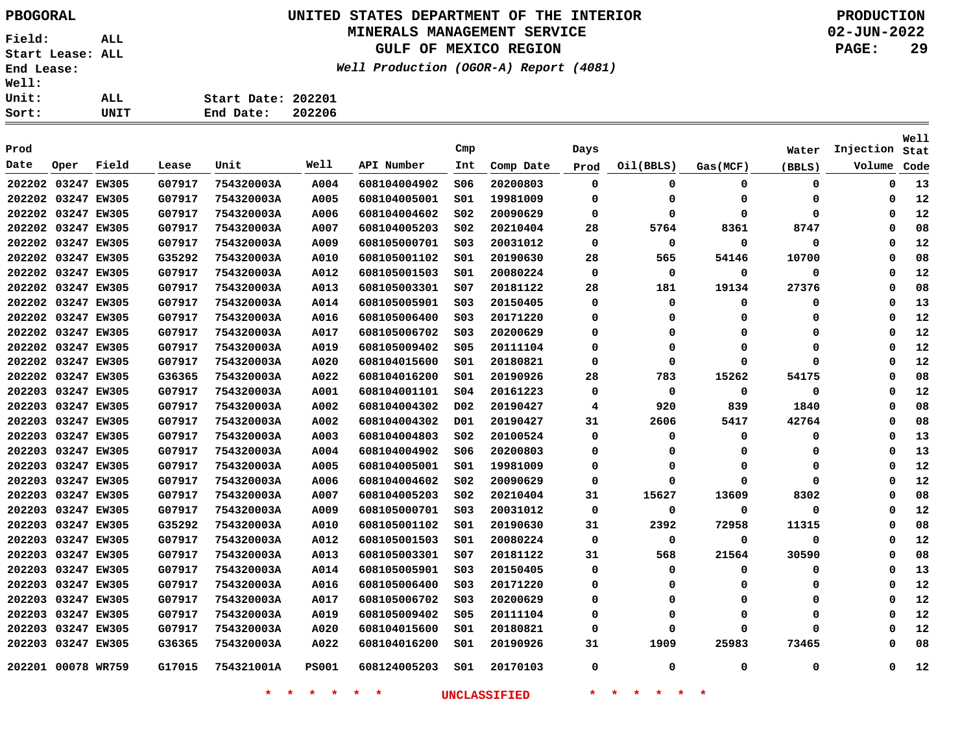## **UNITED STATES DEPARTMENT OF THE INTERIOR PBOGORAL PRODUCTION**

### **MINERALS MANAGEMENT SERVICE**

**GULF OF MEXICO REGION**

**Well Production (OGOR-A) Report (4081)**

**02-JUN-2022 PAGE: 29**

**Stat Injection**

**Start Date: 202201 End Date: 202206 Prod Cmp Days Water**

| Date               | Oper | Field | Lease  | Unit       | Well         | API Number   | Int             | Comp Date | Prod | Oil(BBLS) | Gas(MCF) | (BBLS)   | Volume   | Code |
|--------------------|------|-------|--------|------------|--------------|--------------|-----------------|-----------|------|-----------|----------|----------|----------|------|
| 202202 03247 EW305 |      |       | G07917 | 754320003A | A004         | 608104004902 | S06             | 20200803  | 0    | 0         | 0        | 0        | 0        | 13   |
| 202202 03247 EW305 |      |       | G07917 | 754320003A | A005         | 608104005001 | SO1             | 19981009  | 0    | 0         | 0        | 0        | 0        | 12   |
| 202202 03247 EW305 |      |       | G07917 | 754320003A | A006         | 608104004602 | S02             | 20090629  | 0    | $\Omega$  | $\Omega$ | $\Omega$ | 0        | 12   |
| 202202 03247 EW305 |      |       | G07917 | 754320003A | <b>A007</b>  | 608104005203 | S02             | 20210404  | 28   | 5764      | 8361     | 8747     | 0        | 08   |
| 202202 03247 EW305 |      |       | G07917 | 754320003A | A009         | 608105000701 | S03             | 20031012  | 0    | 0         | 0        | 0        | 0        | 12   |
| 202202 03247 EW305 |      |       | G35292 | 754320003A | A010         | 608105001102 | SO1             | 20190630  | 28   | 565       | 54146    | 10700    | 0        | 08   |
| 202202 03247 EW305 |      |       | G07917 | 754320003A | A012         | 608105001503 | 501             | 20080224  | 0    | 0         | 0        | 0        | 0        | 12   |
| 202202 03247 EW305 |      |       | G07917 | 754320003A | A013         | 608105003301 | S07             | 20181122  | 28   | 181       | 19134    | 27376    | 0        | 08   |
| 202202 03247 EW305 |      |       | G07917 | 754320003A | A014         | 608105005901 | S03             | 20150405  | 0    | 0         | 0        | 0        | 0        | 13   |
| 202202 03247 EW305 |      |       | G07917 | 754320003A | <b>A016</b>  | 608105006400 | S03             | 20171220  | 0    | 0         |          | 0        | 0        | 12   |
| 202202 03247 EW305 |      |       | G07917 | 754320003A | A017         | 608105006702 | SO <sub>3</sub> | 20200629  | 0    | 0         | 0        | 0        | 0        | 12   |
| 202202 03247 EW305 |      |       | G07917 | 754320003A | A019         | 608105009402 | S05             | 20111104  | 0    | 0         | O        | 0        | 0        | 12   |
| 202202 03247 EW305 |      |       | G07917 | 754320003A | A020         | 608104015600 | S01             | 20180821  | 0    | $\Omega$  | $\Omega$ | $\Omega$ | O        | 12   |
| 202202 03247 EW305 |      |       | G36365 | 754320003A | A022         | 608104016200 | S01             | 20190926  | 28   | 783       | 15262    | 54175    | 0        | 08   |
| 202203 03247 EW305 |      |       | G07917 | 754320003A | A001         | 608104001101 | S04             | 20161223  | 0    | 0         | 0        | 0        | 0        | 12   |
| 202203 03247 EW305 |      |       | G07917 | 754320003A | A002         | 608104004302 | D02             | 20190427  | 4    | 920       | 839      | 1840     | 0        | 08   |
| 202203 03247 EW305 |      |       | G07917 | 754320003A | A002         | 608104004302 | D01             | 20190427  | 31   | 2606      | 5417     | 42764    | 0        | 08   |
| 202203 03247 EW305 |      |       | G07917 | 754320003A | A003         | 608104004803 | S02             | 20100524  | 0    | 0         | 0        | 0        | 0        | 13   |
| 202203 03247 EW305 |      |       | G07917 | 754320003A | A004         | 608104004902 | S06             | 20200803  | 0    | 0         | n        | 0        | 0        | 13   |
| 202203 03247 EW305 |      |       | G07917 | 754320003A | A005         | 608104005001 | S01             | 19981009  | 0    | 0         | 0        | 0        | 0        | 12   |
| 202203 03247 EW305 |      |       | G07917 | 754320003A | <b>A006</b>  | 608104004602 | S02             | 20090629  | 0    | 0         | 0        | 0        | 0        | 12   |
| 202203 03247 EW305 |      |       | G07917 | 754320003A | A007         | 608104005203 | SO <sub>2</sub> | 20210404  | 31   | 15627     | 13609    | 8302     | 0        | 08   |
| 202203 03247 EW305 |      |       | G07917 | 754320003A | A009         | 608105000701 | S03             | 20031012  | 0    | 0         | 0        | 0        | 0        | 12   |
| 202203 03247 EW305 |      |       | G35292 | 754320003A | A010         | 608105001102 | S01             | 20190630  | 31   | 2392      | 72958    | 11315    | 0        | 08   |
| 202203 03247 EW305 |      |       | G07917 | 754320003A | A012         | 608105001503 | S01             | 20080224  | 0    | 0         | 0        | 0        | 0        | 12   |
| 202203 03247 EW305 |      |       | G07917 | 754320003A | A013         | 608105003301 | S07             | 20181122  | 31   | 568       | 21564    | 30590    | O        | 08   |
| 202203 03247 EW305 |      |       | G07917 | 754320003A | A014         | 608105005901 | S03             | 20150405  | 0    | 0         | 0        | 0        | 0        | 13   |
| 202203 03247 EW305 |      |       | G07917 | 754320003A | A016         | 608105006400 | SO <sub>3</sub> | 20171220  | 0    | 0         | O        | 0        | $\Omega$ | 12   |
| 202203 03247 EW305 |      |       | G07917 | 754320003A | A017         | 608105006702 | SO <sub>3</sub> | 20200629  | 0    | $\Omega$  |          | ŋ        | $\Omega$ | 12   |
| 202203 03247 EW305 |      |       | G07917 | 754320003A | A019         | 608105009402 | S05             | 20111104  | 0    | 0         | Ω        | 0        | $\Omega$ | 12   |
| 202203 03247 EW305 |      |       | G07917 | 754320003A | A020         | 608104015600 | S01             | 20180821  | 0    | 0         | 0        | 0        |          | 12   |
| 202203 03247 EW305 |      |       | G36365 | 754320003A | A022         | 608104016200 | S01             | 20190926  | 31   | 1909      | 25983    | 73465    | 0        | 08   |
| 202201 00078 WR759 |      |       | G17015 | 754321001A | <b>PS001</b> | 608124005203 | SO1             | 20170103  | 0    | 0         | 0        | 0        | 0        | 12   |

**\* \* \* \* \* \* UNCLASSIFIED \* \* \* \* \* \***

**Well**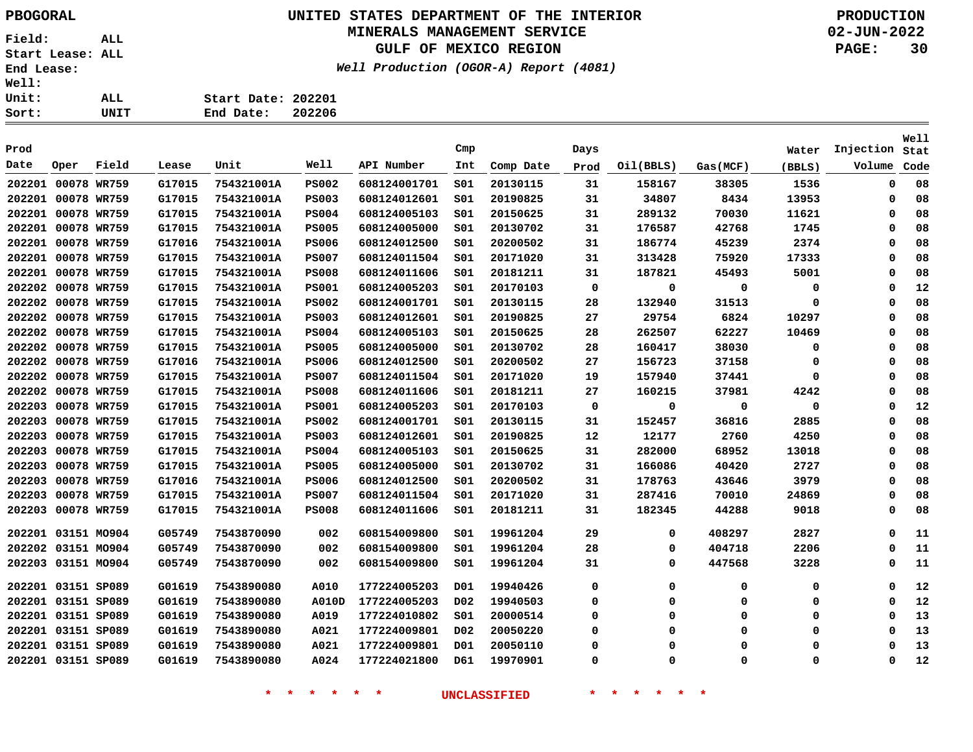### **UNITED STATES DEPARTMENT OF THE INTERIOR PBOGORAL PRODUCTION MINERALS MANAGEMENT SERVICE**

**GULF OF MEXICO REGION**

**Well Production (OGOR-A) Report (4081)**

**02-JUN-2022 PAGE: 30**

| 11: |      |                    |        |
|-----|------|--------------------|--------|
| it: | ALL. | Start Date: 202201 |        |
| rt: | UNIT | End Date:          | 202206 |

| Prod               |             |       |        |            |              |              | Cmp              |           | Days        |           |          | Water    | Injection   | Well<br>Stat |
|--------------------|-------------|-------|--------|------------|--------------|--------------|------------------|-----------|-------------|-----------|----------|----------|-------------|--------------|
| Date               | Oper        | Field | Lease  | Unit       | Well         | API Number   | Int              | Comp Date | Prod        | Oil(BBLS) | Gas(MCF) | (BBLS)   | Volume      | Code         |
| 202201 00078 WR759 |             |       | G17015 | 754321001A | <b>PS002</b> | 608124001701 | SO1              | 20130115  | 31          | 158167    | 38305    | 1536     | $\mathbf 0$ | 08           |
| 202201 00078 WR759 |             |       | G17015 | 754321001A | <b>PS003</b> | 608124012601 | SO1              | 20190825  | 31          | 34807     | 8434     | 13953    | $\mathbf 0$ | 08           |
| 202201             | 00078 WR759 |       | G17015 | 754321001A | <b>PS004</b> | 608124005103 | SO1              | 20150625  | 31          | 289132    | 70030    | 11621    | 0           | 08           |
| 202201             | 00078 WR759 |       | G17015 | 754321001A | <b>PS005</b> | 608124005000 | SO1              | 20130702  | 31          | 176587    | 42768    | 1745     | 0           | 08           |
| 202201             | 00078 WR759 |       | G17016 | 754321001A | <b>PS006</b> | 608124012500 | SO1              | 20200502  | 31          | 186774    | 45239    | 2374     | $\mathbf 0$ | 08           |
| 202201             | 00078 WR759 |       | G17015 | 754321001A | <b>PS007</b> | 608124011504 | SO1              | 20171020  | 31          | 313428    | 75920    | 17333    | $\Omega$    | 08           |
| 202201             | 00078 WR759 |       | G17015 | 754321001A | <b>PS008</b> | 608124011606 | SO1              | 20181211  | 31          | 187821    | 45493    | 5001     | 0           | 08           |
| 202202             | 00078 WR759 |       | G17015 | 754321001A | <b>PS001</b> | 608124005203 | SO1              | 20170103  | $\mathbf 0$ | 0         | 0        | 0        | $\Omega$    | 12           |
| 202202             | 00078 WR759 |       | G17015 | 754321001A | <b>PS002</b> | 608124001701 | SO1              | 20130115  | 28          | 132940    | 31513    | 0        | $\Omega$    | 08           |
| 202202             | 00078 WR759 |       | G17015 | 754321001A | <b>PS003</b> | 608124012601 | S01              | 20190825  | 27          | 29754     | 6824     | 10297    | $\mathbf 0$ | 08           |
| 202202             | 00078 WR759 |       | G17015 | 754321001A | <b>PS004</b> | 608124005103 | SO1              | 20150625  | 28          | 262507    | 62227    | 10469    | 0           | 08           |
| 202202             | 00078 WR759 |       | G17015 | 754321001A | <b>PS005</b> | 608124005000 | SO1              | 20130702  | 28          | 160417    | 38030    | 0        | 0           | 08           |
| 202202             | 00078 WR759 |       | G17016 | 754321001A | <b>PS006</b> | 608124012500 | S01              | 20200502  | 27          | 156723    | 37158    | 0        | 0           | 08           |
| 202202             | 00078 WR759 |       | G17015 | 754321001A | <b>PS007</b> | 608124011504 | SO1              | 20171020  | 19          | 157940    | 37441    | 0        | 0           | 08           |
| 202202             | 00078 WR759 |       | G17015 | 754321001A | <b>PS008</b> | 608124011606 | SO1              | 20181211  | 27          | 160215    | 37981    | 4242     | 0           | 08           |
| 202203             | 00078 WR759 |       | G17015 | 754321001A | <b>PS001</b> | 608124005203 | SO1              | 20170103  | $\mathbf 0$ | 0         | 0        | 0        | 0           | 12           |
| 202203             | 00078 WR759 |       | G17015 | 754321001A | <b>PS002</b> | 608124001701 | SO1              | 20130115  | 31          | 152457    | 36816    | 2885     | $\Omega$    | 08           |
| 202203             | 00078 WR759 |       | G17015 | 754321001A | <b>PS003</b> | 608124012601 | SO1              | 20190825  | 12          | 12177     | 2760     | 4250     | $\Omega$    | 08           |
| 202203             | 00078 WR759 |       | G17015 | 754321001A | <b>PS004</b> | 608124005103 | SO1              | 20150625  | 31          | 282000    | 68952    | 13018    | $\Omega$    | 08           |
| 202203             | 00078 WR759 |       | G17015 | 754321001A | <b>PS005</b> | 608124005000 | SO1              | 20130702  | 31          | 166086    | 40420    | 2727     | 0           | 08           |
| 202203             | 00078 WR759 |       | G17016 | 754321001A | <b>PS006</b> | 608124012500 | SO1              | 20200502  | 31          | 178763    | 43646    | 3979     | $\mathbf 0$ | 08           |
| 202203             | 00078 WR759 |       | G17015 | 754321001A | <b>PS007</b> | 608124011504 | SO1              | 20171020  | 31          | 287416    | 70010    | 24869    | 0           | 08           |
| 202203             | 00078 WR759 |       | G17015 | 754321001A | <b>PS008</b> | 608124011606 | SO1              | 20181211  | 31          | 182345    | 44288    | 9018     | $\mathbf 0$ | 08           |
| 202201 03151 MO904 |             |       | G05749 | 7543870090 | 002          | 608154009800 | SO1              | 19961204  | 29          | 0         | 408297   | 2827     | $\Omega$    | 11           |
| 202202 03151 MO904 |             |       | G05749 | 7543870090 | 002          | 608154009800 | SO1              | 19961204  | 28          | 0         | 404718   | 2206     | $\Omega$    | 11           |
| 202203 03151 MO904 |             |       | G05749 | 7543870090 | 002          | 608154009800 | SO1              | 19961204  | 31          | 0         | 447568   | 3228     | 0           | 11           |
| 202201 03151 SP089 |             |       | G01619 | 7543890080 | A010         | 177224005203 | D01              | 19940426  | 0           | 0         | 0        | 0        | 0           | 12           |
| 202201 03151 SP089 |             |       | G01619 | 7543890080 | A010D        | 177224005203 | D <sub>0</sub> 2 | 19940503  | 0           | 0         | 0        | 0        | 0           | 12           |
| 202201 03151 SP089 |             |       | G01619 | 7543890080 | A019         | 177224010802 | SO1              | 20000514  | $\Omega$    | 0         | 0        | 0        | 0           | 13           |
| 202201 03151 SP089 |             |       | G01619 | 7543890080 | A021         | 177224009801 | D <sub>0</sub> 2 | 20050220  | $\Omega$    | O         | $\Omega$ | 0        | $\Omega$    | 13           |
| 202201 03151 SP089 |             |       | G01619 | 7543890080 | A021         | 177224009801 | D01              | 20050110  | $\Omega$    | $\Omega$  | $\Omega$ | 0        | $\Omega$    | 13           |
| 202201 03151 SP089 |             |       | G01619 | 7543890080 | A024         | 177224021800 | D61              | 19970901  | 0           | $\Omega$  | $\Omega$ | $\Omega$ | 0           | 12           |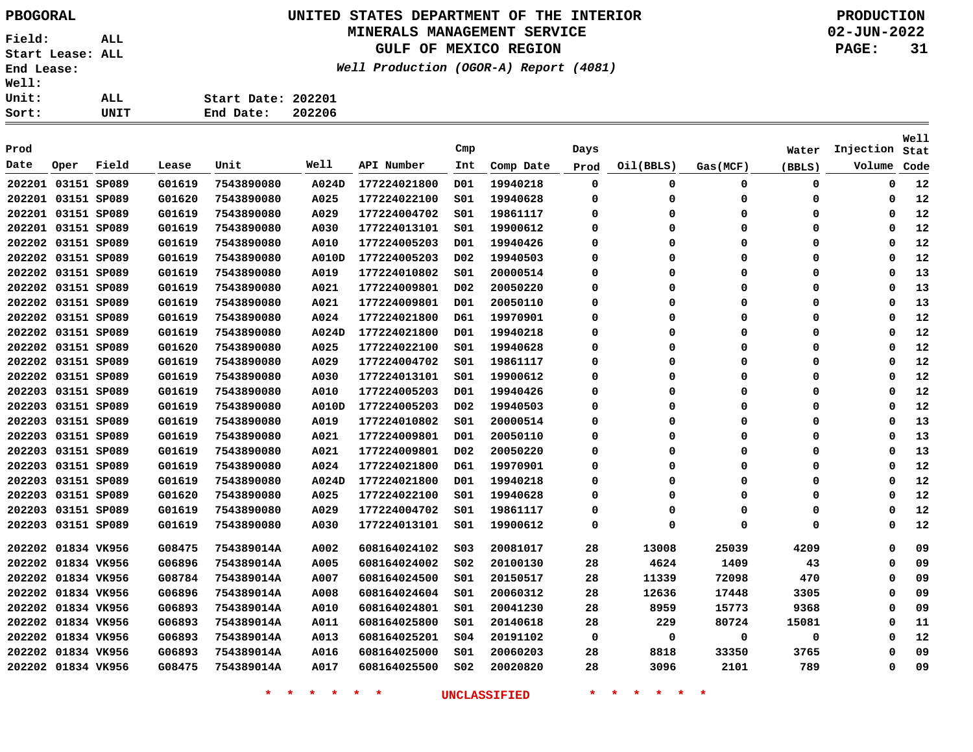## **UNITED STATES DEPARTMENT OF THE INTERIOR PBOGORAL PRODUCTION**

#### **MINERALS MANAGEMENT SERVICE**

**GULF OF MEXICO REGION**

**Well Production (OGOR-A) Report (4081)**

**02-JUN-2022 PAGE: 31**

| rt: | UNIT | End Date: 202206   |  |
|-----|------|--------------------|--|
| it: | ALL  | Start Date: 202201 |  |
| 11: |      |                    |  |

|                    |                    |       |        |            |             |              |                  |           |          |           |          |             |             | Well |
|--------------------|--------------------|-------|--------|------------|-------------|--------------|------------------|-----------|----------|-----------|----------|-------------|-------------|------|
| Prod               |                    |       |        |            |             |              | Cmp              |           | Days     |           |          | Water       | Injection   | Stat |
| Date               | Oper               | Field | Lease  | Unit       | Well        | API Number   | Int              | Comp Date | Prod     | Oil(BBLS) | Gas(MCF) | (BBLS)      | Volume      | Code |
|                    | 202201 03151 SP089 |       | G01619 | 7543890080 | A024D       | 177224021800 | D01              | 19940218  | 0        | 0         | 0        | 0           | 0           | 12   |
|                    | 202201 03151 SP089 |       | G01620 | 7543890080 | A025        | 177224022100 | SO1              | 19940628  | $\Omega$ | $\Omega$  | 0        | 0           | 0           | 12   |
|                    | 202201 03151 SP089 |       | G01619 | 7543890080 | A029        | 177224004702 | SO1              | 19861117  | 0        | 0         | $\Omega$ | 0           | 0           | 12   |
|                    | 202201 03151 SP089 |       | G01619 | 7543890080 | <b>A030</b> | 177224013101 | S01              | 19900612  | 0        | 0         | $\Omega$ | 0           | $\Omega$    | 12   |
|                    | 202202 03151 SP089 |       | G01619 | 7543890080 | A010        | 177224005203 | D01              | 19940426  | $\Omega$ | O         | $\Omega$ | 0           | 0           | 12   |
|                    | 202202 03151 SP089 |       | G01619 | 7543890080 | A010D       | 177224005203 | D02              | 19940503  | $\Omega$ | O         | $\Omega$ | 0           | 0           | 12   |
|                    | 202202 03151 SP089 |       | G01619 | 7543890080 | A019        | 177224010802 | SO1              | 20000514  | $\Omega$ | $\Omega$  | $\Omega$ | 0           | 0           | 13   |
|                    | 202202 03151 SP089 |       | G01619 | 7543890080 | A021        | 177224009801 | D02              | 20050220  | $\Omega$ | $\Omega$  | $\Omega$ | 0           | 0           | 13   |
|                    | 202202 03151 SP089 |       | G01619 | 7543890080 | A021        | 177224009801 | D01              | 20050110  | $\Omega$ | $\Omega$  | $\Omega$ | 0           | $\Omega$    | 13   |
|                    | 202202 03151 SP089 |       | G01619 | 7543890080 | A024        | 177224021800 | D61              | 19970901  | 0        | $\Omega$  | $\Omega$ | 0           | 0           | 12   |
|                    | 202202 03151 SP089 |       | G01619 | 7543890080 | A024D       | 177224021800 | D01              | 19940218  | $\Omega$ | $\Omega$  | $\Omega$ | 0           | 0           | 12   |
|                    | 202202 03151 SP089 |       | G01620 | 7543890080 | A025        | 177224022100 | SO1              | 19940628  | 0        | $\Omega$  | $\Omega$ | 0           | 0           | 12   |
|                    | 202202 03151 SP089 |       | G01619 | 7543890080 | A029        | 177224004702 | SO1              | 19861117  | $\Omega$ | $\Omega$  | $\Omega$ | 0           | $\Omega$    | 12   |
|                    | 202202 03151 SP089 |       | G01619 | 7543890080 | A030        | 177224013101 | S01              | 19900612  | 0        | $\Omega$  | $\Omega$ | $\Omega$    | $\mathbf 0$ | 12   |
|                    | 202203 03151 SP089 |       | G01619 | 7543890080 | A010        | 177224005203 | D01              | 19940426  | $\Omega$ | O         | $\Omega$ | $\Omega$    | $\Omega$    | 12   |
|                    | 202203 03151 SP089 |       | G01619 | 7543890080 | A010D       | 177224005203 | D <sub>0</sub> 2 | 19940503  | $\Omega$ | $\Omega$  | $\Omega$ | 0           | $\mathbf 0$ | 12   |
|                    | 202203 03151 SP089 |       | G01619 | 7543890080 | A019        | 177224010802 | SO1              | 20000514  | $\Omega$ | O         | $\Omega$ | 0           | $\Omega$    | 13   |
|                    | 202203 03151 SP089 |       | G01619 | 7543890080 | A021        | 177224009801 | D01              | 20050110  | $\Omega$ | $\Omega$  | $\Omega$ | 0           | $\mathbf 0$ | 13   |
|                    | 202203 03151 SP089 |       | G01619 | 7543890080 | A021        | 177224009801 | D02              | 20050220  | $\Omega$ | $\Omega$  | $\Omega$ | 0           | $\Omega$    | 13   |
|                    | 202203 03151 SP089 |       | G01619 | 7543890080 | A024        | 177224021800 | D61              | 19970901  | 0        | $\Omega$  | 0        | 0           | $\mathbf 0$ | 12   |
|                    | 202203 03151 SP089 |       | G01619 | 7543890080 | A024D       | 177224021800 | D01              | 19940218  | 0        | $\Omega$  | 0        | 0           | 0           | 12   |
|                    | 202203 03151 SP089 |       | G01620 | 7543890080 | A025        | 177224022100 | SO1              | 19940628  | 0        | $\Omega$  | $\Omega$ | 0           | 0           | 12   |
|                    | 202203 03151 SP089 |       | G01619 | 7543890080 | A029        | 177224004702 | S01              | 19861117  | 0        | $\Omega$  | 0        | 0           | 0           | 12   |
|                    | 202203 03151 SP089 |       | G01619 | 7543890080 | A030        | 177224013101 | SO1              | 19900612  | 0        | $\Omega$  | $\Omega$ | $\mathbf 0$ | $\mathbf 0$ | 12   |
|                    | 202202 01834 VK956 |       | G08475 | 754389014A | A002        | 608164024102 | SO <sub>3</sub>  | 20081017  | 28       | 13008     | 25039    | 4209        | $\Omega$    | 09   |
|                    | 202202 01834 VK956 |       | G06896 | 754389014A | A005        | 608164024002 | SO <sub>2</sub>  | 20100130  | 28       | 4624      | 1409     | 43          | 0           | 09   |
|                    | 202202 01834 VK956 |       | G08784 | 754389014A | A007        | 608164024500 | S01              | 20150517  | 28       | 11339     | 72098    | 470         | $\Omega$    | 09   |
|                    | 202202 01834 VK956 |       | G06896 | 754389014A | A008        | 608164024604 | SO1              | 20060312  | 28       | 12636     | 17448    | 3305        | $\Omega$    | 09   |
|                    | 202202 01834 VK956 |       | G06893 | 754389014A | A010        | 608164024801 | S01              | 20041230  | 28       | 8959      | 15773    | 9368        | 0           | 09   |
|                    | 202202 01834 VK956 |       | G06893 | 754389014A | A011        | 608164025800 | SO1              | 20140618  | 28       | 229       | 80724    | 15081       | $\Omega$    | 11   |
|                    | 202202 01834 VK956 |       | G06893 | 754389014A | A013        | 608164025201 | 504              | 20191102  | 0        | 0         | 0        | 0           | 0           | 12   |
| 202202 01834 VK956 |                    |       | G06893 | 754389014A | A016        | 608164025000 | SO1              | 20060203  | 28       | 8818      | 33350    | 3765        | $\Omega$    | 09   |
|                    | 202202 01834 VK956 |       | G08475 | 754389014A | A017        | 608164025500 | SO <sub>2</sub>  | 20020820  | 28       | 3096      | 2101     | 789         | $\mathbf 0$ | 09   |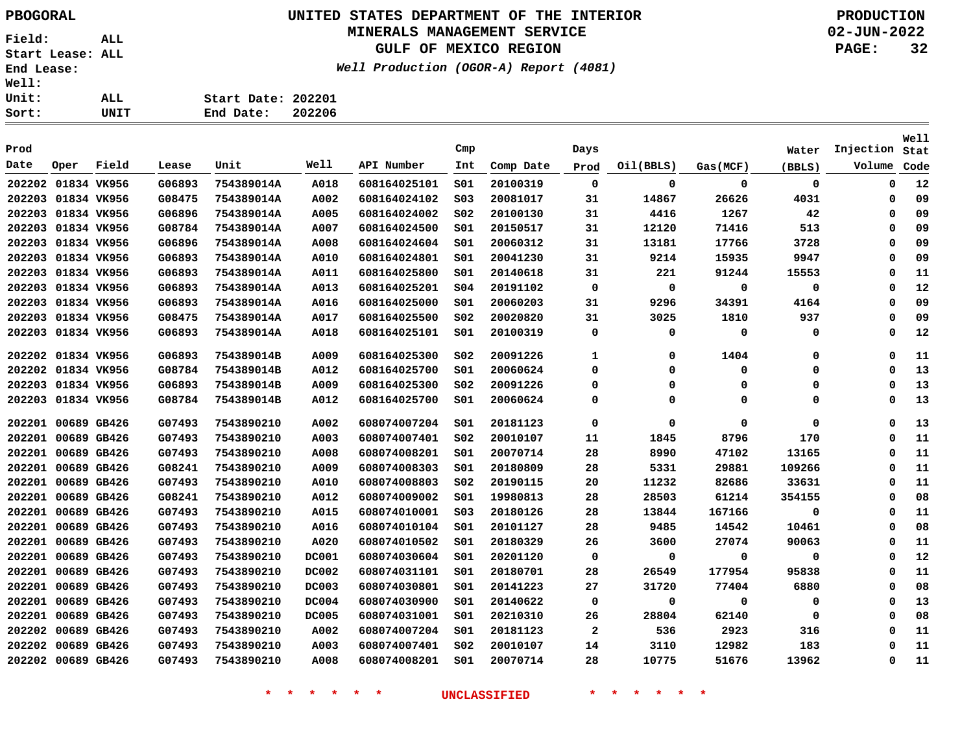### **UNITED STATES DEPARTMENT OF THE INTERIOR PBOGORAL PRODUCTION MINERALS MANAGEMENT SERVICE**

**GULF OF MEXICO REGION**

 $(4081)$ 

**02-JUN-2022 PAGE: 32**

**Well**

|                    | Well Production (OGOR-A) Report ( |        |  |
|--------------------|-----------------------------------|--------|--|
| Start Date: 202201 |                                   |        |  |
| End Date: 202206   |                                   |        |  |
|                    |                                   | $\sim$ |  |

| Prod               |             |       |        |            |              |              | Cmp             |           | Days         |           |          | Water       | Injection Stat |      |
|--------------------|-------------|-------|--------|------------|--------------|--------------|-----------------|-----------|--------------|-----------|----------|-------------|----------------|------|
| Date               | Oper        | Field | Lease  | Unit       | Well         | API Number   | Int             | Comp Date | Prod         | Oil(BBLS) | Gas(MCF) | (BBLS)      | Volume         | Code |
| 202202 01834 VK956 |             |       | G06893 | 754389014A | A018         | 608164025101 | SO1             | 20100319  | $\mathbf 0$  | 0         | 0        | $\mathbf 0$ | 0              | 12   |
| 202203 01834 VK956 |             |       | G08475 | 754389014A | A002         | 608164024102 | SO <sub>3</sub> | 20081017  | 31           | 14867     | 26626    | 4031        | 0              | 09   |
| 202203 01834 VK956 |             |       | G06896 | 754389014A | A005         | 608164024002 | SO <sub>2</sub> | 20100130  | 31           | 4416      | 1267     | 42          | 0              | 09   |
| 202203 01834 VK956 |             |       | G08784 | 754389014A | A007         | 608164024500 | SO1             | 20150517  | 31           | 12120     | 71416    | 513         | $\Omega$       | 09   |
| 202203 01834 VK956 |             |       | G06896 | 754389014A | A008         | 608164024604 | S01             | 20060312  | 31           | 13181     | 17766    | 3728        | 0              | 09   |
| 202203 01834 VK956 |             |       | G06893 | 754389014A | A010         | 608164024801 | S01             | 20041230  | 31           | 9214      | 15935    | 9947        | Ω              | 09   |
| 202203 01834 VK956 |             |       | G06893 | 754389014A | A011         | 608164025800 | SO1             | 20140618  | 31           | 221       | 91244    | 15553       | 0              | 11   |
| 202203 01834 VK956 |             |       | G06893 | 754389014A | A013         | 608164025201 | SO <sub>4</sub> | 20191102  | 0            | 0         | 0        | 0           | 0              | 12   |
| 202203 01834 VK956 |             |       | G06893 | 754389014A | A016         | 608164025000 | SO1             | 20060203  | 31           | 9296      | 34391    | 4164        | 0              | 09   |
| 202203             | 01834 VK956 |       | G08475 | 754389014A | A017         | 608164025500 | SO <sub>2</sub> | 20020820  | 31           | 3025      | 1810     | 937         | Ω              | 09   |
| 202203 01834 VK956 |             |       | G06893 | 754389014A | A018         | 608164025101 | SO1             | 20100319  | 0            | 0         | 0        | 0           | 0              | 12   |
| 202202 01834 VK956 |             |       | G06893 | 754389014B | A009         | 608164025300 | SO <sub>2</sub> | 20091226  | 1            | 0         | 1404     | 0           | Ω              | 11   |
| 202202 01834 VK956 |             |       | G08784 | 754389014B | A012         | 608164025700 | SO1             | 20060624  | $\Omega$     | 0         | 0        | 0           | 0              | 13   |
| 202203 01834 VK956 |             |       | G06893 | 754389014B | A009         | 608164025300 | SO <sub>2</sub> | 20091226  | 0            | 0         | 0        | 0           | 0              | 13   |
| 202203 01834 VK956 |             |       | G08784 | 754389014B | A012         | 608164025700 | S01             | 20060624  | 0            | 0         | 0        | 0           | $\Omega$       | 13   |
| 202201 00689 GB426 |             |       | G07493 | 7543890210 | A002         | 608074007204 | SO1             | 20181123  | 0            | 0         | 0        | 0           | $\Omega$       | 13   |
| 202201 00689 GB426 |             |       | G07493 | 7543890210 | A003         | 608074007401 | SO <sub>2</sub> | 20010107  | 11           | 1845      | 8796     | 170         | 0              | 11   |
| 202201             | 00689 GB426 |       | G07493 | 7543890210 | A008         | 608074008201 | S01             | 20070714  | 28           | 8990      | 47102    | 13165       | 0              | 11   |
| 202201 00689 GB426 |             |       | G08241 | 7543890210 | A009         | 608074008303 | S01             | 20180809  | 28           | 5331      | 29881    | 109266      | Ω              | 11   |
| 202201             | 00689 GB426 |       | G07493 | 7543890210 | A010         | 608074008803 | SO <sub>2</sub> | 20190115  | 20           | 11232     | 82686    | 33631       | 0              | 11   |
| 202201             | 00689 GB426 |       | G08241 | 7543890210 | A012         | 608074009002 | S01             | 19980813  | 28           | 28503     | 61214    | 354155      | 0              | 08   |
| 202201 00689 GB426 |             |       | G07493 | 7543890210 | A015         | 608074010001 | SO <sub>3</sub> | 20180126  | 28           | 13844     | 167166   | 0           | Ω              | 11   |
| 202201 00689 GB426 |             |       | G07493 | 7543890210 | A016         | 608074010104 | SO1             | 20101127  | 28           | 9485      | 14542    | 10461       | Ω              | 08   |
| 202201 00689 GB426 |             |       | G07493 | 7543890210 | A020         | 608074010502 | SO1             | 20180329  | 26           | 3600      | 27074    | 90063       | 0              | 11   |
| 202201 00689 GB426 |             |       | G07493 | 7543890210 | <b>DC001</b> | 608074030604 | S01             | 20201120  | 0            | 0         | 0        | 0           | 0              | 12   |
| 202201 00689 GB426 |             |       | G07493 | 7543890210 | <b>DC002</b> | 608074031101 | SO1             | 20180701  | 28           | 26549     | 177954   | 95838       | Ω              | 11   |
| 202201 00689 GB426 |             |       | G07493 | 7543890210 | <b>DC003</b> | 608074030801 | SO1             | 20141223  | 27           | 31720     | 77404    | 6880        | 0              | 08   |
| 202201 00689 GB426 |             |       | G07493 | 7543890210 | <b>DC004</b> | 608074030900 | SO1             | 20140622  | 0            | 0         | 0        | 0           | 0              | 13   |
| 202201 00689 GB426 |             |       | G07493 | 7543890210 | <b>DC005</b> | 608074031001 | SO1             | 20210310  | 26           | 28804     | 62140    | 0           | 0              | 08   |
| 202202 00689 GB426 |             |       | G07493 | 7543890210 | A002         | 608074007204 | SO1             | 20181123  | $\mathbf{2}$ | 536       | 2923     | 316         | 0              | 11   |
| 202202 00689 GB426 |             |       | G07493 | 7543890210 | A003         | 608074007401 | SO <sub>2</sub> | 20010107  | 14           | 3110      | 12982    | 183         | $\Omega$       | 11   |
| 202202 00689 GB426 |             |       | G07493 | 7543890210 | A008         | 608074008201 | SO1             | 20070714  | 28           | 10775     | 51676    | 13962       | 0              | 11   |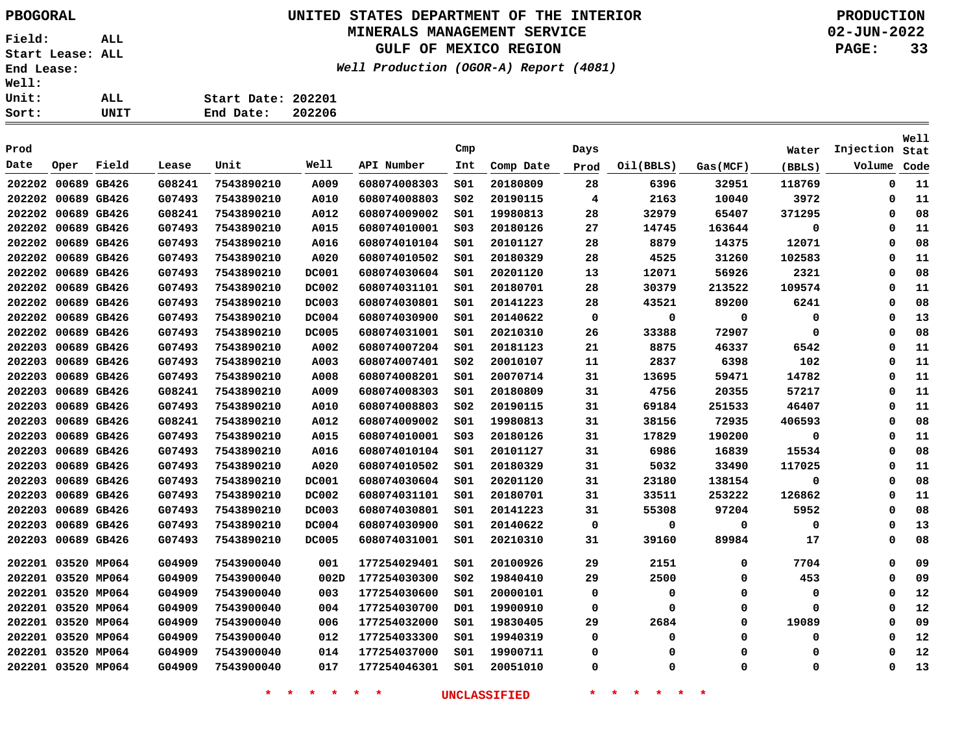### **UNITED STATES DEPARTMENT OF THE INTERIOR PBOGORAL PRODUCTION MINERALS MANAGEMENT SERVICE**

**GULF OF MEXICO REGION**

**Well Production (OGOR-A) Report (4081)**

**02-JUN-2022 PAGE: 33**

| UNIT | End Date: 202206   |  |
|------|--------------------|--|
|      |                    |  |
| ALL. | Start Date: 202201 |  |
|      |                    |  |

|                    |                    |       |        |            |              |              |                 |           |      |           |          |        |           | <b>Well</b> |
|--------------------|--------------------|-------|--------|------------|--------------|--------------|-----------------|-----------|------|-----------|----------|--------|-----------|-------------|
| Prod               |                    |       |        |            |              |              | Cmp             |           | Days |           |          | Water  | Injection | Stat        |
| Date               | Oper               | Field | Lease  | Unit       | Well         | API Number   | Int             | Comp Date | Prod | Oil(BBLS) | Gas(MCF) | (BBLS) | Volume    | Code        |
| 202202 00689 GB426 |                    |       | G08241 | 7543890210 | A009         | 608074008303 | 501             | 20180809  | 28   | 6396      | 32951    | 118769 | 0         | 11          |
| 202202 00689 GB426 |                    |       | G07493 | 7543890210 | A010         | 608074008803 | SO <sub>2</sub> | 20190115  | 4    | 2163      | 10040    | 3972   | 0         | 11          |
|                    | 202202 00689 GB426 |       | G08241 | 7543890210 | A012         | 608074009002 | S01             | 19980813  | 28   | 32979     | 65407    | 371295 | 0         | 08          |
|                    | 202202 00689 GB426 |       | G07493 | 7543890210 | A015         | 608074010001 | SO <sub>3</sub> | 20180126  | 27   | 14745     | 163644   | 0      | 0         | 11          |
|                    | 202202 00689 GB426 |       | G07493 | 7543890210 | A016         | 608074010104 | S01             | 20101127  | 28   | 8879      | 14375    | 12071  | 0         | 08          |
|                    | 202202 00689 GB426 |       | G07493 | 7543890210 | A020         | 608074010502 | SO1             | 20180329  | 28   | 4525      | 31260    | 102583 | 0         | 11          |
|                    | 202202 00689 GB426 |       | G07493 | 7543890210 | <b>DC001</b> | 608074030604 | SO1             | 20201120  | 13   | 12071     | 56926    | 2321   | 0         | 08          |
| 202202 00689 GB426 |                    |       | G07493 | 7543890210 | <b>DC002</b> | 608074031101 | SO1             | 20180701  | 28   | 30379     | 213522   | 109574 | 0         | 11          |
|                    | 202202 00689 GB426 |       | G07493 | 7543890210 | <b>DC003</b> | 608074030801 | SO1             | 20141223  | 28   | 43521     | 89200    | 6241   | 0         | 08          |
|                    | 202202 00689 GB426 |       | G07493 | 7543890210 | <b>DC004</b> | 608074030900 | S01             | 20140622  | 0    | 0         | 0        | 0      | 0         | 13          |
|                    | 202202 00689 GB426 |       | G07493 | 7543890210 | <b>DC005</b> | 608074031001 | SO1             | 20210310  | 26   | 33388     | 72907    | 0      | 0         | 08          |
|                    | 202203 00689 GB426 |       | G07493 | 7543890210 | A002         | 608074007204 | S01             | 20181123  | 21   | 8875      | 46337    | 6542   | $\Omega$  | 11          |
|                    | 202203 00689 GB426 |       | G07493 | 7543890210 | A003         | 608074007401 | SO <sub>2</sub> | 20010107  | 11   | 2837      | 6398     | 102    | $\Omega$  | 11          |
| 202203 00689 GB426 |                    |       | G07493 | 7543890210 | A008         | 608074008201 | S01             | 20070714  | 31   | 13695     | 59471    | 14782  | O         | 11          |
|                    | 202203 00689 GB426 |       | G08241 | 7543890210 | A009         | 608074008303 | SO1             | 20180809  | 31   | 4756      | 20355    | 57217  | 0         | 11          |
|                    | 202203 00689 GB426 |       | G07493 | 7543890210 | A010         | 608074008803 | S02             | 20190115  | 31   | 69184     | 251533   | 46407  | 0         | 11          |
|                    | 202203 00689 GB426 |       | G08241 | 7543890210 | A012         | 608074009002 | SO1             | 19980813  | 31   | 38156     | 72935    | 406593 | 0         | 08          |
|                    | 202203 00689 GB426 |       | G07493 | 7543890210 | A015         | 608074010001 | S03             | 20180126  | 31   | 17829     | 190200   | 0      | 0         | 11          |
|                    | 202203 00689 GB426 |       | G07493 | 7543890210 | A016         | 608074010104 | 501             | 20101127  | 31   | 6986      | 16839    | 15534  | $\Omega$  | 08          |
|                    | 202203 00689 GB426 |       | G07493 | 7543890210 | A020         | 608074010502 | S01             | 20180329  | 31   | 5032      | 33490    | 117025 | Ω         | 11          |
|                    | 202203 00689 GB426 |       | G07493 | 7543890210 | <b>DC001</b> | 608074030604 | 501             | 20201120  | 31   | 23180     | 138154   | 0      | $\Omega$  | 08          |
|                    | 202203 00689 GB426 |       | G07493 | 7543890210 | <b>DC002</b> | 608074031101 | S01             | 20180701  | 31   | 33511     | 253222   | 126862 | $\Omega$  | 11          |
|                    | 202203 00689 GB426 |       | G07493 | 7543890210 | <b>DC003</b> | 608074030801 | SO1             | 20141223  | 31   | 55308     | 97204    | 5952   | 0         | 08          |
| 202203 00689 GB426 |                    |       | G07493 | 7543890210 | <b>DC004</b> | 608074030900 | S01             | 20140622  | 0    | 0         | 0        | 0      | Ω         | 13          |
|                    | 202203 00689 GB426 |       | G07493 | 7543890210 | <b>DC005</b> | 608074031001 | SO1             | 20210310  | 31   | 39160     | 89984    | 17     | 0         | 08          |
| 202201 03520 MP064 |                    |       | G04909 | 7543900040 | 001          | 177254029401 | SO1             | 20100926  | 29   | 2151      | 0        | 7704   | 0         | 09          |
|                    | 202201 03520 MP064 |       | G04909 | 7543900040 | 002D         | 177254030300 | s02             | 19840410  | 29   | 2500      | 0        | 453    | 0         | 09          |
|                    | 202201 03520 MP064 |       | G04909 | 7543900040 | 003          | 177254030600 | SO1             | 20000101  | 0    | 0         | 0        | 0      | 0         | 12          |
|                    | 202201 03520 MP064 |       | G04909 | 7543900040 | 004          | 177254030700 | D01             | 19900910  | 0    | 0         | 0        | 0      | 0         | 12          |
|                    | 202201 03520 MP064 |       | G04909 | 7543900040 | 006          | 177254032000 | SO1             | 19830405  | 29   | 2684      | 0        | 19089  | 0         | 09          |
|                    | 202201 03520 MP064 |       | G04909 | 7543900040 | 012          | 177254033300 | SO1             | 19940319  | 0    | 0         | 0        | 0      | 0         | 12          |
|                    | 202201 03520 MP064 |       | G04909 | 7543900040 | 014          | 177254037000 | SO1             | 19900711  | 0    | 0         | $\Omega$ | 0      | $\Omega$  | 12          |
|                    | 202201 03520 MP064 |       | G04909 | 7543900040 | 017          | 177254046301 | SO1             | 20051010  | 0    | 0         | $\Omega$ | 0      | $\Omega$  | 13          |
|                    |                    |       |        |            |              |              |                 |           |      |           |          |        |           |             |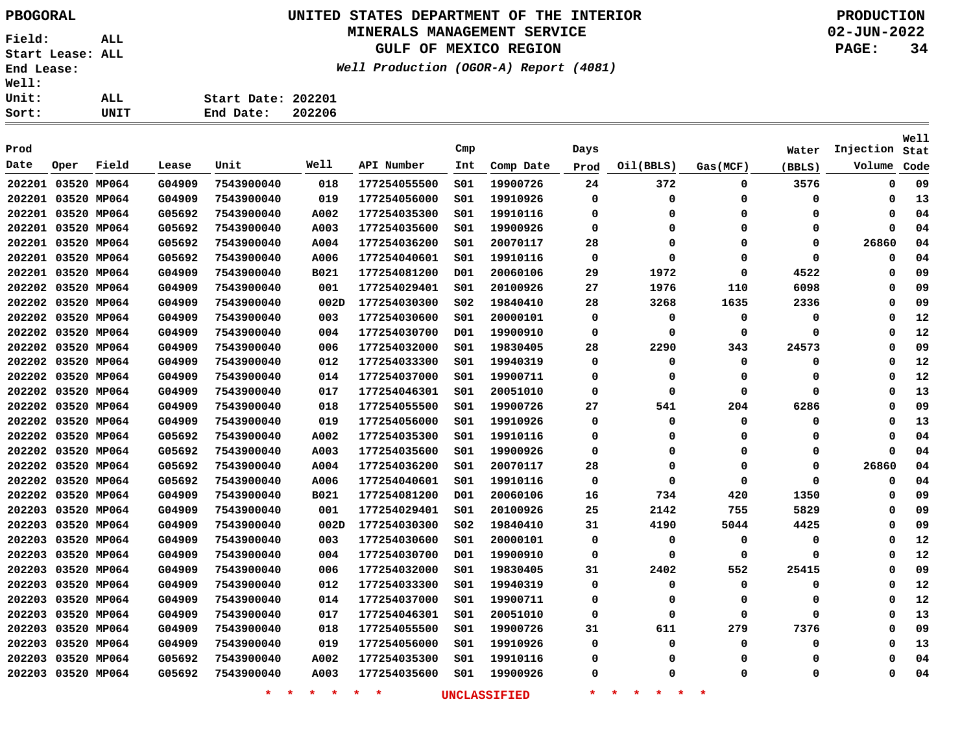# **UNITED STATES DEPARTMENT OF THE INTERIOR PBOGORAL PRODUCTION**

### **MINERALS MANAGEMENT SERVICE**

**GULF OF MEXICO REGION**

**Well Production (OGOR-A) Report (4081)**

**02-JUN-2022 PAGE: 34**

| 11: |      |                    |        |
|-----|------|--------------------|--------|
| it: | ALL  | Start Date: 202201 |        |
| rt: | UNIT | End Date:          | 202206 |

| Prod   |                    |             |        |                    |                 |              | Cmp |                     | Days     |                               |          | Water  | Injection   | Well<br>Stat |
|--------|--------------------|-------------|--------|--------------------|-----------------|--------------|-----|---------------------|----------|-------------------------------|----------|--------|-------------|--------------|
| Date   | Oper               | Field       | Lease  | Unit               | Well            | API Number   | Int | Comp Date           | Prod     | Oil(BBLS)                     | Gas(MCF) | (BBLS) | Volume      | Code         |
|        | 202201 03520 MP064 |             | G04909 | 7543900040         | 018             | 177254055500 | SO1 | 19900726            | 24       | 372                           | 0        | 3576   | 0           | 09           |
|        | 202201 03520 MP064 |             | G04909 | 7543900040         | 019             | 177254056000 | SO1 | 19910926            | $\Omega$ | $\Omega$                      | 0        | 0      | 0           | 13           |
|        | 202201 03520 MP064 |             | G05692 | 7543900040         | A002            | 177254035300 | SO1 | 19910116            | $\Omega$ | 0                             | 0        | 0      | 0           | 04           |
|        | 202201 03520 MP064 |             | G05692 | 7543900040         | A003            | 177254035600 | S01 | 19900926            | 0        | $\Omega$                      | $\Omega$ | 0      | $\mathbf 0$ | 04           |
|        | 202201 03520 MP064 |             | G05692 | 7543900040         | A004            | 177254036200 | SO1 | 20070117            | 28       | 0                             | $\Omega$ | 0      | 26860       | 04           |
|        | 202201 03520 MP064 |             | G05692 | 7543900040         | A006            | 177254040601 | SO1 | 19910116            | 0        | 0                             | $\Omega$ | 0      | 0           | 04           |
|        | 202201 03520 MP064 |             | G04909 | 7543900040         | B021            | 177254081200 | D01 | 20060106            | 29       | 1972                          | 0        | 4522   | 0           | 09           |
| 202202 | 03520 MP064        |             | G04909 | 7543900040         | 001             | 177254029401 | SO1 | 20100926            | 27       | 1976                          | 110      | 6098   | 0           | 09           |
|        | 202202 03520 MP064 |             | G04909 | 7543900040         | 002D            | 177254030300 | S02 | 19840410            | 28       | 3268                          | 1635     | 2336   | 0           | 09           |
| 202202 | 03520 MP064        |             | G04909 | 7543900040         | 003             | 177254030600 | S01 | 20000101            | 0        | 0                             | 0        | 0      | 0           | 12           |
|        | 202202 03520 MP064 |             | G04909 | 7543900040         | 004             | 177254030700 | D01 | 19900910            | 0        | 0                             | 0        | 0      | 0           | 12           |
|        | 202202 03520 MP064 |             | G04909 | 7543900040         | 006             | 177254032000 | SO1 | 19830405            | 28       | 2290                          | 343      | 24573  | 0           | 09           |
|        | 202202 03520 MP064 |             | G04909 | 7543900040         | 012             | 177254033300 | SO1 | 19940319            | 0        | 0                             | 0        | 0      | 0           | 12           |
|        | 202202 03520 MP064 |             | G04909 | 7543900040         | 014             | 177254037000 | S01 | 19900711            | 0        | 0                             | 0        | 0      | 0           | 12           |
|        | 202202 03520 MP064 |             | G04909 | 7543900040         | 017             | 177254046301 | SO1 | 20051010            | 0        | 0                             | 0        | 0      | 0           | 13           |
|        | 202202 03520 MP064 |             | G04909 | 7543900040         | 018             | 177254055500 | SO1 | 19900726            | 27       | 541                           | 204      | 6286   | 0           | 09           |
|        | 202202 03520 MP064 |             | G04909 | 7543900040         | 019             | 177254056000 | SO1 | 19910926            | 0        | 0                             | 0        | 0      | 0           | 13           |
| 202202 | 03520 MP064        |             | G05692 | 7543900040         | A002            | 177254035300 | S01 | 19910116            | 0        | 0                             | 0        | 0      | 0           | 04           |
|        | 202202 03520 MP064 |             | G05692 | 7543900040         | A003            | 177254035600 | S01 | 19900926            | 0        | 0                             | 0        | 0      | 0           | 04           |
|        | 202202 03520 MP064 |             | G05692 | 7543900040         | A004            | 177254036200 | S01 | 20070117            | 28       | 0                             | 0        | 0      | 26860       | 04           |
|        | 202202 03520 MP064 |             | G05692 | 7543900040         | A006            | 177254040601 | SO1 | 19910116            | 0        | 0                             | 0        | 0      | 0           | 04           |
|        | 202202 03520 MP064 |             | G04909 | 7543900040         | B021            | 177254081200 | D01 | 20060106            | 16       | 734                           | 420      | 1350   | 0           | 09           |
|        | 202203 03520 MP064 |             | G04909 | 7543900040         | 001             | 177254029401 | S01 | 20100926            | 25       | 2142                          | 755      | 5829   | 0           | 09           |
|        | 202203 03520 MP064 |             | G04909 | 7543900040         | 002D            | 177254030300 | S02 | 19840410            | 31       | 4190                          | 5044     | 4425   | 0           | 09           |
|        | 202203 03520 MP064 |             | G04909 | 7543900040         | 003             | 177254030600 | S01 | 20000101            | 0        | 0                             | 0        | 0      | 0           | 12           |
| 202203 | 03520 MP064        |             | G04909 | 7543900040         | 004             | 177254030700 | D01 | 19900910            | 0        | 0                             | 0        | 0      | 0           | 12           |
| 202203 | 03520 MP064        |             | G04909 | 7543900040         | 006             | 177254032000 | S01 | 19830405            | 31       | 2402                          | 552      | 25415  | 0           | 09           |
| 202203 |                    | 03520 MP064 | G04909 | 7543900040         | 012             | 177254033300 | S01 | 19940319            | 0        | 0                             | 0        | 0      | 0           | 12           |
| 202203 |                    | 03520 MP064 | G04909 | 7543900040         | 014             | 177254037000 | S01 | 19900711            | 0        | 0                             | 0        | 0      | 0           | 12           |
| 202203 | 03520 MP064        |             | G04909 | 7543900040         | 017             | 177254046301 | S01 | 20051010            | 0        | 0                             | 0        | 0      | 0           | 13           |
| 202203 | 03520 MP064        |             | G04909 | 7543900040         | 018             | 177254055500 | S01 | 19900726            | 31       | 611                           | 279      | 7376   | 0           | 09           |
|        | 202203 03520 MP064 |             | G04909 | 7543900040         | 019             | 177254056000 | S01 | 19910926            | 0        | 0                             | 0        | 0      | 0           | 13           |
|        | 202203 03520 MP064 |             | G05692 | 7543900040         | A002            | 177254035300 | S01 | 19910116            | 0        | 0                             | 0        | 0      | 0           | 04           |
|        | 202203 03520 MP064 |             | G05692 | 7543900040         | A003            | 177254035600 | SO1 | 19900926            | 0        | 0                             | 0        | 0      | $\Omega$    | 04           |
|        |                    |             |        | $\star$<br>$\star$ | $\star$ $\star$ | $\star$<br>* |     | <b>UNCLASSIFIED</b> | $\star$  | 一大<br>一大<br>$\ast$<br>$\star$ | 未        |        |             |              |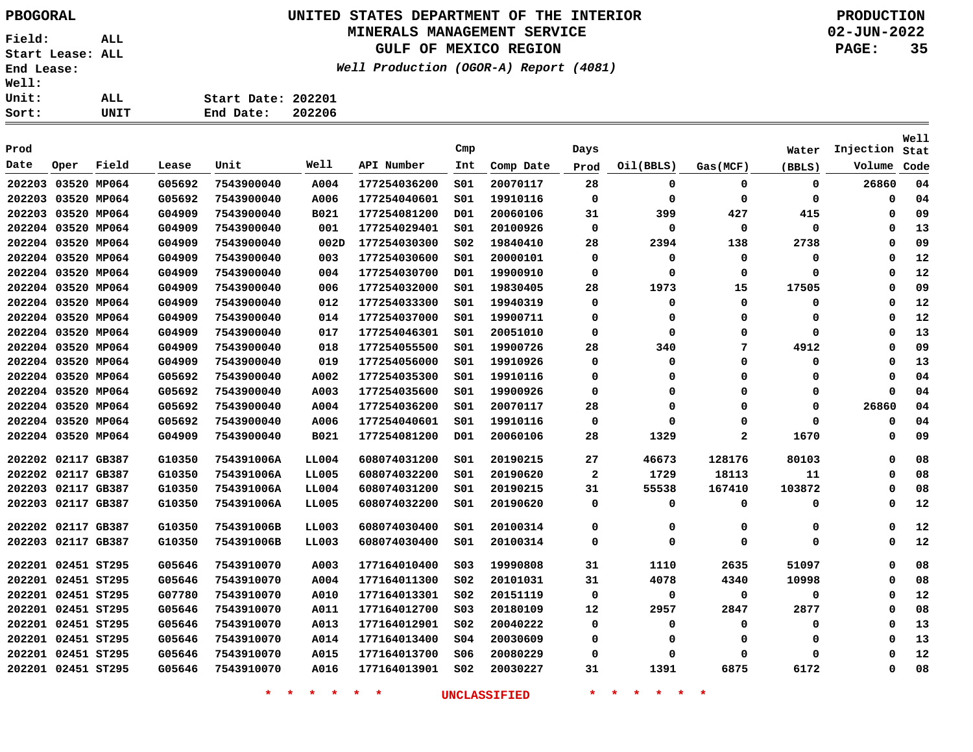# **UNITED STATES DEPARTMENT OF THE INTERIOR PBOGORAL PRODUCTION**

#### **MINERALS MANAGEMENT SERVICE**

**GULF OF MEXICO REGION**

**Well Production (OGOR-A) Report (4081)**

**02-JUN-2022 PAGE: 35**

| $\ddot{\phantom{a}}$ |      |                    |  |
|----------------------|------|--------------------|--|
| $\ddot{\phantom{a}}$ | ALL  | Start Date: 202201 |  |
| $\ddot{\phantom{a}}$ | UNIT | End Date: 202206   |  |

| Prod   |                    |             |        |            |       |              | Cmp             |           | Days        |           |             | Water       | Injection | <b>Well</b><br>Stat |
|--------|--------------------|-------------|--------|------------|-------|--------------|-----------------|-----------|-------------|-----------|-------------|-------------|-----------|---------------------|
| Date   | Oper               | Field       | Lease  | Unit       | Well  | API Number   | Int             | Comp Date | Prod        | Oil(BBLS) | Gas (MCF)   | (BBLS)      | Volume    | Code                |
| 202203 |                    | 03520 MP064 | G05692 | 7543900040 | A004  | 177254036200 | SO1             | 20070117  | 28          | 0         | $\mathbf 0$ | $\mathbf 0$ | 26860     | 04                  |
| 202203 |                    | 03520 MP064 | G05692 | 7543900040 | A006  | 177254040601 | SO1             | 19910116  | $\Omega$    | 0         | $\Omega$    | 0           | $\Omega$  | 04                  |
|        | 202203 03520 MP064 |             | G04909 | 7543900040 | B021  | 177254081200 | D01             | 20060106  | 31          | 399       | 427         | 415         | $\Omega$  | 09                  |
|        | 202204 03520 MP064 |             | G04909 | 7543900040 | 001   | 177254029401 | 501             | 20100926  | $\mathbf 0$ | $\Omega$  | $\mathbf 0$ | 0           | $\Omega$  | 13                  |
|        | 202204 03520 MP064 |             | G04909 | 7543900040 | 002D  | 177254030300 | SO <sub>2</sub> | 19840410  | 28          | 2394      | 138         | 2738        | $\Omega$  | 09                  |
|        | 202204 03520 MP064 |             | G04909 | 7543900040 | 003   | 177254030600 | 501             | 20000101  | $\Omega$    | $\Omega$  | $\mathbf 0$ | 0           | $\Omega$  | 12                  |
|        | 202204 03520 MP064 |             | G04909 | 7543900040 | 004   | 177254030700 | D01             | 19900910  | 0           | $\Omega$  | $\mathbf 0$ | 0           | $\Omega$  | 12                  |
|        | 202204 03520 MP064 |             | G04909 | 7543900040 | 006   | 177254032000 | SO1             | 19830405  | 28          | 1973      | 15          | 17505       | $\Omega$  | 09                  |
|        | 202204 03520 MP064 |             | G04909 | 7543900040 | 012   | 177254033300 | 501             | 19940319  | 0           | $\Omega$  | $\mathbf 0$ | 0           | $\Omega$  | 12                  |
|        | 202204 03520 MP064 |             | G04909 | 7543900040 | 014   | 177254037000 | SO1             | 19900711  | $\Omega$    | $\Omega$  | 0           | 0           | $\Omega$  | 12                  |
|        | 202204 03520 MP064 |             | G04909 | 7543900040 | 017   | 177254046301 | 501             | 20051010  | 0           | $\Omega$  | 0           | 0           | $\Omega$  | 13                  |
|        | 202204 03520 MP064 |             | G04909 | 7543900040 | 018   | 177254055500 | SO1             | 19900726  | 28          | 340       | 7           | 4912        | $\Omega$  | 09                  |
|        | 202204 03520 MP064 |             | G04909 | 7543900040 | 019   | 177254056000 | SO1             | 19910926  | $\Omega$    | $\Omega$  | 0           | 0           | $\Omega$  | 13                  |
|        | 202204 03520 MP064 |             | G05692 | 7543900040 | A002  | 177254035300 | SO1             | 19910116  | $\Omega$    | $\Omega$  | 0           | 0           | $\Omega$  | 04                  |
|        | 202204 03520 MP064 |             | G05692 | 7543900040 | A003  | 177254035600 | 501             | 19900926  | $\Omega$    | $\Omega$  | 0           | 0           | $\Omega$  | 04                  |
|        | 202204 03520 MP064 |             | G05692 | 7543900040 | A004  | 177254036200 | 501             | 20070117  | 28          | $\Omega$  | 0           | 0           | 26860     | 04                  |
|        | 202204 03520 MP064 |             | G05692 | 7543900040 | A006  | 177254040601 | SO1             | 19910116  | 0           | $\Omega$  | 0           | 0           | $\Omega$  | 04                  |
|        | 202204 03520 MP064 |             | G04909 | 7543900040 | B021  | 177254081200 | D01             | 20060106  | 28          | 1329      | 2           | 1670        | $\Omega$  | 09                  |
| 202202 |                    | 02117 GB387 | G10350 | 754391006A | LL004 | 608074031200 | SO1             | 20190215  | 27          | 46673     | 128176      | 80103       | 0         | 08                  |
| 202202 | 02117 GB387        |             | G10350 | 754391006A | LL005 | 608074032200 | SO1             | 20190620  | 2           | 1729      | 18113       | 11          | 0         | 08                  |
| 202203 | 02117 GB387        |             | G10350 | 754391006A | LL004 | 608074031200 | SO1             | 20190215  | 31          | 55538     | 167410      | 103872      | 0         | 08                  |
| 202203 | 02117 GB387        |             | G10350 | 754391006A | LL005 | 608074032200 | SO1             | 20190620  | 0           | 0         | 0           | 0           | 0         | 12                  |
|        | 202202 02117 GB387 |             | G10350 | 754391006B | LL003 | 608074030400 | SO1             | 20100314  | 0           | 0         | 0           | 0           | $\Omega$  | 12                  |
|        | 202203 02117 GB387 |             | G10350 | 754391006B | LL003 | 608074030400 | SO1             | 20100314  | 0           | 0         | 0           | 0           | 0         | 12                  |
|        | 202201 02451 ST295 |             | G05646 | 7543910070 | A003  | 177164010400 | SO <sub>3</sub> | 19990808  | 31          | 1110      | 2635        | 51097       | $\Omega$  | 08                  |
|        | 202201 02451 ST295 |             | G05646 | 7543910070 | A004  | 177164011300 | SO <sub>2</sub> | 20101031  | 31          | 4078      | 4340        | 10998       | 0         | 08                  |
|        | 202201 02451 ST295 |             | G07780 | 7543910070 | A010  | 177164013301 | SO <sub>2</sub> | 20151119  | 0           | 0         | 0           | 0           | 0         | 12                  |
|        | 202201 02451 ST295 |             | G05646 | 7543910070 | A011  | 177164012700 | SO <sub>3</sub> | 20180109  | 12          | 2957      | 2847        | 2877        | 0         | 08                  |
|        | 202201 02451 ST295 |             | G05646 | 7543910070 | A013  | 177164012901 | S02             | 20040222  | 0           | 0         | 0           | 0           | 0         | 13                  |
|        | 202201 02451 ST295 |             | G05646 | 7543910070 | A014  | 177164013400 | s04             | 20030609  | 0           | 0         | 0           | 0           | 0         | 13                  |
| 202201 | 02451 ST295        |             | G05646 | 7543910070 | A015  | 177164013700 | S06             | 20080229  | 0           | 0         | 0           | 0           | 0         | 12                  |
|        | 202201 02451 ST295 |             | G05646 | 7543910070 | A016  | 177164013901 | SO <sub>2</sub> | 20030227  | 31          | 1391      | 6875        | 6172        | 0         | 08                  |
|        |                    |             |        |            |       |              |                 |           |             |           |             |             |           |                     |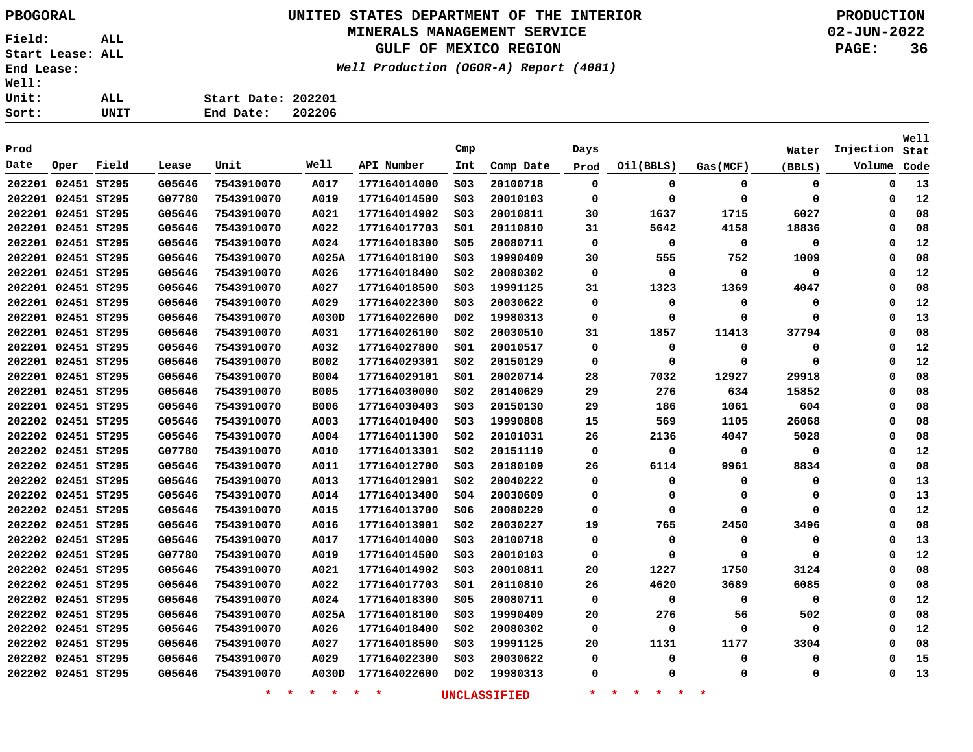# **UNITED STATES DEPARTMENT OF THE INTERIOR PBOGORAL PRODUCTION**

#### **MINERALS MANAGEMENT SERVICE**

**GULF OF MEXICO REGION**

**Well Production (OGOR-A) Report (4081)**

**02-JUN-2022 PAGE: 36**

| rt: | UNIT | 202206<br>End Date: |
|-----|------|---------------------|
| it: | ALL  | Start Date: 202201  |
| 11: |      |                     |

| Prod               |                                                                       |       |        |            |             |              | Cmp              |           | Days                            |             |          | Water       | Injection   | <b>Well</b><br>Stat |
|--------------------|-----------------------------------------------------------------------|-------|--------|------------|-------------|--------------|------------------|-----------|---------------------------------|-------------|----------|-------------|-------------|---------------------|
| Date               | Oper                                                                  | Field | Lease  | Unit       | Well        | API Number   | Int              | Comp Date | Prod                            | Oil(BBLS)   | Gas(MCF) | (BBLS)      | Volume      | Code                |
| 202201 02451 ST295 |                                                                       |       | G05646 | 7543910070 | A017        | 177164014000 | SO <sub>3</sub>  | 20100718  | 0                               | 0           | 0        | 0           | $\mathbf 0$ | 13                  |
| 202201 02451 ST295 |                                                                       |       | G07780 | 7543910070 | A019        | 177164014500 | SO <sub>3</sub>  | 20010103  | 0                               | 0           | 0        | 0           | 0           | 12                  |
| 202201 02451 ST295 |                                                                       |       | G05646 | 7543910070 | A021        | 177164014902 | SO <sub>3</sub>  | 20010811  | 30                              | 1637        | 1715     | 6027        | $\Omega$    | 08                  |
| 202201 02451 ST295 |                                                                       |       | G05646 | 7543910070 | A022        | 177164017703 | 501              | 20110810  | 31                              | 5642        | 4158     | 18836       | $\Omega$    | 08                  |
| 202201 02451 ST295 |                                                                       |       | G05646 | 7543910070 | A024        | 177164018300 | \$05             | 20080711  | $\mathbf 0$                     | $\mathbf 0$ | 0        | 0           | $\Omega$    | 12                  |
| 202201 02451 ST295 |                                                                       |       | G05646 | 7543910070 | A025A       | 177164018100 | S03              | 19990409  | 30                              | 555         | 752      | 1009        | $\Omega$    | 08                  |
| 202201 02451 ST295 |                                                                       |       | G05646 | 7543910070 | A026        | 177164018400 | SO <sub>2</sub>  | 20080302  | 0                               | $\Omega$    | 0        | 0           | $\Omega$    | 12                  |
| 202201 02451 ST295 |                                                                       |       | G05646 | 7543910070 | A027        | 177164018500 | SO <sub>3</sub>  | 19991125  | 31                              | 1323        | 1369     | 4047        | $\Omega$    | 08                  |
| 202201 02451 ST295 |                                                                       |       | G05646 | 7543910070 | A029        | 177164022300 | S03              | 20030622  | 0                               | 0           | 0        | 0           | $\mathbf 0$ | 12                  |
| 202201 02451 ST295 |                                                                       |       | G05646 | 7543910070 | A030D       | 177164022600 | D02              | 19980313  | 0                               | $\Omega$    | $\Omega$ | $\mathbf 0$ | $\Omega$    | 13                  |
| 202201 02451 ST295 |                                                                       |       | G05646 | 7543910070 | A031        | 177164026100 | SO <sub>2</sub>  | 20030510  | 31                              | 1857        | 11413    | 37794       | 0           | 08                  |
| 202201 02451 ST295 |                                                                       |       | G05646 | 7543910070 | A032        | 177164027800 | SO1              | 20010517  | 0                               | 0           | 0        | 0           | $\Omega$    | 12                  |
| 202201 02451 ST295 |                                                                       |       | G05646 | 7543910070 | <b>B002</b> | 177164029301 | S02              | 20150129  | 0                               | $\Omega$    | $\Omega$ | $\mathbf 0$ | $\Omega$    | 12                  |
| 202201 02451 ST295 |                                                                       |       | G05646 | 7543910070 | <b>B004</b> | 177164029101 | S01              | 20020714  | 28                              | 7032        | 12927    | 29918       | $\Omega$    | 08                  |
| 202201 02451 ST295 |                                                                       |       | G05646 | 7543910070 | <b>B005</b> | 177164030000 | S02              | 20140629  | 29                              | 276         | 634      | 15852       | $\Omega$    | 08                  |
| 202201 02451 ST295 |                                                                       |       | G05646 | 7543910070 | <b>B006</b> | 177164030403 | S03              | 20150130  | 29                              | 186         | 1061     | 604         | $\Omega$    | 08                  |
| 202202 02451 ST295 |                                                                       |       | G05646 | 7543910070 | A003        | 177164010400 | SO <sub>3</sub>  | 19990808  | 15                              | 569         | 1105     | 26068       | $\Omega$    | 08                  |
| 202202 02451 ST295 |                                                                       |       | G05646 | 7543910070 | A004        | 177164011300 | S02              | 20101031  | 26                              | 2136        | 4047     | 5028        | 0           | 08                  |
| 202202 02451 ST295 |                                                                       |       | G07780 | 7543910070 | A010        | 177164013301 | S02              | 20151119  | 0                               | 0           | 0        | 0           | 0           | 12                  |
| 202202 02451 ST295 |                                                                       |       | G05646 | 7543910070 | A011        | 177164012700 | S03              | 20180109  | 26                              | 6114        | 9961     | 8834        | 0           | 08                  |
| 202202 02451 ST295 |                                                                       |       | G05646 | 7543910070 | A013        | 177164012901 | SO <sub>2</sub>  | 20040222  | 0                               | $\Omega$    | 0        | 0           | 0           | 13                  |
| 202202 02451 ST295 |                                                                       |       | G05646 | 7543910070 | A014        | 177164013400 | SO <sub>4</sub>  | 20030609  | 0                               | $\Omega$    | 0        | 0           | 0           | 13                  |
| 202202 02451 ST295 |                                                                       |       | G05646 | 7543910070 | A015        | 177164013700 | S06              | 20080229  | 0                               | $\Omega$    | 0        | 0           | 0           | 12                  |
| 202202 02451 ST295 |                                                                       |       | G05646 | 7543910070 | A016        | 177164013901 | S02              | 20030227  | 19                              | 765         | 2450     | 3496        | 0           | 08                  |
| 202202 02451 ST295 |                                                                       |       | G05646 | 7543910070 | A017        | 177164014000 | SO <sub>3</sub>  | 20100718  | 0                               | 0           | 0        | $\mathbf 0$ | $\mathbf 0$ | 13                  |
| 202202 02451 ST295 |                                                                       |       | G07780 | 7543910070 | A019        | 177164014500 | SO <sub>3</sub>  | 20010103  | 0                               | $\Omega$    | $\Omega$ | 0           | $\mathbf 0$ | 12                  |
| 202202 02451 ST295 |                                                                       |       | G05646 | 7543910070 | A021        | 177164014902 | S03              | 20010811  | 20                              | 1227        | 1750     | 3124        | 0           | 08                  |
| 202202 02451 ST295 |                                                                       |       | G05646 | 7543910070 | A022        | 177164017703 | S01              | 20110810  | 26                              | 4620        | 3689     | 6085        | 0           | 08                  |
| 202202             | 02451 ST295                                                           |       | G05646 | 7543910070 | A024        | 177164018300 | <b>S05</b>       | 20080711  | 0                               | 0           | 0        | 0           | 0           | 12                  |
| 202202 02451 ST295 |                                                                       |       | G05646 | 7543910070 | A025A       | 177164018100 | SO <sub>3</sub>  | 19990409  | 20                              | 276         | 56       | 502         | 0           | 08                  |
| 202202             | 02451 ST295                                                           |       | G05646 | 7543910070 | A026        | 177164018400 | S02              | 20080302  | 0                               | $\Omega$    | $\Omega$ | 0           | $\Omega$    | 12                  |
| 202202 02451 ST295 |                                                                       |       | G05646 | 7543910070 | A027        | 177164018500 | S03              | 19991125  | 20                              | 1131        | 1177     | 3304        | $\Omega$    | 08                  |
| 202202 02451 ST295 |                                                                       |       | G05646 | 7543910070 | A029        | 177164022300 | S03              | 20030622  | 0                               | $\Omega$    | 0        | 0           | 0           | 15                  |
| 202202 02451 ST295 |                                                                       |       | G05646 | 7543910070 | A030D       | 177164022600 | D <sub>0</sub> 2 | 19980313  | 0                               | $\Omega$    | $\Omega$ | 0           | $\Omega$    | 13                  |
|                    | $\star$<br>$\star$ $\star$<br>$\star$<br>$\star$<br>*<br>UNCLASSIFIED |       |        |            |             |              |                  | $\star$   | $\star$<br>一米。<br>一大<br>$\star$ | 未           |          |             |             |                     |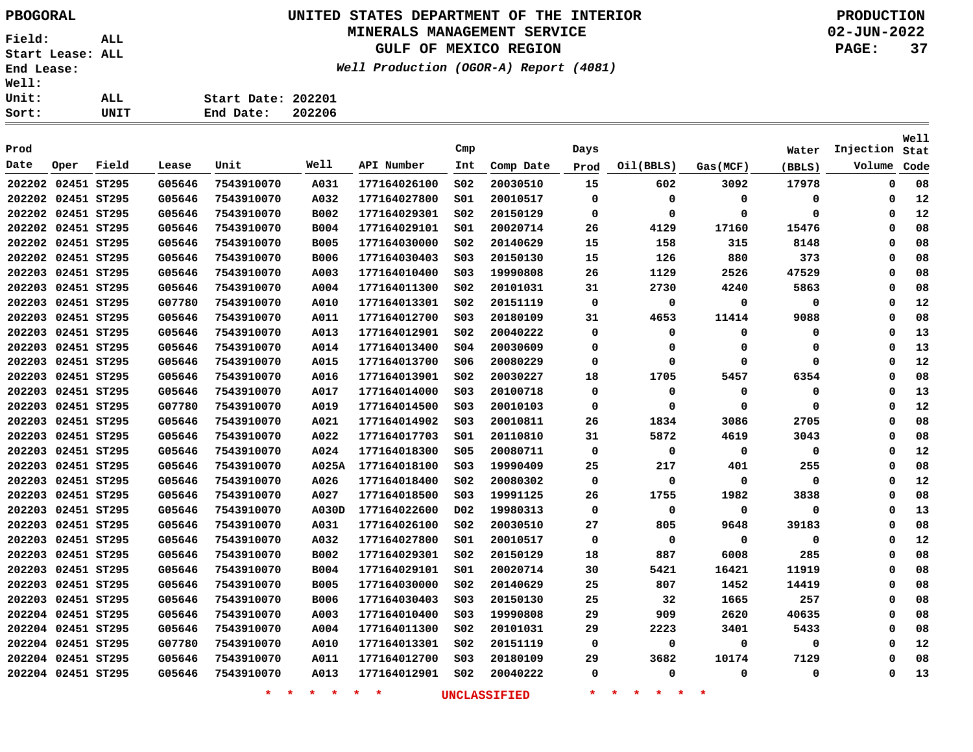# **UNITED STATES DEPARTMENT OF THE INTERIOR PBOGORAL PRODUCTION**

## **MINERALS MANAGEMENT SERVICE**

**GULF OF MEXICO REGION**

**Well Production (OGOR-A) Report (4081)**

**02-JUN-2022 PAGE: 37**

**Stat Injection**

**Well**

| .<br><b>Well:</b><br><b>Unit:</b> |      | ALL   |        | Start Date: 202201 |        |              |                 |           |      |           |          |        |
|-----------------------------------|------|-------|--------|--------------------|--------|--------------|-----------------|-----------|------|-----------|----------|--------|
| Sort:                             |      | UNIT  |        | End Date:          | 202206 |              |                 |           |      |           |          |        |
|                                   |      |       |        |                    |        |              |                 |           |      |           |          |        |
| Prod                              |      |       |        |                    |        |              | Cmp             |           | Days |           |          | Water  |
| Date                              | Oper | Field | Lease  | Unit               | Well   | API Number   | Int             | Comp Date | Prod | Oil(BBLS) | Gas(MCF) | (BBLS) |
| 202202 02451 ST295                |      |       | G05646 | 7543910070         | A031   | 177164026100 | SO <sub>2</sub> | 20030510  | 15   | 602       | 3092     | 17978  |
| 202202 02451 ST295                |      |       | G05646 | 7543910070         | A032   | 177164027800 | SO1             | 20010517  |      | 0         |          | - 0    |

| Date               | Oper | Field | Lease  | Unit       | Well        | API Number   | Int             | Comp Date | Prod        | Oil(BBLS)   | Gas(MCF)    | (BBLS) | Volume   | Code |
|--------------------|------|-------|--------|------------|-------------|--------------|-----------------|-----------|-------------|-------------|-------------|--------|----------|------|
| 202202 02451 ST295 |      |       | G05646 | 7543910070 | A031        | 177164026100 | SO <sub>2</sub> | 20030510  | 15          | 602         | 3092        | 17978  | 0        | 08   |
| 202202 02451 ST295 |      |       | G05646 | 7543910070 | A032        | 177164027800 | SO1             | 20010517  | 0           | 0           | 0           | 0      | 0        | 12   |
| 202202 02451 ST295 |      |       | G05646 | 7543910070 | B002        | 177164029301 | SO <sub>2</sub> | 20150129  | 0           | 0           | 0           | 0      | 0        | 12   |
| 202202 02451 ST295 |      |       | G05646 | 7543910070 | <b>B004</b> | 177164029101 | S01             | 20020714  | 26          | 4129        | 17160       | 15476  | 0        | 08   |
| 202202 02451 ST295 |      |       | G05646 | 7543910070 | <b>B005</b> | 177164030000 | S02             | 20140629  | 15          | 158         | 315         | 8148   | 0        | 08   |
| 202202 02451 ST295 |      |       | G05646 | 7543910070 | <b>B006</b> | 177164030403 | S03             | 20150130  | 15          | 126         | 880         | 373    | 0        | 08   |
| 202203 02451 ST295 |      |       | G05646 | 7543910070 | A003        | 177164010400 | S03             | 19990808  | 26          | 1129        | 2526        | 47529  | 0        | 08   |
| 202203 02451 ST295 |      |       | G05646 | 7543910070 | A004        | 177164011300 | S02             | 20101031  | 31          | 2730        | 4240        | 5863   | 0        | 08   |
| 202203 02451 ST295 |      |       | G07780 | 7543910070 | A010        | 177164013301 | SO <sub>2</sub> | 20151119  | $\mathbf 0$ | 0           | 0           | 0      | 0        | 12   |
| 202203 02451 ST295 |      |       | G05646 | 7543910070 | A011        | 177164012700 | S03             | 20180109  | 31          | 4653        | 11414       | 9088   | 0        | 08   |
| 202203 02451 ST295 |      |       | G05646 | 7543910070 | A013        | 177164012901 | S02             | 20040222  | 0           | 0           | 0           | 0      | 0        | 13   |
| 202203 02451 ST295 |      |       | G05646 | 7543910070 | A014        | 177164013400 | SO <sub>4</sub> | 20030609  | 0           | 0           | 0           | 0      | 0        | 13   |
| 202203 02451 ST295 |      |       | G05646 | 7543910070 | A015        | 177164013700 | S06             | 20080229  | 0           | 0           | 0           | 0      | 0        | 12   |
| 202203 02451 ST295 |      |       | G05646 | 7543910070 | A016        | 177164013901 | S02             | 20030227  | 18          | 1705        | 5457        | 6354   | 0        | 08   |
| 202203 02451 ST295 |      |       | G05646 | 7543910070 | A017        | 177164014000 | SO <sub>3</sub> | 20100718  | 0           | 0           | 0           | 0      | $\Omega$ | 13   |
| 202203 02451 ST295 |      |       | G07780 | 7543910070 | A019        | 177164014500 | S03             | 20010103  | 0           | 0           | 0           | 0      | 0        | 12   |
| 202203 02451 ST295 |      |       | G05646 | 7543910070 | A021        | 177164014902 | SO3             | 20010811  | 26          | 1834        | 3086        | 2705   | 0        | 08   |
| 202203 02451 ST295 |      |       | G05646 | 7543910070 | A022        | 177164017703 | S01             | 20110810  | 31          | 5872        | 4619        | 3043   | 0        | 08   |
| 202203 02451 ST295 |      |       | G05646 | 7543910070 | A024        | 177164018300 | S05             | 20080711  | 0           | $\mathbf 0$ | 0           | 0      | 0        | 12   |
| 202203 02451 ST295 |      |       | G05646 | 7543910070 | A025A       | 177164018100 | SO <sub>3</sub> | 19990409  | 25          | 217         | 401         | 255    | 0        | 08   |
| 202203 02451 ST295 |      |       | G05646 | 7543910070 | A026        | 177164018400 | SO <sub>2</sub> | 20080302  | 0           | 0           | $\mathbf 0$ | 0      | 0        | 12   |
| 202203 02451 ST295 |      |       | G05646 | 7543910070 | A027        | 177164018500 | S03             | 19991125  | 26          | 1755        | 1982        | 3838   | 0        | 08   |
| 202203 02451 ST295 |      |       | G05646 | 7543910070 | A030D       | 177164022600 | D02             | 19980313  | 0           | 0           | 0           | 0      | 0        | 13   |
| 202203 02451 ST295 |      |       | G05646 | 7543910070 | A031        | 177164026100 | S02             | 20030510  | 27          | 805         | 9648        | 39183  | 0        | 08   |
| 202203 02451 ST295 |      |       | G05646 | 7543910070 | A032        | 177164027800 | S01             | 20010517  | 0           | $\mathbf 0$ | 0           | 0      | 0        | 12   |
| 202203 02451 ST295 |      |       | G05646 | 7543910070 | B002        | 177164029301 | S02             | 20150129  | 18          | 887         | 6008        | 285    | 0        | 08   |
| 202203 02451 ST295 |      |       | G05646 | 7543910070 | <b>B004</b> | 177164029101 | S01             | 20020714  | 30          | 5421        | 16421       | 11919  | 0        | 08   |
| 202203 02451 ST295 |      |       | G05646 | 7543910070 | <b>B005</b> | 177164030000 | S02             | 20140629  | 25          | 807         | 1452        | 14419  | 0        | 08   |
| 202203 02451 ST295 |      |       | G05646 | 7543910070 | <b>B006</b> | 177164030403 | S03             | 20150130  | 25          | 32          | 1665        | 257    | 0        | 08   |
| 202204 02451 ST295 |      |       | G05646 | 7543910070 | A003        | 177164010400 | SO3             | 19990808  | 29          | 909         | 2620        | 40635  | 0        | 08   |
| 202204 02451 ST295 |      |       | G05646 | 7543910070 | A004        | 177164011300 | SO <sub>2</sub> | 20101031  | 29          | 2223        | 3401        | 5433   | 0        | 08   |
| 202204 02451 ST295 |      |       | G07780 | 7543910070 | A010        | 177164013301 | SO <sub>2</sub> | 20151119  | 0           | 0           | 0           | 0      | 0        | 12   |
| 202204 02451 ST295 |      |       | G05646 | 7543910070 | A011        | 177164012700 | SO3             | 20180109  | 29          | 3682        | 10174       | 7129   | $\Omega$ | 08   |
| 202204 02451 ST295 |      |       | G05646 | 7543910070 | A013        | 177164012901 | SO <sub>2</sub> | 20040222  | 0           | 0           | $\mathbf 0$ | 0      | 0        | 13   |
|                    |      |       |        |            |             |              |                 |           |             |             |             |        |          |      |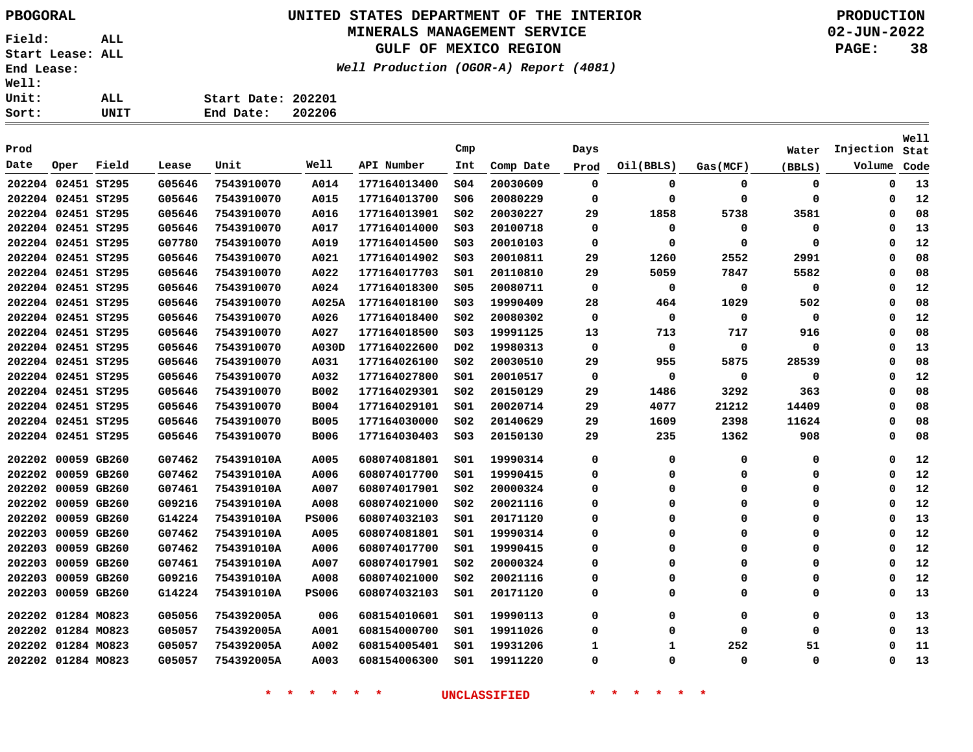## **UNITED STATES DEPARTMENT OF THE INTERIOR PBOGORAL PRODUCTION MINERALS MANAGEMENT SERVICE**

**GULF OF MEXICO REGION**

**Well Production (OGOR-A) Report (4081)**

**02-JUN-2022 PAGE: 38**

| UNIT | End Date: 202206   |  |
|------|--------------------|--|
| ALL. | Start Date: 202201 |  |
|      |                    |  |

| Prod               |                    |             |        |            |              |              | Cmp              |           | Days        |           |             | Water       | Injection | Well<br>Stat |
|--------------------|--------------------|-------------|--------|------------|--------------|--------------|------------------|-----------|-------------|-----------|-------------|-------------|-----------|--------------|
| Date               | Oper               | Field       | Lease  | Unit       | Well         | API Number   | Int              | Comp Date | Prod        | Oil(BBLS) | Gas(MCF)    | (BBLS)      | Volume    | Code         |
|                    | 202204 02451 ST295 |             | G05646 | 7543910070 | A014         | 177164013400 | 504              | 20030609  | $\mathbf 0$ | 0         | 0           | 0           | 0         | 13           |
|                    | 202204 02451 ST295 |             | G05646 | 7543910070 | A015         | 177164013700 | 506              | 20080229  | 0           | $\Omega$  | 0           | 0           | 0         | 12           |
|                    | 202204 02451 ST295 |             | G05646 | 7543910070 | A016         | 177164013901 | SO <sub>2</sub>  | 20030227  | 29          | 1858      | 5738        | 3581        | 0         | 08           |
|                    | 202204 02451 ST295 |             | G05646 | 7543910070 | A017         | 177164014000 | S03              | 20100718  | 0           | 0         | 0           | 0           | 0         | 13           |
|                    | 202204 02451 ST295 |             | G07780 | 7543910070 | A019         | 177164014500 | SO <sub>3</sub>  | 20010103  | 0           | $\Omega$  | $\Omega$    | $\mathbf 0$ | $\Omega$  | 12           |
|                    | 202204 02451 ST295 |             | G05646 | 7543910070 | A021         | 177164014902 | SO <sub>3</sub>  | 20010811  | 29          | 1260      | 2552        | 2991        | 0         | 08           |
|                    | 202204 02451 ST295 |             | G05646 | 7543910070 | A022         | 177164017703 | 501              | 20110810  | 29          | 5059      | 7847        | 5582        | 0         | 08           |
| 202204 02451 ST295 |                    |             | G05646 | 7543910070 | A024         | 177164018300 | \$05             | 20080711  | $\mathbf 0$ | 0         | 0           | 0           | 0         | 12           |
| 202204 02451 ST295 |                    |             | G05646 | 7543910070 | A025A        | 177164018100 | S03              | 19990409  | 28          | 464       | 1029        | 502         | 0         | 08           |
|                    | 202204 02451 ST295 |             | G05646 | 7543910070 | A026         | 177164018400 | S02              | 20080302  | 0           | 0         | 0           | 0           | 0         | 12           |
|                    | 202204 02451 ST295 |             | G05646 | 7543910070 | A027         | 177164018500 | SO <sub>3</sub>  | 19991125  | 13          | 713       | 717         | 916         | 0         | 08           |
|                    | 202204 02451 ST295 |             | G05646 | 7543910070 | A030D        | 177164022600 | D <sub>0</sub> 2 | 19980313  | $\mathbf 0$ | 0         | $\mathbf 0$ | 0           | 0         | 13           |
|                    | 202204 02451 ST295 |             | G05646 | 7543910070 | A031         | 177164026100 | SO <sub>2</sub>  | 20030510  | 29          | 955       | 5875        | 28539       | 0         | 08           |
|                    | 202204 02451 ST295 |             | G05646 | 7543910070 | A032         | 177164027800 | 501              | 20010517  | 0           | 0         | 0           | 0           | 0         | 12           |
|                    | 202204 02451 ST295 |             | G05646 | 7543910070 | <b>B002</b>  | 177164029301 | S02              | 20150129  | 29          | 1486      | 3292        | 363         | 0         | 08           |
|                    | 202204 02451 ST295 |             | G05646 | 7543910070 | <b>B004</b>  | 177164029101 | S01              | 20020714  | 29          | 4077      | 21212       | 14409       | 0         | 08           |
|                    | 202204 02451 ST295 |             | G05646 | 7543910070 | <b>B005</b>  | 177164030000 | s02              | 20140629  | 29          | 1609      | 2398        | 11624       | 0         | 08           |
|                    | 202204 02451 ST295 |             | G05646 | 7543910070 | <b>B006</b>  | 177164030403 | SO <sub>3</sub>  | 20150130  | 29          | 235       | 1362        | 908         | 0         | 08           |
|                    | 202202 00059 GB260 |             | G07462 | 754391010A | A005         | 608074081801 | 501              | 19990314  | 0           | $\Omega$  | $\Omega$    | 0           | 0         | 12           |
|                    | 202202 00059 GB260 |             | G07462 | 754391010A | A006         | 608074017700 | SO1              | 19990415  | $\Omega$    | $\Omega$  | $\Omega$    | 0           | 0         | 12           |
| 202202             | 00059 GB260        |             | G07461 | 754391010A | A007         | 608074017901 | SO <sub>2</sub>  | 20000324  | 0           | 0         | 0           | 0           | 0         | 12           |
| 202202             |                    | 00059 GB260 | G09216 | 754391010A | A008         | 608074021000 | SO <sub>2</sub>  | 20021116  | 0           | $\Omega$  | $\Omega$    | 0           | 0         | 12           |
| 202202             | 00059 GB260        |             | G14224 | 754391010A | <b>PS006</b> | 608074032103 | 501              | 20171120  | 0           | $\Omega$  | $\Omega$    | 0           | 0         | 13           |
| 202203             |                    | 00059 GB260 | G07462 | 754391010A | A005         | 608074081801 | S01              | 19990314  | $\Omega$    | $\Omega$  | $\Omega$    | 0           | 0         | 12           |
| 202203             |                    | 00059 GB260 | G07462 | 754391010A | A006         | 608074017700 | S01              | 19990415  | 0           | 0         | 0           | 0           | 0         | 12           |
| 202203             |                    | 00059 GB260 | G07461 | 754391010A | A007         | 608074017901 | SO <sub>2</sub>  | 20000324  | 0           | $\Omega$  | $\Omega$    | 0           | 0         | 12           |
| 202203             |                    | 00059 GB260 | G09216 | 754391010A | A008         | 608074021000 | SO <sub>2</sub>  | 20021116  | 0           | 0         | $\Omega$    | 0           | 0         | 12           |
| 202203             |                    | 00059 GB260 | G14224 | 754391010A | <b>PS006</b> | 608074032103 | S01              | 20171120  | $\Omega$    | $\Omega$  | $\Omega$    | 0           | 0         | 13           |
|                    | 202202 01284 MO823 |             | G05056 | 754392005A | 006          | 608154010601 | 501              | 19990113  | $\Omega$    | $\Omega$  | $\Omega$    | 0           | 0         | 13           |
|                    | 202202 01284 MO823 |             | G05057 | 754392005A | <b>A001</b>  | 608154000700 | s01              | 19911026  | $\Omega$    | $\Omega$  | $\Omega$    | 0           | 0         | 13           |
|                    | 202202 01284 MO823 |             | G05057 | 754392005A | A002         | 608154005401 | S01              | 19931206  | 1           | 1         | 252         | 51          | 0         | 11           |
|                    | 202202 01284 MO823 |             | G05057 | 754392005A | A003         | 608154006300 | 501              | 19911220  | $\Omega$    | $\Omega$  | $\Omega$    | 0           | $\Omega$  | 13           |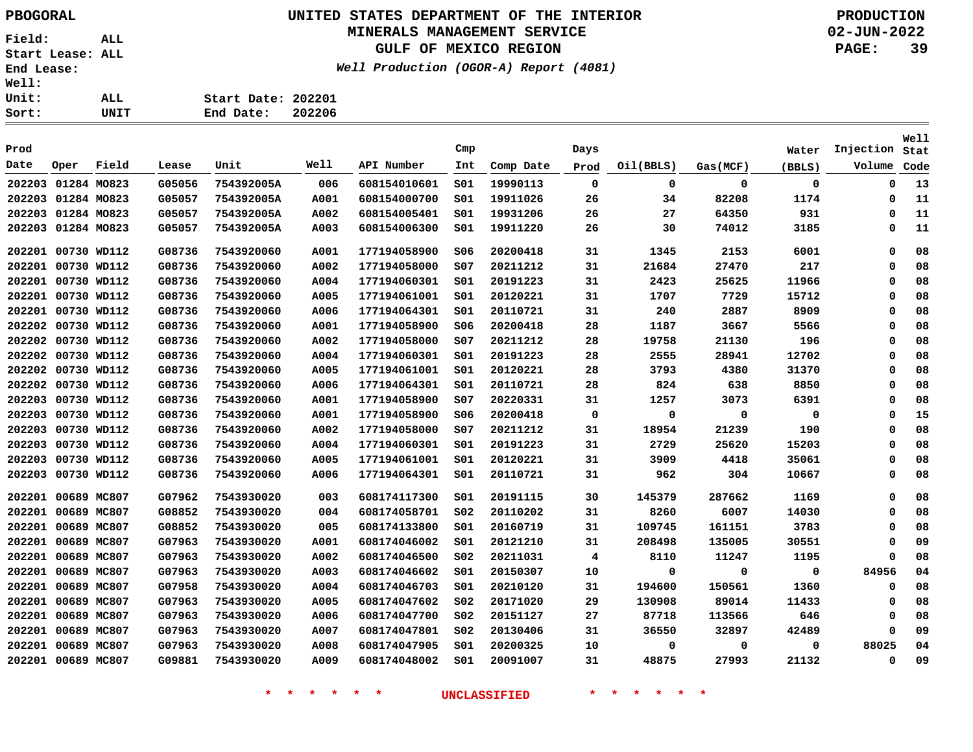# **UNITED STATES DEPARTMENT OF THE INTERIOR PBOGORAL PRODUCTION**

## **MINERALS MANAGEMENT SERVICE**

**GULF OF MEXICO REGION**

**Well Production (OGOR-A) Report (4081)**

**02-JUN-2022 PAGE: 39**

| ALL. | Start Date: 202201  |
|------|---------------------|
| UNIT | 202206<br>End Date: |

| Prod   |                    |             |        |            |      |              | Cmp             |           | Days        |           |          | Water       | Injection   | <b>Well</b><br>Stat |
|--------|--------------------|-------------|--------|------------|------|--------------|-----------------|-----------|-------------|-----------|----------|-------------|-------------|---------------------|
| Date   | Oper               | Field       | Lease  | Unit       | Well | API Number   | Int             | Comp Date | Prod        | Oil(BBLS) | Gas(MCF) | (BBLS)      | Volume      | Code                |
| 202203 | 01284 MO823        |             | G05056 | 754392005A | 006  | 608154010601 | SO1             | 19990113  | $\mathbf 0$ | 0         | 0        | $\mathbf 0$ | 0           | 13                  |
|        | 202203 01284 MO823 |             | G05057 | 754392005A | A001 | 608154000700 | SO1             | 19911026  | 26          | 34        | 82208    | 1174        | 0           | 11                  |
|        | 202203 01284 MO823 |             | G05057 | 754392005A | A002 | 608154005401 | SO1             | 19931206  | 26          | 27        | 64350    | 931         | $\mathbf 0$ | 11                  |
| 202203 | 01284 MO823        |             | G05057 | 754392005A | A003 | 608154006300 | S01             | 19911220  | 26          | 30        | 74012    | 3185        | 0           | 11                  |
| 202201 | 00730 WD112        |             | G08736 | 7543920060 | A001 | 177194058900 | 506             | 20200418  | 31          | 1345      | 2153     | 6001        | 0           | 08                  |
| 202201 | 00730 WD112        |             | G08736 | 7543920060 | A002 | 177194058000 | s07             | 20211212  | 31          | 21684     | 27470    | 217         | Ω           | 08                  |
| 202201 | 00730 WD112        |             | G08736 | 7543920060 | A004 | 177194060301 | S01             | 20191223  | 31          | 2423      | 25625    | 11966       | 0           | 08                  |
| 202201 | 00730 WD112        |             | G08736 | 7543920060 | A005 | 177194061001 | SO1             | 20120221  | 31          | 1707      | 7729     | 15712       | 0           | 08                  |
| 202201 | 00730 WD112        |             | G08736 | 7543920060 | A006 | 177194064301 | SO1             | 20110721  | 31          | 240       | 2887     | 8909        | 0           | 08                  |
| 202202 |                    | 00730 WD112 | G08736 | 7543920060 | A001 | 177194058900 | S06             | 20200418  | 28          | 1187      | 3667     | 5566        | 0           | 08                  |
| 202202 |                    | 00730 WD112 | G08736 | 7543920060 | A002 | 177194058000 | s07             | 20211212  | 28          | 19758     | 21130    | 196         | Ω           | 08                  |
| 202202 | 00730 WD112        |             | G08736 | 7543920060 | A004 | 177194060301 | SO1             | 20191223  | 28          | 2555      | 28941    | 12702       | 0           | 08                  |
| 202202 | 00730 WD112        |             | G08736 | 7543920060 | A005 | 177194061001 | SO1             | 20120221  | 28          | 3793      | 4380     | 31370       | $\Omega$    | 08                  |
| 202202 |                    | 00730 WD112 | G08736 | 7543920060 | A006 | 177194064301 | SO1             | 20110721  | 28          | 824       | 638      | 8850        | $\Omega$    | 08                  |
|        | 202203 00730 WD112 |             | G08736 | 7543920060 | A001 | 177194058900 | s07             | 20220331  | 31          | 1257      | 3073     | 6391        | $\Omega$    | 08                  |
| 202203 | 00730 WD112        |             | G08736 | 7543920060 | A001 | 177194058900 | 506             | 20200418  | 0           | 0         | 0        | 0           | 0           | 15                  |
| 202203 | 00730 WD112        |             | G08736 | 7543920060 | A002 | 177194058000 | SO7             | 20211212  | 31          | 18954     | 21239    | 190         | $\Omega$    | 08                  |
| 202203 | 00730 WD112        |             | G08736 | 7543920060 | A004 | 177194060301 | SO1             | 20191223  | 31          | 2729      | 25620    | 15203       | $\Omega$    | 08                  |
| 202203 | 00730 WD112        |             | G08736 | 7543920060 | A005 | 177194061001 | S01             | 20120221  | 31          | 3909      | 4418     | 35061       | Ω           | 08                  |
| 202203 |                    | 00730 WD112 | G08736 | 7543920060 | A006 | 177194064301 | SO1             | 20110721  | 31          | 962       | 304      | 10667       | 0           | 08                  |
| 202201 | 00689 MC807        |             | G07962 | 7543930020 | 003  | 608174117300 | S01             | 20191115  | 30          | 145379    | 287662   | 1169        | $\Omega$    | 08                  |
| 202201 | 00689 MC807        |             | G08852 | 7543930020 | 004  | 608174058701 | SO <sub>2</sub> | 20110202  | 31          | 8260      | 6007     | 14030       | 0           | 08                  |
| 202201 | 00689 MC807        |             | G08852 | 7543930020 | 005  | 608174133800 | SO1             | 20160719  | 31          | 109745    | 161151   | 3783        | 0           | 08                  |
| 202201 | 00689 MC807        |             | G07963 | 7543930020 | A001 | 608174046002 | SO1             | 20121210  | 31          | 208498    | 135005   | 30551       | 0           | 09                  |
| 202201 | 00689 MC807        |             | G07963 | 7543930020 | A002 | 608174046500 | SO <sub>2</sub> | 20211031  | 4           | 8110      | 11247    | 1195        | 0           | 08                  |
| 202201 | 00689 MC807        |             | G07963 | 7543930020 | A003 | 608174046602 | 501             | 20150307  | 10          | $\Omega$  | 0        | 0           | 84956       | 04                  |
| 202201 | 00689 MC807        |             | G07958 | 7543930020 | A004 | 608174046703 | SO1             | 20210120  | 31          | 194600    | 150561   | 1360        | 0           | 08                  |
| 202201 | 00689 MC807        |             | G07963 | 7543930020 | A005 | 608174047602 | SO <sub>2</sub> | 20171020  | 29          | 130908    | 89014    | 11433       | 0           | 08                  |
| 202201 | 00689 MC807        |             | G07963 | 7543930020 | A006 | 608174047700 | SO <sub>2</sub> | 20151127  | 27          | 87718     | 113566   | 646         | 0           | 08                  |
| 202201 | 00689 MC807        |             | G07963 | 7543930020 | A007 | 608174047801 | SO <sub>2</sub> | 20130406  | 31          | 36550     | 32897    | 42489       | $\Omega$    | 09                  |
| 202201 | 00689 MC807        |             | G07963 | 7543930020 | A008 | 608174047905 | SO1             | 20200325  | 10          | 0         | 0        | 0           | 88025       | 04                  |
| 202201 | 00689 MC807        |             | G09881 | 7543930020 | A009 | 608174048002 | SO1             | 20091007  | 31          | 48875     | 27993    | 21132       | $\Omega$    | 09                  |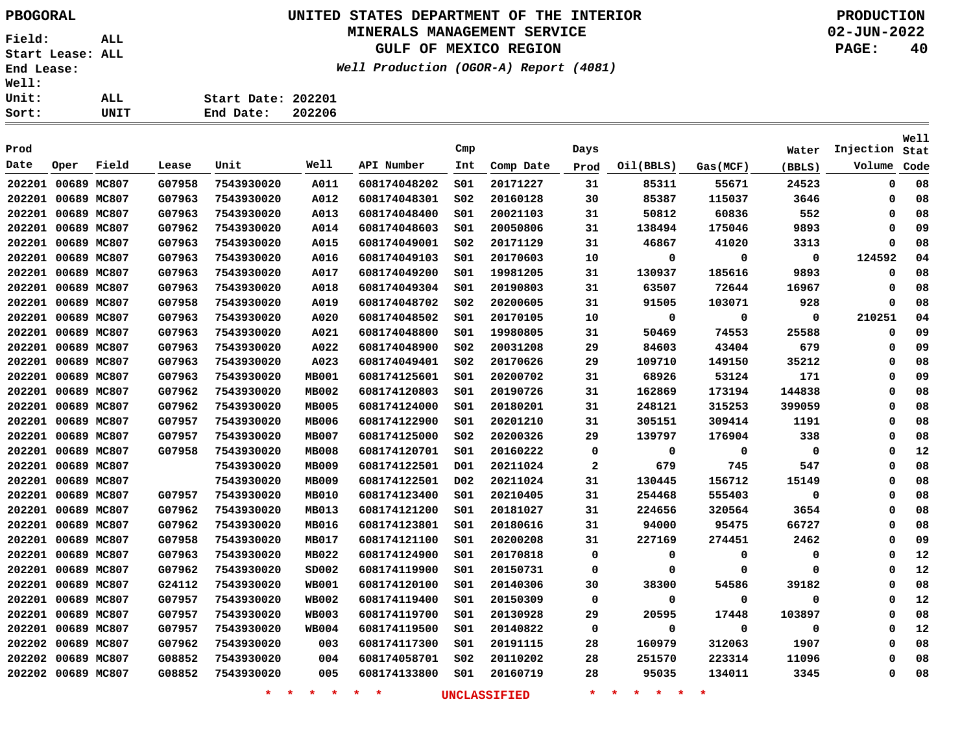## **UNITED STATES DEPARTMENT OF THE INTERIOR PBOGORAL PRODUCTION MINERALS MANAGEMENT SERVICE**

**GULF OF MEXICO REGION**

**Well Production (OGOR-A) Report (4081)**

**02-JUN-2022 PAGE: 40**

| t: | UNIT | 202206<br>End Date: |  |
|----|------|---------------------|--|
| t: | ALL  | Start Date: 202201  |  |
| ı: |      |                     |  |

| Prod   |                    |             |        |            |              |              | Cmp              |           | Days         |           |          | Water  | Injection | Well<br>Stat |
|--------|--------------------|-------------|--------|------------|--------------|--------------|------------------|-----------|--------------|-----------|----------|--------|-----------|--------------|
| Date   | Oper               | Field       | Lease  | Unit       | Well         | API Number   | Int              | Comp Date | Prod         | Oil(BBLS) | Gas(MCF) | (BBLS) | Volume    | Code         |
|        | 202201 00689 MC807 |             | G07958 | 7543930020 | A011         | 608174048202 | S01              | 20171227  | 31           | 85311     | 55671    | 24523  | 0         | 08           |
|        | 202201 00689 MC807 |             | G07963 | 7543930020 | A012         | 608174048301 | SO <sub>2</sub>  | 20160128  | 30           | 85387     | 115037   | 3646   | 0         | 08           |
|        | 202201 00689 MC807 |             | G07963 | 7543930020 | A013         | 608174048400 | 501              | 20021103  | 31           | 50812     | 60836    | 552    | 0         | 08           |
|        | 202201 00689 MC807 |             | G07962 | 7543930020 | A014         | 608174048603 | 501              | 20050806  | 31           | 138494    | 175046   | 9893   | 0         | 09           |
|        | 202201 00689 MC807 |             | G07963 | 7543930020 | A015         | 608174049001 | SO <sub>2</sub>  | 20171129  | 31           | 46867     | 41020    | 3313   | 0         | 08           |
| 202201 | 00689 MC807        |             | G07963 | 7543930020 | A016         | 608174049103 | S01              | 20170603  | 10           | 0         | 0        | 0      | 124592    | 04           |
|        | 202201 00689 MC807 |             | G07963 | 7543930020 | A017         | 608174049200 | 501              | 19981205  | 31           | 130937    | 185616   | 9893   | 0         | 08           |
|        | 202201 00689 MC807 |             | G07963 | 7543930020 | A018         | 608174049304 | SO1              | 20190803  | 31           | 63507     | 72644    | 16967  | 0         | 08           |
|        | 202201 00689 MC807 |             | G07958 | 7543930020 | A019         | 608174048702 | S02              | 20200605  | 31           | 91505     | 103071   | 928    | 0         | 08           |
|        | 202201 00689 MC807 |             | G07963 | 7543930020 | A020         | 608174048502 | S01              | 20170105  | 10           | 0         | 0        | 0      | 210251    | 04           |
|        | 202201 00689 MC807 |             | G07963 | 7543930020 | A021         | 608174048800 | 501              | 19980805  | 31           | 50469     | 74553    | 25588  | 0         | 09           |
|        | 202201 00689 MC807 |             | G07963 | 7543930020 | A022         | 608174048900 | SO <sub>2</sub>  | 20031208  | 29           | 84603     | 43404    | 679    | 0         | 09           |
|        | 202201 00689 MC807 |             | G07963 | 7543930020 | A023         | 608174049401 | S02              | 20170626  | 29           | 109710    | 149150   | 35212  | 0         | 08           |
|        | 202201 00689 MC807 |             | G07963 | 7543930020 | <b>MB001</b> | 608174125601 | 501              | 20200702  | 31           | 68926     | 53124    | 171    | 0         | 09           |
|        | 202201 00689 MC807 |             | G07962 | 7543930020 | <b>MB002</b> | 608174120803 | 501              | 20190726  | 31           | 162869    | 173194   | 144838 | 0         | 08           |
|        | 202201 00689 MC807 |             | G07962 | 7543930020 | <b>MB005</b> | 608174124000 | 501              | 20180201  | 31           | 248121    | 315253   | 399059 | 0         | 08           |
|        | 202201 00689 MC807 |             | G07957 | 7543930020 | MB006        | 608174122900 | S01              | 20201210  | 31           | 305151    | 309414   | 1191   | 0         | 08           |
|        | 202201 00689 MC807 |             | G07957 | 7543930020 | <b>MB007</b> | 608174125000 | SO <sub>2</sub>  | 20200326  | 29           | 139797    | 176904   | 338    | 0         | 08           |
|        | 202201 00689 MC807 |             | G07958 | 7543930020 | <b>MB008</b> | 608174120701 | SO1              | 20160222  | 0            | 0         | 0        | 0      | $\Omega$  | 12           |
|        | 202201 00689 MC807 |             |        | 7543930020 | MB009        | 608174122501 | D01              | 20211024  | $\mathbf{2}$ | 679       | 745      | 547    | 0         | 08           |
|        | 202201 00689 MC807 |             |        | 7543930020 | MB009        | 608174122501 | D <sub>0</sub> 2 | 20211024  | 31           | 130445    | 156712   | 15149  | 0         | 08           |
|        | 202201 00689 MC807 |             | G07957 | 7543930020 | <b>MB010</b> | 608174123400 | SO1              | 20210405  | 31           | 254468    | 555403   | 0      | 0         | 08           |
|        | 202201 00689 MC807 |             | G07962 | 7543930020 | MB013        | 608174121200 | SO1              | 20181027  | 31           | 224656    | 320564   | 3654   | $\Omega$  | 08           |
|        | 202201 00689 MC807 |             | G07962 | 7543930020 | MB016        | 608174123801 | S01              | 20180616  | 31           | 94000     | 95475    | 66727  | 0         | 08           |
|        | 202201 00689 MC807 |             | G07958 | 7543930020 | MB017        | 608174121100 | SO1              | 20200208  | 31           | 227169    | 274451   | 2462   | 0         | 09           |
| 202201 | 00689 MC807        |             | G07963 | 7543930020 | <b>MB022</b> | 608174124900 | SO1              | 20170818  | 0            | 0         | 0        | 0      | 0         | 12           |
| 202201 | 00689 MC807        |             | G07962 | 7543930020 | SD002        | 608174119900 | SO1              | 20150731  | $\mathbf 0$  | 0         | 0        | 0      | $\Omega$  | 12           |
|        | 202201 00689 MC807 |             | G24112 | 7543930020 | <b>WB001</b> | 608174120100 | S01              | 20140306  | 30           | 38300     | 54586    | 39182  | 0         | 08           |
| 202201 | 00689 MC807        |             | G07957 | 7543930020 | <b>WB002</b> | 608174119400 | SO1              | 20150309  | 0            | 0         | 0        | 0      | 0         | 12           |
| 202201 | 00689 MC807        |             | G07957 | 7543930020 | <b>WB003</b> | 608174119700 | SO1              | 20130928  | 29           | 20595     | 17448    | 103897 | $\Omega$  | 08           |
| 202201 |                    | 00689 MC807 | G07957 | 7543930020 | <b>WB004</b> | 608174119500 | SO1              | 20140822  | $\mathbf 0$  | 0         | 0        | 0      | 0         | 12           |
|        | 202202 00689 MC807 |             | G07962 | 7543930020 | 003          | 608174117300 | S01              | 20191115  | 28           | 160979    | 312063   | 1907   | 0         | 08           |
| 202202 |                    | 00689 MC807 | G08852 | 7543930020 | 004          | 608174058701 | SO <sub>2</sub>  | 20110202  | 28           | 251570    | 223314   | 11096  | O         | 08           |
|        | 202202 00689 MC807 |             | G08852 | 7543930020 | 005          | 608174133800 | SO1              | 20160719  | 28           | 95035     | 134011   | 3345   | $\Omega$  | 08           |
|        |                    |             |        |            |              |              |                  |           |              |           |          |        |           |              |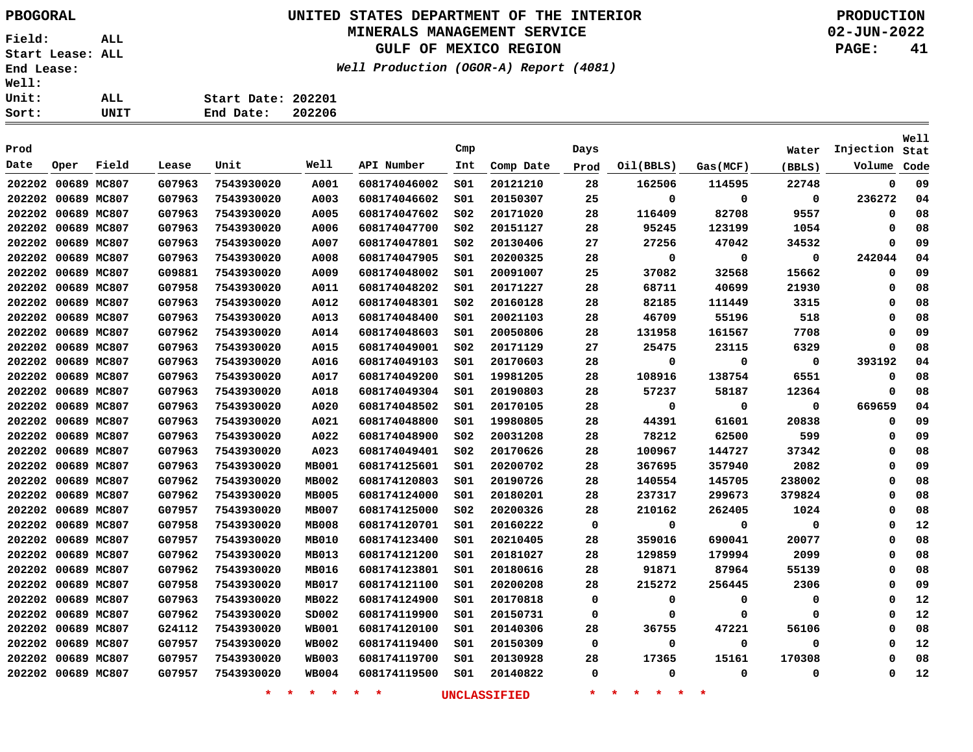## **UNITED STATES DEPARTMENT OF THE INTERIOR PBOGORAL PRODUCTION MINERALS MANAGEMENT SERVICE**

## **GULF OF MEXICO REGION**

**Well Production (OGOR-A) Report (4081)**

**02-JUN-2022 PAGE: 41**

| LL  | Start Date: 202201 |        |
|-----|--------------------|--------|
| NIT | End Date:          | 202206 |

| Prod               |      |       |        |            |              |              | Cmp             |           | Days        |             |             | Water  | Injection          | <b>Well</b><br>Stat |
|--------------------|------|-------|--------|------------|--------------|--------------|-----------------|-----------|-------------|-------------|-------------|--------|--------------------|---------------------|
| Date               | Oper | Field | Lease  | Unit       | Well         | API Number   | Int             | Comp Date | Prod        | Oil(BBLS)   | Gas(MCF)    | (BBLS) | Volume             | Code                |
| 202202 00689 MC807 |      |       |        | 7543930020 |              |              | SO1             | 20121210  | 28          | 162506      | 114595      | 22748  | 0                  | 09                  |
|                    |      |       | G07963 |            | A001         | 608174046002 |                 |           |             |             |             |        |                    |                     |
| 202202 00689 MC807 |      |       | G07963 | 7543930020 | A003         | 608174046602 | SO1             | 20150307  | 25          | 0<br>116409 | 0<br>82708  | 0      | 236272<br>$\Omega$ | 04<br>08            |
| 202202 00689 MC807 |      |       | G07963 | 7543930020 | A005         | 608174047602 | SO <sub>2</sub> | 20171020  | 28          |             |             | 9557   |                    |                     |
| 202202 00689 MC807 |      |       | G07963 | 7543930020 | A006         | 608174047700 | S02             | 20151127  | 28          | 95245       | 123199      | 1054   | 0                  | 08                  |
| 202202 00689 MC807 |      |       | G07963 | 7543930020 | A007         | 608174047801 | S02             | 20130406  | 27          | 27256       | 47042       | 34532  | 0                  | 09                  |
| 202202 00689 MC807 |      |       | G07963 | 7543930020 | A008         | 608174047905 | SO1             | 20200325  | 28          | 0           | 0           | 0      | 242044             | 04                  |
| 202202 00689 MC807 |      |       | G09881 | 7543930020 | A009         | 608174048002 | SO1             | 20091007  | 25          | 37082       | 32568       | 15662  | $\Omega$           | 09                  |
| 202202 00689 MC807 |      |       | G07958 | 7543930020 | A011         | 608174048202 | SO1             | 20171227  | 28          | 68711       | 40699       | 21930  | 0                  | 08                  |
| 202202 00689 MC807 |      |       | G07963 | 7543930020 | A012         | 608174048301 | SO <sub>2</sub> | 20160128  | 28          | 82185       | 111449      | 3315   | 0                  | 08                  |
| 202202 00689 MC807 |      |       | G07963 | 7543930020 | A013         | 608174048400 | S01             | 20021103  | 28          | 46709       | 55196       | 518    | 0                  | 08                  |
| 202202 00689 MC807 |      |       | G07962 | 7543930020 | A014         | 608174048603 | 501             | 20050806  | 28          | 131958      | 161567      | 7708   | 0                  | 09                  |
| 202202 00689 MC807 |      |       | G07963 | 7543930020 | A015         | 608174049001 | SO <sub>2</sub> | 20171129  | 27          | 25475       | 23115       | 6329   | $\Omega$           | 08                  |
| 202202 00689 MC807 |      |       | G07963 | 7543930020 | A016         | 608174049103 | 501             | 20170603  | 28          | 0           | 0           | 0      | 393192             | 04                  |
| 202202 00689 MC807 |      |       | G07963 | 7543930020 | A017         | 608174049200 | 501             | 19981205  | 28          | 108916      | 138754      | 6551   | 0                  | 08                  |
| 202202 00689 MC807 |      |       | G07963 | 7543930020 | A018         | 608174049304 | SO1             | 20190803  | 28          | 57237       | 58187       | 12364  | 0                  | 08                  |
| 202202 00689 MC807 |      |       | G07963 | 7543930020 | A020         | 608174048502 | SO1             | 20170105  | 28          | 0           | $\mathbf 0$ | 0      | 669659             | 04                  |
| 202202 00689 MC807 |      |       | G07963 | 7543930020 | A021         | 608174048800 | 501             | 19980805  | 28          | 44391       | 61601       | 20838  | 0                  | 09                  |
| 202202 00689 MC807 |      |       | G07963 | 7543930020 | A022         | 608174048900 | SO <sub>2</sub> | 20031208  | 28          | 78212       | 62500       | 599    | 0                  | 09                  |
| 202202 00689 MC807 |      |       | G07963 | 7543930020 | A023         | 608174049401 | SO <sub>2</sub> | 20170626  | 28          | 100967      | 144727      | 37342  | 0                  | 08                  |
| 202202 00689 MC807 |      |       | G07963 | 7543930020 | <b>MB001</b> | 608174125601 | 501             | 20200702  | 28          | 367695      | 357940      | 2082   | 0                  | 09                  |
| 202202 00689 MC807 |      |       | G07962 | 7543930020 | <b>MB002</b> | 608174120803 | SO1             | 20190726  | 28          | 140554      | 145705      | 238002 | $\Omega$           | 08                  |
| 202202 00689 MC807 |      |       | G07962 | 7543930020 | <b>MB005</b> | 608174124000 | 501             | 20180201  | 28          | 237317      | 299673      | 379824 | $\Omega$           | 08                  |
| 202202 00689 MC807 |      |       | G07957 | 7543930020 | <b>MB007</b> | 608174125000 | S02             | 20200326  | 28          | 210162      | 262405      | 1024   | 0                  | 08                  |
| 202202 00689 MC807 |      |       | G07958 | 7543930020 | <b>MB008</b> | 608174120701 | 501             | 20160222  | 0           | 0           | 0           | 0      | 0                  | 12                  |
| 202202 00689 MC807 |      |       | G07957 | 7543930020 | <b>MB010</b> | 608174123400 | 501             | 20210405  | 28          | 359016      | 690041      | 20077  | $\Omega$           | 08                  |
| 202202 00689 MC807 |      |       | G07962 | 7543930020 | MB013        | 608174121200 | 501             | 20181027  | 28          | 129859      | 179994      | 2099   | $\Omega$           | 08                  |
| 202202 00689 MC807 |      |       | G07962 | 7543930020 | MB016        | 608174123801 | 501             | 20180616  | 28          | 91871       | 87964       | 55139  | $\Omega$           | 08                  |
| 202202 00689 MC807 |      |       | G07958 | 7543930020 | <b>MB017</b> | 608174121100 | 501             | 20200208  | 28          | 215272      | 256445      | 2306   | 0                  | 09                  |
| 202202 00689 MC807 |      |       | G07963 | 7543930020 | MB022        | 608174124900 | 501             | 20170818  | 0           | 0           | 0           | 0      | 0                  | 12                  |
| 202202 00689 MC807 |      |       | G07962 | 7543930020 | SD002        | 608174119900 | 501             | 20150731  | 0           | 0           | $\Omega$    | 0      | 0                  | 12                  |
| 202202 00689 MC807 |      |       | G24112 | 7543930020 | <b>WB001</b> | 608174120100 | 501             | 20140306  | 28          | 36755       | 47221       | 56106  | 0                  | 08                  |
| 202202 00689 MC807 |      |       | G07957 | 7543930020 | <b>WB002</b> | 608174119400 | 501             | 20150309  | 0           | 0           | 0           | 0      | $\Omega$           | 12                  |
| 202202 00689 MC807 |      |       | G07957 | 7543930020 | <b>WB003</b> | 608174119700 | S01             | 20130928  | 28          | 17365       | 15161       | 170308 | $\Omega$           | 08                  |
| 202202 00689 MC807 |      |       | G07957 | 7543930020 | <b>WB004</b> | 608174119500 | SO1             | 20140822  | $\mathbf 0$ | 0           | 0           | 0      | 0                  | 12                  |
|                    |      |       |        |            |              |              |                 |           |             |             |             |        |                    |                     |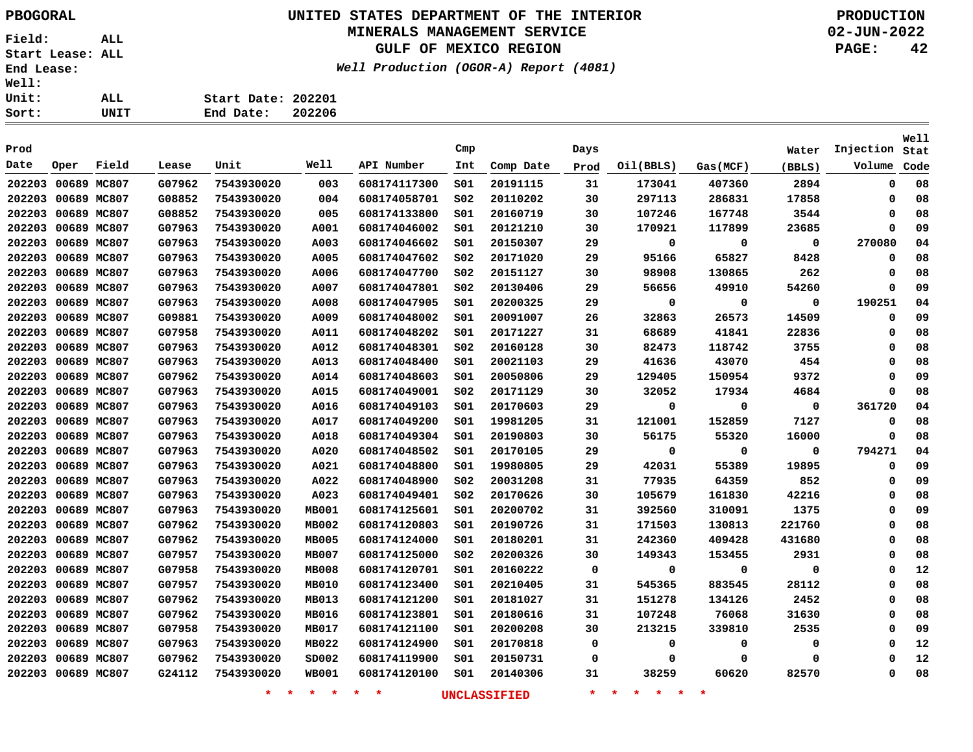## **UNITED STATES DEPARTMENT OF THE INTERIOR PBOGORAL PRODUCTION MINERALS MANAGEMENT SERVICE**

## **GULF OF MEXICO REGION**

**Well Production (OGOR-A) Report (4081)**

**02-JUN-2022 PAGE: 42**

| ALL  | Start Date: 202201 |        |
|------|--------------------|--------|
| UNIT | End Date:          | 202206 |

|        |                    |             |        |            |              |              |                 |           |      |           |          |             |           | Well |
|--------|--------------------|-------------|--------|------------|--------------|--------------|-----------------|-----------|------|-----------|----------|-------------|-----------|------|
| Prod   |                    |             |        |            |              |              | Cmp             |           | Days |           |          | Water       | Injection | Stat |
| Date   | Oper               | Field       | Lease  | Unit       | Well         | API Number   | Int             | Comp Date | Prod | Oil(BBLS) | Gas(MCF) | (BBLS)      | Volume    | Code |
|        | 202203 00689 MC807 |             | G07962 | 7543930020 | 003          | 608174117300 | SO1             | 20191115  | 31   | 173041    | 407360   | 2894        | 0         | 08   |
| 202203 | 00689 MC807        |             | G08852 | 7543930020 | 004          | 608174058701 | SO <sub>2</sub> | 20110202  | 30   | 297113    | 286831   | 17858       | 0         | 08   |
| 202203 |                    | 00689 MC807 | G08852 | 7543930020 | 005          | 608174133800 | SO1             | 20160719  | 30   | 107246    | 167748   | 3544        | 0         | 08   |
| 202203 |                    | 00689 MC807 | G07963 | 7543930020 | A001         | 608174046002 | SO1             | 20121210  | 30   | 170921    | 117899   | 23685       | 0         | 09   |
|        | 202203 00689 MC807 |             | G07963 | 7543930020 | A003         | 608174046602 | SO1             | 20150307  | 29   | 0         | 0        | $\mathbf 0$ | 270080    | 04   |
| 202203 |                    | 00689 MC807 | G07963 | 7543930020 | A005         | 608174047602 | SO <sub>2</sub> | 20171020  | 29   | 95166     | 65827    | 8428        | 0         | 08   |
| 202203 |                    | 00689 MC807 | G07963 | 7543930020 | A006         | 608174047700 | SO <sub>2</sub> | 20151127  | 30   | 98908     | 130865   | 262         | 0         | 08   |
|        | 202203 00689 MC807 |             | G07963 | 7543930020 | A007         | 608174047801 | SO <sub>2</sub> | 20130406  | 29   | 56656     | 49910    | 54260       | 0         | 09   |
|        | 202203 00689 MC807 |             | G07963 | 7543930020 | A008         | 608174047905 | SO1             | 20200325  | 29   | 0         | 0        | $\mathbf 0$ | 190251    | 04   |
|        | 202203 00689 MC807 |             | G09881 | 7543930020 | A009         | 608174048002 | SO1             | 20091007  | 26   | 32863     | 26573    | 14509       | 0         | 09   |
|        | 202203 00689 MC807 |             | G07958 | 7543930020 | A011         | 608174048202 | SO1             | 20171227  | 31   | 68689     | 41841    | 22836       | 0         | 08   |
|        | 202203 00689 MC807 |             | G07963 | 7543930020 | A012         | 608174048301 | SO <sub>2</sub> | 20160128  | 30   | 82473     | 118742   | 3755        | 0         | 08   |
|        | 202203 00689 MC807 |             | G07963 | 7543930020 | A013         | 608174048400 | SO1             | 20021103  | 29   | 41636     | 43070    | 454         | 0         | 08   |
|        | 202203 00689 MC807 |             | G07962 | 7543930020 | A014         | 608174048603 | SO1             | 20050806  | 29   | 129405    | 150954   | 9372        | 0         | 09   |
|        | 202203 00689 MC807 |             | G07963 | 7543930020 | A015         | 608174049001 | SO <sub>2</sub> | 20171129  | 30   | 32052     | 17934    | 4684        | $\Omega$  | 08   |
|        | 202203 00689 MC807 |             | G07963 | 7543930020 | A016         | 608174049103 | SO1             | 20170603  | 29   | 0         | 0        | $\mathbf 0$ | 361720    | 04   |
|        | 202203 00689 MC807 |             | G07963 | 7543930020 | A017         | 608174049200 | S01             | 19981205  | 31   | 121001    | 152859   | 7127        | 0         | 08   |
|        | 202203 00689 MC807 |             | G07963 | 7543930020 | A018         | 608174049304 | S01             | 20190803  | 30   | 56175     | 55320    | 16000       | 0         | 08   |
|        | 202203 00689 MC807 |             | G07963 | 7543930020 | A020         | 608174048502 | S01             | 20170105  | 29   | 0         | 0        | 0           | 794271    | 04   |
|        | 202203 00689 MC807 |             | G07963 | 7543930020 | A021         | 608174048800 | S01             | 19980805  | 29   | 42031     | 55389    | 19895       | 0         | 09   |
|        | 202203 00689 MC807 |             | G07963 | 7543930020 | A022         | 608174048900 | S02             | 20031208  | 31   | 77935     | 64359    | 852         | 0         | 09   |
|        | 202203 00689 MC807 |             | G07963 | 7543930020 | A023         | 608174049401 | S02             | 20170626  | 30   | 105679    | 161830   | 42216       | 0         | 08   |
|        | 202203 00689 MC807 |             | G07963 | 7543930020 | <b>MB001</b> | 608174125601 | S01             | 20200702  | 31   | 392560    | 310091   | 1375        | 0         | 09   |
|        | 202203 00689 MC807 |             | G07962 | 7543930020 | <b>MB002</b> | 608174120803 | SO1             | 20190726  | 31   | 171503    | 130813   | 221760      | 0         | 08   |
|        | 202203 00689 MC807 |             | G07962 | 7543930020 | <b>MB005</b> | 608174124000 | SO1             | 20180201  | 31   | 242360    | 409428   | 431680      | 0         | 08   |
|        | 202203 00689 MC807 |             | G07957 | 7543930020 | <b>MB007</b> | 608174125000 | SO <sub>2</sub> | 20200326  | 30   | 149343    | 153455   | 2931        | 0         | 08   |
|        | 202203 00689 MC807 |             | G07958 | 7543930020 | <b>MB008</b> | 608174120701 | SO1             | 20160222  | 0    | 0         | 0        | $\mathbf 0$ | 0         | 12   |
| 202203 |                    | 00689 MC807 | G07957 | 7543930020 | <b>MB010</b> | 608174123400 | SO1             | 20210405  | 31   | 545365    | 883545   | 28112       | 0         | 08   |
| 202203 |                    | 00689 MC807 | G07962 | 7543930020 | MB013        | 608174121200 | SO1             | 20181027  | 31   | 151278    | 134126   | 2452        | 0         | 08   |
| 202203 |                    | 00689 MC807 | G07962 | 7543930020 | MB016        | 608174123801 | SO1             | 20180616  | 31   | 107248    | 76068    | 31630       | 0         | 08   |
| 202203 |                    | 00689 MC807 | G07958 | 7543930020 | <b>MB017</b> | 608174121100 | SO1             | 20200208  | 30   | 213215    | 339810   | 2535        | 0         | 09   |
|        | 202203 00689 MC807 |             | G07963 | 7543930020 | <b>MB022</b> | 608174124900 | SO1             | 20170818  | 0    | 0         | 0        | $\mathbf 0$ | 0         | 12   |
| 202203 |                    | 00689 MC807 | G07962 | 7543930020 | SD002        | 608174119900 | SO1             | 20150731  | 0    | 0         | 0        | 0           | O         | 12   |
|        | 202203 00689 MC807 |             | G24112 | 7543930020 | <b>WB001</b> | 608174120100 | SO1             | 20140306  | 31   | 38259     | 60620    | 82570       | 0         | 08   |
|        |                    |             |        |            |              |              |                 |           |      |           |          |             |           |      |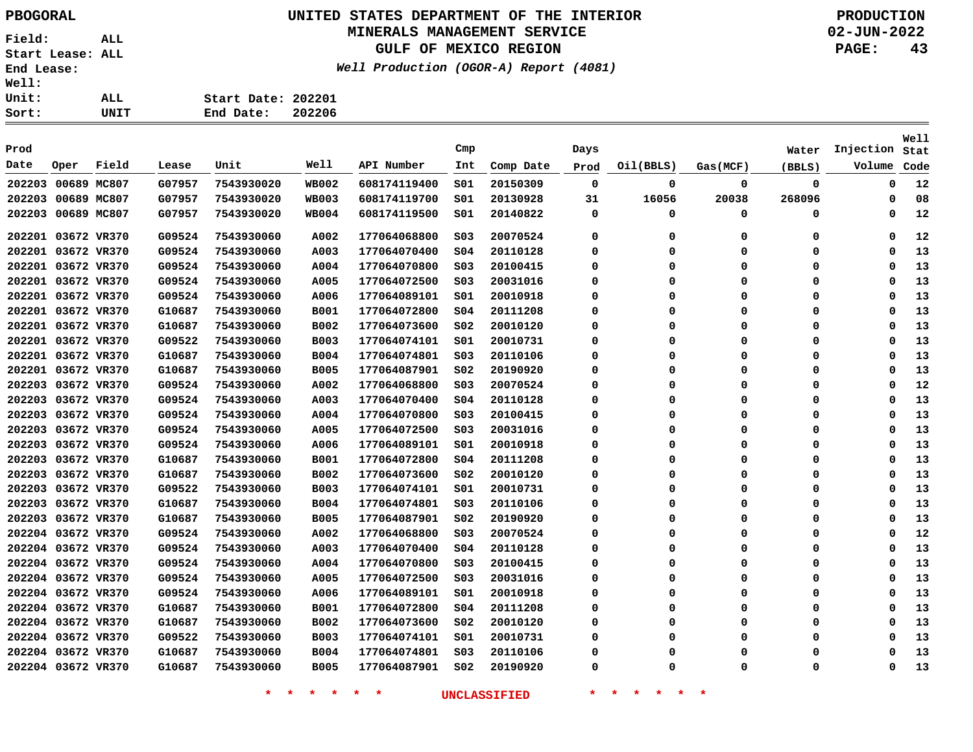## **UNITED STATES DEPARTMENT OF THE INTERIOR PBOGORAL PRODUCTION**

## **MINERALS MANAGEMENT SERVICE**

**GULF OF MEXICO REGION**

**Well Production (OGOR-A) Report (4081)**

**02-JUN-2022 PAGE: 43**

| ALL. | Start Date: 202201 |        |
|------|--------------------|--------|
| UNIT | End Date:          | 202206 |

| Prod |                    |       |        |            |              |              | Cmp             |           |          |           |             |          | Injection | Well |
|------|--------------------|-------|--------|------------|--------------|--------------|-----------------|-----------|----------|-----------|-------------|----------|-----------|------|
|      |                    |       |        |            | Well         |              |                 |           | Days     |           |             | Water    |           | Stat |
| Date | Oper               | Field | Lease  | Unit       |              | API Number   | Int             | Comp Date | Prod     | Oil(BBLS) | Gas(MCF)    | (BBLS)   | Volume    | Code |
|      | 202203 00689 MC807 |       | G07957 | 7543930020 | <b>WB002</b> | 608174119400 | S01             | 20150309  | 0        | 0         | 0           | 0        | 0         | 12   |
|      | 202203 00689 MC807 |       | G07957 | 7543930020 | <b>WB003</b> | 608174119700 | SO1             | 20130928  | 31       | 16056     | 20038       | 268096   | 0         | 08   |
|      | 202203 00689 MC807 |       | G07957 | 7543930020 | <b>WB004</b> | 608174119500 | S01             | 20140822  | 0        | 0         | 0           | 0        | 0         | 12   |
|      | 202201 03672 VR370 |       | G09524 | 7543930060 | A002         | 177064068800 | SO <sub>3</sub> | 20070524  | 0        | 0         | 0           | 0        | 0         | 12   |
|      | 202201 03672 VR370 |       | G09524 | 7543930060 | A003         | 177064070400 | SO <sub>4</sub> | 20110128  | 0        | 0         | $\mathbf 0$ | 0        | 0         | 13   |
|      | 202201 03672 VR370 |       | G09524 | 7543930060 | A004         | 177064070800 | SO <sub>3</sub> | 20100415  | 0        | 0         | 0           | 0        | 0         | 13   |
|      | 202201 03672 VR370 |       | G09524 | 7543930060 | A005         | 177064072500 | SO <sub>3</sub> | 20031016  | 0        | 0         | $\mathbf 0$ | 0        | $\Omega$  | 13   |
|      | 202201 03672 VR370 |       | G09524 | 7543930060 | A006         | 177064089101 | SO1             | 20010918  | 0        | 0         | 0           | 0        | 0         | 13   |
|      | 202201 03672 VR370 |       | G10687 | 7543930060 | <b>B001</b>  | 177064072800 | SO <sub>4</sub> | 20111208  | 0        | $\Omega$  | $\Omega$    | 0        | $\Omega$  | 13   |
|      | 202201 03672 VR370 |       | G10687 | 7543930060 | B002         | 177064073600 | SO <sub>2</sub> | 20010120  | 0        | $\Omega$  | 0           | 0        | 0         | 13   |
|      | 202201 03672 VR370 |       | G09522 | 7543930060 | <b>B003</b>  | 177064074101 | SO1             | 20010731  | 0        | $\Omega$  | 0           | 0        | $\Omega$  | 13   |
|      | 202201 03672 VR370 |       | G10687 | 7543930060 | <b>B004</b>  | 177064074801 | SO <sub>3</sub> | 20110106  | 0        | 0         | 0           | 0        | 0         | 13   |
|      | 202201 03672 VR370 |       | G10687 | 7543930060 | <b>B005</b>  | 177064087901 | SO <sub>2</sub> | 20190920  | 0        | $\Omega$  | 0           | 0        | $\Omega$  | 13   |
|      | 202203 03672 VR370 |       | G09524 | 7543930060 | A002         | 177064068800 | SO <sub>3</sub> | 20070524  | 0        | 0         | 0           | 0        | 0         | 12   |
|      | 202203 03672 VR370 |       | G09524 | 7543930060 | A003         | 177064070400 | SO <sub>4</sub> | 20110128  | 0        | $\Omega$  | 0           | 0        | $\Omega$  | 13   |
|      | 202203 03672 VR370 |       | G09524 | 7543930060 | A004         | 177064070800 | SO <sub>3</sub> | 20100415  | 0        | 0         | 0           | 0        | 0         | 13   |
|      | 202203 03672 VR370 |       | G09524 | 7543930060 | A005         | 177064072500 | SO <sub>3</sub> | 20031016  | 0        | 0         | 0           | 0        | 0         | 13   |
|      | 202203 03672 VR370 |       | G09524 | 7543930060 | A006         | 177064089101 | SO1             | 20010918  | 0        | 0         | 0           | 0        | 0         | 13   |
|      | 202203 03672 VR370 |       | G10687 | 7543930060 | <b>B001</b>  | 177064072800 | SO <sub>4</sub> | 20111208  | 0        | 0         | $\mathbf 0$ | 0        | 0         | 13   |
|      | 202203 03672 VR370 |       | G10687 | 7543930060 | <b>B002</b>  | 177064073600 | S02             | 20010120  | 0        | $\Omega$  | 0           | 0        | $\Omega$  | 13   |
|      | 202203 03672 VR370 |       | G09522 | 7543930060 | <b>B003</b>  | 177064074101 | SO1             | 20010731  | 0        | $\Omega$  | 0           | 0        | 0         | 13   |
|      | 202203 03672 VR370 |       | G10687 | 7543930060 | <b>B004</b>  | 177064074801 | S03             | 20110106  | 0        | 0         | 0           | 0        | $\Omega$  | 13   |
|      | 202203 03672 VR370 |       | G10687 | 7543930060 | <b>B005</b>  | 177064087901 | SO <sub>2</sub> | 20190920  | 0        | $\Omega$  | 0           | 0        | 0         | 13   |
|      | 202204 03672 VR370 |       | G09524 | 7543930060 | A002         | 177064068800 | SO <sub>3</sub> | 20070524  | 0        | $\Omega$  | 0           | 0        | 0         | 12   |
|      | 202204 03672 VR370 |       | G09524 | 7543930060 | A003         | 177064070400 | 504             | 20110128  | 0        | 0         | 0           | 0        | 0         | 13   |
|      | 202204 03672 VR370 |       | G09524 | 7543930060 | A004         | 177064070800 | S03             | 20100415  | 0        | $\Omega$  | 0           | 0        | 0         | 13   |
|      | 202204 03672 VR370 |       | G09524 | 7543930060 | A005         | 177064072500 | S03             | 20031016  | 0        | 0         | 0           | 0        | 0         | 13   |
|      | 202204 03672 VR370 |       | G09524 | 7543930060 | A006         | 177064089101 | 501             | 20010918  | 0        | $\Omega$  | $\Omega$    | 0        | $\Omega$  | 13   |
|      | 202204 03672 VR370 |       | G10687 | 7543930060 | <b>B001</b>  | 177064072800 | SO <sub>4</sub> | 20111208  | 0        | 0         | 0           | 0        | 0         | 13   |
|      | 202204 03672 VR370 |       | G10687 | 7543930060 | <b>B002</b>  | 177064073600 | S02             | 20010120  | 0        | $\Omega$  | $\Omega$    | 0        | $\Omega$  | 13   |
|      | 202204 03672 VR370 |       | G09522 | 7543930060 | <b>B003</b>  | 177064074101 | SO1             | 20010731  | 0        | $\Omega$  | $\Omega$    | 0        | $\Omega$  | 13   |
|      | 202204 03672 VR370 |       | G10687 | 7543930060 | <b>B004</b>  | 177064074801 | SO <sub>3</sub> | 20110106  | $\Omega$ | O         | $\Omega$    | $\Omega$ | $\Omega$  | 13   |
|      | 202204 03672 VR370 |       | G10687 | 7543930060 | <b>B005</b>  | 177064087901 | SO <sub>2</sub> | 20190920  | 0        | $\Omega$  | 0           | 0        | 0         | 13   |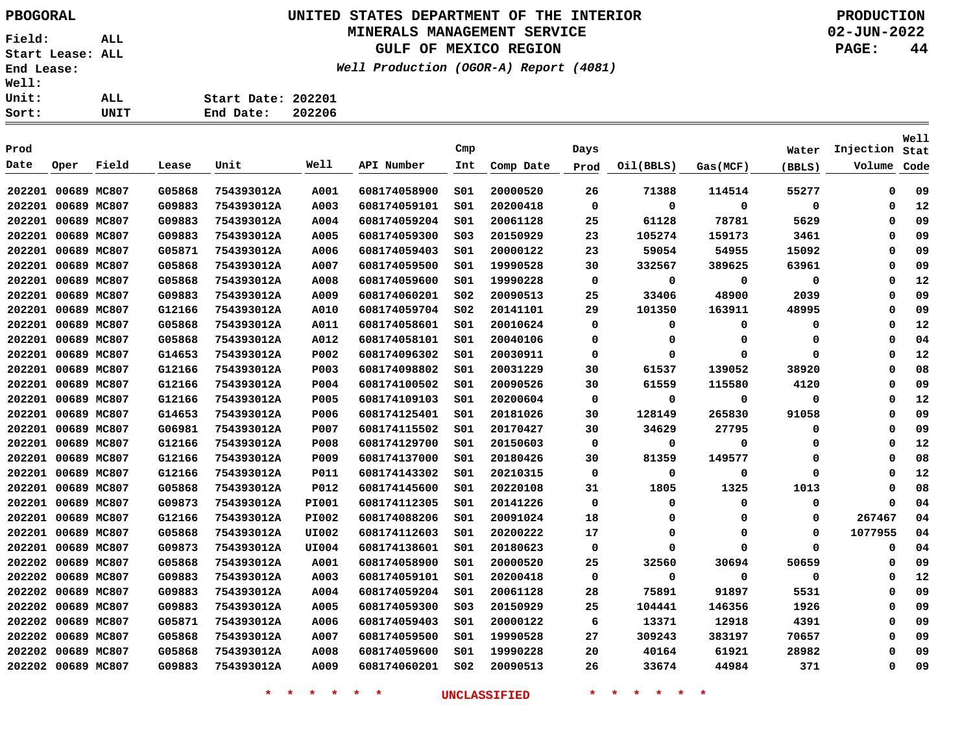# **UNITED STATES DEPARTMENT OF THE INTERIOR PBOGORAL PRODUCTION**

## **MINERALS MANAGEMENT SERVICE**

**GULF OF MEXICO REGION**

**Well Production (OGOR-A) Report (4081)**

**02-JUN-2022 PAGE: 44**

|                    | WEII FIOQUCCION (OGOR-A |  |
|--------------------|-------------------------|--|
| Start Date: 202201 |                         |  |
| End Date: 202206   |                         |  |
|                    |                         |  |

| Prod   |                    |             |        |            |              |              | Cmp             |           | Days        |             |             | Water    | Injection | Well<br>Stat |
|--------|--------------------|-------------|--------|------------|--------------|--------------|-----------------|-----------|-------------|-------------|-------------|----------|-----------|--------------|
| Date   | Oper               | Field       | Lease  | Unit       | Well         | API Number   | Int             |           |             |             |             |          | Volume    |              |
|        |                    |             |        |            |              |              |                 | Comp Date | Prod        | Oil(BBLS)   | Gas (MCF)   | (BBLS)   |           | Code         |
|        | 202201 00689 MC807 |             | G05868 | 754393012A | A001         | 608174058900 | SO1             | 20000520  | 26          | 71388       | 114514      | 55277    | $\Omega$  | 09           |
|        | 202201 00689 MC807 |             | G09883 | 754393012A | A003         | 608174059101 | S <sub>01</sub> | 20200418  | $\Omega$    | $\mathbf 0$ | 0           | 0        | $\Omega$  | 12           |
|        | 202201 00689 MC807 |             | G09883 | 754393012A | A004         | 608174059204 | SO1             | 20061128  | 25          | 61128       | 78781       | 5629     | 0         | 09           |
|        | 202201 00689 MC807 |             | G09883 | 754393012A | A005         | 608174059300 | SO <sub>3</sub> | 20150929  | 23          | 105274      | 159173      | 3461     | $\Omega$  | 09           |
| 202201 |                    | 00689 MC807 | G05871 | 754393012A | A006         | 608174059403 | SO1             | 20000122  | 23          | 59054       | 54955       | 15092    | 0         | 09           |
| 202201 |                    | 00689 MC807 | G05868 | 754393012A | A007         | 608174059500 | SO1             | 19990528  | 30          | 332567      | 389625      | 63961    | $\Omega$  | 09           |
| 202201 |                    | 00689 MC807 | G05868 | 754393012A | A008         | 608174059600 | SO1             | 19990228  | $\mathbf 0$ | 0           | $\mathbf 0$ | 0        | 0         | 12           |
| 202201 |                    | 00689 MC807 | G09883 | 754393012A | A009         | 608174060201 | SO <sub>2</sub> | 20090513  | 25          | 33406       | 48900       | 2039     | $\Omega$  | 09           |
| 202201 |                    | 00689 MC807 | G12166 | 754393012A | A010         | 608174059704 | SO <sub>2</sub> | 20141101  | 29          | 101350      | 163911      | 48995    | 0         | 09           |
| 202201 |                    | 00689 MC807 | G05868 | 754393012A | A011         | 608174058601 | SO1             | 20010624  | 0           | 0           | 0           | 0        | $\Omega$  | 12           |
| 202201 |                    | 00689 MC807 | G05868 | 754393012A | A012         | 608174058101 | SO1             | 20040106  | 0           | 0           | 0           | 0        | 0         | 04           |
| 202201 | 00689 MC807        |             | G14653 | 754393012A | P002         | 608174096302 | SO1             | 20030911  | 0           | 0           | $\Omega$    | 0        | $\Omega$  | 12           |
| 202201 | 00689 MC807        |             | G12166 | 754393012A | <b>P003</b>  | 608174098802 | SO1             | 20031229  | 30          | 61537       | 139052      | 38920    | $\Omega$  | 08           |
|        | 202201 00689 MC807 |             | G12166 | 754393012A | P004         | 608174100502 | SO1             | 20090526  | 30          | 61559       | 115580      | 4120     | $\Omega$  | 09           |
|        | 202201 00689 MC807 |             | G12166 | 754393012A | P005         | 608174109103 | SO1             | 20200604  | 0           | 0           | $\mathbf 0$ | 0        | 0         | 12           |
|        | 202201 00689 MC807 |             | G14653 | 754393012A | P006         | 608174125401 | SO1             | 20181026  | 30          | 128149      | 265830      | 91058    | 0         | 09           |
| 202201 |                    | 00689 MC807 | G06981 | 754393012A | P007         | 608174115502 | SO1             | 20170427  | 30          | 34629       | 27795       | 0        | $\Omega$  | 09           |
| 202201 |                    | 00689 MC807 | G12166 | 754393012A | P008         | 608174129700 | SO1             | 20150603  | 0           | 0           | $\mathbf 0$ | 0        | 0         | 12           |
| 202201 | 00689 MC807        |             | G12166 | 754393012A | P009         | 608174137000 | SO1             | 20180426  | 30          | 81359       | 149577      | 0        | $\Omega$  | 08           |
| 202201 |                    | 00689 MC807 | G12166 | 754393012A | P011         | 608174143302 | SO1             | 20210315  | 0           | 0           | 0           | 0        | 0         | 12           |
| 202201 |                    | 00689 MC807 | G05868 | 754393012A | P012         | 608174145600 | SO1             | 20220108  | 31          | 1805        | 1325        | 1013     | $\Omega$  | 08           |
| 202201 |                    | 00689 MC807 | G09873 | 754393012A | <b>PI001</b> | 608174112305 | SO1             | 20141226  | 0           | 0           | 0           | 0        | $\Omega$  | 04           |
| 202201 |                    | 00689 MC807 | G12166 | 754393012A | <b>PI002</b> | 608174088206 | SO1             | 20091024  | 18          | $\mathbf 0$ | $\Omega$    | 0        | 267467    | 04           |
| 202201 | 00689 MC807        |             | G05868 | 754393012A | <b>UI002</b> | 608174112603 | SO1             | 20200222  | 17          | $\mathbf 0$ | $\mathbf 0$ | 0        | 1077955   | 04           |
| 202201 | 00689 MC807        |             | G09873 | 754393012A | UI004        | 608174138601 | SO1             | 20180623  | 0           | $\Omega$    | $\Omega$    | $\Omega$ | $\Omega$  | 04           |
|        | 202202 00689 MC807 |             | G05868 | 754393012A | A001         | 608174058900 | SO1             | 20000520  | 25          | 32560       | 30694       | 50659    | $\Omega$  | 09           |
|        | 202202 00689 MC807 |             | G09883 | 754393012A | A003         | 608174059101 | SO1             | 20200418  | 0           | 0           | 0           | $\Omega$ | $\Omega$  | 12           |
| 202202 |                    | 00689 MC807 | G09883 | 754393012A | A004         | 608174059204 | SO1             | 20061128  | 28          | 75891       | 91897       | 5531     | $\Omega$  | 09           |
| 202202 |                    | 00689 MC807 | G09883 | 754393012A | A005         | 608174059300 | SO <sub>3</sub> | 20150929  | 25          | 104441      | 146356      | 1926     | 0         | 09           |
| 202202 | 00689 MC807        |             | G05871 | 754393012A | A006         | 608174059403 | S <sub>01</sub> | 20000122  | 6           | 13371       | 12918       | 4391     | $\Omega$  | 09           |
| 202202 | 00689 MC807        |             | G05868 | 754393012A | A007         | 608174059500 | SO1             | 19990528  | 27          | 309243      | 383197      | 70657    | 0         | 09           |
| 202202 |                    | 00689 MC807 | G05868 | 754393012A | A008         | 608174059600 | SO1             | 19990228  | 20          | 40164       | 61921       | 28982    | $\Omega$  | 09           |
|        | 202202 00689 MC807 |             | G09883 | 754393012A | A009         | 608174060201 | SO <sub>2</sub> | 20090513  | 26          | 33674       | 44984       | 371      | $\Omega$  | 09           |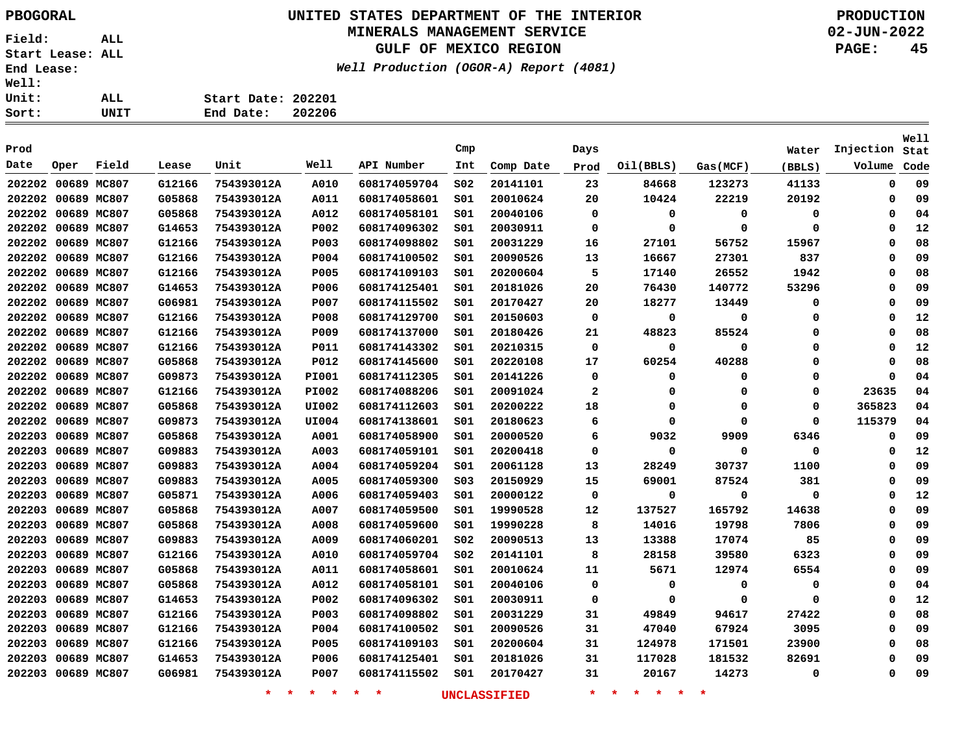> **G12166 G05868 G05868 G14653 G12166 G12166 G12166 G14653 G06981 G12166 G12166 G12166 G05868 G09873 G12166 G05868 G09873 G05868 G09883 G09883 G09883 G05871 G05868 G05868 G09883 G12166 G05868 G05868 G14653 G12166 G12166 G12166 G14653 G06981**

### **UNITED STATES DEPARTMENT OF THE INTERIOR PBOGORAL PRODUCTION MINERALS MANAGEMENT SERVICE**

## **GULF OF MEXICO REGION**

**S02 S01 S01 S01 S01 S01 S01 S01 S01 S01 S01 S01 S01 S01 S01 S01 S01 S01 S01 S01 S03 S01 S01 S01 S02 S02 S01 S01 S01 S01 S01 S01 S01 S01**

**Date Oper Field Lease Unit Well API Number Int Comp Date Prod Oil(BBLS) Gas(MCF) (BBLS) Volume**

**Well Production (OGOR-A) Report (4081)**

**02-JUN-2022 PAGE: 45**

**Injection**

**Well**

**Stat Code**

**754393012A 754393012A A001 A003** 

> **A004 A005 A006 A007 A008 A009 A010 A011 A012 P002 P003 P004 P005 P006**

 **A010 A011 A012 P002 P003 P004 P005 P006 P007 P008 P009 P011 P012 PI001 PI002 UI002 UI004**

**Prod Cmp Days Water**

**Start Date: 202201 End Date: 202206**

**754393012A 754393012A 754393012A 754393012A 754393012A 754393012A 754393012A 754393012A 754393012A 754393012A 754393012A 754393012A 754393012A 754393012A 754393012A 754393012A 754393012A**

**754393012A 754393012A 754393012A 754393012A 754393012A 754393012A 754393012A 754393012A 754393012A 754393012A 754393012A 754393012A 754393012A 754393012A**

**754393012A P007**

| 20167 | 14273 |
|-------|-------|
|       |       |

|  |  |  | * | * | × |  |
|--|--|--|---|---|---|--|
|--|--|--|---|---|---|--|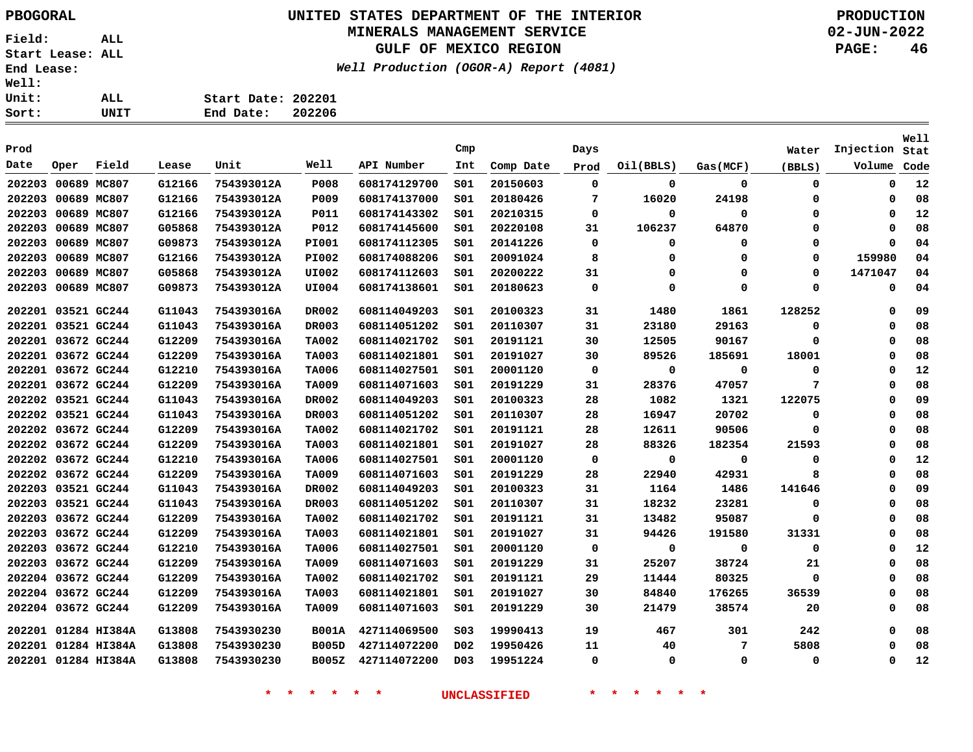# **UNITED STATES DEPARTMENT OF THE INTERIOR PBOGORAL PRODUCTION**

### **MINERALS MANAGEMENT SERVICE**

**GULF OF MEXICO REGION**

**Well Production (OGOR-A) Report (4081)**

**02-JUN-2022 PAGE: 46**

**Well**

| <b>End Lease:</b><br><b>Well:</b> |      |             |       |                                 |        | Well Production (OGOR-A) Report (4081) |            |           |              |           |          |                 |
|-----------------------------------|------|-------------|-------|---------------------------------|--------|----------------------------------------|------------|-----------|--------------|-----------|----------|-----------------|
| <b>Unit:</b><br>Sort:             |      | ALL<br>UNIT |       | Start Date: 202201<br>End Date: | 202206 |                                        |            |           |              |           |          |                 |
| Prod                              |      |             |       |                                 |        |                                        |            |           |              |           |          |                 |
| Date                              | Oper | Field       | Lease | Unit                            | Well   | API Number                             | Cmp<br>Int | Comp Date | Days<br>Prod | Oil(BBLS) | Gas(MCF) | Water<br>(BBLS) |

| Prod                |             |       |        |            |              |              | Cmp              |           | Days        |           |             | Water    | Injection | Stat |
|---------------------|-------------|-------|--------|------------|--------------|--------------|------------------|-----------|-------------|-----------|-------------|----------|-----------|------|
| Date                | Oper        | Field | Lease  | Unit       | Well         | API Number   | Int              | Comp Date | Prod        | Oil(BBLS) | Gas(MCF)    | (BBLS)   | Volume    | Code |
| 202203 00689 MC807  |             |       | G12166 | 754393012A | <b>P008</b>  | 608174129700 | SO1              | 20150603  | 0           | 0         | 0           | 0        | 0         | 12   |
| 202203              | 00689 MC807 |       | G12166 | 754393012A | P009         | 608174137000 | SO1              | 20180426  | 7           | 16020     | 24198       | 0        | 0         | 08   |
| 202203              | 00689 MC807 |       | G12166 | 754393012A | <b>P011</b>  | 608174143302 | SO1              | 20210315  | 0           | 0         | $\mathbf 0$ | 0        | 0         | 12   |
| 202203              | 00689 MC807 |       | G05868 | 754393012A | <b>P012</b>  | 608174145600 | SO1              | 20220108  | 31          | 106237    | 64870       | 0        | 0         | 08   |
| 202203              | 00689 MC807 |       | G09873 | 754393012A | <b>PI001</b> | 608174112305 | S01              | 20141226  | 0           | 0         | 0           | 0        | 0         | 04   |
| 202203              | 00689 MC807 |       | G12166 | 754393012A | <b>PI002</b> | 608174088206 | S01              | 20091024  | 8           | 0         | 0           | 0        | 159980    | 04   |
| 202203              | 00689 MC807 |       | G05868 | 754393012A | UI002        | 608174112603 | S01              | 20200222  | 31          | 0         | 0           | 0        | 1471047   | 04   |
| 202203              | 00689 MC807 |       | G09873 | 754393012A | UI004        | 608174138601 | S01              | 20180623  | 0           | 0         | 0           | 0        | 0         | 04   |
| 202201 03521 GC244  |             |       | G11043 | 754393016A | DR002        | 608114049203 | SO1              | 20100323  | 31          | 1480      | 1861        | 128252   | 0         | 09   |
| 202201 03521 GC244  |             |       | G11043 | 754393016A | <b>DR003</b> | 608114051202 | SO1              | 20110307  | 31          | 23180     | 29163       | 0        | 0         | 08   |
| 202201 03672 GC244  |             |       | G12209 | 754393016A | <b>TA002</b> | 608114021702 | SO1              | 20191121  | 30          | 12505     | 90167       | 0        | 0         | 08   |
| 202201 03672 GC244  |             |       | G12209 | 754393016A | <b>TA003</b> | 608114021801 | SO1              | 20191027  | 30          | 89526     | 185691      | 18001    | Ω         | 08   |
| 202201 03672 GC244  |             |       | G12210 | 754393016A | <b>TA006</b> | 608114027501 | SO1              | 20001120  | $\mathbf 0$ | 0         | $\mathbf 0$ | 0        | $\Omega$  | 12   |
| 202201 03672 GC244  |             |       | G12209 | 754393016A | <b>TA009</b> | 608114071603 | S01              | 20191229  | 31          | 28376     | 47057       | 7        | 0         | 08   |
| 202202 03521 GC244  |             |       | G11043 | 754393016A | DR002        | 608114049203 | S01              | 20100323  | 28          | 1082      | 1321        | 122075   | 0         | 09   |
| 202202 03521 GC244  |             |       | G11043 | 754393016A | DR003        | 608114051202 | SO1              | 20110307  | 28          | 16947     | 20702       | 0        | Ω         | 08   |
| 202202 03672 GC244  |             |       | G12209 | 754393016A | <b>TA002</b> | 608114021702 | S01              | 20191121  | 28          | 12611     | 90506       | 0        | Ω         | 08   |
| 202202 03672 GC244  |             |       | G12209 | 754393016A | <b>TA003</b> | 608114021801 | S01              | 20191027  | 28          | 88326     | 182354      | 21593    | 0         | 08   |
| 202202 03672 GC244  |             |       | G12210 | 754393016A | <b>TA006</b> | 608114027501 | SO1              | 20001120  | 0           | 0         | 0           | 0        | Ω         | 12   |
| 202202 03672 GC244  |             |       | G12209 | 754393016A | <b>TA009</b> | 608114071603 | SO1              | 20191229  | 28          | 22940     | 42931       | 8        | 0         | 08   |
| 202203 03521 GC244  |             |       | G11043 | 754393016A | DR002        | 608114049203 | SO1              | 20100323  | 31          | 1164      | 1486        | 141646   | $\Omega$  | 09   |
| 202203 03521 GC244  |             |       | G11043 | 754393016A | DR003        | 608114051202 | SO1              | 20110307  | 31          | 18232     | 23281       | 0        | $\Omega$  | 08   |
| 202203              | 03672 GC244 |       | G12209 | 754393016A | <b>TA002</b> | 608114021702 | SO1              | 20191121  | 31          | 13482     | 95087       | 0        | 0         | 08   |
| 202203 03672 GC244  |             |       | G12209 | 754393016A | <b>TA003</b> | 608114021801 | SO1              | 20191027  | 31          | 94426     | 191580      | 31331    | 0         | 08   |
| 202203 03672 GC244  |             |       | G12210 | 754393016A | <b>TA006</b> | 608114027501 | SO1              | 20001120  | 0           | 0         | 0           | 0        | 0         | 12   |
| 202203 03672 GC244  |             |       | G12209 | 754393016A | <b>TA009</b> | 608114071603 | S01              | 20191229  | 31          | 25207     | 38724       | 21       | Ω         | 08   |
| 202204 03672 GC244  |             |       | G12209 | 754393016A | <b>TA002</b> | 608114021702 | SO1              | 20191121  | 29          | 11444     | 80325       | $\Omega$ | 0         | 08   |
| 202204 03672 GC244  |             |       | G12209 | 754393016A | <b>TA003</b> | 608114021801 | SO1              | 20191027  | 30          | 84840     | 176265      | 36539    | 0         | 08   |
| 202204 03672 GC244  |             |       | G12209 | 754393016A | <b>TA009</b> | 608114071603 | SO1              | 20191229  | 30          | 21479     | 38574       | 20       | 0         | 08   |
| 202201 01284 HI384A |             |       | G13808 | 7543930230 | <b>B001A</b> | 427114069500 | SO <sub>3</sub>  | 19990413  | 19          | 467       | 301         | 242      | 0         | 08   |
| 202201 01284 HI384A |             |       | G13808 | 7543930230 | <b>B005D</b> | 427114072200 | D02              | 19950426  | 11          | 40        | 7           | 5808     | 0         | 08   |
| 202201 01284 HI384A |             |       | G13808 | 7543930230 | <b>B005Z</b> | 427114072200 | D <sub>0</sub> 3 | 19951224  | 0           | 0         | $\mathbf 0$ | 0        | $\Omega$  | 12   |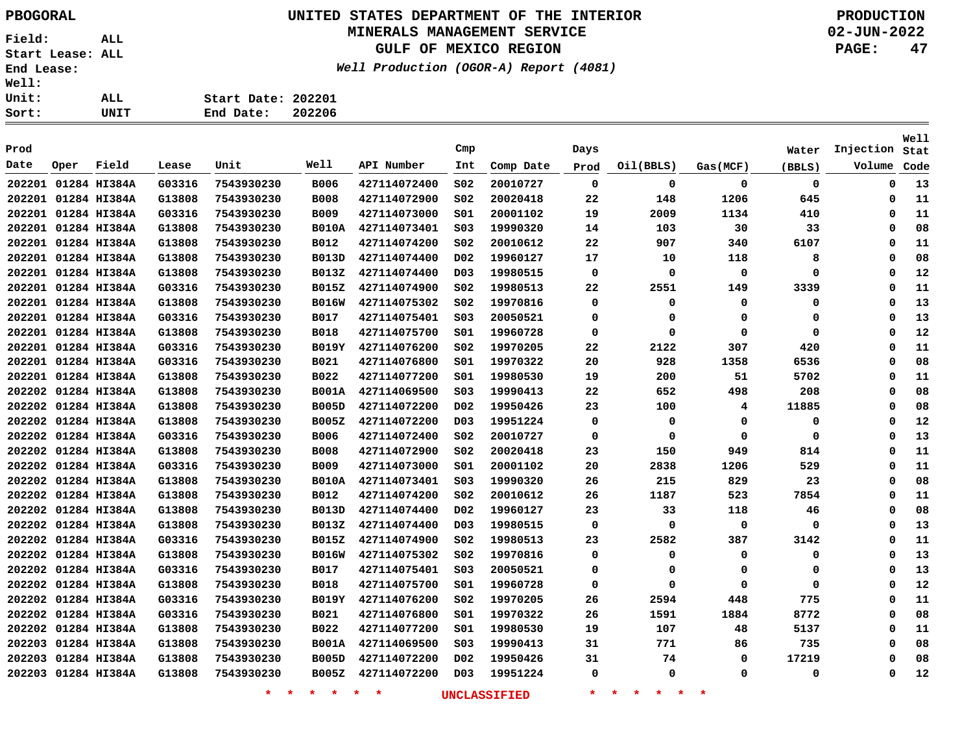# **UNITED STATES DEPARTMENT OF THE INTERIOR PBOGORAL PRODUCTION**

## **MINERALS MANAGEMENT SERVICE**

**GULF OF MEXICO REGION**

**Well Production (OGOR-A) Report (4081)**

**02-JUN-2022 PAGE: 47**

| UNIT | End Date: 202206   |  |
|------|--------------------|--|
| ALL  | Start Date: 202201 |  |
|      |                    |  |
|      |                    |  |

|        |      |                     |        |            |              |              |                  |           |             |           |             |          |           | Well |
|--------|------|---------------------|--------|------------|--------------|--------------|------------------|-----------|-------------|-----------|-------------|----------|-----------|------|
| Prod   |      |                     |        |            |              |              | Cmp              |           | Days        |           |             | Water    | Injection | Stat |
| Date   | Oper | Field               | Lease  | Unit       | Well         | API Number   | Int              | Comp Date | Prod        | Oil(BBLS) | Gas(MCF)    | (BBLS)   | Volume    | Code |
|        |      | 202201 01284 HI384A | G03316 | 7543930230 | <b>B006</b>  | 427114072400 | S02              | 20010727  | 0           | 0         | 0           | 0        | 0         | 13   |
|        |      | 202201 01284 HI384A | G13808 | 7543930230 | <b>B008</b>  | 427114072900 | SO <sub>2</sub>  | 20020418  | 22          | 148       | 1206        | 645      | 0         | 11   |
|        |      | 202201 01284 HI384A | G03316 | 7543930230 | <b>B009</b>  | 427114073000 | SO1              | 20001102  | 19          | 2009      | 1134        | 410      | 0         | 11   |
|        |      | 202201 01284 HI384A | G13808 | 7543930230 | <b>B010A</b> | 427114073401 | SO <sub>3</sub>  | 19990320  | 14          | 103       | 30          | 33       | 0         | 08   |
|        |      | 202201 01284 HI384A | G13808 | 7543930230 | <b>B012</b>  | 427114074200 | SO <sub>2</sub>  | 20010612  | 22          | 907       | 340         | 6107     | 0         | 11   |
|        |      | 202201 01284 HI384A | G13808 | 7543930230 | <b>B013D</b> | 427114074400 | DO <sub>2</sub>  | 19960127  | 17          | 10        | 118         | 8        | 0         | 08   |
|        |      | 202201 01284 HI384A | G13808 | 7543930230 | <b>B013Z</b> | 427114074400 | D03              | 19980515  | $\mathbf 0$ | 0         | 0           | $\Omega$ | 0         | 12   |
|        |      | 202201 01284 HI384A | G03316 | 7543930230 | <b>B015Z</b> | 427114074900 | SO <sub>2</sub>  | 19980513  | 22          | 2551      | 149         | 3339     | 0         | 11   |
|        |      | 202201 01284 HI384A | G13808 | 7543930230 | <b>B016W</b> | 427114075302 | SO <sub>2</sub>  | 19970816  | $\mathbf 0$ | 0         | 0           | 0        | 0         | 13   |
|        |      | 202201 01284 HI384A | G03316 | 7543930230 | <b>B017</b>  | 427114075401 | SO <sub>3</sub>  | 20050521  | 0           | 0         | 0           | 0        | 0         | 13   |
|        |      | 202201 01284 HI384A | G13808 | 7543930230 | <b>B018</b>  | 427114075700 | S01              | 19960728  | 0           | 0         | 0           | 0        | 0         | 12   |
|        |      | 202201 01284 HI384A | G03316 | 7543930230 | <b>B019Y</b> | 427114076200 | S02              | 19970205  | 22          | 2122      | 307         | 420      | 0         | 11   |
|        |      | 202201 01284 HI384A | G03316 | 7543930230 | <b>B021</b>  | 427114076800 | S01              | 19970322  | 20          | 928       | 1358        | 6536     | 0         | 08   |
|        |      | 202201 01284 HI384A | G13808 | 7543930230 | B022         | 427114077200 | S01              | 19980530  | 19          | 200       | 51          | 5702     | 0         | 11   |
|        |      | 202202 01284 HI384A | G13808 | 7543930230 | <b>B001A</b> | 427114069500 | S03              | 19990413  | 22          | 652       | 498         | 208      | 0         | 08   |
|        |      | 202202 01284 HI384A | G13808 | 7543930230 | <b>B005D</b> | 427114072200 | DO <sub>2</sub>  | 19950426  | 23          | 100       | 4           | 11885    | 0         | 08   |
|        |      | 202202 01284 HI384A | G13808 | 7543930230 | <b>B005Z</b> | 427114072200 | D <sub>0</sub> 3 | 19951224  | $\mathbf 0$ | 0         | 0           | 0        | 0         | 12   |
|        |      | 202202 01284 HI384A | G03316 | 7543930230 | B006         | 427114072400 | SO <sub>2</sub>  | 20010727  | 0           | 0         | 0           | 0        | 0         | 13   |
|        |      | 202202 01284 HI384A | G13808 | 7543930230 | <b>B008</b>  | 427114072900 | SO <sub>2</sub>  | 20020418  | 23          | 150       | 949         | 814      | 0         | 11   |
|        |      | 202202 01284 HI384A | G03316 | 7543930230 | <b>B009</b>  | 427114073000 | SO1              | 20001102  | 20          | 2838      | 1206        | 529      | 0         | 11   |
|        |      | 202202 01284 HI384A | G13808 | 7543930230 | <b>B010A</b> | 427114073401 | SO <sub>3</sub>  | 19990320  | 26          | 215       | 829         | 23       | 0         | 08   |
|        |      | 202202 01284 HI384A | G13808 | 7543930230 | <b>B012</b>  | 427114074200 | SO <sub>2</sub>  | 20010612  | 26          | 1187      | 523         | 7854     | 0         | 11   |
|        |      | 202202 01284 HI384A | G13808 | 7543930230 | <b>B013D</b> | 427114074400 | D02              | 19960127  | 23          | 33        | 118         | 46       | 0         | 08   |
| 202202 |      | 01284 HI384A        | G13808 | 7543930230 | B013Z        | 427114074400 | D <sub>03</sub>  | 19980515  | 0           | 0         | 0           | 0        | 0         | 13   |
|        |      | 202202 01284 HI384A | G03316 | 7543930230 | <b>B015Z</b> | 427114074900 | S02              | 19980513  | 23          | 2582      | 387         | 3142     | 0         | 11   |
| 202202 |      | 01284 HI384A        | G13808 | 7543930230 | <b>B016W</b> | 427114075302 | S02              | 19970816  | 0           | 0         | 0           | 0        | 0         | 13   |
| 202202 |      | 01284 HI384A        | G03316 | 7543930230 | <b>B017</b>  | 427114075401 | S03              | 20050521  | 0           | 0         | 0           | 0        | 0         | 13   |
| 202202 |      | 01284 HI384A        | G13808 | 7543930230 | <b>B018</b>  | 427114075700 | S01              | 19960728  | 0           | 0         | 0           | 0        | 0         | 12   |
|        |      | 202202 01284 HI384A | G03316 | 7543930230 | <b>B019Y</b> | 427114076200 | SO <sub>2</sub>  | 19970205  | 26          | 2594      | 448         | 775      | 0         | 11   |
|        |      | 202202 01284 HI384A | G03316 | 7543930230 | <b>B021</b>  | 427114076800 | SO1              | 19970322  | 26          | 1591      | 1884        | 8772     | 0         | 08   |
|        |      | 202202 01284 HI384A | G13808 | 7543930230 | B022         | 427114077200 | SO1              | 19980530  | 19          | 107       | 48          | 5137     | 0         | 11   |
|        |      | 202203 01284 HI384A | G13808 | 7543930230 | <b>B001A</b> | 427114069500 | SO <sub>3</sub>  | 19990413  | 31          | 771       | 86          | 735      | 0         | 08   |
| 202203 |      | 01284 HI384A        | G13808 | 7543930230 | <b>B005D</b> | 427114072200 | D <sub>0</sub> 2 | 19950426  | 31          | 74        | $\mathbf 0$ | 17219    | 0         | 08   |
|        |      | 202203 01284 HI384A | G13808 | 7543930230 | B005Z        | 427114072200 | D <sub>0</sub> 3 | 19951224  | $\mathbf 0$ | 0         | $\Omega$    | $\Omega$ | 0         | 12   |
|        |      |                     |        |            |              |              |                  |           |             |           |             |          |           |      |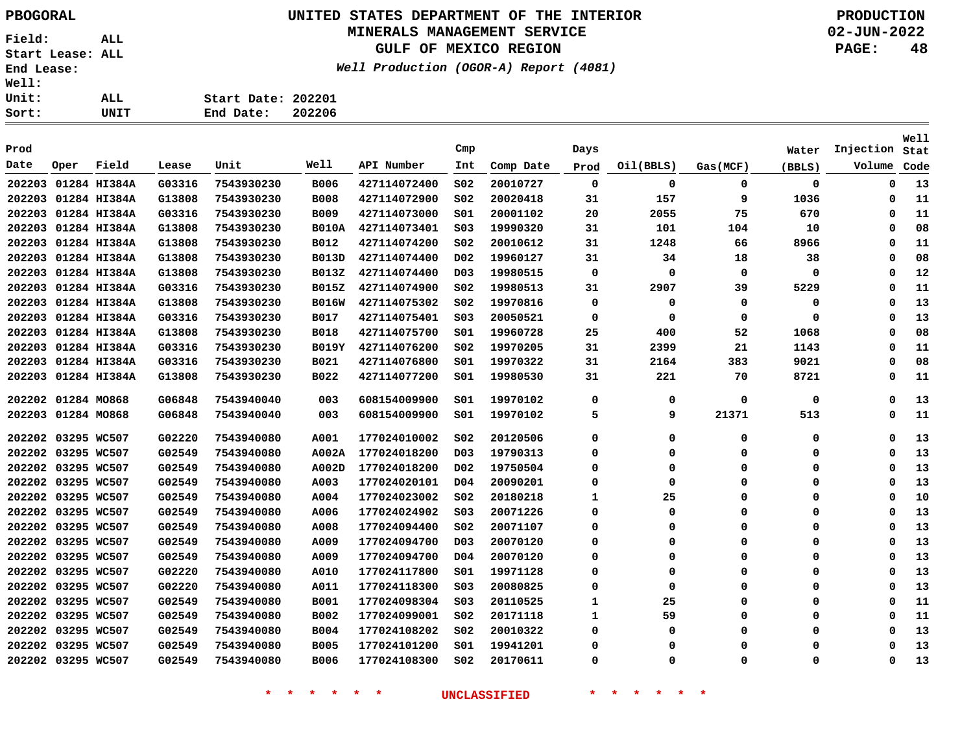## **UNITED STATES DEPARTMENT OF THE INTERIOR PBOGORAL PRODUCTION MINERALS MANAGEMENT SERVICE**

**GULF OF MEXICO REGION**

**Well Production (OGOR-A) Report (4081)**

**02-JUN-2022 PAGE: 48**

**Start Date: 202201 End Date: 202206**

|        |                    |                     |        |            |              |              |                  |           |             |             |             |          |           | <b>Well</b> |
|--------|--------------------|---------------------|--------|------------|--------------|--------------|------------------|-----------|-------------|-------------|-------------|----------|-----------|-------------|
| Prod   |                    |                     |        |            |              |              | Cmp              |           | Days        |             |             | Water    | Injection | Stat        |
| Date   | Oper               | Field               | Lease  | Unit       | Well         | API Number   | Int              | Comp Date | Prod        | Oil(BBLS)   | Gas(MCF)    | (BBLS)   | Volume    | Code        |
| 202203 |                    | 01284 HI384A        | G03316 | 7543930230 | <b>B006</b>  | 427114072400 | S02              | 20010727  | 0           | 0           | 0           | 0        | 0         | 13          |
| 202203 |                    | 01284 HI384A        | G13808 | 7543930230 | <b>B008</b>  | 427114072900 | SO <sub>2</sub>  | 20020418  | 31          | 157         | 9           | 1036     | 0         | 11          |
| 202203 |                    | 01284 HI384A        | G03316 | 7543930230 | <b>B009</b>  | 427114073000 | SO1              | 20001102  | 20          | 2055        | 75          | 670      | 0         | 11          |
| 202203 |                    | 01284 HI384A        | G13808 | 7543930230 | <b>B010A</b> | 427114073401 | S03              | 19990320  | 31          | 101         | 104         | 10       | 0         | 08          |
| 202203 |                    | 01284 HI384A        | G13808 | 7543930230 | B012         | 427114074200 | SO <sub>2</sub>  | 20010612  | 31          | 1248        | 66          | 8966     | 0         | 11          |
| 202203 |                    | 01284 HI384A        | G13808 | 7543930230 | <b>B013D</b> | 427114074400 | D <sub>0</sub> 2 | 19960127  | 31          | 34          | 18          | 38       | 0         | 08          |
|        |                    | 202203 01284 HI384A | G13808 | 7543930230 | <b>B013Z</b> | 427114074400 | D <sub>0</sub> 3 | 19980515  | $\mathbf 0$ | $\mathbf 0$ | $\mathbf 0$ | 0        | 0         | 12          |
|        |                    | 202203 01284 HI384A | G03316 | 7543930230 | <b>B015Z</b> | 427114074900 | SO <sub>2</sub>  | 19980513  | 31          | 2907        | 39          | 5229     | $\Omega$  | 11          |
|        |                    | 202203 01284 HI384A | G13808 | 7543930230 | <b>B016W</b> | 427114075302 | S02              | 19970816  | 0           | 0           | 0           | 0        | 0         | 13          |
| 202203 |                    | 01284 HI384A        | G03316 | 7543930230 | <b>B017</b>  | 427114075401 | S03              | 20050521  | 0           | 0           | 0           | 0        | 0         | 13          |
| 202203 |                    | 01284 HI384A        | G13808 | 7543930230 | <b>B018</b>  | 427114075700 | SO1              | 19960728  | 25          | 400         | 52          | 1068     | $\Omega$  | 08          |
| 202203 |                    | 01284 HI384A        | G03316 | 7543930230 | <b>B019Y</b> | 427114076200 | S02              | 19970205  | 31          | 2399        | 21          | 1143     | 0         | 11          |
| 202203 |                    | 01284 HI384A        | G03316 | 7543930230 | B021         | 427114076800 | 501              | 19970322  | 31          | 2164        | 383         | 9021     | 0         | 08          |
| 202203 |                    | 01284 HI384A        | G13808 | 7543930230 | B022         | 427114077200 | S01              | 19980530  | 31          | 221         | 70          | 8721     | $\Omega$  | 11          |
|        | 202202 01284 MO868 |                     | G06848 | 7543940040 | 003          | 608154009900 | SO1              | 19970102  | 0           | 0           | $\mathbf 0$ | 0        | 0         | 13          |
|        | 202203 01284 MO868 |                     | G06848 | 7543940040 | 003          | 608154009900 | S01              | 19970102  | 5           | 9           | 21371       | 513      | 0         | 11          |
|        | 202202 03295 WC507 |                     | G02220 | 7543940080 | A001         | 177024010002 | SO <sub>2</sub>  | 20120506  | 0           | 0           | 0           | 0        | $\Omega$  | 13          |
|        | 202202 03295 WC507 |                     | G02549 | 7543940080 | A002A        | 177024018200 | D03              | 19790313  | $\Omega$    | 0           | 0           | 0        | O         | 13          |
|        | 202202 03295 WC507 |                     | G02549 | 7543940080 | A002D        | 177024018200 | D02              | 19750504  | $\Omega$    | 0           | $\Omega$    | 0        | $\Omega$  | 13          |
|        | 202202 03295 WC507 |                     | G02549 | 7543940080 | A003         | 177024020101 | D <sub>04</sub>  | 20090201  | 0           | 0           | 0           | 0        | $\Omega$  | 13          |
|        | 202202 03295 WC507 |                     | G02549 | 7543940080 | A004         | 177024023002 | SO <sub>2</sub>  | 20180218  | 1           | 25          | 0           | 0        | $\Omega$  | 10          |
|        | 202202 03295 WC507 |                     | G02549 | 7543940080 | A006         | 177024024902 | SO <sub>3</sub>  | 20071226  | 0           | 0           | 0           | 0        | $\Omega$  | 13          |
|        | 202202 03295 WC507 |                     | G02549 | 7543940080 | A008         | 177024094400 | SO <sub>2</sub>  | 20071107  | $\mathbf 0$ | $\Omega$    | 0           | $\Omega$ | $\Omega$  | 13          |
|        | 202202 03295 WC507 |                     | G02549 | 7543940080 | A009         | 177024094700 | D <sub>0</sub> 3 | 20070120  | $\mathbf 0$ | $\Omega$    | $\Omega$    | 0        | $\Omega$  | 13          |
|        | 202202 03295 WC507 |                     | G02549 | 7543940080 | A009         | 177024094700 | D <sub>04</sub>  | 20070120  | 0           | $\Omega$    | $\Omega$    | 0        | $\Omega$  | 13          |
|        | 202202 03295 WC507 |                     | G02220 | 7543940080 | A010         | 177024117800 | S01              | 19971128  | 0           | $\Omega$    | $\Omega$    | 0        | 0         | 13          |
|        | 202202 03295 WC507 |                     | G02220 | 7543940080 | A011         | 177024118300 | S03              | 20080825  | 0           | 0           | $\Omega$    | 0        | 0         | 13          |
| 202202 | 03295 WC507        |                     | G02549 | 7543940080 | <b>B001</b>  | 177024098304 | S03              | 20110525  | 1           | 25          | $\Omega$    | 0        | 0         | 11          |
| 202202 | 03295 WC507        |                     | G02549 | 7543940080 | B002         | 177024099001 | S02              | 20171118  | 1           | 59          | 0           | 0        | 0         | 11          |
|        | 202202 03295 WC507 |                     | G02549 | 7543940080 | <b>B004</b>  | 177024108202 | SO <sub>2</sub>  | 20010322  | 0           | 0           | $\Omega$    | 0        | 0         | 13          |
| 202202 | 03295 WC507        |                     | G02549 | 7543940080 | <b>B005</b>  | 177024101200 | SO1              | 19941201  | $\Omega$    | $\Omega$    | $\Omega$    | 0        | $\Omega$  | 13          |
|        | 202202 03295 WC507 |                     | G02549 | 7543940080 | <b>B006</b>  | 177024108300 | SO <sub>2</sub>  | 20170611  | $\Omega$    | $\Omega$    | $\Omega$    | $\Omega$ | $\Omega$  | 13          |
|        |                    |                     |        |            |              |              |                  |           |             |             |             |          |           |             |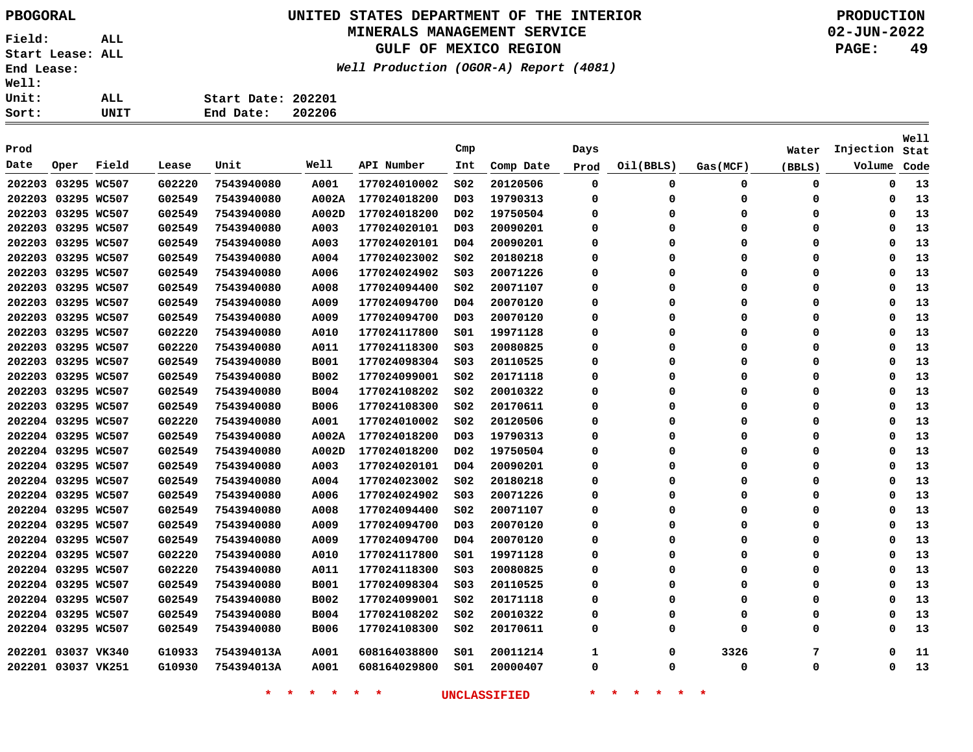# **UNITED STATES DEPARTMENT OF THE INTERIOR PBOGORAL PRODUCTION**

## **MINERALS MANAGEMENT SERVICE**

**GULF OF MEXICO REGION**

**Well Production (OGOR-A) Report (4081)**

**02-JUN-2022 PAGE: 49**

| rt: | UNIT | End Date:          | 202206 |  |
|-----|------|--------------------|--------|--|
| it: | ALL  | Start Date: 202201 |        |  |
| 11: |      |                    |        |  |

| Prod   |                    |       |        |            |             |              | Cmp              |           | Days        |           |             | Water  | Injection   | Well<br>Stat |
|--------|--------------------|-------|--------|------------|-------------|--------------|------------------|-----------|-------------|-----------|-------------|--------|-------------|--------------|
| Date   | Oper               | Field | Lease  | Unit       | Well        | API Number   | Int              | Comp Date | Prod        | Oil(BBLS) | Gas(MCF)    | (BBLS) | Volume      | Code         |
| 202203 | 03295 WC507        |       | G02220 | 7543940080 | A001        | 177024010002 | SO <sub>2</sub>  | 20120506  | 0           | 0         | 0           | 0      | 0           | 13           |
|        | 202203 03295 WC507 |       | G02549 | 7543940080 | A002A       | 177024018200 | D <sub>0</sub> 3 | 19790313  | 0           | $\Omega$  | 0           | 0      | 0           | 13           |
|        | 202203 03295 WC507 |       | G02549 | 7543940080 | A002D       | 177024018200 | D <sub>0</sub> 2 | 19750504  | 0           | O         | 0           | 0      | 0           | 13           |
|        | 202203 03295 WC507 |       | G02549 | 7543940080 | A003        | 177024020101 | D <sub>0</sub> 3 | 20090201  | 0           | $\Omega$  | 0           | 0      | 0           | 13           |
|        | 202203 03295 WC507 |       | G02549 | 7543940080 | A003        | 177024020101 | D04              | 20090201  | 0           | 0         | 0           | 0      | 0           | 13           |
|        | 202203 03295 WC507 |       | G02549 | 7543940080 | A004        | 177024023002 | SO <sub>2</sub>  | 20180218  | $\mathbf 0$ | $\Omega$  | $\Omega$    | 0      | $\Omega$    | 13           |
|        | 202203 03295 WC507 |       | G02549 | 7543940080 | A006        | 177024024902 | SO <sub>3</sub>  | 20071226  | 0           | $\Omega$  | $\Omega$    | 0      | 0           | 13           |
|        | 202203 03295 WC507 |       | G02549 | 7543940080 | A008        | 177024094400 | SO <sub>2</sub>  | 20071107  | 0           | $\Omega$  | $\Omega$    | 0      | $\Omega$    | 13           |
|        | 202203 03295 WC507 |       | G02549 | 7543940080 | A009        | 177024094700 | D04              | 20070120  | 0           | $\Omega$  | 0           | 0      | $\Omega$    | 13           |
|        | 202203 03295 WC507 |       | G02549 | 7543940080 | A009        | 177024094700 | D <sub>0</sub> 3 | 20070120  | 0           | $\Omega$  | $\Omega$    | 0      | $\Omega$    | 13           |
|        | 202203 03295 WC507 |       | G02220 | 7543940080 | A010        | 177024117800 | SO1              | 19971128  | 0           | $\Omega$  | 0           | 0      | $\Omega$    | 13           |
|        | 202203 03295 WC507 |       | G02220 | 7543940080 | A011        | 177024118300 | SO <sub>3</sub>  | 20080825  | 0           | $\Omega$  | 0           | 0      | $\Omega$    | 13           |
|        | 202203 03295 WC507 |       | G02549 | 7543940080 | <b>B001</b> | 177024098304 | SO <sub>3</sub>  | 20110525  | 0           | $\Omega$  | 0           | 0      | 0           | 13           |
|        | 202203 03295 WC507 |       | G02549 | 7543940080 | <b>B002</b> | 177024099001 | S02              | 20171118  | 0           | O         | $\Omega$    | 0      | $\Omega$    | 13           |
|        | 202203 03295 WC507 |       | G02549 | 7543940080 | <b>B004</b> | 177024108202 | SO <sub>2</sub>  | 20010322  | 0           | $\Omega$  | $\Omega$    | 0      | $\mathbf 0$ | 13           |
|        | 202203 03295 WC507 |       | G02549 | 7543940080 | <b>B006</b> | 177024108300 | SO <sub>2</sub>  | 20170611  | 0           | $\Omega$  | $\mathbf 0$ | 0      | $\mathbf 0$ | 13           |
|        | 202204 03295 WC507 |       | G02220 | 7543940080 | A001        | 177024010002 | SO <sub>2</sub>  | 20120506  | 0           | 0         | $\Omega$    | 0      | 0           | 13           |
|        | 202204 03295 WC507 |       | G02549 | 7543940080 | A002A       | 177024018200 | D03              | 19790313  | 0           | O         | $\Omega$    | 0      | $\Omega$    | 13           |
|        | 202204 03295 WC507 |       | G02549 | 7543940080 | A002D       | 177024018200 | D <sub>0</sub> 2 | 19750504  | 0           | $\Omega$  | $\Omega$    | 0      | $\Omega$    | 13           |
|        | 202204 03295 WC507 |       | G02549 | 7543940080 | A003        | 177024020101 | D <sub>04</sub>  | 20090201  | 0           | $\Omega$  | $\Omega$    | 0      | $\mathbf 0$ | 13           |
|        | 202204 03295 WC507 |       | G02549 | 7543940080 | A004        | 177024023002 | SO <sub>2</sub>  | 20180218  | 0           | $\Omega$  | $\Omega$    | 0      | 0           | 13           |
|        | 202204 03295 WC507 |       | G02549 | 7543940080 | A006        | 177024024902 | SO <sub>3</sub>  | 20071226  | 0           | $\Omega$  | $\Omega$    | 0      | $\Omega$    | 13           |
|        | 202204 03295 WC507 |       | G02549 | 7543940080 | A008        | 177024094400 | SO <sub>2</sub>  | 20071107  | $\mathbf 0$ | $\Omega$  | $\Omega$    | 0      | $\mathbf 0$ | 13           |
|        | 202204 03295 WC507 |       | G02549 | 7543940080 | A009        | 177024094700 | D <sub>0</sub> 3 | 20070120  | $\mathbf 0$ | $\Omega$  | $\Omega$    | 0      | $\mathbf 0$ | 13           |
|        | 202204 03295 WC507 |       | G02549 | 7543940080 | A009        | 177024094700 | D04              | 20070120  | 0           | $\Omega$  | $\Omega$    | 0      | 0           | 13           |
|        | 202204 03295 WC507 |       | G02220 | 7543940080 | A010        | 177024117800 | S01              | 19971128  | 0           | $\Omega$  | $\Omega$    | 0      | $\Omega$    | 13           |
|        | 202204 03295 WC507 |       | G02220 | 7543940080 | A011        | 177024118300 | SO <sub>3</sub>  | 20080825  | $\mathbf 0$ | $\Omega$  | $\Omega$    | 0      | $\mathbf 0$ | 13           |
|        | 202204 03295 WC507 |       | G02549 | 7543940080 | <b>B001</b> | 177024098304 | S03              | 20110525  | 0           | $\Omega$  | $\Omega$    | 0      | 0           | 13           |
|        | 202204 03295 WC507 |       | G02549 | 7543940080 | B002        | 177024099001 | SO <sub>2</sub>  | 20171118  | 0           | $\Omega$  | $\Omega$    | 0      | 0           | 13           |
|        | 202204 03295 WC507 |       | G02549 | 7543940080 | <b>B004</b> | 177024108202 | SO <sub>2</sub>  | 20010322  | 0           | 0         | $\Omega$    | 0      | 0           | 13           |
|        | 202204 03295 WC507 |       | G02549 | 7543940080 | <b>B006</b> | 177024108300 | SO <sub>2</sub>  | 20170611  | $\mathbf 0$ | $\Omega$  | $\Omega$    | 0      | $\Omega$    | 13           |
|        | 202201 03037 VK340 |       | G10933 | 754394013A | A001        | 608164038800 | SO1              | 20011214  | 1           | 0         | 3326        | 7      | $\Omega$    | 11           |
|        | 202201 03037 VK251 |       | G10930 | 754394013A | A001        | 608164029800 | SO1              | 20000407  | 0           | 0         | 0           | 0      | 0           | 13           |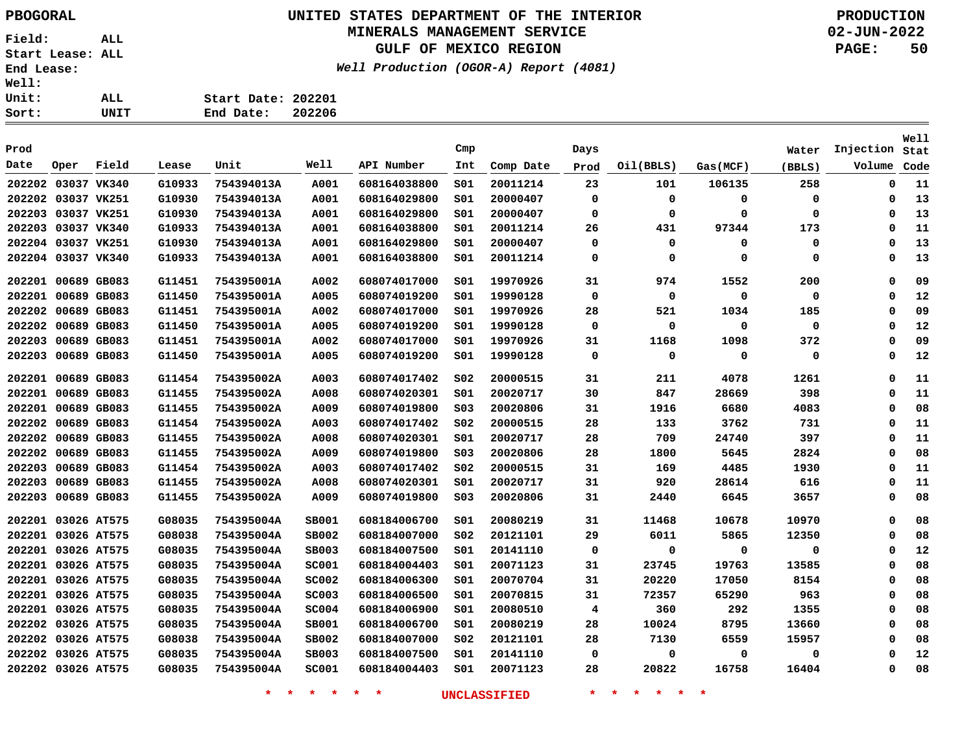# **UNITED STATES DEPARTMENT OF THE INTERIOR PBOGORAL PRODUCTION**

## **MINERALS MANAGEMENT SERVICE**

**GULF OF MEXICO REGION**

**Well Production (OGOR-A) Report (4081)**

**02-JUN-2022 PAGE: 50**

| rt: | UNIT | End Date:          | 202206 |
|-----|------|--------------------|--------|
| it: | ALL  | Start Date: 202201 |        |
| 11: |      |                    |        |

| Prod               |             |       |        |            |              |              | Cmp             |           | Days        |             |          | Water  | Injection   | Well<br>Stat |
|--------------------|-------------|-------|--------|------------|--------------|--------------|-----------------|-----------|-------------|-------------|----------|--------|-------------|--------------|
| Date               | Oper        | Field | Lease  | Unit       | Well         | API Number   | Int             | Comp Date | Prod        | Oil(BBLS)   | Gas(MCF) | (BBLS) | Volume      | Code         |
| 202202             | 03037 VK340 |       | G10933 | 754394013A | A001         | 608164038800 | SO1             | 20011214  | 23          | 101         | 106135   | 258    | $\mathbf 0$ | 11           |
| 202202             | 03037 VK251 |       | G10930 | 754394013A | A001         | 608164029800 | SO1             | 20000407  | 0           | 0           | 0        | 0      | 0           | 13           |
| 202203 03037 VK251 |             |       | G10930 | 754394013A | A001         | 608164029800 | SO1             | 20000407  | 0           | $\mathbf 0$ | 0        | 0      | 0           | 13           |
| 202203 03037 VK340 |             |       | G10933 | 754394013A | A001         | 608164038800 | SO1             | 20011214  | 26          | 431         | 97344    | 173    | 0           | 11           |
| 202204 03037 VK251 |             |       | G10930 | 754394013A | A001         | 608164029800 | SO1             | 20000407  | 0           | 0           | 0        | 0      | 0           | 13           |
| 202204 03037 VK340 |             |       | G10933 | 754394013A | A001         | 608164038800 | SO1             | 20011214  | 0           | 0           | 0        | 0      | 0           | 13           |
| 202201 00689 GB083 |             |       | G11451 | 754395001A | A002         | 608074017000 | SO1             | 19970926  | 31          | 974         | 1552     | 200    | 0           | 09           |
| 202201 00689 GB083 |             |       | G11450 | 754395001A | A005         | 608074019200 | SO1             | 19990128  | $\mathbf 0$ | $\mathbf 0$ | 0        | 0      | $\mathbf 0$ | 12           |
| 202202             | 00689 GB083 |       | G11451 | 754395001A | A002         | 608074017000 | SO1             | 19970926  | 28          | 521         | 1034     | 185    | 0           | 09           |
| 202202             | 00689 GB083 |       | G11450 | 754395001A | A005         | 608074019200 | SO1             | 19990128  | 0           | 0           | 0        | 0      | 0           | 12           |
| 202203             | 00689 GB083 |       | G11451 | 754395001A | A002         | 608074017000 | SO1             | 19970926  | 31          | 1168        | 1098     | 372    | 0           | 09           |
| 202203             | 00689 GB083 |       | G11450 | 754395001A | A005         | 608074019200 | S01             | 19990128  | 0           | 0           | 0        | 0      | 0           | 12           |
| 202201 00689 GB083 |             |       | G11454 | 754395002A | A003         | 608074017402 | SO <sub>2</sub> | 20000515  | 31          | 211         | 4078     | 1261   | $\mathbf 0$ | 11           |
| 202201 00689 GB083 |             |       | G11455 | 754395002A | A008         | 608074020301 | SO1             | 20020717  | 30          | 847         | 28669    | 398    | $\mathbf 0$ | 11           |
| 202201 00689 GB083 |             |       | G11455 | 754395002A | A009         | 608074019800 | SO <sub>3</sub> | 20020806  | 31          | 1916        | 6680     | 4083   | $\mathbf 0$ | 08           |
| 202202 00689 GB083 |             |       | G11454 | 754395002A | A003         | 608074017402 | SO <sub>2</sub> | 20000515  | 28          | 133         | 3762     | 731    | 0           | 11           |
| 202202 00689 GB083 |             |       | G11455 | 754395002A | A008         | 608074020301 | S01             | 20020717  | 28          | 709         | 24740    | 397    | 0           | 11           |
| 202202 00689 GB083 |             |       | G11455 | 754395002A | A009         | 608074019800 | SO <sub>3</sub> | 20020806  | 28          | 1800        | 5645     | 2824   | $\mathbf 0$ | 08           |
| 202203             | 00689 GB083 |       | G11454 | 754395002A | A003         | 608074017402 | SO <sub>2</sub> | 20000515  | 31          | 169         | 4485     | 1930   | $\mathbf 0$ | 11           |
| 202203             | 00689 GB083 |       | G11455 | 754395002A | A008         | 608074020301 | SO1             | 20020717  | 31          | 920         | 28614    | 616    | 0           | 11           |
| 202203             | 00689 GB083 |       | G11455 | 754395002A | A009         | 608074019800 | SO <sub>3</sub> | 20020806  | 31          | 2440        | 6645     | 3657   | 0           | 08           |
| 202201 03026 AT575 |             |       | G08035 | 754395004A | SB001        | 608184006700 | 501             | 20080219  | 31          | 11468       | 10678    | 10970  | 0           | 08           |
| 202201 03026 AT575 |             |       | G08038 | 754395004A | SB002        | 608184007000 | SO <sub>2</sub> | 20121101  | 29          | 6011        | 5865     | 12350  | 0           | 08           |
| 202201 03026 AT575 |             |       | G08035 | 754395004A | <b>SB003</b> | 608184007500 | SO1             | 20141110  | 0           | $\mathbf 0$ | 0        | 0      | 0           | 12           |
| 202201 03026 AT575 |             |       | G08035 | 754395004A | <b>SC001</b> | 608184004403 | SO1             | 20071123  | 31          | 23745       | 19763    | 13585  | 0           | 08           |
| 202201 03026 AT575 |             |       | G08035 | 754395004A | <b>SC002</b> | 608184006300 | SO1             | 20070704  | 31          | 20220       | 17050    | 8154   | 0           | 08           |
| 202201 03026 AT575 |             |       | G08035 | 754395004A | <b>SC003</b> | 608184006500 | SO1             | 20070815  | 31          | 72357       | 65290    | 963    | 0           | 08           |
| 202201 03026 AT575 |             |       | G08035 | 754395004A | <b>SC004</b> | 608184006900 | SO1             | 20080510  | 4           | 360         | 292      | 1355   | $\mathbf 0$ | 08           |
| 202202 03026 AT575 |             |       | G08035 | 754395004A | <b>SB001</b> | 608184006700 | SO1             | 20080219  | 28          | 10024       | 8795     | 13660  | 0           | 08           |
| 202202 03026 AT575 |             |       | G08038 | 754395004A | <b>SB002</b> | 608184007000 | SO <sub>2</sub> | 20121101  | 28          | 7130        | 6559     | 15957  | 0           | 08           |
| 202202             | 03026 AT575 |       | G08035 | 754395004A | <b>SB003</b> | 608184007500 | SO1             | 20141110  | 0           | 0           | 0        | 0      | 0           | 12           |
| 202202 03026 AT575 |             |       | G08035 | 754395004A | <b>SC001</b> | 608184004403 | SO1             | 20071123  | 28          | 20822       | 16758    | 16404  | 0           | 08           |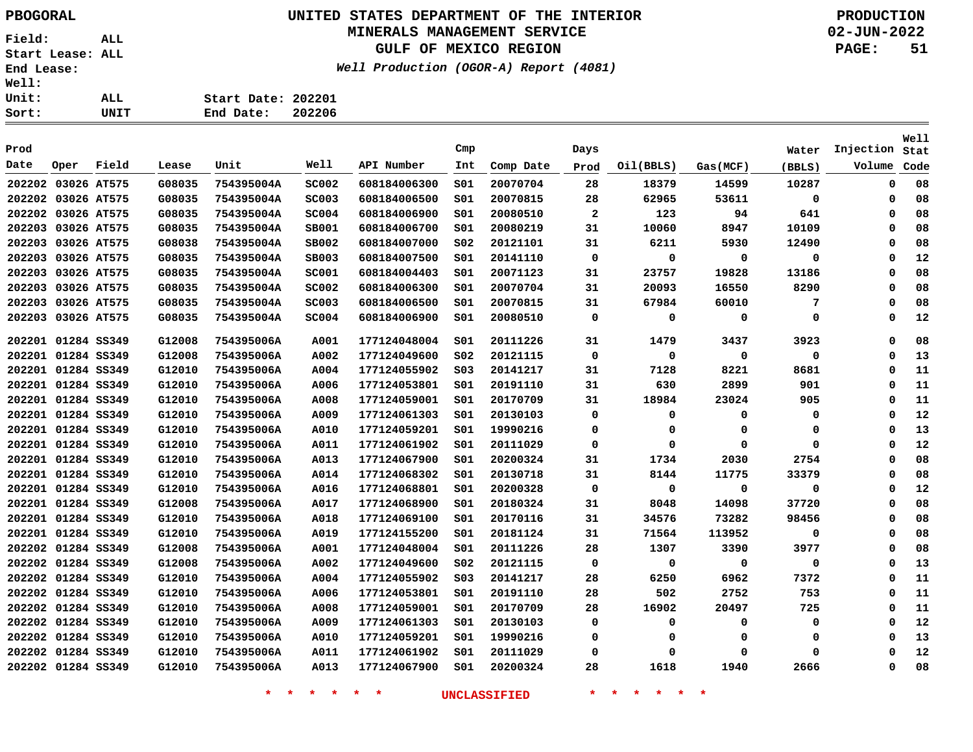## **UNITED STATES DEPARTMENT OF THE INTERIOR PBOGORAL PRODUCTION MINERALS MANAGEMENT SERVICE**

## **GULF OF MEXICO REGION**

**Well Production (OGOR-A) Report (4081)**

| ALL. | Start Date: 202201 |        |
|------|--------------------|--------|
| UNIT | End Date:          | 202206 |

|        |                    |       |        |            |              |              |                 |           |                |           |             |        |             | Well |
|--------|--------------------|-------|--------|------------|--------------|--------------|-----------------|-----------|----------------|-----------|-------------|--------|-------------|------|
| Prod   |                    |       |        |            |              |              | Cmp             |           | Days           |           |             | Water  | Injection   | Stat |
| Date   | Oper               | Field | Lease  | Unit       | Well         | API Number   | Int             | Comp Date | Prod           | Oil(BBLS) | Gas(MCF)    | (BBLS) | Volume      | Code |
|        | 202202 03026 AT575 |       | G08035 | 754395004A | <b>SC002</b> | 608184006300 | SO1             | 20070704  | 28             | 18379     | 14599       | 10287  | $\mathbf 0$ | 08   |
|        | 202202 03026 AT575 |       | G08035 | 754395004A | <b>SC003</b> | 608184006500 | SO1             | 20070815  | 28             | 62965     | 53611       | 0      | 0           | 08   |
|        | 202202 03026 AT575 |       | G08035 | 754395004A | <b>SC004</b> | 608184006900 | SO1             | 20080510  | $\overline{a}$ | 123       | 94          | 641    | 0           | 08   |
|        | 202203 03026 AT575 |       | G08035 | 754395004A | <b>SB001</b> | 608184006700 | S01             | 20080219  | 31             | 10060     | 8947        | 10109  | 0           | 08   |
|        | 202203 03026 AT575 |       | G08038 | 754395004A | <b>SB002</b> | 608184007000 | SO <sub>2</sub> | 20121101  | 31             | 6211      | 5930        | 12490  | 0           | 08   |
|        | 202203 03026 AT575 |       | G08035 | 754395004A | <b>SB003</b> | 608184007500 | S01             | 20141110  | 0              | 0         | $\mathbf 0$ | 0      | 0           | 12   |
| 202203 | 03026 AT575        |       | G08035 | 754395004A | <b>SC001</b> | 608184004403 | SO1             | 20071123  | 31             | 23757     | 19828       | 13186  | 0           | 08   |
|        | 202203 03026 AT575 |       | G08035 | 754395004A | <b>SC002</b> | 608184006300 | SO1             | 20070704  | 31             | 20093     | 16550       | 8290   | 0           | 08   |
|        | 202203 03026 AT575 |       | G08035 | 754395004A | <b>SC003</b> | 608184006500 | SO1             | 20070815  | 31             | 67984     | 60010       | 7      | 0           | 08   |
|        | 202203 03026 AT575 |       | G08035 | 754395004A | <b>SC004</b> | 608184006900 | S01             | 20080510  | 0              | 0         | 0           | 0      | 0           | 12   |
|        | 202201 01284 SS349 |       | G12008 | 754395006A | A001         | 177124048004 | SO1             | 20111226  | 31             | 1479      | 3437        | 3923   | 0           | 08   |
|        | 202201 01284 SS349 |       | G12008 | 754395006A | A002         | 177124049600 | S02             | 20121115  | 0              | 0         | 0           | 0      | 0           | 13   |
|        | 202201 01284 SS349 |       | G12010 | 754395006A | A004         | 177124055902 | SO <sub>3</sub> | 20141217  | 31             | 7128      | 8221        | 8681   | 0           | 11   |
|        | 202201 01284 SS349 |       | G12010 | 754395006A | A006         | 177124053801 | SO1             | 20191110  | 31             | 630       | 2899        | 901    | 0           | 11   |
| 202201 | 01284 SS349        |       | G12010 | 754395006A | A008         | 177124059001 | SO1             | 20170709  | 31             | 18984     | 23024       | 905    | 0           | 11   |
| 202201 | 01284 SS349        |       | G12010 | 754395006A | A009         | 177124061303 | SO1             | 20130103  | 0              | 0         | 0           | 0      | 0           | 12   |
|        | 202201 01284 SS349 |       | G12010 | 754395006A | A010         | 177124059201 | SO1             | 19990216  | 0              | 0         | 0           | 0      | $\mathbf 0$ | 13   |
|        | 202201 01284 SS349 |       | G12010 | 754395006A | A011         | 177124061902 | SO1             | 20111029  | 0              | 0         | 0           | 0      | 0           | 12   |
|        | 202201 01284 SS349 |       | G12010 | 754395006A | A013         | 177124067900 | SO1             | 20200324  | 31             | 1734      | 2030        | 2754   | $\mathbf 0$ | 08   |
|        | 202201 01284 SS349 |       | G12010 | 754395006A | A014         | 177124068302 | SO1             | 20130718  | 31             | 8144      | 11775       | 33379  | 0           | 08   |
|        | 202201 01284 SS349 |       | G12010 | 754395006A | A016         | 177124068801 | SO1             | 20200328  | 0              | 0         | 0           | 0      | 0           | 12   |
|        | 202201 01284 SS349 |       | G12008 | 754395006A | A017         | 177124068900 | SO1             | 20180324  | 31             | 8048      | 14098       | 37720  | 0           | 08   |
|        | 202201 01284 SS349 |       | G12010 | 754395006A | A018         | 177124069100 | S01             | 20170116  | 31             | 34576     | 73282       | 98456  | 0           | 08   |
|        | 202201 01284 SS349 |       | G12010 | 754395006A | A019         | 177124155200 | SO1             | 20181124  | 31             | 71564     | 113952      | 0      | 0           | 08   |
|        | 202202 01284 SS349 |       | G12008 | 754395006A | A001         | 177124048004 | S01             | 20111226  | 28             | 1307      | 3390        | 3977   | 0           | 08   |
|        | 202202 01284 SS349 |       | G12008 | 754395006A | A002         | 177124049600 | SO <sub>2</sub> | 20121115  | 0              | 0         | 0           | 0      | 0           | 13   |
|        | 202202 01284 SS349 |       | G12010 | 754395006A | A004         | 177124055902 | S03             | 20141217  | 28             | 6250      | 6962        | 7372   | 0           | 11   |
|        | 202202 01284 SS349 |       | G12010 | 754395006A | A006         | 177124053801 | SO1             | 20191110  | 28             | 502       | 2752        | 753    | 0           | 11   |
|        | 202202 01284 SS349 |       | G12010 | 754395006A | A008         | 177124059001 | SO1             | 20170709  | 28             | 16902     | 20497       | 725    | 0           | 11   |
|        | 202202 01284 SS349 |       | G12010 | 754395006A | A009         | 177124061303 | SO1             | 20130103  | 0              | 0         | 0           | 0      | 0           | 12   |
|        | 202202 01284 SS349 |       | G12010 | 754395006A | A010         | 177124059201 | SO1             | 19990216  | 0              | 0         | 0           | 0      | 0           | 13   |
|        | 202202 01284 SS349 |       | G12010 | 754395006A | A011         | 177124061902 | S <sub>01</sub> | 20111029  | 0              | 0         | $\Omega$    | 0      | $\Omega$    | 12   |
|        | 202202 01284 SS349 |       | G12010 | 754395006A | A013         | 177124067900 | SO1             | 20200324  | 28             | 1618      | 1940        | 2666   | $\Omega$    | 08   |
|        |                    |       |        |            |              |              |                 |           |                |           |             |        |             |      |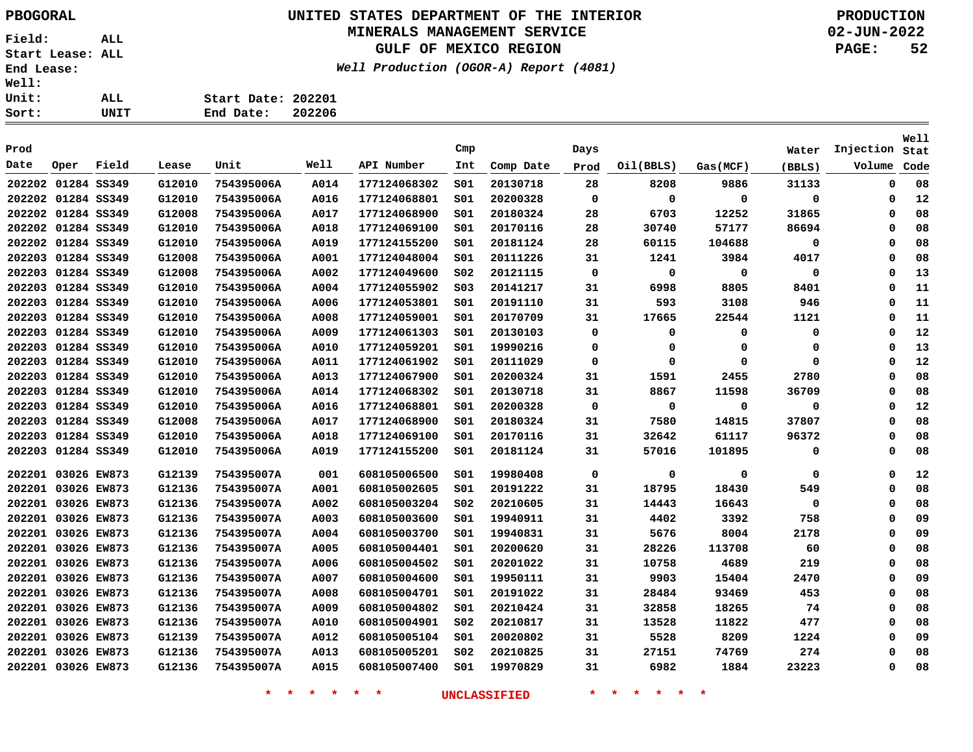## **UNITED STATES DEPARTMENT OF THE INTERIOR PBOGORAL PRODUCTION MINERALS MANAGEMENT SERVICE**

**GULF OF MEXICO REGION**

**Well Production (OGOR-A) Report (4081)**

**02-JUN-2022 PAGE: 52**

| rt: | UNIT | End Date:<br>202206 |
|-----|------|---------------------|
| it: | ALL  | Start Date: 202201  |
| 11: |      |                     |

| Prod               |      |       |        |            |      |              | Cmp             |           | Days        |             |             | Water       | Injection | Well<br>Stat |
|--------------------|------|-------|--------|------------|------|--------------|-----------------|-----------|-------------|-------------|-------------|-------------|-----------|--------------|
| Date               | Oper | Field | Lease  | Unit       | Well | API Number   | Int             | Comp Date | Prod        | Oil(BBLS)   | Gas(MCF)    | (BBLS)      | Volume    | Code         |
| 202202 01284 SS349 |      |       | G12010 | 754395006A | A014 | 177124068302 | SO1             | 20130718  | 28          | 8208        | 9886        | 31133       | 0         | 08           |
| 202202 01284 SS349 |      |       | G12010 | 754395006A | A016 | 177124068801 | SO1             | 20200328  | $\mathbf 0$ | $\mathbf 0$ | $\mathbf 0$ | 0           | 0         | 12           |
| 202202 01284 SS349 |      |       | G12008 | 754395006A | A017 | 177124068900 | SO1             | 20180324  | 28          | 6703        | 12252       | 31865       | 0         | 08           |
| 202202 01284 SS349 |      |       | G12010 | 754395006A | A018 | 177124069100 | S01             | 20170116  | 28          | 30740       | 57177       | 86694       | $\Omega$  | 08           |
| 202202 01284 SS349 |      |       | G12010 | 754395006A | A019 | 177124155200 | SO1             | 20181124  | 28          | 60115       | 104688      | 0           | $\Omega$  | 08           |
| 202203 01284 SS349 |      |       | G12008 | 754395006A | A001 | 177124048004 | SO1             | 20111226  | 31          | 1241        | 3984        | 4017        | 0         | 08           |
| 202203 01284 SS349 |      |       | G12008 | 754395006A | A002 | 177124049600 | S02             | 20121115  | 0           | 0           | 0           | 0           | 0         | 13           |
| 202203 01284 SS349 |      |       | G12010 | 754395006A | A004 | 177124055902 | SO <sub>3</sub> | 20141217  | 31          | 6998        | 8805        | 8401        | $\Omega$  | 11           |
| 202203 01284 SS349 |      |       | G12010 | 754395006A | A006 | 177124053801 | SO1             | 20191110  | 31          | 593         | 3108        | 946         | $\Omega$  | 11           |
| 202203 01284 SS349 |      |       | G12010 | 754395006A | A008 | 177124059001 | S01             | 20170709  | 31          | 17665       | 22544       | 1121        | $\Omega$  | 11           |
| 202203 01284 SS349 |      |       | G12010 | 754395006A | A009 | 177124061303 | SO1             | 20130103  | 0           | 0           | $\mathbf 0$ | 0           | $\Omega$  | 12           |
| 202203 01284 SS349 |      |       | G12010 | 754395006A | A010 | 177124059201 | SO1             | 19990216  | 0           | 0           | 0           | 0           | $\Omega$  | 13           |
| 202203 01284 SS349 |      |       | G12010 | 754395006A | A011 | 177124061902 | S01             | 20111029  | 0           | 0           | 0           | 0           | $\Omega$  | 12           |
| 202203 01284 SS349 |      |       | G12010 | 754395006A | A013 | 177124067900 | S01             | 20200324  | 31          | 1591        | 2455        | 2780        | 0         | 08           |
| 202203 01284 SS349 |      |       | G12010 | 754395006A | A014 | 177124068302 | SO1             | 20130718  | 31          | 8867        | 11598       | 36709       | $\Omega$  | 08           |
| 202203 01284 SS349 |      |       | G12010 | 754395006A | A016 | 177124068801 | SO1             | 20200328  | 0           | 0           | 0           | 0           | $\Omega$  | 12           |
| 202203 01284 SS349 |      |       | G12008 | 754395006A | A017 | 177124068900 | S01             | 20180324  | 31          | 7580        | 14815       | 37807       | $\Omega$  | 08           |
| 202203 01284 SS349 |      |       | G12010 | 754395006A | A018 | 177124069100 | SO1             | 20170116  | 31          | 32642       | 61117       | 96372       | $\Omega$  | 08           |
| 202203 01284 SS349 |      |       | G12010 | 754395006A | A019 | 177124155200 | SO1             | 20181124  | 31          | 57016       | 101895      | 0           | 0         | 08           |
| 202201 03026 EW873 |      |       | G12139 | 754395007A | 001  | 608105006500 | S01             | 19980408  | 0           | $\mathbf 0$ | 0           | $\mathbf 0$ | 0         | 12           |
| 202201 03026 EW873 |      |       | G12136 | 754395007A | A001 | 608105002605 | SO1             | 20191222  | 31          | 18795       | 18430       | 549         | 0         | 08           |
| 202201 03026 EW873 |      |       | G12136 | 754395007A | A002 | 608105003204 | S02             | 20210605  | 31          | 14443       | 16643       | $\mathbf 0$ | 0         | 08           |
| 202201 03026 EW873 |      |       | G12136 | 754395007A | A003 | 608105003600 | S01             | 19940911  | 31          | 4402        | 3392        | 758         | 0         | 09           |
| 202201 03026 EW873 |      |       | G12136 | 754395007A | A004 | 608105003700 | SO1             | 19940831  | 31          | 5676        | 8004        | 2178        | 0         | 09           |
| 202201 03026 EW873 |      |       | G12136 | 754395007A | A005 | 608105004401 | SO1             | 20200620  | 31          | 28226       | 113708      | 60          | 0         | 08           |
| 202201 03026 EW873 |      |       | G12136 | 754395007A | A006 | 608105004502 | SO1             | 20201022  | 31          | 10758       | 4689        | 219         | 0         | 08           |
| 202201 03026 EW873 |      |       | G12136 | 754395007A | A007 | 608105004600 | S01             | 19950111  | 31          | 9903        | 15404       | 2470        | $\Omega$  | 09           |
| 202201 03026 EW873 |      |       | G12136 | 754395007A | A008 | 608105004701 | 501             | 20191022  | 31          | 28484       | 93469       | 453         | 0         | 08           |
| 202201 03026 EW873 |      |       | G12136 | 754395007A | A009 | 608105004802 | SO1             | 20210424  | 31          | 32858       | 18265       | 74          | 0         | 08           |
| 202201 03026 EW873 |      |       | G12136 | 754395007A | A010 | 608105004901 | S02             | 20210817  | 31          | 13528       | 11822       | 477         | $\Omega$  | 08           |
| 202201 03026 EW873 |      |       | G12139 | 754395007A | A012 | 608105005104 | SO1             | 20020802  | 31          | 5528        | 8209        | 1224        | $\Omega$  | 09           |
| 202201 03026 EW873 |      |       | G12136 | 754395007A | A013 | 608105005201 | SO <sub>2</sub> | 20210825  | 31          | 27151       | 74769       | 274         | 0         | 08           |
| 202201 03026 EW873 |      |       | G12136 | 754395007A | A015 | 608105007400 | SO1             | 19970829  | 31          | 6982        | 1884        | 23223       | 0         | 08           |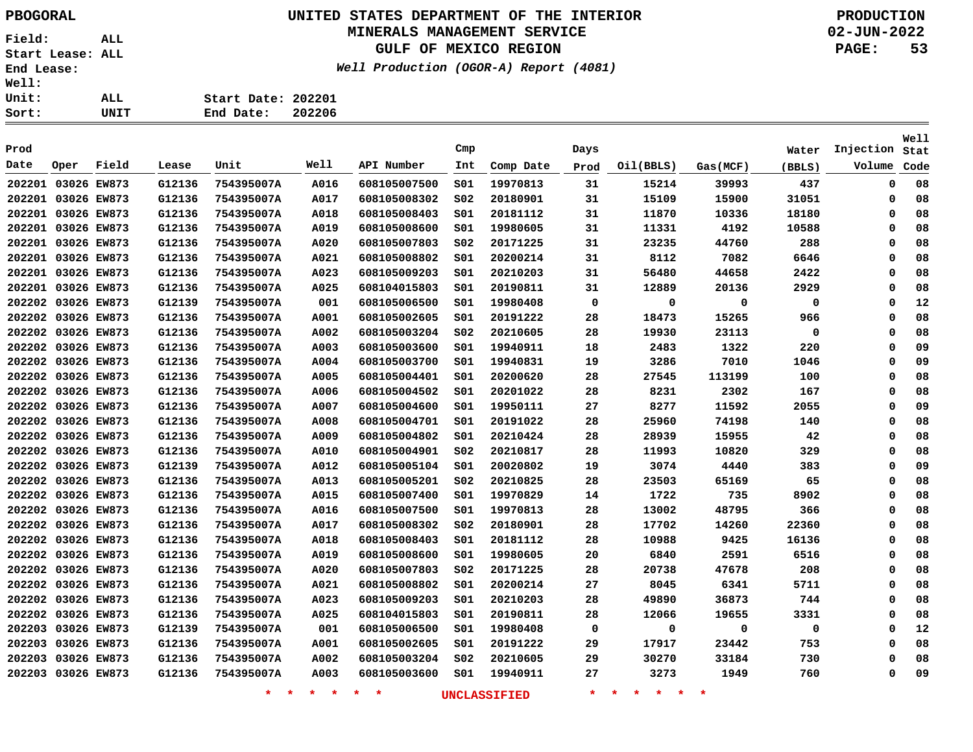## **UNITED STATES DEPARTMENT OF THE INTERIOR PBOGORAL PRODUCTION MINERALS MANAGEMENT SERVICE**

**GULF OF MEXICO REGION**

**Well Production (OGOR-A) Report (4081)**

**02-JUN-2022 PAGE: 53**

**Stat Injection**Volume Code

**Well**

| <b>Well:</b><br>Unit: |      | ALL   |               | Start Date: 202201 |        |                     |     |           |      |           |          |        |           |
|-----------------------|------|-------|---------------|--------------------|--------|---------------------|-----|-----------|------|-----------|----------|--------|-----------|
| Sort:                 |      | UNIT  |               | End Date:          | 202206 |                     |     |           |      |           |          |        |           |
| Prod                  |      |       |               |                    |        |                     | Cmp |           | Days |           |          | Water  | Injection |
| Date                  | Oper | Field | Lease         | Unit               | Well   | API Number          | Int | Comp Date | Prod | Oil(BBLS) | Gas(MCF) | (BBLS) | Volume    |
| 202201 03026 EW873    |      |       | G12136        | 754395007A         | A016   | 608105007500        | S01 | 19970813  | 31   | 15214     | 39993    | 437    |           |
| 202201 03026 EW873    |      |       | G12136        | 754395007A         | A017   | 608105008302        | S02 | 20180901  | 31   | 15109     | 15900    | 31051  |           |
| 202201 03026 EW873    |      |       | G12136        | 754395007A         | A018   | 608105008403        | S01 | 20181112  | 31   | 11870     | 10336    | 18180  |           |
| 202201 03026 EW873    |      |       | G12136        | 754395007A         | A019   | 608105008600        | S01 | 19980605  | 31   | 11331     | 4192     | 10588  |           |
| 202201 03026 EW873    |      |       | G12136        | 754395007A         | A020   | 608105007803        | S02 | 20171225  | 31   | 23235     | 44760    | 288    |           |
| 202201 03026 EW873    |      |       | G12136        | 754395007A         | A021   | 608105008802        | S01 | 20200214  | 31   | 8112      | 7082     | 6646   |           |
| 202201 03026 EWR73    |      |       | <b>C12136</b> | 754395007A         | ユハつつ   | <b>608105009203</b> | 901 | 20210203  | 31   | 56480     | 44658    | 2422   |           |

| 202201 03026 EW873 |  | G12136 | 754395007A | A016        | 608105007500 | S01             | 19970813 | 31 | 15214 | 39993  | 437         | 0 | 08 |
|--------------------|--|--------|------------|-------------|--------------|-----------------|----------|----|-------|--------|-------------|---|----|
| 202201 03026 EW873 |  | G12136 | 754395007A | A017        | 608105008302 | SO <sub>2</sub> | 20180901 | 31 | 15109 | 15900  | 31051       | 0 | 08 |
| 202201 03026 EW873 |  | G12136 | 754395007A | A018        | 608105008403 | S01             | 20181112 | 31 | 11870 | 10336  | 18180       | 0 | 08 |
| 202201 03026 EW873 |  | G12136 | 754395007A | A019        | 608105008600 | S01             | 19980605 | 31 | 11331 | 4192   | 10588       | 0 | 08 |
| 202201 03026 EW873 |  | G12136 | 754395007A | A020        | 608105007803 | S02             | 20171225 | 31 | 23235 | 44760  | 288         | 0 | 08 |
| 202201 03026 EW873 |  | G12136 | 754395007A | A021        | 608105008802 | S01             | 20200214 | 31 | 8112  | 7082   | 6646        | 0 | 08 |
| 202201 03026 EW873 |  | G12136 | 754395007A | A023        | 608105009203 | S01             | 20210203 | 31 | 56480 | 44658  | 2422        | 0 | 08 |
| 202201 03026 EW873 |  | G12136 | 754395007A | A025        | 608104015803 | S01             | 20190811 | 31 | 12889 | 20136  | 2929        | 0 | 08 |
| 202202 03026 EW873 |  | G12139 | 754395007A | 001         | 608105006500 | S01             | 19980408 | 0  | 0     | 0      | 0           | 0 | 12 |
| 202202 03026 EW873 |  | G12136 | 754395007A | A001        | 608105002605 | S01             | 20191222 | 28 | 18473 | 15265  | 966         | 0 | 08 |
| 202202 03026 EW873 |  | G12136 | 754395007A | A002        | 608105003204 | S02             | 20210605 | 28 | 19930 | 23113  | $\mathbf 0$ | 0 | 08 |
| 202202 03026 EW873 |  | G12136 | 754395007A | A003        | 608105003600 | S01             | 19940911 | 18 | 2483  | 1322   | 220         | 0 | 09 |
| 202202 03026 EW873 |  | G12136 | 754395007A | A004        | 608105003700 | S01             | 19940831 | 19 | 3286  | 7010   | 1046        | 0 | 09 |
| 202202 03026 EW873 |  | G12136 | 754395007A | A005        | 608105004401 | S01             | 20200620 | 28 | 27545 | 113199 | 100         | 0 | 08 |
| 202202 03026 EW873 |  | G12136 | 754395007A | <b>A006</b> | 608105004502 | S01             | 20201022 | 28 | 8231  | 2302   | 167         | 0 | 08 |
| 202202 03026 EW873 |  | G12136 | 754395007A | A007        | 608105004600 | S01             | 19950111 | 27 | 8277  | 11592  | 2055        | 0 | 09 |
| 202202 03026 EW873 |  | G12136 | 754395007A | A008        | 608105004701 | S01             | 20191022 | 28 | 25960 | 74198  | 140         | 0 | 08 |
| 202202 03026 EW873 |  | G12136 | 754395007A | A009        | 608105004802 | S01             | 20210424 | 28 | 28939 | 15955  | 42          | 0 | 08 |
| 202202 03026 EW873 |  | G12136 | 754395007A | A010        | 608105004901 | SO <sub>2</sub> | 20210817 | 28 | 11993 | 10820  | 329         | 0 | 08 |
| 202202 03026 EW873 |  | G12139 | 754395007A | A012        | 608105005104 | S01             | 20020802 | 19 | 3074  | 4440   | 383         | 0 | 09 |
| 202202 03026 EW873 |  | G12136 | 754395007A | A013        | 608105005201 | SO <sub>2</sub> | 20210825 | 28 | 23503 | 65169  | 65          | 0 | 08 |
| 202202 03026 EW873 |  | G12136 | 754395007A | A015        | 608105007400 | S01             | 19970829 | 14 | 1722  | 735    | 8902        | 0 | 08 |
| 202202 03026 EW873 |  | G12136 | 754395007A | A016        | 608105007500 | S01             | 19970813 | 28 | 13002 | 48795  | 366         | 0 | 08 |
| 202202 03026 EW873 |  | G12136 | 754395007A | <b>A017</b> | 608105008302 | SO <sub>2</sub> | 20180901 | 28 | 17702 | 14260  | 22360       | 0 | 08 |
| 202202 03026 EW873 |  | G12136 | 754395007A | A018        | 608105008403 | S01             | 20181112 | 28 | 10988 | 9425   | 16136       | 0 | 08 |
| 202202 03026 EW873 |  | G12136 | 754395007A | A019        | 608105008600 | S01             | 19980605 | 20 | 6840  | 2591   | 6516        | 0 | 08 |
| 202202 03026 EW873 |  | G12136 | 754395007A | A020        | 608105007803 | S02             | 20171225 | 28 | 20738 | 47678  | 208         | 0 | 08 |
| 202202 03026 EW873 |  | G12136 | 754395007A | A021        | 608105008802 | S01             | 20200214 | 27 | 8045  | 6341   | 5711        | 0 | 08 |
| 202202 03026 EW873 |  | G12136 | 754395007A | A023        | 608105009203 | S01             | 20210203 | 28 | 49890 | 36873  | 744         | 0 | 08 |
| 202202 03026 EW873 |  | G12136 | 754395007A | A025        | 608104015803 | 501             | 20190811 | 28 | 12066 | 19655  | 3331        | 0 | 08 |
| 202203 03026 EW873 |  | G12139 | 754395007A | 001         | 608105006500 | S01             | 19980408 | 0  | 0     | 0      | 0           | 0 | 12 |
| 202203 03026 EW873 |  | G12136 | 754395007A | A001        | 608105002605 | S01             | 20191222 | 29 | 17917 | 23442  | 753         | 0 | 08 |
| 202203 03026 EW873 |  | G12136 | 754395007A | <b>A002</b> | 608105003204 | S02             | 20210605 | 29 | 30270 | 33184  | 730         | 0 | 08 |
| 202203 03026 EW873 |  | G12136 | 754395007A | A003        | 608105003600 | S01             | 19940911 | 27 | 3273  | 1949   | 760         | 0 | 09 |
|                    |  |        |            |             |              |                 |          |    |       |        |             |   |    |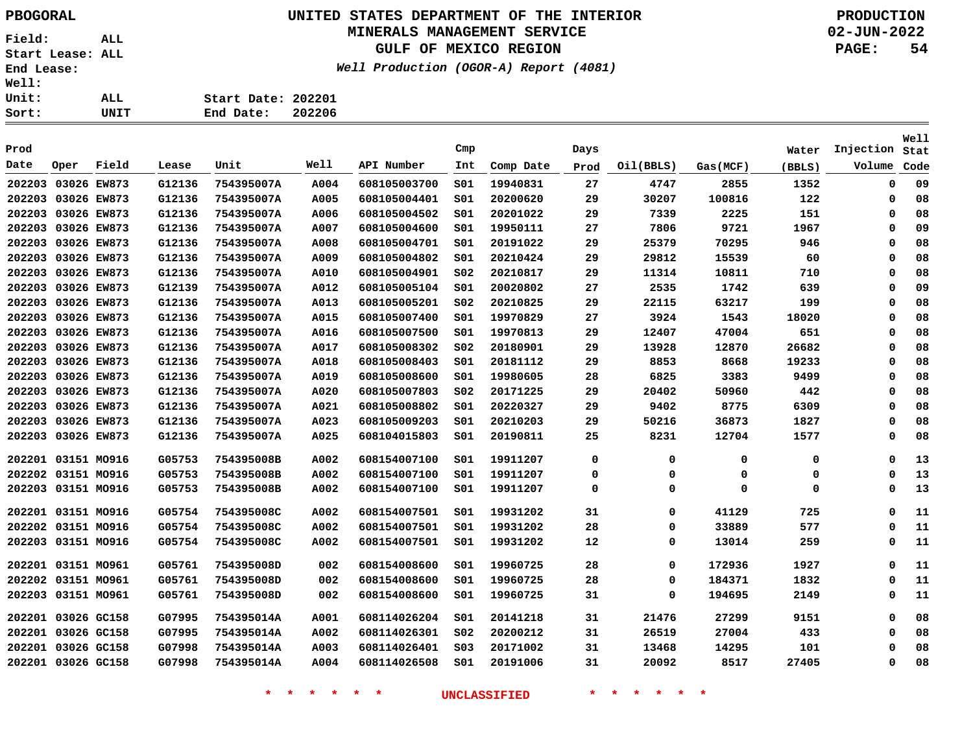## **UNITED STATES DEPARTMENT OF THE INTERIOR PBOGORAL PRODUCTION MINERALS MANAGEMENT SERVICE**

**GULF OF MEXICO REGION**

**Well Production (OGOR-A) Report (4081)**

**02-JUN-2022 PAGE: 54**

| Sort:        | UNIT | 202206<br>End Date: |
|--------------|------|---------------------|
| Unit:        | ALL  | Start Date: 202201  |
| <b>Well:</b> |      |                     |

|                    |             |             |        |            |      |              |                 |           |      |           |          |        |             | Well |
|--------------------|-------------|-------------|--------|------------|------|--------------|-----------------|-----------|------|-----------|----------|--------|-------------|------|
| Prod               |             |             |        |            |      |              | Cmp             |           | Days |           |          | Water  | Injection   | Stat |
| Date               | Oper        | Field       | Lease  | Unit       | Well | API Number   | Int             | Comp Date | Prod | Oil(BBLS) | Gas(MCF) | (BBLS) | Volume      | Code |
| 202203             | 03026 EW873 |             | G12136 | 754395007A | A004 | 608105003700 | 501             | 19940831  | 27   | 4747      | 2855     | 1352   | $\mathbf 0$ | 09   |
| 202203             | 03026 EW873 |             | G12136 | 754395007A | A005 | 608105004401 | S01             | 20200620  | 29   | 30207     | 100816   | 122    | $\Omega$    | 08   |
| 202203 03026 EW873 |             |             | G12136 | 754395007A | A006 | 608105004502 | 501             | 20201022  | 29   | 7339      | 2225     | 151    | 0           | 08   |
| 202203 03026 EW873 |             |             | G12136 | 754395007A | A007 | 608105004600 | 501             | 19950111  | 27   | 7806      | 9721     | 1967   | 0           | 09   |
| 202203             | 03026 EW873 |             | G12136 | 754395007A | A008 | 608105004701 | S01             | 20191022  | 29   | 25379     | 70295    | 946    | $\Omega$    | 08   |
| 202203 03026 EW873 |             |             | G12136 | 754395007A | A009 | 608105004802 | S01             | 20210424  | 29   | 29812     | 15539    | 60     | 0           | 08   |
| 202203 03026 EW873 |             |             | G12136 | 754395007A | A010 | 608105004901 | SO <sub>2</sub> | 20210817  | 29   | 11314     | 10811    | 710    | $\Omega$    | 08   |
| 202203             | 03026 EW873 |             | G12139 | 754395007A | A012 | 608105005104 | SO1             | 20020802  | 27   | 2535      | 1742     | 639    | $\Omega$    | 09   |
| 202203             | 03026 EW873 |             | G12136 | 754395007A | A013 | 608105005201 | SO <sub>2</sub> | 20210825  | 29   | 22115     | 63217    | 199    | $\Omega$    | 08   |
| 202203             | 03026 EW873 |             | G12136 | 754395007A | A015 | 608105007400 | S01             | 19970829  | 27   | 3924      | 1543     | 18020  | $\Omega$    | 08   |
| 202203 03026 EW873 |             |             | G12136 | 754395007A | A016 | 608105007500 | SO1             | 19970813  | 29   | 12407     | 47004    | 651    | $\Omega$    | 08   |
| 202203             | 03026 EW873 |             | G12136 | 754395007A | A017 | 608105008302 | SO <sub>2</sub> | 20180901  | 29   | 13928     | 12870    | 26682  | $\Omega$    | 08   |
| 202203             | 03026 EW873 |             | G12136 | 754395007A | A018 | 608105008403 | 501             | 20181112  | 29   | 8853      | 8668     | 19233  | 0           | 08   |
| 202203             | 03026 EW873 |             | G12136 | 754395007A | A019 | 608105008600 | 501             | 19980605  | 28   | 6825      | 3383     | 9499   | $\Omega$    | 08   |
| 202203             | 03026 EW873 |             | G12136 | 754395007A | A020 | 608105007803 | S02             | 20171225  | 29   | 20402     | 50960    | 442    | $\Omega$    | 08   |
| 202203             | 03026 EW873 |             | G12136 | 754395007A | A021 | 608105008802 | SO1             | 20220327  | 29   | 9402      | 8775     | 6309   | $\Omega$    | 08   |
| 202203             | 03026 EW873 |             | G12136 | 754395007A | A023 | 608105009203 | 501             | 20210203  | 29   | 50216     | 36873    | 1827   | $\Omega$    | 08   |
| 202203             | 03026 EW873 |             | G12136 | 754395007A | A025 | 608104015803 | S01             | 20190811  | 25   | 8231      | 12704    | 1577   | $\Omega$    | 08   |
| 202201 03151 MO916 |             |             | G05753 | 754395008B | A002 | 608154007100 | SO1             | 19911207  | 0    | 0         | 0        | 0      | 0           | 13   |
| 202202 03151 MO916 |             |             | G05753 | 754395008B | A002 | 608154007100 | S01             | 19911207  | 0    | 0         | 0        | 0      | 0           | 13   |
| 202203 03151 MO916 |             |             | G05753 | 754395008B | A002 | 608154007100 | 501             | 19911207  | 0    | 0         | 0        | 0      | $\Omega$    | 13   |
| 202201 03151 MO916 |             |             | G05754 | 754395008C | A002 | 608154007501 | s01             | 19931202  | 31   | 0         | 41129    | 725    | $\Omega$    | 11   |
| 202202 03151 MO916 |             |             | G05754 | 754395008C | A002 | 608154007501 | SO1             | 19931202  | 28   | 0         | 33889    | 577    | $\Omega$    | 11   |
| 202203             | 03151 MO916 |             | G05754 | 754395008C | A002 | 608154007501 | SO1             | 19931202  | 12   | 0         | 13014    | 259    | $\Omega$    | 11   |
| 202201 03151 MO961 |             |             | G05761 | 754395008D | 002  | 608154008600 | SO1             | 19960725  | 28   | 0         | 172936   | 1927   | $\Omega$    | 11   |
| 202202 03151 MO961 |             |             | G05761 | 754395008D | 002  | 608154008600 | 501             | 19960725  | 28   | $\Omega$  | 184371   | 1832   | 0           | 11   |
| 202203             |             | 03151 MO961 | G05761 | 754395008D | 002  | 608154008600 | 501             | 19960725  | 31   | 0         | 194695   | 2149   | $\mathbf 0$ | 11   |
| 202201 03026 GC158 |             |             | G07995 | 754395014A | A001 | 608114026204 | SO1             | 20141218  | 31   | 21476     | 27299    | 9151   | $\Omega$    | 08   |
| 202201 03026 GC158 |             |             | G07995 | 754395014A | A002 | 608114026301 | S02             | 20200212  | 31   | 26519     | 27004    | 433    | $\Omega$    | 08   |
| 202201 03026 GC158 |             |             | G07998 | 754395014A | A003 | 608114026401 | SO <sub>3</sub> | 20171002  | 31   | 13468     | 14295    | 101    | 0           | 08   |
| 202201 03026 GC158 |             |             | G07998 | 754395014A | A004 | 608114026508 | SO1             | 20191006  | 31   | 20092     | 8517     | 27405  | $\Omega$    | 08   |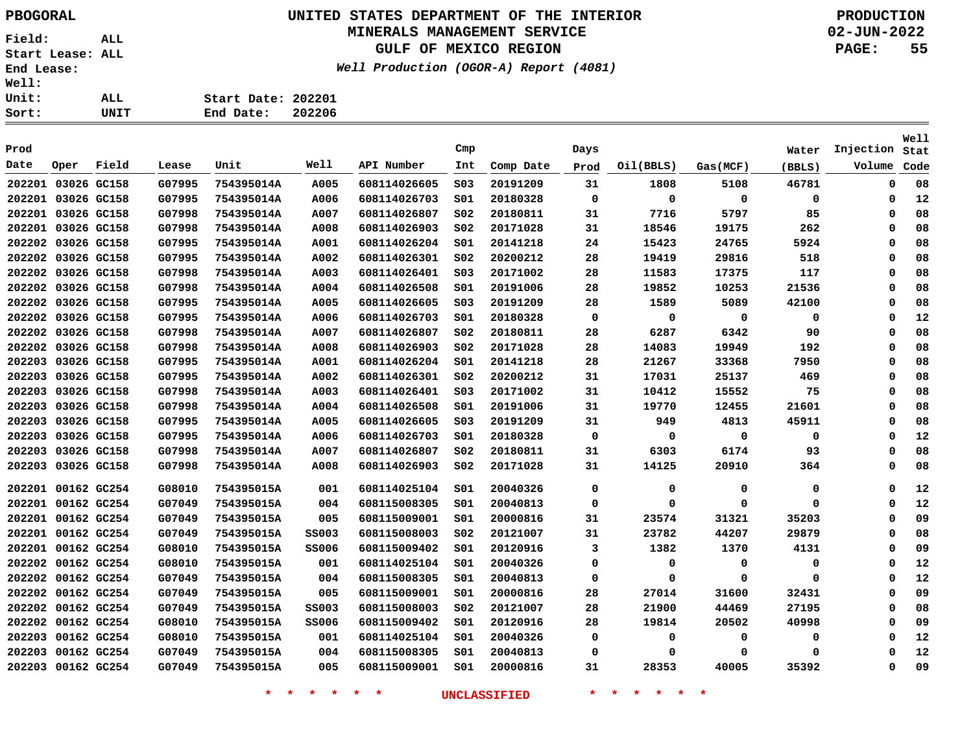## **UNITED STATES DEPARTMENT OF THE INTERIOR PBOGORAL PRODUCTION MINERALS MANAGEMENT SERVICE**

### **GULF OF MEXICO REGION**

**Well Production (OGOR-A) Report (4081)**

**02-JUN-2022 PAGE: 55**

| Sort:        | UNIT | End Date:          | 202206 |  |
|--------------|------|--------------------|--------|--|
| <b>Unit:</b> | ALL  | Start Date: 202201 |        |  |
| <b>Well:</b> |      |                    |        |  |

| Prod               |             |             |        |            |              |              | Cmp             |           | Days        |             |             | Water  | Injection   | <b>Well</b><br>Stat |
|--------------------|-------------|-------------|--------|------------|--------------|--------------|-----------------|-----------|-------------|-------------|-------------|--------|-------------|---------------------|
| Date               | Oper        | Field       | Lease  | Unit       | Well         | API Number   | Int             | Comp Date | Prod        | Oil(BBLS)   | Gas(MCF)    | (BBLS) | Volume      | Code                |
| 202201 03026 GC158 |             |             | G07995 | 754395014A | A005         | 608114026605 | SO <sub>3</sub> | 20191209  | 31          | 1808        | 5108        | 46781  | 0           | 08                  |
| 202201 03026 GC158 |             |             | G07995 | 754395014A | A006         | 608114026703 | SO1             | 20180328  | $\mathbf 0$ | 0           | $\mathbf 0$ | 0      | $\mathbf 0$ | 12                  |
| 202201 03026 GC158 |             |             | G07998 | 754395014A | A007         | 608114026807 | SO <sub>2</sub> | 20180811  | 31          | 7716        | 5797        | 85     | 0           | 08                  |
| 202201 03026 GC158 |             |             | G07998 | 754395014A | A008         | 608114026903 | SO <sub>2</sub> | 20171028  | 31          | 18546       | 19175       | 262    | $\Omega$    | 08                  |
| 202202 03026 GC158 |             |             | G07995 | 754395014A | A001         | 608114026204 | SO1             | 20141218  | 24          | 15423       | 24765       | 5924   | $\Omega$    | 08                  |
| 202202 03026 GC158 |             |             | G07995 | 754395014A | A002         | 608114026301 | SO <sub>2</sub> | 20200212  | 28          | 19419       | 29816       | 518    | $\Omega$    | 08                  |
| 202202 03026 GC158 |             |             | G07998 | 754395014A | A003         | 608114026401 | SO <sub>3</sub> | 20171002  | 28          | 11583       | 17375       | 117    | 0           | 08                  |
| 202202 03026 GC158 |             |             | G07998 | 754395014A | A004         | 608114026508 | SO1             | 20191006  | 28          | 19852       | 10253       | 21536  | $\Omega$    | 08                  |
| 202202 03026 GC158 |             |             | G07995 | 754395014A | A005         | 608114026605 | SO <sub>3</sub> | 20191209  | 28          | 1589        | 5089        | 42100  | 0           | 08                  |
| 202202 03026 GC158 |             |             | G07995 | 754395014A | A006         | 608114026703 | SO1             | 20180328  | $\mathbf 0$ | 0           | 0           | 0      | $\Omega$    | 12                  |
| 202202             | 03026 GC158 |             | G07998 | 754395014A | A007         | 608114026807 | SO <sub>2</sub> | 20180811  | 28          | 6287        | 6342        | 90     | $\Omega$    | 08                  |
| 202202             | 03026 GC158 |             | G07998 | 754395014A | A008         | 608114026903 | SO <sub>2</sub> | 20171028  | 28          | 14083       | 19949       | 192    | 0           | 08                  |
| 202203             | 03026 GC158 |             | G07995 | 754395014A | A001         | 608114026204 | SO1             | 20141218  | 28          | 21267       | 33368       | 7950   | 0           | 08                  |
| 202203             | 03026 GC158 |             | G07995 | 754395014A | A002         | 608114026301 | SO <sub>2</sub> | 20200212  | 31          | 17031       | 25137       | 469    | 0           | 08                  |
| 202203             | 03026 GC158 |             | G07998 | 754395014A | A003         | 608114026401 | SO <sub>3</sub> | 20171002  | 31          | 10412       | 15552       | 75     | 0           | 08                  |
| 202203             | 03026 GC158 |             | G07998 | 754395014A | A004         | 608114026508 | SO1             | 20191006  | 31          | 19770       | 12455       | 21601  | 0           | 08                  |
| 202203             | 03026 GC158 |             | G07995 | 754395014A | A005         | 608114026605 | SO <sub>3</sub> | 20191209  | 31          | 949         | 4813        | 45911  | 0           | 08                  |
| 202203             | 03026 GC158 |             | G07995 | 754395014A | A006         | 608114026703 | SO1             | 20180328  | 0           | $\Omega$    | 0           | 0      | 0           | 12                  |
| 202203             | 03026 GC158 |             | G07998 | 754395014A | A007         | 608114026807 | SO <sub>2</sub> | 20180811  | 31          | 6303        | 6174        | 93     | $\Omega$    | 08                  |
| 202203             | 03026 GC158 |             | G07998 | 754395014A | A008         | 608114026903 | SO <sub>2</sub> | 20171028  | 31          | 14125       | 20910       | 364    | $\Omega$    | 08                  |
| 202201 00162 GC254 |             |             | G08010 | 754395015A | 001          | 608114025104 | SO1             | 20040326  | 0           | 0           | 0           | 0      | 0           | 12                  |
| 202201 00162 GC254 |             |             | G07049 | 754395015A | 004          | 608115008305 | SO1             | 20040813  | $\mathbf 0$ | 0           | $\Omega$    | 0      | 0           | 12                  |
| 202201 00162 GC254 |             |             | G07049 | 754395015A | 005          | 608115009001 | SO1             | 20000816  | 31          | 23574       | 31321       | 35203  | 0           | 09                  |
| 202201 00162 GC254 |             |             | G07049 | 754395015A | <b>SS003</b> | 608115008003 | SO <sub>2</sub> | 20121007  | 31          | 23782       | 44207       | 29879  | 0           | 08                  |
| 202201 00162 GC254 |             |             | G08010 | 754395015A | <b>SS006</b> | 608115009402 | SO1             | 20120916  | 3           | 1382        | 1370        | 4131   | Ω           | 09                  |
| 202202             | 00162 GC254 |             | G08010 | 754395015A | 001          | 608114025104 | SO1             | 20040326  | $\Omega$    | $\mathbf 0$ | 0           | 0      | $\Omega$    | 12                  |
| 202202             | 00162 GC254 |             | G07049 | 754395015A | 004          | 608115008305 | SO1             | 20040813  | 0           | $\Omega$    | 0           | 0      | 0           | 12                  |
| 202202 00162 GC254 |             |             | G07049 | 754395015A | 005          | 608115009001 | SO1             | 20000816  | 28          | 27014       | 31600       | 32431  | 0           | 09                  |
| 202202 00162 GC254 |             |             | G07049 | 754395015A | <b>SS003</b> | 608115008003 | SO <sub>2</sub> | 20121007  | 28          | 21900       | 44469       | 27195  | $\Omega$    | 08                  |
| 202202 00162 GC254 |             |             | G08010 | 754395015A | <b>SS006</b> | 608115009402 | SO1             | 20120916  | 28          | 19814       | 20502       | 40998  | 0           | 09                  |
| 202203             | 00162 GC254 |             | G08010 | 754395015A | 001          | 608114025104 | SO1             | 20040326  | 0           | 0           | 0           | 0      | 0           | 12                  |
| 202203             |             | 00162 GC254 | G07049 | 754395015A | 004          | 608115008305 | SO1             | 20040813  | 0           | 0           | 0           | 0      | $\Omega$    | 12                  |
| 202203 00162 GC254 |             |             | G07049 | 754395015A | 005          | 608115009001 | SO1             | 20000816  | 31          | 28353       | 40005       | 35392  | 0           | 09                  |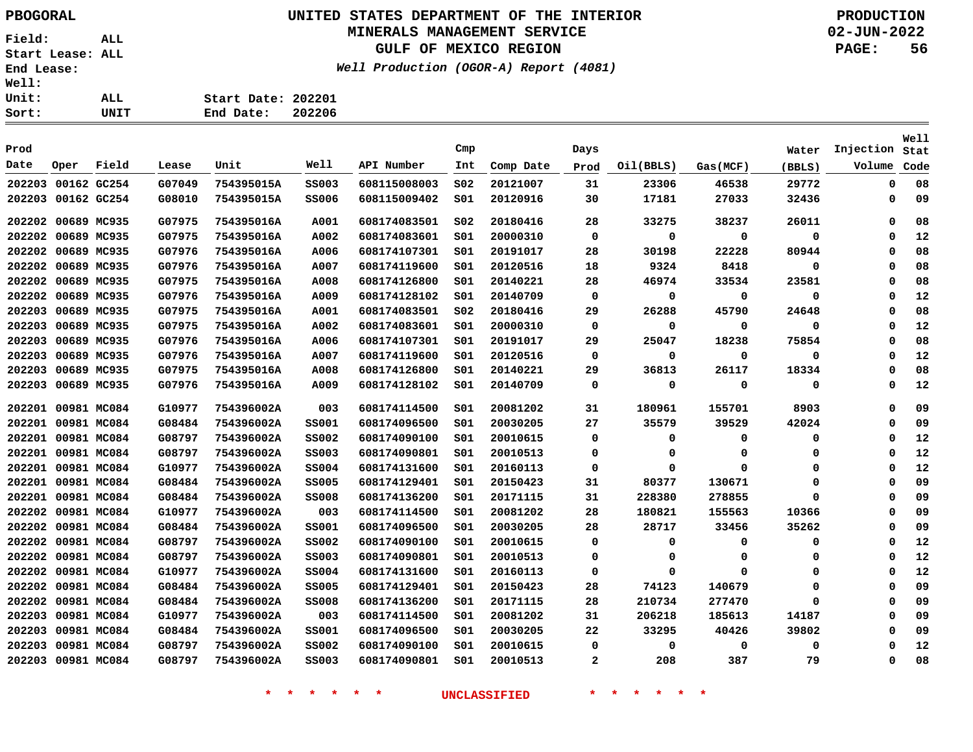## **UNITED STATES DEPARTMENT OF THE INTERIOR PBOGORAL PRODUCTION MINERALS MANAGEMENT SERVICE**

## **GULF OF MEXICO REGION**

**Well Production (OGOR-A) Report (4081)**

**02-JUN-2022 PAGE: 56**

| <b>Well:</b> |      |                    |        |
|--------------|------|--------------------|--------|
| <b>Unit:</b> | ALL. | Start Date: 202201 |        |
| Sort:        | UNIT | End Date:          | 202206 |

|        |                    |       |        |            |              |              |                 |           |      |           |          |          |           | <b>Well</b> |
|--------|--------------------|-------|--------|------------|--------------|--------------|-----------------|-----------|------|-----------|----------|----------|-----------|-------------|
| Prod   |                    |       |        |            |              |              | Cmp             |           | Days |           |          | Water    | Injection | Stat        |
| Date   | Oper               | Field | Lease  | Unit       | Well         | API Number   | Int             | Comp Date | Prod | Oil(BBLS) | Gas(MCF) | (BBLS)   | Volume    | Code        |
|        | 202203 00162 GC254 |       | G07049 | 754395015A | <b>SS003</b> | 608115008003 | SO <sub>2</sub> | 20121007  | 31   | 23306     | 46538    | 29772    | 0         | 08          |
|        | 202203 00162 GC254 |       | G08010 | 754395015A | <b>SS006</b> | 608115009402 | SO1             | 20120916  | 30   | 17181     | 27033    | 32436    | 0         | 09          |
|        | 202202 00689 MC935 |       | G07975 | 754395016A | A001         | 608174083501 | SO <sub>2</sub> | 20180416  | 28   | 33275     | 38237    | 26011    | 0         | 08          |
|        | 202202 00689 MC935 |       | G07975 | 754395016A | A002         | 608174083601 | SO1             | 20000310  | 0    | 0         | 0        | 0        | 0         | 12          |
|        | 202202 00689 MC935 |       | G07976 | 754395016A | A006         | 608174107301 | SO1             | 20191017  | 28   | 30198     | 22228    | 80944    | 0         | 08          |
|        | 202202 00689 MC935 |       | G07976 | 754395016A | A007         | 608174119600 | SO1             | 20120516  | 18   | 9324      | 8418     | 0        | 0         | 08          |
|        | 202202 00689 MC935 |       | G07975 | 754395016A | A008         | 608174126800 | SO1             | 20140221  | 28   | 46974     | 33534    | 23581    | 0         | 08          |
| 202202 | 00689 MC935        |       | G07976 | 754395016A | A009         | 608174128102 | SO1             | 20140709  | 0    | 0         | 0        | 0        | 0         | 12          |
| 202203 | 00689 MC935        |       | G07975 | 754395016A | A001         | 608174083501 | SO <sub>2</sub> | 20180416  | 29   | 26288     | 45790    | 24648    | 0         | 08          |
| 202203 | 00689 MC935        |       | G07975 | 754395016A | A002         | 608174083601 | SO1             | 20000310  | 0    | 0         | 0        | 0        | 0         | 12          |
| 202203 | 00689 MC935        |       | G07976 | 754395016A | A006         | 608174107301 | SO1             | 20191017  | 29   | 25047     | 18238    | 75854    | 0         | 08          |
| 202203 | 00689 MC935        |       | G07976 | 754395016A | A007         | 608174119600 | SO1             | 20120516  | 0    | 0         | 0        | 0        | 0         | 12          |
| 202203 | 00689 MC935        |       | G07975 | 754395016A | A008         | 608174126800 | SO1             | 20140221  | 29   | 36813     | 26117    | 18334    | 0         | 08          |
|        | 202203 00689 MC935 |       | G07976 | 754395016A | A009         | 608174128102 | SO1             | 20140709  | 0    | 0         | 0        | 0        | 0         | 12          |
| 202201 | 00981 MC084        |       | G10977 | 754396002A | 003          | 608174114500 | SO1             | 20081202  | 31   | 180961    | 155701   | 8903     | 0         | 09          |
| 202201 | 00981 MC084        |       | G08484 | 754396002A | <b>SS001</b> | 608174096500 | SO1             | 20030205  | 27   | 35579     | 39529    | 42024    | 0         | 09          |
| 202201 | 00981 MC084        |       | G08797 | 754396002A | <b>SS002</b> | 608174090100 | SO1             | 20010615  | 0    | 0         | 0        | 0        | 0         | 12          |
|        | 202201 00981 MC084 |       | G08797 | 754396002A | <b>SS003</b> | 608174090801 | SO1             | 20010513  | 0    | 0         | 0        | $\Omega$ | 0         | 12          |
|        | 202201 00981 MC084 |       | G10977 | 754396002A | <b>SS004</b> | 608174131600 | SO1             | 20160113  | 0    | 0         | 0        | $\Omega$ | 0         | 12          |
| 202201 | 00981 MC084        |       | G08484 | 754396002A | <b>SS005</b> | 608174129401 | SO1             | 20150423  | 31   | 80377     | 130671   | $\Omega$ | 0         | 09          |
| 202201 | 00981 MC084        |       | G08484 | 754396002A | <b>SS008</b> | 608174136200 | SO1             | 20171115  | 31   | 228380    | 278855   | $\Omega$ | 0         | 09          |
| 202202 | 00981 MC084        |       | G10977 | 754396002A | 003          | 608174114500 | SO1             | 20081202  | 28   | 180821    | 155563   | 10366    | 0         | 09          |
|        | 202202 00981 MC084 |       | G08484 | 754396002A | <b>SS001</b> | 608174096500 | SO1             | 20030205  | 28   | 28717     | 33456    | 35262    | 0         | 09          |
|        | 202202 00981 MC084 |       | G08797 | 754396002A | <b>SS002</b> | 608174090100 | SO1             | 20010615  | 0    | 0         | 0        | 0        | 0         | 12          |
|        | 202202 00981 MC084 |       | G08797 | 754396002A | <b>SS003</b> | 608174090801 | SO1             | 20010513  | 0    | 0         | 0        | 0        | 0         | 12          |
|        | 202202 00981 MC084 |       | G10977 | 754396002A | <b>SS004</b> | 608174131600 | SO1             | 20160113  | 0    | 0         | $\Omega$ | $\Omega$ | 0         | 12          |
|        | 202202 00981 MC084 |       | G08484 | 754396002A | <b>SS005</b> | 608174129401 | SO1             | 20150423  | 28   | 74123     | 140679   | $\Omega$ | 0         | 09          |
|        | 202202 00981 MC084 |       | G08484 | 754396002A | <b>SS008</b> | 608174136200 | SO1             | 20171115  | 28   | 210734    | 277470   | $\Omega$ | 0         | 09          |
| 202203 | 00981 MC084        |       | G10977 | 754396002A | 003          | 608174114500 | SO1             | 20081202  | 31   | 206218    | 185613   | 14187    | 0         | 09          |
|        | 202203 00981 MC084 |       | G08484 | 754396002A | <b>SS001</b> | 608174096500 | SO1             | 20030205  | 22   | 33295     | 40426    | 39802    | 0         | 09          |
| 202203 | 00981 MC084        |       | G08797 | 754396002A | <b>SS002</b> | 608174090100 | SO1             | 20010615  | 0    | 0         | 0        | 0        | 0         | 12          |
|        | 202203 00981 MC084 |       | G08797 | 754396002A | SS003        | 608174090801 | SO1             | 20010513  | 2    | 208       | 387      | 79       | 0         | 08          |
|        |                    |       |        |            |              |              |                 |           |      |           |          |          |           |             |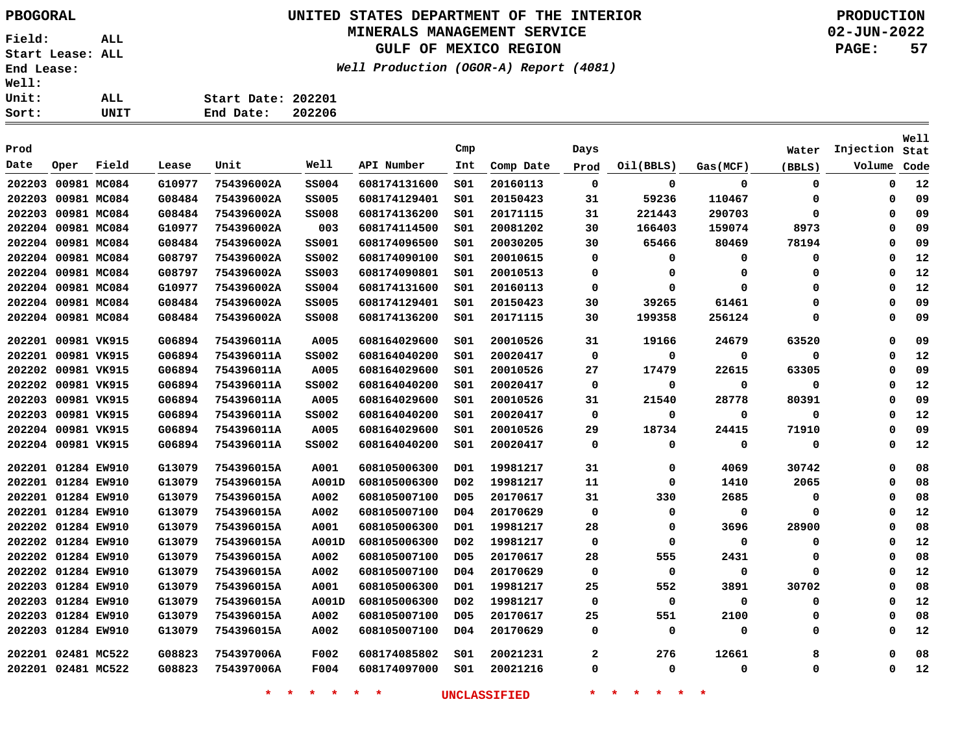# **UNITED STATES DEPARTMENT OF THE INTERIOR PBOGORAL PRODUCTION**

## **MINERALS MANAGEMENT SERVICE**

**GULF OF MEXICO REGION**

**Well Production (OGOR-A) Report (4081)**

**02-JUN-2022 PAGE: 57**

**Start Date: 202201 End Date: 202206**

| Prod               |             |             |        |            |              |              | Cmp              |           | Days         |             |             | Water    | Injection | <b>Well</b><br>Stat |
|--------------------|-------------|-------------|--------|------------|--------------|--------------|------------------|-----------|--------------|-------------|-------------|----------|-----------|---------------------|
| Date               | Oper        | Field       | Lease  | Unit       | Well         | API Number   | Int              | Comp Date | Prod         | Oil(BBLS)   | Gas(MCF)    | (BBLS)   | Volume    | Code                |
| 202203             |             | 00981 MC084 | G10977 | 754396002A | <b>SS004</b> | 608174131600 | SO1              | 20160113  | 0            | 0           | $\mathbf 0$ | 0        | 0         | 12                  |
| 202203             |             | 00981 MC084 | G08484 | 754396002A | <b>SS005</b> | 608174129401 | SO1              | 20150423  | 31           | 59236       | 110467      | 0        | 0         | 09                  |
| 202203             | 00981 MC084 |             | G08484 | 754396002A | <b>SS008</b> | 608174136200 | S01              | 20171115  | 31           | 221443      | 290703      | 0        | 0         | 09                  |
| 202204 00981 MC084 |             |             | G10977 | 754396002A | 003          | 608174114500 | SO1              | 20081202  | 30           | 166403      | 159074      | 8973     | 0         | 09                  |
| 202204 00981 MC084 |             |             | G08484 | 754396002A | <b>SS001</b> | 608174096500 | SO1              | 20030205  | 30           | 65466       | 80469       | 78194    | 0         | 09                  |
| 202204 00981 MC084 |             |             | G08797 | 754396002A | <b>SS002</b> | 608174090100 | SO1              | 20010615  | 0            | 0           | 0           | 0        | 0         | 12                  |
| 202204 00981 MC084 |             |             | G08797 | 754396002A | <b>SS003</b> | 608174090801 | SO1              | 20010513  | 0            | 0           | $\Omega$    | 0        | 0         | 12                  |
| 202204 00981 MC084 |             |             | G10977 | 754396002A | <b>SS004</b> | 608174131600 | SO1              | 20160113  | 0            | 0           | $\Omega$    | 0        | 0         | 12                  |
| 202204 00981 MC084 |             |             | G08484 | 754396002A | <b>SS005</b> | 608174129401 | SO1              | 20150423  | 30           | 39265       | 61461       | 0        | 0         | 09                  |
| 202204 00981 MC084 |             |             | G08484 | 754396002A | <b>SS008</b> | 608174136200 | SO1              | 20171115  | 30           | 199358      | 256124      | 0        | $\Omega$  | 09                  |
| 202201 00981 VK915 |             |             | G06894 | 754396011A | A005         | 608164029600 | SO1              | 20010526  | 31           | 19166       | 24679       | 63520    | 0         | 09                  |
| 202201             |             | 00981 VK915 | G06894 | 754396011A | <b>SS002</b> | 608164040200 | SO1              | 20020417  | $\mathbf 0$  | 0           | 0           | 0        | $\Omega$  | 12                  |
| 202202             | 00981 VK915 |             | G06894 | 754396011A | A005         | 608164029600 | SO1              | 20010526  | 27           | 17479       | 22615       | 63305    | $\Omega$  | 09                  |
| 202202             | 00981 VK915 |             | G06894 | 754396011A | <b>SS002</b> | 608164040200 | S01              | 20020417  | 0            | 0           | 0           | 0        | $\Omega$  | 12                  |
| 202203             | 00981 VK915 |             | G06894 | 754396011A | A005         | 608164029600 | S01              | 20010526  | 31           | 21540       | 28778       | 80391    | $\Omega$  | 09                  |
| 202203             | 00981 VK915 |             | G06894 | 754396011A | <b>SS002</b> | 608164040200 | SO1              | 20020417  | $\mathbf 0$  | $\mathbf 0$ | $\Omega$    | 0        | $\Omega$  | 12                  |
| 202204 00981 VK915 |             |             | G06894 | 754396011A | A005         | 608164029600 | 501              | 20010526  | 29           | 18734       | 24415       | 71910    | $\Omega$  | 09                  |
| 202204 00981 VK915 |             |             | G06894 | 754396011A | <b>SS002</b> | 608164040200 | 501              | 20020417  | 0            | 0           | 0           | 0        | $\Omega$  | 12                  |
| 202201 01284 EW910 |             |             | G13079 | 754396015A | A001         | 608105006300 | D01              | 19981217  | 31           | 0           | 4069        | 30742    | $\Omega$  | 08                  |
| 202201 01284 EW910 |             |             | G13079 | 754396015A | A001D        | 608105006300 | D02              | 19981217  | 11           | 0           | 1410        | 2065     | 0         | 08                  |
| 202201 01284 EW910 |             |             | G13079 | 754396015A | A002         | 608105007100 | D <sub>05</sub>  | 20170617  | 31           | 330         | 2685        | 0        | 0         | 08                  |
| 202201 01284 EW910 |             |             | G13079 | 754396015A | A002         | 608105007100 | D04              | 20170629  | $\mathbf 0$  | 0           | 0           | $\Omega$ | $\Omega$  | 12                  |
| 202202 01284 EW910 |             |             | G13079 | 754396015A | A001         | 608105006300 | D01              | 19981217  | 28           | 0           | 3696        | 28900    | 0         | 08                  |
| 202202 01284 EW910 |             |             | G13079 | 754396015A | A001D        | 608105006300 | D02              | 19981217  | $\mathbf 0$  | 0           | $\Omega$    | 0        | 0         | 12                  |
| 202202 01284 EW910 |             |             | G13079 | 754396015A | A002         | 608105007100 | <b>D05</b>       | 20170617  | 28           | 555         | 2431        | 0        | 0         | 08                  |
| 202202 01284 EW910 |             |             | G13079 | 754396015A | A002         | 608105007100 | D04              | 20170629  | 0            | 0           | 0           | 0        | 0         | 12                  |
| 202203             | 01284 EW910 |             | G13079 | 754396015A | A001         | 608105006300 | D01              | 19981217  | 25           | 552         | 3891        | 30702    | $\Omega$  | 08                  |
| 202203             | 01284 EW910 |             | G13079 | 754396015A | A001D        | 608105006300 | D <sub>0</sub> 2 | 19981217  | $\mathbf 0$  | $\mathbf 0$ | $\mathbf 0$ | 0        | 0         | 12                  |
| 202203             | 01284 EW910 |             | G13079 | 754396015A | A002         | 608105007100 | D <sub>05</sub>  | 20170617  | 25           | 551         | 2100        | 0        | 0         | 08                  |
| 202203             | 01284 EW910 |             | G13079 | 754396015A | A002         | 608105007100 | D04              | 20170629  | 0            | 0           | 0           | 0        | 0         | 12                  |
| 202201 02481 MC522 |             |             | G08823 | 754397006A | F002         | 608174085802 | 501              | 20021231  | $\mathbf{2}$ | 276         | 12661       | 8        | $\Omega$  | 08                  |
| 202201 02481 MC522 |             |             | G08823 | 754397006A | F004         | 608174097000 | SO1              | 20021216  | 0            | 0           | 0           | 0        | 0         | 12                  |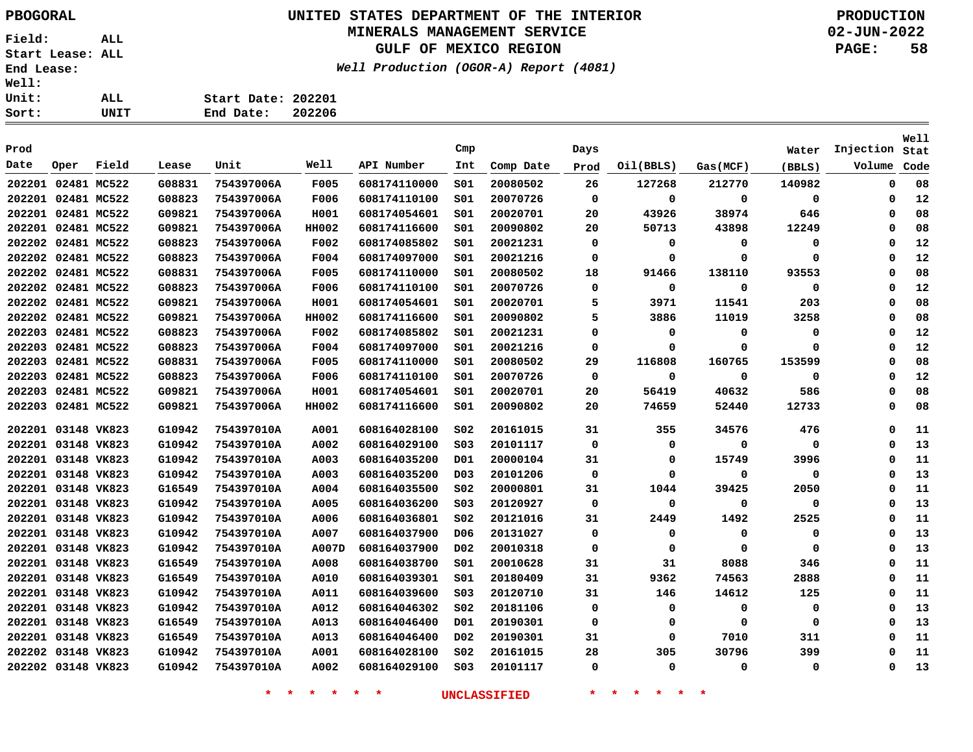**Field: ALL Start Lease: ALL End Lease: Well: Uni**  $\frac{\text{Sor}}{ }$ 

## **UNITED STATES DEPARTMENT OF THE INTERIOR PBOGORAL PRODUCTION MINERALS MANAGEMENT SERVICE**

**GULF OF MEXICO REGION**

**Well Production (OGOR-A) Report (4081)**

**02-JUN-2022 PAGE: 58**

| :t: | UNIT | 202206<br>End Date: |  |
|-----|------|---------------------|--|
| Lt: | ALL  | Start Date: 202201  |  |
| Ll: |      |                     |  |

| Prod               |             |             |        |            |             |              | Cmp              |           | Days        |             |             | Water  | Injection | Well<br>Stat |
|--------------------|-------------|-------------|--------|------------|-------------|--------------|------------------|-----------|-------------|-------------|-------------|--------|-----------|--------------|
| Date               | Oper        | Field       | Lease  | Unit       | Well        | API Number   | Int              | Comp Date | Prod        | Oil(BBLS)   | Gas(MCF)    | (BBLS) | Volume    | Code         |
| 202201             | 02481 MC522 |             | G08831 | 754397006A | <b>F005</b> | 608174110000 | SO1              | 20080502  | 26          | 127268      | 212770      | 140982 | 0         | 08           |
| 202201 02481 MC522 |             |             | G08823 | 754397006A | F006        | 608174110100 | SO1              | 20070726  | $\mathbf 0$ | $\mathbf 0$ | 0           | 0      | 0         | 12           |
| 202201 02481 MC522 |             |             | G09821 | 754397006A | H001        | 608174054601 | s01              | 20020701  | 20          | 43926       | 38974       | 646    | $\Omega$  | 08           |
| 202201 02481 MC522 |             |             | G09821 | 754397006A | HH002       | 608174116600 | S01              | 20090802  | 20          | 50713       | 43898       | 12249  | 0         | 08           |
| 202202 02481 MC522 |             |             | G08823 | 754397006A | F002        | 608174085802 | S01              | 20021231  | 0           | 0           | 0           | 0      | 0         | 12           |
| 202202 02481 MC522 |             |             | G08823 | 754397006A | F004        | 608174097000 | s01              | 20021216  | 0           | $\mathbf 0$ | $\mathbf 0$ | 0      | $\Omega$  | 12           |
| 202202 02481 MC522 |             |             | G08831 | 754397006A | F005        | 608174110000 | SO1              | 20080502  | 18          | 91466       | 138110      | 93553  | 0         | 08           |
| 202202 02481 MC522 |             |             | G08823 | 754397006A | F006        | 608174110100 | SO1              | 20070726  | 0           | 0           | 0           | 0      | 0         | 12           |
| 202202 02481 MC522 |             |             | G09821 | 754397006A | H001        | 608174054601 | S01              | 20020701  | 5           | 3971        | 11541       | 203    | 0         | 08           |
| 202202 02481 MC522 |             |             | G09821 | 754397006A | HH002       | 608174116600 | SO1              | 20090802  | 5           | 3886        | 11019       | 3258   | 0         | 08           |
| 202203             |             | 02481 MC522 | G08823 | 754397006A | F002        | 608174085802 | SO1              | 20021231  | 0           | 0           | 0           | 0      | $\Omega$  | 12           |
| 202203             | 02481 MC522 |             | G08823 | 754397006A | F004        | 608174097000 | 501              | 20021216  | 0           | 0           | $\mathbf 0$ | 0      | $\Omega$  | 12           |
| 202203             | 02481 MC522 |             | G08831 | 754397006A | F005        | 608174110000 | S01              | 20080502  | 29          | 116808      | 160765      | 153599 | $\Omega$  | 08           |
| 202203             |             | 02481 MC522 | G08823 | 754397006A | <b>F006</b> | 608174110100 | SO1              | 20070726  | 0           | 0           | 0           | 0      | $\Omega$  | 12           |
| 202203             | 02481 MC522 |             | G09821 | 754397006A | H001        | 608174054601 | SO1              | 20020701  | 20          | 56419       | 40632       | 586    | 0         | 08           |
| 202203             | 02481 MC522 |             | G09821 | 754397006A | HH002       | 608174116600 | SO1              | 20090802  | 20          | 74659       | 52440       | 12733  | 0         | 08           |
| 202201 03148 VK823 |             |             | G10942 | 754397010A | A001        | 608164028100 | S02              | 20161015  | 31          | 355         | 34576       | 476    | $\Omega$  | 11           |
| 202201 03148 VK823 |             |             | G10942 | 754397010A | A002        | 608164029100 | SO <sub>3</sub>  | 20101117  | $\mathbf 0$ | $\mathbf 0$ | $\mathbf 0$ | 0      | $\Omega$  | 13           |
| 202201 03148 VK823 |             |             | G10942 | 754397010A | A003        | 608164035200 | D01              | 20000104  | 31          | 0           | 15749       | 3996   | 0         | 11           |
| 202201 03148 VK823 |             |             | G10942 | 754397010A | A003        | 608164035200 | D03              | 20101206  | 0           | 0           | 0           | 0      | $\Omega$  | 13           |
| 202201 03148 VK823 |             |             | G16549 | 754397010A | A004        | 608164035500 | S02              | 20000801  | 31          | 1044        | 39425       | 2050   | 0         | 11           |
| 202201 03148 VK823 |             |             | G10942 | 754397010A | A005        | 608164036200 | SO <sub>3</sub>  | 20120927  | $\mathbf 0$ | $\mathbf 0$ | $\mathbf 0$ | 0      | $\Omega$  | 13           |
| 202201 03148 VK823 |             |             | G10942 | 754397010A | A006        | 608164036801 | SO <sub>2</sub>  | 20121016  | 31          | 2449        | 1492        | 2525   | $\Omega$  | 11           |
| 202201 03148 VK823 |             |             | G10942 | 754397010A | A007        | 608164037900 | D06              | 20131027  | 0           | 0           | $\mathbf 0$ | 0      | $\Omega$  | 13           |
| 202201 03148 VK823 |             |             | G10942 | 754397010A | A007D       | 608164037900 | D02              | 20010318  | 0           | 0           | 0           | 0      | 0         | 13           |
| 202201 03148 VK823 |             |             | G16549 | 754397010A | A008        | 608164038700 | 501              | 20010628  | 31          | 31          | 8088        | 346    | 0         | 11           |
| 202201 03148 VK823 |             |             | G16549 | 754397010A | A010        | 608164039301 | SO1              | 20180409  | 31          | 9362        | 74563       | 2888   | 0         | 11           |
| 202201 03148 VK823 |             |             | G10942 | 754397010A | A011        | 608164039600 | SO <sub>3</sub>  | 20120710  | 31          | 146         | 14612       | 125    | 0         | 11           |
| 202201 03148 VK823 |             |             | G10942 | 754397010A | A012        | 608164046302 | S02              | 20181106  | 0           | 0           | 0           | 0      | 0         | 13           |
| 202201 03148 VK823 |             |             | G16549 | 754397010A | A013        | 608164046400 | D01              | 20190301  | $\mathbf 0$ | 0           | 0           | 0      | $\Omega$  | 13           |
| 202201 03148 VK823 |             |             | G16549 | 754397010A | <b>A013</b> | 608164046400 | D <sub>0</sub> 2 | 20190301  | 31          | 0           | 7010        | 311    | $\Omega$  | 11           |
| 202202             | 03148 VK823 |             | G10942 | 754397010A | <b>A001</b> | 608164028100 | SO <sub>2</sub>  | 20161015  | 28          | 305         | 30796       | 399    | $\Omega$  | 11           |
| 202202 03148 VK823 |             |             | G10942 | 754397010A | A002        | 608164029100 | S03              | 20101117  | 0           | 0           | 0           | 0      | $\Omega$  | 13           |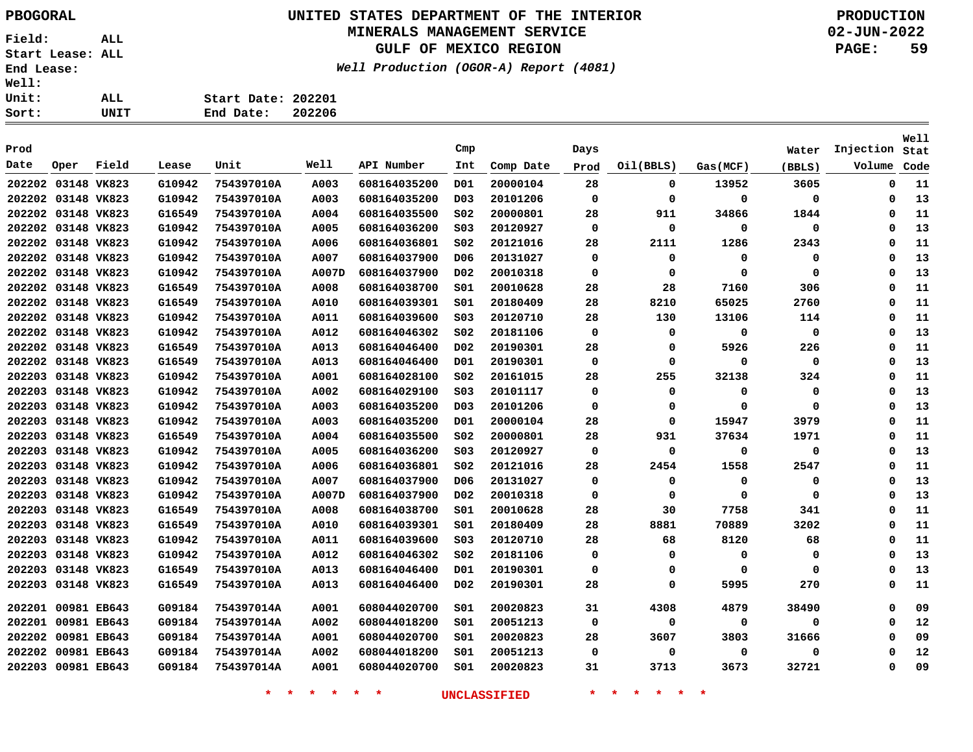**Field: ALL Start Lease: ALL End Lease: Well: Uni**  $\frac{\text{Sor}}{ }$ 

## **UNITED STATES DEPARTMENT OF THE INTERIOR PBOGORAL PRODUCTION MINERALS MANAGEMENT SERVICE**

**GULF OF MEXICO REGION**

**Well Production (OGOR-A) Report (4081)**

**02-JUN-2022 PAGE: 59**

| rt: | UNIT | End Date:          | 202206 |
|-----|------|--------------------|--------|
| it: | ALL  | Start Date: 202201 |        |
| 11: |      |                    |        |

| Prod               |             |       |        |            |       |              | Cmp              |           | Days     |             |             | Water  | Injection | Well<br>Stat |
|--------------------|-------------|-------|--------|------------|-------|--------------|------------------|-----------|----------|-------------|-------------|--------|-----------|--------------|
| Date               | Oper        | Field | Lease  | Unit       | Well  | API Number   | Int              | Comp Date | Prod     | Oil(BBLS)   | Gas (MCF)   | (BBLS) | Volume    | Code         |
| 202202             | 03148 VK823 |       | G10942 | 754397010A | A003  | 608164035200 | D01              | 20000104  | 28       | 0           | 13952       | 3605   | 0         | 11           |
| 202202 03148 VK823 |             |       | G10942 | 754397010A | A003  | 608164035200 | D <sub>0</sub> 3 | 20101206  | $\Omega$ | 0           | $\mathbf 0$ | 0      | 0         | 13           |
| 202202 03148 VK823 |             |       | G16549 | 754397010A | A004  | 608164035500 | SO <sub>2</sub>  | 20000801  | 28       | 911         | 34866       | 1844   | $\Omega$  | 11           |
| 202202 03148 VK823 |             |       | G10942 | 754397010A | A005  | 608164036200 | SO <sub>3</sub>  | 20120927  | $\Omega$ | $\mathbf 0$ | $\mathbf 0$ | 0      | $\Omega$  | 13           |
| 202202 03148 VK823 |             |       | G10942 | 754397010A | A006  | 608164036801 | SO <sub>2</sub>  | 20121016  | 28       | 2111        | 1286        | 2343   | $\Omega$  | 11           |
| 202202 03148 VK823 |             |       | G10942 | 754397010A | A007  | 608164037900 | D <sub>06</sub>  | 20131027  | 0        | $\mathbf 0$ | $\Omega$    | 0      | $\Omega$  | 13           |
| 202202 03148 VK823 |             |       | G10942 | 754397010A | A007D | 608164037900 | D <sub>0</sub> 2 | 20010318  | $\Omega$ | $\mathbf 0$ | $\mathbf 0$ | 0      | $\Omega$  | 13           |
| 202202 03148 VK823 |             |       | G16549 | 754397010A | A008  | 608164038700 | SO1              | 20010628  | 28       | 28          | 7160        | 306    | $\Omega$  | 11           |
| 202202 03148 VK823 |             |       | G16549 | 754397010A | A010  | 608164039301 | SO1              | 20180409  | 28       | 8210        | 65025       | 2760   | $\Omega$  | 11           |
| 202202 03148 VK823 |             |       | G10942 | 754397010A | A011  | 608164039600 | SO <sub>3</sub>  | 20120710  | 28       | 130         | 13106       | 114    | $\Omega$  | 11           |
| 202202 03148 VK823 |             |       | G10942 | 754397010A | A012  | 608164046302 | SO <sub>2</sub>  | 20181106  | $\Omega$ | 0           | $\Omega$    | 0      | $\Omega$  | 13           |
| 202202 03148 VK823 |             |       | G16549 | 754397010A | A013  | 608164046400 | D <sub>0</sub> 2 | 20190301  | 28       | 0           | 5926        | 226    | $\Omega$  | 11           |
| 202202 03148 VK823 |             |       | G16549 | 754397010A | A013  | 608164046400 | D01              | 20190301  | 0        | 0           | $\Omega$    | 0      | $\Omega$  | 13           |
| 202203 03148 VK823 |             |       | G10942 | 754397010A | A001  | 608164028100 | S02              | 20161015  | 28       | 255         | 32138       | 324    | $\Omega$  | 11           |
| 202203             | 03148 VK823 |       | G10942 | 754397010A | A002  | 608164029100 | SO <sub>3</sub>  | 20101117  | 0        | 0           | 0           | 0      | $\Omega$  | 13           |
| 202203             | 03148 VK823 |       | G10942 | 754397010A | A003  | 608164035200 | D <sub>0</sub> 3 | 20101206  | 0        | 0           | $\Omega$    | 0      | $\Omega$  | 13           |
| 202203             | 03148 VK823 |       | G10942 | 754397010A | A003  | 608164035200 | D01              | 20000104  | 28       | 0           | 15947       | 3979   | $\Omega$  | 11           |
| 202203             | 03148 VK823 |       | G16549 | 754397010A | A004  | 608164035500 | S02              | 20000801  | 28       | 931         | 37634       | 1971   | $\Omega$  | 11           |
| 202203             | 03148 VK823 |       | G10942 | 754397010A | A005  | 608164036200 | SO <sub>3</sub>  | 20120927  | 0        | 0           | 0           | 0      | $\Omega$  | 13           |
| 202203             | 03148 VK823 |       | G10942 | 754397010A | A006  | 608164036801 | SO <sub>2</sub>  | 20121016  | 28       | 2454        | 1558        | 2547   | $\Omega$  | 11           |
| 202203             | 03148 VK823 |       | G10942 | 754397010A | A007  | 608164037900 | D06              | 20131027  | 0        | 0           | 0           | 0      | $\Omega$  | 13           |
| 202203             | 03148 VK823 |       | G10942 | 754397010A | A007D | 608164037900 | D02              | 20010318  | 0        | 0           | $\Omega$    | 0      | $\Omega$  | 13           |
| 202203             | 03148 VK823 |       | G16549 | 754397010A | A008  | 608164038700 | S01              | 20010628  | 28       | 30          | 7758        | 341    | $\Omega$  | 11           |
| 202203             | 03148 VK823 |       | G16549 | 754397010A | A010  | 608164039301 | S01              | 20180409  | 28       | 8881        | 70889       | 3202   | $\Omega$  | 11           |
| 202203             | 03148 VK823 |       | G10942 | 754397010A | A011  | 608164039600 | SO <sub>3</sub>  | 20120710  | 28       | 68          | 8120        | 68     | $\Omega$  | 11           |
| 202203             | 03148 VK823 |       | G10942 | 754397010A | A012  | 608164046302 | S02              | 20181106  | 0        | 0           | 0           | 0      | $\Omega$  | 13           |
| 202203 03148 VK823 |             |       | G16549 | 754397010A | A013  | 608164046400 | D01              | 20190301  | 0        | 0           | $\Omega$    | 0      | $\Omega$  | 13           |
| 202203             | 03148 VK823 |       | G16549 | 754397010A | A013  | 608164046400 | D02              | 20190301  | 28       | 0           | 5995        | 270    | $\Omega$  | 11           |
| 202201 00981 EB643 |             |       | G09184 | 754397014A | A001  | 608044020700 | SO1              | 20020823  | 31       | 4308        | 4879        | 38490  | $\Omega$  | 09           |
| 202201 00981 EB643 |             |       | G09184 | 754397014A | A002  | 608044018200 | SO1              | 20051213  | 0        | 0           | 0           | 0      | $\Omega$  | 12           |
| 202202 00981 EB643 |             |       | G09184 | 754397014A | A001  | 608044020700 | S01              | 20020823  | 28       | 3607        | 3803        | 31666  | $\Omega$  | 09           |
| 202202 00981 EB643 |             |       | G09184 | 754397014A | A002  | 608044018200 | S01              | 20051213  | 0        | 0           | 0           | 0      | 0         | 12           |
| 202203 00981 EB643 |             |       | G09184 | 754397014A | A001  | 608044020700 | S01              | 20020823  | 31       | 3713        | 3673        | 32721  | 0         | 09           |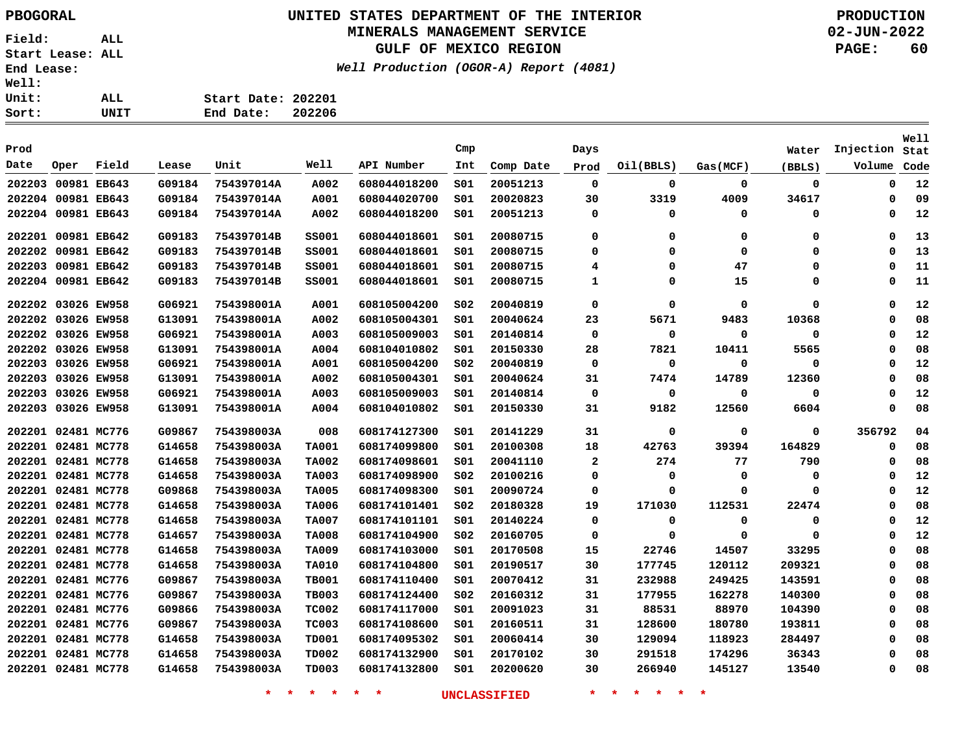Sort:

**Field: ALL Start Lease: ALL End Lease: Well: Unit:** 

## **UNITED STATES DEPARTMENT OF THE INTERIOR PBOGORAL PRODUCTION**

### **MINERALS MANAGEMENT SERVICE**

**GULF OF MEXICO REGION**

**Well Production (OGOR-A) Report (4081)**

**02-JUN-2022 PAGE: 60**

| ALL. | Start Date: 202201 |        |
|------|--------------------|--------|
| UNIT | End Date:          | 202206 |

| Prod   |                    |             |        |            |              |              | Cmp             |           | Days         |           |          | Water       | Injection | Well<br>Stat |
|--------|--------------------|-------------|--------|------------|--------------|--------------|-----------------|-----------|--------------|-----------|----------|-------------|-----------|--------------|
| Date   | Oper               | Field       | Lease  | Unit       | Well         | API Number   | Int             | Comp Date | Prod         | Oil(BBLS) | Gas(MCF) | (BBLS)      | Volume    | Code         |
| 202203 |                    | 00981 EB643 | G09184 | 754397014A | A002         | 608044018200 | S01             | 20051213  | 0            | 0         | 0        | 0           | 0         | 12           |
|        | 202204 00981 EB643 |             | G09184 | 754397014A | A001         | 608044020700 | S01             | 20020823  | 30           | 3319      | 4009     | 34617       | 0         | 09           |
|        | 202204 00981 EB643 |             | G09184 | 754397014A | A002         | 608044018200 | S01             | 20051213  | 0            | 0         | 0        | 0           | 0         | 12           |
| 202201 | 00981 EB642        |             | G09183 | 754397014B | <b>SS001</b> | 608044018601 | S01             | 20080715  | 0            | 0         | 0        | 0           | 0         | 13           |
|        | 202202 00981 EB642 |             | G09183 | 754397014B | ss001        | 608044018601 | 501             | 20080715  | 0            | 0         | 0        | 0           | $\Omega$  | 13           |
|        | 202203 00981 EB642 |             | G09183 | 754397014B | ss001        | 608044018601 | 501             | 20080715  | 4            | 0         | 47       | 0           | 0         | 11           |
|        | 202204 00981 EB642 |             | G09183 | 754397014B | ss001        | 608044018601 | 501             | 20080715  | 1            | 0         | 15       | 0           | 0         | 11           |
|        | 202202 03026 EW958 |             | G06921 | 754398001A | A001         | 608105004200 | SO <sub>2</sub> | 20040819  | 0            | 0         | 0        | 0           | 0         | 12           |
| 202202 |                    | 03026 EW958 | G13091 | 754398001A | A002         | 608105004301 | 501             | 20040624  | 23           | 5671      | 9483     | 10368       | Ω         | 08           |
|        | 202202 03026 EW958 |             | G06921 | 754398001A | A003         | 608105009003 | 501             | 20140814  | 0            | 0         | 0        | 0           | $\Omega$  | 12           |
|        | 202202 03026 EW958 |             | G13091 | 754398001A | A004         | 608104010802 | 501             | 20150330  | 28           | 7821      | 10411    | 5565        | $\Omega$  | 08           |
| 202203 | 03026 EW958        |             | G06921 | 754398001A | A001         | 608105004200 | SO <sub>2</sub> | 20040819  | 0            | 0         | 0        | 0           | $\Omega$  | 12           |
| 202203 |                    | 03026 EW958 | G13091 | 754398001A | A002         | 608105004301 | 501             | 20040624  | 31           | 7474      | 14789    | 12360       | 0         | 08           |
|        | 202203 03026 EW958 |             | G06921 | 754398001A | A003         | 608105009003 | 501             | 20140814  | 0            | 0         | 0        | 0           | 0         | 12           |
| 202203 |                    | 03026 EW958 | G13091 | 754398001A | A004         | 608104010802 | 501             | 20150330  | 31           | 9182      | 12560    | 6604        | 0         | 08           |
|        | 202201 02481 MC776 |             | G09867 | 754398003A | 008          | 608174127300 | SO1             | 20141229  | 31           | 0         | 0        | $\mathbf 0$ | 356792    | 04           |
|        | 202201 02481 MC778 |             | G14658 | 754398003A | <b>TA001</b> | 608174099800 | SO1             | 20100308  | 18           | 42763     | 39394    | 164829      | 0         | 08           |
|        | 202201 02481 MC778 |             | G14658 | 754398003A | <b>TA002</b> | 608174098601 | SO1             | 20041110  | $\mathbf{2}$ | 274       | 77       | 790         | 0         | 08           |
|        | 202201 02481 MC778 |             | G14658 | 754398003A | <b>TA003</b> | 608174098900 | SO <sub>2</sub> | 20100216  | 0            | 0         | 0        | 0           | 0         | 12           |
|        | 202201 02481 MC778 |             | G09868 | 754398003A | <b>TA005</b> | 608174098300 | SO1             | 20090724  | 0            | 0         | 0        | 0           | $\Omega$  | 12           |
|        | 202201 02481 MC778 |             | G14658 | 754398003A | <b>TA006</b> | 608174101401 | SO <sub>2</sub> | 20180328  | 19           | 171030    | 112531   | 22474       | $\Omega$  | 08           |
|        | 202201 02481 MC778 |             | G14658 | 754398003A | <b>TA007</b> | 608174101101 | SO1             | 20140224  | 0            | 0         | 0        | 0           | 0         | 12           |
|        | 202201 02481 MC778 |             | G14657 | 754398003A | <b>TA008</b> | 608174104900 | SO <sub>2</sub> | 20160705  | 0            | 0         | 0        | 0           | 0         | 12           |
|        | 202201 02481 MC778 |             | G14658 | 754398003A | <b>TA009</b> | 608174103000 | SO1             | 20170508  | 15           | 22746     | 14507    | 33295       | 0         | 08           |
|        | 202201 02481 MC778 |             | G14658 | 754398003A | <b>TA010</b> | 608174104800 | SO1             | 20190517  | 30           | 177745    | 120112   | 209321      | $\Omega$  | 08           |
|        | 202201 02481 MC776 |             | G09867 | 754398003A | <b>TB001</b> | 608174110400 | SO1             | 20070412  | 31           | 232988    | 249425   | 143591      | $\Omega$  | 08           |
|        | 202201 02481 MC776 |             | G09867 | 754398003A | <b>TB003</b> | 608174124400 | SO <sub>2</sub> | 20160312  | 31           | 177955    | 162278   | 140300      | 0         | 08           |
|        | 202201 02481 MC776 |             | G09866 | 754398003A | <b>TC002</b> | 608174117000 | SO1             | 20091023  | 31           | 88531     | 88970    | 104390      | 0         | 08           |
|        | 202201 02481 MC776 |             | G09867 | 754398003A | <b>TC003</b> | 608174108600 | SO1             | 20160511  | 31           | 128600    | 180780   | 193811      | 0         | 08           |
|        | 202201 02481 MC778 |             | G14658 | 754398003A | <b>TD001</b> | 608174095302 | SO1             | 20060414  | 30           | 129094    | 118923   | 284497      | 0         | 08           |
| 202201 | 02481 MC778        |             | G14658 | 754398003A | <b>TD002</b> | 608174132900 | 501             | 20170102  | 30           | 291518    | 174296   | 36343       | 0         | 08           |
|        | 202201 02481 MC778 |             | G14658 | 754398003A | <b>TD003</b> | 608174132800 | SO1             | 20200620  | 30           | 266940    | 145127   | 13540       | 0         | 08           |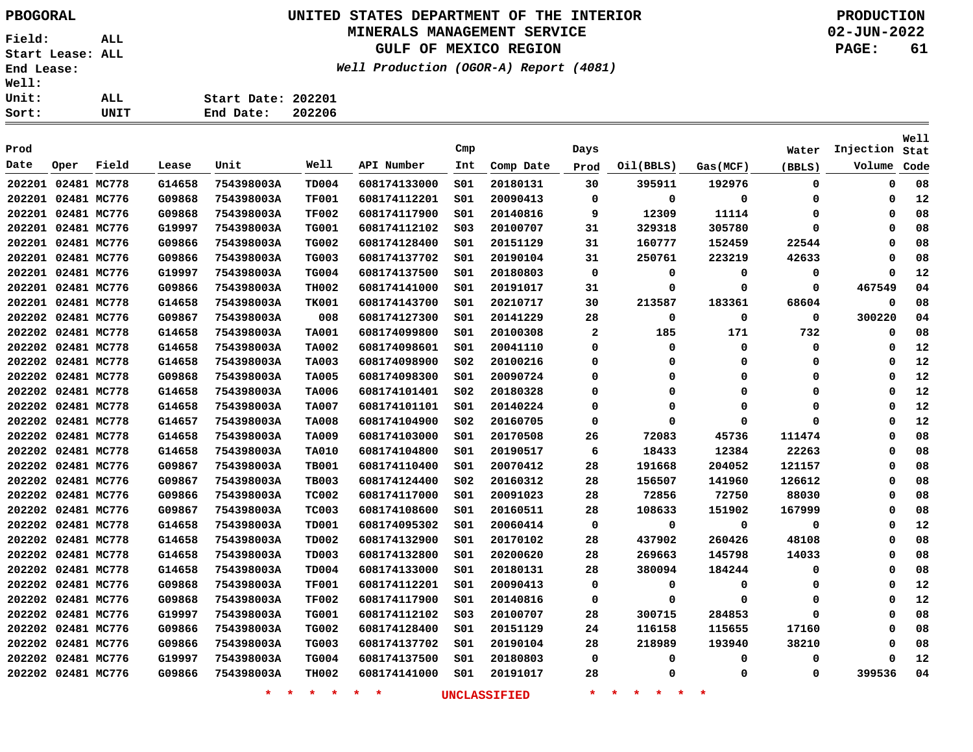# **UNITED STATES DEPARTMENT OF THE INTERIOR PBOGORAL PRODUCTION**

## **MINERALS MANAGEMENT SERVICE**

**GULF OF MEXICO REGION**

**Well Production (OGOR-A) Report (4081)**

**02-JUN-2022 PAGE: 61**

**Well**

| ALL  | Start Date: 202201 |  |
|------|--------------------|--|
| UNIT | End Date: 202206   |  |

| Prod   |                    |       |        |            |              |              | Cmp             |           | Days |           |          | Water    | Injection | Stat |
|--------|--------------------|-------|--------|------------|--------------|--------------|-----------------|-----------|------|-----------|----------|----------|-----------|------|
| Date   | Oper               | Field | Lease  | Unit       | Well         | API Number   | Int             | Comp Date | Prod | Oil(BBLS) | Gas(MCF) | (BBLS)   | Volume    | Code |
|        | 202201 02481 MC778 |       | G14658 | 754398003A | <b>TD004</b> | 608174133000 | SO1             | 20180131  | 30   | 395911    | 192976   | 0        | 0         | 08   |
|        | 202201 02481 MC776 |       | G09868 | 754398003A | <b>TF001</b> | 608174112201 | SO1             | 20090413  | 0    | 0         | 0        | $\Omega$ | 0         | 12   |
|        | 202201 02481 MC776 |       | G09868 | 754398003A | <b>TF002</b> | 608174117900 | SO1             | 20140816  | 9    | 12309     | 11114    | 0        | 0         | 08   |
|        | 202201 02481 MC776 |       | G19997 | 754398003A | <b>TG001</b> | 608174112102 | SO <sub>3</sub> | 20100707  | 31   | 329318    | 305780   | $\Omega$ | 0         | 08   |
|        | 202201 02481 MC776 |       | G09866 | 754398003A | <b>TG002</b> | 608174128400 | S01             | 20151129  | 31   | 160777    | 152459   | 22544    | 0         | 08   |
|        | 202201 02481 MC776 |       | G09866 | 754398003A | <b>TG003</b> | 608174137702 | SO1             | 20190104  | 31   | 250761    | 223219   | 42633    | 0         | 08   |
|        | 202201 02481 MC776 |       | G19997 | 754398003A | <b>TG004</b> | 608174137500 | SO1             | 20180803  | 0    | 0         | 0        | 0        | 0         | 12   |
|        | 202201 02481 MC776 |       | G09866 | 754398003A | <b>TH002</b> | 608174141000 | SO1             | 20191017  | 31   | 0         | 0        | 0        | 467549    | 04   |
|        | 202201 02481 MC778 |       | G14658 | 754398003A | <b>TK001</b> | 608174143700 | SO1             | 20210717  | 30   | 213587    | 183361   | 68604    | 0         | 08   |
|        | 202202 02481 MC776 |       | G09867 | 754398003A | 008          | 608174127300 | S01             | 20141229  | 28   | 0         | 0        | 0        | 300220    | 04   |
|        | 202202 02481 MC778 |       | G14658 | 754398003A | <b>TA001</b> | 608174099800 | SO1             | 20100308  | 2    | 185       | 171      | 732      | 0         | 08   |
|        | 202202 02481 MC778 |       | G14658 | 754398003A | <b>TA002</b> | 608174098601 | SO1             | 20041110  | 0    | 0         | 0        | 0        | 0         | 12   |
|        | 202202 02481 MC778 |       | G14658 | 754398003A | <b>TA003</b> | 608174098900 | SO <sub>2</sub> | 20100216  | 0    | 0         | 0        | 0        | 0         | 12   |
|        | 202202 02481 MC778 |       | G09868 | 754398003A | <b>TA005</b> | 608174098300 | SO1             | 20090724  | 0    | 0         | 0        | 0        | 0         | 12   |
| 202202 | 02481 MC778        |       | G14658 | 754398003A | <b>TA006</b> | 608174101401 | SO <sub>2</sub> | 20180328  | 0    | 0         | 0        | 0        | 0         | 12   |
|        | 202202 02481 MC778 |       | G14658 | 754398003A | <b>TA007</b> | 608174101101 | SO1             | 20140224  | 0    | 0         | 0        | $\Omega$ | 0         | 12   |
|        | 202202 02481 MC778 |       | G14657 | 754398003A | <b>TA008</b> | 608174104900 | SO <sub>2</sub> | 20160705  | 0    | 0         | 0        | $\Omega$ | 0         | 12   |
|        | 202202 02481 MC778 |       | G14658 | 754398003A | <b>TA009</b> | 608174103000 | SO1             | 20170508  | 26   | 72083     | 45736    | 111474   | 0         | 08   |
|        | 202202 02481 MC778 |       | G14658 | 754398003A | <b>TA010</b> | 608174104800 | SO1             | 20190517  | 6    | 18433     | 12384    | 22263    | 0         | 08   |
|        | 202202 02481 MC776 |       | G09867 | 754398003A | <b>TB001</b> | 608174110400 | SO1             | 20070412  | 28   | 191668    | 204052   | 121157   | 0         | 08   |
|        | 202202 02481 MC776 |       | G09867 | 754398003A | <b>TB003</b> | 608174124400 | SO <sub>2</sub> | 20160312  | 28   | 156507    | 141960   | 126612   | 0         | 08   |
|        | 202202 02481 MC776 |       | G09866 | 754398003A | <b>TC002</b> | 608174117000 | SO1             | 20091023  | 28   | 72856     | 72750    | 88030    | $\Omega$  | 08   |
|        | 202202 02481 MC776 |       | G09867 | 754398003A | <b>TC003</b> | 608174108600 | SO1             | 20160511  | 28   | 108633    | 151902   | 167999   | 0         | 08   |
|        | 202202 02481 MC778 |       | G14658 | 754398003A | <b>TD001</b> | 608174095302 | SO1             | 20060414  | 0    | 0         | 0        | 0        | 0         | 12   |
|        | 202202 02481 MC778 |       | G14658 | 754398003A | <b>TD002</b> | 608174132900 | SO1             | 20170102  | 28   | 437902    | 260426   | 48108    | 0         | 08   |
|        | 202202 02481 MC778 |       | G14658 | 754398003A | <b>TD003</b> | 608174132800 | SO1             | 20200620  | 28   | 269663    | 145798   | 14033    | 0         | 08   |
|        | 202202 02481 MC778 |       | G14658 | 754398003A | <b>TD004</b> | 608174133000 | SO1             | 20180131  | 28   | 380094    | 184244   | 0        | 0         | 08   |
|        | 202202 02481 MC776 |       | G09868 | 754398003A | <b>TF001</b> | 608174112201 | S01             | 20090413  | 0    | 0         | 0        | $\Omega$ | 0         | 12   |
|        | 202202 02481 MC776 |       | G09868 | 754398003A | <b>TF002</b> | 608174117900 | SO1             | 20140816  | 0    | 0         | 0        | 0        | 0         | 12   |
|        | 202202 02481 MC776 |       | G19997 | 754398003A | <b>TG001</b> | 608174112102 | S03             | 20100707  | 28   | 300715    | 284853   | 0        | 0         | 08   |
|        | 202202 02481 MC776 |       | G09866 | 754398003A | <b>TG002</b> | 608174128400 | SO1             | 20151129  | 24   | 116158    | 115655   | 17160    | 0         | 08   |
|        | 202202 02481 MC776 |       | G09866 | 754398003A | <b>TG003</b> | 608174137702 | SO1             | 20190104  | 28   | 218989    | 193940   | 38210    | 0         | 08   |
|        | 202202 02481 MC776 |       | G19997 | 754398003A | <b>TG004</b> | 608174137500 | SO1             | 20180803  | 0    | 0         | 0        | 0        | 0         | 12   |
|        | 202202 02481 MC776 |       | G09866 | 754398003A | <b>TH002</b> | 608174141000 | SO1             | 20191017  | 28   | 0         | 0        | 0        | 399536    | 04   |
|        |                    |       |        |            |              |              |                 |           |      |           |          |          |           |      |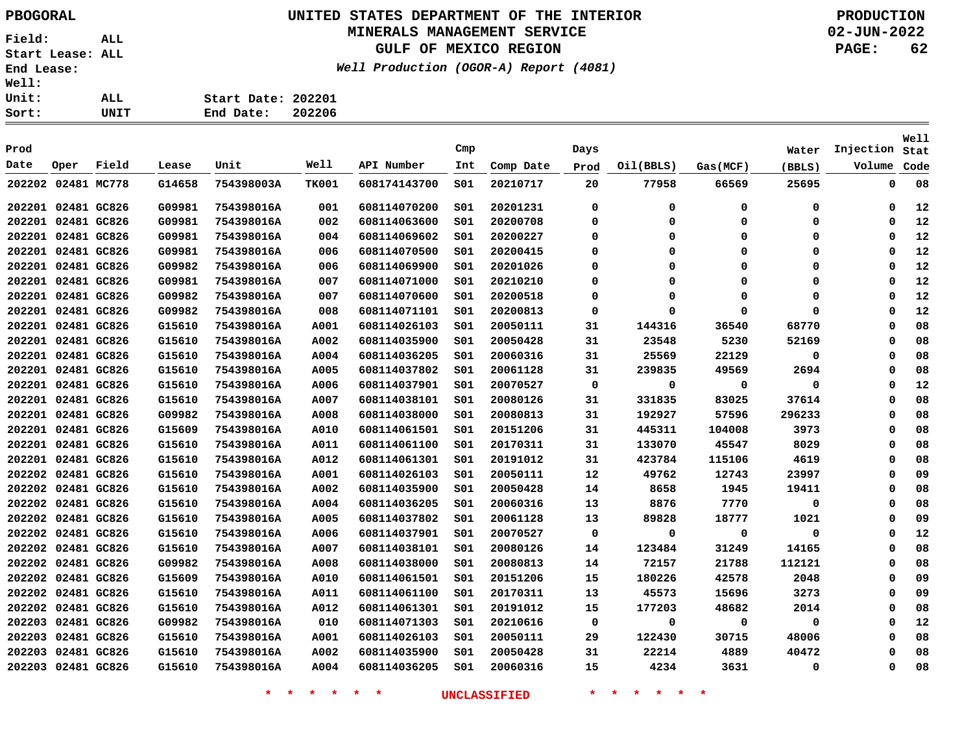# **UNITED STATES DEPARTMENT OF THE INTERIOR PBOGORAL PRODUCTION**

## **MINERALS MANAGEMENT SERVICE**

**GULF OF MEXICO REGION**

**Well Production (OGOR-A) Report (4081)**

**02-JUN-2022 PAGE: 62**

| <b>Well:</b> |      |                    |        |
|--------------|------|--------------------|--------|
| Unit:        | ALL. | Start Date: 202201 |        |
| Sort:        | UNIT | End Date:          | 202206 |
|              |      |                    |        |

| Prod               |                    |             |        |            |              |              | Cmp |           | Days        |             |             |             | Injection | Well |
|--------------------|--------------------|-------------|--------|------------|--------------|--------------|-----|-----------|-------------|-------------|-------------|-------------|-----------|------|
| Date               | Oper               | Field       | Lease  | Unit       | Well         | API Number   | Int |           |             |             |             | Water       | Volume    | Stat |
|                    |                    |             |        |            |              |              |     | Comp Date | Prod        | Oil(BBLS)   | Gas(MCF)    | (BBLS)      |           | Code |
| 202202 02481 MC778 |                    |             | G14658 | 754398003A | <b>TK001</b> | 608174143700 | SO1 | 20210717  | 20          | 77958       | 66569       | 25695       | 0         | 08   |
|                    | 202201 02481 GC826 |             | G09981 | 754398016A | 001          | 608114070200 | SO1 | 20201231  | 0           | 0           | 0           | 0           | 0         | 12   |
|                    | 202201 02481 GC826 |             | G09981 | 754398016A | 002          | 608114063600 | SO1 | 20200708  | $\Omega$    | $\mathbf 0$ | $\mathbf 0$ | 0           | $\Omega$  | 12   |
| 202201 02481 GC826 |                    |             | G09981 | 754398016A | 004          | 608114069602 | 501 | 20200227  | 0           | 0           | 0           | 0           | 0         | 12   |
| 202201 02481 GC826 |                    |             | G09981 | 754398016A | 006          | 608114070500 | SO1 | 20200415  | $\Omega$    | $\Omega$    | $\mathbf 0$ | $\mathbf 0$ | $\Omega$  | 12   |
|                    | 202201 02481 GC826 |             | G09982 | 754398016A | 006          | 608114069900 | 501 | 20201026  | 0           | 0           | $\mathbf 0$ | 0           | 0         | 12   |
|                    | 202201 02481 GC826 |             | G09981 | 754398016A | 007          | 608114071000 | 501 | 20210210  | 0           | 0           | 0           | 0           | 0         | 12   |
|                    | 202201 02481 GC826 |             | G09982 | 754398016A | 007          | 608114070600 | 501 | 20200518  | 0           | $\Omega$    | $\mathbf 0$ | 0           | $\Omega$  | 12   |
|                    | 202201 02481 GC826 |             | G09982 | 754398016A | 008          | 608114071101 | 501 | 20200813  | 0           | 0           | $\mathbf 0$ | 0           | $\Omega$  | 12   |
|                    | 202201 02481 GC826 |             | G15610 | 754398016A | A001         | 608114026103 | SO1 | 20050111  | 31          | 144316      | 36540       | 68770       | $\Omega$  | 08   |
|                    | 202201 02481 GC826 |             | G15610 | 754398016A | A002         | 608114035900 | 501 | 20050428  | 31          | 23548       | 5230        | 52169       | $\Omega$  | 08   |
|                    | 202201 02481 GC826 |             | G15610 | 754398016A | A004         | 608114036205 | 501 | 20060316  | 31          | 25569       | 22129       | 0           | 0         | 08   |
|                    | 202201 02481 GC826 |             | G15610 | 754398016A | A005         | 608114037802 | 501 | 20061128  | 31          | 239835      | 49569       | 2694        | $\Omega$  | 08   |
|                    | 202201 02481 GC826 |             | G15610 | 754398016A | A006         | 608114037901 | 501 | 20070527  | 0           | 0           | 0           | 0           | 0         | 12   |
| 202201 02481 GC826 |                    |             | G15610 | 754398016A | A007         | 608114038101 | SO1 | 20080126  | 31          | 331835      | 83025       | 37614       | $\Omega$  | 08   |
| 202201 02481 GC826 |                    |             | G09982 | 754398016A | A008         | 608114038000 | SO1 | 20080813  | 31          | 192927      | 57596       | 296233      | $\Omega$  | 08   |
| 202201 02481 GC826 |                    |             | G15609 | 754398016A | A010         | 608114061501 | 501 | 20151206  | 31          | 445311      | 104008      | 3973        | 0         | 08   |
| 202201 02481 GC826 |                    |             | G15610 | 754398016A | A011         | 608114061100 | S01 | 20170311  | 31          | 133070      | 45547       | 8029        | $\Omega$  | 08   |
|                    | 202201 02481 GC826 |             | G15610 | 754398016A | A012         | 608114061301 | 501 | 20191012  | 31          | 423784      | 115106      | 4619        | $\Omega$  | 08   |
|                    | 202202 02481 GC826 |             | G15610 | 754398016A | A001         | 608114026103 | 501 | 20050111  | 12          | 49762       | 12743       | 23997       | 0         | 09   |
|                    | 202202 02481 GC826 |             | G15610 | 754398016A | A002         | 608114035900 | SO1 | 20050428  | 14          | 8658        | 1945        | 19411       | $\Omega$  | 08   |
|                    | 202202 02481 GC826 |             | G15610 | 754398016A | A004         | 608114036205 | SO1 | 20060316  | 13          | 8876        | 7770        | 0           | $\Omega$  | 08   |
|                    | 202202 02481 GC826 |             | G15610 | 754398016A | A005         | 608114037802 | SO1 | 20061128  | 13          | 89828       | 18777       | 1021        | $\Omega$  | 09   |
|                    | 202202 02481 GC826 |             | G15610 | 754398016A | A006         | 608114037901 | SO1 | 20070527  | $\mathbf 0$ | $\mathbf 0$ | 0           | 0           | $\Omega$  | 12   |
|                    | 202202 02481 GC826 |             | G15610 | 754398016A | A007         | 608114038101 | SO1 | 20080126  | 14          | 123484      | 31249       | 14165       | $\Omega$  | 08   |
|                    | 202202 02481 GC826 |             | G09982 | 754398016A | A008         | 608114038000 | SO1 | 20080813  | 14          | 72157       | 21788       | 112121      | $\Omega$  | 08   |
|                    | 202202 02481 GC826 |             | G15609 | 754398016A | A010         | 608114061501 | SO1 | 20151206  | 15          | 180226      | 42578       | 2048        | $\Omega$  | 09   |
|                    | 202202 02481 GC826 |             | G15610 | 754398016A | A011         | 608114061100 | 501 | 20170311  | 13          | 45573       | 15696       | 3273        | 0         | 09   |
| 202202 02481 GC826 |                    |             | G15610 | 754398016A | A012         | 608114061301 | SO1 | 20191012  | 15          | 177203      | 48682       | 2014        | $\Omega$  | 08   |
| 202203 02481 GC826 |                    |             | G09982 | 754398016A | 010          | 608114071303 | SO1 | 20210616  | 0           | 0           | 0           | 0           | $\Omega$  | 12   |
| 202203 02481 GC826 |                    |             | G15610 | 754398016A | A001         | 608114026103 | 501 | 20050111  | 29          | 122430      | 30715       | 48006       | $\Omega$  | 08   |
| 202203             |                    | 02481 GC826 | G15610 | 754398016A | A002         | 608114035900 | SO1 | 20050428  | 31          | 22214       | 4889        | 40472       | $\Omega$  | 08   |
| 202203 02481 GC826 |                    |             | G15610 | 754398016A | A004         | 608114036205 | SO1 | 20060316  | 15          | 4234        | 3631        | 0           | 0         | 08   |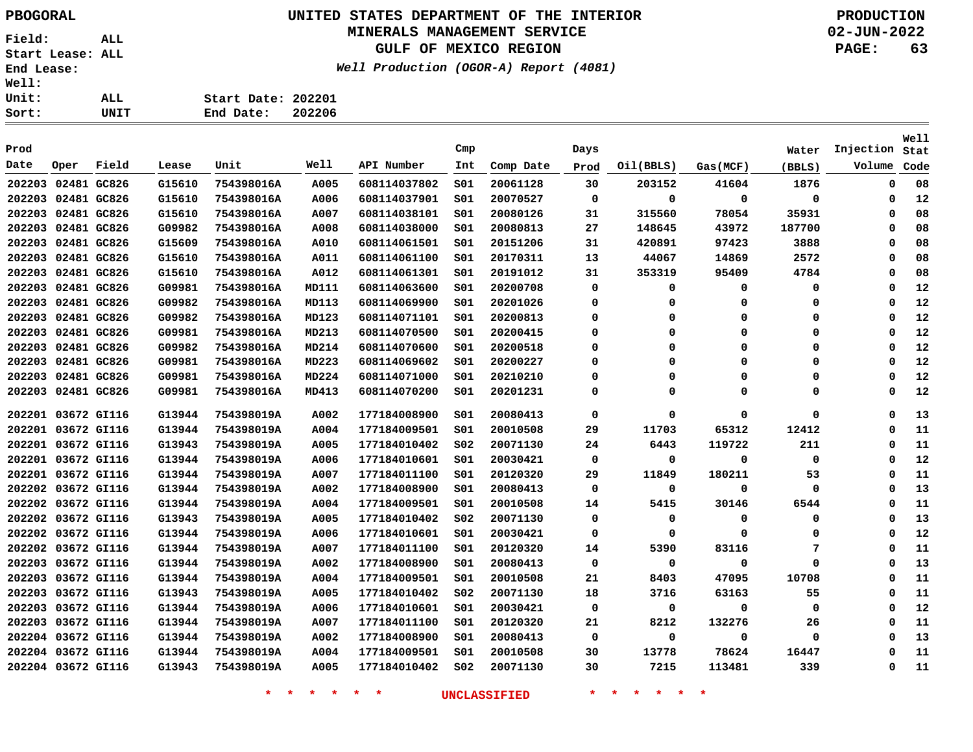## **UNITED STATES DEPARTMENT OF THE INTERIOR PBOGORAL PRODUCTION MINERALS MANAGEMENT SERVICE**

**GULF OF MEXICO REGION**

**Well Production (OGOR-A) Report (4081)**

**02-JUN-2022 PAGE: 63**

| t: | UNIT | End Date:<br>202206 |
|----|------|---------------------|
| t: | ALL  | Start Date: 202201  |
| ı: |      |                     |

|                    |                    |             |        |            |       |              |                 |           |          |           |          |          |           | Well |
|--------------------|--------------------|-------------|--------|------------|-------|--------------|-----------------|-----------|----------|-----------|----------|----------|-----------|------|
| Prod               |                    |             |        |            |       |              | Cmp             |           | Days     |           |          | Water    | Injection | Stat |
| Date               | Oper               | Field       | Lease  | Unit       | Well  | API Number   | Int             | Comp Date | Prod     | Oil(BBLS) | Gas(MCF) | (BBLS)   | Volume    | Code |
| 202203             |                    | 02481 GC826 | G15610 | 754398016A | A005  | 608114037802 | SO1             | 20061128  | 30       | 203152    | 41604    | 1876     | 0         | 08   |
| 202203             |                    | 02481 GC826 | G15610 | 754398016A | A006  | 608114037901 | SO1             | 20070527  | 0        | 0         | 0        | 0        | 0         | 12   |
|                    | 202203 02481 GC826 |             | G15610 | 754398016A | A007  | 608114038101 | SO1             | 20080126  | 31       | 315560    | 78054    | 35931    | 0         | 08   |
|                    | 202203 02481 GC826 |             | G09982 | 754398016A | A008  | 608114038000 | S01             | 20080813  | 27       | 148645    | 43972    | 187700   | 0         | 08   |
|                    | 202203 02481 GC826 |             | G15609 | 754398016A | A010  | 608114061501 | SO1             | 20151206  | 31       | 420891    | 97423    | 3888     | $\Omega$  | 08   |
|                    | 202203 02481 GC826 |             | G15610 | 754398016A | A011  | 608114061100 | S01             | 20170311  | 13       | 44067     | 14869    | 2572     | 0         | 08   |
|                    | 202203 02481 GC826 |             | G15610 | 754398016A | A012  | 608114061301 | SO1             | 20191012  | 31       | 353319    | 95409    | 4784     | $\Omega$  | 08   |
| 202203             |                    | 02481 GC826 | G09981 | 754398016A | MD111 | 608114063600 | SO1             | 20200708  | 0        | 0         | 0        | 0        | 0         | 12   |
| 202203             |                    | 02481 GC826 | G09982 | 754398016A | MD113 | 608114069900 | SO1             | 20201026  | 0        | 0         | 0        | 0        | $\Omega$  | 12   |
| 202203             |                    | 02481 GC826 | G09982 | 754398016A | MD123 | 608114071101 | SO1             | 20200813  | 0        | 0         | 0        | 0        | 0         | 12   |
| 202203             |                    | 02481 GC826 | G09981 | 754398016A | MD213 | 608114070500 | 501             | 20200415  | $\Omega$ | 0         | 0        | 0        | 0         | 12   |
| 202203             |                    | 02481 GC826 | G09982 | 754398016A | MD214 | 608114070600 | SO1             | 20200518  | 0        | 0         | 0        | 0        | 0         | 12   |
| 202203 02481 GC826 |                    |             | G09981 | 754398016A | MD223 | 608114069602 | SO1             | 20200227  | $\Omega$ | $\Omega$  | $\Omega$ | $\Omega$ | 0         | 12   |
|                    | 202203 02481 GC826 |             | G09981 | 754398016A | MD224 | 608114071000 | SO1             | 20210210  | $\Omega$ | 0         | 0        | 0        | 0         | 12   |
|                    | 202203 02481 GC826 |             | G09981 | 754398016A | MD413 | 608114070200 | S01             | 20201231  | 0        | 0         | O        | 0        | 0         | 12   |
| 202201             |                    | 03672 GI116 | G13944 | 754398019A | A002  | 177184008900 | SO1             | 20080413  | 0        | 0         | 0        | 0        | 0         | 13   |
| 202201             |                    | 03672 GI116 | G13944 | 754398019A | A004  | 177184009501 | SO1             | 20010508  | 29       | 11703     | 65312    | 12412    | 0         | 11   |
| 202201             |                    | 03672 GI116 | G13943 | 754398019A | A005  | 177184010402 | SO <sub>2</sub> | 20071130  | 24       | 6443      | 119722   | 211      | 0         | 11   |
|                    | 202201 03672 GI116 |             | G13944 | 754398019A | A006  | 177184010601 | SO1             | 20030421  | 0        | 0         | 0        | 0        | 0         | 12   |
|                    | 202201 03672 GI116 |             | G13944 | 754398019A | A007  | 177184011100 | SO1             | 20120320  | 29       | 11849     | 180211   | 53       | 0         | 11   |
|                    | 202202 03672 GI116 |             | G13944 | 754398019A | A002  | 177184008900 | SO1             | 20080413  | 0        | 0         | 0        | 0        | 0         | 13   |
|                    | 202202 03672 GI116 |             | G13944 | 754398019A | A004  | 177184009501 | S01             | 20010508  | 14       | 5415      | 30146    | 6544     | 0         | 11   |
|                    | 202202 03672 GI116 |             | G13943 | 754398019A | A005  | 177184010402 | S02             | 20071130  | 0        | 0         | 0        | 0        | 0         | 13   |
|                    | 202202 03672 GI116 |             | G13944 | 754398019A | A006  | 177184010601 | SO1             | 20030421  | 0        | 0         | 0        | 0        | 0         | 12   |
|                    | 202202 03672 GI116 |             | G13944 | 754398019A | A007  | 177184011100 | 501             | 20120320  | 14       | 5390      | 83116    | 7        | 0         | 11   |
|                    | 202203 03672 GI116 |             | G13944 | 754398019A | A002  | 177184008900 | SO1             | 20080413  | 0        | 0         | 0        | 0        | 0         | 13   |
| 202203             |                    | 03672 GI116 | G13944 | 754398019A | A004  | 177184009501 | S01             | 20010508  | 21       | 8403      | 47095    | 10708    | 0         | 11   |
| 202203             |                    | 03672 GI116 | G13943 | 754398019A | A005  | 177184010402 | SO <sub>2</sub> | 20071130  | 18       | 3716      | 63163    | 55       | $\Omega$  | 11   |
| 202203             |                    | 03672 GI116 | G13944 | 754398019A | A006  | 177184010601 | SO1             | 20030421  | 0        | 0         | 0        | 0        | 0         | 12   |
|                    | 202203 03672 GI116 |             | G13944 | 754398019A | A007  | 177184011100 | SO1             | 20120320  | 21       | 8212      | 132276   | 26       | 0         | 11   |
|                    | 202204 03672 GI116 |             | G13944 | 754398019A | A002  | 177184008900 | SO1             | 20080413  | 0        | 0         | 0        | 0        | 0         | 13   |
|                    | 202204 03672 GI116 |             | G13944 | 754398019A | A004  | 177184009501 | SO1             | 20010508  | 30       | 13778     | 78624    | 16447    | $\Omega$  | 11   |
|                    | 202204 03672 GI116 |             | G13943 | 754398019A | A005  | 177184010402 | SO <sub>2</sub> | 20071130  | 30       | 7215      | 113481   | 339      | 0         | 11   |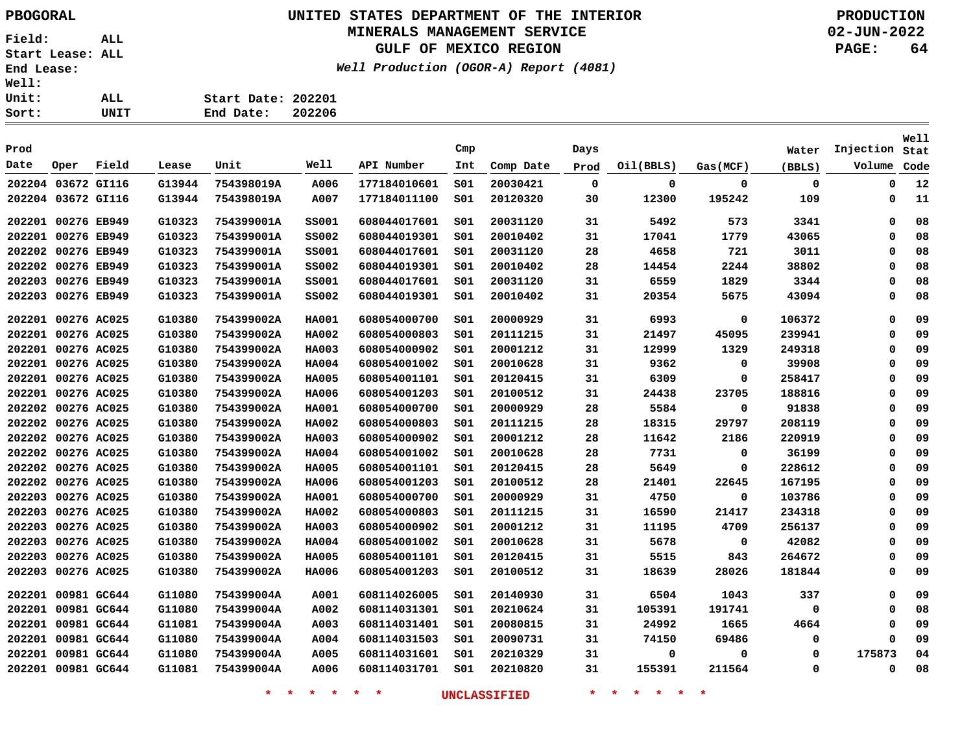# **UNITED STATES DEPARTMENT OF THE INTERIOR PBOGORAL PRODUCTION**

## **MINERALS MANAGEMENT SERVICE**

**GULF OF MEXICO REGION**

**Well Production (OGOR-A) Report (4081)**

**02-JUN-2022 PAGE: 64**

| Sort:        | UNIT | End Date:          | 202206 |
|--------------|------|--------------------|--------|
| <b>Unit:</b> | ALL  | Start Date: 202201 |        |
| <b>Well:</b> |      |                    |        |

|        |                    |       |        |            |              |              |     |           |      |           |             |             |           | <b>Well</b> |
|--------|--------------------|-------|--------|------------|--------------|--------------|-----|-----------|------|-----------|-------------|-------------|-----------|-------------|
| Prod   |                    |       |        |            |              |              | Cmp |           | Days |           |             | Water       | Injection | Stat        |
| Date   | Oper               | Field | Lease  | Unit       | Well         | API Number   | Int | Comp Date | Prod | Oil(BBLS) | Gas(MCF)    | (BBLS)      | Volume    | Code        |
|        | 202204 03672 GI116 |       | G13944 | 754398019A | A006         | 177184010601 | 501 | 20030421  | 0    | 0         | $\mathbf 0$ | $\mathbf 0$ | 0         | 12          |
|        | 202204 03672 GI116 |       | G13944 | 754398019A | A007         | 177184011100 | 501 | 20120320  | 30   | 12300     | 195242      | 109         | 0         | 11          |
|        | 202201 00276 EB949 |       | G10323 | 754399001A | <b>SS001</b> | 608044017601 | S01 | 20031120  | 31   | 5492      | 573         | 3341        | 0         | 08          |
|        | 202201 00276 EB949 |       | G10323 | 754399001A | <b>SS002</b> | 608044019301 | S01 | 20010402  | 31   | 17041     | 1779        | 43065       | 0         | 08          |
|        | 202202 00276 EB949 |       | G10323 | 754399001A | <b>SS001</b> | 608044017601 | 501 | 20031120  | 28   | 4658      | 721         | 3011        | 0         | 08          |
|        | 202202 00276 EB949 |       | G10323 | 754399001A | <b>SS002</b> | 608044019301 | 501 | 20010402  | 28   | 14454     | 2244        | 38802       | 0         | 08          |
| 202203 | 00276 EB949        |       | G10323 | 754399001A | <b>SS001</b> | 608044017601 | SO1 | 20031120  | 31   | 6559      | 1829        | 3344        | 0         | 08          |
| 202203 | 00276 EB949        |       | G10323 | 754399001A | <b>SS002</b> | 608044019301 | S01 | 20010402  | 31   | 20354     | 5675        | 43094       | 0         | 08          |
|        | 202201 00276 AC025 |       | G10380 | 754399002A | <b>HA001</b> | 608054000700 | 501 | 20000929  | 31   | 6993      | 0           | 106372      | 0         | 09          |
|        | 202201 00276 AC025 |       | G10380 | 754399002A | <b>HA002</b> | 608054000803 | SO1 | 20111215  | 31   | 21497     | 45095       | 239941      | 0         | 09          |
|        | 202201 00276 AC025 |       | G10380 | 754399002A | <b>HA003</b> | 608054000902 | SO1 | 20001212  | 31   | 12999     | 1329        | 249318      | 0         | 09          |
|        | 202201 00276 AC025 |       | G10380 | 754399002A | <b>HA004</b> | 608054001002 | SO1 | 20010628  | 31   | 9362      | 0           | 39908       | 0         | 09          |
|        | 202201 00276 AC025 |       | G10380 | 754399002A | <b>HA005</b> | 608054001101 | SO1 | 20120415  | 31   | 6309      | 0           | 258417      | 0         | 09          |
|        | 202201 00276 AC025 |       | G10380 | 754399002A | <b>HA006</b> | 608054001203 | SO1 | 20100512  | 31   | 24438     | 23705       | 188816      | 0         | 09          |
|        | 202202 00276 AC025 |       | G10380 | 754399002A | <b>HA001</b> | 608054000700 | SO1 | 20000929  | 28   | 5584      | 0           | 91838       | 0         | 09          |
|        | 202202 00276 AC025 |       | G10380 | 754399002A | <b>HA002</b> | 608054000803 | SO1 | 20111215  | 28   | 18315     | 29797       | 208119      | 0         | 09          |
|        | 202202 00276 AC025 |       | G10380 | 754399002A | <b>HA003</b> | 608054000902 | S01 | 20001212  | 28   | 11642     | 2186        | 220919      | $\Omega$  | 09          |
|        | 202202 00276 AC025 |       | G10380 | 754399002A | <b>HA004</b> | 608054001002 | S01 | 20010628  | 28   | 7731      | 0           | 36199       | 0         | 09          |
|        | 202202 00276 AC025 |       | G10380 | 754399002A | <b>HA005</b> | 608054001101 | SO1 | 20120415  | 28   | 5649      | $\Omega$    | 228612      | 0         | 09          |
|        | 202202 00276 AC025 |       | G10380 | 754399002A | <b>HA006</b> | 608054001203 | SO1 | 20100512  | 28   | 21401     | 22645       | 167195      | 0         | 09          |
|        | 202203 00276 AC025 |       | G10380 | 754399002A | <b>HA001</b> | 608054000700 | SO1 | 20000929  | 31   | 4750      | 0           | 103786      | 0         | 09          |
| 202203 | 00276 AC025        |       | G10380 | 754399002A | <b>HA002</b> | 608054000803 | SO1 | 20111215  | 31   | 16590     | 21417       | 234318      | 0         | 09          |
| 202203 | 00276 AC025        |       | G10380 | 754399002A | <b>HA003</b> | 608054000902 | SO1 | 20001212  | 31   | 11195     | 4709        | 256137      | 0         | 09          |
| 202203 | 00276 AC025        |       | G10380 | 754399002A | <b>HA004</b> | 608054001002 | SO1 | 20010628  | 31   | 5678      | 0           | 42082       | 0         | 09          |
|        | 202203 00276 AC025 |       | G10380 | 754399002A | <b>HA005</b> | 608054001101 | S01 | 20120415  | 31   | 5515      | 843         | 264672      | 0         | 09          |
| 202203 | 00276 AC025        |       | G10380 | 754399002A | <b>HA006</b> | 608054001203 | S01 | 20100512  | 31   | 18639     | 28026       | 181844      | 0         | 09          |
|        | 202201 00981 GC644 |       | G11080 | 754399004A | A001         | 608114026005 | SO1 | 20140930  | 31   | 6504      | 1043        | 337         | 0         | 09          |
|        | 202201 00981 GC644 |       | G11080 | 754399004A | A002         | 608114031301 | 501 | 20210624  | 31   | 105391    | 191741      | 0           | $\Omega$  | 08          |
|        | 202201 00981 GC644 |       | G11081 | 754399004A | A003         | 608114031401 | SO1 | 20080815  | 31   | 24992     | 1665        | 4664        | $\Omega$  | 09          |
|        | 202201 00981 GC644 |       | G11080 | 754399004A | A004         | 608114031503 | S01 | 20090731  | 31   | 74150     | 69486       | 0           | 0         | 09          |
|        | 202201 00981 GC644 |       | G11080 | 754399004A | A005         | 608114031601 | S01 | 20210329  | 31   | 0         | $\Omega$    | 0           | 175873    | 04          |
|        | 202201 00981 GC644 |       | G11081 | 754399004A | A006         | 608114031701 | SO1 | 20210820  | 31   | 155391    | 211564      | 0           | 0         | 08          |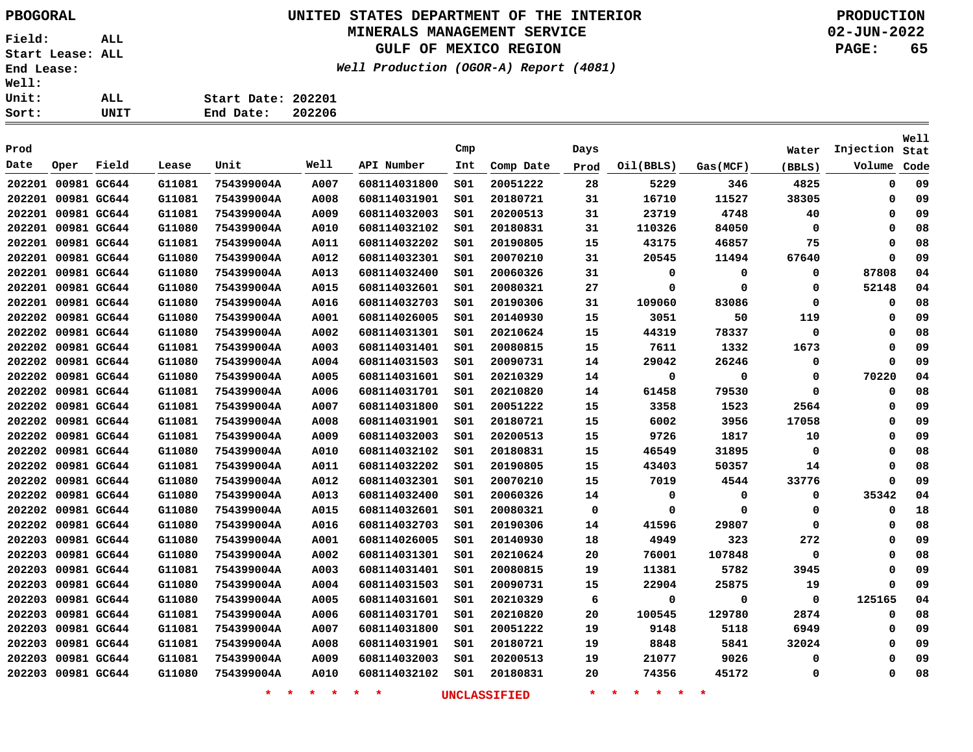## **UNITED STATES DEPARTMENT OF THE INTERIOR PBOGORAL PRODUCTION MINERALS MANAGEMENT SERVICE**

**GULF OF MEXICO REGION**

**Well Production (OGOR-A) Report (4081)**

**02-JUN-2022 PAGE: 65**

**Well**

|      |                    | Cmp |
|------|--------------------|-----|
| UNIT | End Date: 202206   |     |
| ALL  | Start Date: 202201 |     |
|      |                    |     |

| Prod               |      |       |        |            |             |              | Cmp |           | Days |           |          | Water       | Injection   | Stat |
|--------------------|------|-------|--------|------------|-------------|--------------|-----|-----------|------|-----------|----------|-------------|-------------|------|
| Date               | Oper | Field | Lease  | Unit       | Well        | API Number   | Int | Comp Date | Prod | Oil(BBLS) | Gas(MCF) | (BBLS)      | Volume      | Code |
| 202201 00981 GC644 |      |       | G11081 | 754399004A | A007        | 608114031800 | SO1 | 20051222  | 28   | 5229      | 346      | 4825        | $\mathbf 0$ | 09   |
| 202201 00981 GC644 |      |       | G11081 | 754399004A | A008        | 608114031901 | SO1 | 20180721  | 31   | 16710     | 11527    | 38305       | 0           | 09   |
| 202201 00981 GC644 |      |       | G11081 | 754399004A | A009        | 608114032003 | S01 | 20200513  | 31   | 23719     | 4748     | 40          | 0           | 09   |
| 202201 00981 GC644 |      |       | G11080 | 754399004A | A010        | 608114032102 | 501 | 20180831  | 31   | 110326    | 84050    | 0           | 0           | 08   |
| 202201 00981 GC644 |      |       | G11081 | 754399004A | A011        | 608114032202 | S01 | 20190805  | 15   | 43175     | 46857    | 75          | 0           | 08   |
| 202201 00981 GC644 |      |       | G11080 | 754399004A | A012        | 608114032301 | 501 | 20070210  | 31   | 20545     | 11494    | 67640       | 0           | 09   |
| 202201 00981 GC644 |      |       | G11080 | 754399004A | A013        | 608114032400 | 501 | 20060326  | 31   | 0         | 0        | 0           | 87808       | 04   |
| 202201 00981 GC644 |      |       | G11080 | 754399004A | A015        | 608114032601 | S01 | 20080321  | 27   | 0         | 0        | 0           | 52148       | 04   |
| 202201 00981 GC644 |      |       | G11080 | 754399004A | A016        | 608114032703 | 501 | 20190306  | 31   | 109060    | 83086    | 0           | 0           | 08   |
| 202202 00981 GC644 |      |       | G11080 | 754399004A | A001        | 608114026005 | 501 | 20140930  | 15   | 3051      | 50       | 119         | 0           | 09   |
| 202202 00981 GC644 |      |       | G11080 | 754399004A | A002        | 608114031301 | SO1 | 20210624  | 15   | 44319     | 78337    | $\mathbf 0$ | 0           | 08   |
| 202202 00981 GC644 |      |       | G11081 | 754399004A | A003        | 608114031401 | SO1 | 20080815  | 15   | 7611      | 1332     | 1673        | 0           | 09   |
| 202202 00981 GC644 |      |       | G11080 | 754399004A | A004        | 608114031503 | SO1 | 20090731  | 14   | 29042     | 26246    | 0           | $\mathbf 0$ | 09   |
| 202202 00981 GC644 |      |       | G11080 | 754399004A | <b>A005</b> | 608114031601 | S01 | 20210329  | 14   | 0         | 0        | 0           | 70220       | 04   |
| 202202 00981 GC644 |      |       | G11081 | 754399004A | A006        | 608114031701 | 501 | 20210820  | 14   | 61458     | 79530    | $\mathbf 0$ | 0           | 08   |
| 202202 00981 GC644 |      |       | G11081 | 754399004A | A007        | 608114031800 | 501 | 20051222  | 15   | 3358      | 1523     | 2564        | 0           | 09   |
| 202202 00981 GC644 |      |       | G11081 | 754399004A | A008        | 608114031901 | SO1 | 20180721  | 15   | 6002      | 3956     | 17058       | 0           | 09   |
| 202202 00981 GC644 |      |       | G11081 | 754399004A | A009        | 608114032003 | SO1 | 20200513  | 15   | 9726      | 1817     | 10          | 0           | 09   |
| 202202 00981 GC644 |      |       | G11080 | 754399004A | A010        | 608114032102 | SO1 | 20180831  | 15   | 46549     | 31895    | $\mathbf 0$ | 0           | 08   |
| 202202 00981 GC644 |      |       | G11081 | 754399004A | A011        | 608114032202 | SO1 | 20190805  | 15   | 43403     | 50357    | 14          | 0           | 08   |
| 202202 00981 GC644 |      |       | G11080 | 754399004A | A012        | 608114032301 | S01 | 20070210  | 15   | 7019      | 4544     | 33776       | 0           | 09   |
| 202202 00981 GC644 |      |       | G11080 | 754399004A | A013        | 608114032400 | SO1 | 20060326  | 14   | 0         | 0        | 0           | 35342       | 04   |
| 202202 00981 GC644 |      |       | G11080 | 754399004A | A015        | 608114032601 | 501 | 20080321  | 0    | 0         | 0        | 0           | 0           | 18   |
| 202202 00981 GC644 |      |       | G11080 | 754399004A | A016        | 608114032703 | SO1 | 20190306  | 14   | 41596     | 29807    | 0           | 0           | 08   |
| 202203 00981 GC644 |      |       | G11080 | 754399004A | A001        | 608114026005 | SO1 | 20140930  | 18   | 4949      | 323      | 272         | 0           | 09   |
| 202203 00981 GC644 |      |       | G11080 | 754399004A | A002        | 608114031301 | SO1 | 20210624  | 20   | 76001     | 107848   | $\mathbf 0$ | 0           | 08   |
| 202203 00981 GC644 |      |       | G11081 | 754399004A | <b>A003</b> | 608114031401 | S01 | 20080815  | 19   | 11381     | 5782     | 3945        | 0           | 09   |
| 202203 00981 GC644 |      |       | G11080 | 754399004A | A004        | 608114031503 | SO1 | 20090731  | 15   | 22904     | 25875    | 19          | $\Omega$    | 09   |
| 202203 00981 GC644 |      |       | G11080 | 754399004A | A005        | 608114031601 | SO1 | 20210329  | 6    | 0         | 0        | 0           | 125165      | 04   |
| 202203 00981 GC644 |      |       | G11081 | 754399004A | A006        | 608114031701 | SO1 | 20210820  | 20   | 100545    | 129780   | 2874        | 0           | 08   |
| 202203 00981 GC644 |      |       | G11081 | 754399004A | A007        | 608114031800 | SO1 | 20051222  | 19   | 9148      | 5118     | 6949        | 0           | 09   |
| 202203 00981 GC644 |      |       | G11081 | 754399004A | A008        | 608114031901 | 501 | 20180721  | 19   | 8848      | 5841     | 32024       | 0           | 09   |
| 202203 00981 GC644 |      |       | G11081 | 754399004A | A009        | 608114032003 | 501 | 20200513  | 19   | 21077     | 9026     | 0           | 0           | 09   |
| 202203 00981 GC644 |      |       | G11080 | 754399004A | A010        | 608114032102 | 501 | 20180831  | 20   | 74356     | 45172    | 0           | 0           | 08   |
|                    |      |       |        |            |             |              |     |           |      |           |          |             |             |      |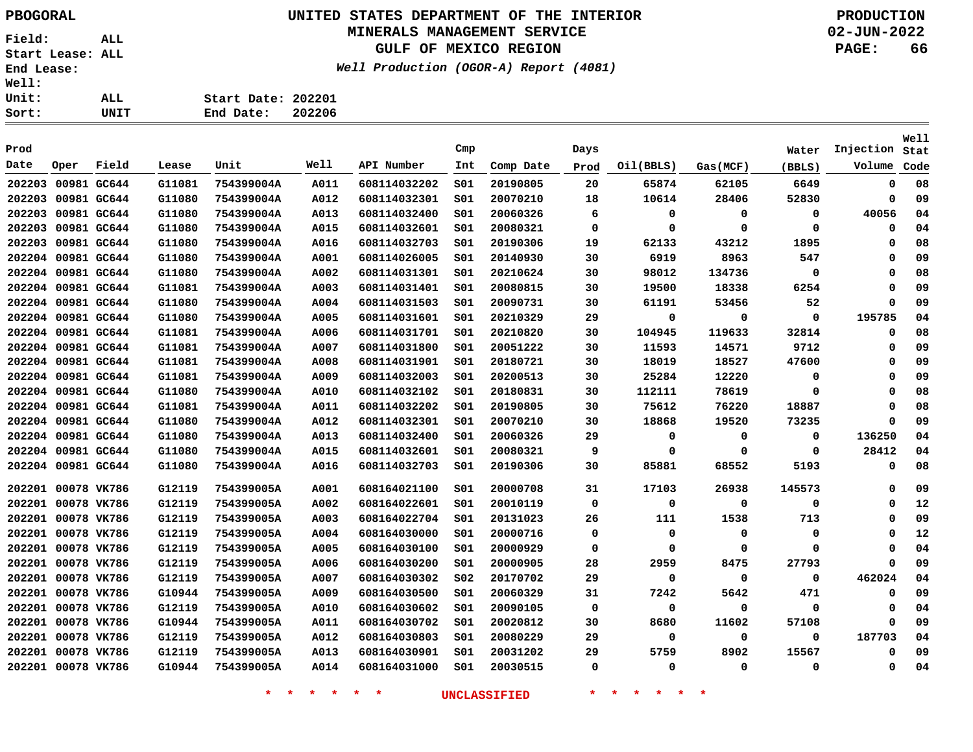**Field: ALL Start Lease: ALL End Lease: Well: Uni**  $\frac{\text{Sor}}{ }$ 

## **UNITED STATES DEPARTMENT OF THE INTERIOR PBOGORAL PRODUCTION MINERALS MANAGEMENT SERVICE**

## **GULF OF MEXICO REGION**

**Well Production (OGOR-A) Report (4081)**

**02-JUN-2022 PAGE: 66**

| Ll: |      |                    |        |
|-----|------|--------------------|--------|
| it: | ALL  | Start Date: 202201 |        |
| rt: | UNIT | End Date:          | 202206 |

| Prod   |                    |             |        |                          |              |                              | Cmp             |           | Days         |             |              | Water       | Injection     | Well<br>Stat |
|--------|--------------------|-------------|--------|--------------------------|--------------|------------------------------|-----------------|-----------|--------------|-------------|--------------|-------------|---------------|--------------|
| Date   | Oper               | Field       | Lease  | Unit                     | Well         | API Number                   | Int             | Comp Date | Prod         | Oil(BBLS)   | Gas(MCF)     | (BBLS)      | Volume        | Code         |
| 202203 |                    | 00981 GC644 | G11081 | 754399004A               | A011         | 608114032202                 | SO1             | 20190805  | 20           | 65874       | 62105        | 6649        | $\mathbf 0$   | 08           |
| 202203 |                    | 00981 GC644 | G11080 | 754399004A               | A012         | 608114032301                 | SO1             | 20070210  | 18           | 10614       | 28406        | 52830       | $\mathbf 0$   | 09           |
| 202203 |                    | 00981 GC644 | G11080 | 754399004A               | A013         | 608114032400                 | SO1             | 20060326  | 6            | 0           | 0            | 0           | 40056         | 04           |
| 202203 |                    | 00981 GC644 | G11080 |                          |              |                              | SO1             | 20080321  | 0            | 0           | 0            | 0           | 0             | 04           |
| 202203 |                    | 00981 GC644 | G11080 | 754399004A<br>754399004A | A015<br>A016 | 608114032601<br>608114032703 | SO1             | 20190306  | 19           | 62133       | 43212        | 1895        | $\Omega$      | 08           |
|        | 202204 00981 GC644 |             | G11080 | 754399004A               | A001         | 608114026005                 | SO1             | 20140930  | 30           | 6919        | 8963         | 547         | $\mathbf 0$   | 09           |
|        |                    |             |        |                          |              |                              |                 |           |              |             |              |             | $\mathbf 0$   |              |
|        | 202204 00981 GC644 |             | G11080 | 754399004A               | A002         | 608114031301                 | SO1             | 20210624  | 30           | 98012       | 134736       | 0           |               | 08           |
|        | 202204 00981 GC644 |             | G11081 | 754399004A               | A003         | 608114031401                 | SO1             | 20080815  | 30           | 19500       | 18338        | 6254        | 0<br>$\Omega$ | 09           |
|        | 202204 00981 GC644 |             | G11080 | 754399004A               | A004         | 608114031503                 | SO1             | 20090731  | 30           | 61191       | 53456        | 52          |               | 09           |
|        | 202204 00981 GC644 |             | G11080 | 754399004A               | A005         | 608114031601                 | SO1             | 20210329  | 29           | 0           | 0            | 0           | 195785        | 04           |
|        | 202204 00981 GC644 |             | G11081 | 754399004A               | A006         | 608114031701                 | SO1             | 20210820  | 30           | 104945      | 119633       | 32814       | 0             | 08           |
|        | 202204 00981 GC644 |             | G11081 | 754399004A               | A007         | 608114031800                 | SO1             | 20051222  | 30           | 11593       | 14571        | 9712        | 0             | 09           |
|        | 202204 00981 GC644 |             | G11081 | 754399004A               | A008         | 608114031901                 | SO1             | 20180721  | 30           | 18019       | 18527        | 47600       | $\mathbf 0$   | 09           |
|        | 202204 00981 GC644 |             | G11081 | 754399004A               | A009         | 608114032003                 | SO1             | 20200513  | 30           | 25284       | 12220        | 0           | 0             | 09           |
|        | 202204 00981 GC644 |             | G11080 | 754399004A               | A010         | 608114032102                 | SO1             | 20180831  | 30           | 112111      | 78619        | 0           | 0             | 08           |
|        | 202204 00981 GC644 |             | G11081 | 754399004A               | A011         | 608114032202                 | S01             | 20190805  | 30           | 75612       | 76220        | 18887       | 0             | 08           |
|        | 202204 00981 GC644 |             | G11080 | 754399004A               | A012         | 608114032301                 | SO1             | 20070210  | 30           | 18868       | 19520        | 73235       | $\mathbf 0$   | 09           |
|        | 202204 00981 GC644 |             | G11080 | 754399004A               | A013         | 608114032400                 | SO1             | 20060326  | 29           | 0           | 0            | 0           | 136250        | 04           |
|        | 202204 00981 GC644 |             | G11080 | 754399004A               | A015         | 608114032601                 | S01             | 20080321  | 9            | 0           | 0            | 0           | 28412         | 04           |
|        | 202204 00981 GC644 |             | G11080 | 754399004A               | A016         | 608114032703                 | SO1             | 20190306  | 30           | 85881       | 68552        | 5193        | $\mathbf 0$   | 08           |
|        | 202201 00078 VK786 |             | G12119 | 754399005A               | A001         | 608164021100                 | SO1             | 20000708  | 31           | 17103       | 26938        | 145573      | 0             | 09           |
|        | 202201 00078 VK786 |             | G12119 | 754399005A               | A002         | 608164022601                 | S01             | 20010119  | 0            | 0           | 0            | 0           | 0             | 12           |
|        | 202201 00078 VK786 |             | G12119 | 754399005A               | A003         | 608164022704                 | SO1             | 20131023  | 26           | 111         | 1538         | 713         | $\mathbf 0$   | 09           |
|        | 202201 00078 VK786 |             | G12119 | 754399005A               | A004         | 608164030000                 | SO1             | 20000716  | $\mathbf 0$  | $\mathbf 0$ | $\Omega$     | 0           | 0             | 12           |
| 202201 |                    | 00078 VK786 | G12119 | 754399005A               | A005         | 608164030100                 | SO1             | 20000929  | 0            | 0           | $\mathbf{0}$ | 0           | 0             | 04           |
| 202201 |                    | 00078 VK786 | G12119 | 754399005A               | A006         | 608164030200                 | SO1             | 20000905  | 28           | 2959        | 8475         | 27793       | 0             | 09           |
| 202201 |                    | 00078 VK786 | G12119 | 754399005A               | A007         | 608164030302                 | SO <sub>2</sub> | 20170702  | 29           | 0           | $\mathbf 0$  | $\mathbf 0$ | 462024        | 04           |
| 202201 |                    | 00078 VK786 | G10944 | 754399005A               | A009         | 608164030500                 | SO1             | 20060329  | 31           | 7242        | 5642         | 471         | $\mathbf 0$   | 09           |
| 202201 |                    | 00078 VK786 | G12119 | 754399005A               | A010         | 608164030602                 | SO1             | 20090105  | $\mathbf{o}$ | 0           | 0            | 0           | 0             | 04           |
| 202201 |                    | 00078 VK786 | G10944 | 754399005A               | A011         | 608164030702                 | S01             | 20020812  | 30           | 8680        | 11602        | 57108       | $\Omega$      | 09           |
| 202201 |                    | 00078 VK786 | G12119 | 754399005A               | A012         | 608164030803                 | SO1             | 20080229  | 29           | 0           | 0            | 0           | 187703        | 04           |
| 202201 |                    | 00078 VK786 | G12119 | 754399005A               | A013         | 608164030901                 | SO1             | 20031202  | 29           | 5759        | 8902         | 15567       | $\mathbf 0$   | 09           |
|        | 202201 00078 VK786 |             | G10944 | 754399005A               | A014         | 608164031000                 | SO1             | 20030515  | 0            | 0           | $\mathbf 0$  | 0           | $\mathbf 0$   | 04           |
|        |                    |             |        |                          |              |                              |                 |           |              |             |              |             |               |              |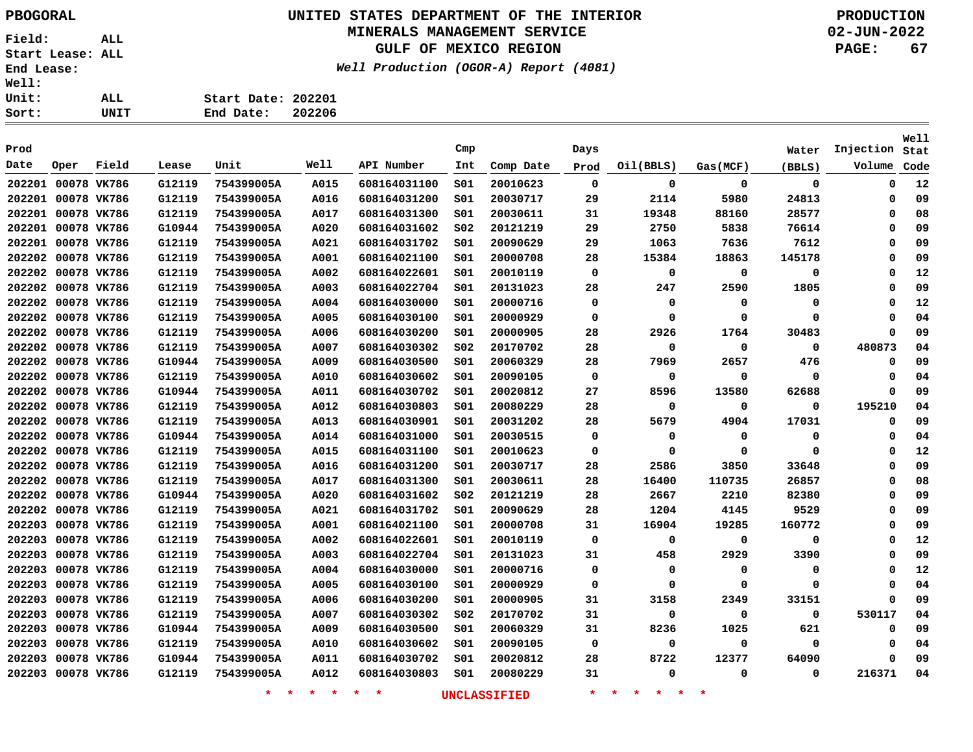# **UNITED STATES DEPARTMENT OF THE INTERIOR PBOGORAL PRODUCTION**

## **MINERALS MANAGEMENT SERVICE**

**GULF OF MEXICO REGION**

**Well Production (OGOR-A) Report (4081)**

**02-JUN-2022 PAGE: 67**

| Sort:        | UNIT | End Date: 202206   |  |
|--------------|------|--------------------|--|
| Unit:        | ALL  | Start Date: 202201 |  |
| <b>Well:</b> |      |                    |  |

|        |                    |             |        |            |      |              |                 |           |          |           |             |             |           | Well |
|--------|--------------------|-------------|--------|------------|------|--------------|-----------------|-----------|----------|-----------|-------------|-------------|-----------|------|
| Prod   |                    |             |        |            |      |              | Cmp             |           | Days     |           |             | Water       | Injection | Stat |
| Date   | Oper               | Field       | Lease  | Unit       | Well | API Number   | Int             | Comp Date | Prod     | Oil(BBLS) | Gas(MCF)    | (BBLS)      | Volume    | Code |
|        | 202201 00078 VK786 |             | G12119 | 754399005A | A015 | 608164031100 | 501             | 20010623  | 0        | 0         | 0           | $\mathbf 0$ | 0         | 12   |
|        | 202201 00078 VK786 |             | G12119 | 754399005A | A016 | 608164031200 | 501             | 20030717  | 29       | 2114      | 5980        | 24813       | 0         | 09   |
|        | 202201 00078 VK786 |             | G12119 | 754399005A | A017 | 608164031300 | SO1             | 20030611  | 31       | 19348     | 88160       | 28577       | 0         | 08   |
|        | 202201 00078 VK786 |             | G10944 | 754399005A | A020 | 608164031602 | SO <sub>2</sub> | 20121219  | 29       | 2750      | 5838        | 76614       | 0         | 09   |
|        | 202201 00078 VK786 |             | G12119 | 754399005A | A021 | 608164031702 | 501             | 20090629  | 29       | 1063      | 7636        | 7612        | 0         | 09   |
| 202202 | 00078 VK786        |             | G12119 | 754399005A | A001 | 608164021100 | S01             | 20000708  | 28       | 15384     | 18863       | 145178      | 0         | 09   |
| 202202 | 00078 VK786        |             | G12119 | 754399005A | A002 | 608164022601 | SO1             | 20010119  | 0        | 0         | 0           | 0           | 0         | 12   |
| 202202 | 00078 VK786        |             | G12119 | 754399005A | A003 | 608164022704 | SO1             | 20131023  | 28       | 247       | 2590        | 1805        | 0         | 09   |
| 202202 | 00078 VK786        |             | G12119 | 754399005A | A004 | 608164030000 | SO1             | 20000716  | 0        | 0         | 0           | 0           | 0         | 12   |
| 202202 | 00078 VK786        |             | G12119 | 754399005A | A005 | 608164030100 | SO1             | 20000929  | 0        | $\Omega$  | $\Omega$    | $\Omega$    | 0         | 04   |
|        | 202202 00078 VK786 |             | G12119 | 754399005A | A006 | 608164030200 | SO1             | 20000905  | 28       | 2926      | 1764        | 30483       | 0         | 09   |
|        | 202202 00078 VK786 |             | G12119 | 754399005A | A007 | 608164030302 | SO <sub>2</sub> | 20170702  | 28       | 0         | $\mathbf 0$ | $\mathbf 0$ | 480873    | 04   |
| 202202 | 00078 VK786        |             | G10944 | 754399005A | A009 | 608164030500 | S01             | 20060329  | 28       | 7969      | 2657        | 476         | 0         | 09   |
| 202202 | 00078 VK786        |             | G12119 | 754399005A | A010 | 608164030602 | S01             | 20090105  | 0        | 0         | 0           | 0           | 0         | 04   |
| 202202 | 00078 VK786        |             | G10944 | 754399005A | A011 | 608164030702 | SO1             | 20020812  | 27       | 8596      | 13580       | 62688       | 0         | 09   |
|        | 202202 00078 VK786 |             | G12119 | 754399005A | A012 | 608164030803 | SO1             | 20080229  | 28       | 0         | 0           | $\mathbf 0$ | 195210    | 04   |
|        | 202202 00078 VK786 |             | G12119 | 754399005A | A013 | 608164030901 | SO1             | 20031202  | 28       | 5679      | 4904        | 17031       | 0         | 09   |
|        | 202202 00078 VK786 |             | G10944 | 754399005A | A014 | 608164031000 | SO1             | 20030515  | $\Omega$ | 0         | $\mathbf 0$ | $\Omega$    | 0         | 04   |
| 202202 | 00078 VK786        |             | G12119 | 754399005A | A015 | 608164031100 | SO1             | 20010623  | $\Omega$ | $\Omega$  | $\mathbf 0$ | $\Omega$    | 0         | 12   |
| 202202 |                    | 00078 VK786 | G12119 | 754399005A | A016 | 608164031200 | S01             | 20030717  | 28       | 2586      | 3850        | 33648       | 0         | 09   |
| 202202 |                    | 00078 VK786 | G12119 | 754399005A | A017 | 608164031300 | S01             | 20030611  | 28       | 16400     | 110735      | 26857       | 0         | 08   |
| 202202 | 00078 VK786        |             | G10944 | 754399005A | A020 | 608164031602 | SO <sub>2</sub> | 20121219  | 28       | 2667      | 2210        | 82380       | 0         | 09   |
| 202202 | 00078 VK786        |             | G12119 | 754399005A | A021 | 608164031702 | S01             | 20090629  | 28       | 1204      | 4145        | 9529        | 0         | 09   |
| 202203 |                    | 00078 VK786 | G12119 | 754399005A | A001 | 608164021100 | S01             | 20000708  | 31       | 16904     | 19285       | 160772      | 0         | 09   |
| 202203 |                    | 00078 VK786 | G12119 | 754399005A | A002 | 608164022601 | SO1             | 20010119  | $\Omega$ | 0         | 0           | $\Omega$    | 0         | 12   |
| 202203 |                    | 00078 VK786 | G12119 | 754399005A | A003 | 608164022704 | SO1             | 20131023  | 31       | 458       | 2929        | 3390        | 0         | 09   |
| 202203 |                    | 00078 VK786 | G12119 | 754399005A | A004 | 608164030000 | s01             | 20000716  | 0        | 0         | 0           | $\Omega$    | 0         | 12   |
| 202203 |                    | 00078 VK786 | G12119 | 754399005A | A005 | 608164030100 | S01             | 20000929  | 0        | $\Omega$  | 0           | $\Omega$    | 0         | 04   |
| 202203 |                    | 00078 VK786 | G12119 | 754399005A | A006 | 608164030200 | S01             | 20000905  | 31       | 3158      | 2349        | 33151       | 0         | 09   |
| 202203 |                    | 00078 VK786 | G12119 | 754399005A | A007 | 608164030302 | S02             | 20170702  | 31       | 0         | 0           | $\mathbf 0$ | 530117    | 04   |
| 202203 |                    | 00078 VK786 | G10944 | 754399005A | A009 | 608164030500 | S01             | 20060329  | 31       | 8236      | 1025        | 621         | 0         | 09   |
| 202203 |                    | 00078 VK786 | G12119 | 754399005A | A010 | 608164030602 | S01             | 20090105  | 0        | 0         | $\mathbf 0$ | 0           | 0         | 04   |
| 202203 |                    | 00078 VK786 | G10944 | 754399005A | A011 | 608164030702 | s01             | 20020812  | 28       | 8722      | 12377       | 64090       | 0         | 09   |
|        | 202203 00078 VK786 |             | G12119 | 754399005A | A012 | 608164030803 | 501             | 20080229  | 31       | $\Omega$  | $\Omega$    | 0           | 216371    | 04   |
|        |                    |             |        |            |      |              |                 |           |          |           |             |             |           |      |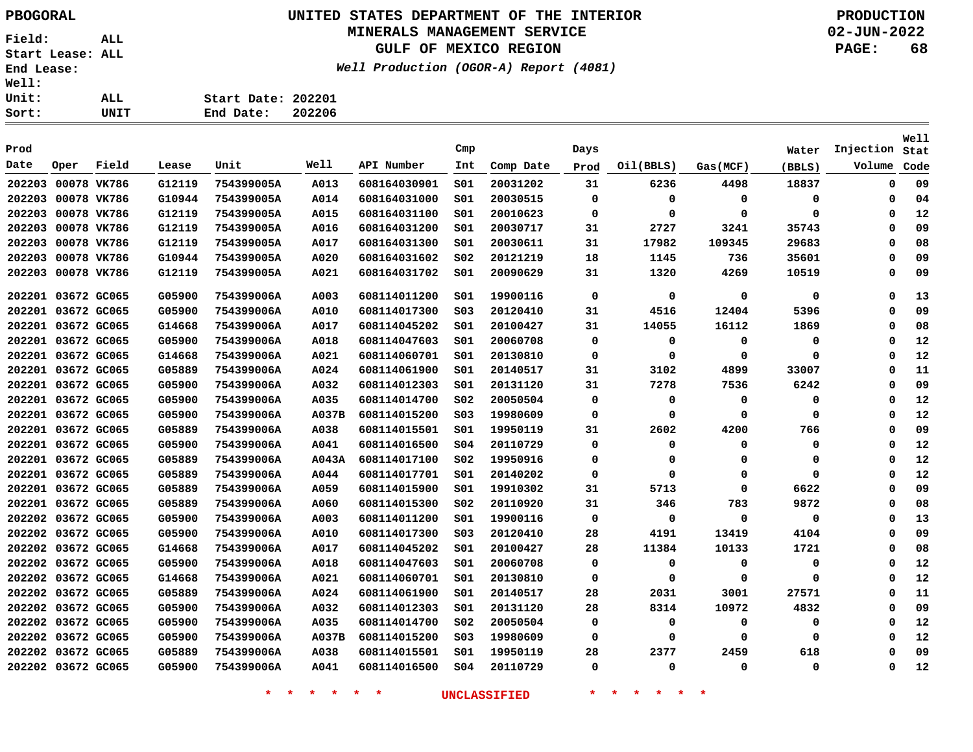## **UNITED STATES DEPARTMENT OF THE INTERIOR PBOGORAL PRODUCTION MINERALS MANAGEMENT SERVICE**

**GULF OF MEXICO REGION**

**Well Production (OGOR-A) Report (4081)**

**02-JUN-2022 PAGE: 68**

| ALL. | Start Date: 202201  |
|------|---------------------|
| UNIT | 202206<br>End Date: |

| Prod               |             |       |        |            |       |              | Cmp             |           | Days        |           |             | Water  | Injection   | Well<br>Stat |
|--------------------|-------------|-------|--------|------------|-------|--------------|-----------------|-----------|-------------|-----------|-------------|--------|-------------|--------------|
| Date               | Oper        | Field | Lease  | Unit       | Well  | API Number   | Int             | Comp Date | Prod        | Oil(BBLS) | Gas(MCF)    | (BBLS) | Volume      | Code         |
| 202203             | 00078 VK786 |       | G12119 | 754399005A | A013  | 608164030901 | SO1             | 20031202  | 31          | 6236      | 4498        | 18837  | $\mathbf 0$ | 09           |
| 202203             | 00078 VK786 |       | G10944 | 754399005A | A014  | 608164031000 | SO1             | 20030515  | 0           | 0         | 0           | 0      | 0           | 04           |
| 202203             | 00078 VK786 |       | G12119 | 754399005A | A015  | 608164031100 | SO1             | 20010623  | 0           | 0         | 0           | 0      | $\Omega$    | 12           |
| 202203             | 00078 VK786 |       | G12119 | 754399005A | A016  | 608164031200 | SO1             | 20030717  | 31          | 2727      | 3241        | 35743  | $\mathbf 0$ | 09           |
| 202203             | 00078 VK786 |       | G12119 | 754399005A | A017  | 608164031300 | SO1             | 20030611  | 31          | 17982     | 109345      | 29683  | 0           | 08           |
| 202203             | 00078 VK786 |       | G10944 | 754399005A | A020  | 608164031602 | S02             | 20121219  | 18          | 1145      | 736         | 35601  | 0           | 09           |
| 202203             | 00078 VK786 |       | G12119 | 754399005A | A021  | 608164031702 | SO1             | 20090629  | 31          | 1320      | 4269        | 10519  | 0           | 09           |
| 202201             | 03672 GC065 |       | G05900 | 754399006A | A003  | 608114011200 | SO1             | 19900116  | 0           | 0         | 0           | 0      | 0           | 13           |
| 202201             | 03672 GC065 |       | G05900 | 754399006A | A010  | 608114017300 | SO <sub>3</sub> | 20120410  | 31          | 4516      | 12404       | 5396   | $\Omega$    | 09           |
| 202201 03672 GC065 |             |       | G14668 | 754399006A | A017  | 608114045202 | SO1             | 20100427  | 31          | 14055     | 16112       | 1869   | 0           | 08           |
| 202201 03672 GC065 |             |       | G05900 | 754399006A | A018  | 608114047603 | SO1             | 20060708  | 0           | 0         | 0           | 0      | 0           | 12           |
| 202201 03672 GC065 |             |       | G14668 | 754399006A | A021  | 608114060701 | SO1             | 20130810  | $\mathbf 0$ | 0         | $\Omega$    | 0      | $\mathbf 0$ | 12           |
| 202201 03672 GC065 |             |       | G05889 | 754399006A | A024  | 608114061900 | SO1             | 20140517  | 31          | 3102      | 4899        | 33007  | 0           | 11           |
| 202201 03672 GC065 |             |       | G05900 | 754399006A | A032  | 608114012303 | SO1             | 20131120  | 31          | 7278      | 7536        | 6242   | 0           | 09           |
| 202201 03672 GC065 |             |       | G05900 | 754399006A | A035  | 608114014700 | SO <sub>2</sub> | 20050504  | 0           | 0         | 0           | 0      | 0           | 12           |
| 202201 03672 GC065 |             |       | G05900 | 754399006A | A037B | 608114015200 | SO <sub>3</sub> | 19980609  | 0           | 0         | 0           | 0      | 0           | 12           |
| 202201 03672 GC065 |             |       | G05889 | 754399006A | A038  | 608114015501 | SO1             | 19950119  | 31          | 2602      | 4200        | 766    | 0           | 09           |
| 202201 03672 GC065 |             |       | G05900 | 754399006A | A041  | 608114016500 | SO <sub>4</sub> | 20110729  | 0           | 0         | 0           | 0      | 0           | 12           |
| 202201 03672 GC065 |             |       | G05889 | 754399006A | A043A | 608114017100 | SO <sub>2</sub> | 19950916  | 0           | 0         | 0           | 0      | 0           | 12           |
| 202201 03672 GC065 |             |       | G05889 | 754399006A | A044  | 608114017701 | SO1             | 20140202  | 0           | $\Omega$  | 0           | 0      | $\mathbf 0$ | 12           |
| 202201 03672 GC065 |             |       | G05889 | 754399006A | A059  | 608114015900 | SO1             | 19910302  | 31          | 5713      | 0           | 6622   | 0           | 09           |
| 202201 03672 GC065 |             |       | G05889 | 754399006A | A060  | 608114015300 | S02             | 20110920  | 31          | 346       | 783         | 9872   | 0           | 08           |
| 202202 03672 GC065 |             |       | G05900 | 754399006A | A003  | 608114011200 | SO1             | 19900116  | $\Omega$    | $\Omega$  | $\mathbf 0$ | 0      | 0           | 13           |
| 202202 03672 GC065 |             |       | G05900 | 754399006A | A010  | 608114017300 | SO <sub>3</sub> | 20120410  | 28          | 4191      | 13419       | 4104   | 0           | 09           |
| 202202 03672 GC065 |             |       | G14668 | 754399006A | A017  | 608114045202 | SO1             | 20100427  | 28          | 11384     | 10133       | 1721   | $\Omega$    | 08           |
| 202202 03672 GC065 |             |       | G05900 | 754399006A | A018  | 608114047603 | SO1             | 20060708  | 0           | 0         | 0           | 0      | 0           | 12           |
| 202202 03672 GC065 |             |       | G14668 | 754399006A | A021  | 608114060701 | SO1             | 20130810  | 0           | 0         | 0           | 0      | 0           | 12           |
| 202202 03672 GC065 |             |       | G05889 | 754399006A | A024  | 608114061900 | S01             | 20140517  | 28          | 2031      | 3001        | 27571  | 0           | 11           |
| 202202 03672 GC065 |             |       | G05900 | 754399006A | A032  | 608114012303 | SO1             | 20131120  | 28          | 8314      | 10972       | 4832   | 0           | 09           |
| 202202 03672 GC065 |             |       | G05900 | 754399006A | A035  | 608114014700 | SO <sub>2</sub> | 20050504  | 0           | 0         | 0           | 0      | 0           | 12           |
| 202202 03672 GC065 |             |       | G05900 | 754399006A | A037B | 608114015200 | SO <sub>3</sub> | 19980609  | 0           | 0         | $\Omega$    | 0      | 0           | 12           |
| 202202             | 03672 GC065 |       | G05889 | 754399006A | A038  | 608114015501 | S <sub>01</sub> | 19950119  | 28          | 2377      | 2459        | 618    | $\mathbf 0$ | 09           |
| 202202 03672 GC065 |             |       | G05900 | 754399006A | A041  | 608114016500 | SO <sub>4</sub> | 20110729  | 0           | 0         | 0           | 0      | $\mathbf 0$ | 12           |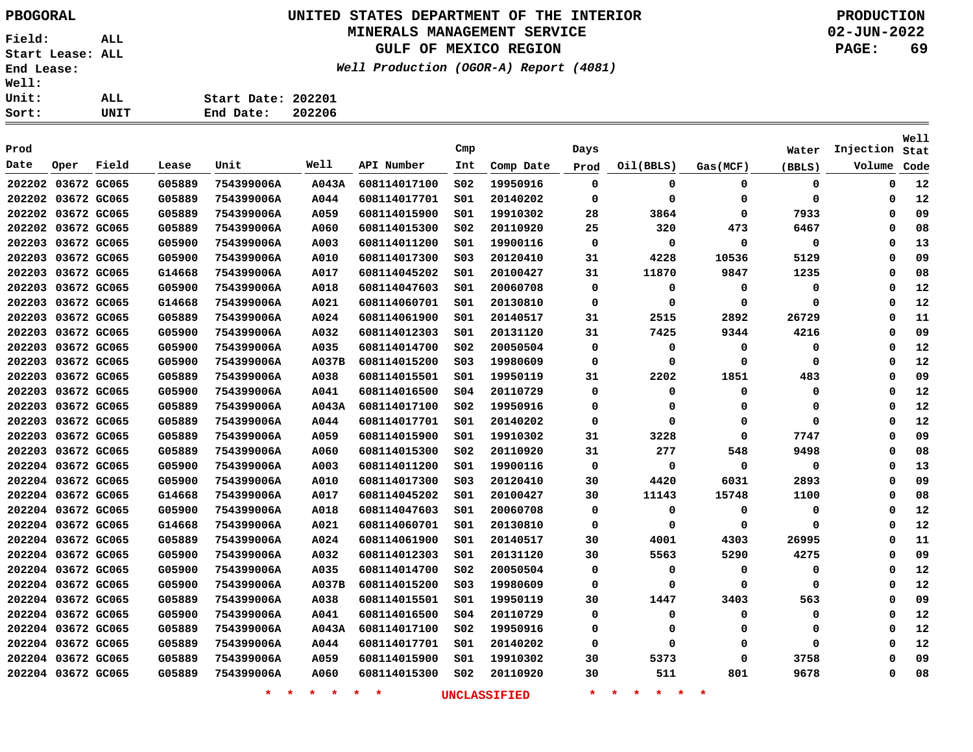**Field: ALL Start Lease: ALL End Lease: Well: Uni**  $\frac{\text{Sor}}{ }$ 

# **UNITED STATES DEPARTMENT OF THE INTERIOR PBOGORAL PRODUCTION**

## **MINERALS MANAGEMENT SERVICE**

**GULF OF MEXICO REGION**

**Well Production (OGOR-A) Report (4081)**

**02-JUN-2022 PAGE: 69**

**Stat Injection**Volume Code

**Well**

| ---- ------        |      |       |        |                    |        |              | .               |           |      |           |          |        |
|--------------------|------|-------|--------|--------------------|--------|--------------|-----------------|-----------|------|-----------|----------|--------|
| Well:              |      |       |        |                    |        |              |                 |           |      |           |          |        |
| Unit:              |      | ALL   |        | Start Date: 202201 |        |              |                 |           |      |           |          |        |
| Sort:              |      | UNIT  |        | End Date:          | 202206 |              |                 |           |      |           |          |        |
|                    |      |       |        |                    |        |              |                 |           |      |           |          |        |
| Prod               |      |       |        |                    |        |              | Cmp             |           | Days |           |          | Water  |
| Date               | Oper | Field | Lease  | Unit               | Well   | API Number   | Int             | Comp Date | Prod | Oil(BBLS) | Gas(MCF) | (BBLS) |
| 202202 03672 GC065 |      |       | G05889 | 754399006A         | A043A  | 608114017100 | SO <sub>2</sub> | 19950916  | 0    | 0         | 0        | 0      |
|                    |      |       |        |                    |        |              |                 |           |      |           |          |        |

| 202202 03672 GC065 | G05889 | 754399006A | A043A       | 608114017100 | SO <sub>2</sub> | 19950916 | 0  | 0     | 0     | 0     | 0        | 12 |
|--------------------|--------|------------|-------------|--------------|-----------------|----------|----|-------|-------|-------|----------|----|
| 202202 03672 GC065 | G05889 | 754399006A | A044        | 608114017701 | S01             | 20140202 | 0  | 0     | 0     | 0     | 0        | 12 |
| 202202 03672 GC065 | G05889 | 754399006A | A059        | 608114015900 | 501             | 19910302 | 28 | 3864  | 0     | 7933  | $\Omega$ | 09 |
| 202202 03672 GC065 | G05889 | 754399006A | A060        | 608114015300 | SO <sub>2</sub> | 20110920 | 25 | 320   | 473   | 6467  | 0        | 08 |
| 202203 03672 GC065 | G05900 | 754399006A | A003        | 608114011200 | S01             | 19900116 | 0  | 0     | 0     | 0     | Ω        | 13 |
| 202203 03672 GC065 | G05900 | 754399006A | A010        | 608114017300 | SO <sub>3</sub> | 20120410 | 31 | 4228  | 10536 | 5129  | O        | 09 |
| 202203 03672 GC065 | G14668 | 754399006A | A017        | 608114045202 | 501             | 20100427 | 31 | 11870 | 9847  | 1235  | $\Omega$ | 08 |
| 202203 03672 GC065 | G05900 | 754399006A | A018        | 608114047603 | S01             | 20060708 | 0  | 0     | 0     | 0     | 0        | 12 |
| 202203 03672 GC065 | G14668 | 754399006A | A021        | 608114060701 | 501             | 20130810 | 0  | 0     | 0     | 0     | Ω        | 12 |
| 202203 03672 GC065 | G05889 | 754399006A | A024        | 608114061900 | S01             | 20140517 | 31 | 2515  | 2892  | 26729 | Ω        | 11 |
| 202203 03672 GC065 | G05900 | 754399006A | A032        | 608114012303 | 501             | 20131120 | 31 | 7425  | 9344  | 4216  | Ω        | 09 |
| 202203 03672 GC065 | G05900 | 754399006A | A035        | 608114014700 | SO <sub>2</sub> | 20050504 | 0  | 0     | 0     | 0     | 0        | 12 |
| 202203 03672 GC065 | G05900 | 754399006A | A037B       | 608114015200 | S03             | 19980609 | 0  | 0     | 0     | 0     | $\Omega$ | 12 |
| 202203 03672 GC065 | G05889 | 754399006A | A038        | 608114015501 | 501             | 19950119 | 31 | 2202  | 1851  | 483   | $\Omega$ | 09 |
| 202203 03672 GC065 | G05900 | 754399006A | A041        | 608114016500 | SO <sub>4</sub> | 20110729 | 0  | 0     | 0     | 0     | 0        | 12 |
| 202203 03672 GC065 | G05889 | 754399006A | A043A       | 608114017100 | S02             | 19950916 | 0  | 0     | 0     | 0     | 0        | 12 |
| 202203 03672 GC065 | G05889 | 754399006A | A044        | 608114017701 | S01             | 20140202 | 0  | 0     | 0     | 0     | O        | 12 |
| 202203 03672 GC065 | G05889 | 754399006A | A059        | 608114015900 | S01             | 19910302 | 31 | 3228  | 0     | 7747  | Ω        | 09 |
| 202203 03672 GC065 | G05889 | 754399006A | <b>A060</b> | 608114015300 | S02             | 20110920 | 31 | 277   | 548   | 9498  | Ω        | 08 |
| 202204 03672 GC065 | G05900 | 754399006A | A003        | 608114011200 | 501             | 19900116 | 0  | 0     | 0     | 0     | Ω        | 13 |
| 202204 03672 GC065 | G05900 | 754399006A | A010        | 608114017300 | S03             | 20120410 | 30 | 4420  | 6031  | 2893  | Ω        | 09 |
| 202204 03672 GC065 | G14668 | 754399006A | A017        | 608114045202 | 501             | 20100427 | 30 | 11143 | 15748 | 1100  | 0        | 08 |
| 202204 03672 GC065 | G05900 | 754399006A | A018        | 608114047603 | S01             | 20060708 | 0  | 0     | 0     | 0     | 0        | 12 |
| 202204 03672 GC065 | G14668 | 754399006A | A021        | 608114060701 | S01             | 20130810 | 0  | 0     | 0     | 0     | $\Omega$ | 12 |
| 202204 03672 GC065 | G05889 | 754399006A | A024        | 608114061900 | SO1             | 20140517 | 30 | 4001  | 4303  | 26995 | 0        | 11 |
| 202204 03672 GC065 | G05900 | 754399006A | A032        | 608114012303 | 501             | 20131120 | 30 | 5563  | 5290  | 4275  | 0        | 09 |
| 202204 03672 GC065 | G05900 | 754399006A | A035        | 608114014700 | S02             | 20050504 | 0  | 0     | 0     | 0     | 0        | 12 |
| 202204 03672 GC065 | G05900 | 754399006A | A037B       | 608114015200 | S03             | 19980609 | 0  | 0     | 0     | 0     | Ω        | 12 |
| 202204 03672 GC065 | G05889 | 754399006A | A038        | 608114015501 | S01             | 19950119 | 30 | 1447  | 3403  | 563   | Ω        | 09 |
| 202204 03672 GC065 | G05900 | 754399006A | A041        | 608114016500 | 504             | 20110729 | 0  | 0     | 0     | 0     | $\Omega$ | 12 |
| 202204 03672 GC065 | G05889 | 754399006A | A043A       | 608114017100 | S02             | 19950916 | 0  | 0     | 0     | 0     | O        | 12 |
| 202204 03672 GC065 | G05889 | 754399006A | A044        | 608114017701 | S01             | 20140202 | 0  | 0     | 0     | 0     | $\Omega$ | 12 |
| 202204 03672 GC065 | G05889 | 754399006A | A059        | 608114015900 | SO1             | 19910302 | 30 | 5373  | 0     | 3758  | O        | 09 |
| 202204 03672 GC065 | G05889 | 754399006A | A060        | 608114015300 | S02             | 20110920 | 30 | 511   | 801   | 9678  | 0        | 08 |
|                    |        |            |             |              |                 |          |    |       |       |       |          |    |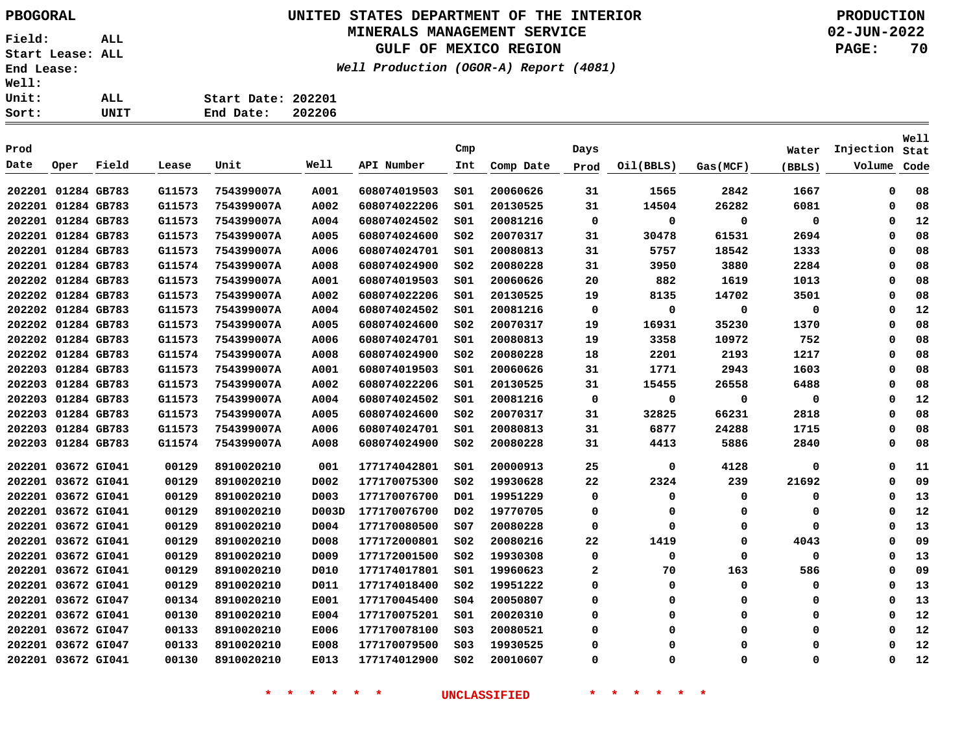# **UNITED STATES DEPARTMENT OF THE INTERIOR PBOGORAL PRODUCTION**

## **MINERALS MANAGEMENT SERVICE**

**GULF OF MEXICO REGION**

**Well Production (OGOR-A) Report (4081)**

| Well: |      |                    |        |
|-------|------|--------------------|--------|
| Unit: | AL L | Start Date: 202201 |        |
| Sort: | UNIT | End Date:          | 202206 |

|                    |                    |       |        |            |       |              |                 |           |              |             |             |          |           | <b>Well</b> |
|--------------------|--------------------|-------|--------|------------|-------|--------------|-----------------|-----------|--------------|-------------|-------------|----------|-----------|-------------|
| Prod               |                    |       |        |            |       |              | Cmp             |           | Days         |             |             | Water    | Injection | Stat        |
| Date               | Oper               | Field | Lease  | Unit       | Well  | API Number   | Int             | Comp Date | Prod         | Oil(BBLS)   | Gas(MCF)    | (BBLS)   | Volume    | Code        |
| 202201 01284 GB783 |                    |       | G11573 | 754399007A | A001  | 608074019503 | SO1             | 20060626  | 31           | 1565        | 2842        | 1667     | 0         | 08          |
| 202201 01284 GB783 |                    |       | G11573 | 754399007A | A002  | 608074022206 | SO1             | 20130525  | 31           | 14504       | 26282       | 6081     | 0         | 08          |
| 202201 01284 GB783 |                    |       | G11573 | 754399007A | A004  | 608074024502 | SO1             | 20081216  | 0            | 0           | 0           | 0        | 0         | 12          |
| 202201             | 01284 GB783        |       | G11573 | 754399007A | A005  | 608074024600 | SO <sub>2</sub> | 20070317  | 31           | 30478       | 61531       | 2694     | 0         | 08          |
|                    | 202201 01284 GB783 |       | G11573 | 754399007A | A006  | 608074024701 | SO1             | 20080813  | 31           | 5757        | 18542       | 1333     | $\Omega$  | 08          |
|                    | 202201 01284 GB783 |       | G11574 | 754399007A | A008  | 608074024900 | SO <sub>2</sub> | 20080228  | 31           | 3950        | 3880        | 2284     | $\Omega$  | 08          |
|                    | 202202 01284 GB783 |       | G11573 | 754399007A | A001  | 608074019503 | SO1             | 20060626  | 20           | 882         | 1619        | 1013     | $\Omega$  | 08          |
|                    | 202202 01284 GB783 |       | G11573 | 754399007A | A002  | 608074022206 | SO1             | 20130525  | 19           | 8135        | 14702       | 3501     | 0         | 08          |
|                    | 202202 01284 GB783 |       | G11573 | 754399007A | A004  | 608074024502 | SO1             | 20081216  | 0            | 0           | 0           | 0        | 0         | 12          |
| 202202 01284 GB783 |                    |       | G11573 | 754399007A | A005  | 608074024600 | SO <sub>2</sub> | 20070317  | 19           | 16931       | 35230       | 1370     | 0         | 08          |
| 202202 01284 GB783 |                    |       | G11573 | 754399007A | A006  | 608074024701 | SO1             | 20080813  | 19           | 3358        | 10972       | 752      | 0         | 08          |
| 202202 01284 GB783 |                    |       | G11574 | 754399007A | A008  | 608074024900 | SO <sub>2</sub> | 20080228  | 18           | 2201        | 2193        | 1217     | $\Omega$  | 08          |
| 202203 01284 GB783 |                    |       | G11573 | 754399007A | A001  | 608074019503 | SO1             | 20060626  | 31           | 1771        | 2943        | 1603     | $\Omega$  | 08          |
| 202203 01284 GB783 |                    |       | G11573 | 754399007A | A002  | 608074022206 | SO1             | 20130525  | 31           | 15455       | 26558       | 6488     | 0         | 08          |
| 202203 01284 GB783 |                    |       | G11573 | 754399007A | A004  | 608074024502 | SO1             | 20081216  | 0            | 0           | $\mathbf 0$ | 0        | 0         | 12          |
| 202203             | 01284 GB783        |       | G11573 | 754399007A | A005  | 608074024600 | SO <sub>2</sub> | 20070317  | 31           | 32825       | 66231       | 2818     | 0         | 08          |
| 202203             | 01284 GB783        |       | G11573 | 754399007A | A006  | 608074024701 | SO1             | 20080813  | 31           | 6877        | 24288       | 1715     | $\Omega$  | 08          |
|                    | 202203 01284 GB783 |       | G11574 | 754399007A | A008  | 608074024900 | SO <sub>2</sub> | 20080228  | 31           | 4413        | 5886        | 2840     | $\Omega$  | 08          |
|                    | 202201 03672 GI041 |       | 00129  | 8910020210 | 001   | 177174042801 | SO1             | 20000913  | 25           | 0           | 4128        | 0        | 0         | 11          |
|                    | 202201 03672 GI041 |       | 00129  | 8910020210 | D002  | 177170075300 | SO <sub>2</sub> | 19930628  | 22           | 2324        | 239         | 21692    | 0         | 09          |
| 202201             | 03672 GI041        |       | 00129  | 8910020210 | D003  | 177170076700 | D01             | 19951229  | 0            | 0           | 0           | 0        | 0         | 13          |
| 202201 03672 GI041 |                    |       | 00129  | 8910020210 | D003D | 177170076700 | D02             | 19770705  | 0            | 0           | 0           | 0        | 0         | 12          |
| 202201 03672 GI041 |                    |       | 00129  | 8910020210 | D004  | 177170080500 | SO7             | 20080228  | $\mathbf 0$  | $\mathbf 0$ | $\mathbf 0$ | 0        | 0         | 13          |
| 202201 03672 GI041 |                    |       | 00129  | 8910020210 | D008  | 177172000801 | SO <sub>2</sub> | 20080216  | 22           | 1419        | $\mathbf 0$ | 4043     | $\Omega$  | 09          |
| 202201 03672 GI041 |                    |       | 00129  | 8910020210 | D009  | 177172001500 | S02             | 19930308  | 0            | 0           | $\mathbf 0$ | 0        | 0         | 13          |
| 202201 03672 GI041 |                    |       | 00129  | 8910020210 | D010  | 177174017801 | SO1             | 19960623  | $\mathbf{2}$ | 70          | 163         | 586      | 0         | 09          |
| 202201             | 03672 GI041        |       | 00129  | 8910020210 | D011  | 177174018400 | SO <sub>2</sub> | 19951222  | 0            | 0           | $\mathbf 0$ | 0        | 0         | 13          |
| 202201             | 03672 GI047        |       | 00134  | 8910020210 | E001  | 177170045400 | SO <sub>4</sub> | 20050807  | 0            | 0           | 0           | 0        | $\Omega$  | 13          |
|                    | 202201 03672 GI041 |       | 00130  | 8910020210 | E004  | 177170075201 | SO1             | 20020310  | 0            | 0           | 0           | 0        | $\Omega$  | 12          |
|                    | 202201 03672 GI047 |       | 00133  | 8910020210 | E006  | 177170078100 | SO <sub>3</sub> | 20080521  | $\Omega$     | 0           | $\Omega$    | 0        | $\Omega$  | 12          |
|                    | 202201 03672 GI047 |       | 00133  | 8910020210 | E008  | 177170079500 | SO <sub>3</sub> | 19930525  | $\Omega$     | $\Omega$    | $\Omega$    | $\Omega$ | $\Omega$  | 12          |
|                    | 202201 03672 GI041 |       | 00130  | 8910020210 | E013  | 177174012900 | SO <sub>2</sub> | 20010607  | 0            | $\Omega$    | $\mathbf 0$ | 0        | $\Omega$  | 12          |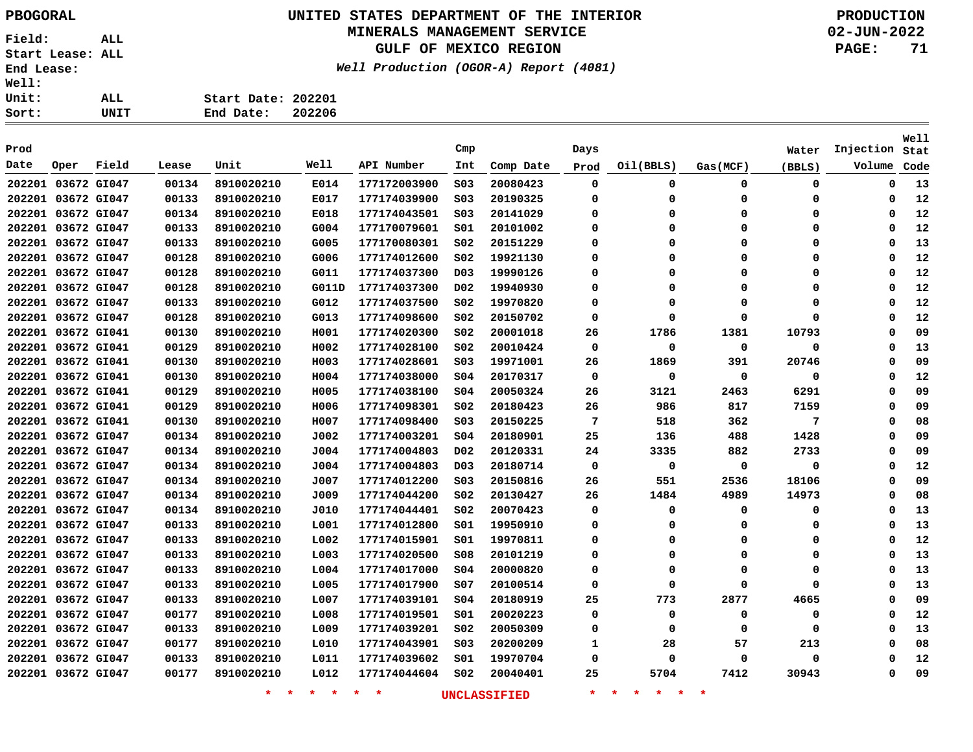## **UNITED STATES DEPARTMENT OF THE INTERIOR PBOGORAL PRODUCTION**

### **MINERALS MANAGEMENT SERVICE**

**GULF OF MEXICO REGION**

**Well Production (OGOR-A) Report (4081)**

| ALL. | Start Date: 202201 |  |
|------|--------------------|--|
| UNIT | End Date: 202206   |  |
|      |                    |  |

| Prod               |             |       |                    |                 |                    |              | Cmp                 |           | Days                                     |           |             | Water       | Injection | Well<br>Stat |
|--------------------|-------------|-------|--------------------|-----------------|--------------------|--------------|---------------------|-----------|------------------------------------------|-----------|-------------|-------------|-----------|--------------|
| Date               | Oper        | Field | Lease              | Unit            | Well               | API Number   | Int                 | Comp Date | Prod                                     | Oil(BBLS) | Gas(MCF)    | (BBLS)      | Volume    | Code         |
| 202201 03672 GI047 |             |       | 00134              | 8910020210      | E014               | 177172003900 | SO <sub>3</sub>     | 20080423  | 0                                        | 0         | 0           | 0           | 0         | 13           |
| 202201 03672 GI047 |             |       | 00133              | 8910020210      | E017               | 177174039900 | SO <sub>3</sub>     | 20190325  | 0                                        | 0         | 0           | $\mathbf 0$ | 0         | 12           |
| 202201 03672 GI047 |             |       | 00134              | 8910020210      | E018               | 177174043501 | SO <sub>3</sub>     | 20141029  | 0                                        | 0         | 0           | $\mathbf 0$ | 0         | 12           |
| 202201 03672 GI047 |             |       | 00133              | 8910020210      | G004               | 177170079601 | SO1                 | 20101002  | 0                                        | 0         | 0           | $\Omega$    | $\Omega$  | 12           |
| 202201 03672 GI047 |             |       | 00133              | 8910020210      | G005               | 177170080301 | S02                 | 20151229  | $\Omega$                                 | 0         | 0           | 0           | $\Omega$  | 13           |
| 202201 03672 GI047 |             |       | 00128              | 8910020210      | G006               | 177174012600 | S02                 | 19921130  | 0                                        | 0         | 0           | 0           | 0         | 12           |
| 202201 03672 GI047 |             |       | 00128              | 8910020210      | G011               | 177174037300 | D <sub>0</sub> 3    | 19990126  | 0                                        | 0         | 0           | 0           | 0         | 12           |
| 202201 03672 GI047 |             |       | 00128              | 8910020210      | G011D              | 177174037300 | DO <sub>2</sub>     | 19940930  | 0                                        | 0         | 0           | $\Omega$    | 0         | 12           |
| 202201 03672 GI047 |             |       | 00133              | 8910020210      | G012               | 177174037500 | S02                 | 19970820  | 0                                        | 0         | 0           | $\Omega$    | 0         | 12           |
| 202201 03672 GI047 |             |       | 00128              | 8910020210      | G013               | 177174098600 | SO <sub>2</sub>     | 20150702  | $\Omega$                                 | 0         | $\mathbf 0$ | $\Omega$    | 0         | 12           |
| 202201 03672 GI041 |             |       | 00130              | 8910020210      | H001               | 177174020300 | SO <sub>2</sub>     | 20001018  | 26                                       | 1786      | 1381        | 10793       | 0         | 09           |
| 202201 03672 GI041 |             |       | 00129              | 8910020210      | H002               | 177174028100 | S02                 | 20010424  | 0                                        | 0         | 0           | 0           | 0         | 13           |
| 202201 03672 GI041 |             |       | 00130              | 8910020210      | H003               | 177174028601 | S03                 | 19971001  | 26                                       | 1869      | 391         | 20746       | 0         | 09           |
| 202201 03672 GI041 |             |       | 00130              | 8910020210      | H004               | 177174038000 | SO <sub>4</sub>     | 20170317  | 0                                        | 0         | 0           | 0           | 0         | 12           |
| 202201 03672 GI041 |             |       | 00129              | 8910020210      | H005               | 177174038100 | SO <sub>4</sub>     | 20050324  | 26                                       | 3121      | 2463        | 6291        | 0         | 09           |
| 202201 03672 GI041 |             |       | 00129              | 8910020210      | H006               | 177174098301 | SO <sub>2</sub>     | 20180423  | 26                                       | 986       | 817         | 7159        | 0         | 09           |
| 202201 03672 GI041 |             |       | 00130              | 8910020210      | H007               | 177174098400 | S03                 | 20150225  | 7                                        | 518       | 362         | 7           | 0         | 08           |
| 202201 03672 GI047 |             |       | 00134              | 8910020210      | J002               | 177174003201 | S04                 | 20180901  | 25                                       | 136       | 488         | 1428        | 0         | 09           |
| 202201 03672 GI047 |             |       | 00134              | 8910020210      | J004               | 177174004803 | D <sub>0</sub> 2    | 20120331  | 24                                       | 3335      | 882         | 2733        | 0         | 09           |
| 202201 03672 GI047 |             |       | 00134              | 8910020210      | J004               | 177174004803 | D <sub>0</sub> 3    | 20180714  | 0                                        | 0         | 0           | 0           | 0         | 12           |
| 202201 03672 GI047 |             |       | 00134              | 8910020210      | J007               | 177174012200 | SO <sub>3</sub>     | 20150816  | 26                                       | 551       | 2536        | 18106       | 0         | 09           |
| 202201 03672 GI047 |             |       | 00134              | 8910020210      | J009               | 177174044200 | S02                 | 20130427  | 26                                       | 1484      | 4989        | 14973       | $\Omega$  | 08           |
| 202201 03672 GI047 |             |       | 00134              | 8910020210      | J010               | 177174044401 | SO <sub>2</sub>     | 20070423  | 0                                        | 0         | 0           | 0           | $\Omega$  | 13           |
| 202201 03672 GI047 |             |       | 00133              | 8910020210      | L001               | 177174012800 | S01                 | 19950910  | 0                                        | 0         | 0           | 0           | 0         | 13           |
| 202201 03672 GI047 |             |       | 00133              | 8910020210      | L002               | 177174015901 | 501                 | 19970811  | 0                                        | 0         | 0           | $\Omega$    | $\Omega$  | 12           |
| 202201 03672 GI047 |             |       | 00133              | 8910020210      | L003               | 177174020500 | 508                 | 20101219  | 0                                        | 0         | 0           | $\Omega$    | $\Omega$  | 13           |
| 202201 03672 GI047 |             |       | 00133              | 8910020210      | L004               | 177174017000 | S04                 | 20000820  | 0                                        | 0         | 0           | 0           | 0         | 13           |
| 202201 03672 GI047 |             |       | 00133              | 8910020210      | L005               | 177174017900 | SO7                 | 20100514  | 0                                        | 0         | 0           | $\Omega$    | 0         | 13           |
| 202201 03672 GI047 |             |       | 00133              | 8910020210      | L007               | 177174039101 | SO <sub>4</sub>     | 20180919  | 25                                       | 773       | 2877        | 4665        | 0         | 09           |
| 202201             | 03672 GI047 |       | 00177              | 8910020210      | L008               | 177174019501 | 501                 | 20020223  | 0                                        | 0         | 0           | $\mathbf 0$ | 0         | 12           |
| 202201 03672 GI047 |             |       | 00133              | 8910020210      | L009               | 177174039201 | SO <sub>2</sub>     | 20050309  | 0                                        | 0         | 0           | $\Omega$    | 0         | 13           |
| 202201 03672 GI047 |             |       | 00177              | 8910020210      | L010               | 177174043901 | SO <sub>3</sub>     | 20200209  | 1                                        | 28        | 57          | 213         | 0         | 08           |
| 202201 03672 GI047 |             |       | 00133              | 8910020210      | L011               | 177174039602 | S01                 | 19970704  | 0                                        | 0         | 0           | $\mathbf 0$ | $\Omega$  | 12           |
| 202201 03672 GI047 |             |       | 00177              | 8910020210      | L012               | 177174044604 | SO <sub>2</sub>     | 20040401  | 25                                       | 5704      | 7412        | 30943       | 0         | 09           |
|                    |             |       | $\star$<br>$\star$ | $\star$ $\star$ | $\star$<br>$\star$ |              | <b>UNCLASSIFIED</b> | $\star$   | $\star$<br>$\star$<br>$\star$<br>$\star$ | $\star$   |             |             |           |              |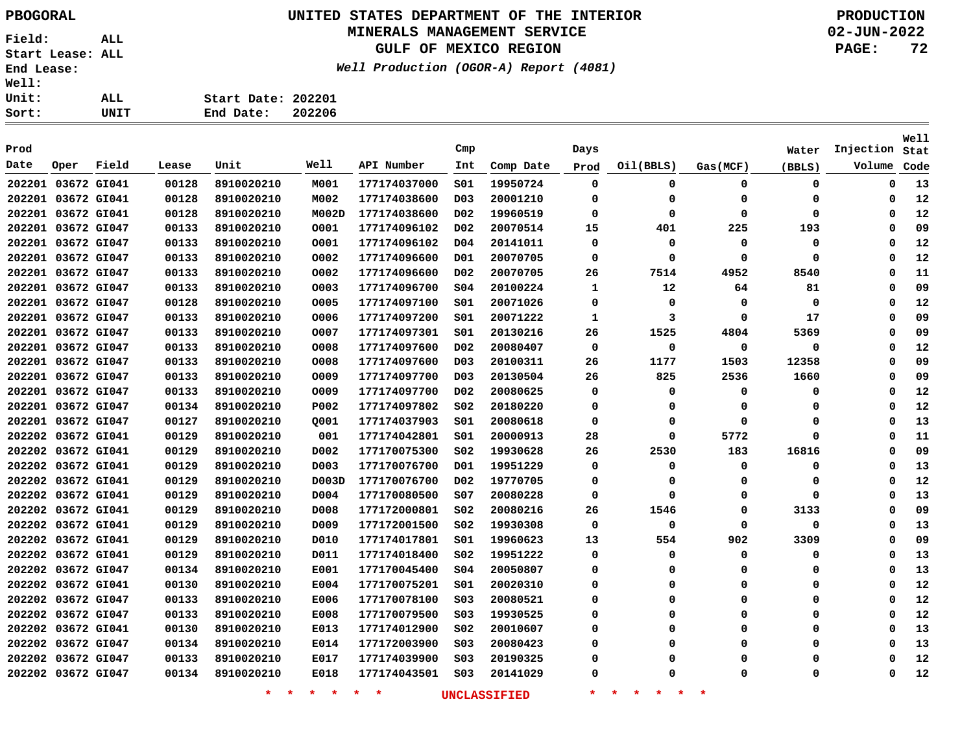## **UNITED STATES DEPARTMENT OF THE INTERIOR PBOGORAL PRODUCTION**

## **MINERALS MANAGEMENT SERVICE**

**GULF OF MEXICO REGION**

**Well Production (OGOR-A) Report (4081)**

| ALL. | Start Date: 202201 |        |
|------|--------------------|--------|
| UNIT | End Date:          | 202206 |

| Prod               |                    |             |                    |                 |                  |              | Cmp                 |           | Days                                     |           |             | Water  | Injection | Well<br>Stat |
|--------------------|--------------------|-------------|--------------------|-----------------|------------------|--------------|---------------------|-----------|------------------------------------------|-----------|-------------|--------|-----------|--------------|
| Date               | Oper               | Field       | Lease              | Unit            | Well             | API Number   | Int                 | Comp Date | Prod                                     | Oil(BBLS) | Gas(MCF)    | (BBLS) | Volume    | Code         |
| 202201 03672 GI041 |                    |             | 00128              | 8910020210      | M001             | 177174037000 | 501                 | 19950724  | $\mathbf 0$                              | 0         | $\mathbf 0$ | 0      | 0         | 13           |
|                    | 202201 03672 GI041 |             | 00128              | 8910020210      | M002             | 177174038600 | D <sub>0</sub> 3    | 20001210  | 0                                        | 0         | 0           | 0      | 0         | 12           |
|                    | 202201 03672 GI041 |             | 00128              | 8910020210      | M002D            | 177174038600 | D02                 | 19960519  | 0                                        | 0         | $\Omega$    | 0      | 0         | 12           |
|                    | 202201 03672 GI047 |             | 00133              | 8910020210      | 0001             | 177174096102 | D02                 | 20070514  | 15                                       | 401       | 225         | 193    | $\Omega$  | 09           |
|                    | 202201 03672 GI047 |             | 00133              | 8910020210      | 0001             | 177174096102 | D04                 | 20141011  | 0                                        | 0         | 0           | 0      | $\Omega$  | 12           |
|                    | 202201 03672 GI047 |             | 00133              | 8910020210      | 0002             | 177174096600 | D01                 | 20070705  | 0                                        | 0         | 0           | 0      | $\Omega$  | 12           |
|                    | 202201 03672 GI047 |             | 00133              | 8910020210      | 0002             | 177174096600 | D <sub>0</sub> 2    | 20070705  | 26                                       | 7514      | 4952        | 8540   | $\Omega$  | 11           |
| 202201             |                    | 03672 GI047 | 00133              | 8910020210      | 0003             | 177174096700 | SO <sub>4</sub>     | 20100224  | 1                                        | 12        | 64          | 81     | 0         | 09           |
| 202201             |                    | 03672 GI047 | 00128              | 8910020210      | 0005             | 177174097100 | S01                 | 20071026  | 0                                        | $\Omega$  | 0           | 0      | O         | 12           |
|                    | 202201 03672 GI047 |             | 00133              | 8910020210      | 0006             | 177174097200 | S01                 | 20071222  | 1                                        | 3         | 0           | 17     | $\Omega$  | 09           |
|                    | 202201 03672 GI047 |             | 00133              | 8910020210      | 0007             | 177174097301 | SO1                 | 20130216  | 26                                       | 1525      | 4804        | 5369   | 0         | 09           |
|                    | 202201 03672 GI047 |             | 00133              | 8910020210      | 0008             | 177174097600 | D <sub>0</sub> 2    | 20080407  | 0                                        | 0         | 0           | 0      | 0         | 12           |
|                    | 202201 03672 GI047 |             | 00133              | 8910020210      | 0008             | 177174097600 | D <sub>03</sub>     | 20100311  | 26                                       | 1177      | 1503        | 12358  | $\Omega$  | 09           |
|                    | 202201 03672 GI047 |             | 00133              | 8910020210      | 0009             | 177174097700 | D <sub>03</sub>     | 20130504  | 26                                       | 825       | 2536        | 1660   | $\Omega$  | 09           |
|                    | 202201 03672 GI047 |             | 00133              | 8910020210      | 0009             | 177174097700 | D02                 | 20080625  | 0                                        | 0         | $\Omega$    | 0      | $\Omega$  | 12           |
|                    | 202201 03672 GI047 |             | 00134              | 8910020210      | P002             | 177174097802 | SO <sub>2</sub>     | 20180220  | 0                                        | 0         | 0           | 0      | $\Omega$  | 12           |
| 202201             |                    | 03672 GI047 | 00127              | 8910020210      | Q001             | 177174037903 | SO1                 | 20080618  | 0                                        | 0         | 0           | 0      | 0         | 13           |
| 202202             |                    | 03672 GI041 | 00129              | 8910020210      | 001              | 177174042801 | S01                 | 20000913  | 28                                       | 0         | 5772        | 0      | 0         | 11           |
| 202202             |                    | 03672 GI041 | 00129              | 8910020210      | D002             | 177170075300 | S02                 | 19930628  | 26                                       | 2530      | 183         | 16816  | 0         | 09           |
| 202202             |                    | 03672 GI041 | 00129              | 8910020210      | D <sub>003</sub> | 177170076700 | D01                 | 19951229  | 0                                        | 0         | 0           | 0      | 0         | 13           |
| 202202 03672 GI041 |                    |             | 00129              | 8910020210      | D003D            | 177170076700 | D02                 | 19770705  | 0                                        | 0         | 0           | 0      | $\Omega$  | 12           |
| 202202 03672 GI041 |                    |             | 00129              | 8910020210      | D004             | 177170080500 | S07                 | 20080228  | 0                                        | 0         | 0           | 0      | 0         | 13           |
|                    | 202202 03672 GI041 |             | 00129              | 8910020210      | D008             | 177172000801 | S02                 | 20080216  | 26                                       | 1546      | $\Omega$    | 3133   | 0         | 09           |
|                    | 202202 03672 GI041 |             | 00129              | 8910020210      | D009             | 177172001500 | S02                 | 19930308  | 0                                        | 0         | $\Omega$    | 0      | 0         | 13           |
|                    | 202202 03672 GI041 |             | 00129              | 8910020210      | D010             | 177174017801 | S01                 | 19960623  | 13                                       | 554       | 902         | 3309   | $\Omega$  | 09           |
|                    | 202202 03672 GI041 |             | 00129              | 8910020210      | D011             | 177174018400 | S02                 | 19951222  | 0                                        | 0         | 0           | 0      | $\Omega$  | 13           |
|                    | 202202 03672 GI047 |             | 00134              | 8910020210      | E001             | 177170045400 | SO <sub>4</sub>     | 20050807  | 0                                        | 0         | 0           | 0      | $\Omega$  | 13           |
| 202202             |                    | 03672 GI041 | 00130              | 8910020210      | E004             | 177170075201 | S01                 | 20020310  | 0                                        | 0         | 0           | 0      | 0         | 12           |
| 202202             |                    | 03672 GI047 | 00133              | 8910020210      | E006             | 177170078100 | S03                 | 20080521  | 0                                        | 0         | 0           | 0      | 0         | 12           |
| 202202             |                    | 03672 GI047 | 00133              | 8910020210      | E008             | 177170079500 | SO <sub>3</sub>     | 19930525  | 0                                        | 0         | $\Omega$    | 0      | 0         | 12           |
|                    | 202202 03672 GI041 |             | 00130              | 8910020210      | E013             | 177174012900 | S02                 | 20010607  | 0                                        | 0         | $\Omega$    | 0      | 0         | 13           |
|                    | 202202 03672 GI047 |             | 00134              | 8910020210      | E014             | 177172003900 | S03                 | 20080423  | 0                                        | 0         | $\Omega$    | 0      | 0         | 13           |
|                    | 202202 03672 GI047 |             | 00133              | 8910020210      | E017             | 177174039900 | S03                 | 20190325  | 0                                        | 0         | $\Omega$    | 0      | 0         | 12           |
|                    | 202202 03672 GI047 |             | 00134              | 8910020210      | E018             | 177174043501 | S03                 | 20141029  | 0                                        | O         | $\Omega$    | 0      | 0         | 12           |
|                    |                    |             | $\star$<br>$\star$ | $\star$ $\star$ | $\star$<br>*     |              | <b>UNCLASSIFIED</b> | $\star$   | $\star$<br>$\star$<br>$\star$<br>$\star$ | $\ast$    |             |        |           |              |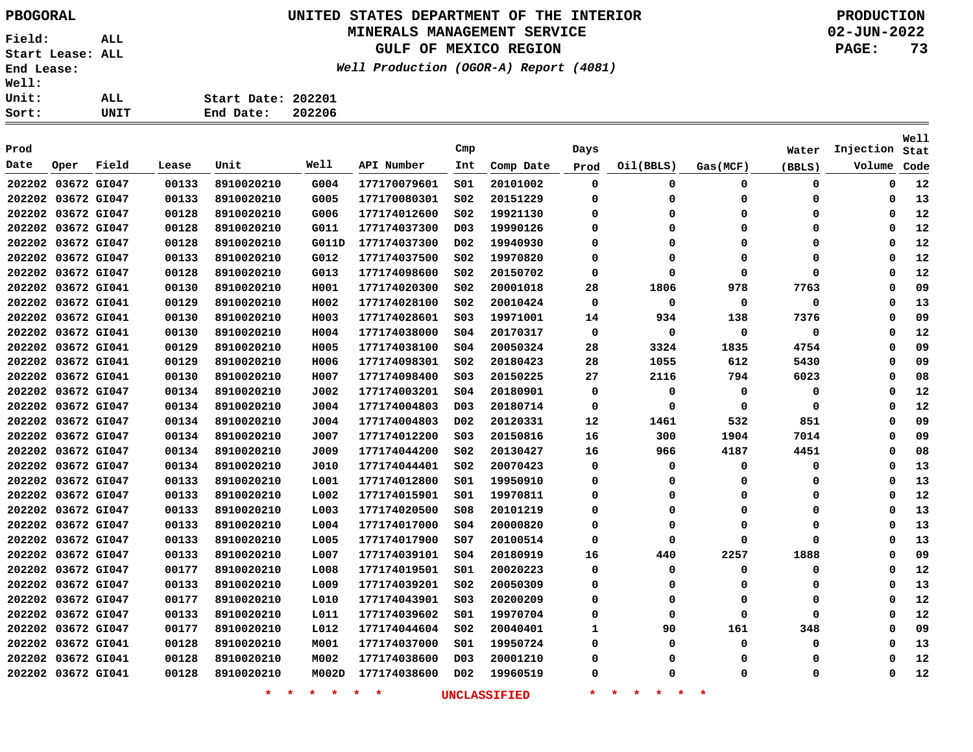# **UNITED STATES DEPARTMENT OF THE INTERIOR PBOGORAL PRODUCTION**

### **MINERALS MANAGEMENT SERVICE**

**GULF OF MEXICO REGION**

**Well Production (OGOR-A) Report (4081)**

| ALL. | Start Date: 202201 |  |
|------|--------------------|--|
| UNIT | End Date: 202206   |  |

| Prod               |             |       |       |                    |                 |              | Cmp              |                     | Days        |                                |          | Water    | Injection | Well<br>Stat |
|--------------------|-------------|-------|-------|--------------------|-----------------|--------------|------------------|---------------------|-------------|--------------------------------|----------|----------|-----------|--------------|
| Date               | Oper        | Field | Lease | Unit               | Well            | API Number   | Int              | Comp Date           | Prod        | Oil(BBLS)                      | Gas(MCF) | (BBLS)   | Volume    | Code         |
| 202202 03672 GI047 |             |       | 00133 | 8910020210         | G004            | 177170079601 | 501              | 20101002            | $\mathbf 0$ | 0                              | 0        | 0        | 0         | 12           |
| 202202 03672 GI047 |             |       | 00133 | 8910020210         | G005            | 177170080301 | SO <sub>2</sub>  | 20151229            | 0           | 0                              | $\Omega$ | 0        | 0         | 13           |
| 202202 03672 GI047 |             |       | 00128 | 8910020210         | G006            | 177174012600 | SO <sub>2</sub>  | 19921130            | $\Omega$    | $\Omega$                       | 0        | 0        | 0         | 12           |
| 202202 03672 GI047 |             |       | 00128 | 8910020210         | G011            | 177174037300 | D <sub>0</sub> 3 | 19990126            | $\Omega$    | $\Omega$                       | $\Omega$ | $\Omega$ | $\Omega$  | 12           |
| 202202 03672 GI047 |             |       | 00128 | 8910020210         | G011D           | 177174037300 | D <sub>0</sub> 2 | 19940930            | $\Omega$    | $\Omega$                       | $\Omega$ | $\Omega$ | $\Omega$  | 12           |
| 202202 03672 GI047 |             |       | 00133 | 8910020210         | G012            | 177174037500 | S02              | 19970820            | 0           | $\Omega$                       | 0        | 0        | $\Omega$  | 12           |
| 202202 03672 GI047 |             |       | 00128 | 8910020210         | G013            | 177174098600 | SO <sub>2</sub>  | 20150702            | 0           | 0                              | $\Omega$ | 0        | $\Omega$  | 12           |
| 202202 03672 GI041 |             |       | 00130 | 8910020210         | H001            | 177174020300 | S02              | 20001018            | 28          | 1806                           | 978      | 7763     | $\Omega$  | 09           |
| 202202 03672 GI041 |             |       | 00129 | 8910020210         | H002            | 177174028100 | S02              | 20010424            | 0           | 0                              | 0        | 0        | $\Omega$  | 13           |
| 202202 03672 GI041 |             |       | 00130 | 8910020210         | H003            | 177174028601 | S03              | 19971001            | 14          | 934                            | 138      | 7376     | 0         | 09           |
| 202202 03672 GI041 |             |       | 00130 | 8910020210         | H004            | 177174038000 | \$04             | 20170317            | $\mathbf 0$ | $\Omega$                       | $\Omega$ | 0        | 0         | 12           |
| 202202 03672 GI041 |             |       | 00129 | 8910020210         | H005            | 177174038100 | \$04             | 20050324            | 28          | 3324                           | 1835     | 4754     | $\Omega$  | 09           |
| 202202 03672 GI041 |             |       | 00129 | 8910020210         | H006            | 177174098301 | S02              | 20180423            | 28          | 1055                           | 612      | 5430     | 0         | 09           |
| 202202 03672 GI041 |             |       | 00130 | 8910020210         | H007            | 177174098400 | S03              | 20150225            | 27          | 2116                           | 794      | 6023     | $\Omega$  | 08           |
| 202202 03672 GI047 |             |       | 00134 | 8910020210         | J002            | 177174003201 | \$04             | 20180901            | 0           | 0                              | 0        | 0        | $\Omega$  | 12           |
| 202202 03672 GI047 |             |       | 00134 | 8910020210         | J004            | 177174004803 | D <sub>0</sub> 3 | 20180714            | 0           | 0                              | 0        | 0        | 0         | 12           |
| 202202 03672 GI047 |             |       | 00134 | 8910020210         | J004            | 177174004803 | D02              | 20120331            | 12          | 1461                           | 532      | 851      | 0         | 09           |
| 202202             | 03672 GI047 |       | 00134 | 8910020210         | J007            | 177174012200 | S03              | 20150816            | 16          | 300                            | 1904     | 7014     | 0         | 09           |
| 202202 03672 GI047 |             |       | 00134 | 8910020210         | J009            | 177174044200 | S02              | 20130427            | 16          | 966                            | 4187     | 4451     | 0         | 08           |
| 202202 03672 GI047 |             |       | 00134 | 8910020210         | J010            | 177174044401 | S02              | 20070423            | 0           | 0                              | 0        | 0        | 0         | 13           |
| 202202 03672 GI047 |             |       | 00133 | 8910020210         | L001            | 177174012800 | SO1              | 19950910            | 0           | 0                              | $\Omega$ | 0        | $\Omega$  | 13           |
| 202202 03672 GI047 |             |       | 00133 | 8910020210         | L002            | 177174015901 | S01              | 19970811            | 0           | 0                              | 0        | 0        | 0         | 12           |
| 202202 03672 GI047 |             |       | 00133 | 8910020210         | L003            | 177174020500 | S08              | 20101219            | 0           | 0                              | 0        | 0        | 0         | 13           |
| 202202 03672 GI047 |             |       | 00133 | 8910020210         | L004            | 177174017000 | S04              | 20000820            | 0           | 0                              | 0        | 0        | 0         | 13           |
| 202202 03672 GI047 |             |       | 00133 | 8910020210         | L005            | 177174017900 | s07              | 20100514            | 0           | $\Omega$                       | $\Omega$ | $\Omega$ | $\Omega$  | 13           |
| 202202 03672 GI047 |             |       | 00133 | 8910020210         | L007            | 177174039101 | 504              | 20180919            | 16          | 440                            | 2257     | 1888     | $\Omega$  | 09           |
| 202202 03672 GI047 |             |       | 00177 | 8910020210         | L008            | 177174019501 | S01              | 20020223            | 0           | 0                              | 0        | 0        | 0         | 12           |
| 202202 03672 GI047 |             |       | 00133 | 8910020210         | L009            | 177174039201 | S02              | 20050309            | 0           | 0                              | 0        | 0        | 0         | 13           |
| 202202             | 03672 GI047 |       | 00177 | 8910020210         | L010            | 177174043901 | SO <sub>3</sub>  | 20200209            | 0           | 0                              | 0        | 0        | 0         | 12           |
| 202202 03672 GI047 |             |       | 00133 | 8910020210         | L011            | 177174039602 | S01              | 19970704            | 0           | 0                              | 0        | 0        | 0         | 12           |
| 202202 03672 GI047 |             |       | 00177 | 8910020210         | L012            | 177174044604 | S02              | 20040401            | 1           | 90                             | 161      | 348      | 0         | 09           |
| 202202 03672 GI041 |             |       | 00128 | 8910020210         | M001            | 177174037000 | S01              | 19950724            | 0           | 0                              | 0        | 0        | 0         | 13           |
| 202202 03672 GI041 |             |       | 00128 | 8910020210         | M002            | 177174038600 | D03              | 20001210            | 0           | 0                              | $\Omega$ | 0        | 0         | 12           |
| 202202 03672 GI041 |             |       | 00128 | 8910020210         | M002D           | 177174038600 | D02              | 19960519            | 0           | 0                              | $\Omega$ | 0        | 0         | 12           |
|                    |             |       |       | $\star$<br>$\star$ | $\star$ $\star$ | $\star$<br>* |                  | <b>UNCLASSIFIED</b> | $\star$     | 一大<br>一大<br>$\star$<br>$\star$ | $\ast$   |          |           |              |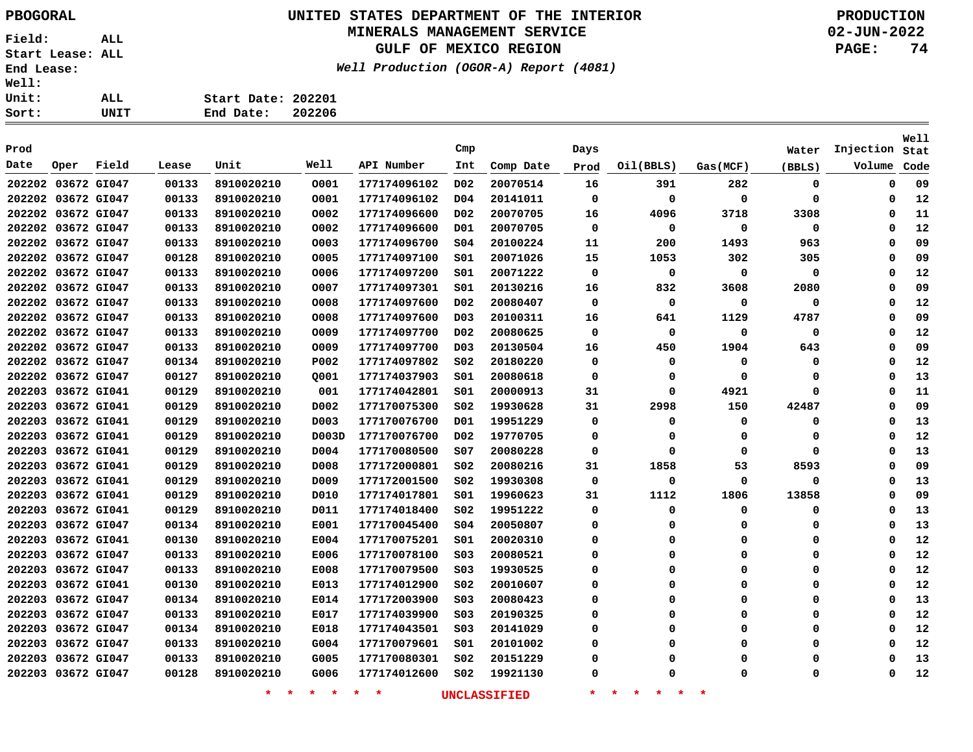# **UNITED STATES DEPARTMENT OF THE INTERIOR PBOGORAL PRODUCTION**

### **MINERALS MANAGEMENT SERVICE**

**GULF OF MEXICO REGION**

**Well Production (OGOR-A) Report (4081)**

| ALL. | Start Date: 202201 |        |
|------|--------------------|--------|
| UNIT | End Date:          | 202206 |

| Prod   |                    |       |       |                    |                 |              | Cmp              |                     | Days        |                                     |             | Water    | Injection | Well<br>Stat |
|--------|--------------------|-------|-------|--------------------|-----------------|--------------|------------------|---------------------|-------------|-------------------------------------|-------------|----------|-----------|--------------|
| Date   | Oper               | Field | Lease | Unit               | Well            | API Number   | Int              | Comp Date           | Prod        | Oil(BBLS)                           | Gas(MCF)    | (BBLS)   | Volume    | Code         |
|        | 202202 03672 GI047 |       | 00133 | 8910020210         | 0001            | 177174096102 | D <sub>0</sub> 2 | 20070514            | 16          | 391                                 | 282         | 0        | 0         | 09           |
|        | 202202 03672 GI047 |       | 00133 | 8910020210         | 0001            | 177174096102 | D <sub>04</sub>  | 20141011            | 0           | 0                                   | $\Omega$    | 0        | 0         | 12           |
|        | 202202 03672 GI047 |       | 00133 | 8910020210         | 0002            | 177174096600 | D02              | 20070705            | 16          | 4096                                | 3718        | 3308     | 0         | 11           |
|        | 202202 03672 GI047 |       | 00133 | 8910020210         | 0002            | 177174096600 | D01              | 20070705            | $\Omega$    | $\mathbf 0$                         | $\mathbf 0$ | 0        | $\Omega$  | 12           |
|        | 202202 03672 GI047 |       | 00133 | 8910020210         | 0003            | 177174096700 | SO <sub>4</sub>  | 20100224            | 11          | 200                                 | 1493        | 963      | $\Omega$  | 09           |
|        | 202202 03672 GI047 |       | 00128 | 8910020210         | 0005            | 177174097100 | 501              | 20071026            | 15          | 1053                                | 302         | 305      | 0         | 09           |
|        | 202202 03672 GI047 |       | 00133 | 8910020210         | 0006            | 177174097200 | SO1              | 20071222            | 0           | 0                                   | 0           | 0        | 0         | 12           |
|        | 202202 03672 GI047 |       | 00133 | 8910020210         | 0007            | 177174097301 | 501              | 20130216            | 16          | 832                                 | 3608        | 2080     | 0         | 09           |
|        | 202202 03672 GI047 |       | 00133 | 8910020210         | 0008            | 177174097600 | D02              | 20080407            | 0           | 0                                   | 0           | 0        | $\Omega$  | 12           |
|        | 202202 03672 GI047 |       | 00133 | 8910020210         | 0008            | 177174097600 | D <sub>0</sub> 3 | 20100311            | 16          | 641                                 | 1129        | 4787     | $\Omega$  | 09           |
|        | 202202 03672 GI047 |       | 00133 | 8910020210         | 0009            | 177174097700 | D <sub>0</sub> 2 | 20080625            | $\mathbf 0$ | 0                                   | 0           | 0        | 0         | 12           |
|        | 202202 03672 GI047 |       | 00133 | 8910020210         | 0009            | 177174097700 | D <sub>0</sub> 3 | 20130504            | 16          | 450                                 | 1904        | 643      | $\Omega$  | 09           |
|        | 202202 03672 GI047 |       | 00134 | 8910020210         | P002            | 177174097802 | S02              | 20180220            | 0           | 0                                   | 0           | 0        | 0         | 12           |
|        | 202202 03672 GI047 |       | 00127 | 8910020210         | Q001            | 177174037903 | SO1              | 20080618            | 0           | 0                                   | $\Omega$    | $\Omega$ | $\Omega$  | 13           |
|        | 202203 03672 GI041 |       | 00129 | 8910020210         | 001             | 177174042801 | 501              | 20000913            | 31          | 0                                   | 4921        | 0        | $\Omega$  | 11           |
| 202203 | 03672 GI041        |       | 00129 | 8910020210         | D002            | 177170075300 | SO <sub>2</sub>  | 19930628            | 31          | 2998                                | 150         | 42487    | $\Omega$  | 09           |
| 202203 | 03672 GI041        |       | 00129 | 8910020210         | D003            | 177170076700 | D01              | 19951229            | 0           | 0                                   | 0           | 0        | 0         | 13           |
|        | 202203 03672 GI041 |       | 00129 | 8910020210         | D003D           | 177170076700 | D02              | 19770705            | 0           | 0                                   | 0           | 0        | 0         | 12           |
| 202203 | 03672 GI041        |       | 00129 | 8910020210         | D004            | 177170080500 | s07              | 20080228            | 0           | 0                                   | 0           | 0        | 0         | 13           |
| 202203 | 03672 GI041        |       | 00129 | 8910020210         | D008            | 177172000801 | S02              | 20080216            | 31          | 1858                                | 53          | 8593     | $\Omega$  | 09           |
|        | 202203 03672 GI041 |       | 00129 | 8910020210         | D009            | 177172001500 | SO <sub>2</sub>  | 19930308            | 0           | 0                                   | 0           | 0        | 0         | 13           |
|        | 202203 03672 GI041 |       | 00129 | 8910020210         | D010            | 177174017801 | S01              | 19960623            | 31          | 1112                                | 1806        | 13858    | 0         | 09           |
|        | 202203 03672 GI041 |       | 00129 | 8910020210         | D011            | 177174018400 | S02              | 19951222            | 0           | 0                                   | 0           | 0        | 0         | 13           |
|        | 202203 03672 GI047 |       | 00134 | 8910020210         | E001            | 177170045400 | SO <sub>4</sub>  | 20050807            | 0           | 0                                   | 0           | 0        | 0         | 13           |
|        | 202203 03672 GI041 |       | 00130 | 8910020210         | E004            | 177170075201 | S01              | 20020310            | 0           | $\Omega$                            | 0           | 0        | $\Omega$  | 12           |
| 202203 | 03672 GI047        |       | 00133 | 8910020210         | E006            | 177170078100 | SO <sub>3</sub>  | 20080521            | 0           | $\Omega$                            | 0           | 0        | $\Omega$  | 12           |
| 202203 | 03672 GI047        |       | 00133 | 8910020210         | E008            | 177170079500 | S03              | 19930525            | 0           | $\Omega$                            | 0           | 0        | 0         | 12           |
| 202203 | 03672 GI041        |       | 00130 | 8910020210         | E013            | 177174012900 | S02              | 20010607            | 0           | 0                                   | 0           | 0        | 0         | 12           |
| 202203 | 03672 GI047        |       | 00134 | 8910020210         | E014            | 177172003900 | S03              | 20080423            | 0           | 0                                   | 0           | 0        | 0         | 13           |
| 202203 | 03672 GI047        |       | 00133 | 8910020210         | E017            | 177174039900 | S03              | 20190325            | 0           | $\Omega$                            | $\Omega$    | 0        | 0         | 12           |
| 202203 | 03672 GI047        |       | 00134 | 8910020210         | E018            | 177174043501 | S03              | 20141029            | 0           | 0                                   | $\Omega$    | 0        | 0         | 12           |
| 202203 | 03672 GI047        |       | 00133 | 8910020210         | G004            | 177170079601 | S01              | 20101002            | 0           | 0                                   | $\Omega$    | 0        | 0         | 12           |
|        | 202203 03672 GI047 |       | 00133 | 8910020210         | G005            | 177170080301 | S02              | 20151229            | 0           | $\Omega$                            | $\Omega$    | 0        | 0         | 13           |
| 202203 | 03672 GI047        |       | 00128 | 8910020210         | G006            | 177174012600 | SO <sub>2</sub>  | 19921130            | $\Omega$    | n                                   | $\Omega$    | 0        | 0         | 12           |
|        |                    |       |       | $\star$<br>$\star$ | $\star$ $\star$ | $\star$<br>* |                  | <b>UNCLASSIFIED</b> | $\star$     | 一大<br>$\star$<br>$\star$<br>$\star$ | $\ast$      |          |           |              |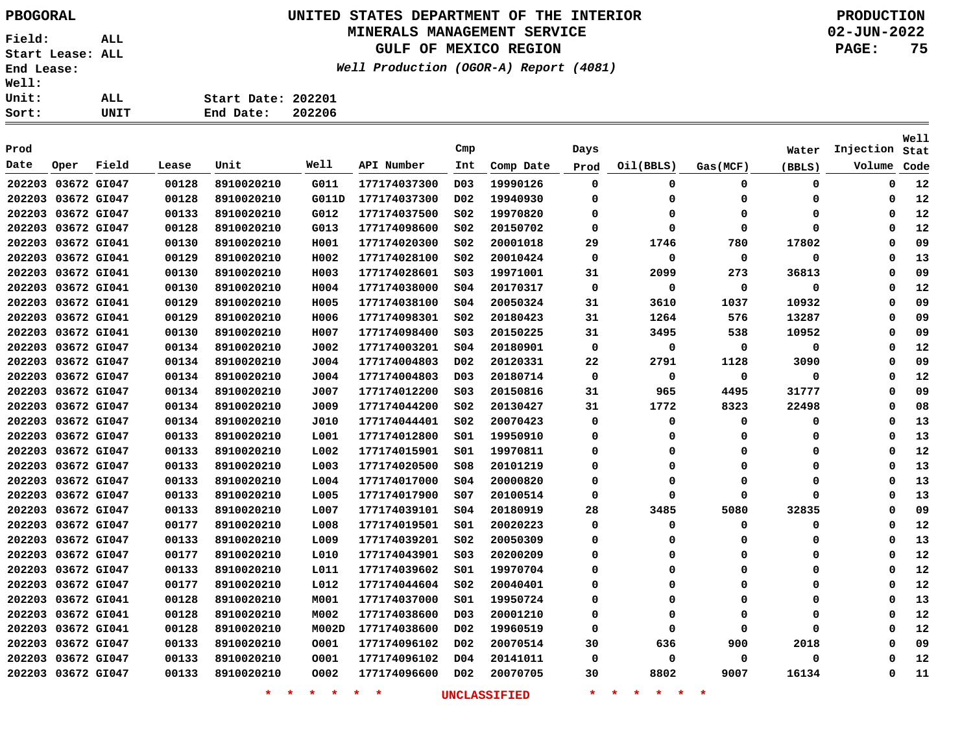# **UNITED STATES DEPARTMENT OF THE INTERIOR PBOGORAL PRODUCTION**

### **MINERALS MANAGEMENT SERVICE**

**GULF OF MEXICO REGION**

**Well Production (OGOR-A) Report (4081)**

| ALL. | Start Date: 202201 |  |
|------|--------------------|--|
| UNIT | End Date: 202206   |  |

| Prod               |             |       |       |                    |                 |              | Cmp              |                     | Days        |                                          |          | Water       | Injection | <b>Well</b><br>Stat |
|--------------------|-------------|-------|-------|--------------------|-----------------|--------------|------------------|---------------------|-------------|------------------------------------------|----------|-------------|-----------|---------------------|
| Date               | Oper        | Field | Lease | Unit               | Well            | API Number   | Int              | Comp Date           | Prod        | Oil(BBLS)                                | Gas(MCF) | (BBLS)      | Volume    | Code                |
| 202203 03672 GI047 |             |       | 00128 | 8910020210         | G011            | 177174037300 | D <sub>0</sub> 3 | 19990126            | $\mathbf 0$ | 0                                        | 0        | 0           | 0         | 12                  |
| 202203 03672 GI047 |             |       | 00128 | 8910020210         | G011D           | 177174037300 | D02              | 19940930            | 0           | $\Omega$                                 | $\Omega$ | 0           | 0         | 12                  |
| 202203 03672 GI047 |             |       | 00133 | 8910020210         | G012            | 177174037500 | S02              | 19970820            | $\Omega$    | $\Omega$                                 | $\Omega$ | 0           | $\Omega$  | 12                  |
| 202203 03672 GI047 |             |       | 00128 | 8910020210         | G013            | 177174098600 | S02              | 20150702            | $\Omega$    | O                                        | $\Omega$ | $\mathbf 0$ | 0         | 12                  |
| 202203 03672 GI041 |             |       | 00130 | 8910020210         | H001            | 177174020300 | SO <sub>2</sub>  | 20001018            | 29          | 1746                                     | 780      | 17802       | 0         | 09                  |
| 202203 03672 GI041 |             |       | 00129 | 8910020210         | H002            | 177174028100 | S02              | 20010424            | 0           | $\Omega$                                 | 0        | 0           | 0         | 13                  |
| 202203             | 03672 GI041 |       | 00130 | 8910020210         | H003            | 177174028601 | SO <sub>3</sub>  | 19971001            | 31          | 2099                                     | 273      | 36813       | 0         | 09                  |
| 202203 03672 GI041 |             |       | 00130 | 8910020210         | H004            | 177174038000 | S04              | 20170317            | 0           | $\Omega$                                 | 0        | 0           | 0         | 12                  |
| 202203             | 03672 GI041 |       | 00129 | 8910020210         | H005            | 177174038100 | S04              | 20050324            | 31          | 3610                                     | 1037     | 10932       | 0         | 09                  |
| 202203 03672 GI041 |             |       | 00129 | 8910020210         | H006            | 177174098301 | S02              | 20180423            | 31          | 1264                                     | 576      | 13287       | 0         | 09                  |
| 202203             | 03672 GI041 |       | 00130 | 8910020210         | H007            | 177174098400 | SO <sub>3</sub>  | 20150225            | 31          | 3495                                     | 538      | 10952       | 0         | 09                  |
| 202203             | 03672 GI047 |       | 00134 | 8910020210         | J002            | 177174003201 | SO <sub>4</sub>  | 20180901            | 0           | 0                                        | 0        | 0           | 0         | 12                  |
| 202203 03672 GI047 |             |       | 00134 | 8910020210         | J004            | 177174004803 | D02              | 20120331            | 22          | 2791                                     | 1128     | 3090        | 0         | 09                  |
| 202203             | 03672 GI047 |       | 00134 | 8910020210         | J004            | 177174004803 | D <sub>0</sub> 3 | 20180714            | 0           | 0                                        | 0        | 0           | 0         | 12                  |
| 202203 03672 GI047 |             |       | 00134 | 8910020210         | J007            | 177174012200 | S03              | 20150816            | 31          | 965                                      | 4495     | 31777       | 0         | 09                  |
| 202203 03672 GI047 |             |       | 00134 | 8910020210         | J009            | 177174044200 | SO <sub>2</sub>  | 20130427            | 31          | 1772                                     | 8323     | 22498       | 0         | 08                  |
| 202203             | 03672 GI047 |       | 00134 | 8910020210         | J010            | 177174044401 | SO <sub>2</sub>  | 20070423            | $\Omega$    | $\Omega$                                 | $\Omega$ | 0           | 0         | 13                  |
| 202203 03672 GI047 |             |       | 00133 | 8910020210         | L001            | 177174012800 | S01              | 19950910            | 0           | 0                                        | $\Omega$ | 0           | 0         | 13                  |
| 202203             | 03672 GI047 |       | 00133 | 8910020210         | L002            | 177174015901 | S01              | 19970811            | 0           | $\Omega$                                 | $\Omega$ | 0           | 0         | 12                  |
| 202203             | 03672 GI047 |       | 00133 | 8910020210         | L003            | 177174020500 | S08              | 20101219            | 0           | 0                                        | $\Omega$ | 0           | 0         | 13                  |
| 202203             | 03672 GI047 |       | 00133 | 8910020210         | L004            | 177174017000 | 504              | 20000820            | $\Omega$    | $\Omega$                                 | $\Omega$ | 0           | 0         | 13                  |
| 202203             | 03672 GI047 |       | 00133 | 8910020210         | L005            | 177174017900 | s07              | 20100514            | 0           | $\Omega$                                 | $\Omega$ | 0           | 0         | 13                  |
| 202203             | 03672 GI047 |       | 00133 | 8910020210         | L007            | 177174039101 | 504              | 20180919            | 28          | 3485                                     | 5080     | 32835       | 0         | 09                  |
| 202203 03672 GI047 |             |       | 00177 | 8910020210         | L008            | 177174019501 | S01              | 20020223            | 0           | $\Omega$                                 | 0        | 0           | 0         | 12                  |
| 202203 03672 GI047 |             |       | 00133 | 8910020210         | L009            | 177174039201 | S02              | 20050309            | 0           | 0                                        | $\Omega$ | 0           | 0         | 13                  |
| 202203 03672 GI047 |             |       | 00177 | 8910020210         | L010            | 177174043901 | SO <sub>3</sub>  | 20200209            | 0           | $\Omega$                                 | $\Omega$ | 0           | 0         | 12                  |
| 202203 03672 GI047 |             |       | 00133 | 8910020210         | L011            | 177174039602 | S01              | 19970704            | $\Omega$    | $\Omega$                                 | $\Omega$ | 0           | 0         | 12                  |
| 202203 03672 GI047 |             |       | 00177 | 8910020210         | L012            | 177174044604 | S02              | 20040401            | 0           | 0                                        | $\Omega$ | 0           | 0         | 12                  |
| 202203             | 03672 GI041 |       | 00128 | 8910020210         | M001            | 177174037000 | S01              | 19950724            | 0           | 0                                        | $\Omega$ | 0           | 0         | 13                  |
| 202203             | 03672 GI041 |       | 00128 | 8910020210         | M002            | 177174038600 | D03              | 20001210            | $\Omega$    | 0                                        | $\Omega$ | 0           | 0         | 12                  |
| 202203             | 03672 GI041 |       | 00128 | 8910020210         | M002D           | 177174038600 | D02              | 19960519            | $\Omega$    | 0                                        | $\Omega$ | $\mathbf 0$ | 0         | 12                  |
| 202203             | 03672 GI047 |       | 00133 | 8910020210         | 0001            | 177174096102 | D02              | 20070514            | 30          | 636                                      | 900      | 2018        | 0         | 09                  |
| 202203 03672 GI047 |             |       | 00133 | 8910020210         | 0001            | 177174096102 | D04              | 20141011            | 0           | 0                                        | 0        | 0           | 0         | 12                  |
| 202203             | 03672 GI047 |       | 00133 | 8910020210         | 0002            | 177174096600 | D <sub>0</sub> 2 | 20070705            | 30          | 8802                                     | 9007     | 16134       | 0         | 11                  |
|                    |             |       |       | $\star$<br>$\star$ | $\star$ $\star$ | $\star$<br>* |                  | <b>UNCLASSIFIED</b> | $\star$     | $\star$<br>$\star$<br>$\star$<br>$\star$ | $\star$  |             |           |                     |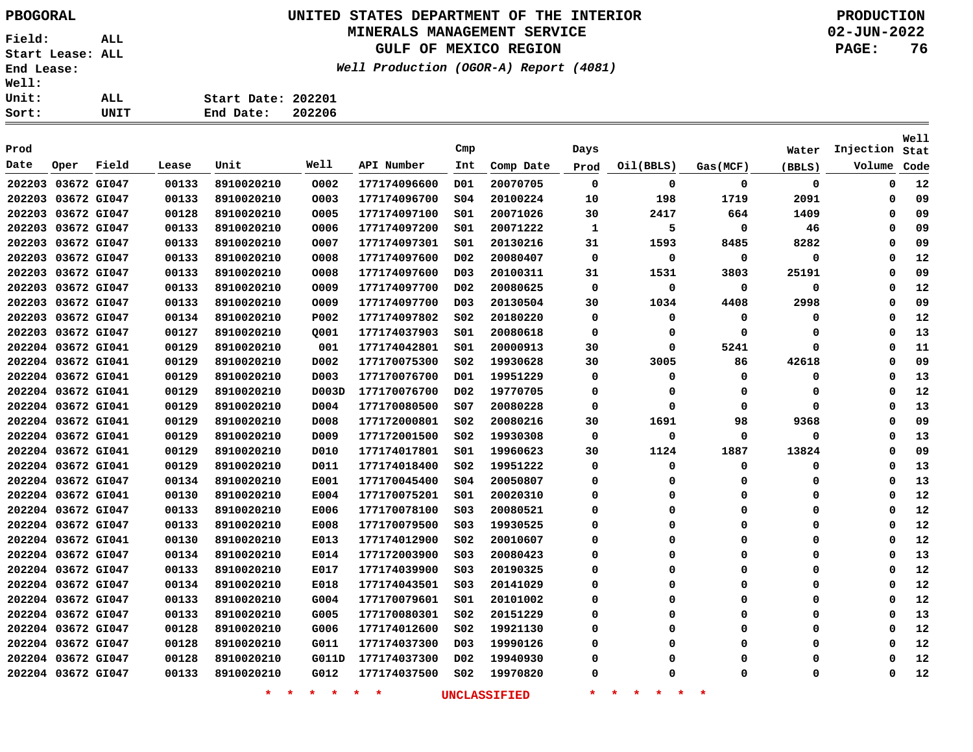# **UNITED STATES DEPARTMENT OF THE INTERIOR PBOGORAL PRODUCTION**

### **MINERALS MANAGEMENT SERVICE**

**GULF OF MEXICO REGION**

**Well Production (OGOR-A) Report (4081)**

| ALL. | Start Date: 202201 |  |
|------|--------------------|--|
| UNIT | End Date: 202206   |  |
|      |                    |  |

| Prod   |                    |             |       |                    |                 |                    | Cmp              |                     | Days    |                                          |          | Water    | Injection | Well<br>Stat |
|--------|--------------------|-------------|-------|--------------------|-----------------|--------------------|------------------|---------------------|---------|------------------------------------------|----------|----------|-----------|--------------|
| Date   | Oper               | Field       | Lease | Unit               | Well            | API Number         | Int              | Comp Date           | Prod    | Oil(BBLS)                                | Gas(MCF) | (BBLS)   | Volume    | Code         |
|        | 202203 03672 GI047 |             | 00133 | 8910020210         | 0002            | 177174096600       | D01              | 20070705            | 0       | 0                                        | 0        | 0        | 0         | 12           |
| 202203 | 03672 GI047        |             | 00133 | 8910020210         | 0003            | 177174096700       | SO <sub>4</sub>  | 20100224            | 10      | 198                                      | 1719     | 2091     | 0         | 09           |
|        | 202203 03672 GI047 |             | 00128 | 8910020210         | 0005            | 177174097100       | S01              | 20071026            | 30      | 2417                                     | 664      | 1409     | 0         | 09           |
| 202203 | 03672 GI047        |             | 00133 | 8910020210         | 0006            | 177174097200       | S01              | 20071222            | 1       | 5                                        | 0        | 46       | 0         | 09           |
| 202203 |                    | 03672 GI047 | 00133 | 8910020210         | 0007            | 177174097301       | SO1              | 20130216            | 31      | 1593                                     | 8485     | 8282     | 0         | 09           |
| 202203 | 03672 GI047        |             | 00133 | 8910020210         | 0008            | 177174097600       | D <sub>0</sub> 2 | 20080407            | 0       | 0                                        | 0        | 0        | 0         | 12           |
| 202203 | 03672 GI047        |             | 00133 | 8910020210         | 0008            | 177174097600       | D <sub>0</sub> 3 | 20100311            | 31      | 1531                                     | 3803     | 25191    | 0         | 09           |
|        | 202203 03672 GI047 |             | 00133 | 8910020210         | 0009            | 177174097700       | D <sub>0</sub> 2 | 20080625            | 0       | 0                                        | 0        | 0        | 0         | 12           |
|        | 202203 03672 GI047 |             | 00133 | 8910020210         | 0009            | 177174097700       | D <sub>0</sub> 3 | 20130504            | 30      | 1034                                     | 4408     | 2998     | 0         | 09           |
|        | 202203 03672 GI047 |             | 00134 | 8910020210         | P002            | 177174097802       | SO <sub>2</sub>  | 20180220            | 0       | 0                                        | 0        | 0        | 0         | 12           |
|        | 202203 03672 GI047 |             | 00127 | 8910020210         | Q001            | 177174037903       | SO1              | 20080618            | 0       | 0                                        | $\Omega$ | O        | 0         | 13           |
|        | 202204 03672 GI041 |             | 00129 | 8910020210         | 001             | 177174042801       | SO1              | 20000913            | 30      | 0                                        | 5241     | $\Omega$ | 0         | 11           |
|        | 202204 03672 GI041 |             | 00129 | 8910020210         | D002            | 177170075300       | S02              | 19930628            | 30      | 3005                                     | 86       | 42618    | $\Omega$  | 09           |
|        | 202204 03672 GI041 |             | 00129 | 8910020210         | D003            | 177170076700       | D01              | 19951229            | 0       | 0                                        | 0        | $\Omega$ | 0         | 13           |
|        | 202204 03672 GI041 |             | 00129 | 8910020210         | D003D           | 177170076700       | D <sub>02</sub>  | 19770705            | 0       | 0                                        | 0        | 0        | 0         | 12           |
|        | 202204 03672 GI041 |             | 00129 | 8910020210         | D004            | 177170080500       | SO7              | 20080228            | 0       | 0                                        | 0        | 0        | 0         | 13           |
|        | 202204 03672 GI041 |             | 00129 | 8910020210         | D008            | 177172000801       | SO <sub>2</sub>  | 20080216            | 30      | 1691                                     | 98       | 9368     | 0         | 09           |
|        | 202204 03672 GI041 |             | 00129 | 8910020210         | D009            | 177172001500       | S02              | 19930308            | 0       | 0                                        | 0        | 0        | 0         | 13           |
|        | 202204 03672 GI041 |             | 00129 | 8910020210         | D010            | 177174017801       | S01              | 19960623            | 30      | 1124                                     | 1887     | 13824    | 0         | 09           |
|        | 202204 03672 GI041 |             | 00129 | 8910020210         | D011            | 177174018400       | S02              | 19951222            | 0       | 0                                        | 0        | 0        | 0         | 13           |
|        | 202204 03672 GI047 |             | 00134 | 8910020210         | E001            | 177170045400       | SO <sub>4</sub>  | 20050807            | 0       | 0                                        | 0        | 0        | 0         | 13           |
|        | 202204 03672 GI041 |             | 00130 | 8910020210         | E004            | 177170075201       | SO1              | 20020310            | 0       | 0                                        | 0        | 0        | 0         | 12           |
|        | 202204 03672 GI047 |             | 00133 | 8910020210         | E006            | 177170078100       | SO <sub>3</sub>  | 20080521            | 0       | 0                                        | 0        | 0        | 0         | 12           |
|        | 202204 03672 GI047 |             | 00133 | 8910020210         | E008            | 177170079500       | SO <sub>3</sub>  | 19930525            | 0       | 0                                        | 0        | 0        | 0         | 12           |
|        | 202204 03672 GI041 |             | 00130 | 8910020210         | E013            | 177174012900       | SO <sub>2</sub>  | 20010607            | 0       | 0                                        | 0        | 0        | 0         | 12           |
|        | 202204 03672 GI047 |             | 00134 | 8910020210         | E014            | 177172003900       | SO <sub>3</sub>  | 20080423            | 0       | 0                                        | 0        | 0        | 0         | 13           |
|        | 202204 03672 GI047 |             | 00133 | 8910020210         | E017            | 177174039900       | SO <sub>3</sub>  | 20190325            | 0       | 0                                        | $\Omega$ | 0        | 0         | 12           |
|        | 202204 03672 GI047 |             | 00134 | 8910020210         | E018            | 177174043501       | S03              | 20141029            | 0       | 0                                        | $\Omega$ | $\Omega$ | 0         | 12           |
|        | 202204 03672 GI047 |             | 00133 | 8910020210         | G004            | 177170079601       | SO1              | 20101002            | 0       | 0                                        | $\Omega$ | $\Omega$ | 0         | 12           |
|        | 202204 03672 GI047 |             | 00133 | 8910020210         | G005            | 177170080301       | S02              | 20151229            | 0       | 0                                        | 0        | $\Omega$ | 0         | 13           |
|        | 202204 03672 GI047 |             | 00128 | 8910020210         | G006            | 177174012600       | S02              | 19921130            | 0       | 0                                        | $\Omega$ | $\Omega$ | 0         | 12           |
|        | 202204 03672 GI047 |             | 00128 | 8910020210         | G011            | 177174037300       | DO3              | 19990126            | 0       | 0                                        | 0        | $\Omega$ | 0         | 12           |
|        | 202204 03672 GI047 |             | 00128 | 8910020210         | G011D           | 177174037300       | D02              | 19940930            | 0       | 0                                        | 0        | $\Omega$ | 0         | 12           |
|        | 202204 03672 GI047 |             | 00133 | 8910020210         | G012            | 177174037500       | SO <sub>2</sub>  | 19970820            | 0       | 0                                        | $\Omega$ | O        | 0         | 12           |
|        |                    |             |       | $\star$<br>$\star$ | $\star$ $\star$ | $\star$<br>$\star$ |                  | <b>UNCLASSIFIED</b> | $\star$ | $\star$<br>$\star$<br>$\star$<br>$\star$ | $\star$  |          |           |              |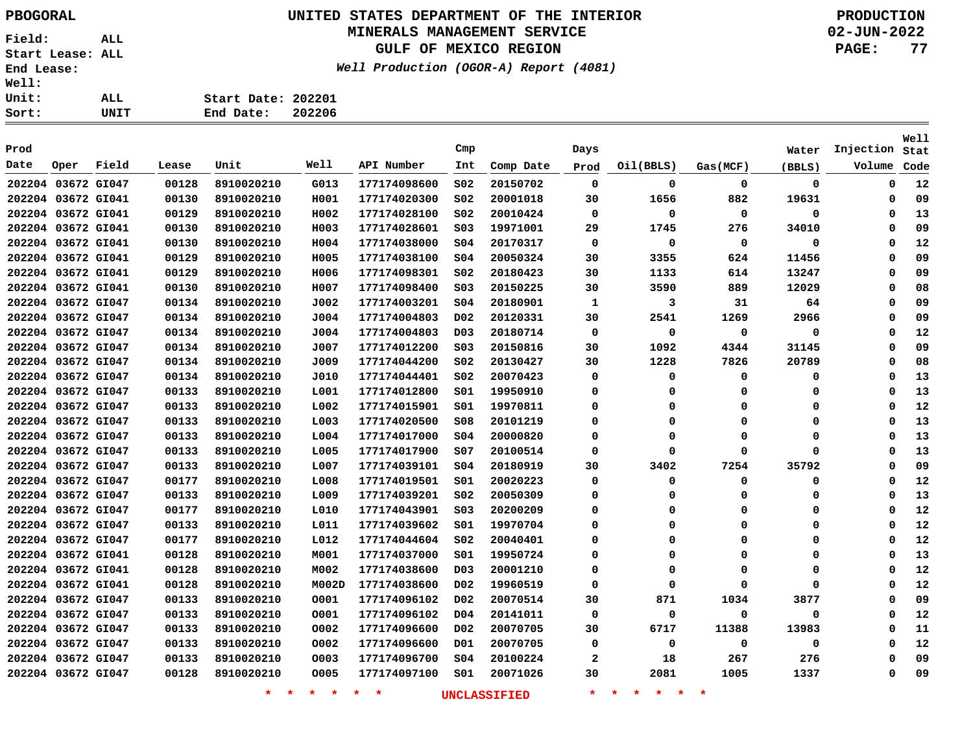# **UNITED STATES DEPARTMENT OF THE INTERIOR PBOGORAL PRODUCTION**

### **MINERALS MANAGEMENT SERVICE**

**GULF OF MEXICO REGION**

**Well Production (OGOR-A) Report (4081)**

| Sort:        | UNIT | End Date:          | 202206 |
|--------------|------|--------------------|--------|
| <b>Unit:</b> | ALL  | Start Date: 202201 |        |
| <b>Well:</b> |      |                    |        |

| Prod               |      |       |       |                    |                 |              | Cmp              |              | Days         |                                     |             | Water       | Injection   | <b>Well</b><br>Stat |
|--------------------|------|-------|-------|--------------------|-----------------|--------------|------------------|--------------|--------------|-------------------------------------|-------------|-------------|-------------|---------------------|
| Date               | Oper | Field | Lease | Unit               | Well            | API Number   | Int              | Comp Date    | Prod         | Oil(BBLS)                           | Gas(MCF)    | (BBLS)      | Volume      | Code                |
| 202204 03672 GI047 |      |       | 00128 | 8910020210         | G013            | 177174098600 | SO <sub>2</sub>  | 20150702     | $\mathbf 0$  | 0                                   | $\mathbf 0$ | 0           | 0           | 12                  |
| 202204 03672 GI041 |      |       | 00130 | 8910020210         | H001            | 177174020300 | SO <sub>2</sub>  | 20001018     | 30           | 1656                                | 882         | 19631       | 0           | 09                  |
| 202204 03672 GI041 |      |       | 00129 | 8910020210         | H002            | 177174028100 | S02              | 20010424     | 0            | 0                                   | 0           | 0           | 0           | 13                  |
| 202204 03672 GI041 |      |       | 00130 | 8910020210         | H003            | 177174028601 | SO <sub>3</sub>  | 19971001     | 29           | 1745                                | 276         | 34010       | $\Omega$    | 09                  |
| 202204 03672 GI041 |      |       | 00130 | 8910020210         | H004            | 177174038000 | SO <sub>4</sub>  | 20170317     | $\mathbf 0$  | $\Omega$                            | 0           | 0           | $\Omega$    | 12                  |
| 202204 03672 GI041 |      |       | 00129 | 8910020210         | H005            | 177174038100 | SO <sub>4</sub>  | 20050324     | 30           | 3355                                | 624         | 11456       | $\Omega$    | 09                  |
| 202204 03672 GI041 |      |       | 00129 | 8910020210         | H006            | 177174098301 | SO <sub>2</sub>  | 20180423     | 30           | 1133                                | 614         | 13247       | $\Omega$    | 09                  |
| 202204 03672 GI041 |      |       | 00130 | 8910020210         | H007            | 177174098400 | SO <sub>3</sub>  | 20150225     | 30           | 3590                                | 889         | 12029       | $\Omega$    | 08                  |
| 202204 03672 GI047 |      |       | 00134 | 8910020210         | J002            | 177174003201 | SO <sub>4</sub>  | 20180901     | 1            | 3                                   | 31          | 64          | $\Omega$    | 09                  |
| 202204 03672 GI047 |      |       | 00134 | 8910020210         | J004            | 177174004803 | D02              | 20120331     | 30           | 2541                                | 1269        | 2966        | $\Omega$    | 09                  |
| 202204 03672 GI047 |      |       | 00134 | 8910020210         | J004            | 177174004803 | D <sub>0</sub> 3 | 20180714     | 0            | 0                                   | 0           | 0           | 0           | 12                  |
| 202204 03672 GI047 |      |       | 00134 | 8910020210         | J007            | 177174012200 | S <sub>03</sub>  | 20150816     | 30           | 1092                                | 4344        | 31145       | $\Omega$    | 09                  |
| 202204 03672 GI047 |      |       | 00134 | 8910020210         | J009            | 177174044200 | S02              | 20130427     | 30           | 1228                                | 7826        | 20789       | $\Omega$    | 08                  |
| 202204 03672 GI047 |      |       | 00134 | 8910020210         | J010            | 177174044401 | S02              | 20070423     | 0            | 0                                   | 0           | 0           | $\Omega$    | 13                  |
| 202204 03672 GI047 |      |       | 00133 | 8910020210         | L001            | 177174012800 | s01              | 19950910     | 0            | $\Omega$                            | $\Omega$    | 0           | $\Omega$    | 13                  |
| 202204 03672 GI047 |      |       | 00133 | 8910020210         | L002            | 177174015901 | s01              | 19970811     | 0            | 0                                   | 0           | 0           | $\Omega$    | 12                  |
| 202204 03672 GI047 |      |       | 00133 | 8910020210         | L003            | 177174020500 | 508              | 20101219     | 0            | 0                                   | 0           | 0           | $\Omega$    | 13                  |
| 202204 03672 GI047 |      |       | 00133 | 8910020210         | L004            | 177174017000 | SO <sub>4</sub>  | 20000820     | 0            | 0                                   | 0           | 0           | 0           | 13                  |
| 202204 03672 GI047 |      |       | 00133 | 8910020210         | L005            | 177174017900 | S07              | 20100514     | 0            | O                                   | $\Omega$    | $\mathbf 0$ | 0           | 13                  |
| 202204 03672 GI047 |      |       | 00133 | 8910020210         | L007            | 177174039101 | SO <sub>4</sub>  | 20180919     | 30           | 3402                                | 7254        | 35792       | 0           | 09                  |
| 202204 03672 GI047 |      |       | 00177 | 8910020210         | L008            | 177174019501 | SO1              | 20020223     | 0            | $\Omega$                            | 0           | 0           | 0           | 12                  |
| 202204 03672 GI047 |      |       | 00133 | 8910020210         | L009            | 177174039201 | S02              | 20050309     | 0            | $\Omega$                            | 0           | 0           | 0           | 13                  |
| 202204 03672 GI047 |      |       | 00177 | 8910020210         | L010            | 177174043901 | S03              | 20200209     | 0            | $\Omega$                            | 0           | 0           | 0           | 12                  |
| 202204 03672 GI047 |      |       | 00133 | 8910020210         | L011            | 177174039602 | S01              | 19970704     | 0            | $\Omega$                            | 0           | 0           | 0           | 12                  |
| 202204 03672 GI047 |      |       | 00177 | 8910020210         | L012            | 177174044604 | S02              | 20040401     | $\Omega$     | $\Omega$                            | $\Omega$    | 0           | $\mathbf 0$ | 12                  |
| 202204 03672 GI041 |      |       | 00128 | 8910020210         | M001            | 177174037000 | 501              | 19950724     | 0            | $\Omega$                            | $\Omega$    | 0           | $\mathbf 0$ | 13                  |
| 202204 03672 GI041 |      |       | 00128 | 8910020210         | M002            | 177174038600 | D03              | 20001210     | 0            | $\Omega$                            | $\Omega$    | 0           | 0           | 12                  |
| 202204 03672 GI041 |      |       | 00128 | 8910020210         | M002D           | 177174038600 | D02              | 19960519     | 0            | $\Omega$                            | $\Omega$    | 0           | 0           | 12                  |
| 202204 03672 GI047 |      |       | 00133 | 8910020210         | 0001            | 177174096102 | D02              | 20070514     | 30           | 871                                 | 1034        | 3877        | 0           | 09                  |
| 202204 03672 GI047 |      |       | 00133 | 8910020210         | 0001            | 177174096102 | D04              | 20141011     | 0            | 0                                   | 0           | 0           | 0           | 12                  |
| 202204 03672 GI047 |      |       | 00133 | 8910020210         | 0002            | 177174096600 | DO <sub>2</sub>  | 20070705     | 30           | 6717                                | 11388       | 13983       | $\Omega$    | 11                  |
| 202204 03672 GI047 |      |       | 00133 | 8910020210         | 0002            | 177174096600 | D01              | 20070705     | 0            | $\Omega$                            | 0           | 0           | $\Omega$    | 12                  |
| 202204 03672 GI047 |      |       | 00133 | 8910020210         | 0003            | 177174096700 | SO <sub>4</sub>  | 20100224     | $\mathbf{2}$ | 18                                  | 267         | 276         | $\Omega$    | 09                  |
| 202204 03672 GI047 |      |       | 00128 | 8910020210         | 0005            | 177174097100 | S01              | 20071026     | 30           | 2081                                | 1005        | 1337        | $\Omega$    | 09                  |
|                    |      |       |       | $\star$<br>$\star$ | $\star$ $\star$ | $\star$<br>* |                  | UNCLASSIFIED | $\star$      | 一米<br>$\star$<br>$\star$<br>$\star$ | $\star$     |             |             |                     |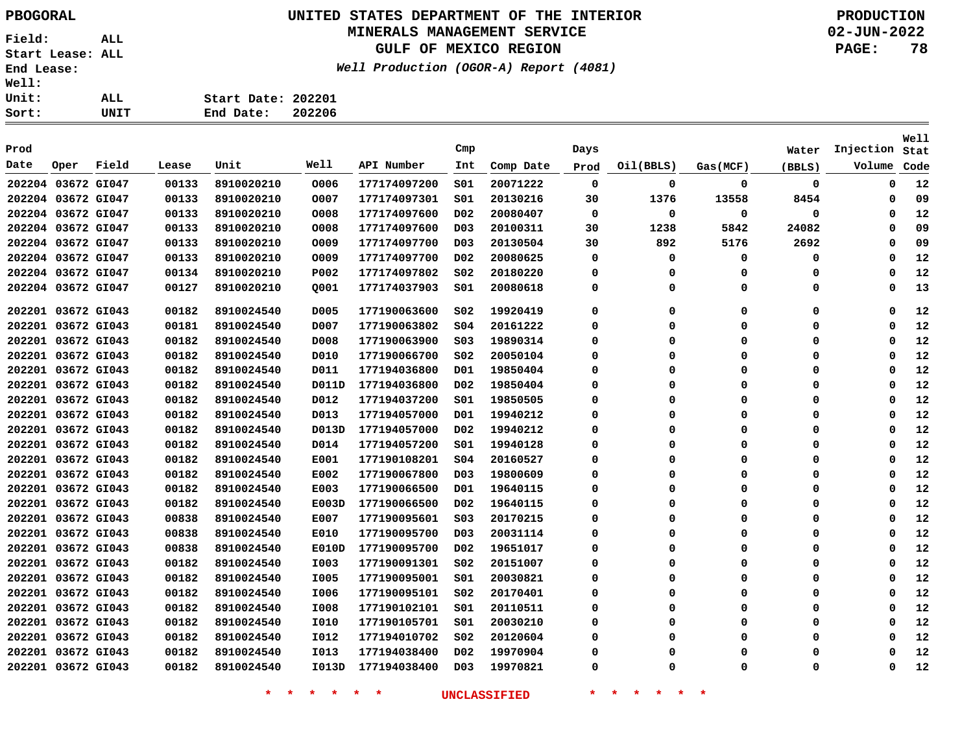# **UNITED STATES DEPARTMENT OF THE INTERIOR PBOGORAL PRODUCTION**

### **MINERALS MANAGEMENT SERVICE**

**GULF OF MEXICO REGION**

**Well Production (OGOR-A) Report (4081)**

**02-JUN-2022 PAGE: 78**

| ease: |             |                                        | Well Produc |
|-------|-------------|----------------------------------------|-------------|
|       | ALL<br>UNIT | Start Date: 202201<br>End Date: 202206 |             |
|       |             |                                        |             |

| Prod |                    |       |       |            |              |              | Cmp              |           | Days     |           |          | Water  | Injection   | Well<br>Stat |
|------|--------------------|-------|-------|------------|--------------|--------------|------------------|-----------|----------|-----------|----------|--------|-------------|--------------|
| Date | Oper               | Field | Lease | Unit       | Well         | API Number   | Int              | Comp Date | Prod     | Oil(BBLS) | Gas(MCF) | (BBLS) | Volume      | Code         |
|      | 202204 03672 GI047 |       | 00133 | 8910020210 | 0006         | 177174097200 | SO1              | 20071222  | 0        | 0         | 0        | 0      | 0           | 12           |
|      | 202204 03672 GI047 |       | 00133 | 8910020210 | 0007         | 177174097301 | SO1              | 20130216  | 30       | 1376      | 13558    | 8454   | 0           | 09           |
|      | 202204 03672 GI047 |       | 00133 | 8910020210 | 0008         | 177174097600 | D <sub>0</sub> 2 | 20080407  | 0        | 0         | 0        | 0      | 0           | 12           |
|      | 202204 03672 GI047 |       | 00133 | 8910020210 | 0008         | 177174097600 | D03              | 20100311  | 30       | 1238      | 5842     | 24082  | 0           | 09           |
|      | 202204 03672 GI047 |       | 00133 | 8910020210 | 0009         | 177174097700 | D <sub>0</sub> 3 | 20130504  | 30       | 892       | 5176     | 2692   | $\mathbf 0$ | 09           |
|      | 202204 03672 GI047 |       | 00133 | 8910020210 | 0009         | 177174097700 | D <sub>0</sub> 2 | 20080625  | 0        | 0         | 0        | 0      | 0           | 12           |
|      | 202204 03672 GI047 |       | 00134 | 8910020210 | P002         | 177174097802 | SO <sub>2</sub>  | 20180220  | 0        | 0         | 0        | 0      | 0           | 12           |
|      | 202204 03672 GI047 |       | 00127 | 8910020210 | Q001         | 177174037903 | SO1              | 20080618  | $\Omega$ | 0         | 0        | 0      | $\mathbf 0$ | 13           |
|      | 202201 03672 GI043 |       | 00182 | 8910024540 | D005         | 177190063600 | SO <sub>2</sub>  | 19920419  | 0        | 0         | 0        | 0      | 0           | 12           |
|      | 202201 03672 GI043 |       | 00181 | 8910024540 | D007         | 177190063802 | \$04             | 20161222  | 0        | 0         | 0        | 0      | 0           | 12           |
|      | 202201 03672 GI043 |       | 00182 | 8910024540 | D008         | 177190063900 | SO <sub>3</sub>  | 19890314  | $\Omega$ | $\Omega$  | 0        | 0      | $\mathbf 0$ | 12           |
|      | 202201 03672 GI043 |       | 00182 | 8910024540 | D010         | 177190066700 | SO <sub>2</sub>  | 20050104  | $\Omega$ | $\Omega$  | 0        | 0      | 0           | 12           |
|      | 202201 03672 GI043 |       | 00182 | 8910024540 | D011         | 177194036800 | D01              | 19850404  | 0        | 0         | 0        | 0      | 0           | 12           |
|      | 202201 03672 GI043 |       | 00182 | 8910024540 | <b>D011D</b> | 177194036800 | D <sub>0</sub> 2 | 19850404  | $\Omega$ | 0         | 0        | 0      | $\mathbf 0$ | 12           |
|      | 202201 03672 GI043 |       | 00182 | 8910024540 | D012         | 177194037200 | SO1              | 19850505  | 0        | 0         | 0        | 0      | 0           | 12           |
|      | 202201 03672 GI043 |       | 00182 | 8910024540 | D013         | 177194057000 | D01              | 19940212  | 0        | 0         | 0        | 0      | 0           | 12           |
|      | 202201 03672 GI043 |       | 00182 | 8910024540 | D013D        | 177194057000 | D02              | 19940212  | 0        | 0         | 0        | 0      | 0           | 12           |
|      | 202201 03672 GI043 |       | 00182 | 8910024540 | D014         | 177194057200 | SO1              | 19940128  | 0        | 0         | 0        | 0      | 0           | 12           |
|      | 202201 03672 GI043 |       | 00182 | 8910024540 | E001         | 177190108201 | SO <sub>4</sub>  | 20160527  | 0        | 0         | 0        | 0      | 0           | 12           |
|      | 202201 03672 GI043 |       | 00182 | 8910024540 | E002         | 177190067800 | D <sub>03</sub>  | 19800609  | 0        | 0         | 0        | 0      | 0           | 12           |
|      | 202201 03672 GI043 |       | 00182 | 8910024540 | E003         | 177190066500 | D01              | 19640115  | 0        | 0         | 0        | 0      | $\Omega$    | 12           |
|      | 202201 03672 GI043 |       | 00182 | 8910024540 | E003D        | 177190066500 | DO <sub>2</sub>  | 19640115  | 0        | 0         | 0        | 0      | 0           | 12           |
|      | 202201 03672 GI043 |       | 00838 | 8910024540 | E007         | 177190095601 | SO <sub>3</sub>  | 20170215  | 0        | 0         | 0        | 0      | 0           | 12           |
|      | 202201 03672 GI043 |       | 00838 | 8910024540 | E010         | 177190095700 | D <sub>0</sub> 3 | 20031114  | $\Omega$ | 0         | 0        | 0      | 0           | 12           |
|      | 202201 03672 GI043 |       | 00838 | 8910024540 | <b>E010D</b> | 177190095700 | D <sub>0</sub> 2 | 19651017  | $\Omega$ | 0         | 0        | 0      | 0           | 12           |
|      | 202201 03672 GI043 |       | 00182 | 8910024540 | I003         | 177190091301 | SO <sub>2</sub>  | 20151007  | 0        | 0         | 0        | 0      | 0           | 12           |
|      | 202201 03672 GI043 |       | 00182 | 8910024540 | <b>I005</b>  | 177190095001 | SO1              | 20030821  | 0        | 0         | 0        | 0      | $\Omega$    | 12           |
|      | 202201 03672 GI043 |       | 00182 | 8910024540 | I006         | 177190095101 | SO <sub>2</sub>  | 20170401  | $\Omega$ | 0         | 0        | 0      | $\mathbf 0$ | 12           |
|      | 202201 03672 GI043 |       | 00182 | 8910024540 | I008         | 177190102101 | SO1              | 20110511  | $\Omega$ | 0         | 0        | 0      | $\mathbf 0$ | 12           |
|      | 202201 03672 GI043 |       | 00182 | 8910024540 | I010         | 177190105701 | S01              | 20030210  | 0        | 0         | 0        | 0      | 0           | 12           |
|      | 202201 03672 GI043 |       | 00182 | 8910024540 | I012         | 177194010702 | SO <sub>2</sub>  | 20120604  | $\Omega$ | O         | 0        | 0      | $\Omega$    | 12           |
|      | 202201 03672 GI043 |       | 00182 | 8910024540 | I013         | 177194038400 | D <sub>0</sub> 2 | 19970904  | 0        | O         | 0        | 0      | $\mathbf 0$ | 12           |
|      | 202201 03672 GI043 |       | 00182 | 8910024540 | I013D        | 177194038400 | D <sub>0</sub> 3 | 19970821  | 0        | $\Omega$  | 0        | 0      | $\Omega$    | 12           |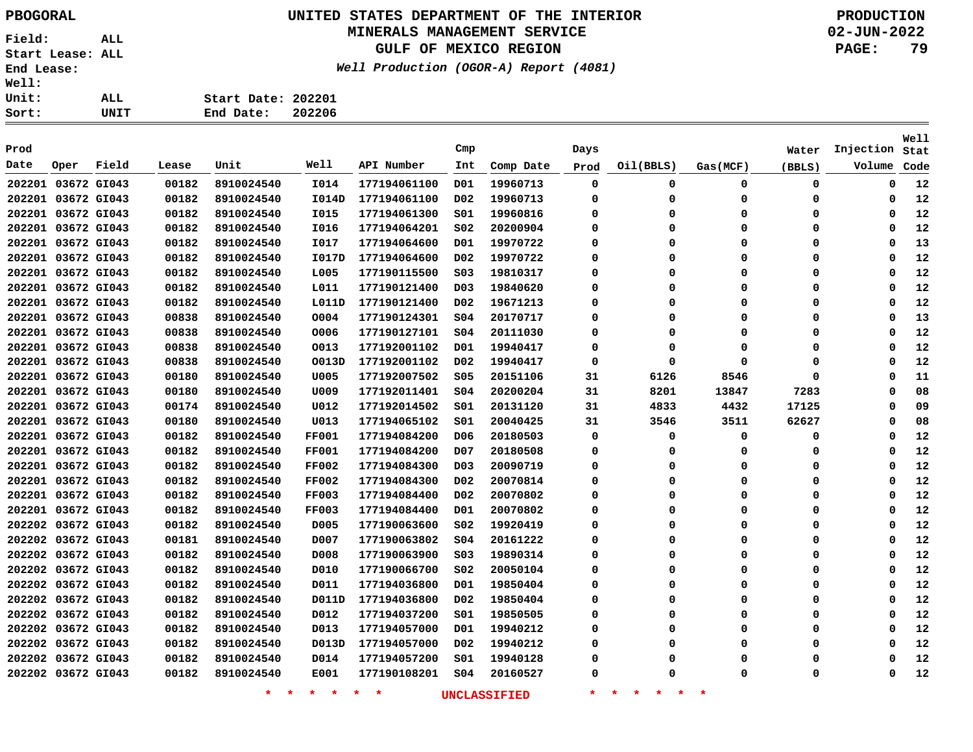### **UNITED STATES DEPARTMENT OF THE INTERIOR PBOGORAL PRODUCTION**

### **MINERALS MANAGEMENT SERVICE**

**GULF OF MEXICO REGION**

**Well Production (OGOR-A) Report (4081)**

**02-JUN-2022 PAGE: 79**

**Well**

|                    |  | Cmp |  |
|--------------------|--|-----|--|
| End Date: 202206   |  |     |  |
| Start Date: 202201 |  |     |  |
|                    |  |     |  |
|                    |  |     |  |

| Prod               |      |       |       |            |              |              | Cmp              |           | Days |           |          | Water  | Injection | Stat |
|--------------------|------|-------|-------|------------|--------------|--------------|------------------|-----------|------|-----------|----------|--------|-----------|------|
| Date               | Oper | Field | Lease | Unit       | Well         | API Number   | Int              | Comp Date | Prod | Oil(BBLS) | Gas(MCF) | (BBLS) | Volume    | Code |
| 202201 03672 GI043 |      |       | 00182 | 8910024540 | I014         | 177194061100 | D01              | 19960713  | 0    | 0         | 0        | 0      | 0         | 12   |
| 202201 03672 GI043 |      |       | 00182 | 8910024540 | I014D        | 177194061100 | D02              | 19960713  | 0    | 0         | 0        | 0      | 0         | 12   |
| 202201 03672 GI043 |      |       | 00182 | 8910024540 | <b>I015</b>  | 177194061300 | S01              | 19960816  | 0    | $\Omega$  | 0        | 0      | 0         | 12   |
| 202201 03672 GI043 |      |       | 00182 | 8910024540 | I016         | 177194064201 | SO <sub>2</sub>  | 20200904  | 0    | 0         | 0        | 0      | 0         | 12   |
| 202201 03672 GI043 |      |       | 00182 | 8910024540 | <b>I017</b>  | 177194064600 | D01              | 19970722  | 0    | $\Omega$  | $\Omega$ | 0      | 0         | 13   |
| 202201 03672 GI043 |      |       | 00182 | 8910024540 | I017D        | 177194064600 | D02              | 19970722  | 0    | $\Omega$  | 0        | 0      | 0         | 12   |
| 202201 03672 GI043 |      |       | 00182 | 8910024540 | L005         | 177190115500 | SO <sub>3</sub>  | 19810317  | 0    | $\Omega$  | 0        | 0      | 0         | 12   |
| 202201 03672 GI043 |      |       | 00182 | 8910024540 | L011         | 177190121400 | D <sub>0</sub> 3 | 19840620  | 0    | 0         | 0        | 0      | 0         | 12   |
| 202201 03672 GI043 |      |       | 00182 | 8910024540 | L011D        | 177190121400 | D02              | 19671213  | 0    | $\Omega$  | 0        | 0      | 0         | 12   |
| 202201 03672 GI043 |      |       | 00838 | 8910024540 | 0004         | 177190124301 | S04              | 20170717  | 0    | 0         | 0        | 0      | 0         | 13   |
| 202201 03672 GI043 |      |       | 00838 | 8910024540 | 0006         | 177190127101 | SO4              | 20111030  | 0    | $\Omega$  | 0        | 0      | 0         | 12   |
| 202201 03672 GI043 |      |       | 00838 | 8910024540 | 0013         | 177192001102 | D01              | 19940417  | 0    | 0         | 0        | 0      | 0         | 12   |
| 202201 03672 GI043 |      |       | 00838 | 8910024540 | 0013D        | 177192001102 | D02              | 19940417  | 0    | $\Omega$  | 0        | 0      | $\Omega$  | 12   |
| 202201 03672 GI043 |      |       | 00180 | 8910024540 | U005         | 177192007502 | \$05             | 20151106  | 31   | 6126      | 8546     | 0      | 0         | 11   |
| 202201 03672 GI043 |      |       | 00180 | 8910024540 | U009         | 177192011401 | SO <sub>4</sub>  | 20200204  | 31   | 8201      | 13847    | 7283   | 0         | 08   |
| 202201 03672 GI043 |      |       | 00174 | 8910024540 | U012         | 177192014502 | S01              | 20131120  | 31   | 4833      | 4432     | 17125  | 0         | 09   |
| 202201 03672 GI043 |      |       | 00180 | 8910024540 | U013         | 177194065102 | SO1              | 20040425  | 31   | 3546      | 3511     | 62627  | $\Omega$  | 08   |
| 202201 03672 GI043 |      |       | 00182 | 8910024540 | <b>FF001</b> | 177194084200 | D06              | 20180503  | 0    | 0         | 0        | 0      | 0         | 12   |
| 202201 03672 GI043 |      |       | 00182 | 8910024540 | <b>FF001</b> | 177194084200 | D <sub>0</sub> 7 | 20180508  | 0    | 0         | 0        | 0      | 0         | 12   |
| 202201 03672 GI043 |      |       | 00182 | 8910024540 | <b>FF002</b> | 177194084300 | D <sub>0</sub> 3 | 20090719  | 0    | 0         | 0        | 0      | 0         | 12   |
| 202201 03672 GI043 |      |       | 00182 | 8910024540 | <b>FF002</b> | 177194084300 | D <sub>0</sub> 2 | 20070814  | 0    | $\Omega$  | 0        | 0      | $\Omega$  | 12   |
| 202201 03672 GI043 |      |       | 00182 | 8910024540 | <b>FF003</b> | 177194084400 | D02              | 20070802  | 0    | $\Omega$  | $\Omega$ | 0      | $\Omega$  | 12   |
| 202201 03672 GI043 |      |       | 00182 | 8910024540 | <b>FF003</b> | 177194084400 | D01              | 20070802  | 0    | $\Omega$  | $\Omega$ | 0      | $\Omega$  | 12   |
| 202202 03672 GI043 |      |       | 00182 | 8910024540 | D005         | 177190063600 | SO <sub>2</sub>  | 19920419  | 0    | $\Omega$  | 0        | 0      | 0         | 12   |
| 202202 03672 GI043 |      |       | 00181 | 8910024540 | D007         | 177190063802 | SO <sub>4</sub>  | 20161222  | 0    | $\Omega$  | 0        | 0      | 0         | 12   |
| 202202 03672 GI043 |      |       | 00182 | 8910024540 | D008         | 177190063900 | SO <sub>3</sub>  | 19890314  | 0    | $\Omega$  | 0        | 0      | 0         | 12   |
| 202202 03672 GI043 |      |       | 00182 | 8910024540 | D010         | 177190066700 | SO <sub>2</sub>  | 20050104  | 0    | $\Omega$  | 0        | 0      | $\Omega$  | 12   |
| 202202 03672 GI043 |      |       | 00182 | 8910024540 | D011         | 177194036800 | D01              | 19850404  | 0    | $\Omega$  | 0        | 0      | 0         | 12   |
| 202202 03672 GI043 |      |       | 00182 | 8910024540 | D011D        | 177194036800 | D02              | 19850404  | 0    | $\Omega$  | 0        | 0      | $\Omega$  | 12   |
| 202202 03672 GI043 |      |       | 00182 | 8910024540 | D012         | 177194037200 | SO1              | 19850505  | 0    | $\Omega$  | 0        | 0      | 0         | 12   |
| 202202 03672 GI043 |      |       | 00182 | 8910024540 | D013         | 177194057000 | DO1              | 19940212  | 0    | $\Omega$  | 0        | 0      | $\Omega$  | 12   |
| 202202 03672 GI043 |      |       | 00182 | 8910024540 | D013D        | 177194057000 | D02              | 19940212  | 0    | $\Omega$  | $\Omega$ | 0      | $\Omega$  | 12   |
| 202202 03672 GI043 |      |       | 00182 | 8910024540 | D014         | 177194057200 | S01              | 19940128  | 0    | Ω         | ი        | 0      | ŋ         | 12   |
| 202202 03672 GI043 |      |       | 00182 | 8910024540 | E001         | 177190108201 | SO <sub>4</sub>  | 20160527  | 0    | $\Omega$  | 0        | 0      | 0         | 12   |
|                    |      |       |       |            |              |              |                  |           |      |           |          |        |           |      |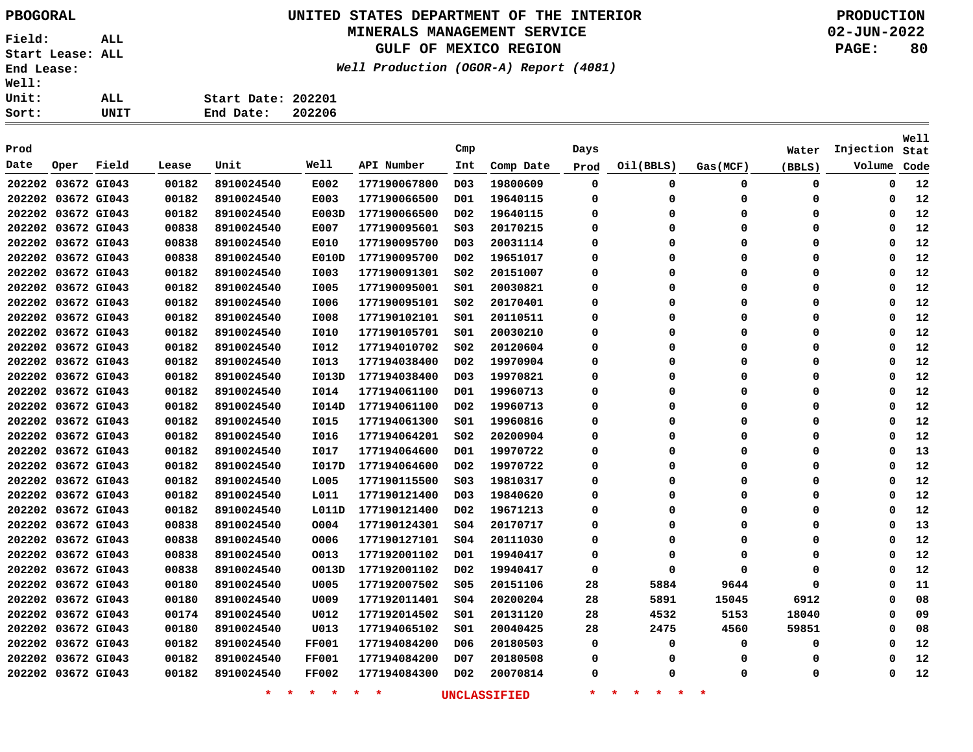## **UNITED STATES DEPARTMENT OF THE INTERIOR PBOGORAL PRODUCTION**

#### **MINERALS MANAGEMENT SERVICE**

**GULF OF MEXICO REGION**

**Well Production (OGOR-A) Report (4081)**

| Sort:        | UNIT | End Date:          | 202206 |  |
|--------------|------|--------------------|--------|--|
| Unit:        | ALL. | Start Date: 202201 |        |  |
| <b>Well:</b> |      |                    |        |  |

| Prod               |                    |       |       |                    |               |              | $\texttt{Cmp}$   |                     |          |                                |             |        |           | Well |
|--------------------|--------------------|-------|-------|--------------------|---------------|--------------|------------------|---------------------|----------|--------------------------------|-------------|--------|-----------|------|
|                    |                    |       |       |                    | Well          |              |                  |                     | Days     |                                |             | Water  | Injection | Stat |
| Date               | Oper               | Field | Lease | Unit               |               | API Number   | Int              | Comp Date           | Prod     | Oil(BBLS)                      | Gas(MCF)    | (BBLS) | Volume    | Code |
| 202202 03672 GI043 |                    |       | 00182 | 8910024540         | E002          | 177190067800 | D <sub>0</sub> 3 | 19800609            | 0        | 0                              | 0           | 0      | 0         | 12   |
| 202202 03672 GI043 |                    |       | 00182 | 8910024540         | E003          | 177190066500 | D01              | 19640115            | 0        | $\mathbf 0$                    | 0           | 0      | 0         | 12   |
| 202202 03672 GI043 |                    |       | 00182 | 8910024540         | E003D         | 177190066500 | D02              | 19640115            | 0        | 0                              | 0           | 0      | 0         | 12   |
| 202202 03672 GI043 |                    |       | 00838 | 8910024540         | E007          | 177190095601 | S03              | 20170215            | 0        | $\mathbf 0$                    | $\mathbf 0$ | 0      | 0         | 12   |
| 202202 03672 GI043 |                    |       | 00838 | 8910024540         | E010          | 177190095700 | D <sub>0</sub> 3 | 20031114            | 0        | 0                              | $\mathbf 0$ | 0      | 0         | 12   |
| 202202 03672 GI043 |                    |       | 00838 | 8910024540         | <b>E010D</b>  | 177190095700 | D02              | 19651017            | 0        | 0                              | $\mathbf 0$ | 0      | 0         | 12   |
| 202202 03672 GI043 |                    |       | 00182 | 8910024540         | I003          | 177190091301 | SO <sub>2</sub>  | 20151007            | 0        | 0                              | $\mathbf 0$ | 0      | 0         | 12   |
| 202202 03672 GI043 |                    |       | 00182 | 8910024540         | <b>I005</b>   | 177190095001 | SO1              | 20030821            | 0        | 0                              | $\mathbf 0$ | 0      | 0         | 12   |
| 202202 03672 GI043 |                    |       | 00182 | 8910024540         | I006          | 177190095101 | SO <sub>2</sub>  | 20170401            | 0        | 0                              | $\mathbf 0$ | 0      | 0         | 12   |
|                    | 202202 03672 GI043 |       | 00182 | 8910024540         | I008          | 177190102101 | SO1              | 20110511            | 0        | 0                              | $\mathbf 0$ | 0      | 0         | 12   |
|                    | 202202 03672 GI043 |       | 00182 | 8910024540         | I010          | 177190105701 | SO1              | 20030210            | $\Omega$ | 0                              | $\mathbf 0$ | 0      | $\Omega$  | 12   |
|                    | 202202 03672 GI043 |       | 00182 | 8910024540         | I012          | 177194010702 | SO <sub>2</sub>  | 20120604            | $\Omega$ | $\Omega$                       | $\mathbf 0$ | 0      | $\Omega$  | 12   |
|                    | 202202 03672 GI043 |       | 00182 | 8910024540         | I013          | 177194038400 | D <sub>0</sub> 2 | 19970904            | $\Omega$ | $\Omega$                       | $\Omega$    | 0      | $\Omega$  | 12   |
| 202202 03672 GI043 |                    |       | 00182 | 8910024540         | I013D         | 177194038400 | D <sub>0</sub> 3 | 19970821            | $\Omega$ | 0                              | $\mathbf 0$ | 0      | $\Omega$  | 12   |
| 202202 03672 GI043 |                    |       | 00182 | 8910024540         | <b>I014</b>   | 177194061100 | D01              | 19960713            | $\Omega$ | 0                              | $\mathbf 0$ | 0      | $\Omega$  | 12   |
| 202202 03672 GI043 |                    |       | 00182 | 8910024540         | I014D         | 177194061100 | D <sub>0</sub> 2 | 19960713            | 0        | 0                              | 0           | 0      | $\Omega$  | 12   |
| 202202 03672 GI043 |                    |       | 00182 | 8910024540         | I015          | 177194061300 | S01              | 19960816            | 0        | 0                              | 0           | 0      | 0         | 12   |
| 202202 03672 GI043 |                    |       | 00182 | 8910024540         | I016          | 177194064201 | S02              | 20200904            | 0        | 0                              | 0           | 0      | 0         | 12   |
| 202202 03672 GI043 |                    |       | 00182 | 8910024540         | I017          | 177194064600 | D01              | 19970722            | 0        | 0                              | 0           | 0      | 0         | 13   |
| 202202 03672 GI043 |                    |       | 00182 | 8910024540         | I017D         | 177194064600 | D02              | 19970722            | 0        | 0                              | 0           | 0      | 0         | 12   |
| 202202 03672 GI043 |                    |       | 00182 | 8910024540         | L005          | 177190115500 | SO <sub>3</sub>  | 19810317            | 0        | 0                              | $\mathbf 0$ | 0      | 0         | 12   |
| 202202 03672 GI043 |                    |       | 00182 | 8910024540         | L011          | 177190121400 | D <sub>0</sub> 3 | 19840620            | 0        | 0                              | $\mathbf 0$ | 0      | 0         | 12   |
| 202202 03672 GI043 |                    |       | 00182 | 8910024540         | L011D         | 177190121400 | D02              | 19671213            | 0        | $\mathbf 0$                    | $\mathbf 0$ | 0      | 0         | 12   |
| 202202 03672 GI043 |                    |       | 00838 | 8910024540         | 0004          | 177190124301 | SO <sub>4</sub>  | 20170717            | 0        | $\mathbf 0$                    | $\mathbf 0$ | 0      | 0         | 13   |
| 202202 03672 GI043 |                    |       | 00838 | 8910024540         | 0006          | 177190127101 | SO <sub>4</sub>  | 20111030            | 0        | $\Omega$                       | $\mathbf 0$ | 0      | 0         | 12   |
| 202202 03672 GI043 |                    |       | 00838 | 8910024540         | 0013          | 177192001102 | D01              | 19940417            | 0        | 0                              | $\mathbf 0$ | 0      | 0         | 12   |
| 202202 03672 GI043 |                    |       | 00838 | 8910024540         | O013D         | 177192001102 | D02              | 19940417            | $\Omega$ | 0                              | $\Omega$    | 0      | $\Omega$  | 12   |
| 202202 03672 GI043 |                    |       | 00180 | 8910024540         | U005          | 177192007502 | \$05             | 20151106            | 28       | 5884                           | 9644        | 0      | $\Omega$  | 11   |
| 202202 03672 GI043 |                    |       | 00180 | 8910024540         | U009          | 177192011401 | SO <sub>4</sub>  | 20200204            | 28       | 5891                           | 15045       | 6912   | $\Omega$  | 08   |
| 202202 03672 GI043 |                    |       | 00174 | 8910024540         | U012          | 177192014502 | SO1              | 20131120            | 28       | 4532                           | 5153        | 18040  | $\Omega$  | 09   |
|                    | 202202 03672 GI043 |       | 00180 | 8910024540         | U013          | 177194065102 | SO1              | 20040425            | 28       | 2475                           | 4560        | 59851  | 0         | 08   |
|                    | 202202 03672 GI043 |       | 00182 | 8910024540         | <b>FF001</b>  | 177194084200 | DO 6             | 20180503            | 0        | 0                              | 0           | 0      | $\Omega$  | 12   |
|                    | 202202 03672 GI043 |       | 00182 | 8910024540         | <b>FF001</b>  | 177194084200 | D07              | 20180508            | 0        | 0                              | 0           | 0      | $\Omega$  | 12   |
|                    | 202202 03672 GI043 |       | 00182 | 8910024540         | <b>FF002</b>  | 177194084300 | D <sub>0</sub> 2 | 20070814            | 0        | $\Omega$                       | 0           | 0      | O         | 12   |
|                    |                    |       |       | $\star$<br>$\star$ | $\star$<br>一大 | $*$ *        |                  | <b>UNCLASSIFIED</b> | $\ast$   | 一大<br>一大<br>$\star$<br>$\star$ | $\ast$      |        |           |      |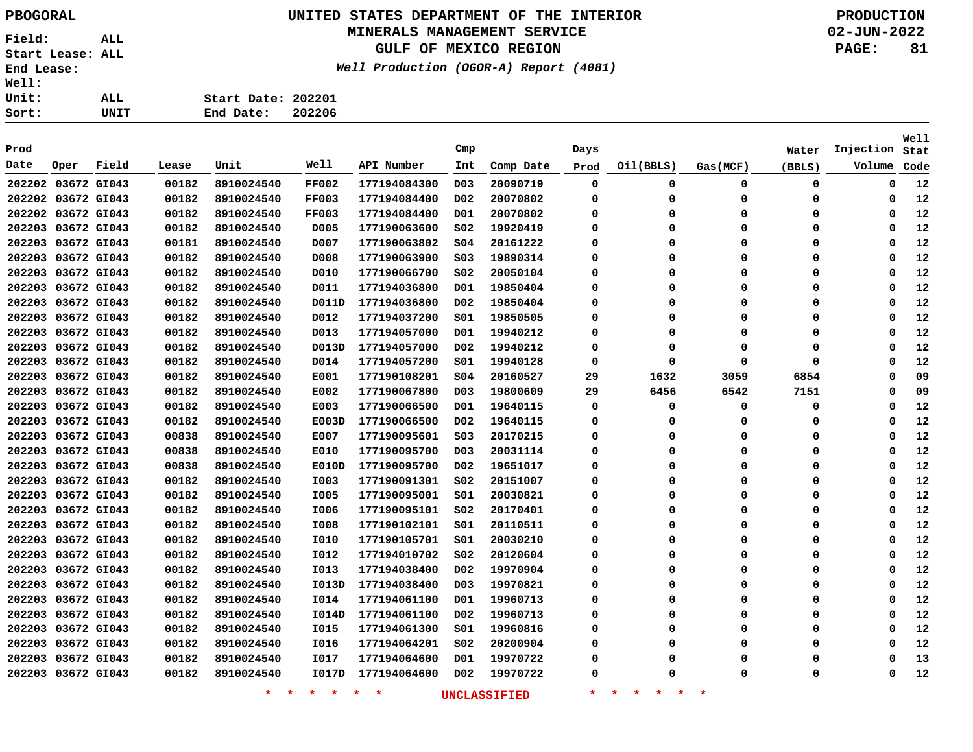# **UNITED STATES DEPARTMENT OF THE INTERIOR PBOGORAL PRODUCTION**

### **MINERALS MANAGEMENT SERVICE**

**GULF OF MEXICO REGION**

**Well Production (OGOR-A) Report (4081)**

| Sort:        | UNIT | 202206<br>End Date: |
|--------------|------|---------------------|
| Unit:        | ALL  | Start Date: 202201  |
| <b>Well:</b> |      |                     |

| Prod               |             |       |       |                   |                 |              | Cmp              |                     | Days        |                                          |          | Water  | Injection   | <b>Well</b><br>Stat |
|--------------------|-------------|-------|-------|-------------------|-----------------|--------------|------------------|---------------------|-------------|------------------------------------------|----------|--------|-------------|---------------------|
| Date               | Oper        | Field | Lease | Unit              | Well            | API Number   | Int              | Comp Date           | Prod        | Oil(BBLS)                                | Gas(MCF) | (BBLS) | Volume      | Code                |
| 202202 03672 GI043 |             |       | 00182 | 8910024540        | <b>FF002</b>    | 177194084300 | D <sub>0</sub> 3 | 20090719            | 0           | 0                                        | 0        | 0      | $\mathbf 0$ | 12                  |
| 202202 03672 GI043 |             |       | 00182 | 8910024540        | <b>FF003</b>    | 177194084400 | D <sub>0</sub> 2 | 20070802            | 0           | $\Omega$                                 | 0        | 0      | 0           | 12                  |
| 202202 03672 GI043 |             |       | 00182 | 8910024540        | <b>FF003</b>    | 177194084400 | D01              | 20070802            | 0           | $\Omega$                                 | 0        | 0      | 0           | 12                  |
| 202203 03672 GI043 |             |       | 00182 | 8910024540        | D005            | 177190063600 | S02              | 19920419            | 0           | $\Omega$                                 | $\Omega$ | 0      | $\mathbf 0$ | 12                  |
| 202203 03672 GI043 |             |       | 00181 | 8910024540        | D007            | 177190063802 | SO <sub>4</sub>  | 20161222            | $\Omega$    | $\Omega$                                 | $\Omega$ | 0      | 0           | 12                  |
| 202203 03672 GI043 |             |       | 00182 | 8910024540        | D008            | 177190063900 | S03              | 19890314            | 0           | $\Omega$                                 | 0        | 0      | $\Omega$    | 12                  |
| 202203 03672 GI043 |             |       | 00182 | 8910024540        | D010            | 177190066700 | SO <sub>2</sub>  | 20050104            | 0           | $\Omega$                                 | 0        | 0      | $\Omega$    | 12                  |
| 202203 03672 GI043 |             |       | 00182 | 8910024540        | D011            | 177194036800 | D01              | 19850404            | 0           | $\Omega$                                 | $\Omega$ | 0      | $\Omega$    | 12                  |
| 202203 03672 GI043 |             |       | 00182 | 8910024540        | D011D           | 177194036800 | D02              | 19850404            | $\Omega$    | $\Omega$                                 | $\Omega$ | 0      | $\Omega$    | 12                  |
| 202203 03672 GI043 |             |       | 00182 | 8910024540        | D012            | 177194037200 | S01              | 19850505            | 0           | $\Omega$                                 | $\Omega$ | 0      | $\Omega$    | 12                  |
| 202203 03672 GI043 |             |       | 00182 | 8910024540        | D013            | 177194057000 | D01              | 19940212            | 0           | $\Omega$                                 | $\Omega$ | 0      | $\Omega$    | 12                  |
| 202203 03672 GI043 |             |       | 00182 | 8910024540        | D013D           | 177194057000 | D02              | 19940212            | 0           | $\Omega$                                 | 0        | 0      | $\Omega$    | 12                  |
| 202203 03672 GI043 |             |       | 00182 | 8910024540        | D014            | 177194057200 | S01              | 19940128            | 0           | $\Omega$                                 | $\Omega$ | 0      | $\Omega$    | 12                  |
| 202203 03672 GI043 |             |       | 00182 | 8910024540        | E001            | 177190108201 | SO <sub>4</sub>  | 20160527            | 29          | 1632                                     | 3059     | 6854   | $\Omega$    | 09                  |
| 202203 03672 GI043 |             |       | 00182 | 8910024540        | E002            | 177190067800 | D03              | 19800609            | 29          | 6456                                     | 6542     | 7151   | $\Omega$    | 09                  |
| 202203             | 03672 GI043 |       | 00182 | 8910024540        | E003            | 177190066500 | D01              | 19640115            | $\mathbf 0$ | $\Omega$                                 | $\Omega$ | 0      | $\Omega$    | 12                  |
| 202203 03672 GI043 |             |       | 00182 | 8910024540        | E003D           | 177190066500 | D02              | 19640115            | 0           | $\Omega$                                 | 0        | 0      | $\Omega$    | 12                  |
| 202203 03672 GI043 |             |       | 00838 | 8910024540        | E007            | 177190095601 | S03              | 20170215            | 0           | 0                                        | 0        | 0      | 0           | 12                  |
| 202203 03672 GI043 |             |       | 00838 | 8910024540        | E010            | 177190095700 | D <sub>03</sub>  | 20031114            | 0           | 0                                        | 0        | 0      | 0           | 12                  |
| 202203 03672 GI043 |             |       | 00838 | 8910024540        | E010D           | 177190095700 | DO <sub>2</sub>  | 19651017            | 0           | 0                                        | 0        | 0      | 0           | 12                  |
| 202203             | 03672 GI043 |       | 00182 | 8910024540        | I003            | 177190091301 | S02              | 20151007            | 0           | $\Omega$                                 | 0        | 0      | 0           | 12                  |
| 202203 03672 GI043 |             |       | 00182 | 8910024540        | I005            | 177190095001 | S01              | 20030821            | 0           | $\Omega$                                 | 0        | 0      | 0           | 12                  |
| 202203 03672 GI043 |             |       | 00182 | 8910024540        | I006            | 177190095101 | S02              | 20170401            | 0           | $\Omega$                                 | 0        | 0      | 0           | 12                  |
| 202203 03672 GI043 |             |       | 00182 | 8910024540        | I008            | 177190102101 | S01              | 20110511            | 0           | $\Omega$                                 | 0        | 0      | 0           | 12                  |
| 202203 03672 GI043 |             |       | 00182 | 8910024540        | I010            | 177190105701 | 501              | 20030210            | $\Omega$    | $\Omega$                                 | $\Omega$ | 0      | $\mathbf 0$ | 12                  |
| 202203 03672 GI043 |             |       | 00182 | 8910024540        | I012            | 177194010702 | SO <sub>2</sub>  | 20120604            | 0           | $\Omega$                                 | $\Omega$ | 0      | 0           | 12                  |
| 202203 03672 GI043 |             |       | 00182 | 8910024540        | I013            | 177194038400 | D02              | 19970904            | 0           | $\Omega$                                 | 0        | 0      | 0           | 12                  |
| 202203 03672 GI043 |             |       | 00182 | 8910024540        | I013D           | 177194038400 | D03              | 19970821            | 0           | $\Omega$                                 | $\Omega$ | 0      | 0           | 12                  |
| 202203 03672 GI043 |             |       | 00182 | 8910024540        | I014            | 177194061100 | D01              | 19960713            | 0           | $\Omega$                                 | $\Omega$ | 0      | 0           | 12                  |
| 202203 03672 GI043 |             |       | 00182 | 8910024540        | I014D           | 177194061100 | D02              | 19960713            | 0           | $\Omega$                                 | $\Omega$ | 0      | 0           | 12                  |
| 202203             | 03672 GI043 |       | 00182 | 8910024540        | I015            | 177194061300 | S01              | 19960816            | 0           | $\Omega$                                 | 0        | 0      | $\Omega$    | 12                  |
| 202203 03672 GI043 |             |       | 00182 | 8910024540        | I016            | 177194064201 | S02              | 20200904            | 0           | $\Omega$                                 | 0        | 0      | $\Omega$    | 12                  |
| 202203 03672 GI043 |             |       | 00182 | 8910024540        | I017            | 177194064600 | D01              | 19970722            | 0           | $\Omega$                                 | 0        | 0      | $\Omega$    | 13                  |
| 202203 03672 GI043 |             |       | 00182 | 8910024540        | I017D           | 177194064600 | D <sub>0</sub> 2 | 19970722            | 0           | O                                        | $\Omega$ | 0      | $\Omega$    | 12                  |
|                    |             |       |       | $\star$<br>$\ast$ | $\star$ $\star$ | $*$ *        |                  | <b>UNCLASSIFIED</b> | $\star$     | $\star$<br>$\star$<br>$\star$<br>$\star$ | $\ast$   |        |             |                     |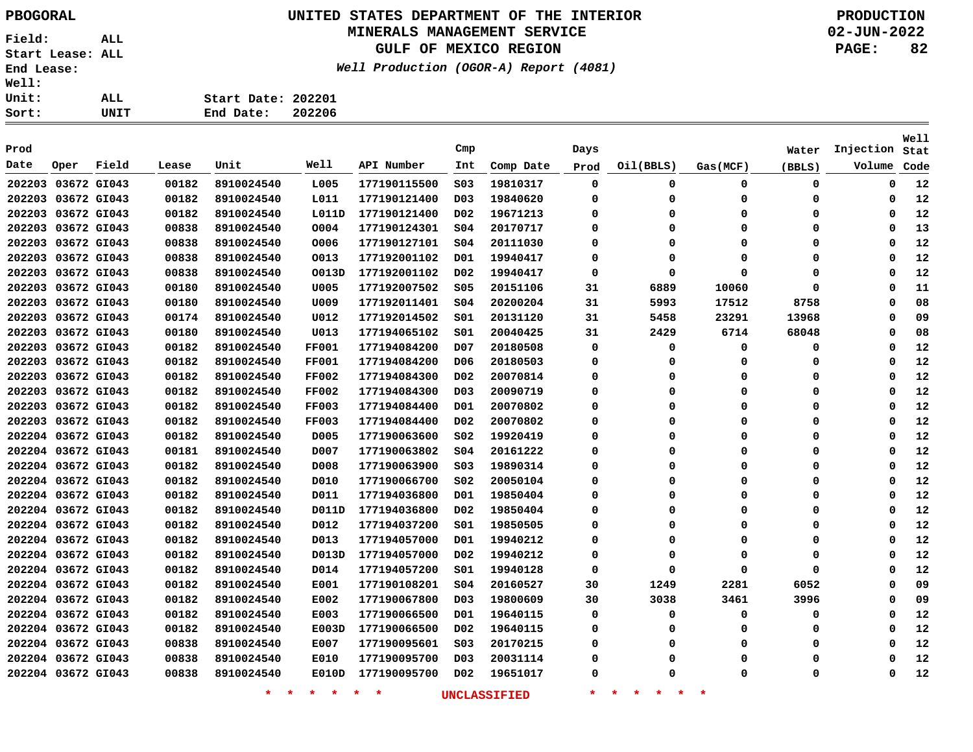# **UNITED STATES DEPARTMENT OF THE INTERIOR PBOGORAL PRODUCTION**

### **MINERALS MANAGEMENT SERVICE**

**GULF OF MEXICO REGION**

**Well Production (OGOR-A) Report (4081)**

| t:   | UNIT | End Date:          | 202206 |
|------|------|--------------------|--------|
| .t : | ALL  | Start Date: 202201 |        |
| .1:  |      |                    |        |

| Prod               |                    |             |       |                    |                 |              | Cmp              |                     | Days        |                                 |             | Water    | Injection | Well<br>Stat |
|--------------------|--------------------|-------------|-------|--------------------|-----------------|--------------|------------------|---------------------|-------------|---------------------------------|-------------|----------|-----------|--------------|
| Date               | Oper               | Field       | Lease | Unit               | Well            | API Number   | Int              | Comp Date           | Prod        | Oil(BBLS)                       | Gas(MCF)    | (BBLS)   | Volume    | Code         |
| 202203 03672 GI043 |                    |             | 00182 | 8910024540         | L005            | 177190115500 | SO <sub>3</sub>  | 19810317            | $\mathbf 0$ | 0                               | $\mathbf 0$ | 0        | 0         | 12           |
| 202203 03672 GI043 |                    |             | 00182 | 8910024540         | L011            | 177190121400 | D <sub>0</sub> 3 | 19840620            | 0           | 0                               | 0           | 0        | 0         | 12           |
|                    | 202203 03672 GI043 |             | 00182 | 8910024540         | L011D           | 177190121400 | D02              | 19671213            | 0           | $\Omega$                        | $\Omega$    | 0        | 0         | 12           |
|                    | 202203 03672 GI043 |             | 00838 | 8910024540         | 0004            | 177190124301 | S04              | 20170717            | $\mathbf 0$ | $\Omega$                        | $\Omega$    | $\Omega$ | $\Omega$  | 13           |
|                    | 202203 03672 GI043 |             | 00838 | 8910024540         | 0006            | 177190127101 | SO <sub>4</sub>  | 20111030            | 0           | $\Omega$                        | $\Omega$    | $\Omega$ | $\Omega$  | 12           |
|                    | 202203 03672 GI043 |             | 00838 | 8910024540         | 0013            | 177192001102 | D01              | 19940417            | 0           | 0                               | $\Omega$    | 0        | $\Omega$  | 12           |
| 202203             |                    | 03672 GI043 | 00838 | 8910024540         | O013D           | 177192001102 | D <sub>0</sub> 2 | 19940417            | 0           | 0                               | $\Omega$    | 0        | $\Omega$  | 12           |
| 202203             |                    | 03672 GI043 | 00180 | 8910024540         | U005            | 177192007502 | <b>S05</b>       | 20151106            | 31          | 6889                            | 10060       | 0        | $\Omega$  | 11           |
| 202203             |                    | 03672 GI043 | 00180 | 8910024540         | U009            | 177192011401 | SO <sub>4</sub>  | 20200204            | 31          | 5993                            | 17512       | 8758     | O         | 08           |
|                    | 202203 03672 GI043 |             | 00174 | 8910024540         | U012            | 177192014502 | S01              | 20131120            | 31          | 5458                            | 23291       | 13968    | 0         | 09           |
|                    | 202203 03672 GI043 |             | 00180 | 8910024540         | U013            | 177194065102 | SO1              | 20040425            | 31          | 2429                            | 6714        | 68048    | 0         | 08           |
|                    | 202203 03672 GI043 |             | 00182 | 8910024540         | <b>FF001</b>    | 177194084200 | D <sub>0</sub> 7 | 20180508            | 0           | 0                               | 0           | 0        | 0         | 12           |
|                    | 202203 03672 GI043 |             | 00182 | 8910024540         | <b>FF001</b>    | 177194084200 | D06              | 20180503            | 0           | 0                               | $\Omega$    | 0        | $\Omega$  | 12           |
|                    | 202203 03672 GI043 |             | 00182 | 8910024540         | <b>FF002</b>    | 177194084300 | D02              | 20070814            | 0           | 0                               | 0           | 0        | $\Omega$  | 12           |
|                    | 202203 03672 GI043 |             | 00182 | 8910024540         | <b>FF002</b>    | 177194084300 | D03              | 20090719            | 0           | $\Omega$                        | $\Omega$    | $\Omega$ | $\Omega$  | 12           |
|                    | 202203 03672 GI043 |             | 00182 | 8910024540         | <b>FF003</b>    | 177194084400 | D01              | 20070802            | 0           | 0                               | 0           | $\Omega$ | $\Omega$  | 12           |
| 202203             |                    | 03672 GI043 | 00182 | 8910024540         | <b>FF003</b>    | 177194084400 | D <sub>0</sub> 2 | 20070802            | 0           | 0                               | $\Omega$    | 0        | 0         | 12           |
|                    | 202204 03672 GI043 |             | 00182 | 8910024540         | D005            | 177190063600 | S02              | 19920419            | 0           | 0                               | 0           | 0        | 0         | 12           |
|                    | 202204 03672 GI043 |             | 00181 | 8910024540         | D007            | 177190063802 | SO <sub>4</sub>  | 20161222            | 0           | 0                               | 0           | 0        | 0         | 12           |
|                    | 202204 03672 GI043 |             | 00182 | 8910024540         | D008            | 177190063900 | SO <sub>3</sub>  | 19890314            | 0           | 0                               | 0           | 0        | 0         | 12           |
| 202204 03672 GI043 |                    |             | 00182 | 8910024540         | D010            | 177190066700 | S02              | 20050104            | 0           | 0                               | $\Omega$    | 0        | 0         | 12           |
| 202204 03672 GI043 |                    |             | 00182 | 8910024540         | D011            | 177194036800 | D01              | 19850404            | 0           | 0                               | 0           | 0        | 0         | 12           |
| 202204 03672 GI043 |                    |             | 00182 | 8910024540         | D011D           | 177194036800 | D02              | 19850404            | 0           | 0                               | $\Omega$    | 0        | 0         | 12           |
|                    | 202204 03672 GI043 |             | 00182 | 8910024540         | D012            | 177194037200 | S01              | 19850505            | 0           | $\Omega$                        | 0           | 0        | 0         | 12           |
|                    | 202204 03672 GI043 |             | 00182 | 8910024540         | D013            | 177194057000 | D01              | 19940212            | 0           | $\Omega$                        | $\Omega$    | 0        | $\Omega$  | 12           |
|                    | 202204 03672 GI043 |             | 00182 | 8910024540         | D013D           | 177194057000 | D02              | 19940212            | 0           | 0                               | 0           | 0        | $\Omega$  | 12           |
|                    | 202204 03672 GI043 |             | 00182 | 8910024540         | D014            | 177194057200 | S01              | 19940128            | 0           | 0                               | $\Omega$    | 0        | $\Omega$  | 12           |
|                    | 202204 03672 GI043 |             | 00182 | 8910024540         | E001            | 177190108201 | SO <sub>4</sub>  | 20160527            | 30          | 1249                            | 2281        | 6052     | 0         | 09           |
|                    | 202204 03672 GI043 |             | 00182 | 8910024540         | E002            | 177190067800 | D03              | 19800609            | 30          | 3038                            | 3461        | 3996     | 0         | 09           |
|                    | 202204 03672 GI043 |             | 00182 | 8910024540         | E003            | 177190066500 | DO1              | 19640115            | 0           | 0                               | 0           | 0        | 0         | 12           |
|                    | 202204 03672 GI043 |             | 00182 | 8910024540         | E003D           | 177190066500 | D02              | 19640115            | 0           | 0                               | 0           | 0        | 0         | 12           |
|                    | 202204 03672 GI043 |             | 00838 | 8910024540         | E007            | 177190095601 | S03              | 20170215            | 0           | 0                               | $\Omega$    | 0        | 0         | 12           |
|                    | 202204 03672 GI043 |             | 00838 | 8910024540         | E010            | 177190095700 | DO3              | 20031114            | 0           | 0                               | $\Omega$    | 0        | 0         | 12           |
|                    | 202204 03672 GI043 |             | 00838 | 8910024540         | E010D           | 177190095700 | D <sub>0</sub> 2 | 19651017            | 0           | O                               | $\Omega$    | 0        | O         | 12           |
|                    |                    |             |       | $\star$<br>$\star$ | $\star$ $\star$ | $\star$<br>未 |                  | <b>UNCLASSIFIED</b> | $\star$     | $\star$<br>一米。<br>一大<br>$\star$ | $\ast$      |          |           |              |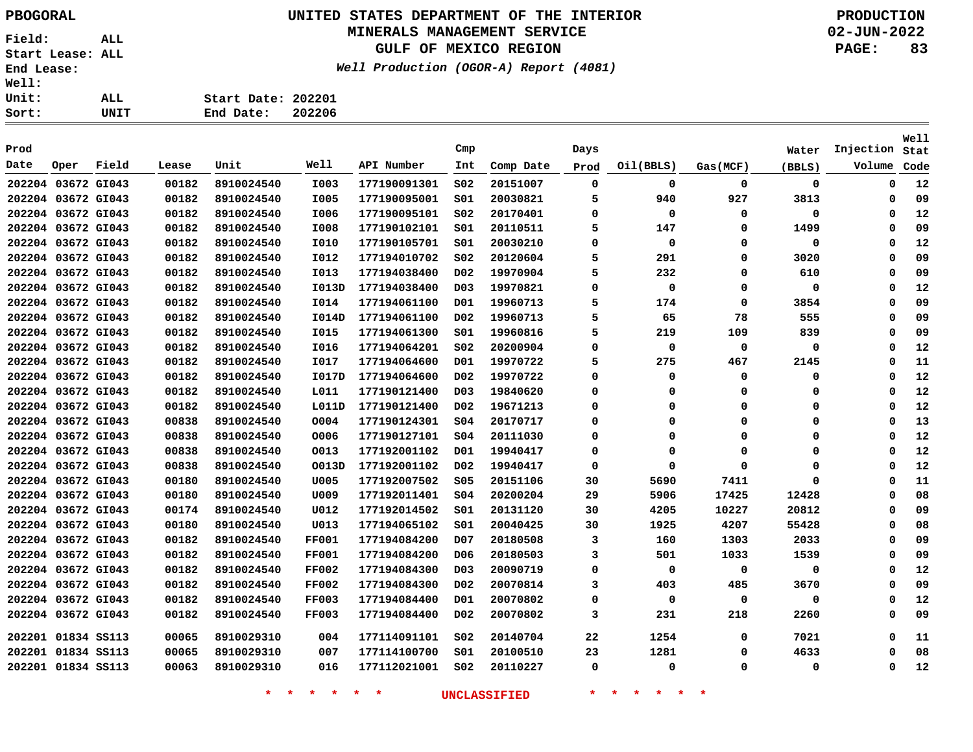# **UNITED STATES DEPARTMENT OF THE INTERIOR PBOGORAL PRODUCTION**

### **MINERALS MANAGEMENT SERVICE**

**GULF OF MEXICO REGION**

**Well Production (OGOR-A) Report (4081)**

**02-JUN-2022 PAGE: 83**

| ALL. | Start Date: 202201 |        |
|------|--------------------|--------|
| UNIT | End Date:          | 202206 |

| Prod               |      |       |       |            |              |              | Cmp              |           | Days |             |             | Water       | Injection   | <b>Well</b><br>Stat |
|--------------------|------|-------|-------|------------|--------------|--------------|------------------|-----------|------|-------------|-------------|-------------|-------------|---------------------|
| Date               | Oper | Field | Lease | Unit       | Well         | API Number   | Int              | Comp Date | Prod | Oil(BBLS)   | Gas (MCF)   | (BBLS)      | Volume      | Code                |
| 202204 03672 GI043 |      |       | 00182 | 8910024540 | I003         | 177190091301 | SO <sub>2</sub>  | 20151007  | 0    | $\mathbf 0$ | $\mathbf 0$ | $\mathbf 0$ | $\mathbf 0$ | 12                  |
| 202204 03672 GI043 |      |       | 00182 | 8910024540 | I005         | 177190095001 | SO1              | 20030821  | 5    | 940         | 927         | 3813        | 0           | 09                  |
| 202204 03672 GI043 |      |       | 00182 | 8910024540 | I006         | 177190095101 | SO <sub>2</sub>  | 20170401  | 0    | $\Omega$    | 0           | 0           | $\Omega$    | 12                  |
| 202204 03672 GI043 |      |       | 00182 | 8910024540 | I008         | 177190102101 | SO1              | 20110511  | 5    | 147         | 0           | 1499        | $\Omega$    | 09                  |
| 202204 03672 GI043 |      |       | 00182 | 8910024540 | <b>I010</b>  | 177190105701 | SO1              | 20030210  | 0    | 0           | 0           | 0           | $\Omega$    | 12                  |
| 202204 03672 GI043 |      |       | 00182 | 8910024540 | I012         | 177194010702 | SO <sub>2</sub>  | 20120604  | 5    | 291         | 0           | 3020        | $\Omega$    | 09                  |
| 202204 03672 GI043 |      |       | 00182 | 8910024540 | I013         | 177194038400 | D02              | 19970904  | 5    | 232         | 0           | 610         | 0           | 09                  |
| 202204 03672 GI043 |      |       | 00182 | 8910024540 | I013D        | 177194038400 | D <sub>0</sub> 3 | 19970821  | 0    | 0           | 0           | 0           | 0           | 12                  |
| 202204 03672 GI043 |      |       | 00182 | 8910024540 | <b>I014</b>  | 177194061100 | D01              | 19960713  | 5    | 174         | 0           | 3854        | $\Omega$    | 09                  |
| 202204 03672 GI043 |      |       | 00182 | 8910024540 | I014D        | 177194061100 | D02              | 19960713  | 5    | 65          | 78          | 555         | 0           | 09                  |
| 202204 03672 GI043 |      |       | 00182 | 8910024540 | <b>I015</b>  | 177194061300 | SO1              | 19960816  | 5    | 219         | 109         | 839         | 0           | 09                  |
| 202204 03672 GI043 |      |       | 00182 | 8910024540 | I016         | 177194064201 | SO <sub>2</sub>  | 20200904  | 0    | 0           | 0           | 0           | 0           | 12                  |
| 202204 03672 GI043 |      |       | 00182 | 8910024540 | I017         | 177194064600 | D01              | 19970722  | 5    | 275         | 467         | 2145        | 0           | 11                  |
| 202204 03672 GI043 |      |       | 00182 | 8910024540 | I017D        | 177194064600 | D02              | 19970722  | 0    | 0           | 0           | 0           | 0           | 12                  |
| 202204 03672 GI043 |      |       | 00182 | 8910024540 | L011         | 177190121400 | D <sub>03</sub>  | 19840620  | 0    | 0           | 0           | 0           | 0           | 12                  |
| 202204 03672 GI043 |      |       | 00182 | 8910024540 | L011D        | 177190121400 | D02              | 19671213  | 0    | 0           | 0           | 0           | O           | 12                  |
| 202204 03672 GI043 |      |       | 00838 | 8910024540 | 0004         | 177190124301 | SO <sub>4</sub>  | 20170717  | 0    | 0           | 0           | $\mathbf 0$ | O           | 13                  |
| 202204 03672 GI043 |      |       | 00838 | 8910024540 | 0006         | 177190127101 | SO <sub>4</sub>  | 20111030  | 0    | 0           | 0           | $\mathbf 0$ | O           | 12                  |
| 202204 03672 GI043 |      |       | 00838 | 8910024540 | 0013         | 177192001102 | D <sub>01</sub>  | 19940417  | 0    | 0           | $\Omega$    | 0           | 0           | 12                  |
| 202204 03672 GI043 |      |       | 00838 | 8910024540 | O013D        | 177192001102 | D <sub>02</sub>  | 19940417  | 0    | 0           | 0           | 0           | $\Omega$    | 12                  |
| 202204 03672 GI043 |      |       | 00180 | 8910024540 | U005         | 177192007502 | \$05             | 20151106  | 30   | 5690        | 7411        | 0           | O           | 11                  |
| 202204 03672 GI043 |      |       | 00180 | 8910024540 | U009         | 177192011401 | SO <sub>4</sub>  | 20200204  | 29   | 5906        | 17425       | 12428       | 0           | 08                  |
| 202204 03672 GI043 |      |       | 00174 | 8910024540 | U012         | 177192014502 | 501              | 20131120  | 30   | 4205        | 10227       | 20812       | 0           | 09                  |
| 202204 03672 GI043 |      |       | 00180 | 8910024540 | U013         | 177194065102 | 501              | 20040425  | 30   | 1925        | 4207        | 55428       | 0           | 08                  |
| 202204 03672 GI043 |      |       | 00182 | 8910024540 | <b>FF001</b> | 177194084200 | D07              | 20180508  | 3    | 160         | 1303        | 2033        | $\Omega$    | 09                  |
| 202204 03672 GI043 |      |       | 00182 | 8910024540 | <b>FF001</b> | 177194084200 | D <sub>06</sub>  | 20180503  | 3    | 501         | 1033        | 1539        | 0           | 09                  |
| 202204 03672 GI043 |      |       | 00182 | 8910024540 | <b>FF002</b> | 177194084300 | D <sub>0</sub> 3 | 20090719  | 0    | 0           | 0           | 0           | 0           | 12                  |
| 202204 03672 GI043 |      |       | 00182 | 8910024540 | <b>FF002</b> | 177194084300 | D02              | 20070814  | 3    | 403         | 485         | 3670        | 0           | 09                  |
| 202204 03672 GI043 |      |       | 00182 | 8910024540 | <b>FF003</b> | 177194084400 | D01              | 20070802  | 0    | 0           | 0           | 0           | 0           | 12                  |
| 202204 03672 GI043 |      |       | 00182 | 8910024540 | <b>FF003</b> | 177194084400 | D02              | 20070802  | 3    | 231         | 218         | 2260        | 0           | 09                  |
| 202201 01834 SS113 |      |       | 00065 | 8910029310 | 004          | 177114091101 | SO <sub>2</sub>  | 20140704  | 22   | 1254        | 0           | 7021        | 0           | 11                  |
| 202201 01834 SS113 |      |       | 00065 | 8910029310 | 007          | 177114100700 | SO1              | 20100510  | 23   | 1281        | 0           | 4633        | 0           | 08                  |
| 202201 01834 SS113 |      |       | 00063 | 8910029310 | 016          | 177112021001 | SO <sub>2</sub>  | 20110227  | 0    | 0           | 0           | 0           | 0           | 12                  |
|                    |      |       |       |            |              |              |                  |           |      |             |             |             |             |                     |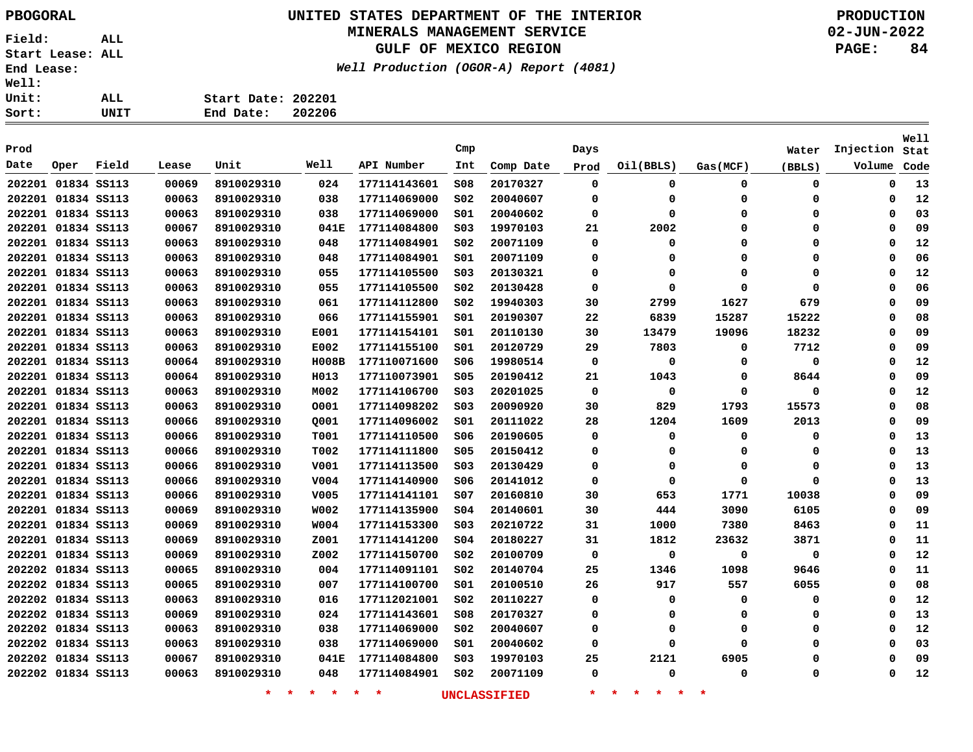### **UNITED STATES DEPARTMENT OF THE INTERIOR PBOGORAL PRODUCTION**

#### **MINERALS MANAGEMENT SERVICE**

**GULF OF MEXICO REGION**

**Well Production (OGOR-A) Report (4081)**

| rt: | UNIT | End Date:          | 202206 |
|-----|------|--------------------|--------|
| it: | ALL  | Start Date: 202201 |        |
| 11: |      |                    |        |

| Prod               |      |       |       |                    |             |                    | Cmp             |              | Days        |                                     |          | Water       | Injection   | <b>Well</b><br>Stat |
|--------------------|------|-------|-------|--------------------|-------------|--------------------|-----------------|--------------|-------------|-------------------------------------|----------|-------------|-------------|---------------------|
| Date               | Oper | Field | Lease | Unit               | Well        | API Number         | Int             | Comp Date    | Prod        | Oil(BBLS)                           | Gas(MCF) | (BBLS)      | Volume      | Code                |
| 202201 01834 SS113 |      |       | 00069 | 8910029310         | 024         | 177114143601       | 508             | 20170327     | 0           | 0                                   | 0        | 0           | 0           | 13                  |
| 202201 01834 SS113 |      |       | 00063 | 8910029310         | 038         | 177114069000       | SO <sub>2</sub> | 20040607     | 0           | $\Omega$                            | 0        | 0           | 0           | 12                  |
| 202201 01834 SS113 |      |       | 00063 | 8910029310         | 038         | 177114069000       | 501             | 20040602     | 0           | $\Omega$                            | 0        | 0           | $\Omega$    | 03                  |
| 202201 01834 SS113 |      |       | 00067 | 8910029310         | 041E        | 177114084800       | SO <sub>3</sub> | 19970103     | 21          | 2002                                | 0        | 0           | $\Omega$    | 09                  |
| 202201 01834 SS113 |      |       | 00063 | 8910029310         | 048         | 177114084901       | SO <sub>2</sub> | 20071109     | $\mathbf 0$ | $\Omega$                            | 0        | 0           | $\Omega$    | 12                  |
| 202201 01834 SS113 |      |       | 00063 | 8910029310         | 048         | 177114084901       | SO1             | 20071109     | 0           | O                                   | 0        | 0           | $\Omega$    | 06                  |
| 202201 01834 SS113 |      |       | 00063 | 8910029310         | 055         | 177114105500       | SO <sub>3</sub> | 20130321     | 0           | 0                                   | $\Omega$ | 0           | $\Omega$    | 12                  |
| 202201 01834 SS113 |      |       | 00063 | 8910029310         | 055         | 177114105500       | SO <sub>2</sub> | 20130428     | 0           | $\Omega$                            | $\Omega$ | $\mathbf 0$ | $\Omega$    | 06                  |
| 202201 01834 SS113 |      |       | 00063 | 8910029310         | 061         | 177114112800       | SO <sub>2</sub> | 19940303     | 30          | 2799                                | 1627     | 679         | $\Omega$    | 09                  |
| 202201 01834 SS113 |      |       | 00063 | 8910029310         | 066         | 177114155901       | 501             | 20190307     | 22          | 6839                                | 15287    | 15222       | $\Omega$    | 08                  |
| 202201 01834 SS113 |      |       | 00063 | 8910029310         | E001        | 177114154101       | SO1             | 20110130     | 30          | 13479                               | 19096    | 18232       | $\Omega$    | 09                  |
| 202201 01834 SS113 |      |       | 00063 | 8910029310         | E002        | 177114155100       | SO1             | 20120729     | 29          | 7803                                | 0        | 7712        | $\Omega$    | 09                  |
| 202201 01834 SS113 |      |       | 00064 | 8910029310         | H008B       | 177110071600       | S06             | 19980514     | 0           | $\Omega$                            | 0        | 0           | $\Omega$    | 12                  |
| 202201 01834 SS113 |      |       | 00064 | 8910029310         | H013        | 177110073901       | <b>S05</b>      | 20190412     | 21          | 1043                                | 0        | 8644        | $\Omega$    | 09                  |
| 202201 01834 SS113 |      |       | 00063 | 8910029310         | M002        | 177114106700       | S03             | 20201025     | $\mathbf 0$ | $\mathbf 0$                         | 0        | $\mathbf 0$ | $\Omega$    | 12                  |
| 202201 01834 SS113 |      |       | 00063 | 8910029310         | 0001        | 177114098202       | SO <sub>3</sub> | 20090920     | 30          | 829                                 | 1793     | 15573       | $\Omega$    | 08                  |
| 202201 01834 SS113 |      |       | 00066 | 8910029310         | Q001        | 177114096002       | SO1             | 20111022     | 28          | 1204                                | 1609     | 2013        | $\Omega$    | 09                  |
| 202201 01834 SS113 |      |       | 00066 | 8910029310         | <b>T001</b> | 177114110500       | S06             | 20190605     | 0           | 0                                   | 0        | 0           | 0           | 13                  |
| 202201 01834 SS113 |      |       | 00066 | 8910029310         | T002        | 177114111800       | <b>S05</b>      | 20150412     | 0           | 0                                   | 0        | 0           | 0           | 13                  |
| 202201 01834 SS113 |      |       | 00066 | 8910029310         | V001        | 177114113500       | S03             | 20130429     | 0           | 0                                   | 0        | 0           | 0           | 13                  |
| 202201 01834 SS113 |      |       | 00066 | 8910029310         | V004        | 177114140900       | S06             | 20141012     | 0           | 0                                   | $\Omega$ | $\mathbf 0$ | 0           | 13                  |
| 202201 01834 SS113 |      |       | 00066 | 8910029310         | V005        | 177114141101       | S07             | 20160810     | 30          | 653                                 | 1771     | 10038       | 0           | 09                  |
| 202201 01834 SS113 |      |       | 00069 | 8910029310         | W002        | 177114135900       | SO <sub>4</sub> | 20140601     | 30          | 444                                 | 3090     | 6105        | 0           | 09                  |
| 202201 01834 SS113 |      |       | 00069 | 8910029310         | <b>W004</b> | 177114153300       | S03             | 20210722     | 31          | 1000                                | 7380     | 8463        | 0           | 11                  |
| 202201 01834 SS113 |      |       | 00069 | 8910029310         | Z001        | 177114141200       | S04             | 20180227     | 31          | 1812                                | 23632    | 3871        | $\mathbf 0$ | 11                  |
| 202201 01834 SS113 |      |       | 00069 | 8910029310         | Z002        | 177114150700       | SO <sub>2</sub> | 20100709     | $\mathbf 0$ | $\Omega$                            | $\Omega$ | 0           | $\mathbf 0$ | 12                  |
| 202202 01834 SS113 |      |       | 00065 | 8910029310         | 004         | 177114091101       | S02             | 20140704     | 25          | 1346                                | 1098     | 9646        | $\Omega$    | 11                  |
| 202202 01834 SS113 |      |       | 00065 | 8910029310         | 007         | 177114100700       | S01             | 20100510     | 26          | 917                                 | 557      | 6055        | 0           | 08                  |
| 202202 01834 SS113 |      |       | 00063 | 8910029310         | 016         | 177112021001       | S02             | 20110227     | 0           | 0                                   | 0        | 0           | 0           | 12                  |
| 202202 01834 SS113 |      |       | 00069 | 8910029310         | 024         | 177114143601       | S08             | 20170327     | 0           | 0                                   | 0        | 0           | $\Omega$    | 13                  |
| 202202 01834 SS113 |      |       | 00063 | 8910029310         | 038         | 177114069000       | S02             | 20040607     | 0           | $\Omega$                            | 0        | $\mathbf 0$ | $\Omega$    | 12                  |
| 202202 01834 SS113 |      |       | 00063 | 8910029310         | 038         | 177114069000       | S01             | 20040602     | 0           | $\Omega$                            | 0        | 0           | $\Omega$    | 03                  |
| 202202 01834 SS113 |      |       | 00067 | 8910029310         | 041E        | 177114084800       | S03             | 19970103     | 25          | 2121                                | 6905     | 0           | $\Omega$    | 09                  |
| 202202 01834 SS113 |      |       | 00063 | 8910029310         | 048         | 177114084901       | SO <sub>2</sub> | 20071109     | 0           | $\Omega$                            | $\Omega$ | 0           | $\Omega$    | 12                  |
|                    |      |       |       | $\star$<br>$\star$ | $*$ *       | $\star$<br>$\star$ |                 | UNCLASSIFIED | $\star$     | $\star$<br>$\star$<br>一大<br>$\star$ | $\ast$   |             |             |                     |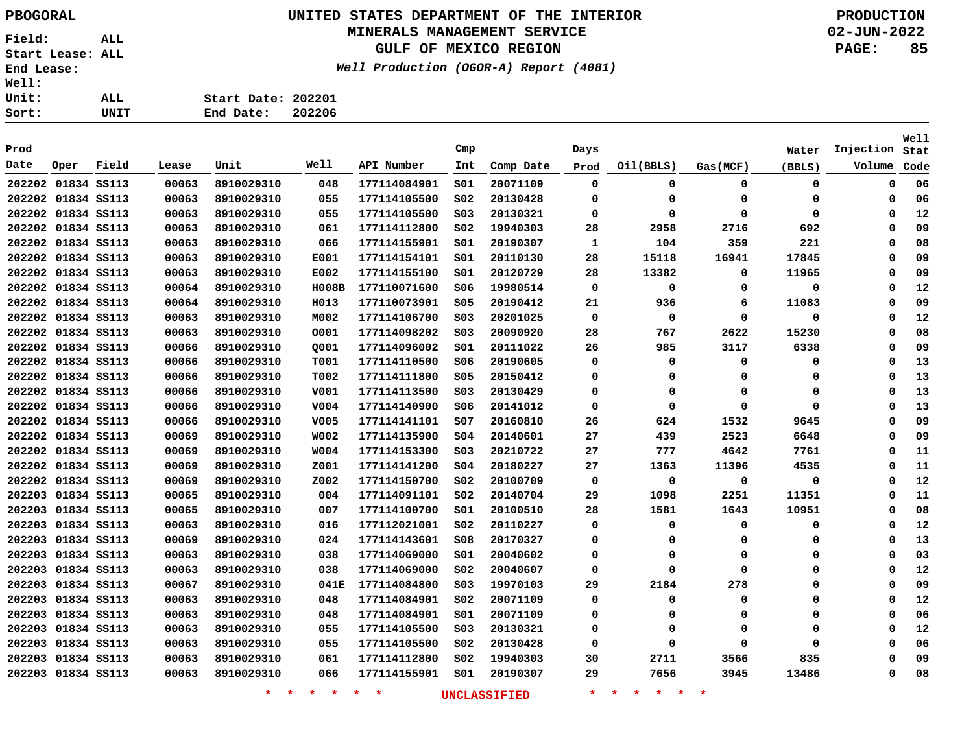# **UNITED STATES DEPARTMENT OF THE INTERIOR PBOGORAL PRODUCTION**

### **MINERALS MANAGEMENT SERVICE**

**GULF OF MEXICO REGION**

**Well Production (OGOR-A) Report (4081)**

**02-JUN-2022 PAGE: 85**

| Sort:        | UNIT | End Date:          | 202206 |
|--------------|------|--------------------|--------|
| Unit:        | ALL  | Start Date: 202201 |        |
| <b>Well:</b> |      |                    |        |

| Prod               |      |       |       |            |              |              | Cmp             |           | Days        |             |             | Water  | Injection | Well<br>Stat |
|--------------------|------|-------|-------|------------|--------------|--------------|-----------------|-----------|-------------|-------------|-------------|--------|-----------|--------------|
| Date               | Oper | Field | Lease | Unit       | Well         | API Number   | Int             | Comp Date | Prod        | Oil(BBLS)   | Gas(MCF)    | (BBLS) | Volume    | Code         |
| 202202 01834 SS113 |      |       | 00063 | 8910029310 | 048          | 177114084901 | SO1             | 20071109  | 0           | 0           | $\mathbf 0$ | 0      | 0         | 06           |
| 202202 01834 SS113 |      |       | 00063 | 8910029310 | 055          | 177114105500 | SO <sub>2</sub> | 20130428  | 0           | 0           | 0           | 0      | 0         | 06           |
| 202202 01834 SS113 |      |       | 00063 | 8910029310 | 055          | 177114105500 | SO <sub>3</sub> | 20130321  | 0           | $\Omega$    | $\mathbf 0$ | 0      | 0         | 12           |
| 202202 01834 SS113 |      |       | 00063 | 8910029310 | 061          | 177114112800 | SO <sub>2</sub> | 19940303  | 28          | 2958        | 2716        | 692    | $\Omega$  | 09           |
| 202202 01834 SS113 |      |       | 00063 | 8910029310 | 066          | 177114155901 | SO1             | 20190307  | 1           | 104         | 359         | 221    | $\Omega$  | 08           |
| 202202 01834 SS113 |      |       | 00063 | 8910029310 | E001         | 177114154101 | SO1             | 20110130  | 28          | 15118       | 16941       | 17845  | $\Omega$  | 09           |
| 202202 01834 SS113 |      |       | 00063 | 8910029310 | E002         | 177114155100 | SO1             | 20120729  | 28          | 13382       | 0           | 11965  | 0         | 09           |
| 202202 01834 SS113 |      |       | 00064 | 8910029310 | <b>H008B</b> | 177110071600 | S06             | 19980514  | $\mathbf 0$ | 0           | 0           | 0      | $\Omega$  | 12           |
| 202202 01834 SS113 |      |       | 00064 | 8910029310 | H013         | 177110073901 | \$05            | 20190412  | 21          | 936         | 6           | 11083  | $\Omega$  | 09           |
| 202202 01834 SS113 |      |       | 00063 | 8910029310 | M002         | 177114106700 | SO <sub>3</sub> | 20201025  | $\mathbf 0$ | $\mathbf 0$ | 0           | 0      | $\Omega$  | 12           |
| 202202 01834 SS113 |      |       | 00063 | 8910029310 | 0001         | 177114098202 | SO <sub>3</sub> | 20090920  | 28          | 767         | 2622        | 15230  | $\Omega$  | 08           |
| 202202 01834 SS113 |      |       | 00066 | 8910029310 | Q001         | 177114096002 | SO1             | 20111022  | 26          | 985         | 3117        | 6338   | $\Omega$  | 09           |
| 202202 01834 SS113 |      |       | 00066 | 8910029310 | T001         | 177114110500 | 506             | 20190605  | 0           | $\Omega$    | $\mathbf 0$ | 0      | $\Omega$  | 13           |
| 202202 01834 SS113 |      |       | 00066 | 8910029310 | T002         | 177114111800 | \$05            | 20150412  | 0           | $\Omega$    | 0           | 0      | $\Omega$  | 13           |
| 202202 01834 SS113 |      |       | 00066 | 8910029310 | V001         | 177114113500 | SO <sub>3</sub> | 20130429  | 0           | 0           | 0           | 0      | $\Omega$  | 13           |
| 202202 01834 SS113 |      |       | 00066 | 8910029310 | V004         | 177114140900 | S06             | 20141012  | $\mathbf 0$ | $\Omega$    | $\mathbf 0$ | 0      | $\Omega$  | 13           |
| 202202 01834 SS113 |      |       | 00066 | 8910029310 | V005         | 177114141101 | SO7             | 20160810  | 26          | 624         | 1532        | 9645   | $\Omega$  | 09           |
| 202202 01834 SS113 |      |       | 00069 | 8910029310 | <b>W002</b>  | 177114135900 | SO <sub>4</sub> | 20140601  | 27          | 439         | 2523        | 6648   | $\Omega$  | 09           |
| 202202 01834 SS113 |      |       | 00069 | 8910029310 | <b>W004</b>  | 177114153300 | SO <sub>3</sub> | 20210722  | 27          | 777         | 4642        | 7761   | $\Omega$  | 11           |
| 202202 01834 SS113 |      |       | 00069 | 8910029310 | Z001         | 177114141200 | \$04            | 20180227  | 27          | 1363        | 11396       | 4535   | $\Omega$  | 11           |
| 202202 01834 SS113 |      |       | 00069 | 8910029310 | Z002         | 177114150700 | SO <sub>2</sub> | 20100709  | 0           | 0           | 0           | 0      | $\Omega$  | 12           |
| 202203 01834 SS113 |      |       | 00065 | 8910029310 | 004          | 177114091101 | SO <sub>2</sub> | 20140704  | 29          | 1098        | 2251        | 11351  | $\Omega$  | 11           |
| 202203 01834 SS113 |      |       | 00065 | 8910029310 | 007          | 177114100700 | SO1             | 20100510  | 28          | 1581        | 1643        | 10951  | $\Omega$  | 08           |
| 202203 01834 SS113 |      |       | 00063 | 8910029310 | 016          | 177112021001 | SO <sub>2</sub> | 20110227  | 0           | $\Omega$    | 0           | 0      | 0         | 12           |
| 202203 01834 SS113 |      |       | 00069 | 8910029310 | 024          | 177114143601 | 508             | 20170327  | 0           | $\Omega$    | 0           | 0      | $\Omega$  | 13           |
| 202203 01834 SS113 |      |       | 00063 | 8910029310 | 038          | 177114069000 | SO1             | 20040602  | 0           | $\Omega$    | $\mathbf 0$ | 0      | $\Omega$  | 03           |
| 202203 01834 SS113 |      |       | 00063 | 8910029310 | 038          | 177114069000 | S02             | 20040607  | 0           | 0           | $\mathbf 0$ | 0      | 0         | 12           |
| 202203 01834 SS113 |      |       | 00067 | 8910029310 | 041E         | 177114084800 | SO <sub>3</sub> | 19970103  | 29          | 2184        | 278         | 0      | $\Omega$  | 09           |
| 202203 01834 SS113 |      |       | 00063 | 8910029310 | 048          | 177114084901 | SO <sub>2</sub> | 20071109  | 0           | 0           | $\mathbf 0$ | 0      | 0         | 12           |
| 202203 01834 SS113 |      |       | 00063 | 8910029310 | 048          | 177114084901 | 501             | 20071109  | 0           | $\Omega$    | 0           | 0      | $\Omega$  | 06           |
| 202203 01834 SS113 |      |       | 00063 | 8910029310 | 055          | 177114105500 | SO <sub>3</sub> | 20130321  | 0           | $\Omega$    | $\mathbf 0$ | 0      | $\Omega$  | 12           |
| 202203 01834 SS113 |      |       | 00063 | 8910029310 | 055          | 177114105500 | SO <sub>2</sub> | 20130428  | 0           | $\Omega$    | $\Omega$    | 0      | $\Omega$  | 06           |
| 202203 01834 SS113 |      |       | 00063 | 8910029310 | 061          | 177114112800 | SO <sub>2</sub> | 19940303  | 30          | 2711        | 3566        | 835    | 0         | 09           |
| 202203 01834 SS113 |      |       | 00063 | 8910029310 | 066          | 177114155901 | SO1             | 20190307  | 29          | 7656        | 3945        | 13486  | $\Omega$  | 08           |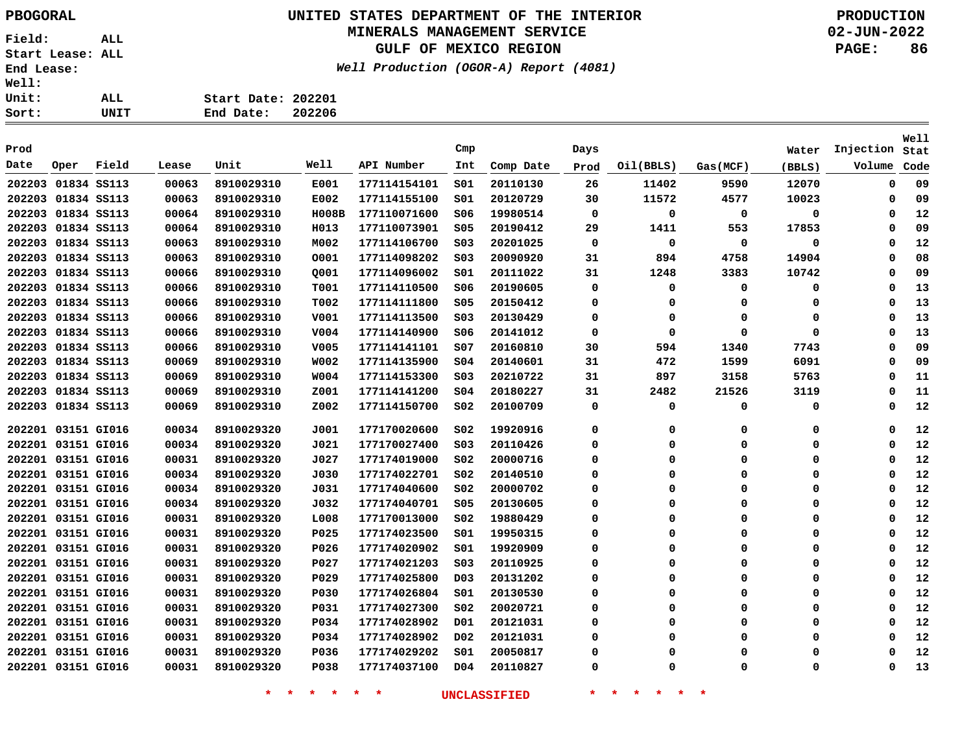**Field: ALL Start Lease: ALL End Lease: Well: Un**: <u>So</u>:

# **UNITED STATES DEPARTMENT OF THE INTERIOR PBOGORAL PRODUCTION**

### **MINERALS MANAGEMENT SERVICE**

**GULF OF MEXICO REGION**

**Well Production (OGOR-A) Report (4081)**

**02-JUN-2022 PAGE: 86**

| rt: | UNIT | 202206<br>End Date: |
|-----|------|---------------------|
| it: | ALL  | Start Date: 202201  |
| 11: |      |                     |

| Prod               |                    |       |       |            |              |              | Cmp              |           | Days     |           |             | Water  | Injection | Well<br>Stat |
|--------------------|--------------------|-------|-------|------------|--------------|--------------|------------------|-----------|----------|-----------|-------------|--------|-----------|--------------|
| Date               | Oper               | Field | Lease | Unit       | Well         | API Number   | Int              | Comp Date | Prod     | Oil(BBLS) | Gas(MCF)    | (BBLS) | Volume    | Code         |
| 202203             | 01834 SS113        |       | 00063 | 8910029310 | E001         | 177114154101 | 501              | 20110130  | 26       | 11402     | 9590        | 12070  | 0         | 09           |
|                    | 202203 01834 SS113 |       | 00063 | 8910029310 | E002         | 177114155100 | SO1              | 20120729  | 30       | 11572     | 4577        | 10023  | 0         | 09           |
|                    | 202203 01834 SS113 |       | 00064 | 8910029310 | <b>H008B</b> | 177110071600 | \$06             | 19980514  | 0        | 0         | 0           | 0      | $\Omega$  | 12           |
|                    | 202203 01834 SS113 |       | 00064 | 8910029310 | H013         | 177110073901 | \$05             | 20190412  | 29       | 1411      | 553         | 17853  | $\Omega$  | 09           |
|                    | 202203 01834 SS113 |       | 00063 | 8910029310 | M002         | 177114106700 | SO <sub>3</sub>  | 20201025  | 0        | 0         | 0           | 0      | 0         | 12           |
|                    | 202203 01834 SS113 |       | 00063 | 8910029310 | 0001         | 177114098202 | S03              | 20090920  | 31       | 894       | 4758        | 14904  | 0         | 08           |
|                    | 202203 01834 SS113 |       | 00066 | 8910029310 | 0001         | 177114096002 | SO1              | 20111022  | 31       | 1248      | 3383        | 10742  | $\Omega$  | 09           |
|                    | 202203 01834 SS113 |       | 00066 | 8910029310 | T001         | 177114110500 | \$06             | 20190605  | $\Omega$ | 0         | $\Omega$    | 0      | $\Omega$  | 13           |
|                    | 202203 01834 SS113 |       | 00066 | 8910029310 | T002         | 177114111800 | \$05             | 20150412  | $\Omega$ | 0         | $\Omega$    | 0      | $\Omega$  | 13           |
| 202203 01834 SS113 |                    |       | 00066 | 8910029310 | V001         | 177114113500 | SO <sub>3</sub>  | 20130429  | $\Omega$ | 0         | $\Omega$    | 0      | $\Omega$  | 13           |
| 202203 01834 SS113 |                    |       | 00066 | 8910029310 | V004         | 177114140900 | S06              | 20141012  | 0        | 0         | $\Omega$    | 0      | 0         | 13           |
| 202203 01834 SS113 |                    |       | 00066 | 8910029310 | V005         | 177114141101 | SO7              | 20160810  | 30       | 594       | 1340        | 7743   | $\Omega$  | 09           |
| 202203 01834 SS113 |                    |       | 00069 | 8910029310 | <b>W002</b>  | 177114135900 | SO <sub>4</sub>  | 20140601  | 31       | 472       | 1599        | 6091   | $\Omega$  | 09           |
| 202203 01834 SS113 |                    |       | 00069 | 8910029310 | <b>W004</b>  | 177114153300 | SO <sub>3</sub>  | 20210722  | 31       | 897       | 3158        | 5763   | 0         | 11           |
| 202203 01834 SS113 |                    |       | 00069 | 8910029310 | Z001         | 177114141200 | SO <sub>4</sub>  | 20180227  | 31       | 2482      | 21526       | 3119   | 0         | 11           |
| 202203             | 01834 SS113        |       | 00069 | 8910029310 | Z002         | 177114150700 | S02              | 20100709  | 0        | 0         | 0           | 0      | 0         | 12           |
| 202201 03151 GI016 |                    |       | 00034 | 8910029320 | J001         | 177170020600 | SO <sub>2</sub>  | 19920916  | 0        | 0         | 0           | 0      | $\Omega$  | 12           |
| 202201 03151 GI016 |                    |       | 00034 | 8910029320 | J021         | 177170027400 | SO <sub>3</sub>  | 20110426  | 0        | 0         | $\Omega$    | 0      | $\Omega$  | 12           |
| 202201 03151 GI016 |                    |       | 00031 | 8910029320 | J027         | 177174019000 | SO <sub>2</sub>  | 20000716  | 0        | 0         | 0           | 0      | 0         | 12           |
| 202201 03151 GI016 |                    |       | 00034 | 8910029320 | J030         | 177174022701 | S02              | 20140510  | 0        | 0         | $\Omega$    | 0      | 0         | 12           |
| 202201 03151 GI016 |                    |       | 00034 | 8910029320 | J031         | 177174040600 | SO <sub>2</sub>  | 20000702  | $\Omega$ | 0         | $\Omega$    | 0      | 0         | 12           |
| 202201 03151 GI016 |                    |       | 00034 | 8910029320 | J032         | 177174040701 | \$05             | 20130605  | $\Omega$ | 0         | $\Omega$    | 0      | 0         | 12           |
| 202201 03151 GI016 |                    |       | 00031 | 8910029320 | L008         | 177170013000 | SO <sub>2</sub>  | 19880429  | 0        | 0         | $\Omega$    | 0      | 0         | 12           |
| 202201 03151 GI016 |                    |       | 00031 | 8910029320 | P025         | 177174023500 | 501              | 19950315  | 0        | 0         | 0           | 0      | 0         | 12           |
| 202201 03151 GI016 |                    |       | 00031 | 8910029320 | P026         | 177174020902 | 501              | 19920909  | $\Omega$ | 0         | $\mathbf 0$ | 0      | $\Omega$  | 12           |
| 202201 03151 GI016 |                    |       | 00031 | 8910029320 | P027         | 177174021203 | SO <sub>3</sub>  | 20110925  | 0        | 0         | $\Omega$    | 0      | 0         | 12           |
| 202201 03151 GI016 |                    |       | 00031 | 8910029320 | P029         | 177174025800 | D <sub>0</sub> 3 | 20131202  | 0        | 0         | $\Omega$    | 0      | 0         | 12           |
| 202201 03151 GI016 |                    |       | 00031 | 8910029320 | P030         | 177174026804 | 501              | 20130530  | 0        | 0         | $\Omega$    | 0      | 0         | 12           |
| 202201 03151 GI016 |                    |       | 00031 | 8910029320 | P031         | 177174027300 | SO <sub>2</sub>  | 20020721  | 0        | 0         | O           | 0      | $\Omega$  | 12           |
|                    | 202201 03151 GI016 |       | 00031 | 8910029320 | P034         | 177174028902 | D01              | 20121031  | $\Omega$ | 0         | O           | 0      | $\Omega$  | 12           |
|                    | 202201 03151 GI016 |       | 00031 | 8910029320 | P034         | 177174028902 | D <sub>0</sub> 2 | 20121031  | $\Omega$ | 0         | O           | 0      | $\Omega$  | 12           |
|                    | 202201 03151 GI016 |       | 00031 | 8910029320 | P036         | 177174029202 | SO1              | 20050817  | $\Omega$ | 0         | 0           | 0      | $\Omega$  | 12           |
|                    | 202201 03151 GI016 |       | 00031 | 8910029320 | P038         | 177174037100 | D <sub>04</sub>  | 20110827  | $\Omega$ | 0         | 0           | 0      | 0         | 13           |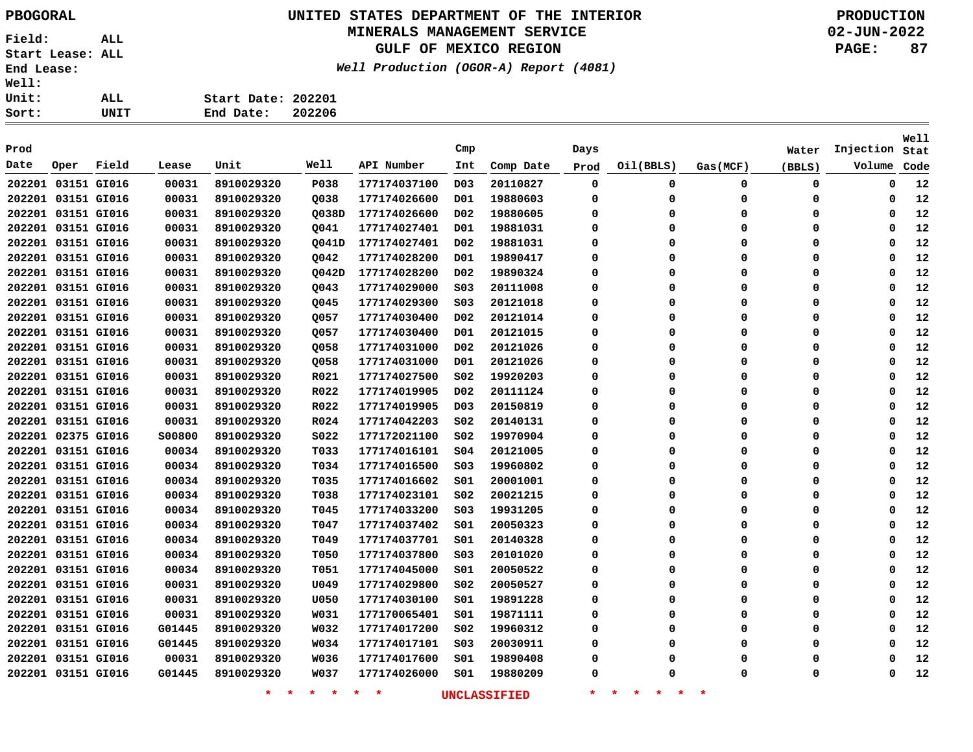### **UNITED STATES DEPARTMENT OF THE INTERIOR PBOGORAL PRODUCTION**

#### **MINERALS MANAGEMENT SERVICE**

**GULF OF MEXICO REGION**

**Well Production (OGOR-A) Report (4081)**

| Sort:        | UNIT | 202206<br>End Date: |
|--------------|------|---------------------|
| Unit:        | ALL  | Start Date: 202201  |
| <b>Well:</b> |      |                     |

| Prod               |                    |       |        |                    |                 |                    | Cmp              |                     | Days     |                                     |          | Water    | Injection | Well<br>Stat |
|--------------------|--------------------|-------|--------|--------------------|-----------------|--------------------|------------------|---------------------|----------|-------------------------------------|----------|----------|-----------|--------------|
| Date               | Oper               | Field | Lease  | Unit               | Well            | API Number         | Int              | Comp Date           | Prod     | Oil(BBLS)                           | Gas(MCF) | (BBLS)   | Volume    | Code         |
| 202201 03151 GI016 |                    |       | 00031  | 8910029320         | P038            | 177174037100       | D <sub>0</sub> 3 | 20110827            | 0        | 0                                   | 0        | 0        | 0         | 12           |
| 202201 03151 GI016 |                    |       | 00031  | 8910029320         | Q038            | 177174026600       | D01              | 19880603            | 0        | 0                                   | 0        | 0        | 0         | 12           |
| 202201 03151 GI016 |                    |       | 00031  | 8910029320         | Q038D           | 177174026600       | D <sub>0</sub> 2 | 19880605            | 0        | 0                                   | 0        | $\Omega$ | 0         | 12           |
| 202201 03151 GI016 |                    |       | 00031  | 8910029320         | Q041            | 177174027401       | D01              | 19881031            | 0        | 0                                   | 0        | $\Omega$ | 0         | 12           |
|                    | 202201 03151 GI016 |       | 00031  | 8910029320         | Q041D           | 177174027401       | D <sub>0</sub> 2 | 19881031            | 0        | 0                                   | 0        | $\Omega$ | 0         | 12           |
| 202201 03151 GI016 |                    |       | 00031  | 8910029320         | Q042            | 177174028200       | D01              | 19890417            | 0        | 0                                   | 0        | 0        | 0         | 12           |
| 202201 03151 GI016 |                    |       | 00031  | 8910029320         | Q042D           | 177174028200       | D <sub>0</sub> 2 | 19890324            | 0        | 0                                   | 0        | $\Omega$ | 0         | 12           |
| 202201 03151 GI016 |                    |       | 00031  | 8910029320         | Q043            | 177174029000       | SO <sub>3</sub>  | 20111008            | 0        | 0                                   | 0        | $\Omega$ | 0         | 12           |
| 202201 03151 GI016 |                    |       | 00031  | 8910029320         | Q045            | 177174029300       | S03              | 20121018            | $\Omega$ | 0                                   | 0        | $\Omega$ | 0         | 12           |
| 202201 03151 GI016 |                    |       | 00031  | 8910029320         | Q057            | 177174030400       | D <sub>0</sub> 2 | 20121014            | 0        | 0                                   | 0        | 0        | 0         | 12           |
| 202201 03151 GI016 |                    |       | 00031  | 8910029320         | Q057            | 177174030400       | D01              | 20121015            | 0        | 0                                   | 0        | $\Omega$ | 0         | 12           |
|                    | 202201 03151 GI016 |       | 00031  | 8910029320         | Q058            | 177174031000       | D <sub>0</sub> 2 | 20121026            | 0        | 0                                   | 0        | $\Omega$ | 0         | 12           |
|                    | 202201 03151 GI016 |       | 00031  | 8910029320         | Q058            | 177174031000       | D01              | 20121026            | 0        | 0                                   | $\Omega$ | $\Omega$ | 0         | 12           |
|                    | 202201 03151 GI016 |       | 00031  | 8910029320         | R021            | 177174027500       | S02              | 19920203            | $\Omega$ | 0                                   | $\Omega$ | O        | 0         | 12           |
| 202201 03151 GI016 |                    |       | 00031  | 8910029320         | R022            | 177174019905       | D <sub>0</sub> 2 | 20111124            | $\Omega$ | 0                                   | $\Omega$ | $\Omega$ | $\Omega$  | 12           |
|                    | 202201 03151 GI016 |       | 00031  | 8910029320         | R022            | 177174019905       | D <sub>0</sub> 3 | 20150819            | 0        | 0                                   | 0        | $\Omega$ | 0         | 12           |
| 202201 03151 GI016 |                    |       | 00031  | 8910029320         | R024            | 177174042203       | SO <sub>2</sub>  | 20140131            | 0        | 0                                   | 0        | 0        | 0         | 12           |
| 202201 02375 GI016 |                    |       | S00800 | 8910029320         | S022            | 177172021100       | S02              | 19970904            | 0        | 0                                   | 0        | 0        | 0         | 12           |
| 202201 03151 GI016 |                    |       | 00034  | 8910029320         | T033            | 177174016101       | S04              | 20121005            | 0        | 0                                   | 0        | $\Omega$ | 0         | 12           |
| 202201 03151 GI016 |                    |       | 00034  | 8910029320         | T034            | 177174016500       | S03              | 19960802            | 0        | 0                                   | 0        | $\Omega$ | 0         | 12           |
| 202201 03151 GI016 |                    |       | 00034  | 8910029320         | T035            | 177174016602       | SO1              | 20001001            | 0        | 0                                   | 0        | 0        | 0         | 12           |
| 202201 03151 GI016 |                    |       | 00034  | 8910029320         | T038            | 177174023101       | S02              | 20021215            | 0        | 0                                   | 0        | 0        | 0         | 12           |
| 202201 03151 GI016 |                    |       | 00034  | 8910029320         | T045            | 177174033200       | S03              | 19931205            | 0        | 0                                   | 0        | 0        | 0         | 12           |
| 202201 03151 GI016 |                    |       | 00034  | 8910029320         | T047            | 177174037402       | S01              | 20050323            | 0        | 0                                   | 0        | $\Omega$ | 0         | 12           |
| 202201 03151 GI016 |                    |       | 00034  | 8910029320         | T049            | 177174037701       | SO1              | 20140328            | 0        | 0                                   | 0        | $\Omega$ | 0         | 12           |
| 202201 03151 GI016 |                    |       | 00034  | 8910029320         | <b>T050</b>     | 177174037800       | SO <sub>3</sub>  | 20101020            | 0        | 0                                   | 0        | $\Omega$ | 0         | 12           |
| 202201 03151 GI016 |                    |       | 00034  | 8910029320         | T051            | 177174045000       | S01              | 20050522            | 0        | 0                                   | 0        | 0        | 0         | 12           |
| 202201 03151 GI016 |                    |       | 00031  | 8910029320         | U049            | 177174029800       | S02              | 20050527            | 0        | 0                                   | 0        | 0        | 0         | 12           |
| 202201 03151 GI016 |                    |       | 00031  | 8910029320         | <b>U050</b>     | 177174030100       | S01              | 19891228            | 0        | 0                                   | 0        | $\Omega$ | 0         | 12           |
| 202201 03151 GI016 |                    |       | 00031  | 8910029320         | W031            | 177170065401       | S01              | 19871111            | 0        | 0                                   | 0        | $\Omega$ | 0         | 12           |
|                    | 202201 03151 GI016 |       | G01445 | 8910029320         | W032            | 177174017200       | S02              | 19960312            | 0        | 0                                   | 0        | $\Omega$ | 0         | 12           |
|                    | 202201 03151 GI016 |       | G01445 | 8910029320         | W034            | 177174017101       | S03              | 20030911            | 0        | 0                                   | 0        | $\Omega$ | 0         | 12           |
|                    | 202201 03151 GI016 |       | 00031  | 8910029320         | W036            | 177174017600       | S01              | 19890408            | 0        | 0                                   | 0        | $\Omega$ | 0         | 12           |
|                    | 202201 03151 GI016 |       | G01445 | 8910029320         | <b>W037</b>     | 177174026000       | SO1              | 19880209            | 0        | 0                                   | $\Omega$ | O        | 0         | 12           |
|                    |                    |       |        | $\star$<br>$\star$ | $\star$ $\star$ | $\star$<br>$\star$ |                  | <b>UNCLASSIFIED</b> | $\star$  | 一大<br>$\star$<br>$\star$<br>$\star$ | *        |          |           |              |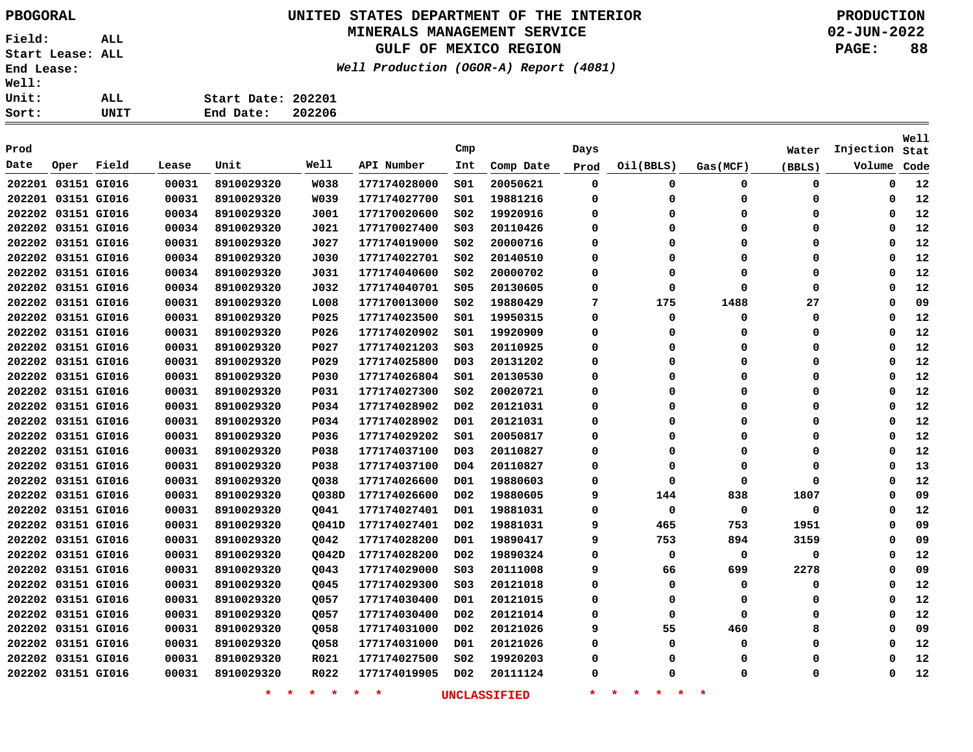### **UNITED STATES DEPARTMENT OF THE INTERIOR PBOGORAL PRODUCTION**

### **MINERALS MANAGEMENT SERVICE**

**GULF OF MEXICO REGION**

**Well Production (OGOR-A) Report (4081)**

| Sort:        | UNIT | 202206<br>End Date: |
|--------------|------|---------------------|
| Unit:        | ALL  | Start Date: 202201  |
| <b>Well:</b> |      |                     |

| Prod               |      |       |       |                    |                 |              | Cmp              |                     | Days     |                                     |          | Water       | Injection   | <b>Well</b><br>Stat |
|--------------------|------|-------|-------|--------------------|-----------------|--------------|------------------|---------------------|----------|-------------------------------------|----------|-------------|-------------|---------------------|
| Date               | Oper | Field | Lease | Unit               | Well            | API Number   | Int              | Comp Date           | Prod     | Oil(BBLS)                           | Gas(MCF) | (BBLS)      | Volume      | Code                |
| 202201 03151 GI016 |      |       | 00031 | 8910029320         | <b>W038</b>     | 177174028000 | 501              | 20050621            | 0        | 0                                   | 0        | 0           | 0           | 12                  |
| 202201 03151 GI016 |      |       | 00031 | 8910029320         | W039            | 177174027700 | 501              | 19881216            | 0        | $\Omega$                            | 0        | 0           | 0           | 12                  |
| 202202 03151 GI016 |      |       | 00034 | 8910029320         | J001            | 177170020600 | S02              | 19920916            | 0        | $\Omega$                            | 0        | 0           | 0           | 12                  |
| 202202 03151 GI016 |      |       | 00034 | 8910029320         | J021            | 177170027400 | S03              | 20110426            | 0        | $\Omega$                            | $\Omega$ | 0           | $\mathbf 0$ | 12                  |
| 202202 03151 GI016 |      |       | 00031 | 8910029320         | J027            | 177174019000 | SO <sub>2</sub>  | 20000716            | 0        | $\Omega$                            | $\Omega$ | 0           | $\Omega$    | 12                  |
| 202202 03151 GI016 |      |       | 00034 | 8910029320         | J030            | 177174022701 | S02              | 20140510            | 0        | $\Omega$                            | $\Omega$ | 0           | $\Omega$    | 12                  |
| 202202 03151 GI016 |      |       | 00034 | 8910029320         | J031            | 177174040600 | SO <sub>2</sub>  | 20000702            | 0        | $\Omega$                            | $\Omega$ | 0           | $\Omega$    | 12                  |
| 202202 03151 GI016 |      |       | 00034 | 8910029320         | J032            | 177174040701 | <b>S05</b>       | 20130605            | 0        | $\Omega$                            | $\Omega$ | $\mathbf 0$ | $\Omega$    | 12                  |
| 202202 03151 GI016 |      |       | 00031 | 8910029320         | L008            | 177170013000 | S02              | 19880429            | 7        | 175                                 | 1488     | 27          | $\Omega$    | 09                  |
| 202202 03151 GI016 |      |       | 00031 | 8910029320         | P025            | 177174023500 | S01              | 19950315            | 0        | $\Omega$                            | 0        | $\mathbf 0$ | $\Omega$    | 12                  |
| 202202 03151 GI016 |      |       | 00031 | 8910029320         | P026            | 177174020902 | SO1              | 19920909            | 0        | $\Omega$                            | $\Omega$ | $\mathbf 0$ | $\Omega$    | 12                  |
| 202202 03151 GI016 |      |       | 00031 | 8910029320         | P027            | 177174021203 | S <sub>03</sub>  | 20110925            | 0        | $\Omega$                            | 0        | 0           | $\Omega$    | 12                  |
| 202202 03151 GI016 |      |       | 00031 | 8910029320         | P029            | 177174025800 | D <sub>0</sub> 3 | 20131202            | 0        | $\Omega$                            | 0        | 0           | $\Omega$    | 12                  |
| 202202 03151 GI016 |      |       | 00031 | 8910029320         | P030            | 177174026804 | S01              | 20130530            | 0        | $\Omega$                            | $\Omega$ | 0           | $\Omega$    | 12                  |
| 202202 03151 GI016 |      |       | 00031 | 8910029320         | P031            | 177174027300 | S02              | 20020721            | 0        | $\Omega$                            | $\Omega$ | 0           | $\Omega$    | 12                  |
| 202202 03151 GI016 |      |       | 00031 | 8910029320         | P034            | 177174028902 | D <sub>0</sub> 2 | 20121031            | 0        | $\Omega$                            | 0        | 0           | $\Omega$    | 12                  |
| 202202 03151 GI016 |      |       | 00031 | 8910029320         | P034            | 177174028902 | D01              | 20121031            | 0        | 0                                   | 0        | 0           | $\Omega$    | 12                  |
| 202202 03151 GI016 |      |       | 00031 | 8910029320         | P036            | 177174029202 | S01              | 20050817            | 0        | $\Omega$                            | 0        | 0           | 0           | 12                  |
| 202202 03151 GI016 |      |       | 00031 | 8910029320         | P038            | 177174037100 | D <sub>03</sub>  | 20110827            | 0        | $\Omega$                            | $\Omega$ | $\Omega$    | 0           | 12                  |
| 202202 03151 GI016 |      |       | 00031 | 8910029320         | P038            | 177174037100 | D04              | 20110827            | 0        | 0                                   | 0        | 0           | 0           | 13                  |
| 202202 03151 GI016 |      |       | 00031 | 8910029320         | Q038            | 177174026600 | D01              | 19880603            | 0        | $\Omega$                            | $\Omega$ | 0           | 0           | 12                  |
| 202202 03151 GI016 |      |       | 00031 | 8910029320         | Q038D           | 177174026600 | D02              | 19880605            | 9        | 144                                 | 838      | 1807        | 0           | 09                  |
| 202202 03151 GI016 |      |       | 00031 | 8910029320         | Q041            | 177174027401 | D01              | 19881031            | 0        | 0                                   | 0        | 0           | 0           | 12                  |
| 202202 03151 GI016 |      |       | 00031 | 8910029320         | Q041D           | 177174027401 | D02              | 19881031            | 9        | 465                                 | 753      | 1951        | 0           | 09                  |
| 202202 03151 GI016 |      |       | 00031 | 8910029320         | Q042            | 177174028200 | D01              | 19890417            | 9        | 753                                 | 894      | 3159        | 0           | 09                  |
| 202202 03151 GI016 |      |       | 00031 | 8910029320         | Q042D           | 177174028200 | D <sub>0</sub> 2 | 19890324            | $\Omega$ | 0                                   | 0        | 0           | 0           | 12                  |
| 202202 03151 GI016 |      |       | 00031 | 8910029320         | Q043            | 177174029000 | S03              | 20111008            | 9        | 66                                  | 699      | 2278        | 0           | 09                  |
| 202202 03151 GI016 |      |       | 00031 | 8910029320         | Q045            | 177174029300 | S03              | 20121018            | 0        | 0                                   | 0        | 0           | 0           | 12                  |
| 202202 03151 GI016 |      |       | 00031 | 8910029320         | Q057            | 177174030400 | D01              | 20121015            | 0        | 0                                   | 0        | 0           | 0           | 12                  |
| 202202 03151 GI016 |      |       | 00031 | 8910029320         | Q057            | 177174030400 | D02              | 20121014            | 0        | $\Omega$                            | 0        | 0           | 0           | 12                  |
| 202202 03151 GI016 |      |       | 00031 | 8910029320         | Q058            | 177174031000 | DO <sub>2</sub>  | 20121026            | 9        | 55                                  | 460      | 8           | $\Omega$    | 09                  |
| 202202 03151 GI016 |      |       | 00031 | 8910029320         | Q058            | 177174031000 | D01              | 20121026            | 0        | $\Omega$                            | 0        | 0           | $\Omega$    | 12                  |
| 202202 03151 GI016 |      |       | 00031 | 8910029320         | R021            | 177174027500 | S02              | 19920203            | 0        | $\Omega$                            | 0        | 0           | $\Omega$    | 12                  |
| 202202 03151 GI016 |      |       | 00031 | 8910029320         | R022            | 177174019905 | D <sub>0</sub> 2 | 20111124            | $\Omega$ | O                                   | $\Omega$ | 0           | $\Omega$    | 12                  |
|                    |      |       |       | $\star$<br>$\star$ | $\star$ $\star$ | $\star$<br>* |                  | <b>UNCLASSIFIED</b> | $\star$  | $\star$<br>一大<br>$\star$<br>$\star$ | $\ast$   |             |             |                     |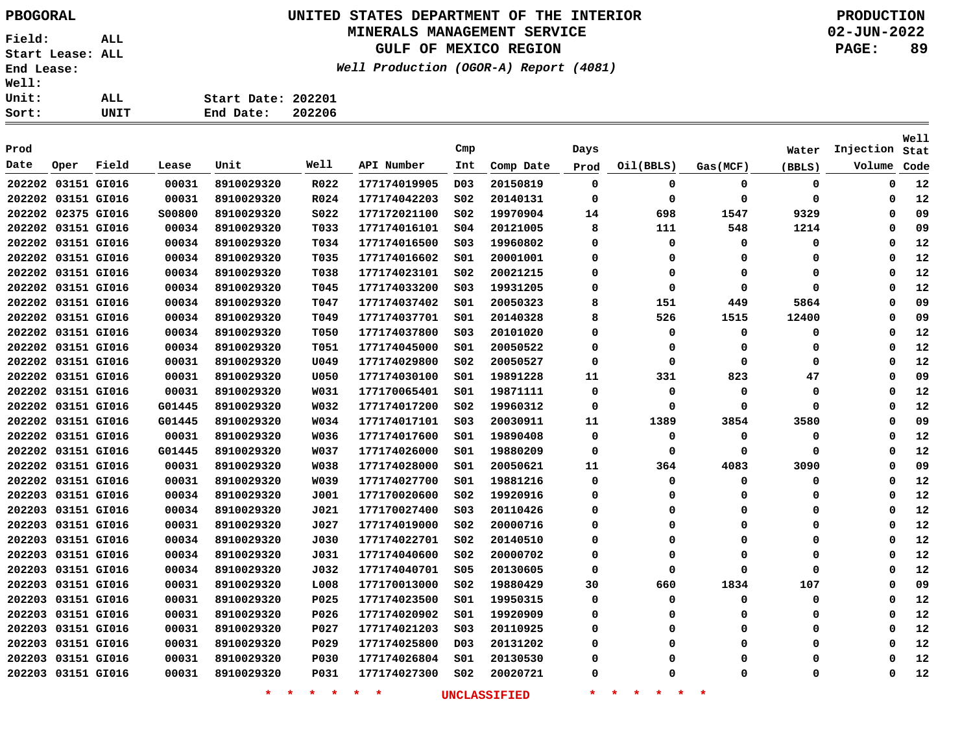# **UNITED STATES DEPARTMENT OF THE INTERIOR PBOGORAL PRODUCTION**

### **MINERALS MANAGEMENT SERVICE**

**GULF OF MEXICO REGION**

**Well Production (OGOR-A) Report (4081)**

**02-JUN-2022 PAGE: 89**

**Stat Injection**

**Well**

| <b>Well:</b> |      |       |       |                    |        |            |     |           |      |           |          |        |
|--------------|------|-------|-------|--------------------|--------|------------|-----|-----------|------|-----------|----------|--------|
| <b>Unit:</b> |      | ALL   |       | Start Date: 202201 |        |            |     |           |      |           |          |        |
| Sort:        |      | UNIT  |       | End Date:          | 202206 |            |     |           |      |           |          |        |
|              |      |       |       |                    |        |            |     |           |      |           |          |        |
| Prod         |      |       |       |                    |        |            | Cmp |           | Days |           |          | Water  |
| Date         | Oper | Field | Lease | Unit               | Well   | API Number | Int | Comp Date | Prod | Oil(BBLS) | Gas(MCF) | (BBLS) |
|              |      |       |       |                    |        |            |     |           |      |           |          |        |

| Date               | Oper               | Field | Lease  | Unit           | Well        | API Number   | Int              | Comp Date           | Prod | Oil(BBLS)            | Gas(MCF)        | (BBLS)   | Volume   | Code |
|--------------------|--------------------|-------|--------|----------------|-------------|--------------|------------------|---------------------|------|----------------------|-----------------|----------|----------|------|
|                    | 202202 03151 GI016 |       | 00031  | 8910029320     | R022        | 177174019905 | D <sub>0</sub> 3 | 20150819            | 0    | 0                    | 0               | 0        | 0        | 12   |
|                    | 202202 03151 GI016 |       | 00031  | 8910029320     | R024        | 177174042203 | SO <sub>2</sub>  | 20140131            | 0    | 0                    | 0               | 0        | 0        | 12   |
|                    | 202202 02375 GI016 |       | 500800 | 8910029320     | S022        | 177172021100 | SO <sub>2</sub>  | 19970904            | 14   | 698                  | 1547            | 9329     | 0        | 09   |
|                    | 202202 03151 GI016 |       | 00034  | 8910029320     | T033        | 177174016101 | SO <sub>4</sub>  | 20121005            | 8    | 111                  | 548             | 1214     | 0        | 09   |
|                    | 202202 03151 GI016 |       | 00034  | 8910029320     | T034        | 177174016500 | S03              | 19960802            | 0    | 0                    | 0               | 0        | 0        | 12   |
|                    | 202202 03151 GI016 |       | 00034  | 8910029320     | T035        | 177174016602 | S01              | 20001001            | 0    | 0                    | 0               | 0        | 0        | 12   |
|                    | 202202 03151 GI016 |       | 00034  | 8910029320     | T038        | 177174023101 | SO <sub>2</sub>  | 20021215            | 0    | 0                    | 0               | 0        | 0        | 12   |
|                    | 202202 03151 GI016 |       | 00034  | 8910029320     | T045        | 177174033200 | SO3              | 19931205            | 0    | 0                    | 0               | 0        | 0        | 12   |
|                    | 202202 03151 GI016 |       | 00034  | 8910029320     | T047        | 177174037402 | S01              | 20050323            | 8    | 151                  | 449             | 5864     | 0        | 09   |
| 202202 03151 GI016 |                    |       | 00034  | 8910029320     | T049        | 177174037701 | S01              | 20140328            | 8    | 526                  | 1515            | 12400    | 0        | 09   |
|                    | 202202 03151 GI016 |       | 00034  | 8910029320     | T050        | 177174037800 | SO <sub>3</sub>  | 20101020            | 0    | 0                    | 0               | 0        | 0        | 12   |
|                    | 202202 03151 GI016 |       | 00034  | 8910029320     | T051        | 177174045000 | S01              | 20050522            | 0    | 0                    | 0               | 0        | 0        | 12   |
|                    | 202202 03151 GI016 |       | 00031  | 8910029320     | U049        | 177174029800 | S02              | 20050527            | 0    | 0                    | 0               | 0        | 0        | 12   |
|                    | 202202 03151 GI016 |       | 00031  | 8910029320     | U050        | 177174030100 | S01              | 19891228            | 11   | 331                  | 823             | 47       | 0        | 09   |
|                    | 202202 03151 GI016 |       | 00031  | 8910029320     | W031        | 177170065401 | 501              | 19871111            | 0    | 0                    | 0               | 0        | 0        | 12   |
|                    | 202202 03151 GI016 |       | G01445 | 8910029320     | W032        | 177174017200 | SO <sub>2</sub>  | 19960312            | 0    | 0                    | 0               | 0        | 0        | 12   |
|                    | 202202 03151 GI016 |       | G01445 | 8910029320     | W034        | 177174017101 | SO <sub>3</sub>  | 20030911            | 11   | 1389                 | 3854            | 3580     | 0        | 09   |
|                    | 202202 03151 GI016 |       | 00031  | 8910029320     | W036        | 177174017600 | S01              | 19890408            | 0    | 0                    | 0               | 0        | 0        | 12   |
|                    | 202202 03151 GI016 |       | G01445 | 8910029320     | <b>W037</b> | 177174026000 | S01              | 19880209            | 0    | 0                    | 0               | 0        | 0        | 12   |
|                    | 202202 03151 GI016 |       | 00031  | 8910029320     | W038        | 177174028000 | S01              | 20050621            | 11   | 364                  | 4083            | 3090     | 0        | 09   |
|                    | 202202 03151 GI016 |       | 00031  | 8910029320     | W039        | 177174027700 | S01              | 19881216            | 0    | 0                    | 0               | 0        | 0        | 12   |
|                    | 202203 03151 GI016 |       | 00034  | 8910029320     | J001        | 177170020600 | SO <sub>2</sub>  | 19920916            | 0    | $\Omega$             | 0               | $\Omega$ | $\Omega$ | 12   |
|                    | 202203 03151 GI016 |       | 00034  | 8910029320     | J021        | 177170027400 | SO <sub>3</sub>  | 20110426            | 0    | $\Omega$             | 0               | 0        | 0        | 12   |
|                    | 202203 03151 GI016 |       | 00031  | 8910029320     | J027        | 177174019000 | S02              | 20000716            | 0    | 0                    | 0               | 0        | 0        | 12   |
|                    | 202203 03151 GI016 |       | 00034  | 8910029320     | J030        | 177174022701 | SO <sub>2</sub>  | 20140510            | 0    | 0                    | 0               | 0        | 0        | 12   |
|                    | 202203 03151 GI016 |       | 00034  | 8910029320     | J031        | 177174040600 | SO <sub>2</sub>  | 20000702            | 0    | $\Omega$             | 0               | 0        | 0        | 12   |
|                    | 202203 03151 GI016 |       | 00034  | 8910029320     | J032        | 177174040701 | S05              | 20130605            | 0    | 0                    | 0               | 0        | 0        | 12   |
|                    | 202203 03151 GI016 |       | 00031  | 8910029320     | L008        | 177170013000 | S02              | 19880429            | 30   | 660                  | 1834            | 107      | 0        | 09   |
|                    | 202203 03151 GI016 |       | 00031  | 8910029320     | P025        | 177174023500 | S01              | 19950315            | 0    | 0                    | 0               | 0        | 0        | 12   |
|                    | 202203 03151 GI016 |       | 00031  | 8910029320     | P026        | 177174020902 | S01              | 19920909            | 0    | 0                    | 0               | 0        | 0        | 12   |
|                    | 202203 03151 GI016 |       | 00031  | 8910029320     | P027        | 177174021203 | SO <sub>3</sub>  | 20110925            | 0    | 0                    | 0               | 0        | 0        | 12   |
|                    | 202203 03151 GI016 |       | 00031  | 8910029320     | P029        | 177174025800 | D <sub>0</sub> 3 | 20131202            | 0    | 0                    | 0               | 0        | 0        | 12   |
|                    | 202203 03151 GI016 |       | 00031  | 8910029320     | <b>P030</b> | 177174026804 | S01              | 20130530            | 0    | 0                    | 0               | 0        | 0        | 12   |
|                    | 202203 03151 GI016 |       | 00031  | 8910029320     | P031        | 177174027300 | S02              | 20020721            | 0    | Ω                    | 0               | 0        | 0        | 12   |
|                    |                    |       |        | 一米。<br>$\star$ | $*$ $*$     | $*$ *        |                  | <b>UNCLASSIFIED</b> | *    | 一大<br>$\star$<br>一米。 | $\star$ $\star$ |          |          |      |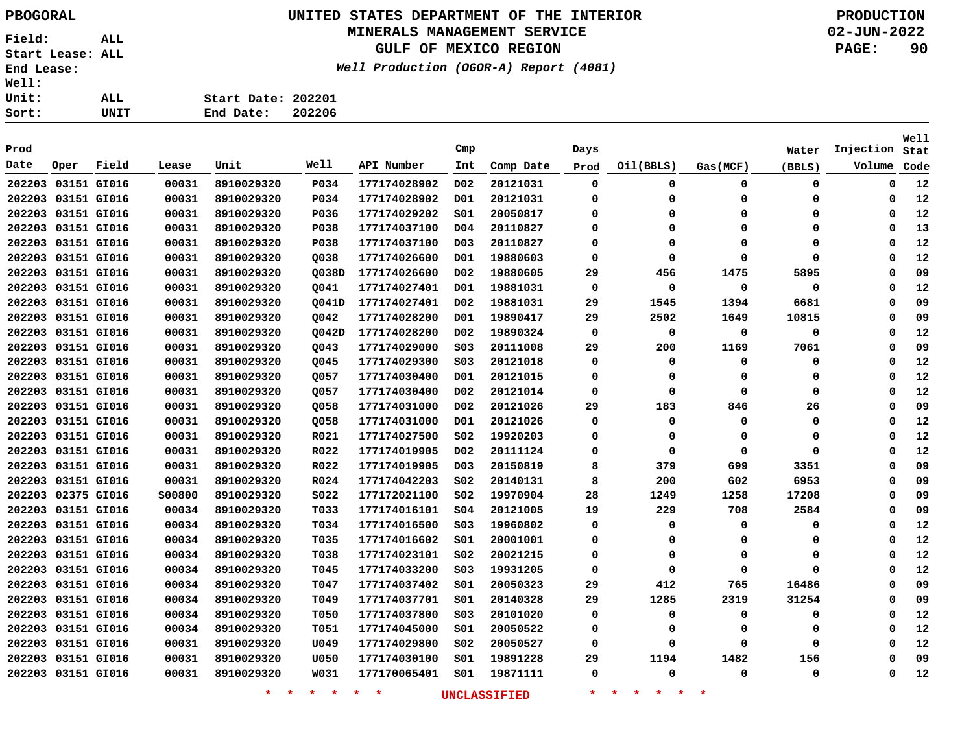### **UNITED STATES DEPARTMENT OF THE INTERIOR PBOGORAL PRODUCTION**

#### **MINERALS MANAGEMENT SERVICE**

**GULF OF MEXICO REGION**

**Well Production (OGOR-A) Report (4081)**

| Sort:        | UNIT | End Date:          | 202206 |
|--------------|------|--------------------|--------|
| Unit:        | ALL  | Start Date: 202201 |        |
| <b>Well:</b> |      |                    |        |

| Prod               |             |       |               |                    |                 |              | Cmp              |                     | Days        |                                     |          | Water       | Injection   | <b>Well</b><br>Stat |
|--------------------|-------------|-------|---------------|--------------------|-----------------|--------------|------------------|---------------------|-------------|-------------------------------------|----------|-------------|-------------|---------------------|
| Date               | Oper        | Field | Lease         | Unit               | Well            | API Number   | Int              | Comp Date           | Prod        | Oil(BBLS)                           | Gas(MCF) | (BBLS)      | Volume      | Code                |
| 202203 03151 GI016 |             |       | 00031         | 8910029320         | P034            | 177174028902 | D <sub>0</sub> 2 | 20121031            | $\mathbf 0$ | $\mathbf 0$                         | 0        | 0           | $\mathbf 0$ | 12                  |
| 202203 03151 GI016 |             |       | 00031         | 8910029320         | P034            | 177174028902 | D01              | 20121031            | 0           | $\Omega$                            | 0        | 0           | 0           | 12                  |
| 202203 03151 GI016 |             |       | 00031         | 8910029320         | P036            | 177174029202 | SO1              | 20050817            | $\Omega$    | $\Omega$                            | $\Omega$ | 0           | $\Omega$    | 12                  |
| 202203 03151 GI016 |             |       | 00031         | 8910029320         | P038            | 177174037100 | D04              | 20110827            | $\Omega$    | $\Omega$                            | $\Omega$ | 0           | $\Omega$    | 13                  |
| 202203 03151 GI016 |             |       | 00031         | 8910029320         | P038            | 177174037100 | D <sub>0</sub> 3 | 20110827            | $\Omega$    | $\Omega$                            | $\Omega$ | $\Omega$    | $\Omega$    | 12                  |
| 202203 03151 GI016 |             |       | 00031         | 8910029320         | Q038            | 177174026600 | D01              | 19880603            | 0           | $\Omega$                            | $\Omega$ | 0           | $\Omega$    | 12                  |
| 202203 03151 GI016 |             |       | 00031         | 8910029320         | 0038D           | 177174026600 | D02              | 19880605            | 29          | 456                                 | 1475     | 5895        | $\Omega$    | 09                  |
| 202203 03151 GI016 |             |       | 00031         | 8910029320         | Q041            | 177174027401 | D01              | 19881031            | 0           | $\Omega$                            | 0        | 0           | $\Omega$    | 12                  |
| 202203 03151 GI016 |             |       | 00031         | 8910029320         | Q041D           | 177174027401 | D02              | 19881031            | 29          | 1545                                | 1394     | 6681        | $\Omega$    | 09                  |
| 202203 03151 GI016 |             |       | 00031         | 8910029320         | Q042            | 177174028200 | D01              | 19890417            | 29          | 2502                                | 1649     | 10815       | $\Omega$    | 09                  |
| 202203 03151 GI016 |             |       | 00031         | 8910029320         | Q042D           | 177174028200 | D02              | 19890324            | $\Omega$    | $\mathbf 0$                         | 0        | 0           | 0           | 12                  |
| 202203 03151 GI016 |             |       | 00031         | 8910029320         | Q043            | 177174029000 | SO <sub>3</sub>  | 20111008            | 29          | 200                                 | 1169     | 7061        | $\Omega$    | 09                  |
| 202203 03151 GI016 |             |       | 00031         | 8910029320         | Q045            | 177174029300 | S03              | 20121018            | 0           | 0                                   | 0        | 0           | $\Omega$    | 12                  |
| 202203 03151 GI016 |             |       | 00031         | 8910029320         | Q057            | 177174030400 | D01              | 20121015            | $\Omega$    | 0                                   | $\Omega$ | $\mathbf 0$ | $\Omega$    | 12                  |
| 202203 03151 GI016 |             |       | 00031         | 8910029320         | 0057            | 177174030400 | D02              | 20121014            | $\Omega$    | 0                                   | $\Omega$ | $\mathbf 0$ | $\Omega$    | 12                  |
| 202203 03151 GI016 |             |       | 00031         | 8910029320         | Q058            | 177174031000 | D <sub>02</sub>  | 20121026            | 29          | 183                                 | 846      | 26          | $\Omega$    | 09                  |
| 202203 03151 GI016 |             |       | 00031         | 8910029320         | Q058            | 177174031000 | D01              | 20121026            | 0           | $\Omega$                            | 0        | 0           | $\Omega$    | 12                  |
| 202203 03151 GI016 |             |       | 00031         | 8910029320         | R021            | 177174027500 | S02              | 19920203            | 0           | 0                                   | 0        | 0           | 0           | 12                  |
| 202203 03151 GI016 |             |       | 00031         | 8910029320         | R022            | 177174019905 | D02              | 20111124            | 0           | $\Omega$                            | $\Omega$ | $\mathbf 0$ | 0           | 12                  |
| 202203 03151 GI016 |             |       | 00031         | 8910029320         | R022            | 177174019905 | DO3              | 20150819            | 8           | 379                                 | 699      | 3351        | 0           | 09                  |
| 202203 03151 GI016 |             |       | 00031         | 8910029320         | R024            | 177174042203 | S02              | 20140131            | 8           | 200                                 | 602      | 6953        | 0           | 09                  |
| 202203 02375 GI016 |             |       | <b>S00800</b> | 8910029320         | S022            | 177172021100 | S02              | 19970904            | 28          | 1249                                | 1258     | 17208       | 0           | 09                  |
| 202203 03151 GI016 |             |       | 00034         | 8910029320         | T033            | 177174016101 | 504              | 20121005            | 19          | 229                                 | 708      | 2584        | 0           | 09                  |
| 202203 03151 GI016 |             |       | 00034         | 8910029320         | T034            | 177174016500 | S03              | 19960802            | 0           | 0                                   | 0        | 0           | 0           | 12                  |
| 202203 03151 GI016 |             |       | 00034         | 8910029320         | T035            | 177174016602 | S01              | 20001001            | 0           | 0                                   | $\Omega$ | $\Omega$    | $\mathbf 0$ | 12                  |
| 202203 03151 GI016 |             |       | 00034         | 8910029320         | T038            | 177174023101 | SO <sub>2</sub>  | 20021215            | $\Omega$    | $\Omega$                            | $\Omega$ | 0           | $\Omega$    | 12                  |
| 202203 03151 GI016 |             |       | 00034         | 8910029320         | T045            | 177174033200 | S03              | 19931205            | 0           | $\Omega$                            | $\Omega$ | 0           | $\Omega$    | 12                  |
| 202203 03151 GI016 |             |       | 00034         | 8910029320         | T047            | 177174037402 | S01              | 20050323            | 29          | 412                                 | 765      | 16486       | $\Omega$    | 09                  |
| 202203 03151 GI016 |             |       | 00034         | 8910029320         | T049            | 177174037701 | S01              | 20140328            | 29          | 1285                                | 2319     | 31254       | 0           | 09                  |
| 202203 03151 GI016 |             |       | 00034         | 8910029320         | T050            | 177174037800 | S03              | 20101020            | 0           | 0                                   | 0        | 0           | 0           | 12                  |
| 202203             | 03151 GI016 |       | 00034         | 8910029320         | T051            | 177174045000 | S01              | 20050522            | 0           | 0                                   | $\Omega$ | 0           | $\Omega$    | 12                  |
| 202203 03151 GI016 |             |       | 00031         | 8910029320         | U049            | 177174029800 | S02              | 20050527            | 0           | O                                   | $\Omega$ | 0           | $\Omega$    | 12                  |
| 202203 03151 GI016 |             |       | 00031         | 8910029320         | U050            | 177174030100 | S01              | 19891228            | 29          | 1194                                | 1482     | 156         | $\Omega$    | 09                  |
| 202203 03151 GI016 |             |       | 00031         | 8910029320         | W031            | 177170065401 | SO1              | 19871111            | 0           | $\Omega$                            | $\Omega$ | $\Omega$    | $\Omega$    | 12                  |
|                    |             |       |               | $\star$<br>$\star$ | $\star$ $\star$ | $\star$<br>* |                  | <b>UNCLASSIFIED</b> | $\star$     | $\star$<br>$\star$<br>一大<br>$\star$ | ÷        |             |             |                     |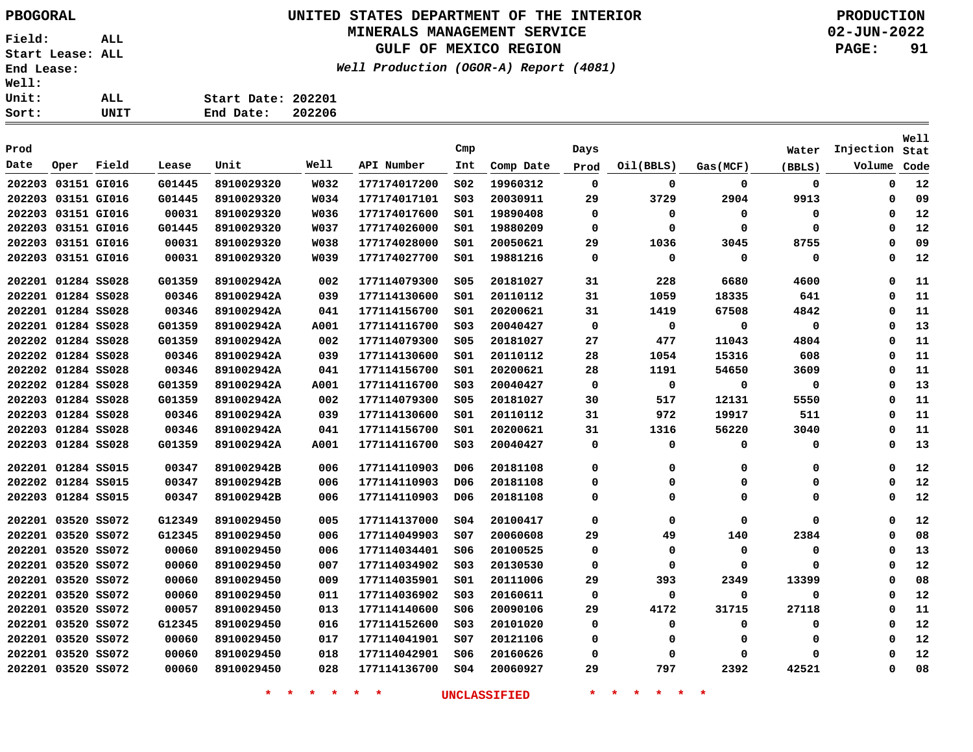# **UNITED STATES DEPARTMENT OF THE INTERIOR PBOGORAL PRODUCTION**

#### **MINERALS MANAGEMENT SERVICE**

**GULF OF MEXICO REGION**

**Well Production (OGOR-A) Report (4081)**

**02-JUN-2022 PAGE: 91**

**Stat Injection**Volume Code

**Well**

| Prod               |      |       |        |            |             |              | Cmp |           | Days |           |          | Water  | Injection |
|--------------------|------|-------|--------|------------|-------------|--------------|-----|-----------|------|-----------|----------|--------|-----------|
| Date               | Oper | Field | Lease  | Unit       | Well        | API Number   | Int | Comp Date | Prod | Oil(BBLS) | Gas(MCF) | (BBLS) | Volume    |
| 202203 03151 GI016 |      |       | G01445 | 8910029320 | W032        | 177174017200 | S02 | 19960312  | 0    | 0         | 0        | 0      |           |
| 202203 03151 GI016 |      |       | G01445 | 8910029320 | <b>W034</b> | 177174017101 | SO3 | 20030911  | 29   | 3729      | 2904     | 9913   |           |
| 202203 03151 GI016 |      |       | 00031  | 8910029320 | W036        | 177174017600 | S01 | 19890408  | 0    | 0         | 0        | 0      |           |
| 202203 03151 GI016 |      |       | G01445 | 8910029320 | <b>W037</b> | 177174026000 | S01 | 19880209  | 0    | 0         | 0        | 0      |           |
| 202203 03151 GI016 |      |       | 00031  | 8910029320 | <b>W038</b> | 177174028000 | S01 | 20050621  | 29   | 1036      | 3045     | 8755   |           |
| 202203 03151 GI016 |      |       | 00031  | 8910029320 | <b>W039</b> | 177174027700 | S01 | 19881216  | 0    | 0         | 0        | 0      |           |
| 202201 01284 SS028 |      |       | G01359 | 891002942A | 002         | 177114079300 | S05 | 20181027  | 31   | 228       | 6680     | 4600   |           |
| 202201 01284 SS028 |      |       | 00346  | 891002942A | 039         | 177114130600 | S01 | 20110112  | 31   | 1059      | 18335    | 641    |           |
| 202201 01284 SS028 |      |       | 00346  | 891002942A | 041         | 177114156700 | S01 | 20200621  | 31   | 1419      | 67508    | 4842   |           |
|                    |      |       |        |            |             |              |     |           |      |           |          |        |           |

**Start Date: 202201 End Date: 202206**

| 202203 03151 GI016 |  | 00031  | 8910029320 | <b>W038</b> | 177174028000 | SO1             | 20050621 | 29 | 1036        | 3045         | 8755     | 0        | 09 |
|--------------------|--|--------|------------|-------------|--------------|-----------------|----------|----|-------------|--------------|----------|----------|----|
| 202203 03151 GI016 |  | 00031  | 8910029320 | W039        | 177174027700 | S01             | 19881216 | 0  | $\mathbf 0$ | 0            | 0        | 0        | 12 |
| 202201 01284 SS028 |  | G01359 | 891002942A | 002         | 177114079300 | S05             | 20181027 | 31 | 228         | 6680         | 4600     | 0        | 11 |
| 202201 01284 SS028 |  | 00346  | 891002942A | 039         | 177114130600 | SO1             | 20110112 | 31 | 1059        | 18335        | 641      | 0        | 11 |
| 202201 01284 SS028 |  | 00346  | 891002942A | 041         | 177114156700 | S01             | 20200621 | 31 | 1419        | 67508        | 4842     | 0        | 11 |
| 202201 01284 SS028 |  | G01359 | 891002942A | A001        | 177114116700 | SO <sub>3</sub> | 20040427 | 0  | 0           | $\mathbf 0$  | 0        | 0        | 13 |
| 202202 01284 SS028 |  | G01359 | 891002942A | 002         | 177114079300 | S05             | 20181027 | 27 | 477         | 11043        | 4804     | 0        | 11 |
| 202202 01284 SS028 |  | 00346  | 891002942A | 039         | 177114130600 | SO1             | 20110112 | 28 | 1054        | 15316        | 608      | $\Omega$ | 11 |
| 202202 01284 SS028 |  | 00346  | 891002942A | 041         | 177114156700 | SO1             | 20200621 | 28 | 1191        | 54650        | 3609     | 0        | 11 |
| 202202 01284 SS028 |  | G01359 | 891002942A | A001        | 177114116700 | SO <sub>3</sub> | 20040427 | 0  | 0           | $\mathbf{o}$ | 0        | 0        | 13 |
| 202203 01284 SS028 |  | G01359 | 891002942A | 002         | 177114079300 | \$05            | 20181027 | 30 | 517         | 12131        | 5550     | 0        | 11 |
| 202203 01284 SS028 |  | 00346  | 891002942A | 039         | 177114130600 | SO1             | 20110112 | 31 | 972         | 19917        | 511      | 0        | 11 |
| 202203 01284 SS028 |  | 00346  | 891002942A | 041         | 177114156700 | SO1             | 20200621 | 31 | 1316        | 56220        | 3040     | 0        | 11 |
| 202203 01284 SS028 |  | G01359 | 891002942A | A001        | 177114116700 | SO <sub>3</sub> | 20040427 | 0  | 0           | 0            | 0        | 0        | 13 |
| 202201 01284 SS015 |  | 00347  | 891002942B | 006         | 177114110903 | D06             | 20181108 | 0  | 0           | 0            | 0        | 0        | 12 |
| 202202 01284 SS015 |  | 00347  | 891002942B | 006         | 177114110903 | D06             | 20181108 | 0  | 0           | 0            | 0        | 0        | 12 |
| 202203 01284 SS015 |  | 00347  | 891002942B | 006         | 177114110903 | D06             | 20181108 | 0  | 0           | 0            | $\Omega$ | 0        | 12 |
| 202201 03520 SS072 |  | G12349 | 8910029450 | 005         | 177114137000 | SO <sub>4</sub> | 20100417 | 0  | 0           | 0            | 0        | 0        | 12 |
| 202201 03520 SS072 |  | G12345 | 8910029450 | 006         | 177114049903 | SO7             | 20060608 | 29 | 49          | 140          | 2384     | 0        | 08 |
| 202201 03520 SS072 |  | 00060  | 8910029450 | 006         | 177114034401 | S06             | 20100525 | 0  | 0           | $\Omega$     | 0        | 0        | 13 |
| 202201 03520 SS072 |  | 00060  | 8910029450 | 007         | 177114034902 | SO <sub>3</sub> | 20130530 | 0  | 0           | 0            | 0        | 0        | 12 |
| 202201 03520 SS072 |  | 00060  | 8910029450 | 009         | 177114035901 | SO1             | 20111006 | 29 | 393         | 2349         | 13399    | 0        | 08 |
| 202201 03520 SS072 |  | 00060  | 8910029450 | 011         | 177114036902 | SO <sub>3</sub> | 20160611 | 0  | 0           | 0            | 0        | 0        | 12 |
| 202201 03520 SS072 |  | 00057  | 8910029450 | 013         | 177114140600 | S06             | 20090106 | 29 | 4172        | 31715        | 27118    |          | 11 |
| 202201 03520 SS072 |  | G12345 | 8910029450 | 016         | 177114152600 | SO <sub>3</sub> | 20101020 | 0  | 0           | 0            | 0        |          | 12 |
| 202201 03520 SS072 |  | 00060  | 8910029450 | 017         | 177114041901 | s07             | 20121106 | 0  | 0           | 0            | 0        | 0        | 12 |
| 202201 03520 SS072 |  | 00060  | 8910029450 | 018         | 177114042901 | S06             | 20160626 | 0  | 0           | 0            | $\Omega$ |          | 12 |
| 202201 03520 SS072 |  | 00060  | 8910029450 | 028         | 177114136700 | SO <sub>4</sub> | 20060927 | 29 | 797         | 2392         | 42521    |          | 08 |
|                    |  |        |            |             |              |                 |          |    |             |              |          |          |    |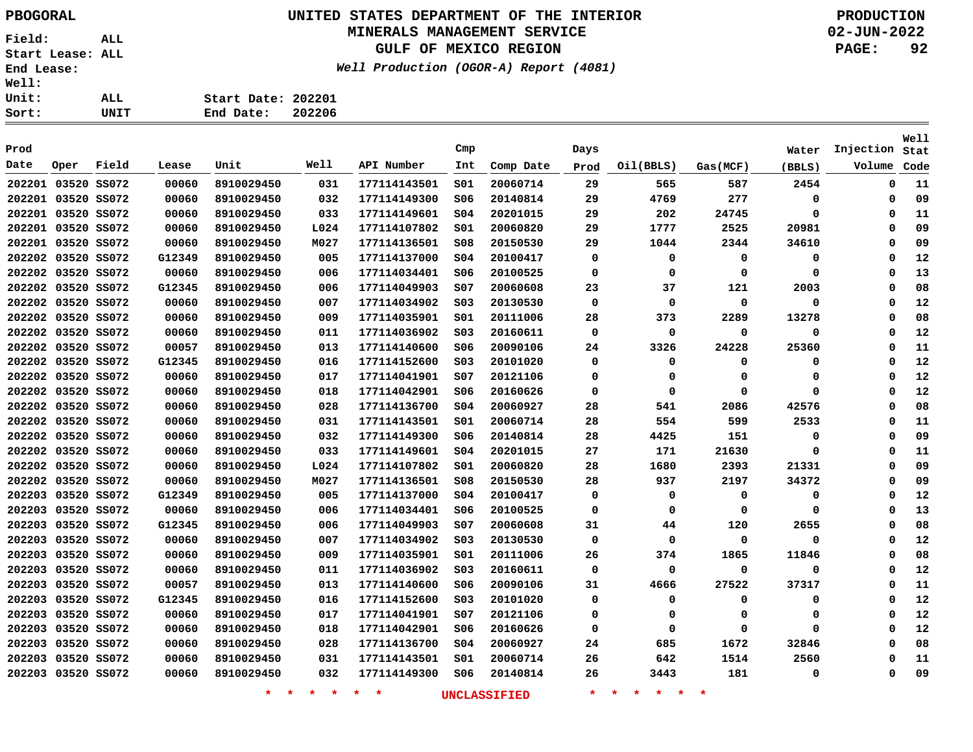# **UNITED STATES DEPARTMENT OF THE INTERIOR PBOGORAL PRODUCTION**

### **MINERALS MANAGEMENT SERVICE**

**GULF OF MEXICO REGION**

**Well Production (OGOR-A) Report (4081)**

| : | UNIT | End Date: 202206   |  |
|---|------|--------------------|--|
| : | ALL. | Start Date: 202201 |  |
| ፡ |      |                    |  |

| Prod               |             |       |        |                    |      |              | Cmp             |                     | Days     |                                          |          | Water       | Injection   | <b>Well</b><br>Stat |
|--------------------|-------------|-------|--------|--------------------|------|--------------|-----------------|---------------------|----------|------------------------------------------|----------|-------------|-------------|---------------------|
| Date               | Oper        | Field | Lease  | Unit               | Well | API Number   | Int             | Comp Date           | Prod     | Oil(BBLS)                                | Gas(MCF) | (BBLS)      | Volume      | Code                |
| 202201 03520 SS072 |             |       | 00060  | 8910029450         | 031  | 177114143501 | SO1             | 20060714            | 29       | 565                                      | 587      | 2454        | 0           | 11                  |
| 202201 03520 SS072 |             |       | 00060  | 8910029450         | 032  | 177114149300 | S06             | 20140814            | 29       | 4769                                     | 277      | 0           | 0           | 09                  |
| 202201 03520 SS072 |             |       | 00060  | 8910029450         | 033  | 177114149601 | SO <sub>4</sub> | 20201015            | 29       | 202                                      | 24745    | $\mathbf 0$ | $\Omega$    | 11                  |
| 202201 03520 SS072 |             |       | 00060  | 8910029450         | L024 | 177114107802 | 501             | 20060820            | 29       | 1777                                     | 2525     | 20981       | $\Omega$    | 09                  |
| 202201 03520 SS072 |             |       | 00060  | 8910029450         | M027 | 177114136501 | \$08            | 20150530            | 29       | 1044                                     | 2344     | 34610       | $\Omega$    | 09                  |
| 202202 03520 SS072 |             |       | G12349 | 8910029450         | 005  | 177114137000 | 504             | 20100417            | 0        | 0                                        | 0        | 0           | $\Omega$    | 12                  |
| 202202 03520 SS072 |             |       | 00060  | 8910029450         | 006  | 177114034401 | S06             | 20100525            | 0        | $\Omega$                                 | $\Omega$ | $\mathbf 0$ | $\Omega$    | 13                  |
| 202202 03520 SS072 |             |       | G12345 | 8910029450         | 006  | 177114049903 | SO7             | 20060608            | 23       | 37                                       | 121      | 2003        | $\Omega$    | 08                  |
| 202202 03520 SS072 |             |       | 00060  | 8910029450         | 007  | 177114034902 | S03             | 20130530            | $\Omega$ | 0                                        | 0        | 0           | $\Omega$    | 12                  |
| 202202 03520 SS072 |             |       | 00060  | 8910029450         | 009  | 177114035901 | S01             | 20111006            | 28       | 373                                      | 2289     | 13278       | $\Omega$    | 08                  |
| 202202 03520 SS072 |             |       | 00060  | 8910029450         | 011  | 177114036902 | SO <sub>3</sub> | 20160611            | $\Omega$ | 0                                        | 0        | 0           | 0           | 12                  |
| 202202 03520 SS072 |             |       | 00057  | 8910029450         | 013  | 177114140600 | S06             | 20090106            | 24       | 3326                                     | 24228    | 25360       | $\Omega$    | 11                  |
| 202202 03520 SS072 |             |       | G12345 | 8910029450         | 016  | 177114152600 | S03             | 20101020            | 0        | 0                                        | 0        | 0           | $\Omega$    | 12                  |
| 202202 03520 SS072 |             |       | 00060  | 8910029450         | 017  | 177114041901 | s07             | 20121106            | $\Omega$ | 0                                        | $\Omega$ | $\mathbf 0$ | $\Omega$    | 12                  |
| 202202 03520 SS072 |             |       | 00060  | 8910029450         | 018  | 177114042901 | S06             | 20160626            | 0        | 0                                        | $\Omega$ | $\mathbf 0$ | $\Omega$    | 12                  |
| 202202 03520 SS072 |             |       | 00060  | 8910029450         | 028  | 177114136700 | \$04            | 20060927            | 28       | 541                                      | 2086     | 42576       | $\Omega$    | 08                  |
| 202202 03520 SS072 |             |       | 00060  | 8910029450         | 031  | 177114143501 | SO1             | 20060714            | 28       | 554                                      | 599      | 2533        | $\Omega$    | 11                  |
| 202202 03520 SS072 |             |       | 00060  | 8910029450         | 032  | 177114149300 | S06             | 20140814            | 28       | 4425                                     | 151      | 0           | $\Omega$    | 09                  |
| 202202 03520 SS072 |             |       | 00060  | 8910029450         | 033  | 177114149601 | 504             | 20201015            | 27       | 171                                      | 21630    | 0           | 0           | 11                  |
| 202202 03520 SS072 |             |       | 00060  | 8910029450         | L024 | 177114107802 | S01             | 20060820            | 28       | 1680                                     | 2393     | 21331       | 0           | 09                  |
| 202202 03520 SS072 |             |       | 00060  | 8910029450         | M027 | 177114136501 | 508             | 20150530            | 28       | 937                                      | 2197     | 34372       | 0           | 09                  |
| 202203 03520 SS072 |             |       | G12349 | 8910029450         | 005  | 177114137000 | 504             | 20100417            | 0        | 0                                        | 0        | 0           | 0           | 12                  |
| 202203 03520 SS072 |             |       | 00060  | 8910029450         | 006  | 177114034401 | S06             | 20100525            | 0        | 0                                        | 0        | 0           | 0           | 13                  |
| 202203 03520 SS072 |             |       | G12345 | 8910029450         | 006  | 177114049903 | s07             | 20060608            | 31       | 44                                       | 120      | 2655        | 0           | 08                  |
| 202203 03520 SS072 |             |       | 00060  | 8910029450         | 007  | 177114034902 | S03             | 20130530            | 0        | $\Omega$                                 | $\Omega$ | $\mathbf 0$ | $\Omega$    | 12                  |
| 202203 03520 SS072 |             |       | 00060  | 8910029450         | 009  | 177114035901 | SO1             | 20111006            | 26       | 374                                      | 1865     | 11846       | $\Omega$    | 08                  |
| 202203 03520 SS072 |             |       | 00060  | 8910029450         | 011  | 177114036902 | S03             | 20160611            | 0        | $\Omega$                                 | $\Omega$ | 0           | $\Omega$    | 12                  |
| 202203 03520 SS072 |             |       | 00057  | 8910029450         | 013  | 177114140600 | S06             | 20090106            | 31       | 4666                                     | 27522    | 37317       | $\Omega$    | 11                  |
| 202203 03520 SS072 |             |       | G12345 | 8910029450         | 016  | 177114152600 | S03             | 20101020            | 0        | 0                                        | 0        | 0           | 0           | 12                  |
| 202203             | 03520 SS072 |       | 00060  | 8910029450         | 017  | 177114041901 | s07             | 20121106            | 0        | 0                                        | 0        | 0           | $\mathbf 0$ | 12                  |
| 202203             | 03520 SS072 |       | 00060  | 8910029450         | 018  | 177114042901 | S06             | 20160626            | 0        | 0                                        | $\Omega$ | $\mathbf 0$ | $\Omega$    | 12                  |
| 202203 03520 SS072 |             |       | 00060  | 8910029450         | 028  | 177114136700 | 504             | 20060927            | 24       | 685                                      | 1672     | 32846       | $\Omega$    | 08                  |
| 202203 03520 SS072 |             |       | 00060  | 8910029450         | 031  | 177114143501 | S01             | 20060714            | 26       | 642                                      | 1514     | 2560        | $\Omega$    | 11                  |
| 202203 03520 SS072 |             |       | 00060  | 8910029450         | 032  | 177114149300 | S06             | 20140814            | 26       | 3443                                     | 181      | 0           | $\Omega$    | 09                  |
|                    |             |       |        | $\star$<br>$\star$ | * *  | $\star$<br>* |                 | <b>UNCLASSIFIED</b> | $\star$  | $\star$<br>$\star$<br>$\star$<br>$\star$ | $\star$  |             |             |                     |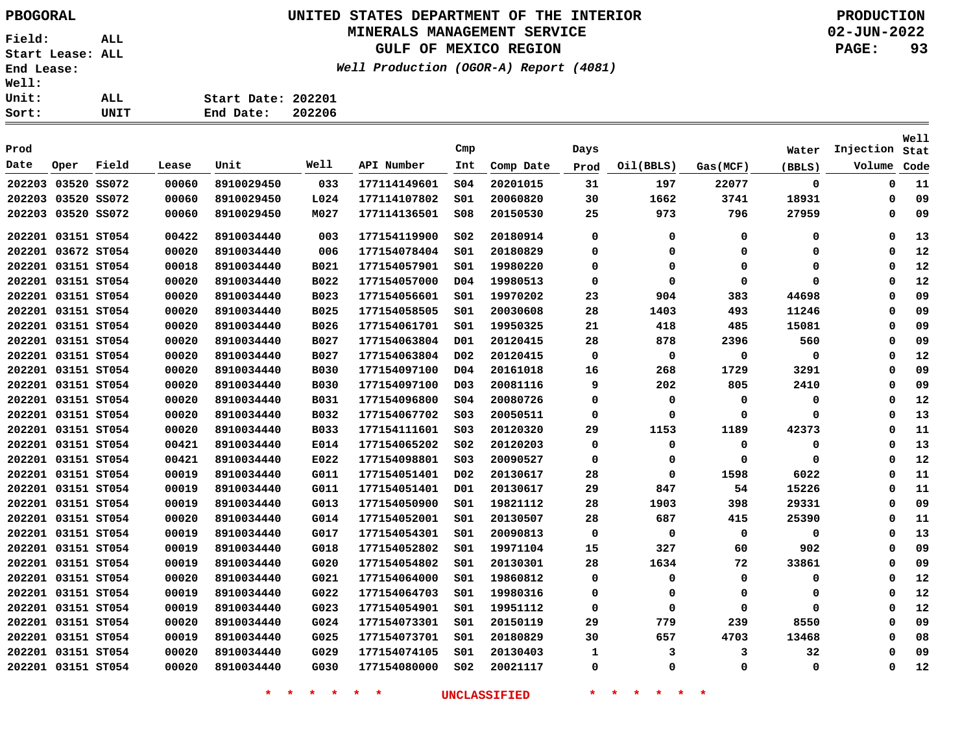Sort:

**Field: ALL Start Lease: ALL End Lease: Well: Unit:** 

**UNITED STATES DEPARTMENT OF THE INTERIOR PBOGORAL PRODUCTION**

### **MINERALS MANAGEMENT SERVICE**

**GULF OF MEXICO REGION**

**Well Production (OGOR-A) Report (4081)**

**02-JUN-2022 PAGE: 93**

| ALL. | Start Date: 202201 |  |
|------|--------------------|--|
| UNIT | End Date: 202206   |  |

| Prod |                    |       |       |            |             |              | Cmp              |           | Days |           |          | Water  | Injection   | Well<br>Stat |
|------|--------------------|-------|-------|------------|-------------|--------------|------------------|-----------|------|-----------|----------|--------|-------------|--------------|
| Date | Oper               | Field | Lease | Unit       | Well        | API Number   | Int              | Comp Date | Prod | Oil(BBLS) | Gas(MCF) | (BBLS) | Volume      | Code         |
|      | 202203 03520 SS072 |       | 00060 | 8910029450 | 033         | 177114149601 | SO <sub>4</sub>  | 20201015  | 31   | 197       | 22077    | 0      | 0           | 11           |
|      | 202203 03520 SS072 |       | 00060 | 8910029450 | L024        | 177114107802 | SO1              | 20060820  | 30   | 1662      | 3741     | 18931  | $\mathbf 0$ | 09           |
|      | 202203 03520 SS072 |       | 00060 | 8910029450 | M027        | 177114136501 | \$08             | 20150530  | 25   | 973       | 796      | 27959  | 0           | 09           |
|      | 202201 03151 ST054 |       | 00422 | 8910034440 | 003         | 177154119900 | SO <sub>2</sub>  | 20180914  | 0    | 0         | 0        | 0      | 0           | 13           |
|      | 202201 03672 ST054 |       | 00020 | 8910034440 | 006         | 177154078404 | SO1              | 20180829  | 0    | 0         | 0        | 0      | n           | 12           |
|      | 202201 03151 ST054 |       | 00018 | 8910034440 | B021        | 177154057901 | SO1              | 19980220  | 0    | 0         | 0        | 0      | $\Omega$    | 12           |
|      | 202201 03151 ST054 |       | 00020 | 8910034440 | B022        | 177154057000 | D <sub>04</sub>  | 19980513  | 0    | 0         | 0        | 0      | 0           | 12           |
|      | 202201 03151 ST054 |       | 00020 | 8910034440 | B023        | 177154056601 | SO1              | 19970202  | 23   | 904       | 383      | 44698  | 0           | 09           |
|      | 202201 03151 ST054 |       | 00020 | 8910034440 | <b>B025</b> | 177154058505 | SO1              | 20030608  | 28   | 1403      | 493      | 11246  | O           | 09           |
|      | 202201 03151 ST054 |       | 00020 | 8910034440 | B026        | 177154061701 | SO1              | 19950325  | 21   | 418       | 485      | 15081  | $\Omega$    | 09           |
|      | 202201 03151 ST054 |       | 00020 | 8910034440 | <b>B027</b> | 177154063804 | D <sub>01</sub>  | 20120415  | 28   | 878       | 2396     | 560    | 0           | 09           |
|      | 202201 03151 ST054 |       | 00020 | 8910034440 | B027        | 177154063804 | D02              | 20120415  | 0    | 0         | 0        | 0      | $\Omega$    | 12           |
|      | 202201 03151 ST054 |       | 00020 | 8910034440 | <b>B030</b> | 177154097100 | D04              | 20161018  | 16   | 268       | 1729     | 3291   | Ω           | 09           |
|      | 202201 03151 ST054 |       | 00020 | 8910034440 | <b>B030</b> | 177154097100 | D <sub>0</sub> 3 | 20081116  | 9    | 202       | 805      | 2410   | $\Omega$    | 09           |
|      | 202201 03151 ST054 |       | 00020 | 8910034440 | <b>B031</b> | 177154096800 | SO <sub>4</sub>  | 20080726  | 0    | 0         | 0        | 0      | $\Omega$    | 12           |
|      | 202201 03151 ST054 |       | 00020 | 8910034440 | B032        | 177154067702 | SO <sub>3</sub>  | 20050511  | 0    | 0         | 0        | 0      | $\Omega$    | 13           |
|      | 202201 03151 ST054 |       | 00020 | 8910034440 | <b>B033</b> | 177154111601 | SO <sub>3</sub>  | 20120320  | 29   | 1153      | 1189     | 42373  | 0           | 11           |
|      | 202201 03151 ST054 |       | 00421 | 8910034440 | E014        | 177154065202 | SO <sub>2</sub>  | 20120203  | 0    | 0         | 0        | 0      | 0           | 13           |
|      | 202201 03151 ST054 |       | 00421 | 8910034440 | E022        | 177154098801 | SO <sub>3</sub>  | 20090527  | 0    | 0         | 0        | 0      | 0           | 12           |
|      | 202201 03151 ST054 |       | 00019 | 8910034440 | G011        | 177154051401 | D <sub>0</sub> 2 | 20130617  | 28   | 0         | 1598     | 6022   | 0           | 11           |
|      | 202201 03151 ST054 |       | 00019 | 8910034440 | G011        | 177154051401 | D01              | 20130617  | 29   | 847       | 54       | 15226  | 0           | 11           |
|      | 202201 03151 ST054 |       | 00019 | 8910034440 | G013        | 177154050900 | SO1              | 19821112  | 28   | 1903      | 398      | 29331  | O           | 09           |
|      | 202201 03151 ST054 |       | 00020 | 8910034440 | G014        | 177154052001 | SO1              | 20130507  | 28   | 687       | 415      | 25390  | 0           | 11           |
|      | 202201 03151 ST054 |       | 00019 | 8910034440 | G017        | 177154054301 | SO1              | 20090813  | 0    | 0         | 0        | 0      | 0           | 13           |
|      | 202201 03151 ST054 |       | 00019 | 8910034440 | G018        | 177154052802 | SO1              | 19971104  | 15   | 327       | 60       | 902    | 0           | 09           |
|      | 202201 03151 ST054 |       | 00019 | 8910034440 | G020        | 177154054802 | 501              | 20130301  | 28   | 1634      | 72       | 33861  | $\Omega$    | 09           |
|      | 202201 03151 ST054 |       | 00020 | 8910034440 | G021        | 177154064000 | SO1              | 19860812  | 0    | 0         | 0        | 0      | 0           | 12           |
|      | 202201 03151 ST054 |       | 00019 | 8910034440 | G022        | 177154064703 | SO1              | 19980316  | 0    | 0         | 0        | 0      | $\Omega$    | 12           |
|      | 202201 03151 ST054 |       | 00019 | 8910034440 | G023        | 177154054901 | SO1              | 19951112  | 0    | 0         | 0        | 0      | 0           | 12           |
|      | 202201 03151 ST054 |       | 00020 | 8910034440 | G024        | 177154073301 | SO1              | 20150119  | 29   | 779       | 239      | 8550   | $\Omega$    | 09           |
|      | 202201 03151 ST054 |       | 00019 | 8910034440 | G025        | 177154073701 | SO1              | 20180829  | 30   | 657       | 4703     | 13468  | $\Omega$    | 08           |
|      | 202201 03151 ST054 |       | 00020 | 8910034440 | G029        | 177154074105 | SO1              | 20130403  | 1    | 3         | 3        | 32     | O           | 09           |
|      | 202201 03151 ST054 |       | 00020 | 8910034440 | G030        | 177154080000 | SO <sub>2</sub>  | 20021117  | 0    | 0         | 0        | 0      | $\Omega$    | 12           |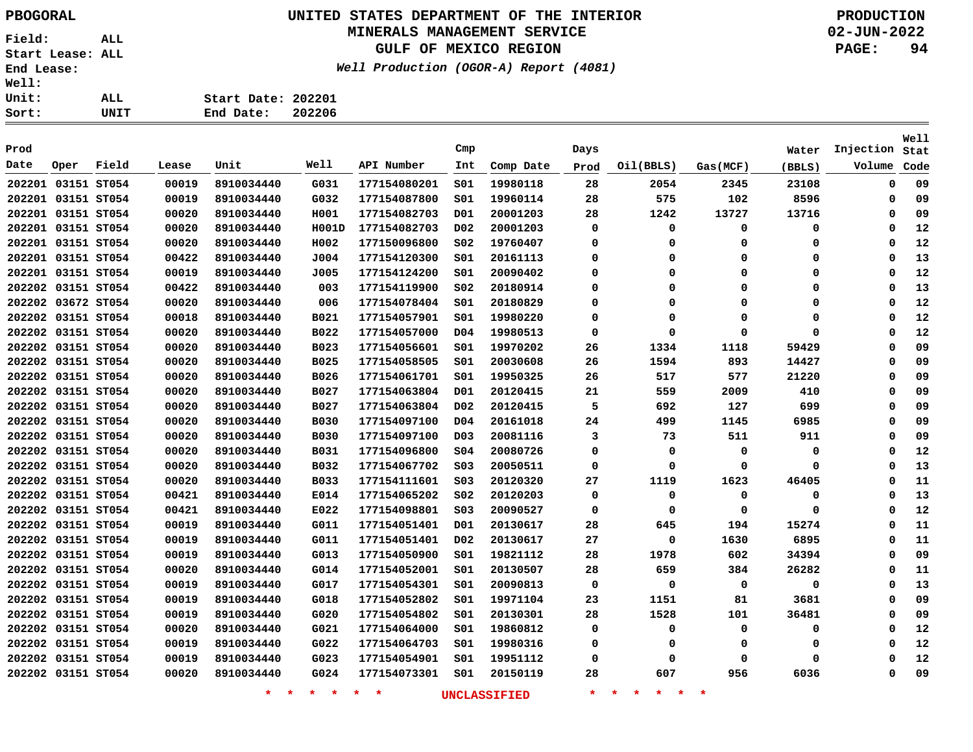# **UNITED STATES DEPARTMENT OF THE INTERIOR PBOGORAL PRODUCTION**

### **MINERALS MANAGEMENT SERVICE**

**GULF OF MEXICO REGION**

**Well Production (OGOR-A) Report (4081)**

**02-JUN-2022 PAGE: 94**

| ALL. | Start Date: 202201 |  |
|------|--------------------|--|
| UNIT | End Date: 202206   |  |
|      |                    |  |

| Prod               |      |       |       |            |             |              | Cmp              |           | Days        |           |             | Water       | Injection | Well<br>Stat |
|--------------------|------|-------|-------|------------|-------------|--------------|------------------|-----------|-------------|-----------|-------------|-------------|-----------|--------------|
| Date               | Oper | Field | Lease | Unit       | Well        | API Number   | Int              | Comp Date | Prod        | Oil(BBLS) | Gas(MCF)    | (BBLS)      | Volume    | Code         |
| 202201 03151 ST054 |      |       | 00019 | 8910034440 | G031        | 177154080201 | SO1              | 19980118  | 28          | 2054      | 2345        | 23108       | 0         | 09           |
| 202201 03151 ST054 |      |       | 00019 | 8910034440 | G032        | 177154087800 | SO1              | 19960114  | 28          | 575       | 102         | 8596        | 0         | 09           |
| 202201 03151 ST054 |      |       | 00020 | 8910034440 | H001        | 177154082703 | D01              | 20001203  | 28          | 1242      | 13727       | 13716       | 0         | 09           |
| 202201 03151 ST054 |      |       | 00020 | 8910034440 | H001D       | 177154082703 | D <sub>0</sub> 2 | 20001203  | 0           | 0         | 0           | 0           | 0         | 12           |
| 202201 03151 ST054 |      |       | 00020 | 8910034440 | H002        | 177150096800 | SO <sub>2</sub>  | 19760407  | $\mathbf 0$ | 0         | $\mathbf 0$ | 0           | 0         | 12           |
| 202201 03151 ST054 |      |       | 00422 | 8910034440 | J004        | 177154120300 | SO1              | 20161113  | $\Omega$    | 0         | $\Omega$    | 0           | 0         | 13           |
| 202201 03151 ST054 |      |       | 00019 | 8910034440 | J005        | 177154124200 | S01              | 20090402  | 0           | 0         | 0           | 0           | 0         | 12           |
| 202202 03151 ST054 |      |       | 00422 | 8910034440 | 003         | 177154119900 | S02              | 20180914  | 0           | 0         | $\mathbf 0$ | 0           | 0         | 13           |
| 202202 03672 ST054 |      |       | 00020 | 8910034440 | 006         | 177154078404 | SO1              | 20180829  | $\Omega$    | 0         | $\Omega$    | 0           | 0         | 12           |
| 202202 03151 ST054 |      |       | 00018 | 8910034440 | <b>B021</b> | 177154057901 | SO1              | 19980220  | $\Omega$    | 0         | $\Omega$    | 0           | 0         | 12           |
| 202202 03151 ST054 |      |       | 00020 | 8910034440 | B022        | 177154057000 | D04              | 19980513  | $\mathbf 0$ | $\Omega$  | $\Omega$    | $\Omega$    | 0         | 12           |
| 202202 03151 ST054 |      |       | 00020 | 8910034440 | <b>B023</b> | 177154056601 | 501              | 19970202  | 26          | 1334      | 1118        | 59429       | 0         | 09           |
| 202202 03151 ST054 |      |       | 00020 | 8910034440 | B025        | 177154058505 | 501              | 20030608  | 26          | 1594      | 893         | 14427       | 0         | 09           |
| 202202 03151 ST054 |      |       | 00020 | 8910034440 | B026        | 177154061701 | 501              | 19950325  | 26          | 517       | 577         | 21220       | 0         | 09           |
| 202202 03151 ST054 |      |       | 00020 | 8910034440 | <b>B027</b> | 177154063804 | D <sub>01</sub>  | 20120415  | 21          | 559       | 2009        | 410         | 0         | 09           |
| 202202 03151 ST054 |      |       | 00020 | 8910034440 | <b>B027</b> | 177154063804 | D <sub>0</sub> 2 | 20120415  | 5           | 692       | 127         | 699         | 0         | 09           |
| 202202 03151 ST054 |      |       | 00020 | 8910034440 | <b>B030</b> | 177154097100 | D04              | 20161018  | 24          | 499       | 1145        | 6985        | 0         | 09           |
| 202202 03151 ST054 |      |       | 00020 | 8910034440 | <b>B030</b> | 177154097100 | D <sub>0</sub> 3 | 20081116  | 3           | 73        | 511         | 911         | 0         | 09           |
| 202202 03151 ST054 |      |       | 00020 | 8910034440 | <b>B031</b> | 177154096800 | SO <sub>4</sub>  | 20080726  | $\Omega$    | 0         | 0           | $\mathbf 0$ | 0         | 12           |
| 202202 03151 ST054 |      |       | 00020 | 8910034440 | B032        | 177154067702 | SO <sub>3</sub>  | 20050511  | 0           | 0         | 0           | $\Omega$    | 0         | 13           |
| 202202 03151 ST054 |      |       | 00020 | 8910034440 | B033        | 177154111601 | SO <sub>3</sub>  | 20120320  | 27          | 1119      | 1623        | 46405       | 0         | 11           |
| 202202 03151 ST054 |      |       | 00421 | 8910034440 | E014        | 177154065202 | SO <sub>2</sub>  | 20120203  | 0           | 0         | 0           | 0           | 0         | 13           |
| 202202 03151 ST054 |      |       | 00421 | 8910034440 | E022        | 177154098801 | SO <sub>3</sub>  | 20090527  | 0           | 0         | 0           | $\Omega$    | 0         | 12           |
| 202202 03151 ST054 |      |       | 00019 | 8910034440 | G011        | 177154051401 | D01              | 20130617  | 28          | 645       | 194         | 15274       | 0         | 11           |
| 202202 03151 ST054 |      |       | 00019 | 8910034440 | G011        | 177154051401 | D02              | 20130617  | 27          | 0         | 1630        | 6895        | 0         | 11           |
| 202202 03151 ST054 |      |       | 00019 | 8910034440 | G013        | 177154050900 | 501              | 19821112  | 28          | 1978      | 602         | 34394       | 0         | 09           |
| 202202 03151 ST054 |      |       | 00020 | 8910034440 | G014        | 177154052001 | 501              | 20130507  | 28          | 659       | 384         | 26282       | 0         | 11           |
| 202202 03151 ST054 |      |       | 00019 | 8910034440 | G017        | 177154054301 | S01              | 20090813  | 0           | 0         | 0           | $\mathbf 0$ | 0         | 13           |
| 202202 03151 ST054 |      |       | 00019 | 8910034440 | G018        | 177154052802 | SO1              | 19971104  | 23          | 1151      | 81          | 3681        | 0         | 09           |
| 202202 03151 ST054 |      |       | 00019 | 8910034440 | G020        | 177154054802 | SO1              | 20130301  | 28          | 1528      | 101         | 36481       | 0         | 09           |
| 202202 03151 ST054 |      |       | 00020 | 8910034440 | G021        | 177154064000 | S01              | 19860812  | 0           | 0         | 0           | 0           | 0         | 12           |
| 202202 03151 ST054 |      |       | 00019 | 8910034440 | G022        | 177154064703 | 501              | 19980316  | 0           | 0         | 0           | 0           | 0         | 12           |
| 202202 03151 ST054 |      |       | 00019 | 8910034440 | G023        | 177154054901 | S01              | 19951112  | 0           | 0         | $\mathbf 0$ | $\Omega$    | 0         | 12           |
| 202202 03151 ST054 |      |       | 00020 | 8910034440 | G024        | 177154073301 | 501              | 20150119  | 28          | 607       | 956         | 6036        | 0         | 09           |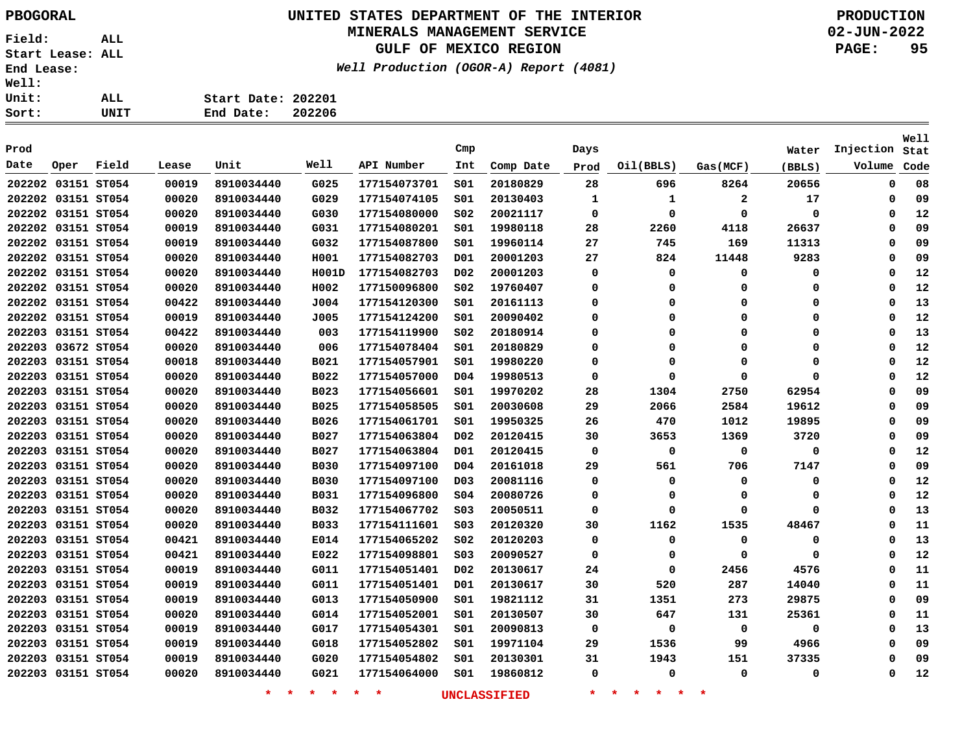# **UNITED STATES DEPARTMENT OF THE INTERIOR PBOGORAL PRODUCTION**

### **MINERALS MANAGEMENT SERVICE**

**GULF OF MEXICO REGION**

**Well Production (OGOR-A) Report (4081)**

**02-JUN-2022 PAGE: 95**

| Sort:        | UNIT | 202206<br>End Date: |
|--------------|------|---------------------|
| Unit:        | ALL. | Start Date: 202201  |
| <b>Well:</b> |      |                     |

| Prod |                    |       |       |            |             |              | Cmp              |           | Days        |             |             | Water       | Injection | <b>Well</b><br>Stat |
|------|--------------------|-------|-------|------------|-------------|--------------|------------------|-----------|-------------|-------------|-------------|-------------|-----------|---------------------|
| Date | Oper               | Field | Lease | Unit       | Well        | API Number   | Int              | Comp Date | Prod        | Oil(BBLS)   | Gas (MCF)   | (BBLS)      | Volume    | Code                |
|      | 202202 03151 ST054 |       | 00019 | 8910034440 | G025        | 177154073701 | SO1              | 20180829  | 28          | 696         | 8264        | 20656       | 0         | 08                  |
|      | 202202 03151 ST054 |       | 00020 | 8910034440 | G029        | 177154074105 | SO1              | 20130403  | 1           | 1           | 2           | 17          | 0         | 09                  |
|      | 202202 03151 ST054 |       | 00020 | 8910034440 | G030        | 177154080000 | SO <sub>2</sub>  | 20021117  | 0           | $\Omega$    | 0           | 0           | 0         | 12                  |
|      | 202202 03151 ST054 |       | 00019 | 8910034440 | G031        | 177154080201 | SO1              | 19980118  | 28          | 2260        | 4118        | 26637       | 0         | 09                  |
|      | 202202 03151 ST054 |       | 00019 | 8910034440 | G032        | 177154087800 | S01              | 19960114  | 27          | 745         | 169         | 11313       | 0         | 09                  |
|      | 202202 03151 ST054 |       | 00020 | 8910034440 | H001        | 177154082703 | D01              | 20001203  | 27          | 824         | 11448       | 9283        | 0         | 09                  |
|      | 202202 03151 ST054 |       | 00020 | 8910034440 | H001D       | 177154082703 | D <sub>0</sub> 2 | 20001203  | 0           | 0           | $\Omega$    | 0           | 0         | 12                  |
|      | 202202 03151 ST054 |       | 00020 | 8910034440 | H002        | 177150096800 | S02              | 19760407  | 0           | $\Omega$    | 0           | 0           | 0         | 12                  |
|      | 202202 03151 ST054 |       | 00422 | 8910034440 | J004        | 177154120300 | SO1              | 20161113  | 0           | 0           | 0           | 0           | 0         | 13                  |
|      | 202202 03151 ST054 |       | 00019 | 8910034440 | J005        | 177154124200 | SO1              | 20090402  | $\mathbf 0$ | $\Omega$    | $\Omega$    | 0           | 0         | 12                  |
|      | 202203 03151 ST054 |       | 00422 | 8910034440 | 003         | 177154119900 | SO <sub>2</sub>  | 20180914  | 0           | $\Omega$    | $\Omega$    | 0           | 0         | 13                  |
|      | 202203 03672 ST054 |       | 00020 | 8910034440 | 006         | 177154078404 | SO1              | 20180829  | 0           | $\Omega$    | $\Omega$    | 0           | 0         | 12                  |
|      | 202203 03151 ST054 |       | 00018 | 8910034440 | <b>B021</b> | 177154057901 | SO1              | 19980220  | 0           | $\Omega$    | $\Omega$    | $\mathbf 0$ | 0         | 12                  |
|      | 202203 03151 ST054 |       | 00020 | 8910034440 | B022        | 177154057000 | D <sub>04</sub>  | 19980513  | $\mathbf 0$ | $\Omega$    | $\Omega$    | $\Omega$    | 0         | 12                  |
|      | 202203 03151 ST054 |       | 00020 | 8910034440 | <b>B023</b> | 177154056601 | S01              | 19970202  | 28          | 1304        | 2750        | 62954       | 0         | 09                  |
|      | 202203 03151 ST054 |       | 00020 | 8910034440 | <b>B025</b> | 177154058505 | SO1              | 20030608  | 29          | 2066        | 2584        | 19612       | 0         | 09                  |
|      | 202203 03151 ST054 |       | 00020 | 8910034440 | B026        | 177154061701 | SO1              | 19950325  | 26          | 470         | 1012        | 19895       | 0         | 09                  |
|      | 202203 03151 ST054 |       | 00020 | 8910034440 | B027        | 177154063804 | D <sub>0</sub> 2 | 20120415  | 30          | 3653        | 1369        | 3720        | 0         | 09                  |
|      | 202203 03151 ST054 |       | 00020 | 8910034440 | <b>B027</b> | 177154063804 | D01              | 20120415  | 0           | $\mathbf 0$ | $\mathbf 0$ | 0           | 0         | 12                  |
|      | 202203 03151 ST054 |       | 00020 | 8910034440 | <b>B030</b> | 177154097100 | D <sub>04</sub>  | 20161018  | 29          | 561         | 706         | 7147        | 0         | 09                  |
|      | 202203 03151 ST054 |       | 00020 | 8910034440 | <b>B030</b> | 177154097100 | D <sub>0.3</sub> | 20081116  | $\mathbf 0$ | $\Omega$    | $\Omega$    | $\mathbf 0$ | 0         | 12                  |
|      | 202203 03151 ST054 |       | 00020 | 8910034440 | <b>B031</b> | 177154096800 | SO <sub>4</sub>  | 20080726  | 0           | $\Omega$    | 0           | 0           | 0         | 12                  |
|      | 202203 03151 ST054 |       | 00020 | 8910034440 | B032        | 177154067702 | SO <sub>3</sub>  | 20050511  | 0           | $\Omega$    | $\Omega$    | $\mathbf 0$ | 0         | 13                  |
|      | 202203 03151 ST054 |       | 00020 | 8910034440 | <b>B033</b> | 177154111601 | SO <sub>3</sub>  | 20120320  | 30          | 1162        | 1535        | 48467       | 0         | 11                  |
|      | 202203 03151 ST054 |       | 00421 | 8910034440 | E014        | 177154065202 | SO <sub>2</sub>  | 20120203  | 0           | $\Omega$    | 0           | 0           | 0         | 13                  |
|      | 202203 03151 ST054 |       | 00421 | 8910034440 | E022        | 177154098801 | SO <sub>3</sub>  | 20090527  | 0           | $\Omega$    | $\Omega$    | $\mathbf 0$ | 0         | 12                  |
|      | 202203 03151 ST054 |       | 00019 | 8910034440 | G011        | 177154051401 | D <sub>0</sub> 2 | 20130617  | 24          | $\mathbf 0$ | 2456        | 4576        | 0         | 11                  |
|      | 202203 03151 ST054 |       | 00019 | 8910034440 | G011        | 177154051401 | D01              | 20130617  | 30          | 520         | 287         | 14040       | 0         | 11                  |
|      | 202203 03151 ST054 |       | 00019 | 8910034440 | G013        | 177154050900 | SO1              | 19821112  | 31          | 1351        | 273         | 29875       | 0         | 09                  |
|      | 202203 03151 ST054 |       | 00020 | 8910034440 | G014        | 177154052001 | SO1              | 20130507  | 30          | 647         | 131         | 25361       | 0         | 11                  |
|      | 202203 03151 ST054 |       | 00019 | 8910034440 | G017        | 177154054301 | SO1              | 20090813  | $\mathbf 0$ | $\mathbf 0$ | $\mathbf 0$ | 0           | 0         | 13                  |
|      | 202203 03151 ST054 |       | 00019 | 8910034440 | G018        | 177154052802 | S01              | 19971104  | 29          | 1536        | 99          | 4966        | 0         | 09                  |
|      | 202203 03151 ST054 |       | 00019 | 8910034440 | G020        | 177154054802 | SO1              | 20130301  | 31          | 1943        | 151         | 37335       | 0         | 09                  |
|      | 202203 03151 ST054 |       | 00020 | 8910034440 | G021        | 177154064000 | SO1              | 19860812  | $\mathbf 0$ | 0           | 0           | 0           | 0         | 12                  |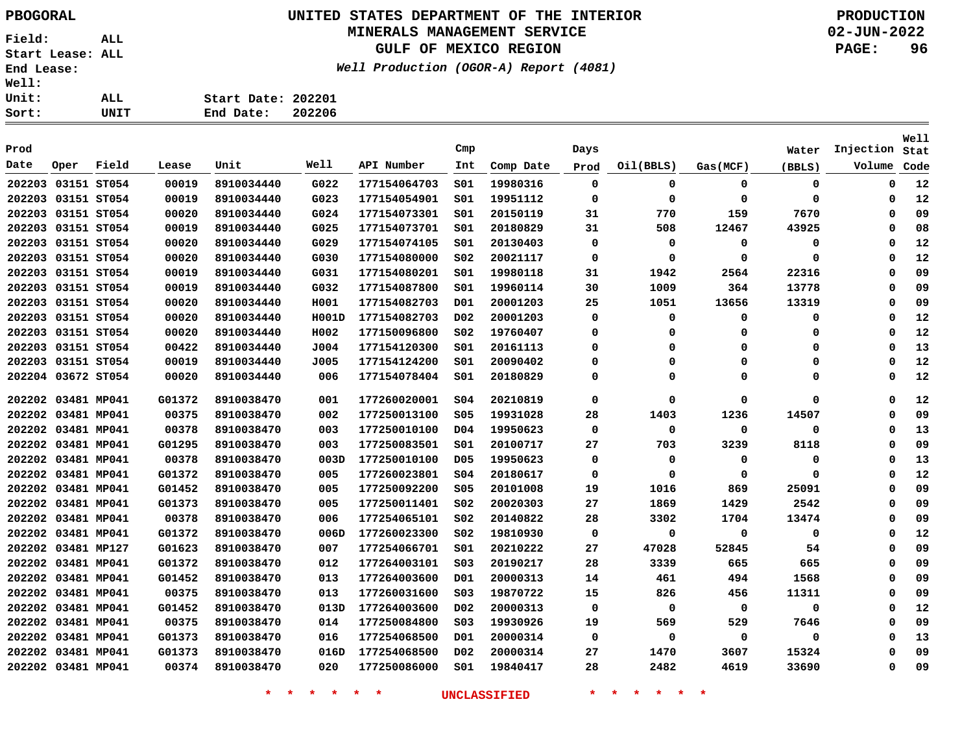# **UNITED STATES DEPARTMENT OF THE INTERIOR PBOGORAL PRODUCTION**

### **MINERALS MANAGEMENT SERVICE**

**GULF OF MEXICO REGION**

**Well Production (OGOR-A) Report (4081)**

**02-JUN-2022 PAGE: 96**

| Sort:        | UNIT | End Date:          | 202206 |
|--------------|------|--------------------|--------|
| Unit:        | ALL. | Start Date: 202201 |        |
| <b>Well:</b> |      |                    |        |

| Prod |                    |       |        |            |       |              | Cmp              |           |             |           |             |             |           | Well |
|------|--------------------|-------|--------|------------|-------|--------------|------------------|-----------|-------------|-----------|-------------|-------------|-----------|------|
| Date |                    | Field |        | Unit       | Well  | API Number   |                  |           | Days        |           |             | Water       | Injection | Stat |
|      | Oper               |       | Lease  |            |       |              | Int              | Comp Date | Prod        | Oil(BBLS) | Gas(MCF)    | (BBLS)      | Volume    | Code |
|      | 202203 03151 ST054 |       | 00019  | 8910034440 | G022  | 177154064703 | SO1              | 19980316  | 0           | 0         | $\mathbf 0$ | 0           | 0         | 12   |
|      | 202203 03151 ST054 |       | 00019  | 8910034440 | G023  | 177154054901 | SO1              | 19951112  | $\Omega$    | 0         | $\Omega$    | $\mathbf 0$ | 0         | 12   |
|      | 202203 03151 ST054 |       | 00020  | 8910034440 | G024  | 177154073301 | SO1              | 20150119  | 31          | 770       | 159         | 7670        | 0         | 09   |
|      | 202203 03151 ST054 |       | 00019  | 8910034440 | G025  | 177154073701 | SO1              | 20180829  | 31          | 508       | 12467       | 43925       | 0         | 08   |
|      | 202203 03151 ST054 |       | 00020  | 8910034440 | G029  | 177154074105 | SO1              | 20130403  | 0           | 0         | $\mathbf 0$ | 0           | 0         | 12   |
|      | 202203 03151 ST054 |       | 00020  | 8910034440 | G030  | 177154080000 | SO <sub>2</sub>  | 20021117  | $\mathbf 0$ | 0         | $\Omega$    | $\mathbf 0$ | 0         | 12   |
|      | 202203 03151 ST054 |       | 00019  | 8910034440 | G031  | 177154080201 | SO1              | 19980118  | 31          | 1942      | 2564        | 22316       | 0         | 09   |
|      | 202203 03151 ST054 |       | 00019  | 8910034440 | G032  | 177154087800 | SO1              | 19960114  | 30          | 1009      | 364         | 13778       | 0         | 09   |
|      | 202203 03151 ST054 |       | 00020  | 8910034440 | H001  | 177154082703 | D01              | 20001203  | 25          | 1051      | 13656       | 13319       | 0         | 09   |
|      | 202203 03151 ST054 |       | 00020  | 8910034440 | H001D | 177154082703 | D02              | 20001203  | 0           | 0         | $\Omega$    | 0           | 0         | 12   |
|      | 202203 03151 ST054 |       | 00020  | 8910034440 | H002  | 177150096800 | S02              | 19760407  | $\Omega$    | 0         | $\Omega$    | 0           | 0         | 12   |
|      | 202203 03151 ST054 |       | 00422  | 8910034440 | J004  | 177154120300 | SO1              | 20161113  | $\Omega$    | $\Omega$  | $\Omega$    | 0           | $\Omega$  | 13   |
|      | 202203 03151 ST054 |       | 00019  | 8910034440 | J005  | 177154124200 | SO1              | 20090402  | $\Omega$    | $\Omega$  | $\Omega$    | $\mathbf 0$ | 0         | 12   |
|      | 202204 03672 ST054 |       | 00020  | 8910034440 | 006   | 177154078404 | S01              | 20180829  | O           | O         | n           | $\Omega$    | $\Omega$  | 12   |
|      | 202202 03481 MP041 |       | G01372 | 8910038470 | 001   | 177260020001 | SO <sub>4</sub>  | 20210819  | $\mathbf 0$ | 0         | 0           | 0           | 0         | 12   |
|      | 202202 03481 MP041 |       | 00375  | 8910038470 | 002   | 177250013100 | \$05             | 19931028  | 28          | 1403      | 1236        | 14507       | 0         | 09   |
|      | 202202 03481 MP041 |       | 00378  | 8910038470 | 003   | 177250010100 | D04              | 19950623  | 0           | 0         | 0           | 0           | 0         | 13   |
|      | 202202 03481 MP041 |       | G01295 | 8910038470 | 003   | 177250083501 | SO1              | 20100717  | 27          | 703       | 3239        | 8118        | 0         | 09   |
|      | 202202 03481 MP041 |       | 00378  | 8910038470 | 003D  | 177250010100 | D <sub>05</sub>  | 19950623  | $\mathbf 0$ | 0         | 0           | 0           | 0         | 13   |
|      | 202202 03481 MP041 |       | G01372 | 8910038470 | 005   | 177260023801 | SO <sub>4</sub>  | 20180617  | $\mathbf 0$ | 0         | $\Omega$    | $\Omega$    | 0         | 12   |
|      | 202202 03481 MP041 |       | G01452 | 8910038470 | 005   | 177250092200 | \$05             | 20101008  | 19          | 1016      | 869         | 25091       | 0         | 09   |
|      | 202202 03481 MP041 |       | G01373 | 8910038470 | 005   | 177250011401 | SO <sub>2</sub>  | 20020303  | 27          | 1869      | 1429        | 2542        | 0         | 09   |
|      | 202202 03481 MP041 |       | 00378  | 8910038470 | 006   | 177254065101 | SO <sub>2</sub>  | 20140822  | 28          | 3302      | 1704        | 13474       | 0         | 09   |
|      | 202202 03481 MP041 |       | G01372 | 8910038470 | 006D  | 177260023300 | SO <sub>2</sub>  | 19810930  | $\mathbf 0$ | 0         | $\mathbf 0$ | 0           | 0         | 12   |
|      | 202202 03481 MP127 |       | G01623 | 8910038470 | 007   | 177254066701 | SO1              | 20210222  | 27          | 47028     | 52845       | 54          | 0         | 09   |
|      | 202202 03481 MP041 |       | G01372 | 8910038470 | 012   | 177264003101 | SO <sub>3</sub>  | 20190217  | 28          | 3339      | 665         | 665         | 0         | 09   |
|      | 202202 03481 MP041 |       | G01452 | 8910038470 | 013   | 177264003600 | D01              | 20000313  | 14          | 461       | 494         | 1568        | 0         | 09   |
|      | 202202 03481 MP041 |       | 00375  | 8910038470 | 013   | 177260031600 | SO <sub>3</sub>  | 19870722  | 15          | 826       | 456         | 11311       | 0         | 09   |
|      | 202202 03481 MP041 |       | G01452 | 8910038470 | 013D  | 177264003600 | D <sub>0</sub> 2 | 20000313  | 0           | 0         | 0           | 0           | 0         | 12   |
|      | 202202 03481 MP041 |       | 00375  | 8910038470 | 014   | 177250084800 | SO <sub>3</sub>  | 19930926  | 19          | 569       | 529         | 7646        | 0         | 09   |
|      | 202202 03481 MP041 |       | G01373 | 8910038470 | 016   | 177254068500 | D01              | 20000314  | 0           | 0         | 0           | 0           | 0         | 13   |
|      | 202202 03481 MP041 |       | G01373 | 8910038470 | 016D  | 177254068500 | D <sub>0</sub> 2 | 20000314  | 27          | 1470      | 3607        | 15324       | $\Omega$  | 09   |
|      | 202202 03481 MP041 |       | 00374  | 8910038470 | 020   | 177250086000 | SO1              | 19840417  | 28          | 2482      | 4619        | 33690       | 0         | 09   |
|      |                    |       |        |            |       |              |                  |           |             |           |             |             |           |      |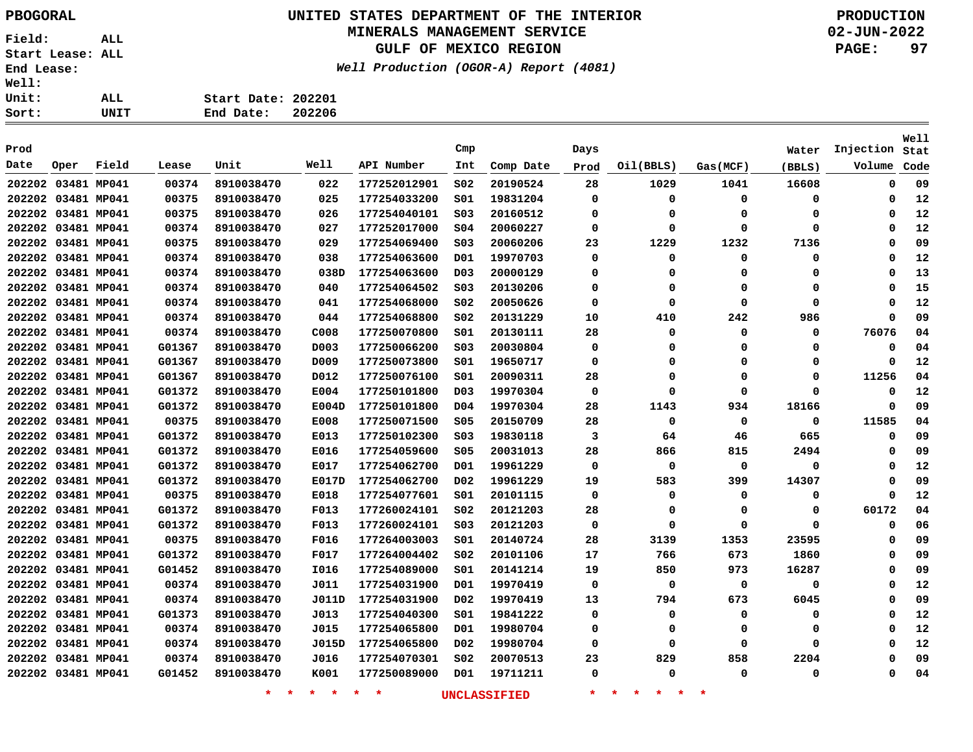### **UNITED STATES DEPARTMENT OF THE INTERIOR PBOGORAL PRODUCTION**

#### **MINERALS MANAGEMENT SERVICE**

**GULF OF MEXICO REGION**

**Well Production (OGOR-A) Report (4081)**

**02-JUN-2022 PAGE: 97**

| t:   | UNIT | End Date: 202206   |  |
|------|------|--------------------|--|
| .t : | ALL  | Start Date: 202201 |  |
| .1:  |      |                    |  |

| Prod               |      |       |        |            |       |              | Cmp              |           | Days        |             |           | Water    | Injection | Well<br>Stat |
|--------------------|------|-------|--------|------------|-------|--------------|------------------|-----------|-------------|-------------|-----------|----------|-----------|--------------|
| Date               | Oper | Field | Lease  | Unit       | Well  | API Number   | Int              | Comp Date | Prod        | Oil(BBLS)   | Gas (MCF) | (BBLS)   | Volume    | Code         |
|                    |      |       |        |            |       |              |                  |           |             |             |           |          |           |              |
| 202202 03481 MP041 |      |       | 00374  | 8910038470 | 022   | 177252012901 | SO <sub>2</sub>  | 20190524  | 28          | 1029        | 1041      | 16608    | 0         | 09           |
| 202202 03481 MP041 |      |       | 00375  | 8910038470 | 025   | 177254033200 | SO1              | 19831204  | 0           | 0           | 0         | 0        | 0         | 12           |
| 202202 03481 MP041 |      |       | 00375  | 8910038470 | 026   | 177254040101 | S03              | 20160512  | 0           | 0           | 0         | 0        | 0         | 12           |
| 202202 03481 MP041 |      |       | 00374  | 8910038470 | 027   | 177252017000 | S04              | 20060227  | 0           | 0           | 0         | 0        | 0         | 12           |
| 202202 03481 MP041 |      |       | 00375  | 8910038470 | 029   | 177254069400 | SO <sub>3</sub>  | 20060206  | 23          | 1229        | 1232      | 7136     | $\Omega$  | 09           |
| 202202 03481 MP041 |      |       | 00374  | 8910038470 | 038   | 177254063600 | D01              | 19970703  | $\Omega$    | 0           | 0         | 0        | $\Omega$  | 12           |
| 202202 03481 MP041 |      |       | 00374  | 8910038470 | 038D  | 177254063600 | D <sub>0</sub> 3 | 20000129  | 0           | 0           | 0         | 0        | 0         | 13           |
| 202202 03481 MP041 |      |       | 00374  | 8910038470 | 040   | 177254064502 | S03              | 20130206  | 0           | 0           | 0         | 0        | 0         | 15           |
| 202202 03481 MP041 |      |       | 00374  | 8910038470 | 041   | 177254068000 | S02              | 20050626  | $\Omega$    | 0           | 0         | 0        | 0         | 12           |
| 202202 03481 MP041 |      |       | 00374  | 8910038470 | 044   | 177254068800 | S02              | 20131229  | 10          | 410         | 242       | 986      | $\Omega$  | 09           |
| 202202 03481 MP041 |      |       | 00374  | 8910038470 | C008  | 177250070800 | SO1              | 20130111  | 28          | 0           | 0         | 0        | 76076     | 04           |
| 202202 03481 MP041 |      |       | G01367 | 8910038470 | D003  | 177250066200 | S03              | 20030804  | 0           | 0           | 0         | 0        | 0         | 04           |
| 202202 03481 MP041 |      |       | G01367 | 8910038470 | D009  | 177250073800 | S01              | 19650717  | 0           | 0           | 0         | 0        | 0         | 12           |
| 202202 03481 MP041 |      |       | G01367 | 8910038470 | D012  | 177250076100 | S01              | 20090311  | 28          | 0           | 0         | 0        | 11256     | 04           |
| 202202 03481 MP041 |      |       | G01372 | 8910038470 | E004  | 177250101800 | D03              | 19970304  | $\mathbf 0$ | 0           | 0         | 0        | 0         | 12           |
| 202202 03481 MP041 |      |       | G01372 | 8910038470 | E004D | 177250101800 | D <sub>04</sub>  | 19970304  | 28          | 1143        | 934       | 18166    | 0         | 09           |
| 202202 03481 MP041 |      |       | 00375  | 8910038470 | E008  | 177250071500 | <b>S05</b>       | 20150709  | 28          | 0           | 0         | 0        | 11585     | 04           |
| 202202 03481 MP041 |      |       | G01372 | 8910038470 | E013  | 177250102300 | S03              | 19830118  | 3           | 64          | 46        | 665      | 0         | 09           |
| 202202 03481 MP041 |      |       | G01372 | 8910038470 | E016  | 177254059600 | \$05             | 20031013  | 28          | 866         | 815       | 2494     | 0         | 09           |
| 202202 03481 MP041 |      |       | G01372 | 8910038470 | E017  | 177254062700 | D <sub>01</sub>  | 19961229  | $\mathbf 0$ | $\mathbf 0$ | 0         | 0        | 0         | 12           |
| 202202 03481 MP041 |      |       | G01372 | 8910038470 | E017D | 177254062700 | D <sub>0</sub> 2 | 19961229  | 19          | 583         | 399       | 14307    | 0         | 09           |
| 202202 03481 MP041 |      |       | 00375  | 8910038470 | E018  | 177254077601 | S01              | 20101115  | 0           | 0           | 0         | 0        | 0         | 12           |
| 202202 03481 MP041 |      |       | G01372 | 8910038470 | F013  | 177260024101 | S02              | 20121203  | 28          | 0           | 0         | 0        | 60172     | 04           |
| 202202 03481 MP041 |      |       | G01372 | 8910038470 | F013  | 177260024101 | SO <sub>3</sub>  | 20121203  | $\mathbf 0$ | 0           | 0         | $\Omega$ | 0         | 06           |
| 202202 03481 MP041 |      |       | 00375  | 8910038470 | F016  | 177264003003 | SO1              | 20140724  | 28          | 3139        | 1353      | 23595    | 0         | 09           |
| 202202 03481 MP041 |      |       | G01372 | 8910038470 | F017  | 177264004402 | S02              | 20101106  | 17          | 766         | 673       | 1860     | 0         | 09           |
| 202202 03481 MP041 |      |       | G01452 | 8910038470 | I016  | 177254089000 | S01              | 20141214  | 19          | 850         | 973       | 16287    | 0         | 09           |
| 202202 03481 MP041 |      |       | 00374  | 8910038470 | J011  | 177254031900 | D01              | 19970419  | 0           | 0           | 0         | 0        | 0         | 12           |
| 202202 03481 MP041 |      |       | 00374  | 8910038470 | J011D | 177254031900 | D <sub>0</sub> 2 | 19970419  | 13          | 794         | 673       | 6045     | 0         | 09           |
| 202202 03481 MP041 |      |       | G01373 | 8910038470 | J013  | 177254040300 | SO1              | 19841222  | $\Omega$    | 0           | 0         | 0        | 0         | 12           |
| 202202 03481 MP041 |      |       | 00374  | 8910038470 | J015  | 177254065800 | D01              | 19980704  | 0           | 0           | 0         | 0        | 0         | 12           |
| 202202 03481 MP041 |      |       | 00374  | 8910038470 | J015D | 177254065800 | D02              | 19980704  | 0           | 0           | 0         | 0        | $\Omega$  | 12           |
| 202202 03481 MP041 |      |       | 00374  | 8910038470 | J016  | 177254070301 | SO <sub>2</sub>  | 20070513  | 23          | 829         | 858       | 2204     | 0         | 09           |
| 202202 03481 MP041 |      |       | G01452 | 8910038470 | K001  | 177250089000 | D <sub>01</sub>  | 19711211  | $\Omega$    | 0           | 0         | 0        | 0         | 04           |
|                    |      |       |        |            |       |              |                  |           |             |             |           |          |           |              |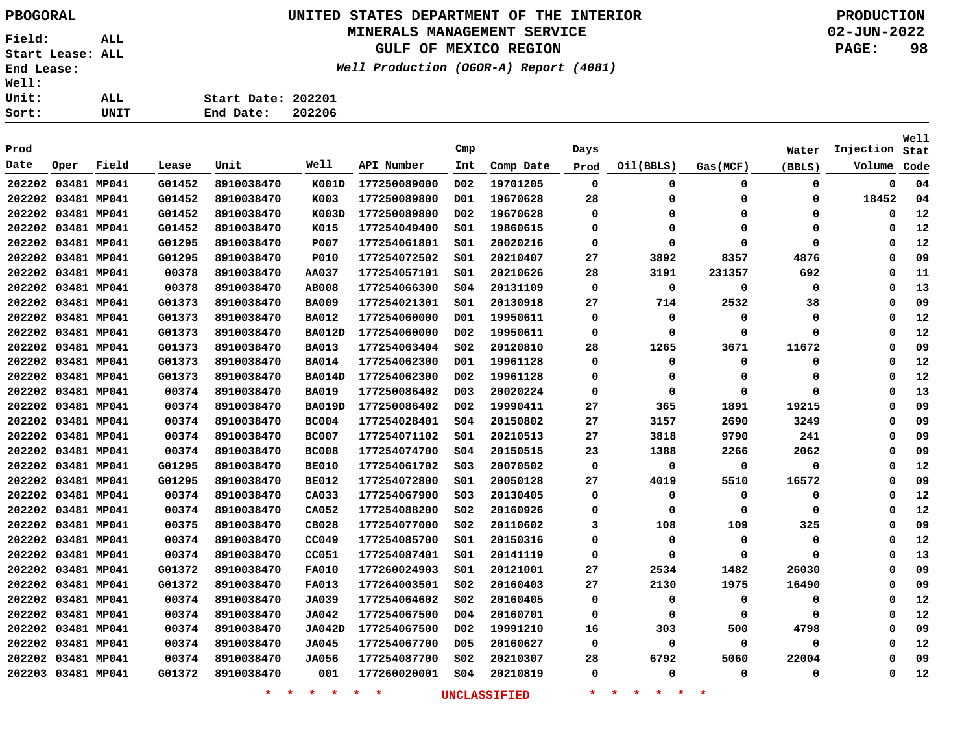## **UNITED STATES DEPARTMENT OF THE INTERIOR PBOGORAL PRODUCTION**

### **MINERALS MANAGEMENT SERVICE**

**GULF OF MEXICO REGION**

**Well Production (OGOR-A) Report (4081)**

| Sort:        | UNIT | 202206<br>End Date: |
|--------------|------|---------------------|
| <b>Unit:</b> | ALL  | Start Date: 202201  |
| <b>Well:</b> |      |                     |

| Prod               |      |             |        |                   |               |              | Cmp              |                     | Days     |                                |          | Water    | Injection | Well<br>Stat |
|--------------------|------|-------------|--------|-------------------|---------------|--------------|------------------|---------------------|----------|--------------------------------|----------|----------|-----------|--------------|
| Date               | Oper | Field       | Lease  | Unit              | Well          | API Number   | Int              | Comp Date           | Prod     | Oil(BBLS)                      | Gas(MCF) | (BBLS)   | Volume    | Code         |
| 202202 03481 MP041 |      |             | G01452 | 8910038470        | K001D         | 177250089000 | D02              | 19701205            | 0        | 0                              | 0        | 0        | 0         | 04           |
| 202202 03481 MP041 |      |             | G01452 | 8910038470        | K003          | 177250089800 | D01              | 19670628            | 28       | 0                              | $\Omega$ | 0        | 18452     | 04           |
| 202202 03481 MP041 |      |             | G01452 | 8910038470        | K003D         | 177250089800 | D02              | 19670628            | $\Omega$ | $\Omega$                       | 0        | 0        | 0         | 12           |
| 202202 03481 MP041 |      |             | G01452 | 8910038470        | K015          | 177254049400 | 501              | 19860615            | 0        | $\mathbf 0$                    | $\Omega$ | 0        | $\Omega$  | 12           |
| 202202 03481 MP041 |      |             | G01295 | 8910038470        | P007          | 177254061801 | SO1              | 20020216            | 0        | $\mathbf 0$                    | $\Omega$ | 0        | $\Omega$  | 12           |
| 202202 03481 MP041 |      |             | G01295 | 8910038470        | <b>P010</b>   | 177254072502 | 501              | 20210407            | 27       | 3892                           | 8357     | 4876     | 0         | 09           |
| 202202 03481 MP041 |      |             | 00378  | 8910038470        | <b>AA037</b>  | 177254057101 | SO1              | 20210626            | 28       | 3191                           | 231357   | 692      | 0         | 11           |
| 202202 03481 MP041 |      |             | 00378  | 8910038470        | <b>AB008</b>  | 177254066300 | S04              | 20131109            | 0        | 0                              | 0        | 0        | $\Omega$  | 13           |
| 202202 03481 MP041 |      |             | G01373 | 8910038470        | <b>BA009</b>  | 177254021301 | S01              | 20130918            | 27       | 714                            | 2532     | 38       | $\Omega$  | 09           |
| 202202 03481 MP041 |      |             | G01373 | 8910038470        | <b>BA012</b>  | 177254060000 | D01              | 19950611            | 0        | 0                              | 0        | 0        | 0         | 12           |
| 202202 03481 MP041 |      |             | G01373 | 8910038470        | <b>BA012D</b> | 177254060000 | D02              | 19950611            | 0        | 0                              | $\Omega$ | 0        | $\Omega$  | 12           |
| 202202 03481 MP041 |      |             | G01373 | 8910038470        | <b>BA013</b>  | 177254063404 | SO <sub>2</sub>  | 20120810            | 28       | 1265                           | 3671     | 11672    | 0         | 09           |
| 202202 03481 MP041 |      |             | G01373 | 8910038470        | <b>BA014</b>  | 177254062300 | D01              | 19961128            | 0        | 0                              | $\Omega$ | 0        | 0         | 12           |
| 202202 03481 MP041 |      |             | G01373 | 8910038470        | <b>BA014D</b> | 177254062300 | D02              | 19961128            | 0        | $\mathbf 0$                    | $\Omega$ | $\Omega$ | $\Omega$  | 12           |
| 202202 03481 MP041 |      |             | 00374  | 8910038470        | <b>BA019</b>  | 177250086402 | D <sub>0</sub> 3 | 20020224            | 0        | 0                              | $\Omega$ | 0        | $\Omega$  | 13           |
| 202202 03481 MP041 |      |             | 00374  | 8910038470        | <b>BA019D</b> | 177250086402 | D <sub>0</sub> 2 | 19990411            | 27       | 365                            | 1891     | 19215    | $\Omega$  | 09           |
| 202202 03481 MP041 |      |             | 00374  | 8910038470        | <b>BC004</b>  | 177254028401 | SO <sub>4</sub>  | 20150802            | 27       | 3157                           | 2690     | 3249     | 0         | 09           |
| 202202             |      | 03481 MP041 | 00374  | 8910038470        | <b>BC007</b>  | 177254071102 | S01              | 20210513            | 27       | 3818                           | 9790     | 241      | 0         | 09           |
| 202202 03481 MP041 |      |             | 00374  | 8910038470        | <b>BC008</b>  | 177254074700 | 504              | 20150515            | 23       | 1388                           | 2266     | 2062     | 0         | 09           |
| 202202 03481 MP041 |      |             | G01295 | 8910038470        | <b>BE010</b>  | 177254061702 | S03              | 20070502            | 0        | 0                              | 0        | 0        | $\Omega$  | 12           |
| 202202 03481 MP041 |      |             | G01295 | 8910038470        | <b>BE012</b>  | 177254072800 | SO1              | 20050128            | 27       | 4019                           | 5510     | 16572    | $\Omega$  | 09           |
| 202202 03481 MP041 |      |             | 00374  | 8910038470        | CA033         | 177254067900 | SO <sub>3</sub>  | 20130405            | 0        | 0                              | 0        | 0        | 0         | 12           |
| 202202 03481 MP041 |      |             | 00374  | 8910038470        | CA052         | 177254088200 | S02              | 20160926            | 0        | 0                              | $\Omega$ | 0        | 0         | 12           |
| 202202 03481 MP041 |      |             | 00375  | 8910038470        | CB028         | 177254077000 | S02              | 20110602            | 3        | 108                            | 109      | 325      | 0         | 09           |
| 202202 03481 MP041 |      |             | 00374  | 8910038470        | CC049         | 177254085700 | S01              | 20150316            | 0        | 0                              | 0        | 0        | $\Omega$  | 12           |
| 202202 03481 MP041 |      |             | 00374  | 8910038470        | CC051         | 177254087401 | SO1              | 20141119            | 0        | 0                              | $\Omega$ | 0        | $\Omega$  | 13           |
| 202202 03481 MP041 |      |             | G01372 | 8910038470        | FA010         | 177260024903 | S01              | 20121001            | 27       | 2534                           | 1482     | 26030    | 0         | 09           |
| 202202 03481 MP041 |      |             | G01372 | 8910038470        | FA013         | 177264003501 | S02              | 20160403            | 27       | 2130                           | 1975     | 16490    | 0         | 09           |
| 202202 03481 MP041 |      |             | 00374  | 8910038470        | <b>JA039</b>  | 177254064602 | S02              | 20160405            | 0        | 0                              | 0        | 0        | 0         | 12           |
| 202202 03481 MP041 |      |             | 00374  | 8910038470        | JA042         | 177254067500 | D04              | 20160701            | 0        | 0                              | 0        | 0        | $\Omega$  | 12           |
| 202202 03481 MP041 |      |             | 00374  | 8910038470        | JA042D        | 177254067500 | D02              | 19991210            | 16       | 303                            | 500      | 4798     | 0         | 09           |
| 202202 03481 MP041 |      |             | 00374  | 8910038470        | JA045         | 177254067700 | D05              | 20160627            | 0        | 0                              | 0        | 0        | 0         | 12           |
| 202202 03481 MP041 |      |             | 00374  | 8910038470        | <b>JA056</b>  | 177254087700 | S02              | 20210307            | 28       | 6792                           | 5060     | 22004    | 0         | 09           |
| 202203 03481 MP041 |      |             | G01372 | 8910038470        | 001           | 177260020001 | SO <sub>4</sub>  | 20210819            | 0        | 0                              | $\Omega$ | 0        | 0         | 12           |
|                    |      |             |        | $\star$<br>$\ast$ | $\star$<br>一大 | $\star$<br>* |                  | <b>UNCLASSIFIED</b> | $\star$  | $\star$<br>一大<br>一大<br>$\star$ | $\ast$   |          |           |              |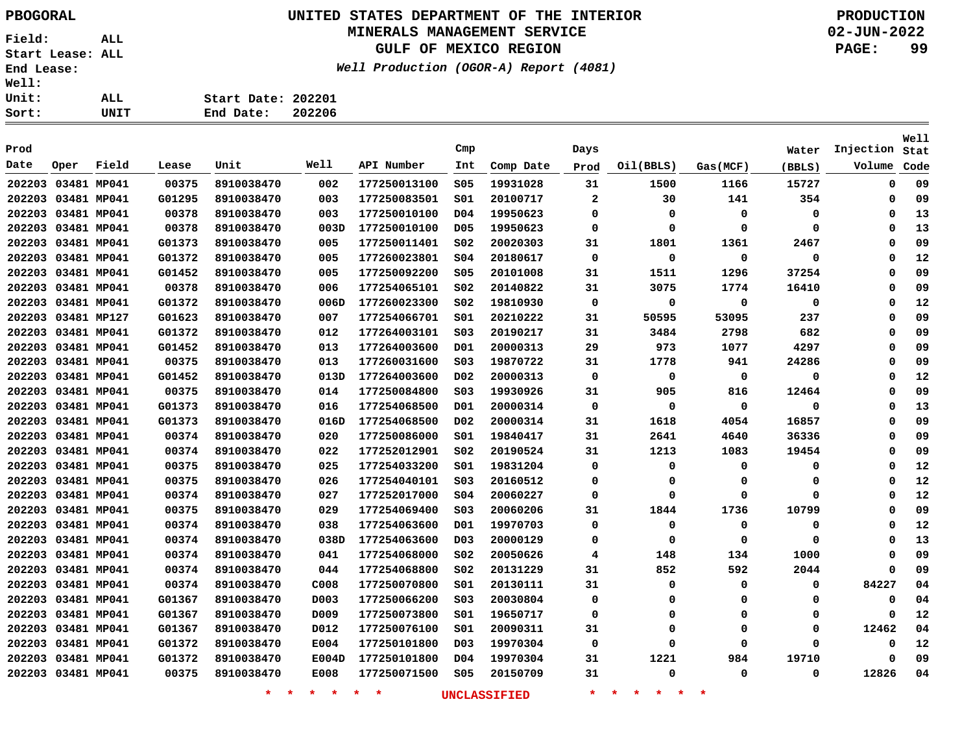# **UNITED STATES DEPARTMENT OF THE INTERIOR PBOGORAL PRODUCTION**

### **MINERALS MANAGEMENT SERVICE**

**GULF OF MEXICO REGION**

**Well Production (OGOR-A) Report (4081)**

**02-JUN-2022 PAGE: 99**

| UNIT | End Date: 202206   |  |
|------|--------------------|--|
| ALL  | Start Date: 202201 |  |
|      |                    |  |

| Prod               |             |       |        |            |                  |              | Cmp              |           | Days         |             |          | Water  | Injection   | Well<br>Stat |
|--------------------|-------------|-------|--------|------------|------------------|--------------|------------------|-----------|--------------|-------------|----------|--------|-------------|--------------|
| Date               | Oper        | Field | Lease  | Unit       | Well             | API Number   | Int              | Comp Date | Prod         | Oil(BBLS)   | Gas(MCF) | (BBLS) | Volume      | Code         |
|                    |             |       |        |            |                  |              |                  |           |              |             |          |        |             | 09           |
| 202203             | 03481 MP041 |       | 00375  | 8910038470 | 002              | 177250013100 | S05              | 19931028  | 31           | 1500        | 1166     | 15727  | 0           |              |
| 202203 03481 MP041 |             |       | G01295 | 8910038470 | 003              | 177250083501 | SO1              | 20100717  | $\mathbf{2}$ | 30          | 141      | 354    | 0           | 09           |
| 202203 03481 MP041 |             |       | 00378  | 8910038470 | 003              | 177250010100 | D <sub>04</sub>  | 19950623  | 0            | 0           | 0        | 0      | 0           | 13           |
| 202203 03481 MP041 |             |       | 00378  | 8910038470 | 003D             | 177250010100 | D <sub>05</sub>  | 19950623  | 0            | 0           | 0        | 0      | 0           | 13           |
| 202203 03481 MP041 |             |       | G01373 | 8910038470 | 005              | 177250011401 | SO <sub>2</sub>  | 20020303  | 31           | 1801        | 1361     | 2467   | 0           | 09           |
| 202203 03481 MP041 |             |       | G01372 | 8910038470 | 005              | 177260023801 | SO <sub>4</sub>  | 20180617  | 0            | 0           | 0        | 0      | 0           | 12           |
| 202203 03481 MP041 |             |       | G01452 | 8910038470 | 005              | 177250092200 | \$05             | 20101008  | 31           | 1511        | 1296     | 37254  | $\mathbf 0$ | 09           |
| 202203 03481 MP041 |             |       | 00378  | 8910038470 | 006              | 177254065101 | SO <sub>2</sub>  | 20140822  | 31           | 3075        | 1774     | 16410  | 0           | 09           |
| 202203 03481 MP041 |             |       | G01372 | 8910038470 | 006D             | 177260023300 | SO <sub>2</sub>  | 19810930  | 0            | $\mathbf 0$ | 0        | 0      | 0           | 12           |
| 202203 03481 MP127 |             |       | G01623 | 8910038470 | 007              | 177254066701 | SO1              | 20210222  | 31           | 50595       | 53095    | 237    | 0           | 09           |
| 202203             | 03481 MP041 |       | G01372 | 8910038470 | 012              | 177264003101 | SO <sub>3</sub>  | 20190217  | 31           | 3484        | 2798     | 682    | 0           | 09           |
| 202203             | 03481 MP041 |       | G01452 | 8910038470 | 013              | 177264003600 | D01              | 20000313  | 29           | 973         | 1077     | 4297   | 0           | 09           |
| 202203             | 03481 MP041 |       | 00375  | 8910038470 | 013              | 177260031600 | SO <sub>3</sub>  | 19870722  | 31           | 1778        | 941      | 24286  | 0           | 09           |
| 202203             | 03481 MP041 |       | G01452 | 8910038470 | 013D             | 177264003600 | D <sub>02</sub>  | 20000313  | 0            | 0           | 0        | 0      | 0           | 12           |
| 202203             | 03481 MP041 |       | 00375  | 8910038470 | 014              | 177250084800 | SO <sub>3</sub>  | 19930926  | 31           | 905         | 816      | 12464  | 0           | 09           |
| 202203             | 03481 MP041 |       | G01373 | 8910038470 | 016              | 177254068500 | D01              | 20000314  | 0            | $\mathbf 0$ | 0        | 0      | 0           | 13           |
| 202203             | 03481 MP041 |       | G01373 | 8910038470 | 016D             | 177254068500 | D <sub>02</sub>  | 20000314  | 31           | 1618        | 4054     | 16857  | 0           | 09           |
| 202203             | 03481 MP041 |       | 00374  | 8910038470 | 020              | 177250086000 | SO1              | 19840417  | 31           | 2641        | 4640     | 36336  | 0           | 09           |
| 202203             | 03481 MP041 |       | 00374  | 8910038470 | 022              | 177252012901 | SO <sub>2</sub>  | 20190524  | 31           | 1213        | 1083     | 19454  | 0           | 09           |
| 202203             | 03481 MP041 |       | 00375  | 8910038470 | 025              | 177254033200 | SO1              | 19831204  | 0            | 0           | 0        | 0      | 0           | 12           |
| 202203             | 03481 MP041 |       | 00375  | 8910038470 | 026              | 177254040101 | SO <sub>3</sub>  | 20160512  | 0            | 0           | 0        | 0      | 0           | 12           |
| 202203             | 03481 MP041 |       | 00374  | 8910038470 | 027              | 177252017000 | \$04             | 20060227  | 0            | 0           | 0        | 0      | 0           | 12           |
| 202203             | 03481 MP041 |       | 00375  | 8910038470 | 029              | 177254069400 | S03              | 20060206  | 31           | 1844        | 1736     | 10799  | 0           | 09           |
| 202203             | 03481 MP041 |       | 00374  | 8910038470 | 038              | 177254063600 | D01              | 19970703  | 0            | 0           | 0        | 0      | 0           | 12           |
| 202203             | 03481 MP041 |       | 00374  | 8910038470 | 038D             | 177254063600 | D <sub>0</sub> 3 | 20000129  | 0            | 0           | 0        | 0      | 0           | 13           |
| 202203             | 03481 MP041 |       | 00374  | 8910038470 | 041              | 177254068000 | SO <sub>2</sub>  | 20050626  | 4            | 148         | 134      | 1000   | 0           | 09           |
| 202203             | 03481 MP041 |       | 00374  | 8910038470 | 044              | 177254068800 | SO <sub>2</sub>  | 20131229  | 31           | 852         | 592      | 2044   | 0           | 09           |
| 202203             | 03481 MP041 |       | 00374  | 8910038470 | C008             | 177250070800 | SO1              | 20130111  | 31           | 0           | 0        | 0      | 84227       | 04           |
| 202203             | 03481 MP041 |       | G01367 | 8910038470 | D <sub>003</sub> | 177250066200 | SO <sub>3</sub>  | 20030804  | 0            | 0           | 0        | 0      | 0           | 04           |
| 202203             | 03481 MP041 |       | G01367 | 8910038470 | D009             | 177250073800 | SO1              | 19650717  | 0            | 0           | 0        | 0      | 0           | 12           |
| 202203             | 03481 MP041 |       | G01367 | 8910038470 | D012             | 177250076100 | SO1              | 20090311  | 31           | $\Omega$    | 0        | 0      | 12462       | 04           |
| 202203 03481 MP041 |             |       | G01372 | 8910038470 | E004             | 177250101800 | D <sub>0</sub> 3 | 19970304  | $\mathbf 0$  | $\Omega$    | 0        | 0      | 0           | 12           |
| 202203             | 03481 MP041 |       | G01372 | 8910038470 | E004D            | 177250101800 | D <sub>04</sub>  | 19970304  | 31           | 1221        | 984      | 19710  | $\mathbf 0$ | 09           |
| 202203 03481 MP041 |             |       | 00375  | 8910038470 | E008             | 177250071500 | \$05             | 20150709  | 31           | $\mathbf 0$ | 0        | 0      | 12826       | 04           |
|                    |             |       |        |            |                  |              |                  |           |              |             |          |        |             |              |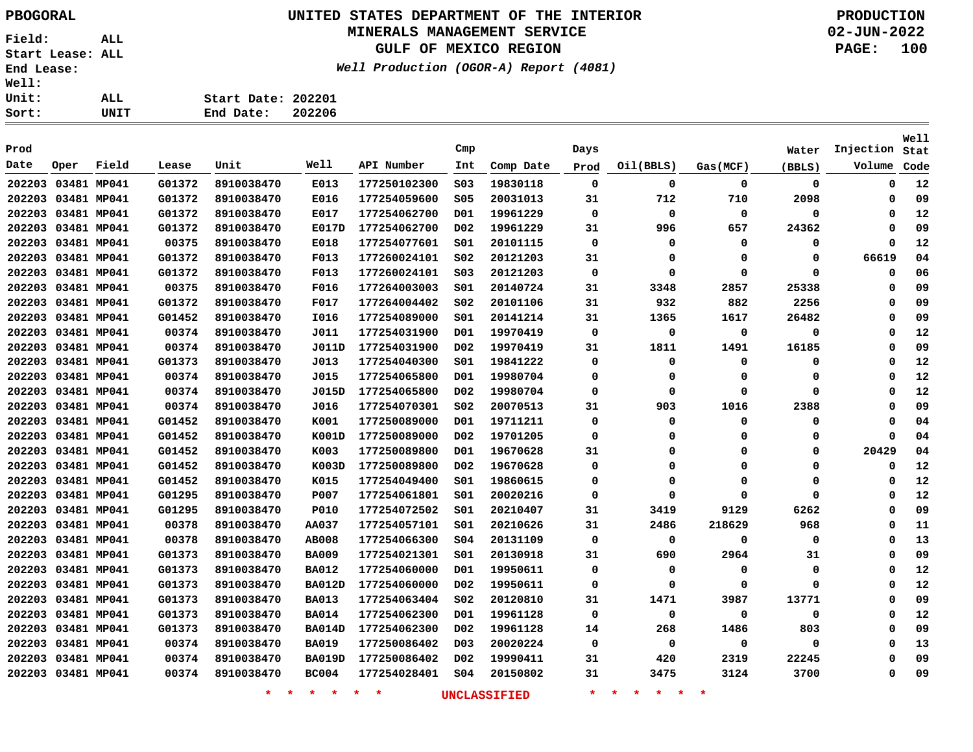# **UNITED STATES DEPARTMENT OF THE INTERIOR PBOGORAL PRODUCTION**

### **MINERALS MANAGEMENT SERVICE**

**GULF OF MEXICO REGION**

**Well Production (OGOR-A) Report (4081)**

**02-JUN-2022 PAGE: 100**

| t: | UNIT | End Date:          | 202206 |
|----|------|--------------------|--------|
| t: | ALL  | Start Date: 202201 |        |
| i: |      |                    |        |

| Prod |                    |       |        |            |               |              | Cmp              |           | Days        |             |             | Water  | Injection   | Well<br>Stat |
|------|--------------------|-------|--------|------------|---------------|--------------|------------------|-----------|-------------|-------------|-------------|--------|-------------|--------------|
| Date | Oper               | Field | Lease  | Unit       | Well          | API Number   | Int              | Comp Date | Prod        | Oil(BBLS)   | Gas (MCF)   | (BBLS) | Volume      | Code         |
|      | 202203 03481 MP041 |       | G01372 | 8910038470 | E013          | 177250102300 | SO <sub>3</sub>  | 19830118  | $\mathbf 0$ | 0           | $\mathbf 0$ | 0      | 0           | 12           |
|      | 202203 03481 MP041 |       | G01372 | 8910038470 | E016          | 177254059600 | \$05             | 20031013  | 31          | 712         | 710         | 2098   | 0           | 09           |
|      | 202203 03481 MP041 |       | G01372 | 8910038470 | E017          | 177254062700 | D01              | 19961229  | 0           | 0           | $\mathbf 0$ | 0      | $\Omega$    | 12           |
|      | 202203 03481 MP041 |       | G01372 | 8910038470 | E017D         | 177254062700 | DO <sub>2</sub>  | 19961229  | 31          | 996         | 657         | 24362  | 0           | 09           |
|      | 202203 03481 MP041 |       | 00375  | 8910038470 | E018          | 177254077601 | SO1              | 20101115  | 0           | 0           | 0           | 0      | $\Omega$    | 12           |
|      | 202203 03481 MP041 |       | G01372 | 8910038470 | F013          | 177260024101 | SO <sub>2</sub>  | 20121203  | 31          | 0           | 0           | 0      | 66619       | 04           |
|      | 202203 03481 MP041 |       | G01372 | 8910038470 | F013          | 177260024101 | SO <sub>3</sub>  | 20121203  | 0           | 0           | $\Omega$    | 0      | $\Omega$    | 06           |
|      | 202203 03481 MP041 |       | 00375  | 8910038470 | F016          | 177264003003 | SO1              | 20140724  | 31          | 3348        | 2857        | 25338  | 0           | 09           |
|      | 202203 03481 MP041 |       | G01372 | 8910038470 | F017          | 177264004402 | SO <sub>2</sub>  | 20101106  | 31          | 932         | 882         | 2256   | 0           | 09           |
|      | 202203 03481 MP041 |       | G01452 | 8910038470 | I016          | 177254089000 | SO1              | 20141214  | 31          | 1365        | 1617        | 26482  | 0           | 09           |
|      | 202203 03481 MP041 |       | 00374  | 8910038470 | J011          | 177254031900 | D01              | 19970419  | 0           | $\mathbf 0$ | 0           | 0      | $\Omega$    | 12           |
|      | 202203 03481 MP041 |       | 00374  | 8910038470 | J011D         | 177254031900 | D <sub>0</sub> 2 | 19970419  | 31          | 1811        | 1491        | 16185  | $\Omega$    | 09           |
|      | 202203 03481 MP041 |       | G01373 | 8910038470 | J013          | 177254040300 | 501              | 19841222  | 0           | 0           | 0           | 0      | $\Omega$    | 12           |
|      | 202203 03481 MP041 |       | 00374  | 8910038470 | J015          | 177254065800 | D01              | 19980704  | 0           | 0           | 0           | 0      | $\Omega$    | 12           |
|      | 202203 03481 MP041 |       | 00374  | 8910038470 | J015D         | 177254065800 | D <sub>0</sub> 2 | 19980704  | 0           | 0           | $\Omega$    | 0      | $\Omega$    | 12           |
|      | 202203 03481 MP041 |       | 00374  | 8910038470 | J016          | 177254070301 | SO <sub>2</sub>  | 20070513  | 31          | 903         | 1016        | 2388   | $\Omega$    | 09           |
|      | 202203 03481 MP041 |       | G01452 | 8910038470 | K001          | 177250089000 | D <sub>01</sub>  | 19711211  | $\mathbf 0$ | 0           | 0           | 0      | $\Omega$    | 04           |
|      | 202203 03481 MP041 |       | G01452 | 8910038470 | K001D         | 177250089000 | DO <sub>2</sub>  | 19701205  | 0           | 0           | 0           | 0      | $\Omega$    | 04           |
|      | 202203 03481 MP041 |       | G01452 | 8910038470 | K003          | 177250089800 | D01              | 19670628  | 31          | 0           | 0           | 0      | 20429       | 04           |
|      | 202203 03481 MP041 |       | G01452 | 8910038470 | K003D         | 177250089800 | D <sub>0</sub> 2 | 19670628  | $\Omega$    | 0           | 0           | 0      | $\mathbf 0$ | 12           |
|      | 202203 03481 MP041 |       | G01452 | 8910038470 | K015          | 177254049400 | 501              | 19860615  | 0           | 0           | 0           | 0      | 0           | 12           |
|      | 202203 03481 MP041 |       | G01295 | 8910038470 | P007          | 177254061801 | 501              | 20020216  | 0           | 0           | 0           | 0      | $\Omega$    | 12           |
|      | 202203 03481 MP041 |       | G01295 | 8910038470 | <b>P010</b>   | 177254072502 | 501              | 20210407  | 31          | 3419        | 9129        | 6262   | $\Omega$    | 09           |
|      | 202203 03481 MP041 |       | 00378  | 8910038470 | <b>AA037</b>  | 177254057101 | 501              | 20210626  | 31          | 2486        | 218629      | 968    | $\Omega$    | 11           |
|      | 202203 03481 MP041 |       | 00378  | 8910038470 | <b>AB008</b>  | 177254066300 | SO <sub>4</sub>  | 20131109  | 0           | $\mathbf 0$ | 0           | 0      | $\Omega$    | 13           |
|      | 202203 03481 MP041 |       | G01373 | 8910038470 | <b>BA009</b>  | 177254021301 | SO1              | 20130918  | 31          | 690         | 2964        | 31     | $\Omega$    | 09           |
|      | 202203 03481 MP041 |       | G01373 | 8910038470 | BA012         | 177254060000 | D01              | 19950611  | 0           | 0           | 0           | 0      | 0           | 12           |
|      | 202203 03481 MP041 |       | G01373 | 8910038470 | <b>BA012D</b> | 177254060000 | D02              | 19950611  | $\mathbf 0$ | 0           | 0           | 0      | $\Omega$    | 12           |
|      | 202203 03481 MP041 |       | G01373 | 8910038470 | <b>BA013</b>  | 177254063404 | SO <sub>2</sub>  | 20120810  | 31          | 1471        | 3987        | 13771  | 0           | 09           |
|      | 202203 03481 MP041 |       | G01373 | 8910038470 | <b>BA014</b>  | 177254062300 | D01              | 19961128  | 0           | 0           | 0           | 0      | 0           | 12           |
|      | 202203 03481 MP041 |       | G01373 | 8910038470 | <b>BA014D</b> | 177254062300 | D <sub>0</sub> 2 | 19961128  | 14          | 268         | 1486        | 803    | $\Omega$    | 09           |
|      | 202203 03481 MP041 |       | 00374  | 8910038470 | <b>BA019</b>  | 177250086402 | D <sub>0</sub> 3 | 20020224  | 0           | 0           | 0           | 0      | 0           | 13           |
|      | 202203 03481 MP041 |       | 00374  | 8910038470 | <b>BA019D</b> | 177250086402 | D02              | 19990411  | 31          | 420         | 2319        | 22245  | 0           | 09           |
|      | 202203 03481 MP041 |       | 00374  | 8910038470 | <b>BC004</b>  | 177254028401 | SO <sub>4</sub>  | 20150802  | 31          | 3475        | 3124        | 3700   | $\Omega$    | 09           |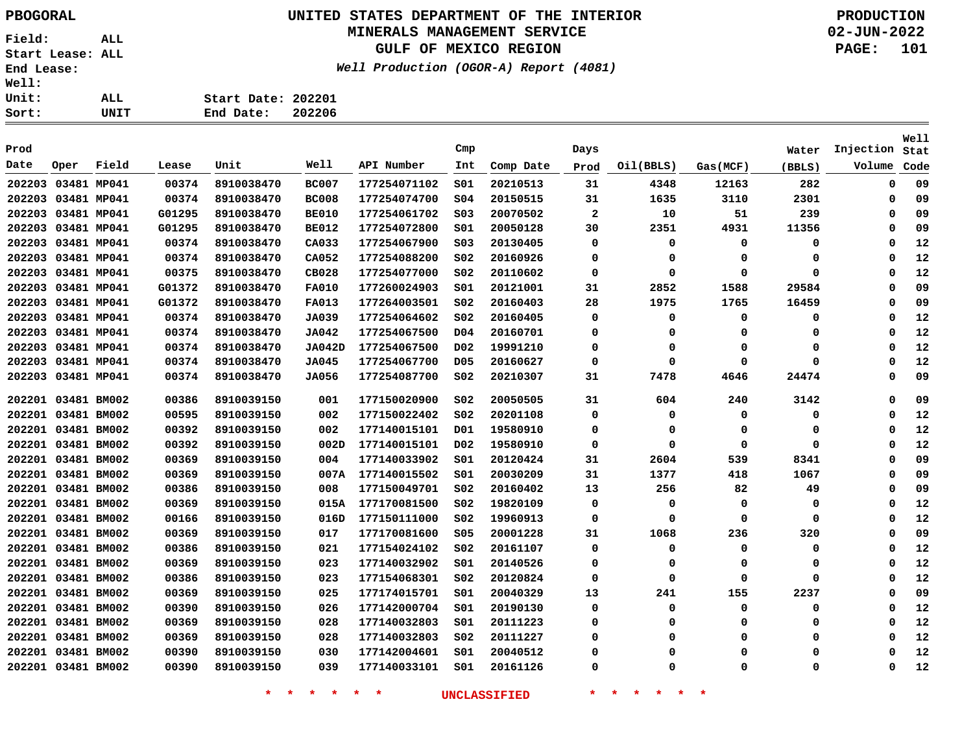### **UNITED STATES DEPARTMENT OF THE INTERIOR PBOGORAL PRODUCTION MINERALS MANAGEMENT SERVICE**

**GULF OF MEXICO REGION**

**Well Production (OGOR-A) Report (4081)**

**02-JUN-2022 PAGE: 101**

| Start Date: 202201 |        |
|--------------------|--------|
| End Date:          | 202206 |

|                    |             |       |        |            |               |              |                  |           |              |           |             |          |           | Well |
|--------------------|-------------|-------|--------|------------|---------------|--------------|------------------|-----------|--------------|-----------|-------------|----------|-----------|------|
| Prod               |             |       |        |            |               |              | Cmp              |           | Days         |           |             | Water    | Injection | Stat |
| Date               | Oper        | Field | Lease  | Unit       | Well          | API Number   | Int              | Comp Date | Prod         | Oil(BBLS) | Gas(MCF)    | (BBLS)   | Volume    | Code |
| 202203 03481 MP041 |             |       | 00374  | 8910038470 | <b>BC007</b>  | 177254071102 | 501              | 20210513  | 31           | 4348      | 12163       | 282      | 0         | 09   |
| 202203             | 03481 MP041 |       | 00374  | 8910038470 | <b>BC008</b>  | 177254074700 | \$04             | 20150515  | 31           | 1635      | 3110        | 2301     | $\Omega$  | 09   |
| 202203 03481 MP041 |             |       | G01295 | 8910038470 | <b>BE010</b>  | 177254061702 | SO <sub>3</sub>  | 20070502  | $\mathbf{2}$ | 10        | 51          | 239      | $\Omega$  | 09   |
| 202203 03481 MP041 |             |       | G01295 | 8910038470 | <b>BE012</b>  | 177254072800 | S01              | 20050128  | 30           | 2351      | 4931        | 11356    | 0         | 09   |
| 202203 03481 MP041 |             |       | 00374  | 8910038470 | CA033         | 177254067900 | SO <sub>3</sub>  | 20130405  | 0            | 0         | 0           | 0        | $\Omega$  | 12   |
| 202203 03481 MP041 |             |       | 00374  | 8910038470 | CA052         | 177254088200 | S02              | 20160926  | 0            | 0         | 0           | 0        | $\Omega$  | 12   |
| 202203             | 03481 MP041 |       | 00375  | 8910038470 | <b>CB028</b>  | 177254077000 | SO <sub>2</sub>  | 20110602  | $\mathbf 0$  | 0         | $\mathbf 0$ | $\Omega$ | $\Omega$  | 12   |
| 202203             | 03481 MP041 |       | G01372 | 8910038470 | <b>FA010</b>  | 177260024903 | SO1              | 20121001  | 31           | 2852      | 1588        | 29584    | $\Omega$  | 09   |
| 202203 03481 MP041 |             |       | G01372 | 8910038470 | <b>FA013</b>  | 177264003501 | SO <sub>2</sub>  | 20160403  | 28           | 1975      | 1765        | 16459    | $\Omega$  | 09   |
| 202203 03481 MP041 |             |       | 00374  | 8910038470 | JA039         | 177254064602 | SO <sub>2</sub>  | 20160405  | 0            | 0         | 0           | 0        | $\Omega$  | 12   |
| 202203 03481 MP041 |             |       | 00374  | 8910038470 | JA042         | 177254067500 | D04              | 20160701  | 0            | 0         | 0           | 0        | $\Omega$  | 12   |
| 202203 03481 MP041 |             |       | 00374  | 8910038470 | <b>JA042D</b> | 177254067500 | D <sub>0</sub> 2 | 19991210  | 0            | 0         | 0           | 0        | $\Omega$  | 12   |
| 202203 03481 MP041 |             |       | 00374  | 8910038470 | JA045         | 177254067700 | D05              | 20160627  | 0            | 0         | 0           | $\Omega$ | $\Omega$  | 12   |
| 202203             | 03481 MP041 |       | 00374  | 8910038470 | JA056         | 177254087700 | SO <sub>2</sub>  | 20210307  | 31           | 7478      | 4646        | 24474    | $\Omega$  | 09   |
| 202201 03481 BM002 |             |       | 00386  | 8910039150 | 001           | 177150020900 | SO <sub>2</sub>  | 20050505  | 31           | 604       | 240         | 3142     | $\Omega$  | 09   |
| 202201 03481 BM002 |             |       | 00595  | 8910039150 | 002           | 177150022402 | SO <sub>2</sub>  | 20201108  | 0            | 0         | $\mathbf 0$ | 0        | $\Omega$  | 12   |
| 202201 03481 BM002 |             |       | 00392  | 8910039150 | 002           | 177140015101 | D01              | 19580910  | 0            | 0         | 0           | 0        | $\Omega$  | 12   |
| 202201 03481 BM002 |             |       | 00392  | 8910039150 | 002D          | 177140015101 | D <sub>0</sub> 2 | 19580910  | $\mathbf 0$  | 0         | $\mathbf 0$ | 0        | $\Omega$  | 12   |
| 202201 03481 BM002 |             |       | 00369  | 8910039150 | 004           | 177140033902 | 501              | 20120424  | 31           | 2604      | 539         | 8341     | $\Omega$  | 09   |
| 202201 03481 BM002 |             |       | 00369  | 8910039150 | 007A          | 177140015502 | S01              | 20030209  | 31           | 1377      | 418         | 1067     | $\Omega$  | 09   |
| 202201 03481 BM002 |             |       | 00386  | 8910039150 | 008           | 177150049701 | SO <sub>2</sub>  | 20160402  | 13           | 256       | 82          | 49       | $\Omega$  | 09   |
| 202201 03481 BM002 |             |       | 00369  | 8910039150 | 015A          | 177170081500 | S02              | 19820109  | 0            | 0         | 0           | 0        | 0         | 12   |
| 202201 03481 BM002 |             |       | 00166  | 8910039150 | 016D          | 177150111000 | SO <sub>2</sub>  | 19960913  | 0            | 0         | 0           | 0        | $\Omega$  | 12   |
| 202201 03481 BM002 |             |       | 00369  | 8910039150 | 017           | 177170081600 | S05              | 20001228  | 31           | 1068      | 236         | 320      | 0         | 09   |
| 202201 03481 BM002 |             |       | 00386  | 8910039150 | 021           | 177154024102 | SO <sub>2</sub>  | 20161107  | 0            | 0         | 0           | 0        | $\Omega$  | 12   |
| 202201 03481 BM002 |             |       | 00369  | 8910039150 | 023           | 177140032902 | S01              | 20140526  | 0            | 0         | 0           | 0        | $\Omega$  | 12   |
| 202201 03481 BM002 |             |       | 00386  | 8910039150 | 023           | 177154068301 | S02              | 20120824  | 0            | 0         | 0           | 0        | $\Omega$  | 12   |
| 202201 03481 BM002 |             |       | 00369  | 8910039150 | 025           | 177174015701 | SO1              | 20040329  | 13           | 241       | 155         | 2237     | $\Omega$  | 09   |
| 202201 03481 BM002 |             |       | 00390  | 8910039150 | 026           | 177142000704 | SO1              | 20190130  | 0            | 0         | 0           | $\Omega$ | $\Omega$  | 12   |
| 202201 03481 BM002 |             |       | 00369  | 8910039150 | 028           | 177140032803 | SO1              | 20111223  | 0            | 0         | 0           | 0        | $\Omega$  | 12   |
| 202201 03481 BM002 |             |       | 00369  | 8910039150 | 028           | 177140032803 | S02              | 20111227  | 0            | 0         | 0           | 0        | $\Omega$  | 12   |
| 202201 03481 BM002 |             |       | 00390  | 8910039150 | 030           | 177142004601 | 501              | 20040512  | 0            | O         | 0           | 0        | $\Omega$  | 12   |
| 202201 03481 BM002 |             |       | 00390  | 8910039150 | 039           | 177140033101 | SO1              | 20161126  | $\Omega$     | $\Omega$  | 0           | 0        | $\Omega$  | 12   |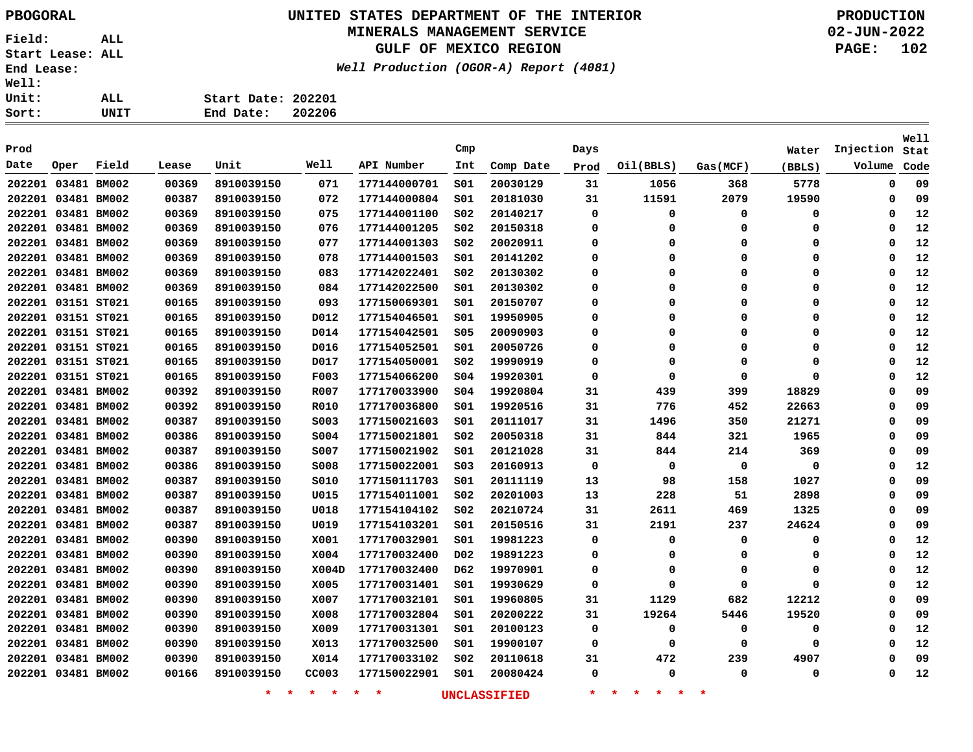# **UNITED STATES DEPARTMENT OF THE INTERIOR PBOGORAL PRODUCTION**

### **MINERALS MANAGEMENT SERVICE**

**GULF OF MEXICO REGION**

**Well Production (OGOR-A) Report (4081)**

| Ll: |      |                    |        |
|-----|------|--------------------|--------|
| it: | ALL  | Start Date: 202201 |        |
| rt: | UNIT | End Date:          | 202206 |

| Prod               |      |       |       |                    |             |              | Cmp              |                     |             |                                     |          |             | Injection | <b>Well</b> |
|--------------------|------|-------|-------|--------------------|-------------|--------------|------------------|---------------------|-------------|-------------------------------------|----------|-------------|-----------|-------------|
| Date               | Oper | Field | Lease | Unit               | Well        | API Number   | Int              |                     | Days        |                                     |          | Water       | Volume    | Stat        |
|                    |      |       |       |                    |             |              |                  | Comp Date           | Prod        | Oil(BBLS)                           | Gas(MCF) | (BBLS)      |           | Code        |
| 202201 03481 BM002 |      |       | 00369 | 8910039150         | 071         | 177144000701 | SO1              | 20030129            | 31          | 1056                                | 368      | 5778        | 0         | 09          |
| 202201 03481 BM002 |      |       | 00387 | 8910039150         | 072         | 177144000804 | SO1              | 20181030            | 31          | 11591                               | 2079     | 19590       | 0         | 09          |
| 202201 03481 BM002 |      |       | 00369 | 8910039150         | 075         | 177144001100 | SO <sub>2</sub>  | 20140217            | 0           | 0                                   | 0        | 0           | 0         | 12          |
| 202201 03481 BM002 |      |       | 00369 | 8910039150         | 076         | 177144001205 | SO <sub>2</sub>  | 20150318            | 0           | 0                                   | 0        | 0           | 0         | 12          |
| 202201 03481 BM002 |      |       | 00369 | 8910039150         | 077         | 177144001303 | SO <sub>2</sub>  | 20020911            | 0           | 0                                   | 0        | 0           | 0         | 12          |
| 202201 03481 BM002 |      |       | 00369 | 8910039150         | 078         | 177144001503 | SO1              | 20141202            | 0           | 0                                   | 0        | 0           | 0         | 12          |
| 202201 03481 BM002 |      |       | 00369 | 8910039150         | 083         | 177142022401 | SO <sub>2</sub>  | 20130302            | 0           | 0                                   | 0        | 0           | 0         | 12          |
| 202201 03481 BM002 |      |       | 00369 | 8910039150         | 084         | 177142022500 | SO1              | 20130302            | 0           | 0                                   | 0        | 0           | 0         | 12          |
| 202201 03151 ST021 |      |       | 00165 | 8910039150         | 093         | 177150069301 | SO1              | 20150707            | 0           | 0                                   | 0        | 0           | 0         | 12          |
| 202201 03151 ST021 |      |       | 00165 | 8910039150         | D012        | 177154046501 | SO1              | 19950905            | 0           | 0                                   | 0        | 0           | 0         | 12          |
| 202201 03151 ST021 |      |       | 00165 | 8910039150         | D014        | 177154042501 | \$05             | 20090903            | $\Omega$    | 0                                   | $\Omega$ | $\Omega$    | 0         | 12          |
| 202201 03151 ST021 |      |       | 00165 | 8910039150         | D016        | 177154052501 | SO1              | 20050726            | $\Omega$    | 0                                   | $\Omega$ | $\Omega$    | 0         | 12          |
| 202201 03151 ST021 |      |       | 00165 | 8910039150         | D017        | 177154050001 | S02              | 19990919            | $\Omega$    | 0                                   | $\Omega$ | $\Omega$    | 0         | 12          |
| 202201 03151 ST021 |      |       | 00165 | 8910039150         | <b>F003</b> | 177154066200 | SO <sub>4</sub>  | 19920301            | $\mathbf 0$ | 0                                   | $\Omega$ | $\Omega$    | 0         | 12          |
| 202201 03481 BM002 |      |       | 00392 | 8910039150         | R007        | 177170033900 | \$04             | 19920804            | 31          | 439                                 | 399      | 18829       | 0         | 09          |
| 202201 03481 BM002 |      |       | 00392 | 8910039150         | <b>R010</b> | 177170036800 | SO1              | 19920516            | 31          | 776                                 | 452      | 22663       | 0         | 09          |
| 202201 03481 BM002 |      |       | 00387 | 8910039150         | S003        | 177150021603 | S01              | 20111017            | 31          | 1496                                | 350      | 21271       | 0         | 09          |
| 202201 03481 BM002 |      |       | 00386 | 8910039150         | S004        | 177150021801 | S02              | 20050318            | 31          | 844                                 | 321      | 1965        | 0         | 09          |
| 202201 03481 BM002 |      |       | 00387 | 8910039150         | <b>S007</b> | 177150021902 | S01              | 20121028            | 31          | 844                                 | 214      | 369         | 0         | 09          |
| 202201 03481 BM002 |      |       | 00386 | 8910039150         | <b>S008</b> | 177150022001 | S03              | 20160913            | 0           | 0                                   | 0        | 0           | 0         | 12          |
| 202201 03481 BM002 |      |       | 00387 | 8910039150         | S010        | 177150111703 | SO1              | 20111119            | 13          | 98                                  | 158      | 1027        | 0         | 09          |
| 202201 03481 BM002 |      |       | 00387 | 8910039150         | U015        | 177154011001 | SO <sub>2</sub>  | 20201003            | 13          | 228                                 | 51       | 2898        | 0         | 09          |
| 202201 03481 BM002 |      |       | 00387 | 8910039150         | U018        | 177154104102 | SO <sub>2</sub>  | 20210724            | 31          | 2611                                | 469      | 1325        | 0         | 09          |
| 202201 03481 BM002 |      |       | 00387 | 8910039150         | U019        | 177154103201 | SO1              | 20150516            | 31          | 2191                                | 237      | 24624       | 0         | 09          |
| 202201 03481 BM002 |      |       | 00390 | 8910039150         | X001        | 177170032901 | SO1              | 19981223            | 0           | 0                                   | 0        | $\mathbf 0$ | 0         | 12          |
| 202201 03481 BM002 |      |       | 00390 | 8910039150         | X004        | 177170032400 | D <sub>0</sub> 2 | 19891223            | 0           | 0                                   | 0        | 0           | 0         | 12          |
| 202201 03481 BM002 |      |       | 00390 | 8910039150         | X004D       | 177170032400 | D62              | 19970901            | $\Omega$    | 0                                   | $\Omega$ | $\Omega$    | 0         | 12          |
| 202201 03481 BM002 |      |       | 00390 | 8910039150         | X005        | 177170031401 | SO1              | 19930629            | $\Omega$    | 0                                   | $\Omega$ | $\Omega$    | 0         | 12          |
| 202201 03481 BM002 |      |       | 00390 | 8910039150         | X007        | 177170032101 | SO1              | 19960805            | 31          | 1129                                | 682      | 12212       | 0         | 09          |
| 202201 03481 BM002 |      |       | 00390 | 8910039150         | X008        | 177170032804 | S01              | 20200222            | 31          | 19264                               | 5446     | 19520       | 0         | 09          |
| 202201 03481 BM002 |      |       | 00390 | 8910039150         | X009        | 177170031301 | S01              | 20100123            | 0           | 0                                   | 0        | 0           | 0         | 12          |
| 202201 03481 BM002 |      |       | 00390 | 8910039150         | X013        | 177170032500 | S01              | 19900107            | 0           | 0                                   | $\Omega$ | $\Omega$    | 0         | 12          |
| 202201 03481 BM002 |      |       | 00390 | 8910039150         | X014        | 177170033102 | S02              | 20110618            | 31          | 472                                 | 239      | 4907        | 0         | 09          |
| 202201 03481 BM002 |      |       | 00166 | 8910039150         | CC003       | 177150022901 | SO1              | 20080424            | $\Omega$    | 0                                   | $\Omega$ | $\Omega$    | 0         | 12          |
|                    |      |       |       | $\star$<br>$\star$ | $*$ $*$     | $\star$<br>* |                  | <b>UNCLASSIFIED</b> | $\star$     | $\star$<br>一大<br>$\star$<br>$\star$ | 未        |             |           |             |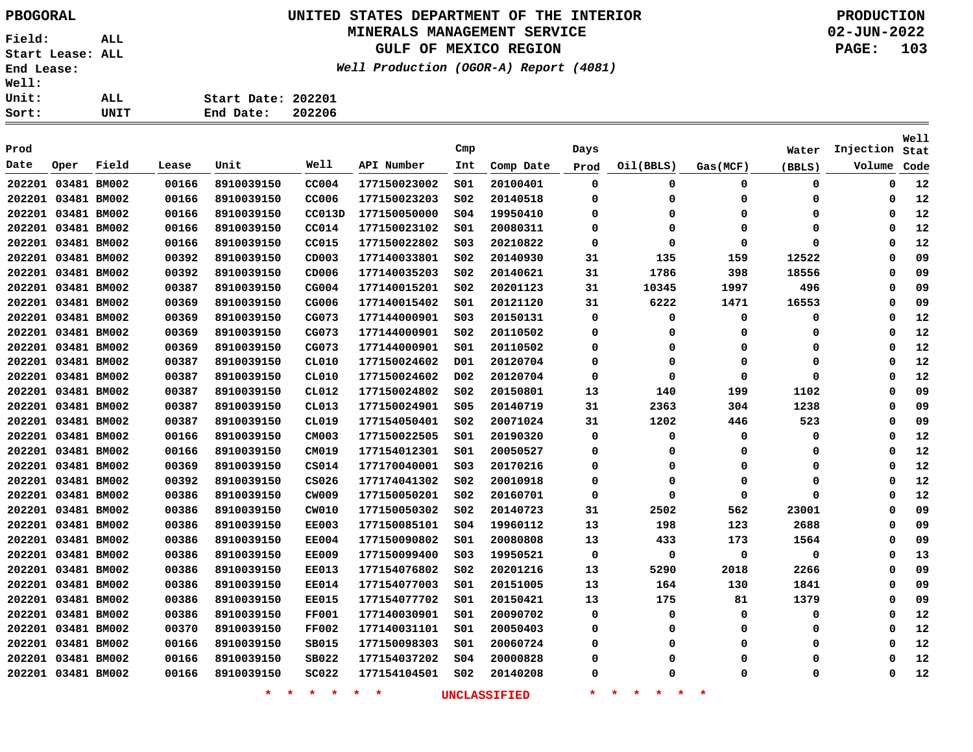### **UNITED STATES DEPARTMENT OF THE INTERIOR PBOGORAL PRODUCTION**

#### **MINERALS MANAGEMENT SERVICE**

**GULF OF MEXICO REGION**

**Well Production (OGOR-A) Report (4081)**

| ı: |      |                    |        |
|----|------|--------------------|--------|
| t: | ALL. | Start Date: 202201 |        |
| t: | UNIT | End Date:          | 202206 |

| Prod |                    |       |       |                    |                    |              | Cmp              |                     | Days        |                                |          | Water       | Injection | <b>Well</b><br>Stat |
|------|--------------------|-------|-------|--------------------|--------------------|--------------|------------------|---------------------|-------------|--------------------------------|----------|-------------|-----------|---------------------|
| Date | Oper               | Field | Lease | Unit               | Well               | API Number   | Int              | Comp Date           | Prod        | Oil(BBLS)                      | Gas(MCF) | (BBLS)      | Volume    | Code                |
|      | 202201 03481 BM002 |       | 00166 | 8910039150         | CC004              | 177150023002 | 501              | 20100401            | $\mathbf 0$ | 0                              | 0        | $\mathbf 0$ | 0         | 12                  |
|      | 202201 03481 BM002 |       | 00166 | 8910039150         | CC006              | 177150023203 | SO <sub>2</sub>  | 20140518            | 0           | 0                              | 0        | 0           | 0         | 12                  |
|      | 202201 03481 BM002 |       | 00166 | 8910039150         | CC013D             | 177150050000 | \$04             | 19950410            | 0           | 0                              | 0        | 0           | 0         | 12                  |
|      | 202201 03481 BM002 |       | 00166 | 8910039150         | CC014              | 177150023102 | S01              | 20080311            | 0           | 0                              | 0        | 0           | Ω         | 12                  |
|      | 202201 03481 BM002 |       | 00166 | 8910039150         | CC015              | 177150022802 | SO <sub>3</sub>  | 20210822            | 0           | 0                              | 0        | 0           | $\Omega$  | 12                  |
|      | 202201 03481 BM002 |       | 00392 | 8910039150         | CD003              | 177140033801 | SO <sub>2</sub>  | 20140930            | 31          | 135                            | 159      | 12522       | $\Omega$  | 09                  |
|      | 202201 03481 BM002 |       | 00392 | 8910039150         | CD006              | 177140035203 | SO <sub>2</sub>  | 20140621            | 31          | 1786                           | 398      | 18556       | 0         | 09                  |
|      | 202201 03481 BM002 |       | 00387 | 8910039150         | CG004              | 177140015201 | SO <sub>2</sub>  | 20201123            | 31          | 10345                          | 1997     | 496         | 0         | 09                  |
|      | 202201 03481 BM002 |       | 00369 | 8910039150         | CG006              | 177140015402 | S01              | 20121120            | 31          | 6222                           | 1471     | 16553       | $\Omega$  | 09                  |
|      | 202201 03481 BM002 |       | 00369 | 8910039150         | CG073              | 177144000901 | SO <sub>3</sub>  | 20150131            | 0           | 0                              | 0        | 0           | 0         | 12                  |
|      | 202201 03481 BM002 |       | 00369 | 8910039150         | CG073              | 177144000901 | SO <sub>2</sub>  | 20110502            | 0           | 0                              | 0        | 0           | O         | 12                  |
|      | 202201 03481 BM002 |       | 00369 | 8910039150         | CG073              | 177144000901 | SO1              | 20110502            | 0           | 0                              | 0        | 0           | O         | 12                  |
|      | 202201 03481 BM002 |       | 00387 | 8910039150         | CL010              | 177150024602 | D01              | 20120704            | 0           | 0                              | 0        | 0           | $\Omega$  | 12                  |
|      | 202201 03481 BM002 |       | 00387 | 8910039150         | CL010              | 177150024602 | D <sub>0</sub> 2 | 20120704            | $\Omega$    | 0                              | 0        | 0           | $\Omega$  | 12                  |
|      | 202201 03481 BM002 |       | 00387 | 8910039150         | CL012              | 177150024802 | SO <sub>2</sub>  | 20150801            | 13          | 140                            | 199      | 1102        | $\Omega$  | 09                  |
|      | 202201 03481 BM002 |       | 00387 | 8910039150         | CL013              | 177150024901 | \$05             | 20140719            | 31          | 2363                           | 304      | 1238        | Ω         | 09                  |
|      | 202201 03481 BM002 |       | 00387 | 8910039150         | CL019              | 177154050401 | S02              | 20071024            | 31          | 1202                           | 446      | 523         | Ω         | 09                  |
|      | 202201 03481 BM002 |       | 00166 | 8910039150         | CM003              | 177150022505 | S01              | 20190320            | 0           | 0                              | 0        | 0           | 0         | 12                  |
|      | 202201 03481 BM002 |       | 00166 | 8910039150         | CM019              | 177154012301 | S01              | 20050527            | 0           | 0                              | 0        | 0           | 0         | 12                  |
|      | 202201 03481 BM002 |       | 00369 | 8910039150         | CS014              | 177170040001 | SO <sub>3</sub>  | 20170216            | 0           | 0                              | 0        | 0           | 0         | 12                  |
|      | 202201 03481 BM002 |       | 00392 | 8910039150         | CS026              | 177174041302 | SO <sub>2</sub>  | 20010918            | 0           | 0                              | 0        | 0           | 0         | 12                  |
|      | 202201 03481 BM002 |       | 00386 | 8910039150         | CW009              | 177150050201 | SO <sub>2</sub>  | 20160701            | 0           | 0                              | 0        | 0           | 0         | 12                  |
|      | 202201 03481 BM002 |       | 00386 | 8910039150         | CW010              | 177150050302 | SO <sub>2</sub>  | 20140723            | 31          | 2502                           | 562      | 23001       | 0         | 09                  |
|      | 202201 03481 BM002 |       | 00386 | 8910039150         | <b>EE003</b>       | 177150085101 | SO <sub>4</sub>  | 19960112            | 13          | 198                            | 123      | 2688        | 0         | 09                  |
|      | 202201 03481 BM002 |       | 00386 | 8910039150         | <b>EE004</b>       | 177150090802 | 501              | 20080808            | 13          | 433                            | 173      | 1564        | 0         | 09                  |
|      | 202201 03481 BM002 |       | 00386 | 8910039150         | <b>EE009</b>       | 177150099400 | SO <sub>3</sub>  | 19950521            | 0           | 0                              | 0        | 0           | 0         | 13                  |
|      | 202201 03481 BM002 |       | 00386 | 8910039150         | <b>EE013</b>       | 177154076802 | SO <sub>2</sub>  | 20201216            | 13          | 5290                           | 2018     | 2266        | Ω         | 09                  |
|      | 202201 03481 BM002 |       | 00386 | 8910039150         | EE014              | 177154077003 | S01              | 20151005            | 13          | 164                            | 130      | 1841        | Ω         | 09                  |
|      | 202201 03481 BM002 |       | 00386 | 8910039150         | <b>EE015</b>       | 177154077702 | 501              | 20150421            | 13          | 175                            | 81       | 1379        | Ω         | 09                  |
|      | 202201 03481 BM002 |       | 00386 | 8910039150         | <b>FF001</b>       | 177140030901 | SO1              | 20090702            | 0           | 0                              | 0        | 0           | 0         | 12                  |
|      | 202201 03481 BM002 |       | 00370 | 8910039150         | <b>FF002</b>       | 177140031101 | SO1              | 20050403            | 0           | 0                              | 0        | 0           | 0         | 12                  |
|      | 202201 03481 BM002 |       | 00166 | 8910039150         | SB015              | 177150098303 | SO1              | 20060724            | 0           | 0                              | 0        | 0           | $\Omega$  | 12                  |
|      | 202201 03481 BM002 |       | 00166 | 8910039150         | SB022              | 177154037202 | 504              | 20000828            | 0           | 0                              | 0        | 0           | 0         | 12                  |
|      | 202201 03481 BM002 |       | 00166 | 8910039150         | <b>SC022</b>       | 177154104501 | SO <sub>2</sub>  | 20140208            | 0           | O                              | O        | 0           | O         | 12                  |
|      |                    |       |       | $\star$<br>$\star$ | $\star$<br>$\star$ | $\star$<br>* |                  | <b>UNCLASSIFIED</b> | $\ast$      | 一大<br>一大<br>$\star$<br>$\star$ | 未        |             |           |                     |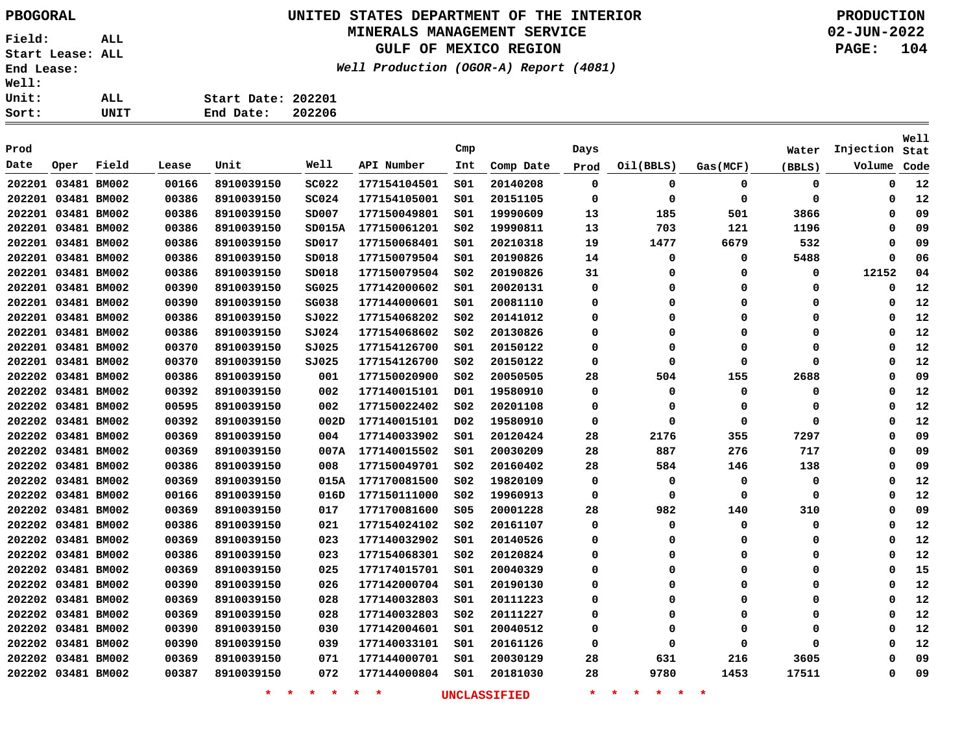### **UNITED STATES DEPARTMENT OF THE INTERIOR PBOGORAL PRODUCTION**

#### **MINERALS MANAGEMENT SERVICE**

**GULF OF MEXICO REGION**

**Well Production (OGOR-A) Report (4081)**

| :11: |      |                    |        |
|------|------|--------------------|--------|
| uit: | ALL  | Start Date: 202201 |        |
| rt:  | UNIT | End Date:          | 202206 |

|      |                    |       |       |                    |                 |                    |                 |                     |             |                                          |          |             |           | Well |
|------|--------------------|-------|-------|--------------------|-----------------|--------------------|-----------------|---------------------|-------------|------------------------------------------|----------|-------------|-----------|------|
| Prod |                    |       |       |                    |                 |                    | Cmp             |                     | Days        |                                          |          | Water       | Injection | Stat |
| Date | Oper               | Field | Lease | Unit               | Well            | API Number         | Int             | Comp Date           | Prod        | Oil(BBLS)                                | Gas(MCF) | (BBLS)      | Volume    | Code |
|      | 202201 03481 BM002 |       | 00166 | 8910039150         | <b>SC022</b>    | 177154104501       | SO1             | 20140208            | $\mathbf 0$ | $\mathbf 0$                              | 0        | 0           | 0         | 12   |
|      | 202201 03481 BM002 |       | 00386 | 8910039150         | SC024           | 177154105001       | SO1             | 20151105            | $\mathbf 0$ | 0                                        | 0        | $\Omega$    | 0         | 12   |
|      | 202201 03481 BM002 |       | 00386 | 8910039150         | SD007           | 177150049801       | S01             | 19990609            | 13          | 185                                      | 501      | 3866        | 0         | 09   |
|      | 202201 03481 BM002 |       | 00386 | 8910039150         | SD015A          | 177150061201       | SO <sub>2</sub> | 19990811            | 13          | 703                                      | 121      | 1196        | 0         | 09   |
|      | 202201 03481 BM002 |       | 00386 | 8910039150         | SD017           | 177150068401       | S01             | 20210318            | 19          | 1477                                     | 6679     | 532         | 0         | 09   |
|      | 202201 03481 BM002 |       | 00386 | 8910039150         | SD018           | 177150079504       | S01             | 20190826            | 14          | 0                                        | 0        | 5488        | 0         | 06   |
|      | 202201 03481 BM002 |       | 00386 | 8910039150         | SD018           | 177150079504       | S02             | 20190826            | 31          | 0                                        | $\Omega$ | 0           | 12152     | 04   |
|      | 202201 03481 BM002 |       | 00390 | 8910039150         | <b>SG025</b>    | 177142000602       | SO1             | 20020131            | 0           | 0                                        | $\Omega$ | 0           | 0         | 12   |
|      | 202201 03481 BM002 |       | 00390 | 8910039150         | SG038           | 177144000601       | SO1             | 20081110            | 0           | 0                                        | 0        | 0           | 0         | 12   |
|      | 202201 03481 BM002 |       | 00386 | 8910039150         | SJ022           | 177154068202       | SO <sub>2</sub> | 20141012            | $\Omega$    | 0                                        | $\Omega$ | 0           | 0         | 12   |
|      | 202201 03481 BM002 |       | 00386 | 8910039150         | 5J024           | 177154068602       | SO <sub>2</sub> | 20130826            | $\Omega$    | 0                                        | $\Omega$ | 0           | 0         | 12   |
|      | 202201 03481 BM002 |       | 00370 | 8910039150         | SJ025           | 177154126700       | S01             | 20150122            | 0           | 0                                        | $\Omega$ | 0           | 0         | 12   |
|      | 202201 03481 BM002 |       | 00370 | 8910039150         | SJ025           | 177154126700       | SO <sub>2</sub> | 20150122            | 0           | 0                                        | 0        | $\Omega$    | 0         | 12   |
|      | 202202 03481 BM002 |       | 00386 | 8910039150         | 001             | 177150020900       | SO <sub>2</sub> | 20050505            | 28          | 504                                      | 155      | 2688        | 0         | 09   |
|      | 202202 03481 BM002 |       | 00392 | 8910039150         | 002             | 177140015101       | D01             | 19580910            | $\mathbf 0$ | 0                                        | 0        | $\Omega$    | 0         | 12   |
|      | 202202 03481 BM002 |       | 00595 | 8910039150         | 002             | 177150022402       | SO <sub>2</sub> | 20201108            | 0           | 0                                        | 0        | $\Omega$    | 0         | 12   |
|      | 202202 03481 BM002 |       | 00392 | 8910039150         | 002D            | 177140015101       | DO <sub>2</sub> | 19580910            | 0           | 0                                        | 0        | $\Omega$    | 0         | 12   |
|      | 202202 03481 BM002 |       | 00369 | 8910039150         | 004             | 177140033902       | SO1             | 20120424            | 28          | 2176                                     | 355      | 7297        | 0         | 09   |
|      | 202202 03481 BM002 |       | 00369 | 8910039150         | 007A            | 177140015502       | S01             | 20030209            | 28          | 887                                      | 276      | 717         | 0         | 09   |
|      | 202202 03481 BM002 |       | 00386 | 8910039150         | 008             | 177150049701       | S02             | 20160402            | 28          | 584                                      | 146      | 138         | 0         | 09   |
|      | 202202 03481 BM002 |       | 00369 | 8910039150         | 015A            | 177170081500       | S02             | 19820109            | 0           | 0                                        | 0        | 0           | 0         | 12   |
|      | 202202 03481 BM002 |       | 00166 | 8910039150         | 016D            | 177150111000       | S02             | 19960913            | $\mathbf 0$ | 0                                        | 0        | $\mathbf 0$ | 0         | 12   |
|      | 202202 03481 BM002 |       | 00369 | 8910039150         | 017             | 177170081600       | \$05            | 20001228            | 28          | 982                                      | 140      | 310         | 0         | 09   |
|      | 202202 03481 BM002 |       | 00386 | 8910039150         | 021             | 177154024102       | SO <sub>2</sub> | 20161107            | $\Omega$    | 0                                        | 0        | 0           | 0         | 12   |
|      | 202202 03481 BM002 |       | 00369 | 8910039150         | 023             | 177140032902       | SO1             | 20140526            | $\Omega$    | 0                                        | 0        | $\Omega$    | 0         | 12   |
|      | 202202 03481 BM002 |       | 00386 | 8910039150         | 023             | 177154068301       | S02             | 20120824            | 0           | 0                                        | 0        | 0           | 0         | 12   |
|      | 202202 03481 BM002 |       | 00369 | 8910039150         | 025             | 177174015701       | SO1             | 20040329            | 0           | 0                                        | 0        | 0           | 0         | 15   |
|      | 202202 03481 BM002 |       | 00390 | 8910039150         | 026             | 177142000704       | SO1             | 20190130            | 0           | 0                                        | 0        | 0           | 0         | 12   |
|      | 202202 03481 BM002 |       | 00369 | 8910039150         | 028             | 177140032803       | SO1             | 20111223            | $\Omega$    | 0                                        | $\Omega$ | $\Omega$    | 0         | 12   |
|      | 202202 03481 BM002 |       | 00369 | 8910039150         | 028             | 177140032803       | S02             | 20111227            | $\Omega$    | 0                                        | $\Omega$ | $\Omega$    | 0         | 12   |
|      | 202202 03481 BM002 |       | 00390 | 8910039150         | 030             | 177142004601       | S01             | 20040512            | $\Omega$    | 0                                        | 0        | $\Omega$    | 0         | 12   |
|      | 202202 03481 BM002 |       | 00390 | 8910039150         | 039             | 177140033101       | SO1             | 20161126            | 0           | 0                                        | 0        | $\Omega$    | 0         | 12   |
|      | 202202 03481 BM002 |       | 00369 | 8910039150         | 071             | 177144000701       | SO1             | 20030129            | 28          | 631                                      | 216      | 3605        | 0         | 09   |
|      | 202202 03481 BM002 |       | 00387 | 8910039150         | 072             | 177144000804       | SO1             | 20181030            | 28          | 9780                                     | 1453     | 17511       | 0         | 09   |
|      |                    |       |       | $\star$<br>$\star$ | $\star$ $\star$ | $\star$<br>$\star$ |                 | <b>UNCLASSIFIED</b> | $\star$     | $\star$<br>$\star$<br>$\star$<br>$\star$ | $\star$  |             |           |      |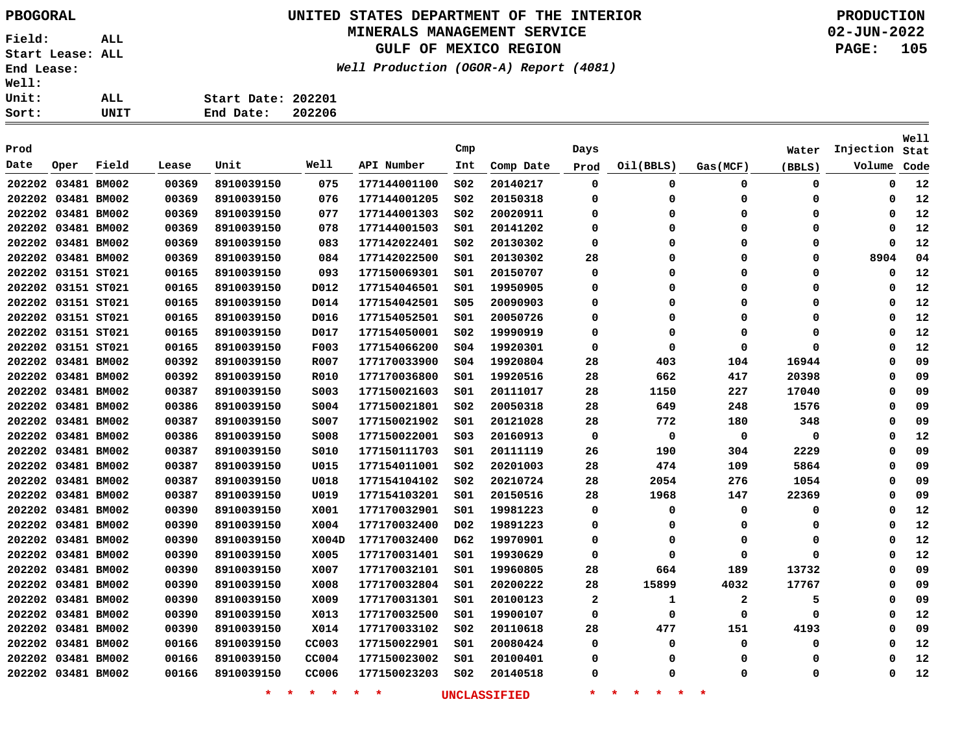### **UNITED STATES DEPARTMENT OF THE INTERIOR PBOGORAL PRODUCTION**

#### **MINERALS MANAGEMENT SERVICE**

**GULF OF MEXICO REGION**

**Well Production (OGOR-A) Report (4081)**

**02-JUN-2022 PAGE: 105**

| rt: | UNIT | End Date:          | 202206 |
|-----|------|--------------------|--------|
| it: | ALL  | Start Date: 202201 |        |
| LI: |      |                    |        |

| Prod               |      |       |       |            |             |              | Cmp              |           | Days                    |           |              | Water    | Injection | <b>Well</b><br>Stat |
|--------------------|------|-------|-------|------------|-------------|--------------|------------------|-----------|-------------------------|-----------|--------------|----------|-----------|---------------------|
| Date               | Oper | Field | Lease | Unit       | Well        | API Number   | Int              | Comp Date | Prod                    | Oil(BBLS) | Gas(MCF)     | (BBLS)   | Volume    | Code                |
| 202202 03481 BM002 |      |       | 00369 | 8910039150 | 075         | 177144001100 | SO <sub>2</sub>  | 20140217  | 0                       | 0         | $\mathbf 0$  | 0        | 0         | 12                  |
| 202202 03481 BM002 |      |       | 00369 | 8910039150 | 076         | 177144001205 | SO <sub>2</sub>  | 20150318  | $\Omega$                | $\Omega$  | 0            | 0        | 0         | 12                  |
| 202202 03481 BM002 |      |       | 00369 | 8910039150 | 077         | 177144001303 | S02              | 20020911  | 0                       | 0         | 0            | 0        | 0         | 12                  |
| 202202 03481 BM002 |      |       | 00369 | 8910039150 | 078         | 177144001503 | SO1              | 20141202  | $\Omega$                | $\Omega$  | $\Omega$     | 0        | 0         | 12                  |
| 202202 03481 BM002 |      |       | 00369 | 8910039150 | 083         | 177142022401 | SO <sub>2</sub>  | 20130302  | $\mathbf 0$             | $\Omega$  | $\Omega$     | 0        | 0         | 12                  |
| 202202 03481 BM002 |      |       | 00369 | 8910039150 | 084         | 177142022500 | SO1              | 20130302  | 28                      | $\Omega$  | $\Omega$     | 0        | 8904      | 04                  |
| 202202 03151 ST021 |      |       | 00165 | 8910039150 | 093         | 177150069301 | SO1              | 20150707  | $\Omega$                | $\Omega$  | $\Omega$     | 0        | 0         | 12                  |
| 202202 03151 ST021 |      |       | 00165 | 8910039150 | D012        | 177154046501 | SO1              | 19950905  | 0                       | $\Omega$  | $\Omega$     | 0        | 0         | 12                  |
| 202202 03151 ST021 |      |       | 00165 | 8910039150 | D014        | 177154042501 | \$05             | 20090903  | $\Omega$                | $\Omega$  | $\Omega$     | 0        | 0         | 12                  |
| 202202 03151 ST021 |      |       | 00165 | 8910039150 | D016        | 177154052501 | SO1              | 20050726  | $\mathbf 0$             | $\Omega$  | $\mathbf 0$  | 0        | 0         | 12                  |
| 202202 03151 ST021 |      |       | 00165 | 8910039150 | D017        | 177154050001 | SO <sub>2</sub>  | 19990919  | 0                       | $\Omega$  | 0            | 0        | 0         | 12                  |
| 202202 03151 ST021 |      |       | 00165 | 8910039150 | F003        | 177154066200 | \$04             | 19920301  | $\Omega$                | $\Omega$  | $\Omega$     | 0        | 0         | 12                  |
| 202202 03481 BM002 |      |       | 00392 | 8910039150 | R007        | 177170033900 | SO <sub>4</sub>  | 19920804  | 28                      | 403       | 104          | 16944    | 0         | 09                  |
| 202202 03481 BM002 |      |       | 00392 | 8910039150 | R010        | 177170036800 | S01              | 19920516  | 28                      | 662       | 417          | 20398    | 0         | 09                  |
| 202202 03481 BM002 |      |       | 00387 | 8910039150 | S003        | 177150021603 | SO1              | 20111017  | 28                      | 1150      | 227          | 17040    | 0         | 09                  |
| 202202 03481 BM002 |      |       | 00386 | 8910039150 | S004        | 177150021801 | SO <sub>2</sub>  | 20050318  | 28                      | 649       | 248          | 1576     | 0         | 09                  |
| 202202 03481 BM002 |      |       | 00387 | 8910039150 | S007        | 177150021902 | 501              | 20121028  | 28                      | 772       | 180          | 348      | 0         | 09                  |
| 202202 03481 BM002 |      |       | 00386 | 8910039150 | <b>S008</b> | 177150022001 | S03              | 20160913  | 0                       | 0         | $\mathbf 0$  | 0        | 0         | 12                  |
| 202202 03481 BM002 |      |       | 00387 | 8910039150 | S010        | 177150111703 | SO1              | 20111119  | 26                      | 190       | 304          | 2229     | 0         | 09                  |
| 202202 03481 BM002 |      |       | 00387 | 8910039150 | U015        | 177154011001 | SO <sub>2</sub>  | 20201003  | 28                      | 474       | 109          | 5864     | 0         | 09                  |
| 202202 03481 BM002 |      |       | 00387 | 8910039150 | U018        | 177154104102 | SO <sub>2</sub>  | 20210724  | 28                      | 2054      | 276          | 1054     | 0         | 09                  |
| 202202 03481 BM002 |      |       | 00387 | 8910039150 | U019        | 177154103201 | 501              | 20150516  | 28                      | 1968      | 147          | 22369    | 0         | 09                  |
| 202202 03481 BM002 |      |       | 00390 | 8910039150 | X001        | 177170032901 | S01              | 19981223  | $\mathbf 0$             | 0         | $\mathbf 0$  | 0        | 0         | 12                  |
| 202202 03481 BM002 |      |       | 00390 | 8910039150 | X004        | 177170032400 | D <sub>0</sub> 2 | 19891223  | $\mathbf 0$             | $\Omega$  | 0            | 0        | 0         | 12                  |
| 202202 03481 BM002 |      |       | 00390 | 8910039150 | X004D       | 177170032400 | D62              | 19970901  | $\mathbf 0$             | 0         | $\mathbf 0$  | 0        | 0         | 12                  |
| 202202 03481 BM002 |      |       | 00390 | 8910039150 | X005        | 177170031401 | SO1              | 19930629  | $\Omega$                | $\Omega$  | $\Omega$     | $\Omega$ | 0         | 12                  |
| 202202 03481 BM002 |      |       | 00390 | 8910039150 | X007        | 177170032101 | 501              | 19960805  | 28                      | 664       | 189          | 13732    | 0         | 09                  |
| 202202 03481 BM002 |      |       | 00390 | 8910039150 | X008        | 177170032804 | SO1              | 20200222  | 28                      | 15899     | 4032         | 17767    | 0         | 09                  |
| 202202 03481 BM002 |      |       | 00390 | 8910039150 | X009        | 177170031301 | 501              | 20100123  | $\overline{\mathbf{2}}$ | 1         | $\mathbf{2}$ | 5        | 0         | 09                  |
| 202202 03481 BM002 |      |       | 00390 | 8910039150 | X013        | 177170032500 | SO1              | 19900107  | $\mathbf 0$             | $\Omega$  | $\Omega$     | $\Omega$ | 0         | 12                  |
| 202202 03481 BM002 |      |       | 00390 | 8910039150 | X014        | 177170033102 | SO <sub>2</sub>  | 20110618  | 28                      | 477       | 151          | 4193     | 0         | 09                  |
| 202202 03481 BM002 |      |       | 00166 | 8910039150 | CC003       | 177150022901 | 501              | 20080424  | $\Omega$                | $\Omega$  | $\Omega$     | 0        | 0         | 12                  |
| 202202 03481 BM002 |      |       | 00166 | 8910039150 | CC004       | 177150023002 | SO1              | 20100401  | 0                       | 0         | 0            | $\Omega$ | 0         | 12                  |
| 202202 03481 BM002 |      |       | 00166 | 8910039150 | CC006       | 177150023203 | SO <sub>2</sub>  | 20140518  | $\Omega$                | $\Omega$  | $\Omega$     | 0        | 0         | 12                  |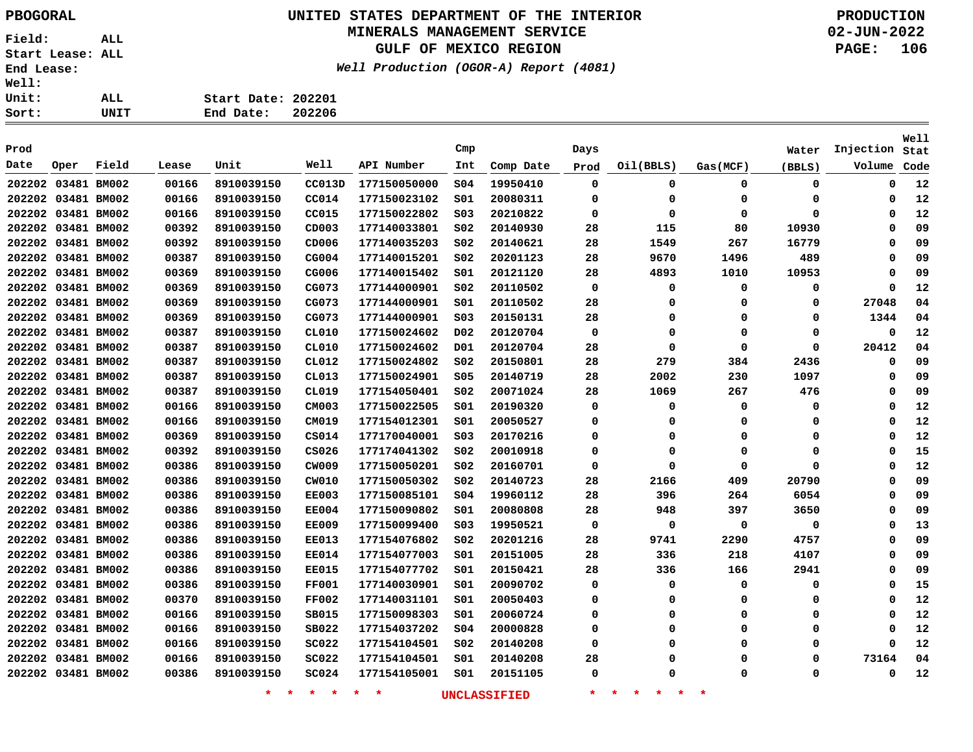### **UNITED STATES DEPARTMENT OF THE INTERIOR PBOGORAL PRODUCTION**

### **MINERALS MANAGEMENT SERVICE**

**GULF OF MEXICO REGION**

**Well Production (OGOR-A) Report (4081)**

| 11: |      |                    |        |
|-----|------|--------------------|--------|
| it: | ALL  | Start Date: 202201 |        |
| rt: | UNIT | End Date:          | 202206 |

| Prod               |      |             |       |                   |               |                   | Cmp              |                     | Days        |                                 |          | Water  | Injection   | Well<br>Stat |
|--------------------|------|-------------|-------|-------------------|---------------|-------------------|------------------|---------------------|-------------|---------------------------------|----------|--------|-------------|--------------|
| Date               | Oper | Field       | Lease | Unit              | Well          | API Number        | Int              | Comp Date           | Prod        | Oil(BBLS)                       | Gas(MCF) | (BBLS) | Volume      | Code         |
| 202202 03481 BM002 |      |             | 00166 | 8910039150        | CC013D        | 177150050000      | SO <sub>4</sub>  | 19950410            | 0           | 0                               | 0        | 0      | 0           | 12           |
| 202202 03481 BM002 |      |             | 00166 | 8910039150        | CC014         | 177150023102      | SO1              | 20080311            | 0           | 0                               | 0        | 0      | 0           | 12           |
| 202202 03481 BM002 |      |             | 00166 | 8910039150        | CC015         | 177150022802      | SO <sub>3</sub>  | 20210822            | 0           | $\Omega$                        | 0        | 0      | 0           | 12           |
| 202202 03481 BM002 |      |             | 00392 | 8910039150        | CD003         | 177140033801      | S02              | 20140930            | 28          | 115                             | 80       | 10930  | 0           | 09           |
| 202202 03481 BM002 |      |             | 00392 | 8910039150        | CD006         | 177140035203      | SO <sub>2</sub>  | 20140621            | 28          | 1549                            | 267      | 16779  | 0           | 09           |
| 202202 03481 BM002 |      |             | 00387 | 8910039150        | CG004         | 177140015201      | SO <sub>2</sub>  | 20201123            | 28          | 9670                            | 1496     | 489    | 0           | 09           |
| 202202 03481 BM002 |      |             | 00369 | 8910039150        | CG006         | 177140015402      | SO1              | 20121120            | 28          | 4893                            | 1010     | 10953  | 0           | 09           |
| 202202 03481 BM002 |      |             | 00369 | 8910039150        | CG073         | 177144000901      | SO <sub>2</sub>  | 20110502            | 0           | 0                               | 0        | 0      | 0           | 12           |
| 202202 03481 BM002 |      |             | 00369 | 8910039150        | CG073         | 177144000901      | SO1              | 20110502            | 28          | 0                               | $\Omega$ | 0      | 27048       | 04           |
| 202202 03481 BM002 |      |             | 00369 | 8910039150        | CG073         | 177144000901      | S03              | 20150131            | 28          | 0                               | 0        | 0      | 1344        | 04           |
| 202202 03481 BM002 |      |             | 00387 | 8910039150        | CL010         | 177150024602      | D <sub>0</sub> 2 | 20120704            | $\mathbf 0$ | 0                               | 0        | 0      | $\mathbf 0$ | 12           |
| 202202 03481 BM002 |      |             | 00387 | 8910039150        | CL010         | 177150024602      | D01              | 20120704            | 28          | $\Omega$                        | 0        | 0      | 20412       | 04           |
| 202202 03481 BM002 |      |             | 00387 | 8910039150        | CL012         | 177150024802      | SO <sub>2</sub>  | 20150801            | 28          | 279                             | 384      | 2436   | 0           | 09           |
| 202202 03481 BM002 |      |             | 00387 | 8910039150        | CL013         | 177150024901      | \$05             | 20140719            | 28          | 2002                            | 230      | 1097   | 0           | 09           |
| 202202 03481 BM002 |      |             | 00387 | 8910039150        | CL019         | 177154050401      | SO <sub>2</sub>  | 20071024            | 28          | 1069                            | 267      | 476    | 0           | 09           |
| 202202 03481 BM002 |      |             | 00166 | 8910039150        | CM003         | 177150022505      | SO1              | 20190320            | $\Omega$    | 0                               | 0        | 0      | 0           | 12           |
| 202202 03481 BM002 |      |             | 00166 | 8910039150        | CM019         | 177154012301      | SO1              | 20050527            | 0           | 0                               | 0        | 0      | 0           | 12           |
| 202202             |      | 03481 BM002 | 00369 | 8910039150        | C5014         | 177170040001      | S03              | 20170216            | 0           | 0                               | 0        | 0      | 0           | 12           |
| 202202 03481 BM002 |      |             | 00392 | 8910039150        | CS026         | 177174041302      | S02              | 20010918            | 0           | 0                               | 0        | 0      | 0           | 15           |
| 202202 03481 BM002 |      |             | 00386 | 8910039150        | CW009         | 177150050201      | SO <sub>2</sub>  | 20160701            | 0           | 0                               | 0        | 0      | 0           | 12           |
| 202202 03481 BM002 |      |             | 00386 | 8910039150        | CW010         | 177150050302      | SO <sub>2</sub>  | 20140723            | 28          | 2166                            | 409      | 20790  | 0           | 09           |
| 202202 03481 BM002 |      |             | 00386 | 8910039150        | <b>EE003</b>  | 177150085101      | 504              | 19960112            | 28          | 396                             | 264      | 6054   | 0           | 09           |
| 202202 03481 BM002 |      |             | 00386 | 8910039150        | <b>EE004</b>  | 177150090802      | S01              | 20080808            | 28          | 948                             | 397      | 3650   | 0           | 09           |
| 202202 03481 BM002 |      |             | 00386 | 8910039150        | <b>EE009</b>  | 177150099400      | S03              | 19950521            | 0           | 0                               | 0        | 0      | 0           | 13           |
| 202202 03481 BM002 |      |             | 00386 | 8910039150        | <b>EE013</b>  | 177154076802      | S02              | 20201216            | 28          | 9741                            | 2290     | 4757   | 0           | 09           |
| 202202 03481 BM002 |      |             | 00386 | 8910039150        | <b>EE014</b>  | 177154077003      | SO1              | 20151005            | 28          | 336                             | 218      | 4107   | 0           | 09           |
| 202202 03481 BM002 |      |             | 00386 | 8910039150        | <b>EE015</b>  | 177154077702      | SO1              | 20150421            | 28          | 336                             | 166      | 2941   | 0           | 09           |
| 202202 03481 BM002 |      |             | 00386 | 8910039150        | <b>FF001</b>  | 177140030901      | S01              | 20090702            | 0           | 0                               | 0        | 0      | 0           | 15           |
| 202202 03481 BM002 |      |             | 00370 | 8910039150        | <b>FF002</b>  | 177140031101      | SO1              | 20050403            | 0           | 0                               | 0        | 0      | 0           | 12           |
| 202202 03481 BM002 |      |             | 00166 | 8910039150        | SB015         | 177150098303      | S01              | 20060724            | 0           | 0                               | 0        | 0      | 0           | 12           |
| 202202 03481 BM002 |      |             | 00166 | 8910039150        | SB022         | 177154037202      | 504              | 20000828            | 0           | 0                               | $\Omega$ | 0      | 0           | 12           |
| 202202 03481 BM002 |      |             | 00166 | 8910039150        | SC022         | 177154104501      | S02              | 20140208            | 0           | 0                               | $\Omega$ | 0      | 0           | 12           |
| 202202 03481 BM002 |      |             | 00166 | 8910039150        | SC022         | 177154104501      | S01              | 20140208            | 28          | 0                               | 0        | 0      | 73164       | 04           |
| 202202 03481 BM002 |      |             | 00386 | 8910039150        | <b>SC024</b>  | 177154105001      | SO1              | 20151105            | 0           | O                               | 0        | 0      | $\Omega$    | 12           |
|                    |      |             |       | $\star$<br>$\ast$ | $\star$<br>一大 | $\star$<br>$\ast$ |                  | <b>UNCLASSIFIED</b> | $\star$     | 一米。<br>一大<br>$\star$<br>$\star$ | $\ast$   |        |             |              |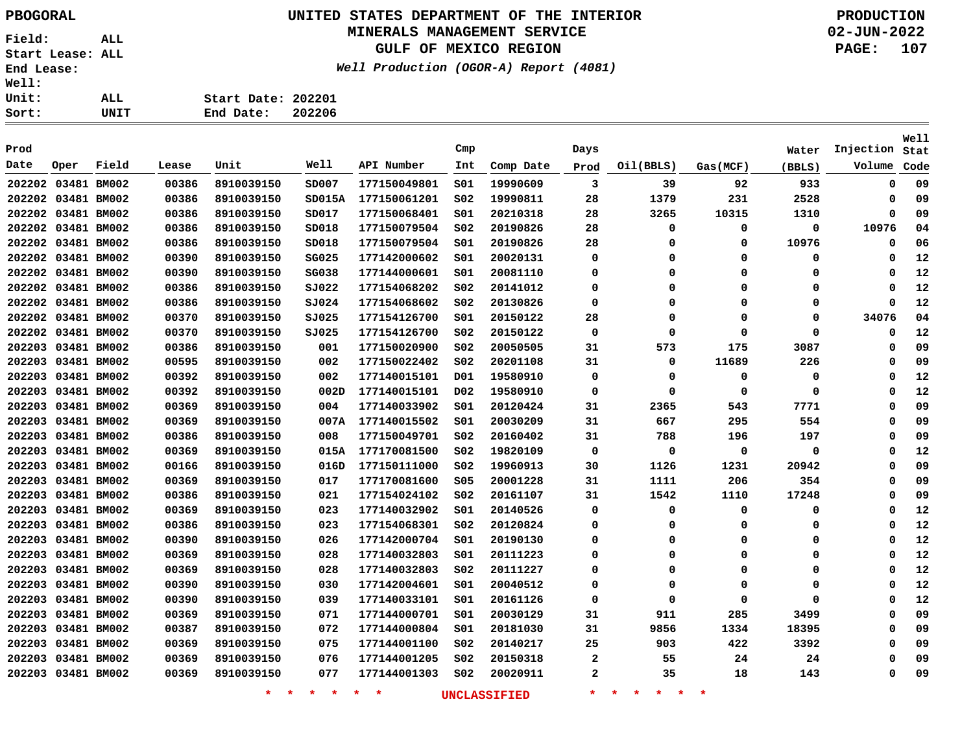### **UNITED STATES DEPARTMENT OF THE INTERIOR PBOGORAL PRODUCTION**

#### **MINERALS MANAGEMENT SERVICE**

**GULF OF MEXICO REGION**

**Well Production (OGOR-A) Report (4081)**

| Sort:        | UNIT | End Date:          | 202206 |
|--------------|------|--------------------|--------|
| <b>Unit:</b> | ALL  | Start Date: 202201 |        |
| <b>Well:</b> |      |                    |        |

| Prod               |      |             |       |                    |                 |              | Cmp             |              | Days        |                                     |             | Water  | Injection | Well<br>Stat |
|--------------------|------|-------------|-------|--------------------|-----------------|--------------|-----------------|--------------|-------------|-------------------------------------|-------------|--------|-----------|--------------|
| Date               | Oper | Field       | Lease | Unit               | Well            | API Number   | Int             | Comp Date    | Prod        | Oil(BBLS)                           | Gas(MCF)    | (BBLS) | Volume    | Code         |
| 202202 03481 BM002 |      |             | 00386 | 8910039150         | SD007           | 177150049801 | 501             | 19990609     | 3           | 39                                  | 92          | 933    | 0         | 09           |
| 202202 03481 BM002 |      |             | 00386 | 8910039150         | SD015A          | 177150061201 | SO <sub>2</sub> | 19990811     | 28          | 1379                                | 231         | 2528   | 0         | 09           |
| 202202 03481 BM002 |      |             | 00386 | 8910039150         | SD017           | 177150068401 | 501             | 20210318     | 28          | 3265                                | 10315       | 1310   | 0         | 09           |
| 202202 03481 BM002 |      |             | 00386 | 8910039150         | SD018           | 177150079504 | SO <sub>2</sub> | 20190826     | 28          | $\mathbf 0$                         | $\mathbf 0$ | 0      | 10976     | 04           |
| 202202 03481 BM002 |      |             | 00386 | 8910039150         | SD018           | 177150079504 | SO1             | 20190826     | 28          | 0                                   | $\Omega$    | 10976  | 0         | 06           |
| 202202 03481 BM002 |      |             | 00390 | 8910039150         | SG025           | 177142000602 | SO1             | 20020131     | 0           | 0                                   | $\Omega$    | 0      | 0         | 12           |
| 202202 03481 BM002 |      |             | 00390 | 8910039150         | SG038           | 177144000601 | SO1             | 20081110     | 0           | 0                                   | 0           | 0      | 0         | 12           |
| 202202 03481 BM002 |      |             | 00386 | 8910039150         | SJ022           | 177154068202 | S02             | 20141012     | 0           | 0                                   | $\Omega$    | 0      | 0         | 12           |
| 202202 03481 BM002 |      |             | 00386 | 8910039150         | 5J024           | 177154068602 | S02             | 20130826     | 0           | 0                                   | $\Omega$    | 0      | $\Omega$  | 12           |
| 202202 03481 BM002 |      |             | 00370 | 8910039150         | 5J025           | 177154126700 | S01             | 20150122     | 28          | 0                                   | $\Omega$    | 0      | 34076     | 04           |
| 202202 03481 BM002 |      |             | 00370 | 8910039150         | SJO25           | 177154126700 | SO <sub>2</sub> | 20150122     | $\mathbf 0$ | 0                                   | $\mathbf 0$ | 0      | 0         | 12           |
| 202203 03481 BM002 |      |             | 00386 | 8910039150         | 001             | 177150020900 | SO <sub>2</sub> | 20050505     | 31          | 573                                 | 175         | 3087   | $\Omega$  | 09           |
| 202203 03481 BM002 |      |             | 00595 | 8910039150         | 002             | 177150022402 | S02             | 20201108     | 31          | 0                                   | 11689       | 226    | 0         | 09           |
| 202203 03481 BM002 |      |             | 00392 | 8910039150         | 002             | 177140015101 | D01             | 19580910     | $\mathbf 0$ | 0                                   | $\Omega$    | 0      | 0         | 12           |
| 202203             |      | 03481 BM002 | 00392 | 8910039150         | 002D            | 177140015101 | D02             | 19580910     | 0           | 0                                   | 0           | 0      | $\Omega$  | 12           |
| 202203 03481 BM002 |      |             | 00369 | 8910039150         | 004             | 177140033902 | s01             | 20120424     | 31          | 2365                                | 543         | 7771   | 0         | 09           |
| 202203             |      | 03481 BM002 | 00369 | 8910039150         | 007A            | 177140015502 | SO1             | 20030209     | 31          | 667                                 | 295         | 554    | 0         | 09           |
| 202203             |      | 03481 BM002 | 00386 | 8910039150         | 008             | 177150049701 | S02             | 20160402     | 31          | 788                                 | 196         | 197    | 0         | 09           |
| 202203 03481 BM002 |      |             | 00369 | 8910039150         | 015A            | 177170081500 | S02             | 19820109     | 0           | 0                                   | 0           | 0      | 0         | 12           |
| 202203 03481 BM002 |      |             | 00166 | 8910039150         | 016D            | 177150111000 | S02             | 19960913     | 30          | 1126                                | 1231        | 20942  | $\Omega$  | 09           |
| 202203 03481 BM002 |      |             | 00369 | 8910039150         | 017             | 177170081600 | <b>S05</b>      | 20001228     | 31          | 1111                                | 206         | 354    | 0         | 09           |
| 202203 03481 BM002 |      |             | 00386 | 8910039150         | 021             | 177154024102 | S02             | 20161107     | 31          | 1542                                | 1110        | 17248  | 0         | 09           |
| 202203 03481 BM002 |      |             | 00369 | 8910039150         | 023             | 177140032902 | S01             | 20140526     | 0           | 0                                   | 0           | 0      | 0         | 12           |
| 202203 03481 BM002 |      |             | 00386 | 8910039150         | 023             | 177154068301 | S02             | 20120824     | 0           | 0                                   | 0           | 0      | 0         | 12           |
| 202203 03481 BM002 |      |             | 00390 | 8910039150         | 026             | 177142000704 | S01             | 20190130     | 0           | $\mathbf 0$                         | 0           | 0      | $\Omega$  | 12           |
| 202203 03481 BM002 |      |             | 00369 | 8910039150         | 028             | 177140032803 | 501             | 20111223     | 0           | 0                                   | 0           | 0      | $\Omega$  | 12           |
| 202203 03481 BM002 |      |             | 00369 | 8910039150         | 028             | 177140032803 | S02             | 20111227     | 0           | 0                                   | 0           | 0      | 0         | 12           |
| 202203             |      | 03481 BM002 | 00390 | 8910039150         | 030             | 177142004601 | S01             | 20040512     | 0           | 0                                   | 0           | 0      | 0         | 12           |
| 202203             |      | 03481 BM002 | 00390 | 8910039150         | 039             | 177140033101 | S01             | 20161126     | 0           | 0                                   | 0           | 0      | $\Omega$  | 12           |
| 202203             |      | 03481 BM002 | 00369 | 8910039150         | 071             | 177144000701 | S01             | 20030129     | 31          | 911                                 | 285         | 3499   | 0         | 09           |
| 202203 03481 BM002 |      |             | 00387 | 8910039150         | 072             | 177144000804 | S01             | 20181030     | 31          | 9856                                | 1334        | 18395  | 0         | 09           |
| 202203 03481 BM002 |      |             | 00369 | 8910039150         | 075             | 177144001100 | S02             | 20140217     | 25          | 903                                 | 422         | 3392   | 0         | 09           |
| 202203 03481 BM002 |      |             | 00369 | 8910039150         | 076             | 177144001205 | S02             | 20150318     | 2           | 55                                  | 24          | 24     | 0         | 09           |
| 202203 03481 BM002 |      |             | 00369 | 8910039150         | 077             | 177144001303 | S02             | 20020911     | 2           | 35                                  | 18          | 143    | $\Omega$  | 09           |
|                    |      |             |       | $\star$<br>$\star$ | $\star$ $\star$ | $\star$<br>* |                 | UNCLASSIFIED | $\star$     | $\star$<br>一大<br>$\star$<br>$\star$ | $\ast$      |        |           |              |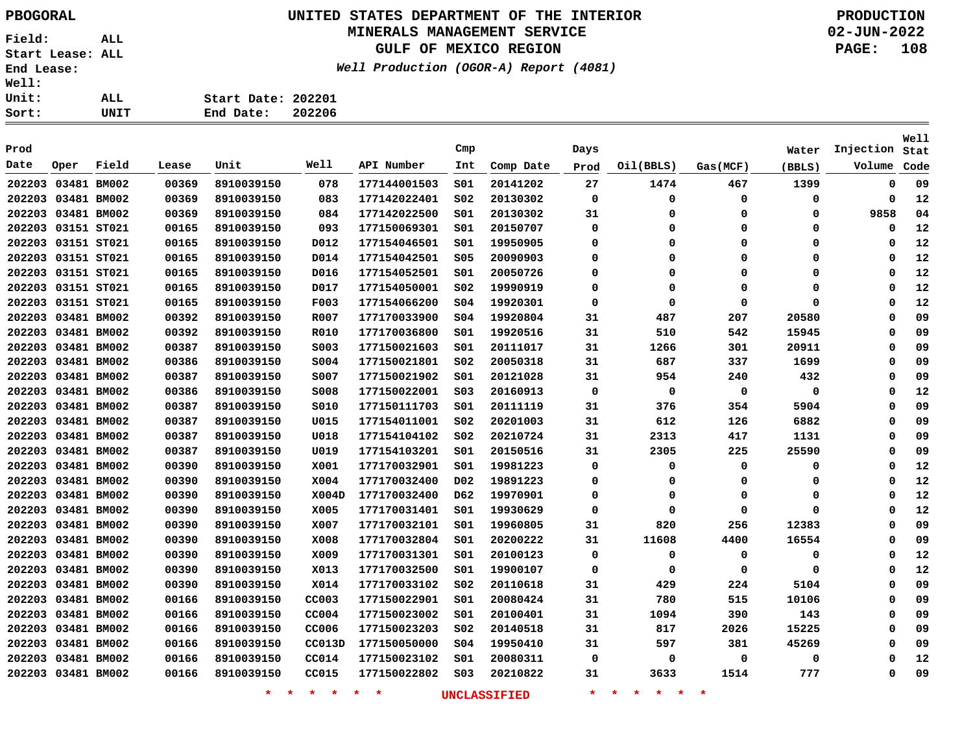### **UNITED STATES DEPARTMENT OF THE INTERIOR PBOGORAL PRODUCTION**

### **MINERALS MANAGEMENT SERVICE**

**GULF OF MEXICO REGION**

**Well Production (OGOR-A) Report (4081)**

| Sort:        | UNIT | 202206<br>End Date: |
|--------------|------|---------------------|
| Unit:        | ALL  | Start Date: 202201  |
| <b>Well:</b> |      |                     |

| Prod               |                    |       |       |                    |               |              | Cmp              |                     | Days        |                                     |             | Water       | Injection | <b>Well</b><br>Stat |
|--------------------|--------------------|-------|-------|--------------------|---------------|--------------|------------------|---------------------|-------------|-------------------------------------|-------------|-------------|-----------|---------------------|
| Date               | Oper               | Field | Lease | Unit               | Well          | API Number   | Int              | Comp Date           | Prod        | Oil(BBLS)                           | Gas(MCF)    | (BBLS)      | Volume    | Code                |
| 202203 03481 BM002 |                    |       | 00369 | 8910039150         | 078           | 177144001503 | SO1              | 20141202            | 27          | 1474                                | 467         | 1399        | 0         | 09                  |
| 202203 03481 BM002 |                    |       | 00369 | 8910039150         | 083           | 177142022401 | SO <sub>2</sub>  | 20130302            | 0           | 0                                   | 0           | 0           | 0         | 12                  |
| 202203 03481 BM002 |                    |       | 00369 | 8910039150         | 084           | 177142022500 | SO1              | 20130302            | 31          | 0                                   | 0           | 0           | 9858      | 04                  |
| 202203 03151 ST021 |                    |       | 00165 | 8910039150         | 093           | 177150069301 | SO1              | 20150707            | $\mathbf 0$ | 0                                   | $\mathbf 0$ | 0           | 0         | 12                  |
| 202203 03151 ST021 |                    |       | 00165 | 8910039150         | D012          | 177154046501 | SO1              | 19950905            | 0           | 0                                   | $\mathbf 0$ | 0           | 0         | 12                  |
| 202203 03151 ST021 |                    |       | 00165 | 8910039150         | D014          | 177154042501 | S05              | 20090903            | 0           | 0                                   | 0           | 0           | $\Omega$  | 12                  |
| 202203 03151 ST021 |                    |       | 00165 | 8910039150         | D016          | 177154052501 | SO1              | 20050726            | 0           | 0                                   | 0           | 0           | $\Omega$  | 12                  |
| 202203 03151 ST021 |                    |       | 00165 | 8910039150         | D017          | 177154050001 | SO <sub>2</sub>  | 19990919            | 0           | 0                                   | 0           | 0           | $\Omega$  | 12                  |
| 202203 03151 ST021 |                    |       | 00165 | 8910039150         | F003          | 177154066200 | SO <sub>4</sub>  | 19920301            | $\mathbf 0$ | $\Omega$                            | $\mathbf 0$ | 0           | $\Omega$  | 12                  |
| 202203 03481 BM002 |                    |       | 00392 | 8910039150         | R007          | 177170033900 | SO <sub>4</sub>  | 19920804            | 31          | 487                                 | 207         | 20580       | $\Omega$  | 09                  |
| 202203 03481 BM002 |                    |       | 00392 | 8910039150         | R010          | 177170036800 | 501              | 19920516            | 31          | 510                                 | 542         | 15945       | $\Omega$  | 09                  |
| 202203 03481 BM002 |                    |       | 00387 | 8910039150         | S003          | 177150021603 | SO1              | 20111017            | 31          | 1266                                | 301         | 20911       | $\Omega$  | 09                  |
| 202203 03481 BM002 |                    |       | 00386 | 8910039150         | S004          | 177150021801 | SO <sub>2</sub>  | 20050318            | 31          | 687                                 | 337         | 1699        | $\Omega$  | 09                  |
| 202203 03481 BM002 |                    |       | 00387 | 8910039150         | S007          | 177150021902 | SO1              | 20121028            | 31          | 954                                 | 240         | 432         | $\Omega$  | 09                  |
|                    | 202203 03481 BM002 |       | 00386 | 8910039150         | <b>S008</b>   | 177150022001 | SO <sub>3</sub>  | 20160913            | $\mathbf 0$ | $\mathbf 0$                         | 0           | $\mathbf 0$ | $\Omega$  | 12                  |
| 202203 03481 BM002 |                    |       | 00387 | 8910039150         | S010          | 177150111703 | 501              | 20111119            | 31          | 376                                 | 354         | 5904        | $\Omega$  | 09                  |
| 202203 03481 BM002 |                    |       | 00387 | 8910039150         | U015          | 177154011001 | SO <sub>2</sub>  | 20201003            | 31          | 612                                 | 126         | 6882        | $\Omega$  | 09                  |
| 202203 03481 BM002 |                    |       | 00387 | 8910039150         | U018          | 177154104102 | S02              | 20210724            | 31          | 2313                                | 417         | 1131        | $\Omega$  | 09                  |
| 202203 03481 BM002 |                    |       | 00387 | 8910039150         | U019          | 177154103201 | S01              | 20150516            | 31          | 2305                                | 225         | 25590       | 0         | 09                  |
| 202203 03481 BM002 |                    |       | 00390 | 8910039150         | X001          | 177170032901 | SO1              | 19981223            | 0           | 0                                   | 0           | 0           | 0         | 12                  |
| 202203 03481 BM002 |                    |       | 00390 | 8910039150         | X004          | 177170032400 | D <sub>0</sub> 2 | 19891223            | 0           | 0                                   | 0           | 0           | 0         | 12                  |
| 202203 03481 BM002 |                    |       | 00390 | 8910039150         | X004D         | 177170032400 | D62              | 19970901            | 0           | 0                                   | 0           | 0           | 0         | 12                  |
| 202203 03481 BM002 |                    |       | 00390 | 8910039150         | X005          | 177170031401 | S01              | 19930629            | 0           | 0                                   | 0           | 0           | 0         | 12                  |
| 202203 03481 BM002 |                    |       | 00390 | 8910039150         | X007          | 177170032101 | S01              | 19960805            | 31          | 820                                 | 256         | 12383       | 0         | 09                  |
| 202203 03481 BM002 |                    |       | 00390 | 8910039150         | X008          | 177170032804 | SO1              | 20200222            | 31          | 11608                               | 4400        | 16554       | 0         | 09                  |
| 202203 03481 BM002 |                    |       | 00390 | 8910039150         | X009          | 177170031301 | SO1              | 20100123            | 0           | 0                                   | 0           | 0           | 0         | 12                  |
| 202203 03481 BM002 |                    |       | 00390 | 8910039150         | X013          | 177170032500 | S01              | 19900107            | 0           | 0                                   | 0           | 0           | $\Omega$  | 12                  |
| 202203 03481 BM002 |                    |       | 00390 | 8910039150         | X014          | 177170033102 | S02              | 20110618            | 31          | 429                                 | 224         | 5104        | 0         | 09                  |
| 202203 03481 BM002 |                    |       | 00166 | 8910039150         | CC003         | 177150022901 | SO1              | 20080424            | 31          | 780                                 | 515         | 10106       | 0         | 09                  |
| 202203 03481 BM002 |                    |       | 00166 | 8910039150         | <b>CC004</b>  | 177150023002 | S01              | 20100401            | 31          | 1094                                | 390         | 143         | 0         | 09                  |
| 202203 03481 BM002 |                    |       | 00166 | 8910039150         | CC006         | 177150023203 | S02              | 20140518            | 31          | 817                                 | 2026        | 15225       | $\Omega$  | 09                  |
| 202203 03481 BM002 |                    |       | 00166 | 8910039150         | CC013D        | 177150050000 | 504              | 19950410            | 31          | 597                                 | 381         | 45269       | $\Omega$  | 09                  |
|                    | 202203 03481 BM002 |       | 00166 | 8910039150         | CC014         | 177150023102 | S01              | 20080311            | 0           | $\Omega$                            | 0           | 0           | $\Omega$  | 12                  |
| 202203 03481 BM002 |                    |       | 00166 | 8910039150         | CC015         | 177150022802 | SO <sub>3</sub>  | 20210822            | 31          | 3633                                | 1514        | 777         | $\Omega$  | 09                  |
|                    |                    |       |       | $\star$<br>$\star$ | $\star$<br>一大 | $\star$<br>未 |                  | <b>UNCLASSIFIED</b> | $\star$     | $\star$<br>一大<br>$\star$<br>$\star$ | $\star$     |             |           |                     |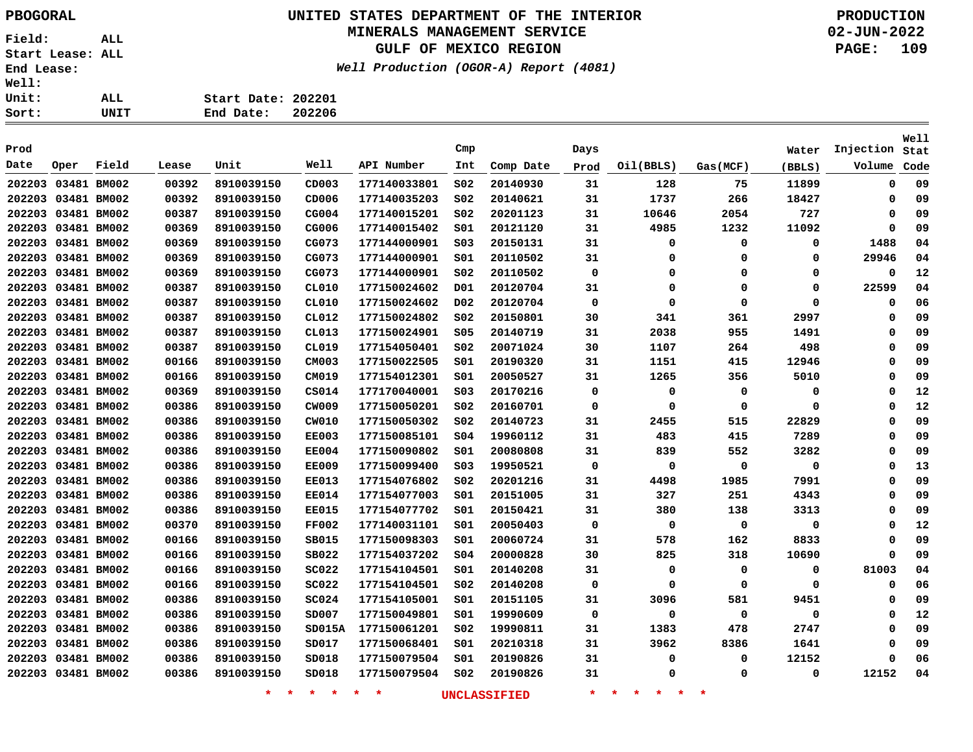# **UNITED STATES DEPARTMENT OF THE INTERIOR PBOGORAL PRODUCTION**

#### **MINERALS MANAGEMENT SERVICE**

**GULF OF MEXICO REGION**

**Well Production (OGOR-A) Report (4081)**

| Sort:        | UNIT | 202206<br>End Date: |
|--------------|------|---------------------|
| <b>Unit:</b> | ALL  | Start Date: 202201  |
| werr:        |      |                     |

|                    |      |             |       |                    |              |                    |                  |                     |             |                                            |             |        |           | <b>Well</b> |
|--------------------|------|-------------|-------|--------------------|--------------|--------------------|------------------|---------------------|-------------|--------------------------------------------|-------------|--------|-----------|-------------|
| Prod               |      |             |       |                    |              |                    | Cmp              |                     | Days        |                                            |             | Water  | Injection | Stat        |
| Date               | Oper | Field       | Lease | Unit               | Well         | API Number         | Int              | Comp Date           | Prod        | Oil(BBLS)                                  | Gas(MCF)    | (BBLS) | Volume    | Code        |
| 202203 03481 BM002 |      |             | 00392 | 8910039150         | CD003        | 177140033801       | SO <sub>2</sub>  | 20140930            | 31          | 128                                        | 75          | 11899  | 0         | 09          |
| 202203 03481 BM002 |      |             | 00392 | 8910039150         | CD006        | 177140035203       | SO <sub>2</sub>  | 20140621            | 31          | 1737                                       | 266         | 18427  | 0         | 09          |
| 202203 03481 BM002 |      |             | 00387 | 8910039150         | CG004        | 177140015201       | SO <sub>2</sub>  | 20201123            | 31          | 10646                                      | 2054        | 727    | 0         | 09          |
| 202203 03481 BM002 |      |             | 00369 | 8910039150         | CG006        | 177140015402       | SO1              | 20121120            | 31          | 4985                                       | 1232        | 11092  | 0         | 09          |
| 202203 03481 BM002 |      |             | 00369 | 8910039150         | CG073        | 177144000901       | SO <sub>3</sub>  | 20150131            | 31          | $\mathbf 0$                                | $\Omega$    | 0      | 1488      | 04          |
| 202203 03481 BM002 |      |             | 00369 | 8910039150         | CG073        | 177144000901       | SO1              | 20110502            | 31          | $\mathbf 0$                                | $\Omega$    | 0      | 29946     | 04          |
| 202203 03481 BM002 |      |             | 00369 | 8910039150         | CGO73        | 177144000901       | SO <sub>2</sub>  | 20110502            | $\mathbf 0$ | $\mathbf 0$                                | $\Omega$    | 0      | 0         | 12          |
| 202203             |      | 03481 BM002 | 00387 | 8910039150         | CL010        | 177150024602       | D01              | 20120704            | 31          | 0                                          | $\Omega$    | 0      | 22599     | 04          |
| 202203             |      | 03481 BM002 | 00387 | 8910039150         | CL010        | 177150024602       | D <sub>0</sub> 2 | 20120704            | $\mathbf 0$ | 0                                          | $\mathbf 0$ | 0      | 0         | 06          |
| 202203 03481 BM002 |      |             | 00387 | 8910039150         | CL012        | 177150024802       | SO <sub>2</sub>  | 20150801            | 30          | 341                                        | 361         | 2997   | 0         | 09          |
| 202203             |      | 03481 BM002 | 00387 | 8910039150         | CL013        | 177150024901       | \$05             | 20140719            | 31          | 2038                                       | 955         | 1491   | 0         | 09          |
| 202203 03481 BM002 |      |             | 00387 | 8910039150         | CL019        | 177154050401       | S02              | 20071024            | 30          | 1107                                       | 264         | 498    | 0         | 09          |
| 202203 03481 BM002 |      |             | 00166 | 8910039150         | CM003        | 177150022505       | SO1              | 20190320            | 31          | 1151                                       | 415         | 12946  | 0         | 09          |
| 202203 03481 BM002 |      |             | 00166 | 8910039150         | CM019        | 177154012301       | S01              | 20050527            | 31          | 1265                                       | 356         | 5010   | 0         | 09          |
| 202203 03481 BM002 |      |             | 00369 | 8910039150         | CSO14        | 177170040001       | SO <sub>3</sub>  | 20170216            | $\mathbf 0$ | $\mathbf 0$                                | $\mathbf 0$ | 0      | $\Omega$  | 12          |
| 202203 03481 BM002 |      |             | 00386 | 8910039150         | CW009        | 177150050201       | SO <sub>2</sub>  | 20160701            | 0           | 0                                          | 0           | 0      | $\Omega$  | 12          |
| 202203 03481 BM002 |      |             | 00386 | 8910039150         | CW010        | 177150050302       | S02              | 20140723            | 31          | 2455                                       | 515         | 22829  | 0         | 09          |
| 202203 03481 BM002 |      |             | 00386 | 8910039150         | <b>EE003</b> | 177150085101       | SO <sub>4</sub>  | 19960112            | 31          | 483                                        | 415         | 7289   | 0         | 09          |
| 202203 03481 BM002 |      |             | 00386 | 8910039150         | <b>EE004</b> | 177150090802       | S01              | 20080808            | 31          | 839                                        | 552         | 3282   | 0         | 09          |
| 202203 03481 BM002 |      |             | 00386 | 8910039150         | <b>EE009</b> | 177150099400       | SO <sub>3</sub>  | 19950521            | $\mathbf 0$ | 0                                          | 0           | 0      | 0         | 13          |
| 202203 03481 BM002 |      |             | 00386 | 8910039150         | <b>EE013</b> | 177154076802       | S02              | 20201216            | 31          | 4498                                       | 1985        | 7991   | $\Omega$  | 09          |
| 202203 03481 BM002 |      |             | 00386 | 8910039150         | <b>EE014</b> | 177154077003       | S01              | 20151005            | 31          | 327                                        | 251         | 4343   | $\Omega$  | 09          |
| 202203 03481 BM002 |      |             | 00386 | 8910039150         | <b>EE015</b> | 177154077702       | 501              | 20150421            | 31          | 380                                        | 138         | 3313   | 0         | 09          |
| 202203 03481 BM002 |      |             | 00370 | 8910039150         | <b>FF002</b> | 177140031101       | SO1              | 20050403            | $\Omega$    | 0                                          | 0           | 0      | $\Omega$  | 12          |
| 202203 03481 BM002 |      |             | 00166 | 8910039150         | SB015        | 177150098303       | SO1              | 20060724            | 31          | 578                                        | 162         | 8833   | $\Omega$  | 09          |
| 202203 03481 BM002 |      |             | 00166 | 8910039150         | SB022        | 177154037202       | SO <sub>4</sub>  | 20000828            | 30          | 825                                        | 318         | 10690  | 0         | 09          |
| 202203 03481 BM002 |      |             | 00166 | 8910039150         | <b>SC022</b> | 177154104501       | 501              | 20140208            | 31          | 0                                          | 0           | 0      | 81003     | 04          |
| 202203             |      | 03481 BM002 | 00166 | 8910039150         | <b>SC022</b> | 177154104501       | SO <sub>2</sub>  | 20140208            | 0           | 0                                          | $\mathbf 0$ | 0      | 0         | 06          |
| 202203             |      | 03481 BM002 | 00386 | 8910039150         | SC024        | 177154105001       | SO1              | 20151105            | 31          | 3096                                       | 581         | 9451   | $\Omega$  | 09          |
| 202203             |      | 03481 BM002 | 00386 | 8910039150         | SD007        | 177150049801       | S01              | 19990609            | 0           | 0                                          | 0           | 0      | 0         | 12          |
| 202203             |      | 03481 BM002 | 00386 | 8910039150         | SD015A       | 177150061201       | S02              | 19990811            | 31          | 1383                                       | 478         | 2747   | 0         | 09          |
| 202203 03481 BM002 |      |             | 00386 | 8910039150         | SD017        | 177150068401       | SO1              | 20210318            | 31          | 3962                                       | 8386        | 1641   | $\Omega$  | 09          |
| 202203 03481 BM002 |      |             | 00386 | 8910039150         | SD018        | 177150079504       | SO1              | 20190826            | 31          | 0                                          | 0           | 12152  | 0         | 06          |
| 202203 03481 BM002 |      |             | 00386 | 8910039150         | SD018        | 177150079504       | SO <sub>2</sub>  | 20190826            | 31          | 0                                          | $\Omega$    | 0      | 12152     | 04          |
|                    |      |             |       | $\star$<br>$\star$ | $*$ *        | $\star$<br>$\star$ |                  | <b>UNCLASSIFIED</b> | $\star$     | $\star$<br>一大。<br><b>Signal</b><br>$\star$ | $\star$     |        |           |             |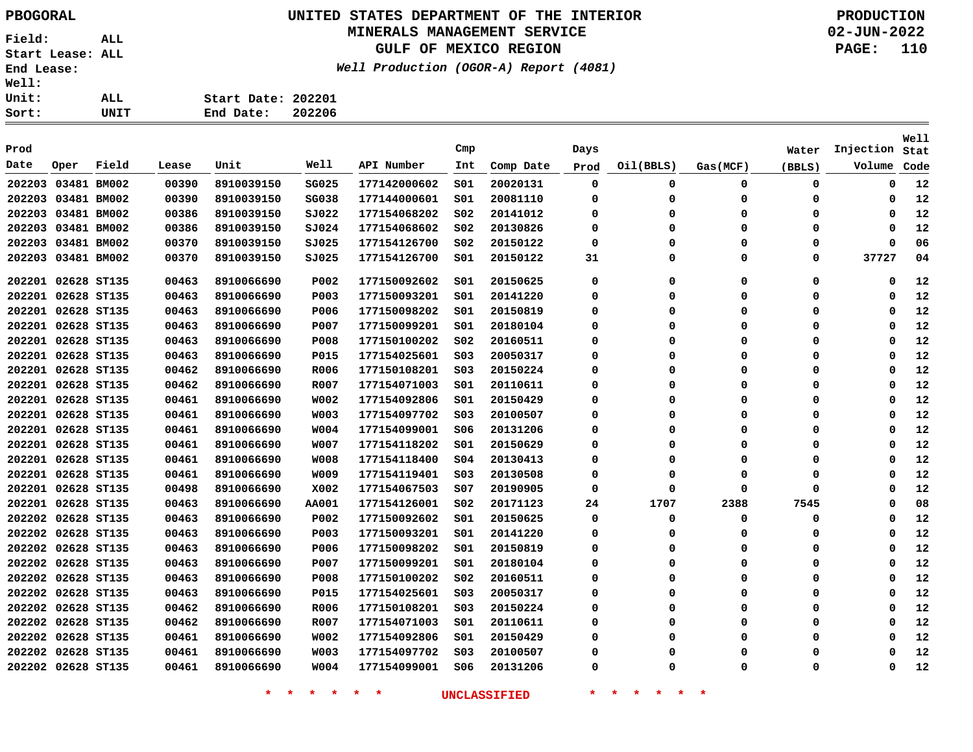## **UNITED STATES DEPARTMENT OF THE INTERIOR PBOGORAL PRODUCTION**

#### **MINERALS MANAGEMENT SERVICE**

**GULF OF MEXICO REGION**

**Well Production (OGOR-A) Report (4081)**

**02-JUN-2022 PAGE: 110**

| Well: |      |                    |        |
|-------|------|--------------------|--------|
| Unit: | ALL  | Start Date: 202201 |        |
| Sort: | UNIT | End Date:          | 202206 |

| Prod               |                    |             |       |            |              |              | Cmp             |           | Days        |           |             | Water  | Injection | Well         |
|--------------------|--------------------|-------------|-------|------------|--------------|--------------|-----------------|-----------|-------------|-----------|-------------|--------|-----------|--------------|
| Date               | Oper               | Field       | Lease | Unit       | Well         | API Number   | Int             | Comp Date |             | Oil(BBLS) | Gas(MCF)    |        | Volume    | Stat<br>Code |
|                    |                    |             |       |            |              |              |                 |           | Prod        |           |             | (BBLS) |           |              |
| 202203 03481 BM002 |                    |             | 00390 | 8910039150 | SG025        | 177142000602 | SO1             | 20020131  | 0           | 0         | 0           | 0      | 0         | 12           |
| 202203 03481 BM002 |                    |             | 00390 | 8910039150 | SG038        | 177144000601 | SO1             | 20081110  | 0           | 0         | 0           | 0      | $\Omega$  | 12           |
| 202203 03481 BM002 |                    |             | 00386 | 8910039150 | SJ022        | 177154068202 | SO <sub>2</sub> | 20141012  | 0           | $\Omega$  | 0           | 0      | 0         | 12           |
| 202203 03481 BM002 |                    |             | 00386 | 8910039150 | 5J024        | 177154068602 | S02             | 20130826  | 0           | 0         | 0           | 0      | 0         | 12           |
| 202203 03481 BM002 |                    |             | 00370 | 8910039150 | SJO25        | 177154126700 | SO <sub>2</sub> | 20150122  | 0           | 0         | 0           | 0      | $\Omega$  | 06           |
| 202203 03481 BM002 |                    |             | 00370 | 8910039150 | 5J025        | 177154126700 | S01             | 20150122  | 31          | 0         | 0           | 0      | 37727     | 04           |
|                    | 202201 02628 ST135 |             | 00463 | 8910066690 | P002         | 177150092602 | SO1             | 20150625  | $\mathbf 0$ | 0         | $\mathbf 0$ | 0      | $\Omega$  | 12           |
|                    | 202201 02628 ST135 |             | 00463 | 8910066690 | <b>P003</b>  | 177150093201 | SO1             | 20141220  | 0           | 0         | 0           | 0      | 0         | 12           |
|                    | 202201 02628 ST135 |             | 00463 | 8910066690 | P006         | 177150098202 | SO1             | 20150819  | 0           | 0         | $\mathbf 0$ | 0      | $\Omega$  | 12           |
|                    | 202201 02628 ST135 |             | 00463 | 8910066690 | P007         | 177150099201 | SO1             | 20180104  | 0           | 0         | 0           | 0      | $\Omega$  | 12           |
|                    | 202201 02628 ST135 |             | 00463 | 8910066690 | <b>P008</b>  | 177150100202 | SO <sub>2</sub> | 20160511  | $\Omega$    | O         | $\Omega$    | 0      | $\Omega$  | 12           |
|                    | 202201 02628 ST135 |             | 00463 | 8910066690 | P015         | 177154025601 | SO <sub>3</sub> | 20050317  | 0           | $\Omega$  | 0           | 0      | $\Omega$  | 12           |
|                    | 202201 02628 ST135 |             | 00462 | 8910066690 | R006         | 177150108201 | S03             | 20150224  | $\Omega$    | O         | 0           | 0      | $\Omega$  | 12           |
|                    | 202201 02628 ST135 |             | 00462 | 8910066690 | R007         | 177154071003 | SO1             | 20110611  | 0           | 0         | 0           | 0      | $\Omega$  | 12           |
| 202201             | 02628 ST135        |             | 00461 | 8910066690 | <b>W002</b>  | 177154092806 | SO1             | 20150429  | 0           | $\Omega$  | 0           | 0      | 0         | 12           |
| 202201             |                    | 02628 ST135 | 00461 | 8910066690 | <b>W003</b>  | 177154097702 | SO <sub>3</sub> | 20100507  | 0           | $\Omega$  | $\mathbf 0$ | 0      | $\Omega$  | 12           |
| 202201             |                    | 02628 ST135 | 00461 | 8910066690 | <b>W004</b>  | 177154099001 | S06             | 20131206  | 0           | 0         | 0           | 0      | 0         | 12           |
| 202201             | 02628 ST135        |             | 00461 | 8910066690 | <b>W007</b>  | 177154118202 | SO1             | 20150629  | 0           | O         | O           | 0      | $\Omega$  | 12           |
| 202201 02628 ST135 |                    |             | 00461 | 8910066690 | <b>W008</b>  | 177154118400 | SO <sub>4</sub> | 20130413  | 0           | $\Omega$  | 0           | 0      | 0         | 12           |
| 202201 02628 ST135 |                    |             | 00461 | 8910066690 | <b>WO09</b>  | 177154119401 | SO <sub>3</sub> | 20130508  | 0           | $\Omega$  | 0           | 0      | $\Omega$  | 12           |
| 202201 02628 ST135 |                    |             | 00498 | 8910066690 | X002         | 177154067503 | 507             | 20190905  | 0           | $\Omega$  | $\mathbf 0$ | 0      | 0         | 12           |
| 202201 02628 ST135 |                    |             | 00463 | 8910066690 | <b>AA001</b> | 177154126001 | SO <sub>2</sub> | 20171123  | 24          | 1707      | 2388        | 7545   | 0         | 08           |
| 202202 02628 ST135 |                    |             | 00463 | 8910066690 | P002         | 177150092602 | SO1             | 20150625  | $\mathbf 0$ | 0         | 0           | 0      | 0         | 12           |
| 202202 02628 ST135 |                    |             | 00463 | 8910066690 | P003         | 177150093201 | SO1             | 20141220  | 0           | 0         | 0           | 0      | 0         | 12           |
| 202202 02628 ST135 |                    |             | 00463 | 8910066690 | P006         | 177150098202 | SO1             | 20150819  | 0           | $\Omega$  | 0           | 0      | $\Omega$  | 12           |
| 202202 02628 ST135 |                    |             | 00463 | 8910066690 | P007         | 177150099201 | SO1             | 20180104  | 0           | 0         | 0           | 0      | 0         | 12           |
| 202202 02628 ST135 |                    |             | 00463 | 8910066690 | <b>P008</b>  | 177150100202 | S02             | 20160511  | 0           | 0         | 0           | 0      | $\Omega$  | 12           |
| 202202 02628 ST135 |                    |             | 00463 | 8910066690 | <b>P015</b>  | 177154025601 | SO <sub>3</sub> | 20050317  | 0           | 0         | 0           | 0      | 0         | 12           |
| 202202 02628 ST135 |                    |             | 00462 | 8910066690 | R006         | 177150108201 | S03             | 20150224  | 0           | $\Omega$  | $\Omega$    | 0      | 0         | 12           |
| 202202 02628 ST135 |                    |             | 00462 | 8910066690 | R007         | 177154071003 | SO1             | 20110611  | 0           | 0         | 0           | 0      | $\Omega$  | 12           |
| 202202 02628 ST135 |                    |             | 00461 | 8910066690 | W002         | 177154092806 | S01             | 20150429  | 0           | 0         | 0           | 0      | 0         | 12           |
|                    | 202202 02628 ST135 |             | 00461 | 8910066690 | <b>W003</b>  | 177154097702 | SO <sub>3</sub> | 20100507  | 0           |           | $\Omega$    | 0      | $\Omega$  | 12           |
|                    | 202202 02628 ST135 |             | 00461 | 8910066690 | <b>W004</b>  | 177154099001 | 506             | 20131206  | $\Omega$    | $\Omega$  | $\mathbf 0$ | 0      | $\Omega$  | 12           |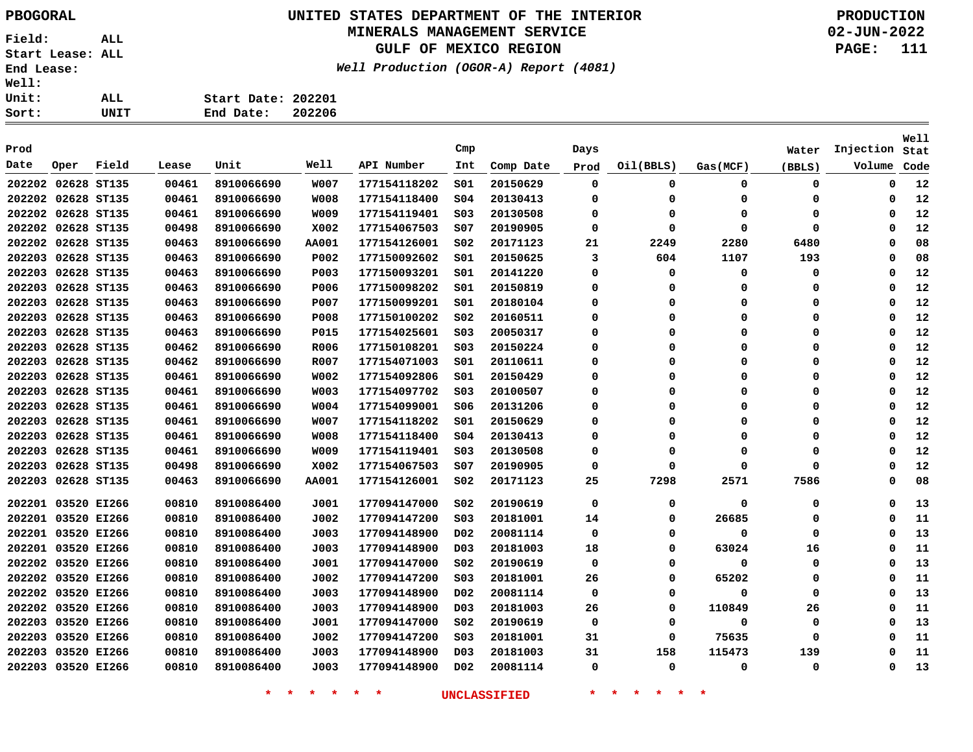# **UNITED STATES DEPARTMENT OF THE INTERIOR PBOGORAL PRODUCTION**

#### **MINERALS MANAGEMENT SERVICE**

**GULF OF MEXICO REGION**

**Well Production (OGOR-A) Report (4081)**

**02-JUN-2022 PAGE: 111**

| ı: |      |                    |        |
|----|------|--------------------|--------|
| t: | ALL  | Start Date: 202201 |        |
| t: | UNIT | End Date:          | 202206 |

| Prod               |             |       |       |            |              |              | Cmp              |           | Days        |           |          | Water    | Injection | Well<br>Stat |
|--------------------|-------------|-------|-------|------------|--------------|--------------|------------------|-----------|-------------|-----------|----------|----------|-----------|--------------|
| Date               | Oper        | Field | Lease | Unit       | Well         | API Number   | Int              | Comp Date | Prod        | Oil(BBLS) | Gas(MCF) | (BBLS)   | Volume    | Code         |
| 202202             | 02628 ST135 |       | 00461 | 8910066690 | <b>W007</b>  | 177154118202 | SO1              | 20150629  | 0           | 0         | 0        | 0        | 0         | 12           |
| 202202 02628 ST135 |             |       | 00461 | 8910066690 | <b>W008</b>  | 177154118400 | \$04             | 20130413  | 0           | $\Omega$  | 0        | 0        | 0         | 12           |
| 202202 02628 ST135 |             |       | 00461 | 8910066690 | <b>WO09</b>  | 177154119401 | S03              | 20130508  | 0           | $\Omega$  | $\Omega$ | $\Omega$ | $\Omega$  | 12           |
| 202202 02628 ST135 |             |       | 00498 | 8910066690 | X002         | 177154067503 | s07              | 20190905  | 0           | $\Omega$  | 0        | 0        | $\Omega$  | 12           |
| 202202 02628 ST135 |             |       | 00463 | 8910066690 | <b>AA001</b> | 177154126001 | SO <sub>2</sub>  | 20171123  | 21          | 2249      | 2280     | 6480     | $\Omega$  | 08           |
| 202203 02628 ST135 |             |       | 00463 | 8910066690 | P002         | 177150092602 | S01              | 20150625  | 3           | 604       | 1107     | 193      | $\Omega$  | 08           |
| 202203             | 02628 ST135 |       | 00463 | 8910066690 | <b>P003</b>  | 177150093201 | SO1              | 20141220  | 0           | 0         | 0        | 0        | 0         | 12           |
| 202203             | 02628 ST135 |       | 00463 | 8910066690 | P006         | 177150098202 | S01              | 20150819  | 0           | 0         | 0        | 0        | 0         | 12           |
| 202203             | 02628 ST135 |       | 00463 | 8910066690 | P007         | 177150099201 | S01              | 20180104  | 0           | 0         | $\Omega$ | $\Omega$ | $\Omega$  | 12           |
| 202203             | 02628 ST135 |       | 00463 | 8910066690 | P008         | 177150100202 | S02              | 20160511  | 0           | 0         | $\Omega$ | $\Omega$ | $\Omega$  | 12           |
| 202203             | 02628 ST135 |       | 00463 | 8910066690 | P015         | 177154025601 | S03              | 20050317  | 0           | 0         | $\Omega$ | 0        | $\Omega$  | 12           |
| 202203             | 02628 ST135 |       | 00462 | 8910066690 | R006         | 177150108201 | S03              | 20150224  | 0           | O         | $\Omega$ | 0        | O         | 12           |
| 202203             | 02628 ST135 |       | 00462 | 8910066690 | R007         | 177154071003 | SO1              | 20110611  | 0           | $\Omega$  | $\Omega$ | 0        | $\Omega$  | 12           |
| 202203             | 02628 ST135 |       | 00461 | 8910066690 | W002         | 177154092806 | SO1              | 20150429  | 0           | $\Omega$  | 0        | 0        | $\Omega$  | 12           |
| 202203             | 02628 ST135 |       | 00461 | 8910066690 | <b>WO03</b>  | 177154097702 | SO <sub>3</sub>  | 20100507  | 0           | $\Omega$  | 0        | 0        | $\Omega$  | 12           |
| 202203             | 02628 ST135 |       | 00461 | 8910066690 | W004         | 177154099001 | S06              | 20131206  | 0           | O         | $\Omega$ | 0        | $\Omega$  | 12           |
| 202203             | 02628 ST135 |       | 00461 | 8910066690 | <b>W007</b>  | 177154118202 | 501              | 20150629  | 0           | $\Omega$  | $\Omega$ | $\Omega$ | $\Omega$  | 12           |
| 202203             | 02628 ST135 |       | 00461 | 8910066690 | <b>W008</b>  | 177154118400 | s04              | 20130413  | 0           | $\Omega$  | $\Omega$ | $\Omega$ | $\Omega$  | 12           |
| 202203             | 02628 ST135 |       | 00461 | 8910066690 | W009         | 177154119401 | S03              | 20130508  | 0           | 0         | 0        | 0        | $\Omega$  | 12           |
| 202203             | 02628 ST135 |       | 00498 | 8910066690 | X002         | 177154067503 | SO7              | 20190905  | $\mathbf 0$ | $\Omega$  | $\Omega$ | $\Omega$ | $\Omega$  | 12           |
| 202203             | 02628 ST135 |       | 00463 | 8910066690 | <b>AA001</b> | 177154126001 | SO <sub>2</sub>  | 20171123  | 25          | 7298      | 2571     | 7586     | $\Omega$  | 08           |
| 202201             | 03520 EI266 |       | 00810 | 8910086400 | J001         | 177094147000 | SO <sub>2</sub>  | 20190619  | 0           | 0         | 0        | 0        | $\Omega$  | 13           |
| 202201             | 03520 EI266 |       | 00810 | 8910086400 | J002         | 177094147200 | SO <sub>3</sub>  | 20181001  | 14          | 0         | 26685    | 0        | $\Omega$  | 11           |
| 202201 03520 EI266 |             |       | 00810 | 8910086400 | J003         | 177094148900 | D02              | 20081114  | 0           | 0         | $\Omega$ | 0        | 0         | 13           |
| 202201 03520 EI266 |             |       | 00810 | 8910086400 | J003         | 177094148900 | D <sub>03</sub>  | 20181003  | 18          | 0         | 63024    | 16       | 0         | 11           |
| 202202 03520 EI266 |             |       | 00810 | 8910086400 | J001         | 177094147000 | S02              | 20190619  | 0           | 0         | 0        | 0        | 0         | 13           |
| 202202 03520 EI266 |             |       | 00810 | 8910086400 | J002         | 177094147200 | SO <sub>3</sub>  | 20181001  | 26          | 0         | 65202    | 0        | 0         | 11           |
| 202202 03520 EI266 |             |       | 00810 | 8910086400 | J003         | 177094148900 | D <sub>0</sub> 2 | 20081114  | 0           | 0         | 0        | 0        | $\Omega$  | 13           |
| 202202 03520 EI266 |             |       | 00810 | 8910086400 | J003         | 177094148900 | DO3              | 20181003  | 26          | 0         | 110849   | 26       | 0         | 11           |
| 202203             | 03520 EI266 |       | 00810 | 8910086400 | J001         | 177094147000 | s02              | 20190619  | 0           | $\Omega$  | 0        | 0        | $\Omega$  | 13           |
| 202203             | 03520 EI266 |       | 00810 | 8910086400 | J002         | 177094147200 | SO <sub>3</sub>  | 20181001  | 31          | $\Omega$  | 75635    | 0        | $\Omega$  | 11           |
| 202203             | 03520 EI266 |       | 00810 | 8910086400 | J003         | 177094148900 | DO3              | 20181003  | 31          | 158       | 115473   | 139      | $\Omega$  | 11           |
| 202203 03520 EI266 |             |       | 00810 | 8910086400 | J003         | 177094148900 | D02              | 20081114  | 0           | 0         | 0        | 0        | 0         | 13           |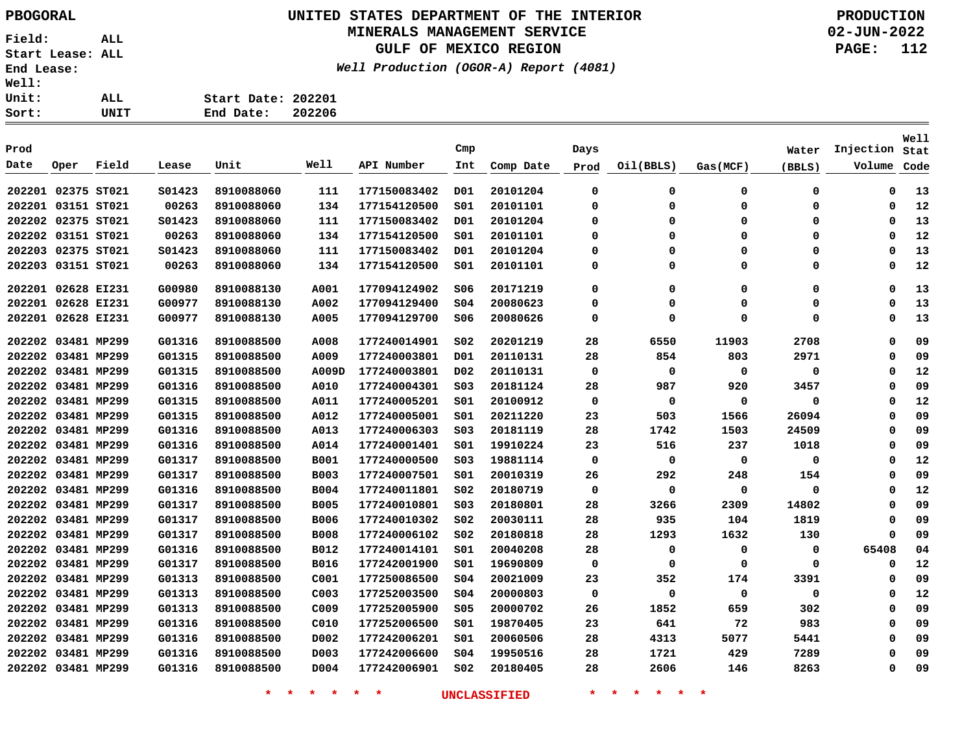**UNITED STATES DEPARTMENT OF THE INTERIOR PBOGORAL PRODUCTION**

#### **MINERALS MANAGEMENT SERVICE**

**GULF OF MEXICO REGION**

**Well Production (OGOR-A) Report (4081)**

**02-JUN-2022 PAGE: 112**

**Sort: UNIT Start Date: 202201 End Date: 202206**

|                    |                    |       |        |            |                  |              |                 |           |             |           |             |        |           | Well |
|--------------------|--------------------|-------|--------|------------|------------------|--------------|-----------------|-----------|-------------|-----------|-------------|--------|-----------|------|
| Prod               |                    |       |        |            |                  |              | Cmp             |           | Days        |           |             | Water  | Injection | Stat |
| Date               | Oper               | Field | Lease  | Unit       | Well             | API Number   | Int             | Comp Date | Prod        | Oil(BBLS) | Gas(MCF)    | (BBLS) | Volume    | Code |
| 202201 02375 ST021 |                    |       | S01423 | 8910088060 | 111              | 177150083402 | D01             | 20101204  | 0           | 0         | 0           | 0      | 0         | 13   |
| 202201 03151 ST021 |                    |       | 00263  | 8910088060 | 134              | 177154120500 | SO1             | 20101101  | 0           | O         | $\Omega$    | 0      | 0         | 12   |
|                    | 202202 02375 ST021 |       | S01423 | 8910088060 | 111              | 177150083402 | D01             | 20101204  | 0           | $\Omega$  | $\Omega$    | 0      | 0         | 13   |
| 202202             | 03151 ST021        |       | 00263  | 8910088060 | 134              | 177154120500 | S01             | 20101101  | 0           | 0         | $\Omega$    | 0      | 0         | 12   |
| 202203 02375 ST021 |                    |       | S01423 | 8910088060 | 111              | 177150083402 | D01             | 20101204  | $\mathbf 0$ | 0         | $\Omega$    | 0      | 0         | 13   |
|                    | 202203 03151 ST021 |       | 00263  | 8910088060 | 134              | 177154120500 | SO1             | 20101101  | 0           | $\Omega$  | $\Omega$    | 0      | 0         | 12   |
| 202201 02628 EI231 |                    |       | G00980 | 8910088130 | A001             | 177094124902 | S06             | 20171219  | $\mathbf 0$ | 0         | 0           | 0      | 0         | 13   |
|                    | 202201 02628 EI231 |       | G00977 | 8910088130 | A002             | 177094129400 | \$04            | 20080623  | 0           | $\Omega$  | $\Omega$    | 0      | 0         | 13   |
| 202201 02628 EI231 |                    |       | G00977 | 8910088130 | A005             | 177094129700 | 506             | 20080626  | $\mathbf 0$ | $\Omega$  | $\Omega$    | 0      | 0         | 13   |
| 202202 03481 MP299 |                    |       | G01316 | 8910088500 | A008             | 177240014901 | SO <sub>2</sub> | 20201219  | 28          | 6550      | 11903       | 2708   | 0         | 09   |
| 202202 03481 MP299 |                    |       | G01315 | 8910088500 | A009             | 177240003801 | D <sub>01</sub> | 20110131  | 28          | 854       | 803         | 2971   | 0         | 09   |
| 202202 03481 MP299 |                    |       | G01315 | 8910088500 | A009D            | 177240003801 | D <sub>02</sub> | 20110131  | $\mathbf 0$ | 0         | $\mathbf 0$ | 0      | 0         | 12   |
|                    | 202202 03481 MP299 |       | G01316 | 8910088500 | A010             | 177240004301 | SO <sub>3</sub> | 20181124  | 28          | 987       | 920         | 3457   | 0         | 09   |
|                    | 202202 03481 MP299 |       | G01315 | 8910088500 | A011             | 177240005201 | SO1             | 20100912  | $\mathbf 0$ | 0         | $\mathbf 0$ | 0      | 0         | 12   |
| 202202 03481 MP299 |                    |       | G01315 | 8910088500 | A012             | 177240005001 | S01             | 20211220  | 23          | 503       | 1566        | 26094  | 0         | 09   |
| 202202 03481 MP299 |                    |       | G01316 | 8910088500 | A013             | 177240006303 | SO <sub>3</sub> | 20181119  | 28          | 1742      | 1503        | 24509  | 0         | 09   |
| 202202 03481 MP299 |                    |       | G01316 | 8910088500 | A014             | 177240001401 | SO1             | 19910224  | 23          | 516       | 237         | 1018   | 0         | 09   |
| 202202 03481 MP299 |                    |       | G01317 | 8910088500 | <b>B001</b>      | 177240000500 | SO <sub>3</sub> | 19881114  | 0           | 0         | 0           | 0      | 0         | 12   |
| 202202 03481 MP299 |                    |       | G01317 | 8910088500 | <b>B003</b>      | 177240007501 | SO1             | 20010319  | 26          | 292       | 248         | 154    | 0         | 09   |
|                    | 202202 03481 MP299 |       | G01316 | 8910088500 | <b>B004</b>      | 177240011801 | SO <sub>2</sub> | 20180719  | 0           | 0         | 0           | 0      | 0         | 12   |
| 202202 03481 MP299 |                    |       | G01317 | 8910088500 | <b>B005</b>      | 177240010801 | SO <sub>3</sub> | 20180801  | 28          | 3266      | 2309        | 14802  | 0         | 09   |
| 202202 03481 MP299 |                    |       | G01317 | 8910088500 | <b>B006</b>      | 177240010302 | SO <sub>2</sub> | 20030111  | 28          | 935       | 104         | 1819   | 0         | 09   |
| 202202 03481 MP299 |                    |       | G01317 | 8910088500 | <b>B008</b>      | 177240006102 | SO <sub>2</sub> | 20180818  | 28          | 1293      | 1632        | 130    | 0         | 09   |
|                    | 202202 03481 MP299 |       | G01316 | 8910088500 | B012             | 177240014101 | SO1             | 20040208  | 28          | 0         | $\Omega$    | 0      | 65408     | 04   |
|                    | 202202 03481 MP299 |       | G01317 | 8910088500 | <b>B016</b>      | 177242001900 | SO1             | 19690809  | 0           | 0         | $\Omega$    | 0      | 0         | 12   |
|                    | 202202 03481 MP299 |       | G01313 | 8910088500 | C001             | 177250086500 | SO <sub>4</sub> | 20021009  | 23          | 352       | 174         | 3391   | 0         | 09   |
|                    | 202202 03481 MP299 |       | G01313 | 8910088500 | C003             | 177252003500 | SO <sub>4</sub> | 20000803  | 0           | 0         | 0           | 0      | 0         | 12   |
|                    | 202202 03481 MP299 |       | G01313 | 8910088500 | C <sub>009</sub> | 177252005900 | \$05            | 20000702  | 26          | 1852      | 659         | 302    | 0         | 09   |
|                    | 202202 03481 MP299 |       | G01316 | 8910088500 | C010             | 177252006500 | SO1             | 19870405  | 23          | 641       | 72          | 983    | 0         | 09   |
| 202202 03481 MP299 |                    |       | G01316 | 8910088500 | D002             | 177242006201 | SO1             | 20060506  | 28          | 4313      | 5077        | 5441   | 0         | 09   |
| 202202 03481 MP299 |                    |       | G01316 | 8910088500 | D003             | 177242006600 | \$04            | 19950516  | 28          | 1721      | 429         | 7289   | 0         | 09   |
| 202202 03481 MP299 |                    |       | G01316 | 8910088500 | D004             | 177242006901 | SO <sub>2</sub> | 20180405  | 28          | 2606      | 146         | 8263   | 0         | 09   |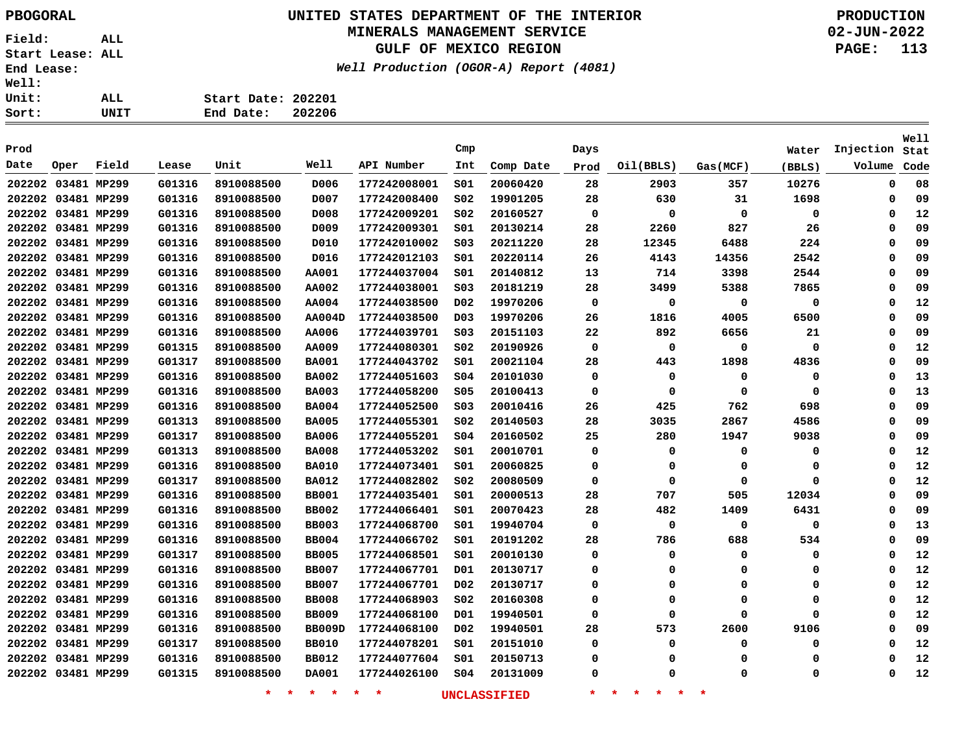#### **UNITED STATES DEPARTMENT OF THE INTERIOR PBOGORAL PRODUCTION MINERALS MANAGEMENT SERVICE**

**GULF OF MEXICO REGION**

**Well Production (OGOR-A) Report (4081)**

| $\ddot{\cdot}$ | ALL  | Start Date: 202201 |  |
|----------------|------|--------------------|--|
| $\ddot{\cdot}$ | UNIT | End Date: 202206   |  |

|      |                    |       |        |                    |               |                    | Cmp              |                     |          |                                |             |          |           | Well |
|------|--------------------|-------|--------|--------------------|---------------|--------------------|------------------|---------------------|----------|--------------------------------|-------------|----------|-----------|------|
| Prod |                    |       |        |                    | Well          |                    |                  |                     | Days     |                                |             | Water    | Injection | Stat |
| Date | Oper               | Field | Lease  | Unit               |               | API Number         | Int              | Comp Date           | Prod     | Oil(BBLS)                      | Gas(MCF)    | (BBLS)   | Volume    | Code |
|      | 202202 03481 MP299 |       | G01316 | 8910088500         | D006          | 177242008001       | SO1              | 20060420            | 28       | 2903                           | 357         | 10276    | 0         | 08   |
|      | 202202 03481 MP299 |       | G01316 | 8910088500         | D007          | 177242008400       | SO <sub>2</sub>  | 19901205            | 28       | 630                            | 31          | 1698     | 0         | 09   |
|      | 202202 03481 MP299 |       | G01316 | 8910088500         | D008          | 177242009201       | SO <sub>2</sub>  | 20160527            | 0        | 0                              | $\mathbf 0$ | 0        | 0         | 12   |
|      | 202202 03481 MP299 |       | G01316 | 8910088500         | D009          | 177242009301       | SO1              | 20130214            | 28       | 2260                           | 827         | 26       | $\Omega$  | 09   |
|      | 202202 03481 MP299 |       | G01316 | 8910088500         | D010          | 177242010002       | SO <sub>3</sub>  | 20211220            | 28       | 12345                          | 6488        | 224      | $\Omega$  | 09   |
|      | 202202 03481 MP299 |       | G01316 | 8910088500         | D016          | 177242012103       | SO1              | 20220114            | 26       | 4143                           | 14356       | 2542     | $\Omega$  | 09   |
|      | 202202 03481 MP299 |       | G01316 | 8910088500         | <b>AA001</b>  | 177244037004       | SO1              | 20140812            | 13       | 714                            | 3398        | 2544     | $\Omega$  | 09   |
|      | 202202 03481 MP299 |       | G01316 | 8910088500         | AA002         | 177244038001       | SO <sub>3</sub>  | 20181219            | 28       | 3499                           | 5388        | 7865     | $\Omega$  | 09   |
|      | 202202 03481 MP299 |       | G01316 | 8910088500         | AA004         | 177244038500       | D <sub>0</sub> 2 | 19970206            | 0        | 0                              | $\mathbf 0$ | 0        | $\Omega$  | 12   |
|      | 202202 03481 MP299 |       | G01316 | 8910088500         | <b>AA004D</b> | 177244038500       | D <sub>03</sub>  | 19970206            | 26       | 1816                           | 4005        | 6500     | $\Omega$  | 09   |
|      | 202202 03481 MP299 |       | G01316 | 8910088500         | AA006         | 177244039701       | SO <sub>3</sub>  | 20151103            | 22       | 892                            | 6656        | 21       | $\Omega$  | 09   |
|      | 202202 03481 MP299 |       | G01315 | 8910088500         | AA009         | 177244080301       | SO <sub>2</sub>  | 20190926            | 0        | 0                              | 0           | 0        | $\Omega$  | 12   |
|      | 202202 03481 MP299 |       | G01317 | 8910088500         | <b>BA001</b>  | 177244043702       | SO1              | 20021104            | 28       | 443                            | 1898        | 4836     | $\Omega$  | 09   |
|      | 202202 03481 MP299 |       | G01316 | 8910088500         | <b>BA002</b>  | 177244051603       | SO <sub>4</sub>  | 20101030            | 0        | $\mathbf 0$                    | 0           | 0        | $\Omega$  | 13   |
|      | 202202 03481 MP299 |       | G01316 | 8910088500         | <b>BA003</b>  | 177244058200       | \$05             | 20100413            | $\Omega$ | $\mathbf 0$                    | 0           | $\Omega$ | $\Omega$  | 13   |
|      | 202202 03481 MP299 |       | G01316 | 8910088500         | <b>BA004</b>  | 177244052500       | SO <sub>3</sub>  | 20010416            | 26       | 425                            | 762         | 698      | $\Omega$  | 09   |
|      | 202202 03481 MP299 |       | G01313 | 8910088500         | <b>BA005</b>  | 177244055301       | SO <sub>2</sub>  | 20140503            | 28       | 3035                           | 2867        | 4586     | $\Omega$  | 09   |
|      | 202202 03481 MP299 |       | G01317 | 8910088500         | <b>BA006</b>  | 177244055201       | SO <sub>4</sub>  | 20160502            | 25       | 280                            | 1947        | 9038     | $\Omega$  | 09   |
|      | 202202 03481 MP299 |       | G01313 | 8910088500         | <b>BA008</b>  | 177244053202       | SO1              | 20010701            | 0        | 0                              | 0           | 0        | 0         | 12   |
|      | 202202 03481 MP299 |       | G01316 | 8910088500         | <b>BA010</b>  | 177244073401       | SO1              | 20060825            | 0        | 0                              | 0           | 0        | 0         | 12   |
|      | 202202 03481 MP299 |       | G01317 | 8910088500         | <b>BA012</b>  | 177244082802       | SO <sub>2</sub>  | 20080509            | 0        | 0                              | 0           | 0        | 0         | 12   |
|      | 202202 03481 MP299 |       | G01316 | 8910088500         | <b>BB001</b>  | 177244035401       | S01              | 20000513            | 28       | 707                            | 505         | 12034    | 0         | 09   |
|      | 202202 03481 MP299 |       | G01316 | 8910088500         | <b>BB002</b>  | 177244066401       | S01              | 20070423            | 28       | 482                            | 1409        | 6431     | 0         | 09   |
|      | 202202 03481 MP299 |       | G01316 | 8910088500         | <b>BB003</b>  | 177244068700       | S01              | 19940704            | 0        | 0                              | 0           | 0        | 0         | 13   |
|      | 202202 03481 MP299 |       | G01316 | 8910088500         | <b>BB004</b>  | 177244066702       | SO1              | 20191202            | 28       | 786                            | 688         | 534      | 0         | 09   |
|      | 202202 03481 MP299 |       | G01317 | 8910088500         | <b>BB005</b>  | 177244068501       | SO1              | 20010130            | 0        | 0                              | 0           | 0        | $\Omega$  | 12   |
|      | 202202 03481 MP299 |       | G01316 | 8910088500         | <b>BB007</b>  | 177244067701       | D01              | 20130717            | 0        | 0                              | 0           | 0        | $\Omega$  | 12   |
|      | 202202 03481 MP299 |       | G01316 | 8910088500         | <b>BB007</b>  | 177244067701       | D02              | 20130717            | 0        | 0                              | 0           | 0        | $\Omega$  | 12   |
|      | 202202 03481 MP299 |       | G01316 | 8910088500         | <b>BB008</b>  | 177244068903       | SO <sub>2</sub>  | 20160308            | 0        | 0                              | 0           | 0        | $\Omega$  | 12   |
|      | 202202 03481 MP299 |       | G01316 | 8910088500         | <b>BB009</b>  | 177244068100       | D01              | 19940501            | 0        | 0                              | $\Omega$    | 0        | $\Omega$  | 12   |
|      | 202202 03481 MP299 |       | G01316 | 8910088500         | BB009D        | 177244068100       | D02              | 19940501            | 28       | 573                            | 2600        | 9106     | $\Omega$  | 09   |
|      | 202202 03481 MP299 |       | G01317 | 8910088500         | <b>BB010</b>  | 177244078201       | S01              | 20151010            | 0        | 0                              | 0           | 0        | $\Omega$  | 12   |
|      | 202202 03481 MP299 |       | G01316 | 8910088500         | <b>BB012</b>  | 177244077604       | S01              | 20150713            | 0        | 0                              | $\Omega$    | 0        | $\Omega$  | 12   |
|      | 202202 03481 MP299 |       | G01315 | 8910088500         | DA001         | 177244026100       | SO <sub>4</sub>  | 20131009            | 0        | $\Omega$                       | $\Omega$    | 0        | $\Omega$  | 12   |
|      |                    |       |        | $\star$<br>$\star$ | $\star$<br>一大 | $\star$<br>$\star$ |                  | <b>UNCLASSIFIED</b> | $\ast$   | 一大<br>一大<br>$\star$<br>$\star$ | $\ast$      |          |           |      |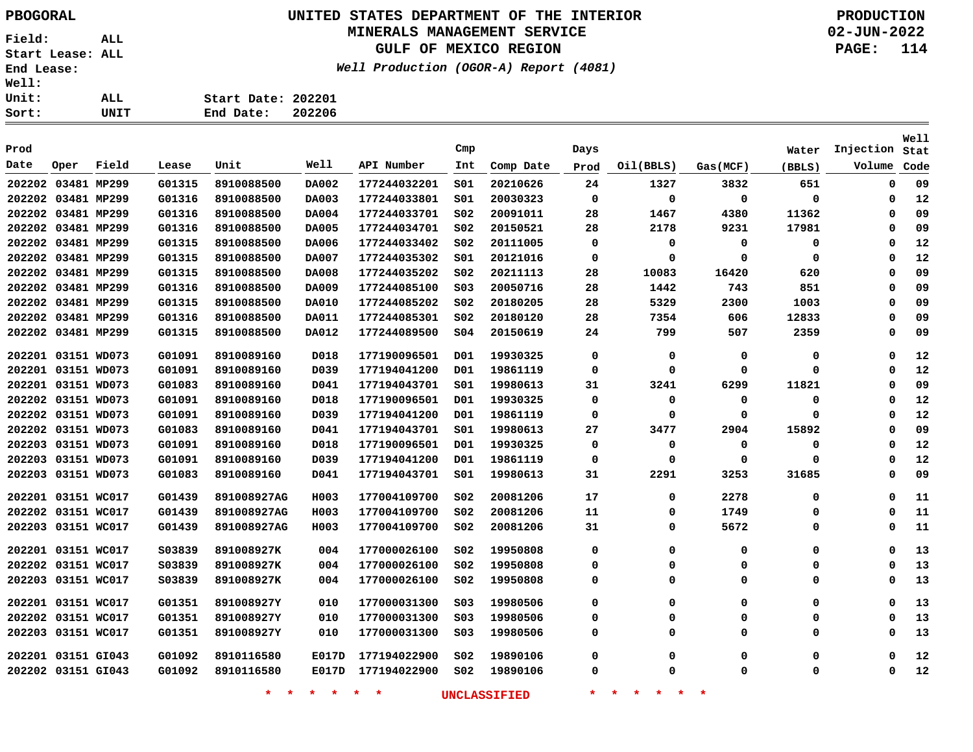# **UNITED STATES DEPARTMENT OF THE INTERIOR PBOGORAL PRODUCTION**

#### **MINERALS MANAGEMENT SERVICE**

**GULF OF MEXICO REGION**

**Well Production (OGOR-A) Report (4081)**

**02-JUN-2022 PAGE: 114**

| ٠<br>ê.                         |      |                    |        |
|---------------------------------|------|--------------------|--------|
| :                               | ALL. | Start Date: 202201 |        |
| $\ddot{\phantom{}}\phantom{00}$ | UNIT | End Date:          | 202206 |

|        |                    |       |         |             |       |              |                 |           |      |           |          |          |           | Well |
|--------|--------------------|-------|---------|-------------|-------|--------------|-----------------|-----------|------|-----------|----------|----------|-----------|------|
| Prod   |                    |       |         |             |       |              | Cmp             |           | Days |           |          | Water    | Injection | Stat |
| Date   | Oper               | Field | Lease   | Unit        | Well  | API Number   | Int             | Comp Date | Prod | Oil(BBLS) | Gas(MCF) | (BBLS)   | Volume    | Code |
|        | 202202 03481 MP299 |       | G01315  | 8910088500  | DA002 | 177244032201 | SO1             | 20210626  | 24   | 1327      | 3832     | 651      | 0         | 09   |
|        | 202202 03481 MP299 |       | G01316  | 8910088500  | DA003 | 177244033801 | 501             | 20030323  | 0    | 0         | 0        | 0        | 0         | 12   |
|        | 202202 03481 MP299 |       | G01316  | 8910088500  | DA004 | 177244033701 | SO <sub>2</sub> | 20091011  | 28   | 1467      | 4380     | 11362    | 0         | 09   |
|        | 202202 03481 MP299 |       | G01316  | 8910088500  | DA005 | 177244034701 | SO <sub>2</sub> | 20150521  | 28   | 2178      | 9231     | 17981    | 0         | 09   |
|        | 202202 03481 MP299 |       | G01315  | 8910088500  | DA006 | 177244033402 | SO <sub>2</sub> | 20111005  | 0    | 0         | 0        | 0        | 0         | 12   |
|        | 202202 03481 MP299 |       | G01315  | 8910088500  | DA007 | 177244035302 | 501             | 20121016  | 0    | 0         | 0        | $\Omega$ | 0         | 12   |
|        | 202202 03481 MP299 |       | G01315  | 8910088500  | DA008 | 177244035202 | SO <sub>2</sub> | 20211113  | 28   | 10083     | 16420    | 620      | 0         | 09   |
|        | 202202 03481 MP299 |       | G01316  | 8910088500  | DA009 | 177244085100 | SO <sub>3</sub> | 20050716  | 28   | 1442      | 743      | 851      | 0         | 09   |
|        | 202202 03481 MP299 |       | G01315  | 8910088500  | DA010 | 177244085202 | SO <sub>2</sub> | 20180205  | 28   | 5329      | 2300     | 1003     | 0         | 09   |
|        | 202202 03481 MP299 |       | G01316  | 8910088500  | DA011 | 177244085301 | SO <sub>2</sub> | 20180120  | 28   | 7354      | 606      | 12833    | 0         | 09   |
|        | 202202 03481 MP299 |       | G01315  | 8910088500  | DA012 | 177244089500 | S04             | 20150619  | 24   | 799       | 507      | 2359     | 0         | 09   |
|        | 202201 03151 WD073 |       | G01091  | 8910089160  | D018  | 177190096501 | D01             | 19930325  | 0    | 0         | 0        | 0        | 0         | 12   |
|        | 202201 03151 WD073 |       | G01091  | 8910089160  | D039  | 177194041200 | D01             | 19861119  | 0    | 0         | 0        | $\Omega$ | 0         | 12   |
|        | 202201 03151 WD073 |       | G01083  | 8910089160  | D041  | 177194043701 | S01             | 19980613  | 31   | 3241      | 6299     | 11821    | 0         | 09   |
|        | 202202 03151 WD073 |       | G01091  | 8910089160  | D018  | 177190096501 | D01             | 19930325  | 0    | 0         | 0        | 0        | 0         | 12   |
|        | 202202 03151 WD073 |       | G01091  | 8910089160  | D039  | 177194041200 | D01             | 19861119  | 0    | 0         | 0        | $\Omega$ | 0         | 12   |
|        | 202202 03151 WD073 |       | G01083  | 8910089160  | D041  | 177194043701 | 501             | 19980613  | 27   | 3477      | 2904     | 15892    | 0         | 09   |
|        | 202203 03151 WD073 |       | G01091  | 8910089160  | D018  | 177190096501 | D01             | 19930325  | 0    | 0         | 0        | 0        | 0         | 12   |
|        | 202203 03151 WD073 |       | G01091  | 8910089160  | D039  | 177194041200 | D01             | 19861119  | 0    | 0         | 0        | $\Omega$ | 0         | 12   |
| 202203 | 03151 WD073        |       | G01083  | 8910089160  | D041  | 177194043701 | 501             | 19980613  | 31   | 2291      | 3253     | 31685    | 0         | 09   |
|        | 202201 03151 WC017 |       | G01439  | 891008927AG | H003  | 177004109700 | SO <sub>2</sub> | 20081206  | 17   | 0         | 2278     | 0        | 0         | 11   |
|        | 202202 03151 WC017 |       | G01439  | 891008927AG | H003  | 177004109700 | S02             | 20081206  | 11   | 0         | 1749     | 0        | 0         | 11   |
|        | 202203 03151 WC017 |       | G01439  | 891008927AG | H003  | 177004109700 | S02             | 20081206  | 31   | 0         | 5672     | 0        | 0         | 11   |
|        | 202201 03151 WC017 |       | \$03839 | 891008927K  | 004   | 177000026100 | SO <sub>2</sub> | 19950808  | 0    | 0         | 0        | 0        | 0         | 13   |
|        | 202202 03151 WC017 |       | 503839  | 891008927K  | 004   | 177000026100 | SO <sub>2</sub> | 19950808  | 0    | 0         | 0        | 0        | 0         | 13   |
|        | 202203 03151 WC017 |       | 503839  | 891008927K  | 004   | 177000026100 | SO <sub>2</sub> | 19950808  | 0    | 0         | 0        | $\Omega$ | 0         | 13   |
|        | 202201 03151 WC017 |       | G01351  | 891008927Y  | 010   | 177000031300 | SO <sub>3</sub> | 19980506  | 0    | 0         | 0        | $\Omega$ | 0         | 13   |
|        | 202202 03151 WC017 |       | G01351  | 891008927Y  | 010   | 177000031300 | SO <sub>3</sub> | 19980506  | 0    | 0         | 0        | $\Omega$ | 0         | 13   |
|        | 202203 03151 WC017 |       | G01351  | 891008927Y  | 010   | 177000031300 | SO <sub>3</sub> | 19980506  | 0    | 0         | 0        | $\Omega$ | 0         | 13   |
|        | 202201 03151 GI043 |       | G01092  | 8910116580  | E017D | 177194022900 | SO <sub>2</sub> | 19890106  | 0    | 0         | 0        | 0        | $\Omega$  | 12   |
|        | 202202 03151 GI043 |       | G01092  | 8910116580  | E017D | 177194022900 | SO <sub>2</sub> | 19890106  | 0    | 0         | 0        | $\Omega$ | 0         | 12   |
|        |                    |       |         |             |       |              |                 |           |      |           |          |          |           |      |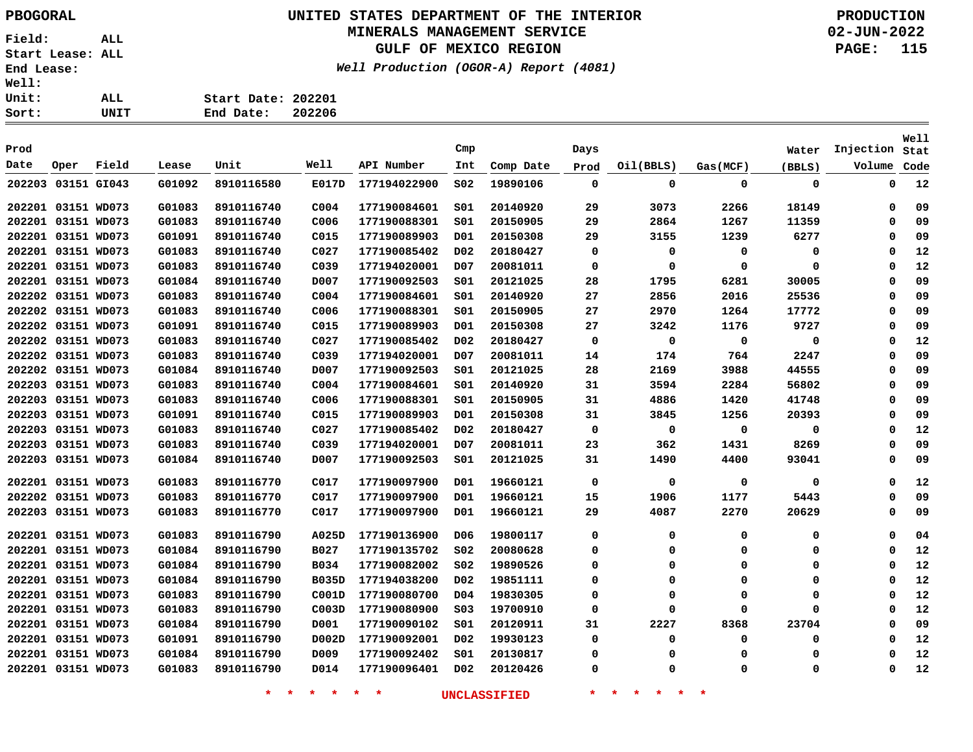# **UNITED STATES DEPARTMENT OF THE INTERIOR PBOGORAL PRODUCTION**

#### **MINERALS MANAGEMENT SERVICE**

**GULF OF MEXICO REGION**

**Well Production (OGOR-A) Report (4081)**

**02-JUN-2022 PAGE: 115**

| Sort: | UNIT | End Date:          | 202206 |
|-------|------|--------------------|--------|
| Unit: | ALL. | Start Date: 202201 |        |
| Well: |      |                    |        |

|        |                    |       |        |            |                   |              |                  |           |             |             |          |             |             | <b>Well</b> |
|--------|--------------------|-------|--------|------------|-------------------|--------------|------------------|-----------|-------------|-------------|----------|-------------|-------------|-------------|
| Prod   |                    |       |        |            |                   |              | Cmp              |           | Days        |             |          | Water       | Injection   | Stat        |
| Date   | Oper               | Field | Lease  | Unit       | Well              | API Number   | Int              | Comp Date | Prod        | Oil(BBLS)   | Gas(MCF) | (BBLS)      | Volume      | Code        |
| 202203 | 03151 GI043        |       | G01092 | 8910116580 | E017D             | 177194022900 | SO <sub>2</sub>  | 19890106  | $\mathbf 0$ | 0           | 0        | $\mathbf 0$ | $\mathbf 0$ | 12          |
|        | 202201 03151 WD073 |       | G01083 | 8910116740 | C <sub>004</sub>  | 177190084601 | SO1              | 20140920  | 29          | 3073        | 2266     | 18149       | 0           | 09          |
|        | 202201 03151 WD073 |       | G01083 | 8910116740 | C <sub>006</sub>  | 177190088301 | S01              | 20150905  | 29          | 2864        | 1267     | 11359       | $\Omega$    | 09          |
|        | 202201 03151 WD073 |       | G01091 | 8910116740 | C015              | 177190089903 | D01              | 20150308  | 29          | 3155        | 1239     | 6277        | 0           | 09          |
|        | 202201 03151 WD073 |       | G01083 | 8910116740 | C027              | 177190085402 | D <sub>0</sub> 2 | 20180427  | 0           | 0           | 0        | 0           | 0           | 12          |
|        | 202201 03151 WD073 |       | G01083 | 8910116740 | C <sub>0</sub> 39 | 177194020001 | D07              | 20081011  | 0           | 0           | 0        | 0           | 0           | 12          |
|        | 202201 03151 WD073 |       | G01084 | 8910116740 | D007              | 177190092503 | SO1              | 20121025  | 28          | 1795        | 6281     | 30005       | $\Omega$    | 09          |
|        | 202202 03151 WD073 |       | G01083 | 8910116740 | C <sub>004</sub>  | 177190084601 | 501              | 20140920  | 27          | 2856        | 2016     | 25536       | 0           | 09          |
|        | 202202 03151 WD073 |       | G01083 | 8910116740 | C006              | 177190088301 | S01              | 20150905  | 27          | 2970        | 1264     | 17772       | 0           | 09          |
|        | 202202 03151 WD073 |       | G01091 | 8910116740 | C015              | 177190089903 | D01              | 20150308  | 27          | 3242        | 1176     | 9727        | $\Omega$    | 09          |
|        | 202202 03151 WD073 |       | G01083 | 8910116740 | CO <sub>27</sub>  | 177190085402 | D <sub>0</sub> 2 | 20180427  | 0           | $\mathbf 0$ | 0        | 0           | 0           | 12          |
|        | 202202 03151 WD073 |       | G01083 | 8910116740 | C <sub>0</sub> 39 | 177194020001 | D <sub>0</sub> 7 | 20081011  | 14          | 174         | 764      | 2247        | 0           | 09          |
|        | 202202 03151 WD073 |       | G01084 | 8910116740 | D007              | 177190092503 | SO1              | 20121025  | 28          | 2169        | 3988     | 44555       | $\Omega$    | 09          |
|        | 202203 03151 WD073 |       | G01083 | 8910116740 | C <sub>004</sub>  | 177190084601 | SO1              | 20140920  | 31          | 3594        | 2284     | 56802       | $\Omega$    | 09          |
|        | 202203 03151 WD073 |       | G01083 | 8910116740 | C006              | 177190088301 | SO1              | 20150905  | 31          | 4886        | 1420     | 41748       | 0           | 09          |
|        | 202203 03151 WD073 |       | G01091 | 8910116740 | C015              | 177190089903 | D01              | 20150308  | 31          | 3845        | 1256     | 20393       | $\Omega$    | 09          |
|        | 202203 03151 WD073 |       | G01083 | 8910116740 | C <sub>027</sub>  | 177190085402 | D <sub>0</sub> 2 | 20180427  | 0           | $\mathbf 0$ | 0        | 0           | $\Omega$    | 12          |
|        | 202203 03151 WD073 |       | G01083 | 8910116740 | C <sub>0</sub> 39 | 177194020001 | D07              | 20081011  | 23          | 362         | 1431     | 8269        | 0           | 09          |
| 202203 | 03151 WD073        |       | G01084 | 8910116740 | D007              | 177190092503 | SO1              | 20121025  | 31          | 1490        | 4400     | 93041       | $\Omega$    | 09          |
|        | 202201 03151 WD073 |       | G01083 | 8910116770 | C017              | 177190097900 | D01              | 19660121  | 0           | 0           | 0        | 0           | $\Omega$    | 12          |
|        | 202202 03151 WD073 |       | G01083 | 8910116770 | C017              | 177190097900 | D01              | 19660121  | 15          | 1906        | 1177     | 5443        | $\Omega$    | 09          |
|        | 202203 03151 WD073 |       | G01083 | 8910116770 | C017              | 177190097900 | D01              | 19660121  | 29          | 4087        | 2270     | 20629       | $\mathbf 0$ | 09          |
|        | 202201 03151 WD073 |       | G01083 | 8910116790 | A025D             | 177190136900 | D06              | 19800117  | 0           | 0           | 0        | 0           | 0           | 04          |
|        | 202201 03151 WD073 |       | G01084 | 8910116790 | B027              | 177190135702 | SO <sub>2</sub>  | 20080628  | 0           | $\Omega$    | $\Omega$ | $\mathbf 0$ | $\mathbf 0$ | 12          |
|        | 202201 03151 WD073 |       | G01084 | 8910116790 | B034              | 177190082002 | SO <sub>2</sub>  | 19890526  | 0           | $\Omega$    | 0        | $\mathbf 0$ | 0           | 12          |
|        | 202201 03151 WD073 |       | G01084 | 8910116790 | <b>B035D</b>      | 177194038200 | DO <sub>2</sub>  | 19851111  | 0           | $\Omega$    | 0        | 0           | 0           | 12          |
|        | 202201 03151 WD073 |       | G01083 | 8910116790 | C001D             | 177190080700 | D04              | 19830305  | 0           | O           | 0        | 0           | $\Omega$    | 12          |
|        | 202201 03151 WD073 |       | G01083 | 8910116790 | COO3D             | 177190080900 | SO <sub>3</sub>  | 19700910  | 0           | O           | $\Omega$ | 0           | $\Omega$    | 12          |
|        | 202201 03151 WD073 |       | G01084 | 8910116790 | D001              | 177190090102 | S01              | 20120911  | 31          | 2227        | 8368     | 23704       | 0           | 09          |
|        | 202201 03151 WD073 |       | G01091 | 8910116790 | D002D             | 177190092001 | D <sub>0</sub> 2 | 19930123  | 0           | $\Omega$    | 0        | 0           | $\Omega$    | 12          |
|        | 202201 03151 WD073 |       | G01084 | 8910116790 | D009              | 177190092402 | s01              | 20130817  | 0           | $\Omega$    | $\Omega$ | 0           | $\Omega$    | 12          |
|        | 202201 03151 WD073 |       | G01083 | 8910116790 | D014              | 177190096401 | D <sub>0</sub> 2 | 20120426  | 0           | $\Omega$    | 0        | 0           | $\Omega$    | 12          |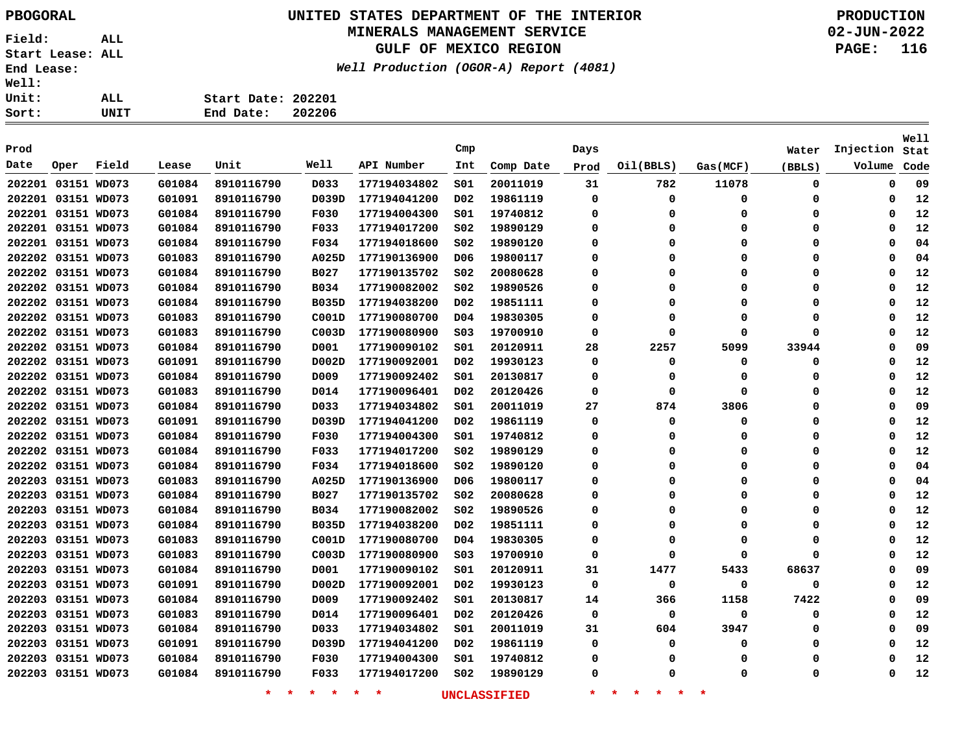# **UNITED STATES DEPARTMENT OF THE INTERIOR PBOGORAL PRODUCTION**

### **MINERALS MANAGEMENT SERVICE**

**GULF OF MEXICO REGION**

**Well Production (OGOR-A) Report (4081)**

| t: | UNIT | End Date:          | 202206 |
|----|------|--------------------|--------|
| t: | ALL  | Start Date: 202201 |        |
| Ŧ: |      |                    |        |

| Prod |                    |       |        |                    |                   |              | Cmp              |                     | Days    |                                |             | Water    | Injection | <b>Well</b><br>Stat |
|------|--------------------|-------|--------|--------------------|-------------------|--------------|------------------|---------------------|---------|--------------------------------|-------------|----------|-----------|---------------------|
| Date | Oper               | Field | Lease  | Unit               | Well              | API Number   | Int              | Comp Date           | Prod    | Oil(BBLS)                      | Gas(MCF)    | (BBLS)   | Volume    | Code                |
|      | 202201 03151 WD073 |       | G01084 | 8910116790         | D033              | 177194034802 | SO1              | 20011019            | 31      | 782                            | 11078       | 0        | 0         | 09                  |
|      | 202201 03151 WD073 |       | G01091 | 8910116790         | D039D             | 177194041200 | D02              | 19861119            | 0       | 0                              | 0           | 0        | 0         | 12                  |
|      | 202201 03151 WD073 |       | G01084 | 8910116790         | F030              | 177194004300 | SO1              | 19740812            | 0       | $\Omega$                       | 0           | 0        | $\Omega$  | 12                  |
|      | 202201 03151 WD073 |       | G01084 | 8910116790         | F033              | 177194017200 | S02              | 19890129            | 0       | 0                              | $\mathbf 0$ | 0        | $\Omega$  | 12                  |
|      | 202201 03151 WD073 |       | G01084 | 8910116790         | F034              | 177194018600 | SO <sub>2</sub>  | 19890120            | 0       | 0                              | 0           | 0        | $\Omega$  | 04                  |
|      | 202202 03151 WD073 |       | G01083 | 8910116790         | A025D             | 177190136900 | DO 6             | 19800117            | 0       | 0                              | 0           | 0        | $\Omega$  | 04                  |
|      | 202202 03151 WD073 |       | G01084 | 8910116790         | <b>B027</b>       | 177190135702 | SO <sub>2</sub>  | 20080628            | 0       | 0                              | 0           | 0        | $\Omega$  | 12                  |
|      | 202202 03151 WD073 |       | G01084 | 8910116790         | B034              | 177190082002 | SO <sub>2</sub>  | 19890526            | 0       | 0                              | $\mathbf 0$ | 0        | $\Omega$  | 12                  |
|      | 202202 03151 WD073 |       | G01084 | 8910116790         | <b>B035D</b>      | 177194038200 | D02              | 19851111            | 0       | 0                              | 0           | $\Omega$ | 0         | 12                  |
|      | 202202 03151 WD073 |       | G01083 | 8910116790         | C001D             | 177190080700 | D04              | 19830305            | 0       | 0                              | 0           | 0        | 0         | 12                  |
|      | 202202 03151 WD073 |       | G01083 | 8910116790         | C003D             | 177190080900 | SO <sub>3</sub>  | 19700910            | 0       | $\Omega$                       | 0           | $\Omega$ | $\Omega$  | 12                  |
|      | 202202 03151 WD073 |       | G01084 | 8910116790         | D001              | 177190090102 | 501              | 20120911            | 28      | 2257                           | 5099        | 33944    | $\Omega$  | 09                  |
|      | 202202 03151 WD073 |       | G01091 | 8910116790         | D002D             | 177190092001 | D02              | 19930123            | 0       | 0                              | 0           | 0        | $\Omega$  | 12                  |
|      | 202202 03151 WD073 |       | G01084 | 8910116790         | D009              | 177190092402 | SO1              | 20130817            | 0       | $\Omega$                       | 0           | 0        | $\Omega$  | 12                  |
|      | 202202 03151 WD073 |       | G01083 |                    |                   |              | D <sub>02</sub>  | 20120426            | 0       | 0                              | 0           | 0        | $\Omega$  | 12                  |
|      |                    |       | G01084 | 8910116790         | D014              | 177190096401 |                  |                     |         | 874                            | 3806        | 0        | 0         | 09                  |
|      | 202202 03151 WD073 |       |        | 8910116790         | D <sub>0</sub> 33 | 177194034802 | SO1              | 20011019            | 27      |                                |             |          |           |                     |
|      | 202202 03151 WD073 |       | G01091 | 8910116790         | D039D             | 177194041200 | D02              | 19861119            | 0       | 0                              | 0           | 0        | 0         | 12                  |
|      | 202202 03151 WD073 |       | G01084 | 8910116790         | F030              | 177194004300 | S01              | 19740812            | 0       | 0                              | 0           | 0        | 0         | 12                  |
|      | 202202 03151 WD073 |       | G01084 | 8910116790         | F033              | 177194017200 | S02              | 19890129            | 0       | 0                              | 0           | 0        | 0         | 12                  |
|      | 202202 03151 WD073 |       | G01084 | 8910116790         | F034              | 177194018600 | S02              | 19890120            | 0       | 0                              | 0           | 0        | 0         | 04                  |
|      | 202203 03151 WD073 |       | G01083 | 8910116790         | A025D             | 177190136900 | D06              | 19800117            | 0       | 0                              | $\mathbf 0$ | 0        | 0         | 04                  |
|      | 202203 03151 WD073 |       | G01084 | 8910116790         | B027              | 177190135702 | SO <sub>2</sub>  | 20080628            | 0       | 0                              | 0           | 0        | 0         | 12                  |
|      | 202203 03151 WD073 |       | G01084 | 8910116790         | B034              | 177190082002 | S02              | 19890526            | 0       | 0                              | 0           | 0        | 0         | 12                  |
|      | 202203 03151 WD073 |       | G01084 | 8910116790         | <b>B035D</b>      | 177194038200 | D <sub>0</sub> 2 | 19851111            | 0       | $\Omega$                       | 0           | 0        | 0         | 12                  |
|      | 202203 03151 WD073 |       | G01083 | 8910116790         | C001D             | 177190080700 | D <sub>04</sub>  | 19830305            | 0       | 0                              | $\mathbf 0$ | 0        | 0         | 12                  |
|      | 202203 03151 WD073 |       | G01083 | 8910116790         | COO3D             | 177190080900 | SO <sub>3</sub>  | 19700910            | 0       | $\Omega$                       | 0           | 0        | 0         | 12                  |
|      | 202203 03151 WD073 |       | G01084 | 8910116790         | D001              | 177190090102 | S01              | 20120911            | 31      | 1477                           | 5433        | 68637    | $\Omega$  | 09                  |
|      | 202203 03151 WD073 |       | G01091 | 8910116790         | D002D             | 177190092001 | D02              | 19930123            | 0       | 0                              | 0           | 0        | 0         | 12                  |
|      | 202203 03151 WD073 |       | G01084 | 8910116790         | D009              | 177190092402 | SO1              | 20130817            | 14      | 366                            | 1158        | 7422     | 0         | 09                  |
|      | 202203 03151 WD073 |       | G01083 | 8910116790         | D014              | 177190096401 | D02              | 20120426            | 0       | 0                              | 0           | 0        | O         | 12                  |
|      | 202203 03151 WD073 |       | G01084 | 8910116790         | D033              | 177194034802 | S01              | 20011019            | 31      | 604                            | 3947        | 0        | 0         | 09                  |
|      | 202203 03151 WD073 |       | G01091 | 8910116790         | D039D             | 177194041200 | D02              | 19861119            | 0       | 0                              | 0           | 0        | 0         | 12                  |
|      | 202203 03151 WD073 |       | G01084 | 8910116790         | F030              | 177194004300 | S01              | 19740812            | 0       | 0                              | 0           | 0        | 0         | 12                  |
|      | 202203 03151 WD073 |       | G01084 | 8910116790         | F033              | 177194017200 | S02              | 19890129            | 0       | O                              | $\Omega$    | 0        | 0         | 12                  |
|      |                    |       |        | $\star$<br>$\star$ | $\star$ $\star$   | $\star$<br>* |                  | <b>UNCLASSIFIED</b> | $\star$ | $\star$<br>一大<br>一大<br>$\star$ | $\ast$      |          |           |                     |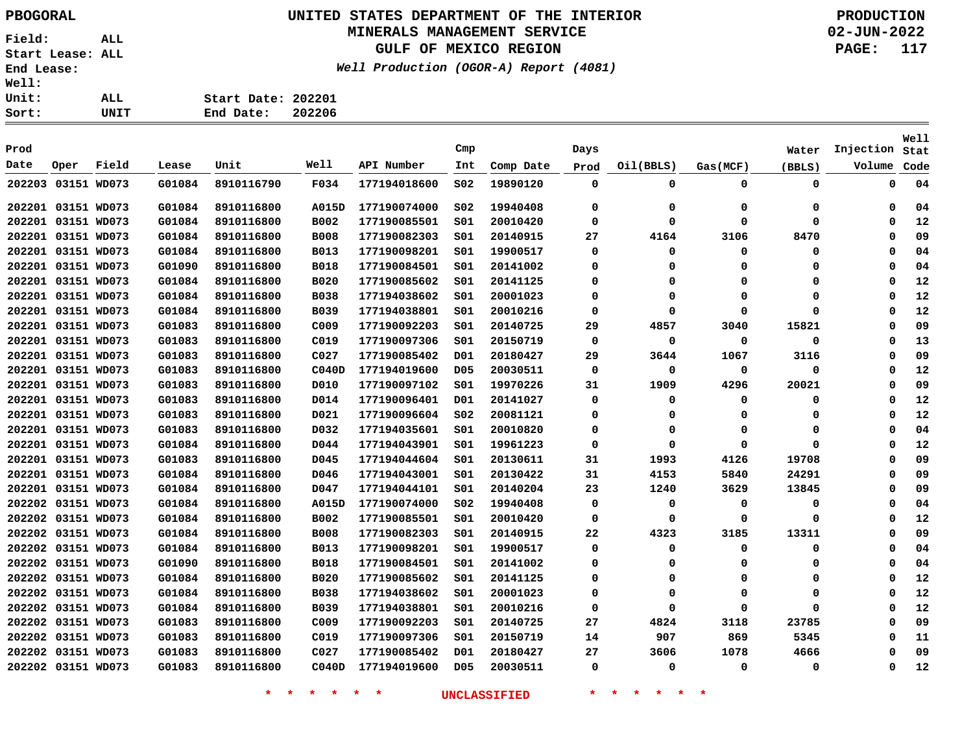## **UNITED STATES DEPARTMENT OF THE INTERIOR PBOGORAL PRODUCTION**

#### **MINERALS MANAGEMENT SERVICE**

**GULF OF MEXICO REGION**

**Well Production (OGOR-A) Report (4081)**

**02-JUN-2022 PAGE: 117**

| Sort:        | UNIT | End Date:          | 202206 |
|--------------|------|--------------------|--------|
| Unit:        | ALL. | Start Date: 202201 |        |
| <b>Well:</b> |      |                    |        |

| Prod   |                    |             |        |            |                  |              | Cmp             |           |             |           |             |          |           | Well |
|--------|--------------------|-------------|--------|------------|------------------|--------------|-----------------|-----------|-------------|-----------|-------------|----------|-----------|------|
|        |                    |             |        |            | Well             |              |                 |           | Days        |           |             | Water    | Injection | Stat |
| Date   | Oper               | Field       | Lease  | Unit       |                  | API Number   | Int             | Comp Date | Prod        | Oil(BBLS) | Gas(MCF)    | (BBLS)   | Volume    | Code |
| 202203 |                    | 03151 WD073 | G01084 | 8910116790 | F034             | 177194018600 | SO <sub>2</sub> | 19890120  | 0           | 0         | $\mathbf 0$ | 0        | 0         | 04   |
|        | 202201 03151 WD073 |             | G01084 | 8910116800 | A015D            | 177190074000 | SO <sub>2</sub> | 19940408  | 0           | 0         | 0           | 0        | $\Omega$  | 04   |
|        | 202201 03151 WD073 |             | G01084 | 8910116800 | B002             | 177190085501 | S01             | 20010420  | 0           | $\Omega$  | 0           | 0        | $\Omega$  | 12   |
|        | 202201 03151 WD073 |             | G01084 | 8910116800 | <b>B008</b>      | 177190082303 | SO1             | 20140915  | 27          | 4164      | 3106        | 8470     | 0         | 09   |
|        | 202201 03151 WD073 |             | G01084 | 8910116800 | B013             | 177190098201 | SO1             | 19900517  | 0           | 0         | 0           | 0        | $\Omega$  | 04   |
|        | 202201 03151 WD073 |             | G01090 | 8910116800 | <b>B018</b>      | 177190084501 | SO1             | 20141002  | 0           | 0         | 0           | 0        | $\Omega$  | 04   |
|        | 202201 03151 WD073 |             | G01084 | 8910116800 | <b>B020</b>      | 177190085602 | s01             | 20141125  | $\mathbf 0$ | 0         | $\Omega$    | n        | $\Omega$  | 12   |
|        | 202201 03151 WD073 |             | G01084 | 8910116800 | <b>B038</b>      | 177194038602 | S01             | 20001023  | 0           | 0         | 0           | 0        | $\Omega$  | 12   |
|        | 202201 03151 WD073 |             | G01084 | 8910116800 | B039             | 177194038801 | S01             | 20010216  | $\mathbf 0$ | $\Omega$  | $\Omega$    | $\Omega$ | $\Omega$  | 12   |
|        | 202201 03151 WD073 |             | G01083 | 8910116800 | C009             | 177190092203 | S01             | 20140725  | 29          | 4857      | 3040        | 15821    | $\Omega$  | 09   |
|        | 202201 03151 WD073 |             | G01083 | 8910116800 | C019             | 177190097306 | SO1             | 20150719  | $\mathbf 0$ | $\Omega$  | 0           | 0        | $\Omega$  | 13   |
|        | 202201 03151 WD073 |             | G01083 | 8910116800 | C <sub>027</sub> | 177190085402 | D01             | 20180427  | 29          | 3644      | 1067        | 3116     | $\Omega$  | 09   |
|        | 202201 03151 WD073 |             | G01083 | 8910116800 | CO40D            | 177194019600 | D <sub>05</sub> | 20030511  | $\mathbf 0$ | $\Omega$  | $\mathbf 0$ | 0        | $\Omega$  | 12   |
|        | 202201 03151 WD073 |             | G01083 | 8910116800 | D010             | 177190097102 | SO1             | 19970226  | 31          | 1909      | 4296        | 20021    | $\Omega$  | 09   |
|        | 202201 03151 WD073 |             | G01083 | 8910116800 | D014             | 177190096401 | D01             | 20141027  | $\mathbf 0$ | 0         | 0           | 0        | $\Omega$  | 12   |
|        | 202201 03151 WD073 |             | G01083 | 8910116800 | D021             | 177190096604 | S02             | 20081121  | 0           | 0         | 0           | 0        | $\Omega$  | 12   |
|        | 202201 03151 WD073 |             | G01083 | 8910116800 | D032             | 177194035601 | SO1             | 20010820  | 0           | 0         | 0           | 0        | $\Omega$  | 04   |
|        | 202201 03151 WD073 |             | G01084 | 8910116800 | D044             | 177194043901 | S01             | 19961223  | 0           | 0         | 0           | $\Omega$ | $\Omega$  | 12   |
|        | 202201 03151 WD073 |             | G01083 | 8910116800 | D045             | 177194044604 | 501             | 20130611  | 31          | 1993      | 4126        | 19708    | $\Omega$  | 09   |
|        | 202201 03151 WD073 |             | G01084 | 8910116800 | D046             | 177194043001 | SO1             | 20130422  | 31          | 4153      | 5840        | 24291    | $\Omega$  | 09   |
|        | 202201 03151 WD073 |             | G01084 | 8910116800 | D047             | 177194044101 | 501             | 20140204  | 23          | 1240      | 3629        | 13845    | $\Omega$  | 09   |
|        | 202202 03151 WD073 |             | G01084 | 8910116800 | A015D            | 177190074000 | S02             | 19940408  | 0           | $\Omega$  | 0           | 0        | $\Omega$  | 04   |
|        | 202202 03151 WD073 |             | G01084 | 8910116800 | B002             | 177190085501 | 501             | 20010420  | 0           | $\Omega$  | 0           | 0        | 0         | 12   |
|        | 202202 03151 WD073 |             | G01084 | 8910116800 | <b>B008</b>      | 177190082303 | S01             | 20140915  | 22          | 4323      | 3185        | 13311    | $\Omega$  | 09   |
|        | 202202 03151 WD073 |             | G01084 | 8910116800 | B013             | 177190098201 | 501             | 19900517  | 0           | 0         | 0           | 0        | 0         | 04   |
|        | 202202 03151 WD073 |             | G01090 | 8910116800 | B018             | 177190084501 | S01             | 20141002  | 0           | $\Omega$  | 0           | 0        | $\Omega$  | 04   |
|        | 202202 03151 WD073 |             | G01084 | 8910116800 | <b>B020</b>      | 177190085602 | S01             | 20141125  | 0           | 0         | 0           | 0        | $\Omega$  | 12   |
|        | 202202 03151 WD073 |             | G01084 | 8910116800 | <b>B038</b>      | 177194038602 | S01             | 20001023  | 0           | $\Omega$  | $\Omega$    | $\Omega$ | $\Omega$  | 12   |
|        | 202202 03151 WD073 |             | G01084 | 8910116800 | B039             | 177194038801 | S01             | 20010216  | 0           | $\Omega$  | $\Omega$    | $\Omega$ | $\Omega$  | 12   |
|        | 202202 03151 WD073 |             | G01083 | 8910116800 | C <sub>009</sub> | 177190092203 | s01             | 20140725  | 27          | 4824      | 3118        | 23785    | $\Omega$  | 09   |
|        | 202202 03151 WD073 |             | G01083 | 8910116800 | C019             | 177190097306 | S01             | 20150719  | 14          | 907       | 869         | 5345     | $\Omega$  | 11   |
|        | 202202 03151 WD073 |             | G01083 | 8910116800 | C <sub>027</sub> | 177190085402 | D01             | 20180427  | 27          | 3606      | 1078        | 4666     | $\Omega$  | 09   |
|        | 202202 03151 WD073 |             | G01083 | 8910116800 | CO40D            | 177194019600 | <b>D05</b>      | 20030511  | 0           | 0         | 0           | 0        | $\Omega$  | 12   |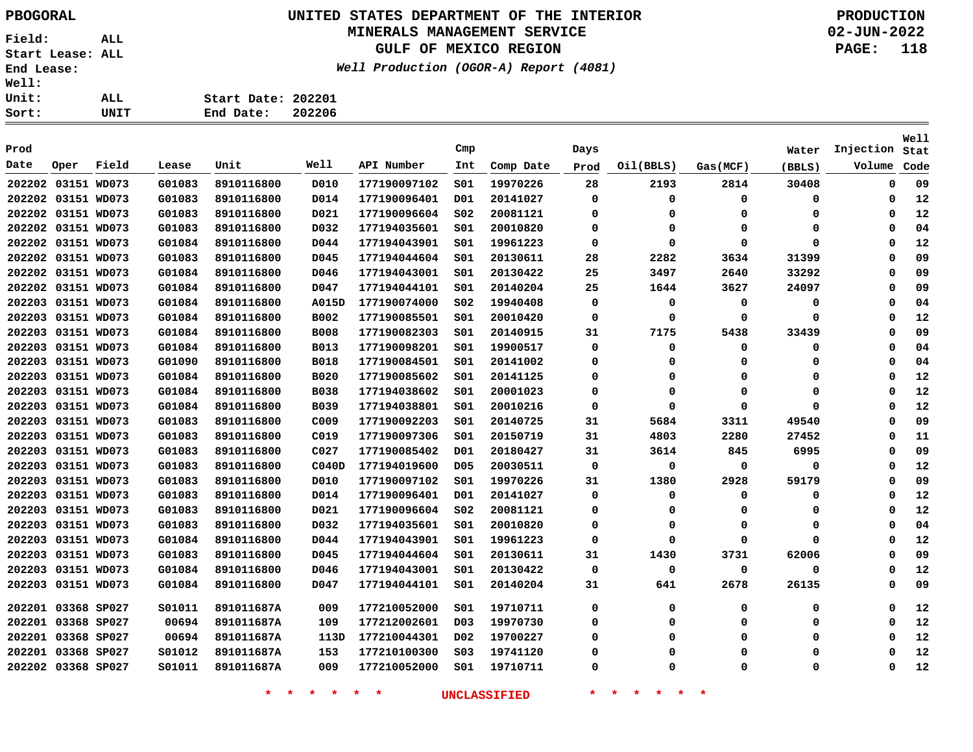# **UNITED STATES DEPARTMENT OF THE INTERIOR PBOGORAL PRODUCTION**

### **MINERALS MANAGEMENT SERVICE**

**GULF OF MEXICO REGION**

**Well Production (OGOR-A) Report (4081)**

**02-JUN-2022 PAGE: 118**

| $\ddot{\cdot}$ |      |                    |  |
|----------------|------|--------------------|--|
| $\ddot{\cdot}$ | ALL. | Start Date: 202201 |  |
| :              | UNIT | End Date: 202206   |  |

| Prod   |                    |       |        |            |                  |              | Cmp             |           | Days        |           |             | Water  | Injection   | Well<br>Stat |
|--------|--------------------|-------|--------|------------|------------------|--------------|-----------------|-----------|-------------|-----------|-------------|--------|-------------|--------------|
| Date   | Oper               | Field | Lease  | Unit       | <b>Well</b>      | API Number   | Int             | Comp Date | Prod        | Oil(BBLS) | Gas (MCF)   | (BBLS) | Volume      | Code         |
|        | 202202 03151 WD073 |       | G01083 | 8910116800 | D010             | 177190097102 | SO1             | 19970226  | 28          | 2193      | 2814        | 30408  | $\mathbf 0$ | 09           |
|        | 202202 03151 WD073 |       | G01083 | 8910116800 | D014             | 177190096401 | D <sub>01</sub> | 20141027  | $\mathbf 0$ | 0         | $\mathbf 0$ | 0      | $\mathbf 0$ | 12           |
|        | 202202 03151 WD073 |       | G01083 | 8910116800 | D021             | 177190096604 | SO <sub>2</sub> | 20081121  | 0           | $\Omega$  | 0           | 0      | $\Omega$    | 12           |
|        | 202202 03151 WD073 |       | G01083 | 8910116800 | D032             | 177194035601 | 501             | 20010820  | 0           | 0         | $\Omega$    | 0      | $\Omega$    | 04           |
|        | 202202 03151 WD073 |       | G01084 | 8910116800 | D044             | 177194043901 | SO1             | 19961223  | 0           | 0         | $\mathbf 0$ | 0      | $\Omega$    | 12           |
|        | 202202 03151 WD073 |       | G01083 | 8910116800 | D045             | 177194044604 | SO1             | 20130611  | 28          | 2282      | 3634        | 31399  | $\Omega$    | 09           |
|        | 202202 03151 WD073 |       | G01084 | 8910116800 | D046             | 177194043001 | SO1             | 20130422  | 25          | 3497      | 2640        | 33292  | $\Omega$    | 09           |
|        | 202202 03151 WD073 |       | G01084 | 8910116800 | D047             | 177194044101 | 501             | 20140204  | 25          | 1644      | 3627        | 24097  | $\Omega$    | 09           |
|        | 202203 03151 WD073 |       | G01084 | 8910116800 | A015D            | 177190074000 | SO <sub>2</sub> | 19940408  | 0           | $\Omega$  | 0           | 0      | $\Omega$    | 04           |
|        | 202203 03151 WD073 |       | G01084 | 8910116800 | B002             | 177190085501 | SO1             | 20010420  | 0           | $\Omega$  | 0           | 0      | $\Omega$    | 12           |
|        | 202203 03151 WD073 |       | G01084 | 8910116800 | <b>B008</b>      | 177190082303 | SO1             | 20140915  | 31          | 7175      | 5438        | 33439  | $\Omega$    | 09           |
|        | 202203 03151 WD073 |       | G01084 | 8910116800 | <b>B013</b>      | 177190098201 | SO1             | 19900517  | 0           | 0         | 0           | 0      | $\Omega$    | 04           |
|        | 202203 03151 WD073 |       | G01090 | 8910116800 | <b>B018</b>      | 177190084501 | SO1             | 20141002  | 0           | $\Omega$  | $\Omega$    | 0      | $\Omega$    | 04           |
|        | 202203 03151 WD073 |       | G01084 | 8910116800 | <b>B020</b>      | 177190085602 | SO1             | 20141125  | 0           | $\Omega$  | $\Omega$    | 0      | $\Omega$    | 12           |
|        | 202203 03151 WD073 |       | G01084 | 8910116800 | <b>B038</b>      | 177194038602 | SO1             | 20001023  | 0           | $\Omega$  | $\Omega$    | 0      | $\Omega$    | 12           |
|        | 202203 03151 WD073 |       | G01084 | 8910116800 | <b>B039</b>      | 177194038801 | SO1             | 20010216  | 0           | $\Omega$  | $\Omega$    | 0      | 0           | 12           |
|        | 202203 03151 WD073 |       | G01083 | 8910116800 | C <sub>009</sub> | 177190092203 | SO1             | 20140725  | 31          | 5684      | 3311        | 49540  | 0           | 09           |
|        | 202203 03151 WD073 |       | G01083 | 8910116800 | C019             | 177190097306 | SO1             | 20150719  | 31          | 4803      | 2280        | 27452  | 0           | 11           |
|        | 202203 03151 WD073 |       | G01083 | 8910116800 | C <sub>027</sub> | 177190085402 | D01             | 20180427  | 31          | 3614      | 845         | 6995   | 0           | 09           |
|        | 202203 03151 WD073 |       | G01083 | 8910116800 | CO40D            | 177194019600 | D <sub>05</sub> | 20030511  | 0           | 0         | 0           | 0      | 0           | 12           |
|        | 202203 03151 WD073 |       | G01083 | 8910116800 | D010             | 177190097102 | SO1             | 19970226  | 31          | 1380      | 2928        | 59179  | 0           | 09           |
|        | 202203 03151 WD073 |       | G01083 | 8910116800 | D014             | 177190096401 | D01             | 20141027  | 0           | 0         | 0           | 0      | 0           | 12           |
|        | 202203 03151 WD073 |       | G01083 | 8910116800 | D021             | 177190096604 | SO <sub>2</sub> | 20081121  | 0           | 0         | 0           | 0      | 0           | 12           |
|        | 202203 03151 WD073 |       | G01083 | 8910116800 | D032             | 177194035601 | SO1             | 20010820  | 0           | 0         | 0           | 0      | 0           | 04           |
|        | 202203 03151 WD073 |       | G01084 | 8910116800 | D044             | 177194043901 | SO1             | 19961223  | 0           | $\Omega$  | 0           | 0      | 0           | 12           |
|        | 202203 03151 WD073 |       | G01083 | 8910116800 | D045             | 177194044604 | SO1             | 20130611  | 31          | 1430      | 3731        | 62006  | 0           | 09           |
|        | 202203 03151 WD073 |       | G01084 | 8910116800 | D046             | 177194043001 | SO1             | 20130422  | 0           | 0         | 0           | 0      | 0           | 12           |
| 202203 | 03151 WD073        |       | G01084 | 8910116800 | D047             | 177194044101 | SO1             | 20140204  | 31          | 641       | 2678        | 26135  | 0           | 09           |
|        | 202201 03368 SP027 |       | S01011 | 891011687A | 009              | 177210052000 | SO1             | 19710711  | 0           | 0         | 0           | 0      | 0           | 12           |
|        | 202201 03368 SP027 |       | 00694  | 891011687A | 109              | 177212002601 | D <sub>03</sub> | 19970730  | 0           | 0         | 0           | 0      | 0           | 12           |
|        | 202201 03368 SP027 |       | 00694  | 891011687A | 113D             | 177210044301 | D02             | 19700227  | 0           | 0         | 0           | 0      | 0           | 12           |
|        | 202201 03368 SP027 |       | S01012 | 891011687A | 153              | 177210100300 | S03             | 19741120  | 0           | 0         | 0           | 0      | $\Omega$    | 12           |
|        | 202202 03368 SP027 |       | S01011 | 891011687A | 009              | 177210052000 | S01             | 19710711  | 0           | 0         | 0           | 0      | $\Omega$    | 12           |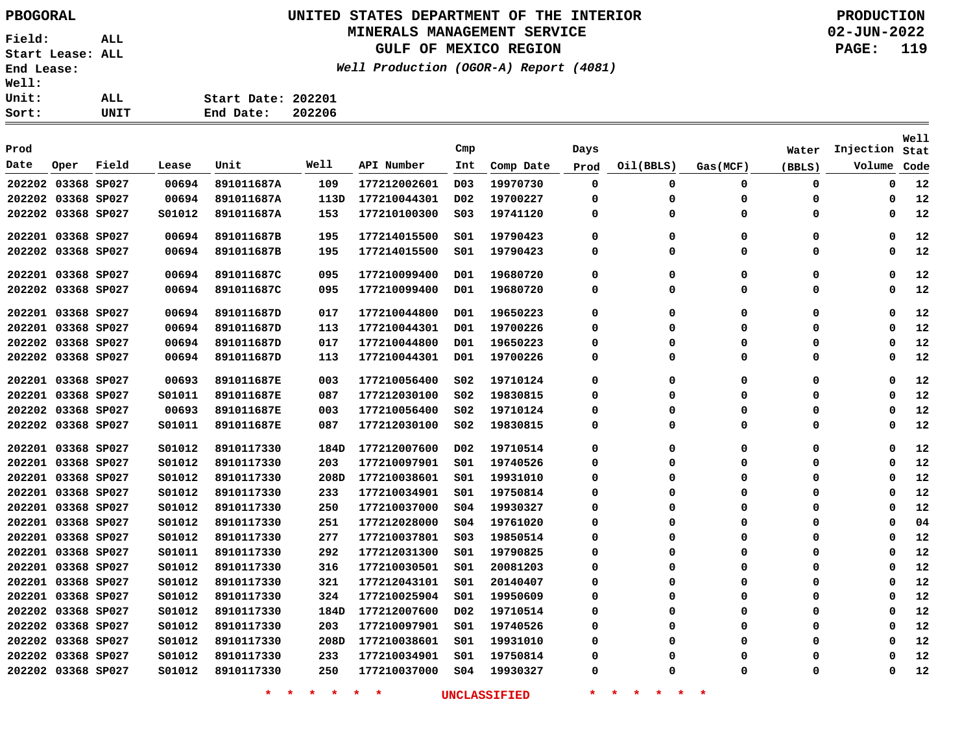# **UNITED STATES DEPARTMENT OF THE INTERIOR PBOGORAL PRODUCTION**

#### **MINERALS MANAGEMENT SERVICE**

**GULF OF MEXICO REGION**

**Well Production (OGOR-A) Report (4081)**

**02-JUN-2022 PAGE: 119**

| Well: |      |                    |        |
|-------|------|--------------------|--------|
| Unit: | ALL. | Start Date: 202201 |        |
| Sort: | UNIT | End Date:          | 202206 |

|                    |      |       |        |            |      |              |                  |           |          |             |             |             |           | <b>Well</b> |
|--------------------|------|-------|--------|------------|------|--------------|------------------|-----------|----------|-------------|-------------|-------------|-----------|-------------|
| Prod               |      |       |        |            |      |              | Cmp              |           | Days     |             |             | Water       | Injection | Stat        |
| Date               | Oper | Field | Lease  | Unit       | Well | API Number   | Int              | Comp Date | Prod     | Oil(BBLS)   | Gas(MCF)    | (BBLS)      | Volume    | Code        |
| 202202 03368 SP027 |      |       | 00694  | 891011687A | 109  | 177212002601 | D <sub>0</sub> 3 | 19970730  | 0        | 0           | 0           | 0           | 0         | 12          |
| 202202 03368 SP027 |      |       | 00694  | 891011687A | 113D | 177210044301 | D02              | 19700227  | 0        | 0           | $\mathbf 0$ | $\mathbf 0$ | 0         | 12          |
| 202202 03368 SP027 |      |       | S01012 | 891011687A | 153  | 177210100300 | S03              | 19741120  | 0        | 0           | 0           | 0           | 0         | 12          |
| 202201 03368 SP027 |      |       | 00694  | 891011687B | 195  | 177214015500 | SO1              | 19790423  | 0        | 0           | 0           | 0           | $\Omega$  | 12          |
| 202202 03368 SP027 |      |       | 00694  | 891011687B | 195  | 177214015500 | SO1              | 19790423  | 0        | 0           | 0           | 0           | 0         | 12          |
| 202201 03368 SP027 |      |       | 00694  | 891011687C | 095  | 177210099400 | D01              | 19680720  | 0        | 0           | $\mathbf 0$ | 0           | 0         | 12          |
| 202202 03368 SP027 |      |       | 00694  | 891011687C | 095  | 177210099400 | D01              | 19680720  | 0        | 0           | 0           | 0           | 0         | 12          |
| 202201 03368 SP027 |      |       | 00694  | 891011687D | 017  | 177210044800 | D01              | 19650223  | 0        | $\mathbf 0$ | $\mathbf 0$ | 0           | $\Omega$  | 12          |
| 202201 03368 SP027 |      |       | 00694  | 891011687D | 113  | 177210044301 | D01              | 19700226  | $\Omega$ | 0           | $\mathbf 0$ | 0           | $\Omega$  | 12          |
| 202202 03368 SP027 |      |       | 00694  | 891011687D | 017  | 177210044800 | D01              | 19650223  | $\Omega$ | 0           | $\mathbf 0$ | 0           | $\Omega$  | 12          |
| 202202 03368 SP027 |      |       | 00694  | 891011687D | 113  | 177210044301 | D01              | 19700226  | $\Omega$ | 0           | $\mathbf 0$ | 0           | $\Omega$  | 12          |
| 202201 03368 SP027 |      |       | 00693  | 891011687E | 003  | 177210056400 | SO2              | 19710124  | 0        | 0           | $\mathbf 0$ | 0           | 0         | 12          |
| 202201 03368 SP027 |      |       | S01011 | 891011687E | 087  | 177212030100 | SO <sub>2</sub>  | 19830815  | $\Omega$ | 0           | $\mathbf 0$ | 0           | $\Omega$  | 12          |
| 202202 03368 SP027 |      |       | 00693  | 891011687E | 003  | 177210056400 | S02              | 19710124  | $\Omega$ | 0           | 0           | 0           | $\Omega$  | 12          |
| 202202 03368 SP027 |      |       | S01011 | 891011687E | 087  | 177212030100 | SO2              | 19830815  | $\Omega$ | 0           | $\mathbf 0$ | 0           | $\Omega$  | 12          |
| 202201 03368 SP027 |      |       | S01012 | 8910117330 | 184D | 177212007600 | D02              | 19710514  | 0        | 0           | $\mathbf 0$ | 0           | 0         | 12          |
| 202201 03368 SP027 |      |       | S01012 | 8910117330 | 203  | 177210097901 | SO1              | 19740526  | $\Omega$ | 0           | $\Omega$    | 0           | $\Omega$  | 12          |
| 202201 03368 SP027 |      |       | S01012 | 8910117330 | 208D | 177210038601 | SO1              | 19931010  | $\Omega$ | $\Omega$    | $\Omega$    | 0           | $\Omega$  | 12          |
| 202201 03368 SP027 |      |       | S01012 | 8910117330 | 233  | 177210034901 | SO1              | 19750814  | $\Omega$ | $\Omega$    | $\Omega$    | 0           | $\Omega$  | 12          |
| 202201 03368 SP027 |      |       | S01012 | 8910117330 | 250  | 177210037000 | SO <sub>4</sub>  | 19930327  | $\Omega$ | $\Omega$    | $\Omega$    | 0           | $\Omega$  | 12          |
| 202201 03368 SP027 |      |       | S01012 | 8910117330 | 251  | 177212028000 | SO <sub>4</sub>  | 19761020  | $\Omega$ | $\Omega$    | $\Omega$    | 0           | $\Omega$  | 04          |
| 202201 03368 SP027 |      |       | S01012 | 8910117330 | 277  | 177210037801 | SO <sub>3</sub>  | 19850514  | $\Omega$ | $\Omega$    | $\Omega$    | 0           | $\Omega$  | 12          |
| 202201 03368 SP027 |      |       | S01011 | 8910117330 | 292  | 177212031300 | S01              | 19790825  | $\Omega$ | $\Omega$    | $\Omega$    | 0           | $\Omega$  | 12          |
| 202201 03368 SP027 |      |       | S01012 | 8910117330 | 316  | 177210030501 | SO1              | 20081203  | $\Omega$ | $\Omega$    | $\Omega$    | 0           | $\Omega$  | 12          |
| 202201 03368 SP027 |      |       | S01012 | 8910117330 | 321  | 177212043101 | SO1              | 20140407  | $\Omega$ | $\Omega$    | $\mathbf 0$ | 0           | $\Omega$  | 12          |
| 202201 03368 SP027 |      |       | S01012 | 8910117330 | 324  | 177210025904 | SO1              | 19950609  | $\Omega$ | $\Omega$    | $\mathbf 0$ | 0           | $\Omega$  | 12          |
| 202202 03368 SP027 |      |       | S01012 | 8910117330 | 184D | 177212007600 | D02              | 19710514  | $\Omega$ | $\Omega$    | $\mathbf 0$ | 0           | $\Omega$  | 12          |
| 202202 03368 SP027 |      |       | S01012 | 8910117330 | 203  | 177210097901 | SO1              | 19740526  | $\Omega$ | 0           | $\mathbf 0$ | 0           | $\Omega$  | 12          |
| 202202 03368 SP027 |      |       | S01012 | 8910117330 | 208D | 177210038601 | SO1              | 19931010  | $\Omega$ | $\Omega$    | $\Omega$    | 0           | $\Omega$  | 12          |
| 202202 03368 SP027 |      |       | S01012 | 8910117330 | 233  | 177210034901 | SO1              | 19750814  | 0        | $\Omega$    | $\Omega$    | $\Omega$    | $\Omega$  | 12          |
| 202202 03368 SP027 |      |       | S01012 | 8910117330 | 250  | 177210037000 | SO <sub>4</sub>  | 19930327  | 0        | $\Omega$    | $\Omega$    | $\Omega$    | $\Omega$  | 12          |
|                    |      |       |        |            |      |              |                  |           |          |             |             |             |           |             |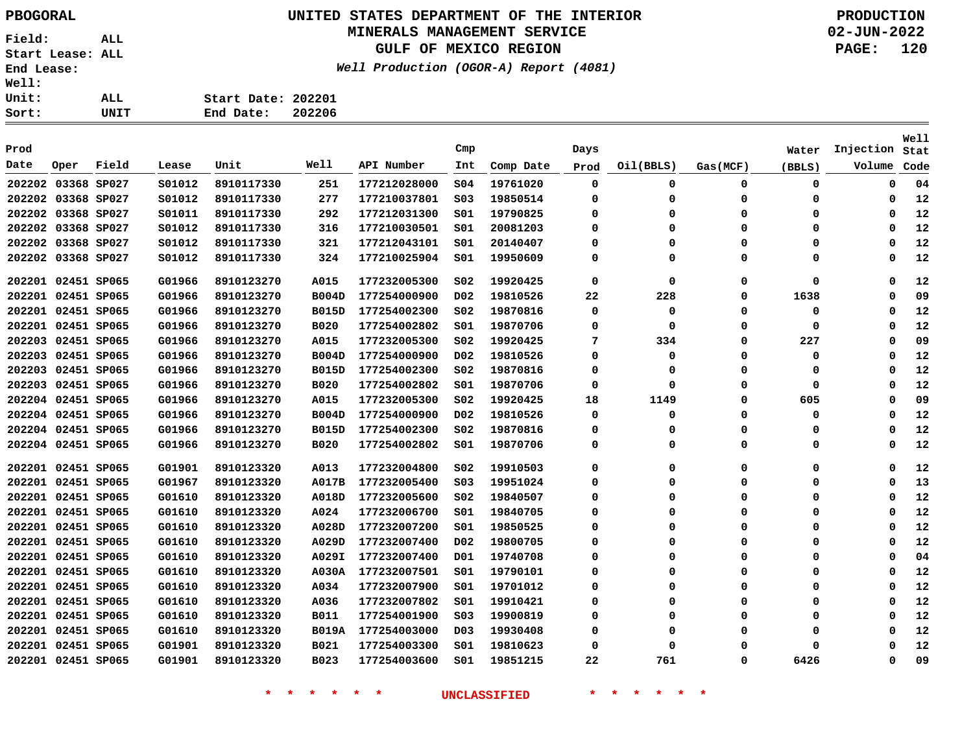# **UNITED STATES DEPARTMENT OF THE INTERIOR PBOGORAL PRODUCTION**

#### **MINERALS MANAGEMENT SERVICE**

**GULF OF MEXICO REGION**

**Well Production (OGOR-A) Report (4081)**

**02-JUN-2022 PAGE: 120**

| ALL. | Start Date: 202201 |  |
|------|--------------------|--|
| UNIT | End Date: 202206   |  |

|                    |                    |       |        |            |              |              |                  |           |          |             |             |             |           | Well |
|--------------------|--------------------|-------|--------|------------|--------------|--------------|------------------|-----------|----------|-------------|-------------|-------------|-----------|------|
| Prod               |                    |       |        |            |              |              | Cmp              |           | Days     |             |             | Water       | Injection | Stat |
| Date               | Oper               | Field | Lease  | Unit       | Well         | API Number   | Int              | Comp Date | Prod     | Oil(BBLS)   | Gas(MCF)    | (BBLS)      | Volume    | Code |
| 202202 03368 SP027 |                    |       | S01012 | 8910117330 | 251          | 177212028000 | S04              | 19761020  | 0        | 0           | $\mathbf 0$ | 0           | 0         | 04   |
| 202202 03368 SP027 |                    |       | S01012 | 8910117330 | 277          | 177210037801 | SO <sub>3</sub>  | 19850514  | 0        | 0           | 0           | 0           | 0         | 12   |
| 202202 03368 SP027 |                    |       | S01011 | 8910117330 | 292          | 177212031300 | SO1              | 19790825  | 0        | $\Omega$    | 0           | 0           | 0         | 12   |
| 202202 03368 SP027 |                    |       | S01012 | 8910117330 | 316          | 177210030501 | SO1              | 20081203  | 0        | $\Omega$    | 0           | 0           | 0         | 12   |
|                    | 202202 03368 SP027 |       | S01012 | 8910117330 | 321          | 177212043101 | SO1              | 20140407  | 0        | 0           | 0           | 0           | $\Omega$  | 12   |
|                    | 202202 03368 SP027 |       | S01012 | 8910117330 | 324          | 177210025904 | SO1              | 19950609  | 0        | $\Omega$    | 0           | 0           | $\Omega$  | 12   |
|                    | 202201 02451 SP065 |       | G01966 | 8910123270 | A015         | 177232005300 | SO <sub>2</sub>  | 19920425  | 0        | 0           | 0           | $\mathbf 0$ | 0         | 12   |
|                    | 202201 02451 SP065 |       | G01966 | 8910123270 | <b>B004D</b> | 177254000900 | D <sub>0</sub> 2 | 19810526  | 22       | 228         | 0           | 1638        | 0         | 09   |
|                    | 202201 02451 SP065 |       | G01966 | 8910123270 | <b>B015D</b> | 177254002300 | SO <sub>2</sub>  | 19870816  | 0        | 0           | 0           | 0           | 0         | 12   |
|                    | 202201 02451 SP065 |       | G01966 | 8910123270 | <b>B020</b>  | 177254002802 | SO1              | 19870706  | 0        | 0           | 0           | 0           | 0         | 12   |
| 202203 02451 SP065 |                    |       | G01966 | 8910123270 | A015         | 177232005300 | SO <sub>2</sub>  | 19920425  | 7        | 334         | 0           | 227         | $\Omega$  | 09   |
| 202203 02451 SP065 |                    |       | G01966 | 8910123270 | <b>B004D</b> | 177254000900 | D02              | 19810526  | $\Omega$ | $\mathbf 0$ | $\mathbf 0$ | 0           | $\Omega$  | 12   |
| 202203 02451 SP065 |                    |       | G01966 | 8910123270 | <b>B015D</b> | 177254002300 | S02              | 19870816  | $\Omega$ | $\Omega$    | $\Omega$    | 0           | $\Omega$  | 12   |
| 202203 02451 SP065 |                    |       | G01966 | 8910123270 | <b>B020</b>  | 177254002802 | S01              | 19870706  | $\Omega$ | 0           | 0           | 0           | $\Omega$  | 12   |
| 202204 02451 SP065 |                    |       | G01966 | 8910123270 | A015         | 177232005300 | SO <sub>2</sub>  | 19920425  | 18       | 1149        | 0           | 605         | 0         | 09   |
| 202204 02451 SP065 |                    |       | G01966 | 8910123270 | <b>B004D</b> | 177254000900 | D02              | 19810526  | 0        | 0           | 0           | 0           | 0         | 12   |
|                    | 202204 02451 SP065 |       | G01966 | 8910123270 | <b>B015D</b> | 177254002300 | SO <sub>2</sub>  | 19870816  | 0        | 0           | 0           | 0           | $\Omega$  | 12   |
|                    | 202204 02451 SP065 |       | G01966 | 8910123270 | <b>B020</b>  | 177254002802 | SO1              | 19870706  | 0        | 0           | 0           | 0           | $\Omega$  | 12   |
|                    | 202201 02451 SP065 |       | G01901 | 8910123320 | A013         | 177232004800 | SO <sub>2</sub>  | 19910503  | $\Omega$ | 0           | 0           | 0           | $\Omega$  | 12   |
|                    | 202201 02451 SP065 |       | G01967 | 8910123320 | A017B        | 177232005400 | SO <sub>3</sub>  | 19951024  | 0        | 0           | 0           | 0           | 0         | 13   |
|                    | 202201 02451 SP065 |       | G01610 | 8910123320 | A018D        | 177232005600 | SO <sub>2</sub>  | 19840507  | 0        | $\Omega$    | 0           | 0           | 0         | 12   |
|                    | 202201 02451 SP065 |       | G01610 | 8910123320 | A024         | 177232006700 | SO1              | 19840705  | 0        | $\Omega$    | $\Omega$    | 0           | 0         | 12   |
| 202201 02451 SP065 |                    |       | G01610 | 8910123320 | A028D        | 177232007200 | SO1              | 19850525  | 0        | $\Omega$    | $\mathbf 0$ | $\Omega$    | 0         | 12   |
|                    | 202201 02451 SP065 |       | G01610 | 8910123320 | A029D        | 177232007400 | D02              | 19800705  | 0        | $\Omega$    | $\mathbf 0$ | 0           | 0         | 12   |
|                    | 202201 02451 SP065 |       | G01610 | 8910123320 | <b>A029I</b> | 177232007400 | D01              | 19740708  | 0        | $\Omega$    | $\Omega$    | 0           | $\Omega$  | 04   |
|                    | 202201 02451 SP065 |       | G01610 | 8910123320 | <b>A030A</b> | 177232007501 | S01              | 19790101  | 0        | 0           | 0           | 0           | 0         | 12   |
| 202201 02451 SP065 |                    |       | G01610 | 8910123320 | A034         | 177232007900 | SO1              | 19701012  | 0        | O           | $\Omega$    | 0           | $\Omega$  | 12   |
| 202201 02451 SP065 |                    |       | G01610 | 8910123320 | A036         | 177232007802 | SO1              | 19910421  | $\Omega$ | 0           | 0           | 0           | $\Omega$  | 12   |
|                    | 202201 02451 SP065 |       | G01610 | 8910123320 | <b>B011</b>  | 177254001900 | SO <sub>3</sub>  | 19900819  | 0        | 0           | 0           | 0           | 0         | 12   |
|                    | 202201 02451 SP065 |       | G01610 | 8910123320 | <b>B019A</b> | 177254003000 | D <sub>0</sub> 3 | 19930408  | 0        | $\Omega$    | 0           | 0           | $\Omega$  | 12   |
|                    | 202201 02451 SP065 |       | G01901 | 8910123320 | <b>B021</b>  | 177254003300 | SO1              | 19810623  | $\Omega$ | O           | $\Omega$    | 0           | $\Omega$  | 12   |
|                    | 202201 02451 SP065 |       | G01901 | 8910123320 | B023         | 177254003600 | SO1              | 19851215  | 22       | 761         | $\Omega$    | 6426        | $\Omega$  | 09   |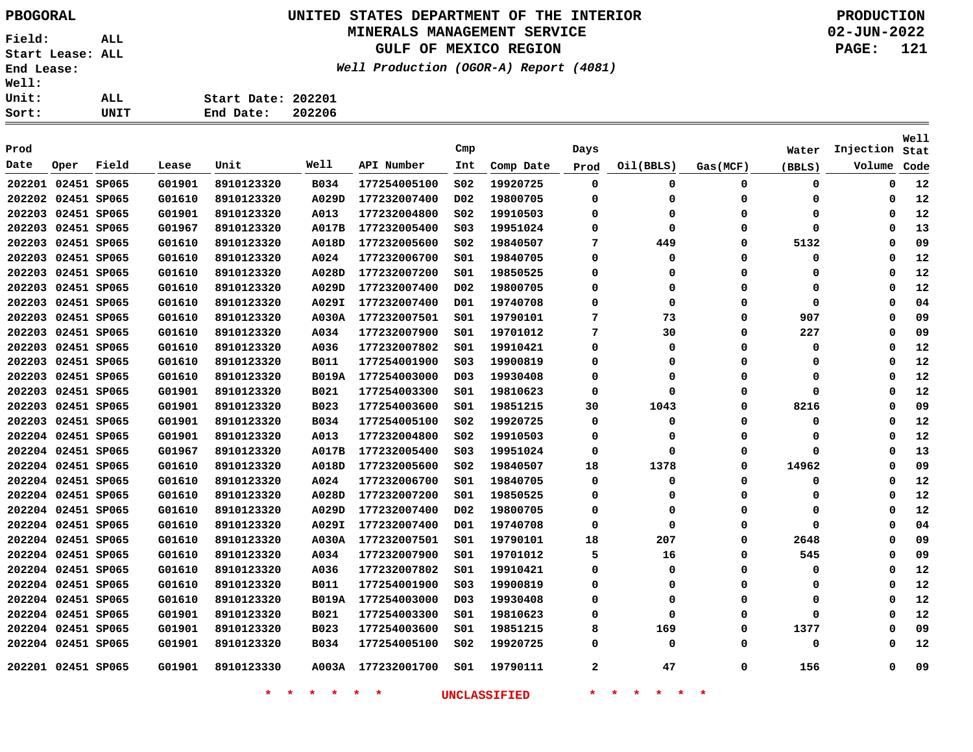#### **UNITED STATES DEPARTMENT OF THE INTERIOR PBOGORAL PRODUCTION MINERALS MANAGEMENT SERVICE**

**GULF OF MEXICO REGION**

**Well Production (OGOR-A) Report (4081)**

**02-JUN-2022 PAGE: 121**

| : | ALL  | Start Date: 202201 |        |
|---|------|--------------------|--------|
| : | UNIT | End Date:          | 202206 |

| Prod               |                    |       |        |            |              |              | Cmp              |           | Days     |           |          | Water  | Injection | Well<br>Stat |
|--------------------|--------------------|-------|--------|------------|--------------|--------------|------------------|-----------|----------|-----------|----------|--------|-----------|--------------|
| Date               | Oper               | Field | Lease  | Unit       | Well         | API Number   | Int              | Comp Date | Prod     | Oil(BBLS) | Gas(MCF) | (BBLS) | Volume    | Code         |
| 202201 02451 SP065 |                    |       | G01901 | 8910123320 | <b>B034</b>  | 177254005100 | SO <sub>2</sub>  | 19920725  | 0        | 0         | 0        | 0      | 0         | 12           |
|                    | 202202 02451 SP065 |       | G01610 | 8910123320 | A029D        | 177232007400 | D02              | 19800705  | 0        | 0         | 0        | 0      | 0         | 12           |
|                    | 202203 02451 SP065 |       | G01901 | 8910123320 | A013         | 177232004800 | SO <sub>2</sub>  | 19910503  | 0        | $\Omega$  | 0        | 0      | 0         | 12           |
|                    | 202203 02451 SP065 |       | G01967 | 8910123320 | A017B        | 177232005400 | S03              | 19951024  | 0        | $\Omega$  | $\Omega$ | 0      | $\Omega$  | 13           |
|                    | 202203 02451 SP065 |       | G01610 | 8910123320 | A018D        | 177232005600 | SO <sub>2</sub>  | 19840507  | 7        | 449       | $\Omega$ | 5132   | $\Omega$  | 09           |
|                    | 202203 02451 SP065 |       | G01610 | 8910123320 | A024         | 177232006700 | 501              | 19840705  | $\Omega$ | $\Omega$  | 0        | 0      | 0         | 12           |
|                    | 202203 02451 SP065 |       | G01610 | 8910123320 | A028D        | 177232007200 | S01              | 19850525  | 0        | 0         | 0        | 0      | 0         | 12           |
|                    | 202203 02451 SP065 |       | G01610 | 8910123320 | A029D        | 177232007400 | D02              | 19800705  | 0        | $\Omega$  | O        | 0      | $\Omega$  | 12           |
|                    | 202203 02451 SP065 |       | G01610 | 8910123320 | A029I        | 177232007400 | D01              | 19740708  | 0        | $\Omega$  | 0        | 0      | 0         | 04           |
|                    | 202203 02451 SP065 |       | G01610 | 8910123320 | A030A        | 177232007501 | S01              | 19790101  | 7        | 73        | 0        | 907    | 0         | 09           |
|                    | 202203 02451 SP065 |       | G01610 | 8910123320 | A034         | 177232007900 | S01              | 19701012  | 7        | 30        | 0        | 227    | $\Omega$  | 09           |
|                    | 202203 02451 SP065 |       | G01610 | 8910123320 | A036         | 177232007802 | SO1              | 19910421  | $\Omega$ | 0         | $\Omega$ | 0      | 0         | 12           |
|                    | 202203 02451 SP065 |       | G01610 | 8910123320 | <b>B011</b>  | 177254001900 | SO <sub>3</sub>  | 19900819  | 0        | 0         | $\Omega$ | 0      | 0         | 12           |
|                    | 202203 02451 SP065 |       | G01610 | 8910123320 | <b>B019A</b> | 177254003000 | D03              | 19930408  | 0        | $\Omega$  | 0        | 0      | 0         | 12           |
|                    | 202203 02451 SP065 |       | G01901 | 8910123320 | <b>B021</b>  | 177254003300 | 501              | 19810623  | 0        | 0         | $\Omega$ | 0      | 0         | 12           |
|                    | 202203 02451 SP065 |       | G01901 | 8910123320 | <b>B023</b>  | 177254003600 | 501              | 19851215  | 30       | 1043      | 0        | 8216   | 0         | 09           |
|                    | 202203 02451 SP065 |       | G01901 | 8910123320 | B034         | 177254005100 | S02              | 19920725  | 0        | 0         | 0        | 0      | 0         | 12           |
|                    | 202204 02451 SP065 |       | G01901 | 8910123320 | A013         | 177232004800 | SO <sub>2</sub>  | 19910503  | 0        | 0         | 0        | 0      | 0         | 12           |
|                    | 202204 02451 SP065 |       | G01967 | 8910123320 | A017B        | 177232005400 | SO <sub>3</sub>  | 19951024  | 0        | 0         | $\Omega$ | 0      | 0         | 13           |
|                    | 202204 02451 SP065 |       | G01610 | 8910123320 | A018D        | 177232005600 | S02              | 19840507  | 18       | 1378      | $\Omega$ | 14962  | 0         | 09           |
|                    | 202204 02451 SP065 |       | G01610 | 8910123320 | A024         | 177232006700 | S01              | 19840705  | 0        | $\Omega$  | 0        | 0      | 0         | 12           |
|                    | 202204 02451 SP065 |       | G01610 | 8910123320 | A028D        | 177232007200 | 501              | 19850525  | 0        | 0         | 0        | 0      | 0         | 12           |
|                    | 202204 02451 SP065 |       | G01610 | 8910123320 | A029D        | 177232007400 | D02              | 19800705  | 0        | 0         | 0        | 0      | 0         | 12           |
| 202204 02451 SP065 |                    |       | G01610 | 8910123320 | A029I        | 177232007400 | D01              | 19740708  | 0        | 0         | 0        | 0      | 0         | 04           |
| 202204 02451 SP065 |                    |       | G01610 | 8910123320 | A030A        | 177232007501 | SO1              | 19790101  | 18       | 207       | 0        | 2648   | $\Omega$  | 09           |
| 202204 02451 SP065 |                    |       | G01610 | 8910123320 | A034         | 177232007900 | 501              | 19701012  | 5        | 16        | 0        | 545    | 0         | 09           |
| 202204 02451 SP065 |                    |       | G01610 | 8910123320 | A036         | 177232007802 | S01              | 19910421  | 0        | 0         | 0        | 0      | 0         | 12           |
| 202204 02451 SP065 |                    |       | G01610 | 8910123320 | <b>B011</b>  | 177254001900 | SO <sub>3</sub>  | 19900819  | $\Omega$ | $\Omega$  | 0        | 0      | 0         | 12           |
| 202204 02451 SP065 |                    |       | G01610 | 8910123320 | <b>B019A</b> | 177254003000 | D <sub>0</sub> 3 | 19930408  | 0        | 0         | 0        | 0      | 0         | 12           |
| 202204 02451 SP065 |                    |       | G01901 | 8910123320 | <b>B021</b>  | 177254003300 | S01              | 19810623  | 0        | 0         | 0        | 0      | 0         | 12           |
|                    | 202204 02451 SP065 |       | G01901 | 8910123320 | B023         | 177254003600 | S01              | 19851215  | 8        | 169       | 0        | 1377   | 0         | 09           |
|                    | 202204 02451 SP065 |       | G01901 | 8910123320 | B034         | 177254005100 | SO <sub>2</sub>  | 19920725  | 0        | 0         | 0        | 0      | 0         | 12           |
|                    | 202201 02451 SP065 |       | G01901 | 8910123330 | A003A        | 177232001700 | 501              | 19790111  | 2        | 47        | 0        | 156    | $\Omega$  | 09           |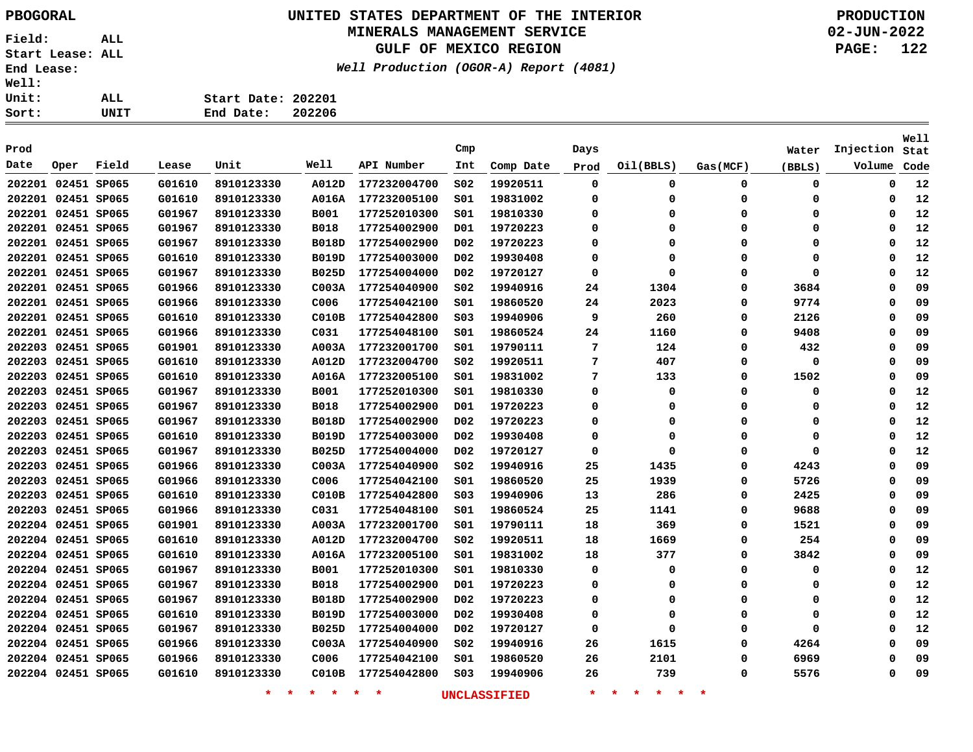# **UNITED STATES DEPARTMENT OF THE INTERIOR PBOGORAL PRODUCTION**

#### **MINERALS MANAGEMENT SERVICE**

**GULF OF MEXICO REGION**

**Well Production (OGOR-A) Report (4081)**

| ALL. | Start Date: 202201  |  |
|------|---------------------|--|
| UNIT | 202206<br>End Date: |  |

| Prod |                    |       |        |                    |                 |                    | Cmp              |                     | Days        |                                     |             | Water       | Injection | Well<br>Stat |
|------|--------------------|-------|--------|--------------------|-----------------|--------------------|------------------|---------------------|-------------|-------------------------------------|-------------|-------------|-----------|--------------|
| Date | Oper               | Field | Lease  | Unit               | Well            | API Number         | Int              | Comp Date           | Prod        | Oil(BBLS)                           | Gas(MCF)    | (BBLS)      | Volume    | Code         |
|      | 202201 02451 SP065 |       | G01610 | 8910123330         | A012D           | 177232004700       | S02              | 19920511            | 0           | 0                                   | 0           | $\mathbf 0$ | 0         | 12           |
|      | 202201 02451 SP065 |       | G01610 | 8910123330         | <b>A016A</b>    | 177232005100       | SO1              | 19831002            | 0           | 0                                   | 0           | 0           | 0         | 12           |
|      | 202201 02451 SP065 |       | G01967 | 8910123330         | <b>B001</b>     | 177252010300       | SO1              | 19810330            | 0           | 0                                   | 0           | 0           | 0         | 12           |
|      | 202201 02451 SP065 |       | G01967 | 8910123330         | <b>B018</b>     | 177254002900       | D01              | 19720223            | 0           | 0                                   | $\mathbf 0$ | 0           | 0         | 12           |
|      | 202201 02451 SP065 |       | G01967 | 8910123330         | <b>B018D</b>    | 177254002900       | D <sub>0</sub> 2 | 19720223            | 0           | 0                                   | $\mathbf 0$ | 0           | $\Omega$  | 12           |
|      | 202201 02451 SP065 |       | G01610 | 8910123330         | <b>B019D</b>    | 177254003000       | D02              | 19930408            | 0           | 0                                   | 0           | 0           | $\Omega$  | 12           |
|      | 202201 02451 SP065 |       | G01967 | 8910123330         | <b>B025D</b>    | 177254004000       | D <sub>02</sub>  | 19720127            | 0           | 0                                   | 0           | 0           | $\Omega$  | 12           |
|      | 202201 02451 SP065 |       | G01966 | 8910123330         | COO3A           | 177254040900       | SO <sub>2</sub>  | 19940916            | 24          | 1304                                | 0           | 3684        | $\Omega$  | 09           |
|      | 202201 02451 SP065 |       | G01966 | 8910123330         | C006            | 177254042100       | 501              | 19860520            | 24          | 2023                                | 0           | 9774        | $\Omega$  | 09           |
|      | 202201 02451 SP065 |       | G01610 | 8910123330         | CO10B           | 177254042800       | SO <sub>3</sub>  | 19940906            | 9           | 260                                 | 0           | 2126        | $\Omega$  | 09           |
|      | 202201 02451 SP065 |       | G01966 | 8910123330         | C031            | 177254048100       | 501              | 19860524            | 24          | 1160                                | 0           | 9408        | $\Omega$  | 09           |
|      | 202203 02451 SP065 |       | G01901 | 8910123330         | A003A           | 177232001700       | SO1              | 19790111            | 7           | 124                                 | 0           | 432         | $\Omega$  | 09           |
|      | 202203 02451 SP065 |       | G01610 | 8910123330         | A012D           | 177232004700       | S02              | 19920511            | 7           | 407                                 | 0           | 0           | $\Omega$  | 09           |
|      | 202203 02451 SP065 |       | G01610 | 8910123330         | <b>A016A</b>    | 177232005100       | SO1              | 19831002            | 7           | 133                                 | 0           | 1502        | $\Omega$  | 09           |
|      | 202203 02451 SP065 |       | G01967 | 8910123330         | <b>B001</b>     | 177252010300       | 501              | 19810330            | $\mathbf 0$ | 0                                   | $\mathbf 0$ | 0           | $\Omega$  | 12           |
|      | 202203 02451 SP065 |       | G01967 | 8910123330         | <b>B018</b>     | 177254002900       | D01              | 19720223            | 0           | 0                                   | $\mathbf 0$ | 0           | $\Omega$  | 12           |
|      | 202203 02451 SP065 |       | G01967 | 8910123330         | <b>B018D</b>    | 177254002900       | D <sub>0</sub> 2 | 19720223            | 0           | 0                                   | 0           | 0           | $\Omega$  | 12           |
|      | 202203 02451 SP065 |       | G01610 | 8910123330         | <b>B019D</b>    | 177254003000       | D02              | 19930408            | 0           | 0                                   | 0           | 0           | 0         | 12           |
|      | 202203 02451 SP065 |       | G01967 | 8910123330         | <b>B025D</b>    | 177254004000       | D02              | 19720127            | 0           | 0                                   | 0           | 0           | 0         | 12           |
|      | 202203 02451 SP065 |       | G01966 | 8910123330         | COO3A           | 177254040900       | S02              | 19940916            | 25          | 1435                                | 0           | 4243        | 0         | 09           |
|      | 202203 02451 SP065 |       | G01966 | 8910123330         | C006            | 177254042100       | SO1              | 19860520            | 25          | 1939                                | 0           | 5726        | 0         | 09           |
|      | 202203 02451 SP065 |       | G01610 | 8910123330         | CO10B           | 177254042800       | S03              | 19940906            | 13          | 286                                 | 0           | 2425        | 0         | 09           |
|      | 202203 02451 SP065 |       | G01966 | 8910123330         | C031            | 177254048100       | S01              | 19860524            | 25          | 1141                                | 0           | 9688        | 0         | 09           |
|      | 202204 02451 SP065 |       | G01901 | 8910123330         | A003A           | 177232001700       | S01              | 19790111            | 18          | 369                                 | 0           | 1521        | 0         | 09           |
|      | 202204 02451 SP065 |       | G01610 | 8910123330         | A012D           | 177232004700       | S02              | 19920511            | 18          | 1669                                | 0           | 254         | 0         | 09           |
|      | 202204 02451 SP065 |       | G01610 | 8910123330         | <b>A016A</b>    | 177232005100       | SO1              | 19831002            | 18          | 377                                 | 0           | 3842        | 0         | 09           |
|      | 202204 02451 SP065 |       | G01967 | 8910123330         | B001            | 177252010300       | S01              | 19810330            | 0           | 0                                   | 0           | 0           | 0         | 12           |
|      | 202204 02451 SP065 |       | G01967 | 8910123330         | <b>B018</b>     | 177254002900       | D01              | 19720223            | 0           | 0                                   | 0           | 0           | 0         | 12           |
|      | 202204 02451 SP065 |       | G01967 | 8910123330         | <b>B018D</b>    | 177254002900       | D02              | 19720223            | 0           | 0                                   | 0           | 0           | 0         | 12           |
|      | 202204 02451 SP065 |       | G01610 | 8910123330         | <b>B019D</b>    | 177254003000       | D02              | 19930408            | 0           | 0                                   | 0           | 0           | 0         | 12           |
|      | 202204 02451 SP065 |       | G01967 | 8910123330         | <b>B025D</b>    | 177254004000       | D02              | 19720127            | 0           | $\Omega$                            | 0           | $\mathbf 0$ | $\Omega$  | 12           |
|      | 202204 02451 SP065 |       | G01966 | 8910123330         | C003A           | 177254040900       | S02              | 19940916            | 26          | 1615                                | 0           | 4264        | $\Omega$  | 09           |
|      | 202204 02451 SP065 |       | G01966 | 8910123330         | C006            | 177254042100       | S01              | 19860520            | 26          | 2101                                | 0           | 6969        | $\Omega$  | 09           |
|      | 202204 02451 SP065 |       | G01610 | 8910123330         | CO10B           | 177254042800       | SO <sub>3</sub>  | 19940906            | 26          | 739                                 | 0           | 5576        | $\Omega$  | 09           |
|      |                    |       |        | $\star$<br>$\star$ | $\star$ $\star$ | $\star$<br>$\star$ |                  | <b>UNCLASSIFIED</b> | $\star$     | $\star$<br>一大<br>$\star$<br>$\star$ | $\ast$      |             |           |              |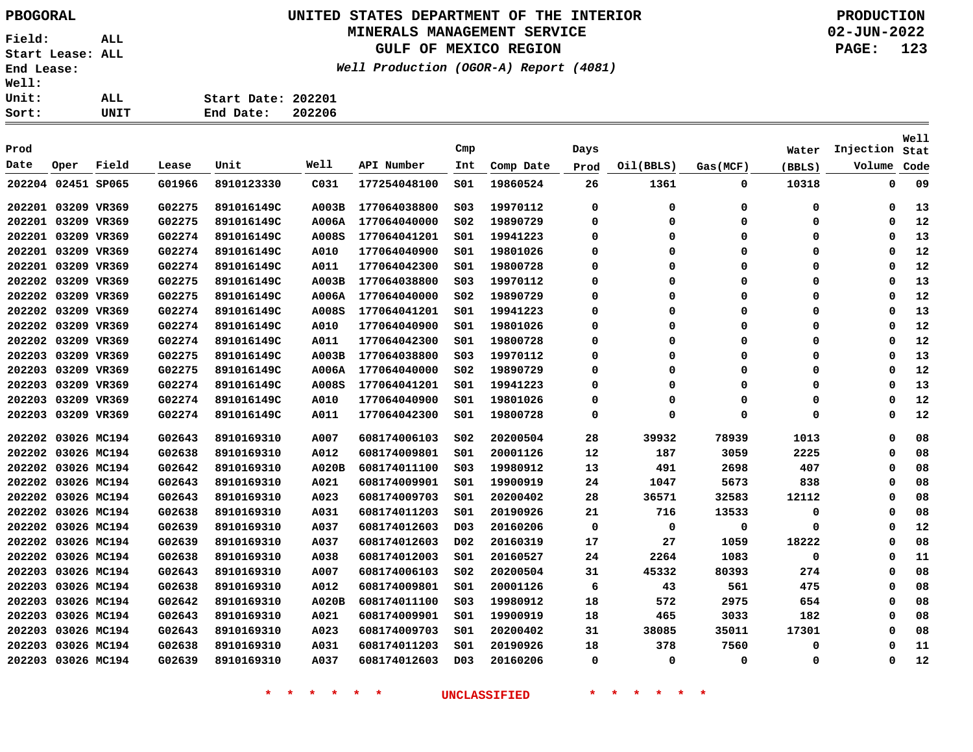# **UNITED STATES DEPARTMENT OF THE INTERIOR PBOGORAL PRODUCTION**

#### **MINERALS MANAGEMENT SERVICE**

**GULF OF MEXICO REGION**

**Well Production (OGOR-A) Report (4081)**

**02-JUN-2022 PAGE: 123**

| Sort: | UNIT | 202206<br>End Date: |
|-------|------|---------------------|
| Unit: | ALL  | Start Date: 202201  |
| Well: |      |                     |

|        |                    |       |        |            |              |              |                  |           |         |           |          |        |             | Well |
|--------|--------------------|-------|--------|------------|--------------|--------------|------------------|-----------|---------|-----------|----------|--------|-------------|------|
| Prod   |                    |       |        |            |              |              | Cmp              |           | Days    |           |          | Water  | Injection   | Stat |
| Date   | Oper               | Field | Lease  | Unit       | Well         | API Number   | Int              | Comp Date | Prod    | Oil(BBLS) | Gas(MCF) | (BBLS) | Volume      | Code |
|        | 202204 02451 SP065 |       | G01966 | 8910123330 | C031         | 177254048100 | 501              | 19860524  | 26      | 1361      | 0        | 10318  | 0           | 09   |
|        | 202201 03209 VR369 |       | G02275 | 891016149C | A003B        | 177064038800 | S03              | 19970112  | 0       | 0         | 0        | 0      | 0           | 13   |
|        | 202201 03209 VR369 |       | G02275 | 891016149C | <b>A006A</b> | 177064040000 | SO <sub>2</sub>  | 19890729  | 0       | 0         | 0        | 0      | 0           | 12   |
|        | 202201 03209 VR369 |       | G02274 | 891016149C | A008S        | 177064041201 | 501              | 19941223  | 0       | 0         | 0        | 0      | 0           | 13   |
|        | 202201 03209 VR369 |       | G02274 | 891016149C | A010         | 177064040900 | 501              | 19801026  | 0       | 0         | 0        | 0      | 0           | 12   |
|        | 202201 03209 VR369 |       | G02274 | 891016149C | A011         | 177064042300 | 501              | 19800728  | 0       | 0         | 0        | 0      | 0           | 12   |
|        | 202202 03209 VR369 |       | G02275 | 891016149C | A003B        | 177064038800 | SO <sub>3</sub>  | 19970112  | 0       | 0         | 0        | 0      | 0           | 13   |
|        | 202202 03209 VR369 |       | G02275 | 891016149C | A006A        | 177064040000 | SO <sub>2</sub>  | 19890729  | 0       | 0         | 0        | 0      | 0           | 12   |
|        | 202202 03209 VR369 |       | G02274 | 891016149C | A008S        | 177064041201 | 501              | 19941223  | 0       | 0         | 0        | 0      | 0           | 13   |
|        | 202202 03209 VR369 |       | G02274 | 891016149C | A010         | 177064040900 | 501              | 19801026  | 0       | 0         | 0        | 0      | 0           | 12   |
|        | 202202 03209 VR369 |       | G02274 | 891016149C | A011         | 177064042300 | 501              | 19800728  | 0       | 0         | $\Omega$ | 0      | 0           | 12   |
|        | 202203 03209 VR369 |       | G02275 | 891016149C | A003B        | 177064038800 | SO <sub>3</sub>  | 19970112  | 0       | 0         | 0        | 0      | 0           | 13   |
|        | 202203 03209 VR369 |       | G02275 | 891016149C | <b>A006A</b> | 177064040000 | S02              | 19890729  | 0       | 0         | 0        | 0      | 0           | 12   |
|        | 202203 03209 VR369 |       | G02274 | 891016149C | A008S        | 177064041201 | S01              | 19941223  | 0       | 0         | 0        | 0      | 0           | 13   |
|        | 202203 03209 VR369 |       | G02274 | 891016149C | A010         | 177064040900 | 501              | 19801026  | 0       | 0         | 0        | 0      | 0           | 12   |
|        | 202203 03209 VR369 |       | G02274 | 891016149C | A011         | 177064042300 | 501              | 19800728  | 0       | 0         | 0        | 0      | 0           | 12   |
|        | 202202 03026 MC194 |       | G02643 | 8910169310 | A007         | 608174006103 | SO <sub>2</sub>  | 20200504  | 28      | 39932     | 78939    | 1013   | 0           | 08   |
|        | 202202 03026 MC194 |       | G02638 | 8910169310 | A012         | 608174009801 | SO1              | 20001126  | $12 \,$ | 187       | 3059     | 2225   | 0           | 08   |
|        | 202202 03026 MC194 |       | G02642 | 8910169310 | <b>A020B</b> | 608174011100 | SO <sub>3</sub>  | 19980912  | 13      | 491       | 2698     | 407    | 0           | 08   |
|        | 202202 03026 MC194 |       | G02643 | 8910169310 | A021         | 608174009901 | SO1              | 19900919  | 24      | 1047      | 5673     | 838    | 0           | 08   |
|        | 202202 03026 MC194 |       | G02643 | 8910169310 | A023         | 608174009703 | 501              | 20200402  | 28      | 36571     | 32583    | 12112  | 0           | 08   |
|        | 202202 03026 MC194 |       | G02638 | 8910169310 | A031         | 608174011203 | 501              | 20190926  | 21      | 716       | 13533    | 0      | 0           | 08   |
|        | 202202 03026 MC194 |       | G02639 | 8910169310 | A037         | 608174012603 | D03              | 20160206  | 0       | 0         | 0        | 0      | 0           | 12   |
|        | 202202 03026 MC194 |       | G02639 | 8910169310 | A037         | 608174012603 | D02              | 20160319  | 17      | 27        | 1059     | 18222  | 0           | 08   |
|        | 202202 03026 MC194 |       | G02638 | 8910169310 | A038         | 608174012003 | 501              | 20160527  | 24      | 2264      | 1083     | 0      | 0           | 11   |
|        | 202203 03026 MC194 |       | G02643 | 8910169310 | A007         | 608174006103 | SO <sub>2</sub>  | 20200504  | 31      | 45332     | 80393    | 274    | 0           | 08   |
| 202203 | 03026 MC194        |       | G02638 | 8910169310 | A012         | 608174009801 | SO1              | 20001126  | 6       | 43        | 561      | 475    | 0           | 08   |
| 202203 | 03026 MC194        |       | G02642 | 8910169310 | <b>A020B</b> | 608174011100 | SO <sub>3</sub>  | 19980912  | 18      | 572       | 2975     | 654    | 0           | 08   |
| 202203 | 03026 MC194        |       | G02643 | 8910169310 | A021         | 608174009901 | 501              | 19900919  | 18      | 465       | 3033     | 182    | 0           | 08   |
|        | 202203 03026 MC194 |       | G02643 | 8910169310 | A023         | 608174009703 | SO1              | 20200402  | 31      | 38085     | 35011    | 17301  | 0           | 08   |
| 202203 | 03026 MC194        |       | G02638 | 8910169310 | A031         | 608174011203 | SO1              | 20190926  | 18      | 378       | 7560     | 0      | 0           | 11   |
|        | 202203 03026 MC194 |       | G02639 | 8910169310 | A037         | 608174012603 | D <sub>0</sub> 3 | 20160206  | 0       | 0         | 0        | 0      | $\mathbf 0$ | 12   |
|        |                    |       |        |            |              |              |                  |           |         |           |          |        |             |      |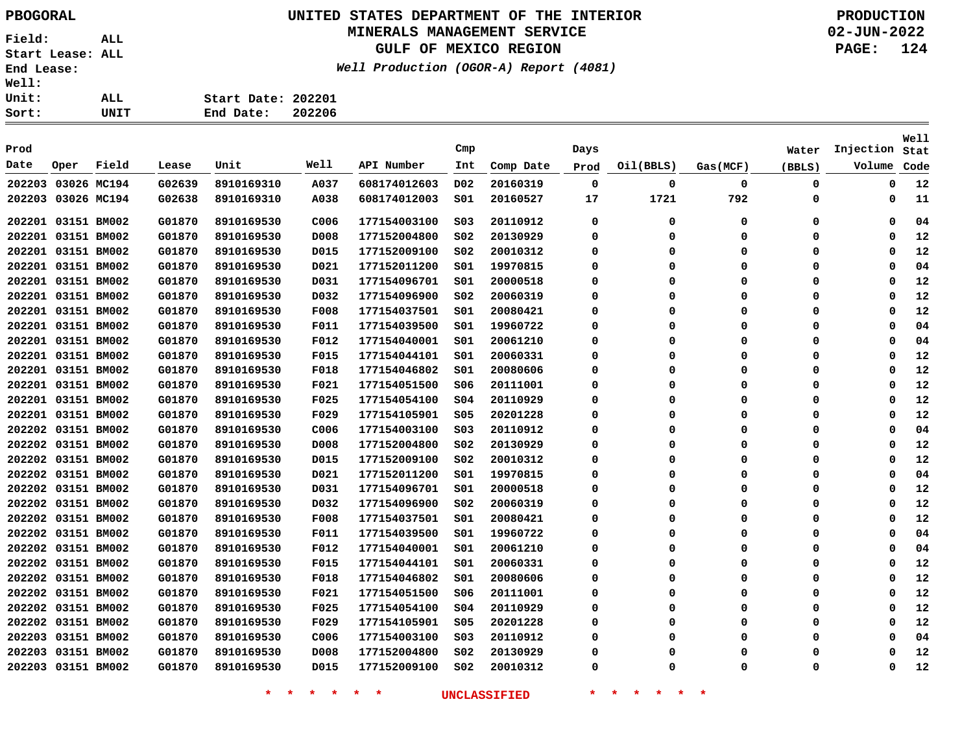# **UNITED STATES DEPARTMENT OF THE INTERIOR PBOGORAL PRODUCTION**

#### **MINERALS MANAGEMENT SERVICE**

**GULF OF MEXICO REGION**

**Well Production (OGOR-A) Report (4081)**

**02-JUN-2022 PAGE: 124**

| Well: |      |                    |        |
|-------|------|--------------------|--------|
| Unit: | ALL. | Start Date: 202201 |        |
| Sort: | UNIT | End Date:          | 202206 |

| Prod               |      |       |        |            |             |              | Cmp              |           | Days        |           |             | Water    | Injection | Well<br>Stat |
|--------------------|------|-------|--------|------------|-------------|--------------|------------------|-----------|-------------|-----------|-------------|----------|-----------|--------------|
| Date               | Oper | Field | Lease  | Unit       | Well        | API Number   | Int              | Comp Date |             | Oil(BBLS) | Gas(MCF)    |          | Volume    | Code         |
|                    |      |       |        |            |             |              |                  |           | Prod        |           |             | (BBLS)   |           |              |
| 202203 03026 MC194 |      |       | G02639 | 8910169310 | A037        | 608174012603 | D <sub>0</sub> 2 | 20160319  | $\mathbf 0$ | 0         | $\mathbf 0$ | 0        | 0         | 12           |
| 202203 03026 MC194 |      |       | G02638 | 8910169310 | A038        | 608174012003 | S01              | 20160527  | 17          | 1721      | 792         | 0        | 0         | 11           |
| 202201 03151 BM002 |      |       | G01870 | 8910169530 | C006        | 177154003100 | SO <sub>3</sub>  | 20110912  | 0           | 0         | $\mathbf 0$ | 0        | 0         | 04           |
| 202201 03151 BM002 |      |       | G01870 | 8910169530 | D008        | 177152004800 | SO <sub>2</sub>  | 20130929  | 0           | 0         | 0           | 0        | 0         | 12           |
| 202201 03151 BM002 |      |       | G01870 | 8910169530 | D015        | 177152009100 | S02              | 20010312  | 0           | $\Omega$  | $\Omega$    | 0        | 0         | 12           |
| 202201 03151 BM002 |      |       | G01870 | 8910169530 | D021        | 177152011200 | SO1              | 19970815  | 0           | $\Omega$  | 0           | 0        | 0         | 04           |
| 202201 03151 BM002 |      |       | G01870 | 8910169530 | D031        | 177154096701 | S01              | 20000518  | 0           | 0         | 0           | 0        | 0         | 12           |
| 202201 03151 BM002 |      |       | G01870 | 8910169530 | D032        | 177154096900 | SO <sub>2</sub>  | 20060319  | 0           | $\Omega$  | $\Omega$    | $\Omega$ | 0         | 12           |
| 202201 03151 BM002 |      |       | G01870 | 8910169530 | <b>F008</b> | 177154037501 | SO1              | 20080421  | 0           | $\Omega$  | $\Omega$    | $\Omega$ | 0         | 12           |
| 202201 03151 BM002 |      |       | G01870 | 8910169530 | F011        | 177154039500 | SO1              | 19960722  | $\Omega$    | $\Omega$  | $\Omega$    | $\Omega$ | 0         | 04           |
| 202201 03151 BM002 |      |       | G01870 | 8910169530 | F012        | 177154040001 | SO1              | 20061210  | $\Omega$    | $\Omega$  | $\Omega$    | 0        | 0         | 04           |
| 202201 03151 BM002 |      |       | G01870 | 8910169530 | F015        | 177154044101 | SO1              | 20060331  | 0           | $\Omega$  | $\Omega$    | $\Omega$ | 0         | 12           |
| 202201 03151 BM002 |      |       | G01870 | 8910169530 | <b>F018</b> | 177154046802 | S01              | 20080606  | 0           | 0         | $\Omega$    | O        | 0         | 12           |
| 202201 03151 BM002 |      |       | G01870 | 8910169530 | F021        | 177154051500 | S06              | 20111001  | 0           | $\Omega$  | $\Omega$    | $\Omega$ | 0         | 12           |
| 202201 03151 BM002 |      |       | G01870 | 8910169530 | F025        | 177154054100 | SO <sub>4</sub>  | 20110929  | 0           | $\Omega$  | 0           | $\Omega$ | 0         | 12           |
| 202201 03151 BM002 |      |       | G01870 | 8910169530 | F029        | 177154105901 | SO <sub>5</sub>  | 20201228  | 0           | $\Omega$  | $\Omega$    | 0        | 0         | 12           |
| 202202 03151 BM002 |      |       | G01870 | 8910169530 | C006        | 177154003100 | SO <sub>3</sub>  | 20110912  | 0           | $\Omega$  | 0           | $\Omega$ | 0         | 04           |
| 202202 03151 BM002 |      |       | G01870 | 8910169530 | D008        | 177152004800 | SO <sub>2</sub>  | 20130929  | 0           | O         | $\Omega$    | $\Omega$ | 0         | 12           |
| 202202 03151 BM002 |      |       | G01870 | 8910169530 | D015        | 177152009100 | SO <sub>2</sub>  | 20010312  | 0           | $\Omega$  | $\Omega$    | $\Omega$ | 0         | 12           |
| 202202 03151 BM002 |      |       | G01870 | 8910169530 | D021        | 177152011200 | 501              | 19970815  | 0           | 0         | 0           | $\Omega$ | 0         | 04           |
| 202202 03151 BM002 |      |       | G01870 | 8910169530 | D031        | 177154096701 | 501              | 20000518  | 0           | $\Omega$  | $\Omega$    | 0        | 0         | 12           |
| 202202 03151 BM002 |      |       | G01870 | 8910169530 | D032        | 177154096900 | SO <sub>2</sub>  | 20060319  | 0           | $\Omega$  | $\Omega$    | 0        | 0         | 12           |
| 202202 03151 BM002 |      |       | G01870 | 8910169530 | <b>F008</b> | 177154037501 | S01              | 20080421  | 0           | 0         | 0           | 0        | 0         | 12           |
| 202202 03151 BM002 |      |       | G01870 | 8910169530 | F011        | 177154039500 | 501              | 19960722  | $\Omega$    | $\Omega$  | $\Omega$    | 0        | 0         | 04           |
| 202202 03151 BM002 |      |       | G01870 | 8910169530 | F012        | 177154040001 | 501              | 20061210  | 0           | $\Omega$  | $\mathbf 0$ | 0        | 0         | 04           |
| 202202 03151 BM002 |      |       | G01870 | 8910169530 | <b>F015</b> | 177154044101 | S01              | 20060331  | 0           | $\Omega$  | $\Omega$    | 0        | 0         | 12           |
| 202202 03151 BM002 |      |       | G01870 | 8910169530 | F018        | 177154046802 | SO1              | 20080606  | 0           | $\Omega$  | $\Omega$    | 0        | 0         | 12           |
| 202202 03151 BM002 |      |       | G01870 | 8910169530 | F021        | 177154051500 | S06              | 20111001  | 0           | $\Omega$  | 0           | 0        | 0         | 12           |
| 202202 03151 BM002 |      |       | G01870 | 8910169530 | F025        | 177154054100 | SO <sub>4</sub>  | 20110929  | 0           | $\Omega$  | $\Omega$    | 0        | 0         | 12           |
| 202202 03151 BM002 |      |       | G01870 | 8910169530 | F029        | 177154105901 | SO <sub>5</sub>  | 20201228  | 0           | $\Omega$  | 0           | 0        | 0         | 12           |
| 202203 03151 BM002 |      |       | G01870 | 8910169530 | C006        | 177154003100 | S03              | 20110912  | 0           | 0         | 0           | 0        | 0         | 04           |
| 202203 03151 BM002 |      |       | G01870 | 8910169530 | D008        | 177152004800 | SO <sub>2</sub>  | 20130929  | 0           | O         | $\Omega$    | O        | 0         | 12           |
| 202203 03151 BM002 |      |       | G01870 | 8910169530 | D015        | 177152009100 | SO <sub>2</sub>  | 20010312  | 0           | 0         | $\Omega$    | 0        | 0         | 12           |
|                    |      |       |        |            |             |              |                  |           |             |           |             |          |           |              |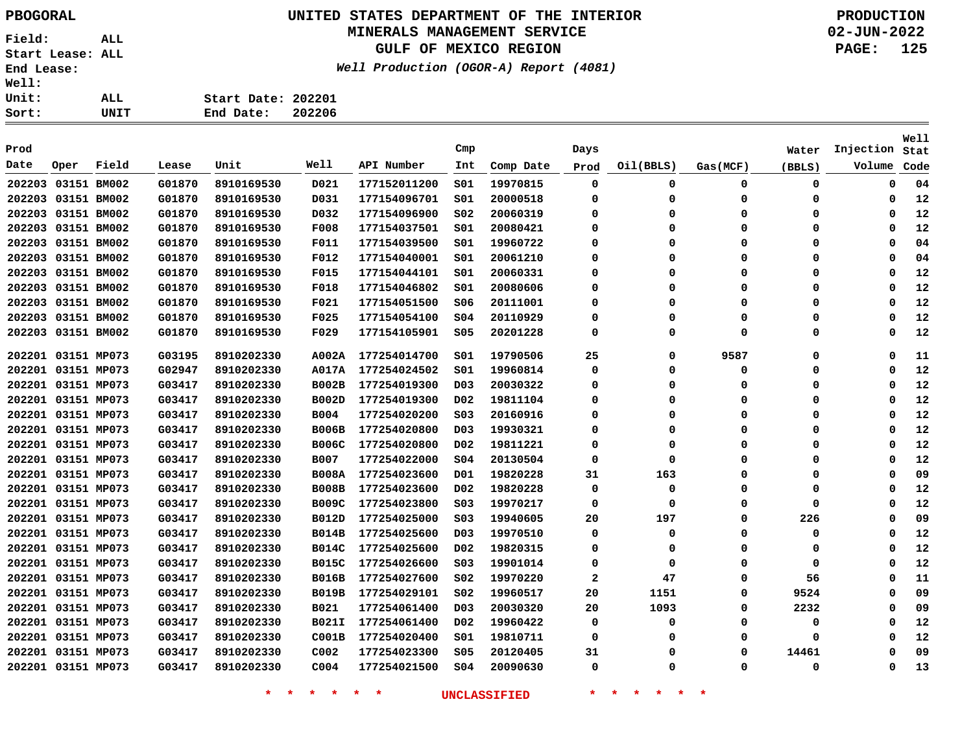# **UNITED STATES DEPARTMENT OF THE INTERIOR PBOGORAL PRODUCTION**

#### **MINERALS MANAGEMENT SERVICE**

**GULF OF MEXICO REGION**

**Well Production (OGOR-A) Report (4081)**

**02-JUN-2022 PAGE: 125**

| Ll: |      |                    |        |
|-----|------|--------------------|--------|
| Lt: | ALL  | Start Date: 202201 |        |
| :t: | UNIT | End Date:          | 202206 |

| Prod               |                    |       |        |            |                  |              | Cmp              |           | Days         |           |           | Water       | Injection   | Well<br>Stat |
|--------------------|--------------------|-------|--------|------------|------------------|--------------|------------------|-----------|--------------|-----------|-----------|-------------|-------------|--------------|
| Date               | Oper               | Field | Lease  | Unit       | Well             | API Number   | Int              | Comp Date | Prod         | Oil(BBLS) | Gas (MCF) | (BBLS)      | Volume      | Code         |
| 202203             | 03151 BM002        |       | G01870 | 8910169530 | D021             | 177152011200 | SO1              | 19970815  | 0            | 0         | 0         | 0           | 0           | 04           |
| 202203             | 03151 BM002        |       | G01870 | 8910169530 | D031             | 177154096701 | SO1              | 20000518  | $\mathbf 0$  | $\Omega$  | 0         | 0           | 0           | 12           |
| 202203             | 03151 BM002        |       | G01870 | 8910169530 | D032             | 177154096900 | SO <sub>2</sub>  | 20060319  | 0            | $\Omega$  | $\Omega$  | 0           | $\Omega$    | 12           |
|                    | 202203 03151 BM002 |       | G01870 | 8910169530 | <b>F008</b>      | 177154037501 | S01              | 20080421  | 0            | $\Omega$  | $\Omega$  | 0           | $\Omega$    | 12           |
| 202203 03151 BM002 |                    |       | G01870 | 8910169530 | <b>F011</b>      | 177154039500 | S01              | 19960722  | $\Omega$     | $\Omega$  | $\Omega$  | 0           | $\Omega$    | 04           |
| 202203 03151 BM002 |                    |       | G01870 | 8910169530 | F012             | 177154040001 | s01              | 20061210  | $\Omega$     | $\Omega$  | $\Omega$  | 0           | $\Omega$    | 04           |
| 202203 03151 BM002 |                    |       | G01870 | 8910169530 | F015             | 177154044101 | SO1              | 20060331  | 0            | $\Omega$  | 0         | 0           | $\Omega$    | 12           |
| 202203 03151 BM002 |                    |       | G01870 | 8910169530 | F018             | 177154046802 | SO1              | 20080606  | 0            | $\Omega$  | 0         | 0           | $\Omega$    | 12           |
| 202203 03151 BM002 |                    |       | G01870 | 8910169530 | F021             | 177154051500 | S06              | 20111001  | 0            | $\Omega$  | 0         | 0           | $\Omega$    | 12           |
| 202203 03151 BM002 |                    |       | G01870 | 8910169530 | F025             | 177154054100 | \$04             | 20110929  | $\mathbf 0$  | $\Omega$  | $\Omega$  | $\mathbf 0$ | $\Omega$    | 12           |
| 202203             | 03151 BM002        |       | G01870 | 8910169530 | F029             | 177154105901 | \$05             | 20201228  | $\mathbf 0$  | $\Omega$  | $\Omega$  | $\mathbf 0$ | $\mathbf 0$ | 12           |
| 202201 03151 MP073 |                    |       | G03195 | 8910202330 | A002A            | 177254014700 | SO1              | 19790506  | 25           | $\Omega$  | 9587      | 0           | $\mathbf 0$ | 11           |
| 202201 03151 MP073 |                    |       | G02947 | 8910202330 | A017A            | 177254024502 | SO1              | 19960814  | 0            | $\Omega$  | 0         | 0           | 0           | 12           |
| 202201 03151 MP073 |                    |       | G03417 | 8910202330 | <b>B002B</b>     | 177254019300 | D <sub>0</sub> 3 | 20030322  | $\Omega$     | $\Omega$  | $\Omega$  | 0           | $\Omega$    | 12           |
|                    | 202201 03151 MP073 |       | G03417 | 8910202330 | <b>B002D</b>     | 177254019300 | D <sub>0</sub> 2 | 19811104  | $\Omega$     | $\Omega$  | $\Omega$  | 0           | $\Omega$    | 12           |
|                    | 202201 03151 MP073 |       | G03417 | 8910202330 | B004             | 177254020200 | SO <sub>3</sub>  | 20160916  | 0            | $\Omega$  | $\Omega$  | 0           | 0           | 12           |
| 202201 03151 MP073 |                    |       | G03417 | 8910202330 | <b>B006B</b>     | 177254020800 | D <sub>03</sub>  | 19930321  | 0            | $\Omega$  | $\Omega$  | 0           | 0           | 12           |
| 202201 03151 MP073 |                    |       | G03417 | 8910202330 | <b>B006C</b>     | 177254020800 | DO <sub>2</sub>  | 19811221  | 0            | $\Omega$  | $\Omega$  | 0           | $\Omega$    | 12           |
| 202201 03151 MP073 |                    |       | G03417 | 8910202330 | <b>B007</b>      | 177254022000 | SO <sub>4</sub>  | 20130504  | 0            | $\Omega$  | 0         | 0           | 0           | 12           |
| 202201 03151 MP073 |                    |       | G03417 | 8910202330 | <b>B008A</b>     | 177254023600 | D01              | 19820228  | 31           | 163       | 0         | 0           | 0           | 09           |
| 202201 03151 MP073 |                    |       | G03417 | 8910202330 | <b>B008B</b>     | 177254023600 | D02              | 19820228  | 0            | 0         | 0         | 0           | 0           | 12           |
| 202201 03151 MP073 |                    |       | G03417 | 8910202330 | <b>B009C</b>     | 177254023800 | SO <sub>3</sub>  | 19970217  | $\mathbf 0$  | $\Omega$  | $\Omega$  | $\mathbf 0$ | $\Omega$    | 12           |
| 202201 03151 MP073 |                    |       | G03417 | 8910202330 | <b>B012D</b>     | 177254025000 | SO <sub>3</sub>  | 19940605  | 20           | 197       | 0         | 226         | 0           | 09           |
| 202201 03151 MP073 |                    |       | G03417 | 8910202330 | <b>B014B</b>     | 177254025600 | D <sub>03</sub>  | 19970510  | 0            | 0         | $\Omega$  | 0           | 0           | 12           |
| 202201 03151 MP073 |                    |       | G03417 | 8910202330 | <b>B014C</b>     | 177254025600 | DO <sub>2</sub>  | 19820315  | 0            | 0         | 0         | 0           | 0           | 12           |
| 202201 03151 MP073 |                    |       | G03417 | 8910202330 | <b>B015C</b>     | 177254026600 | SO <sub>3</sub>  | 19901014  | 0            | 0         | $\Omega$  | $\mathbf 0$ | $\Omega$    | 12           |
| 202201 03151 MP073 |                    |       | G03417 | 8910202330 | <b>B016B</b>     | 177254027600 | S02              | 19970220  | $\mathbf{2}$ | 47        | 0         | 56          | $\Omega$    | 11           |
| 202201 03151 MP073 |                    |       | G03417 | 8910202330 | <b>B019B</b>     | 177254029101 | SO <sub>2</sub>  | 19960517  | 20           | 1151      | 0         | 9524        | $\Omega$    | 09           |
| 202201 03151 MP073 |                    |       | G03417 | 8910202330 | <b>B021</b>      | 177254061400 | D <sub>0</sub> 3 | 20030320  | 20           | 1093      | 0         | 2232        | 0           | 09           |
| 202201 03151 MP073 |                    |       | G03417 | 8910202330 | <b>B021I</b>     | 177254061400 | D <sub>0</sub> 2 | 19960422  | $\mathbf 0$  | $\Omega$  | $\Omega$  | $\mathbf 0$ | $\Omega$    | 12           |
| 202201 03151 MP073 |                    |       | G03417 | 8910202330 | C001B            | 177254020400 | S01              | 19810711  | $\mathbf 0$  | $\Omega$  | $\Omega$  | 0           | $\Omega$    | 12           |
|                    | 202201 03151 MP073 |       | G03417 | 8910202330 | C002             | 177254023300 | \$05             | 20120405  | 31           | $\Omega$  | $\Omega$  | 14461       | $\Omega$    | 09           |
|                    | 202201 03151 MP073 |       | G03417 | 8910202330 | C <sub>004</sub> | 177254021500 | s04              | 20090630  | $\mathbf 0$  | $\Omega$  | $\Omega$  | 0           | $\Omega$    | 13           |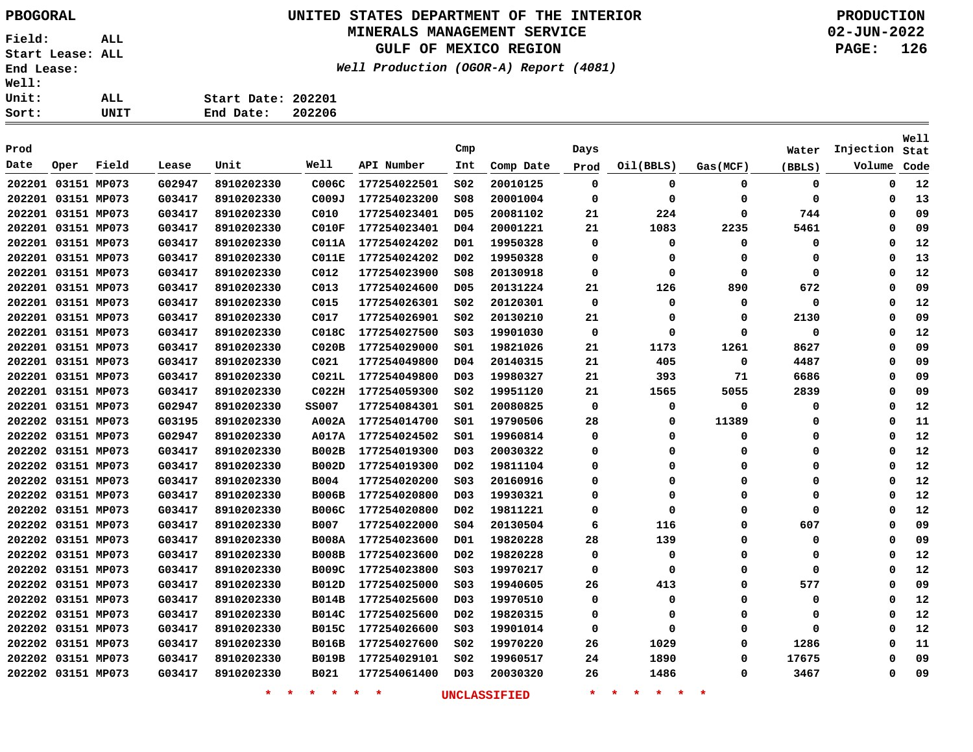# **UNITED STATES DEPARTMENT OF THE INTERIOR PBOGORAL PRODUCTION**

#### **MINERALS MANAGEMENT SERVICE**

**GULF OF MEXICO REGION**

**Well Production (OGOR-A) Report (4081)**

| Ll: |      |                    |        |
|-----|------|--------------------|--------|
| Lt: | ALL  | Start Date: 202201 |        |
| :t: | UNIT | End Date:          | 202206 |

| Prod               |      |       |        |                    |                   |                    | Cmp              |                     | Days        |                                      |          | Water  | Injection | <b>Well</b><br>Stat |
|--------------------|------|-------|--------|--------------------|-------------------|--------------------|------------------|---------------------|-------------|--------------------------------------|----------|--------|-----------|---------------------|
| Date               | Oper | Field | Lease  | Unit               | Well              | API Number         | Int              | Comp Date           | Prod        | Oil(BBLS)                            | Gas(MCF) | (BBLS) | Volume    | Code                |
| 202201 03151 MP073 |      |       | G02947 | 8910202330         | C006C             | 177254022501       | SO <sub>2</sub>  | 20010125            | 0           | 0                                    | 0        | 0      | 0         | 12                  |
| 202201 03151 MP073 |      |       | G03417 | 8910202330         | C009J             | 177254023200       | SO8              | 20001004            | 0           | 0                                    | 0        | 0      | 0         | 13                  |
| 202201 03151 MP073 |      |       | G03417 | 8910202330         | C010              | 177254023401       | D <sub>05</sub>  | 20081102            | 21          | 224                                  | 0        | 744    | $\Omega$  | 09                  |
| 202201 03151 MP073 |      |       | G03417 | 8910202330         | CO 10F            | 177254023401       | D <sub>04</sub>  | 20001221            | 21          | 1083                                 | 2235     | 5461   | $\Omega$  | 09                  |
| 202201 03151 MP073 |      |       | G03417 | 8910202330         | C011A             | 177254024202       | D01              | 19950328            | $\Omega$    | 0                                    | 0        | 0      | $\Omega$  | 12                  |
| 202201 03151 MP073 |      |       | G03417 | 8910202330         | CO11E             | 177254024202       | D <sub>0</sub> 2 | 19950328            | $\Omega$    | 0                                    | 0        | 0      | Ω         | 13                  |
| 202201 03151 MP073 |      |       | G03417 | 8910202330         | C012              | 177254023900       | \$08             | 20130918            | 0           | 0                                    | 0        | 0      | Ω         | 12                  |
| 202201 03151 MP073 |      |       | G03417 | 8910202330         | C013              | 177254024600       | D <sub>05</sub>  | 20131224            | 21          | 126                                  | 890      | 672    | Ω         | 09                  |
| 202201 03151 MP073 |      |       | G03417 | 8910202330         | C015              | 177254026301       | SO2              | 20120301            | 0           | 0                                    | 0        | 0      | 0         | 12                  |
| 202201 03151 MP073 |      |       | G03417 | 8910202330         | C017              | 177254026901       | SO <sub>2</sub>  | 20130210            | 21          | $\Omega$                             | 0        | 2130   | 0         | 09                  |
| 202201 03151 MP073 |      |       | G03417 | 8910202330         | C018C             | 177254027500       | SO <sub>3</sub>  | 19901030            | $\mathbf 0$ | $\Omega$                             | 0        | 0      | 0         | 12                  |
| 202201 03151 MP073 |      |       | G03417 | 8910202330         | CO20B             | 177254029000       | SO1              | 19821026            | 21          | 1173                                 | 1261     | 8627   | $\Omega$  | 09                  |
| 202201 03151 MP073 |      |       | G03417 | 8910202330         | C021              | 177254049800       | D04              | 20140315            | 21          | 405                                  | 0        | 4487   | 0         | 09                  |
| 202201 03151 MP073 |      |       | G03417 | 8910202330         | C021L             | 177254049800       | D <sub>03</sub>  | 19980327            | 21          | 393                                  | 71       | 6686   | Ω         | 09                  |
| 202201 03151 MP073 |      |       | G03417 | 8910202330         | CO <sub>22H</sub> | 177254059300       | SO <sub>2</sub>  | 19951120            | 21          | 1565                                 | 5055     | 2839   | Ω         | 09                  |
| 202201 03151 MP073 |      |       | G02947 | 8910202330         | <b>SS007</b>      | 177254084301       | SO1              | 20080825            | $\Omega$    | 0                                    | 0        | 0      | 0         | 12                  |
| 202202 03151 MP073 |      |       | G03195 | 8910202330         | A002A             | 177254014700       | SO1              | 19790506            | 28          | 0                                    | 11389    | 0      | 0         | 11                  |
| 202202 03151 MP073 |      |       | G02947 | 8910202330         | A017A             | 177254024502       | S01              | 19960814            | 0           | 0                                    | 0        | 0      | 0         | 12                  |
| 202202 03151 MP073 |      |       | G03417 | 8910202330         | <b>B002B</b>      | 177254019300       | D <sub>03</sub>  | 20030322            | 0           | 0                                    | 0        | 0      | 0         | 12                  |
| 202202 03151 MP073 |      |       | G03417 | 8910202330         | <b>B002D</b>      | 177254019300       | D02              | 19811104            | 0           | 0                                    | 0        | 0      | 0         | 12                  |
| 202202 03151 MP073 |      |       | G03417 | 8910202330         | <b>B004</b>       | 177254020200       | SO <sub>3</sub>  | 20160916            | 0           | 0                                    | 0        | 0      | 0         | 12                  |
| 202202 03151 MP073 |      |       | G03417 | 8910202330         | <b>B006B</b>      | 177254020800       | D <sub>03</sub>  | 19930321            | $\Omega$    | 0                                    | 0        | 0      | $\Omega$  | 12                  |
| 202202 03151 MP073 |      |       | G03417 | 8910202330         | <b>B006C</b>      | 177254020800       | D02              | 19811221            | 0           | 0                                    | 0        | 0      | Ω         | 12                  |
| 202202 03151 MP073 |      |       | G03417 | 8910202330         | <b>B007</b>       | 177254022000       | S04              | 20130504            | 6           | 116                                  | 0        | 607    | 0         | 09                  |
| 202202 03151 MP073 |      |       | G03417 | 8910202330         | <b>B008A</b>      | 177254023600       | D01              | 19820228            | 28          | 139                                  | 0        | 0      | 0         | 09                  |
| 202202 03151 MP073 |      |       | G03417 | 8910202330         | <b>B008B</b>      | 177254023600       | D02              | 19820228            | 0           | 0                                    | 0        | 0      | 0         | 12                  |
| 202202 03151 MP073 |      |       | G03417 | 8910202330         | <b>B009C</b>      | 177254023800       | S03              | 19970217            | 0           | 0                                    | 0        | 0      | 0         | 12                  |
| 202202 03151 MP073 |      |       | G03417 | 8910202330         | <b>B012D</b>      | 177254025000       | S03              | 19940605            | 26          | 413                                  | 0        | 577    | 0         | 09                  |
| 202202 03151 MP073 |      |       | G03417 | 8910202330         | <b>B014B</b>      | 177254025600       | D <sub>0</sub> 3 | 19970510            | 0           | 0                                    | 0        | 0      | 0         | 12                  |
| 202202 03151 MP073 |      |       | G03417 | 8910202330         | B014C             | 177254025600       | D02              | 19820315            | 0           | 0                                    | 0        | 0      | Ω         | 12                  |
| 202202 03151 MP073 |      |       | G03417 | 8910202330         | <b>B015C</b>      | 177254026600       | S03              | 19901014            | 0           | 0                                    | 0        | 0      | 0         | 12                  |
| 202202 03151 MP073 |      |       | G03417 | 8910202330         | <b>B016B</b>      | 177254027600       | S02              | 19970220            | 26          | 1029                                 | 0        | 1286   | 0         | 11                  |
| 202202 03151 MP073 |      |       | G03417 | 8910202330         | <b>B019B</b>      | 177254029101       | S02              | 19960517            | 24          | 1890                                 | 0        | 17675  | Ω         | 09                  |
| 202202 03151 MP073 |      |       | G03417 | 8910202330         | B021              | 177254061400       | D <sub>0</sub> 3 | 20030320            | 26          | 1486                                 | 0        | 3467   | Ω         | 09                  |
|                    |      |       |        | $\star$<br>$\star$ | $\star$ $\star$   | $\star$<br>$\star$ |                  | <b>UNCLASSIFIED</b> | $\star$     | $\star$<br>一米。<br>$\star$<br>$\star$ | -sk      |        |           |                     |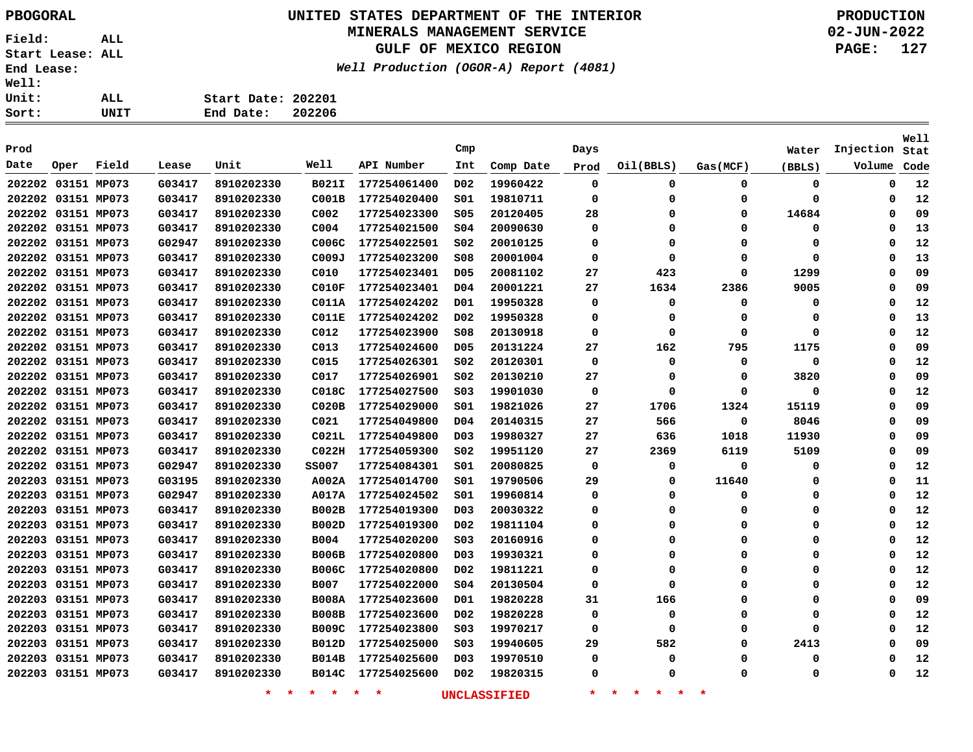## **UNITED STATES DEPARTMENT OF THE INTERIOR PBOGORAL PRODUCTION**

#### **MINERALS MANAGEMENT SERVICE**

**GULF OF MEXICO REGION**

**Well Production (OGOR-A) Report (4081)**

| . : |      |                    |        |
|-----|------|--------------------|--------|
| : : | ALL. | Start Date: 202201 |        |
| : : | UNIT | End Date:          | 202206 |

| Prod               |      |             |        |                    |                  |                    | Cmp              |                     | Days        |                                 |             | Water    | Injection | Well<br>Stat |
|--------------------|------|-------------|--------|--------------------|------------------|--------------------|------------------|---------------------|-------------|---------------------------------|-------------|----------|-----------|--------------|
| Date               | Oper | Field       | Lease  | Unit               | Well             | API Number         | Int              | Comp Date           | Prod        | Oil(BBLS)                       | Gas(MCF)    | (BBLS)   | Volume    | Code         |
| 202202 03151 MP073 |      |             | G03417 | 8910202330         | <b>B021I</b>     | 177254061400       | D <sub>0</sub> 2 | 19960422            | $\mathbf 0$ | 0                               | $\mathbf 0$ | 0        | 0         | 12           |
| 202202 03151 MP073 |      |             | G03417 | 8910202330         | COOIB            | 177254020400       | 501              | 19810711            | 0           | 0                               | 0           | 0        | 0         | 12           |
| 202202 03151 MP073 |      |             | G03417 | 8910202330         | C002             | 177254023300       | <b>S05</b>       | 20120405            | 28          | $\Omega$                        | $\Omega$    | 14684    | 0         | 09           |
| 202202 03151 MP073 |      |             | G03417 | 8910202330         | C <sub>004</sub> | 177254021500       | S04              | 20090630            | 0           | $\mathbf 0$                     | $\Omega$    | 0        | $\Omega$  | 13           |
| 202202 03151 MP073 |      |             | G02947 | 8910202330         | C006C            | 177254022501       | SO <sub>2</sub>  | 20010125            | 0           | $\mathbf 0$                     | $\Omega$    | $\Omega$ | $\Omega$  | 12           |
| 202202 03151 MP073 |      |             | G03417 | 8910202330         | C009J            | 177254023200       | <b>S08</b>       | 20001004            | 0           | 0                               | $\Omega$    | 0        | $\Omega$  | 13           |
| 202202 03151 MP073 |      |             | G03417 | 8910202330         | C010             | 177254023401       | D <sub>05</sub>  | 20081102            | 27          | 423                             | $\Omega$    | 1299     | $\Omega$  | 09           |
| 202202 03151 MP073 |      |             | G03417 | 8910202330         | CO 10F           | 177254023401       | D04              | 20001221            | 27          | 1634                            | 2386        | 9005     | $\Omega$  | 09           |
| 202202 03151 MP073 |      |             | G03417 | 8910202330         | C011A            | 177254024202       | D01              | 19950328            | 0           | 0                               | 0           | 0        | $\Omega$  | 12           |
| 202202 03151 MP073 |      |             | G03417 | 8910202330         | <b>C011E</b>     | 177254024202       | D02              | 19950328            | 0           | 0                               | $\Omega$    | 0        | $\Omega$  | 13           |
| 202202 03151 MP073 |      |             | G03417 | 8910202330         | C012             | 177254023900       | \$08             | 20130918            | 0           | 0                               | 0           | 0        | $\Omega$  | 12           |
| 202202 03151 MP073 |      |             | G03417 | 8910202330         | C013             | 177254024600       | D <sub>05</sub>  | 20131224            | 27          | 162                             | 795         | 1175     | 0         | 09           |
| 202202 03151 MP073 |      |             | G03417 | 8910202330         | C015             | 177254026301       | S02              | 20120301            | 0           | 0                               | 0           | 0        | $\Omega$  | 12           |
| 202202 03151 MP073 |      |             | G03417 | 8910202330         | C017             | 177254026901       | S02              | 20130210            | 27          | 0                               | $\Omega$    | 3820     | $\Omega$  | 09           |
| 202202 03151 MP073 |      |             | G03417 | 8910202330         | C018C            | 177254027500       | S03              | 19901030            | $\mathbf 0$ | 0                               | 0           | 0        | $\Omega$  | 12           |
| 202202 03151 MP073 |      |             | G03417 | 8910202330         | CO20B            | 177254029000       | s01              | 19821026            | 27          | 1706                            | 1324        | 15119    | $\Omega$  | 09           |
| 202202 03151 MP073 |      |             | G03417 | 8910202330         | C021             | 177254049800       | D04              | 20140315            | 27          | 566                             | 0           | 8046     | 0         | 09           |
| 202202 03151 MP073 |      |             | G03417 | 8910202330         | C021L            | 177254049800       | D <sub>03</sub>  | 19980327            | 27          | 636                             | 1018        | 11930    | 0         | 09           |
| 202202 03151 MP073 |      |             | G03417 | 8910202330         | CO22H            | 177254059300       | S02              | 19951120            | 27          | 2369                            | 6119        | 5109     | 0         | 09           |
| 202202 03151 MP073 |      |             | G02947 | 8910202330         | <b>SS007</b>     | 177254084301       | S01              | 20080825            | 0           | 0                               | 0           | 0        | 0         | 12           |
| 202203 03151 MP073 |      |             | G03195 | 8910202330         | A002A            | 177254014700       | S01              | 19790506            | 29          | 0                               | 11640       | 0        | $\Omega$  | 11           |
| 202203 03151 MP073 |      |             | G02947 | 8910202330         | A017A            | 177254024502       | S01              | 19960814            | 0           | 0                               | 0           | 0        | 0         | 12           |
| 202203 03151 MP073 |      |             | G03417 | 8910202330         | <b>B002B</b>     | 177254019300       | D03              | 20030322            | 0           | 0                               | 0           | 0        | 0         | 12           |
| 202203 03151 MP073 |      |             | G03417 | 8910202330         | <b>B002D</b>     | 177254019300       | D02              | 19811104            | 0           | 0                               | 0           | 0        | 0         | 12           |
| 202203 03151 MP073 |      |             | G03417 | 8910202330         | <b>B004</b>      | 177254020200       | SO <sub>3</sub>  | 20160916            | 0           | $\mathbf 0$                     | 0           | 0        | $\Omega$  | 12           |
| 202203 03151 MP073 |      |             | G03417 | 8910202330         | <b>B006B</b>     | 177254020800       | DO <sub>3</sub>  | 19930321            | 0           | 0                               | 0           | 0        | $\Omega$  | 12           |
| 202203 03151 MP073 |      |             | G03417 | 8910202330         | <b>B006C</b>     | 177254020800       | D02              | 19811221            | 0           | 0                               | 0           | 0        | 0         | 12           |
| 202203             |      | 03151 MP073 | G03417 | 8910202330         | <b>B007</b>      | 177254022000       | SO <sub>4</sub>  | 20130504            | 0           | 0                               | 0           | 0        | 0         | 12           |
| 202203             |      | 03151 MP073 | G03417 | 8910202330         | <b>B008A</b>     | 177254023600       | D01              | 19820228            | 31          | 166                             | 0           | 0        | 0         | 09           |
| 202203 03151 MP073 |      |             | G03417 | 8910202330         | <b>B008B</b>     | 177254023600       | D02              | 19820228            | 0           | 0                               | 0           | 0        | 0         | 12           |
| 202203 03151 MP073 |      |             | G03417 | 8910202330         | <b>B009C</b>     | 177254023800       | SO <sub>3</sub>  | 19970217            | 0           | 0                               | $\Omega$    | 0        | 0         | 12           |
| 202203 03151 MP073 |      |             | G03417 | 8910202330         | <b>B012D</b>     | 177254025000       | S03              | 19940605            | 29          | 582                             | $\Omega$    | 2413     | 0         | 09           |
| 202203 03151 MP073 |      |             | G03417 | 8910202330         | <b>B014B</b>     | 177254025600       | D <sub>03</sub>  | 19970510            | 0           | 0                               | 0           | 0        | 0         | 12           |
| 202203 03151 MP073 |      |             | G03417 | 8910202330         | B014C            | 177254025600       | D02              | 19820315            | 0           | Ω                               | $\Omega$    | 0        | 0         | 12           |
|                    |      |             |        | $\star$<br>$\star$ | $\star$ $\star$  | $\star$<br>$\star$ |                  | <b>UNCLASSIFIED</b> | $\star$     | $\star$<br>一大<br>一米。<br>$\star$ | $\ast$      |          |           |              |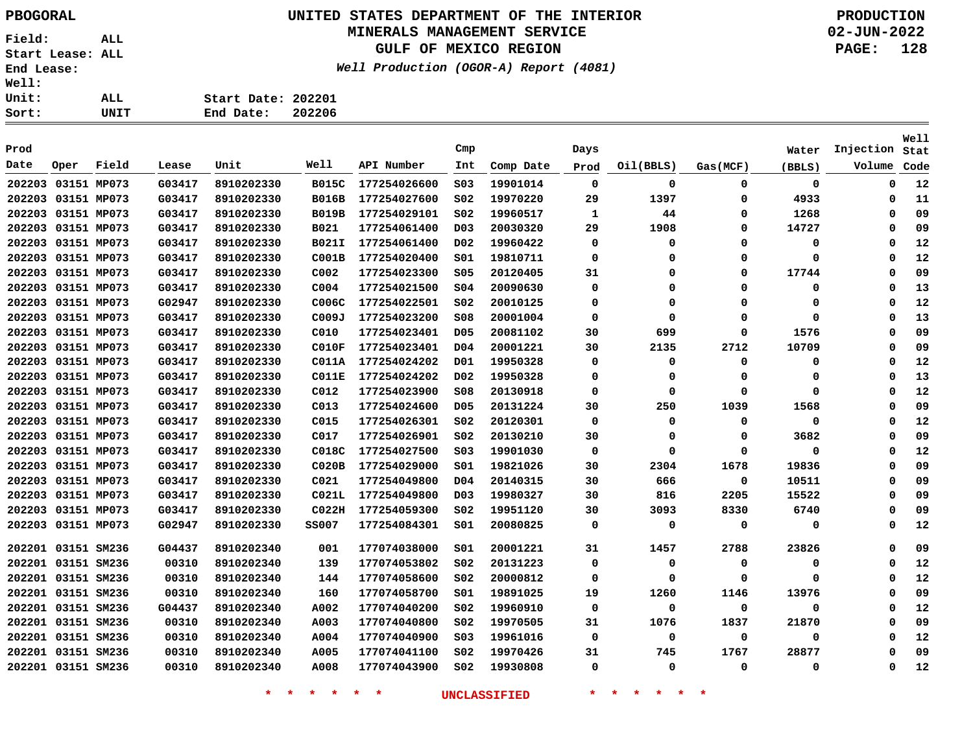# **UNITED STATES DEPARTMENT OF THE INTERIOR PBOGORAL PRODUCTION**

### **MINERALS MANAGEMENT SERVICE**

**GULF OF MEXICO REGION**

**Well Production (OGOR-A) Report (4081)**

**02-JUN-2022 PAGE: 128**

| ALL. | Start Date: 202201  |  |
|------|---------------------|--|
| UNIT | 202206<br>End Date: |  |

| Prod               |                    |             |        |            |                   |              | Cmp              |           | Days |           |          | Water    | Injection   | Well<br>Stat |
|--------------------|--------------------|-------------|--------|------------|-------------------|--------------|------------------|-----------|------|-----------|----------|----------|-------------|--------------|
| Date               | Oper               | Field       | Lease  | Unit       | Well              | API Number   | Int              | Comp Date | Prod | Oil(BBLS) | Gas(MCF) | (BBLS)   | Volume      | Code         |
| 202203             |                    | 03151 MP073 | G03417 | 8910202330 | <b>B015C</b>      | 177254026600 | S03              | 19901014  | 0    | 0         | 0        | 0        | 0           | 12           |
|                    | 202203 03151 MP073 |             | G03417 | 8910202330 | <b>B016B</b>      | 177254027600 | SO <sub>2</sub>  | 19970220  | 29   | 1397      | 0        | 4933     | $\mathbf 0$ | 11           |
|                    | 202203 03151 MP073 |             | G03417 | 8910202330 | <b>B019B</b>      | 177254029101 | SO <sub>2</sub>  | 19960517  | 1    | 44        | 0        | 1268     | 0           | 09           |
|                    | 202203 03151 MP073 |             | G03417 | 8910202330 | B021              | 177254061400 | D <sub>0</sub> 3 | 20030320  | 29   | 1908      | 0        | 14727    | 0           | 09           |
|                    | 202203 03151 MP073 |             | G03417 | 8910202330 | B021I             | 177254061400 | D02              | 19960422  | 0    | 0         | 0        | 0        | 0           | 12           |
|                    | 202203 03151 MP073 |             | G03417 | 8910202330 | C001B             | 177254020400 | s01              | 19810711  | 0    | 0         | 0        | $\Omega$ | $\Omega$    | 12           |
|                    | 202203 03151 MP073 |             | G03417 | 8910202330 | C002              | 177254023300 | S05              | 20120405  | 31   | 0         | 0        | 17744    | $\Omega$    | 09           |
|                    | 202203 03151 MP073 |             | G03417 | 8910202330 | C <sub>004</sub>  | 177254021500 | \$04             | 20090630  | 0    | 0         | 0        | 0        | 0           | 13           |
|                    | 202203 03151 MP073 |             | G02947 | 8910202330 | C006C             | 177254022501 | SO <sub>2</sub>  | 20010125  | 0    | 0         | 0        | 0        | 0           | 12           |
|                    | 202203 03151 MP073 |             | G03417 | 8910202330 | C009J             | 177254023200 | \$08             | 20001004  | 0    | 0         | $\Omega$ | 0        | $\Omega$    | 13           |
| 202203 03151 MP073 |                    |             | G03417 | 8910202330 | C010              | 177254023401 | D <sub>05</sub>  | 20081102  | 30   | 699       | 0        | 1576     | 0           | 09           |
|                    | 202203 03151 MP073 |             | G03417 | 8910202330 | <b>C010F</b>      | 177254023401 | D <sub>04</sub>  | 20001221  | 30   | 2135      | 2712     | 10709    | 0           | 09           |
| 202203             | 03151 MP073        |             | G03417 | 8910202330 | C011A             | 177254024202 | D01              | 19950328  | 0    | 0         | 0        | 0        | 0           | 12           |
| 202203             | 03151 MP073        |             | G03417 | 8910202330 | <b>C011E</b>      | 177254024202 | D02              | 19950328  | 0    | 0         | 0        | 0        | O           | 13           |
| 202203 03151 MP073 |                    |             | G03417 | 8910202330 | C012              | 177254023900 | S08              | 20130918  | 0    | 0         | 0        | $\Omega$ | $\Omega$    | 12           |
| 202203 03151 MP073 |                    |             | G03417 | 8910202330 | C013              | 177254024600 | D <sub>05</sub>  | 20131224  | 30   | 250       | 1039     | 1568     | $\Omega$    | 09           |
| 202203 03151 MP073 |                    |             | G03417 | 8910202330 | C015              | 177254026301 | SO <sub>2</sub>  | 20120301  | 0    | 0         | 0        | 0        | 0           | 12           |
| 202203 03151 MP073 |                    |             | G03417 | 8910202330 | C017              | 177254026901 | SO <sub>2</sub>  | 20130210  | 30   | 0         | 0        | 3682     | 0           | 09           |
| 202203 03151 MP073 |                    |             | G03417 | 8910202330 | C018C             | 177254027500 | SO <sub>3</sub>  | 19901030  | 0    | 0         | 0        | 0        | $\Omega$    | 12           |
| 202203 03151 MP073 |                    |             | G03417 | 8910202330 | CO20B             | 177254029000 | 501              | 19821026  | 30   | 2304      | 1678     | 19836    | $\Omega$    | 09           |
| 202203 03151 MP073 |                    |             | G03417 | 8910202330 | C021              | 177254049800 | D04              | 20140315  | 30   | 666       | 0        | 10511    | 0           | 09           |
| 202203 03151 MP073 |                    |             | G03417 | 8910202330 | CO <sub>21L</sub> | 177254049800 | D <sub>0</sub> 3 | 19980327  | 30   | 816       | 2205     | 15522    | 0           | 09           |
|                    | 202203 03151 MP073 |             | G03417 | 8910202330 | CO22H             | 177254059300 | SO <sub>2</sub>  | 19951120  | 30   | 3093      | 8330     | 6740     | $\Omega$    | 09           |
|                    | 202203 03151 MP073 |             | G02947 | 8910202330 | <b>SS007</b>      | 177254084301 | 501              | 20080825  | 0    | 0         | 0        | 0        | 0           | 12           |
| 202201 03151 SM236 |                    |             | G04437 | 8910202340 | 001               | 177074038000 | 501              | 20001221  | 31   | 1457      | 2788     | 23826    | 0           | 09           |
| 202201 03151 SM236 |                    |             | 00310  | 8910202340 | 139               | 177074053802 | SO <sub>2</sub>  | 20131223  | 0    | 0         | 0        | 0        | 0           | 12           |
| 202201 03151 SM236 |                    |             | 00310  | 8910202340 | 144               | 177074058600 | SO <sub>2</sub>  | 20000812  | 0    | 0         | 0        | $\Omega$ | 0           | 12           |
| 202201 03151 SM236 |                    |             | 00310  | 8910202340 | 160               | 177074058700 | 501              | 19891025  | 19   | 1260      | 1146     | 13976    | 0           | 09           |
| 202201 03151 SM236 |                    |             | G04437 | 8910202340 | A002              | 177074040200 | SO <sub>2</sub>  | 19960910  | 0    | 0         | 0        | 0        | 0           | 12           |
| 202201 03151 SM236 |                    |             | 00310  | 8910202340 | A003              | 177074040800 | SO <sub>2</sub>  | 19970505  | 31   | 1076      | 1837     | 21870    | $\Omega$    | 09           |
| 202201 03151 SM236 |                    |             | 00310  | 8910202340 | A004              | 177074040900 | SO <sub>3</sub>  | 19961016  | 0    | 0         | 0        | 0        | 0           | 12           |
|                    | 202201 03151 SM236 |             | 00310  | 8910202340 | A005              | 177074041100 | S02              | 19970426  | 31   | 745       | 1767     | 28877    | $\Omega$    | 09           |
|                    | 202201 03151 SM236 |             | 00310  | 8910202340 | A008              | 177074043900 | S02              | 19930808  | 0    | 0         | 0        | $\Omega$ | $\Omega$    | 12           |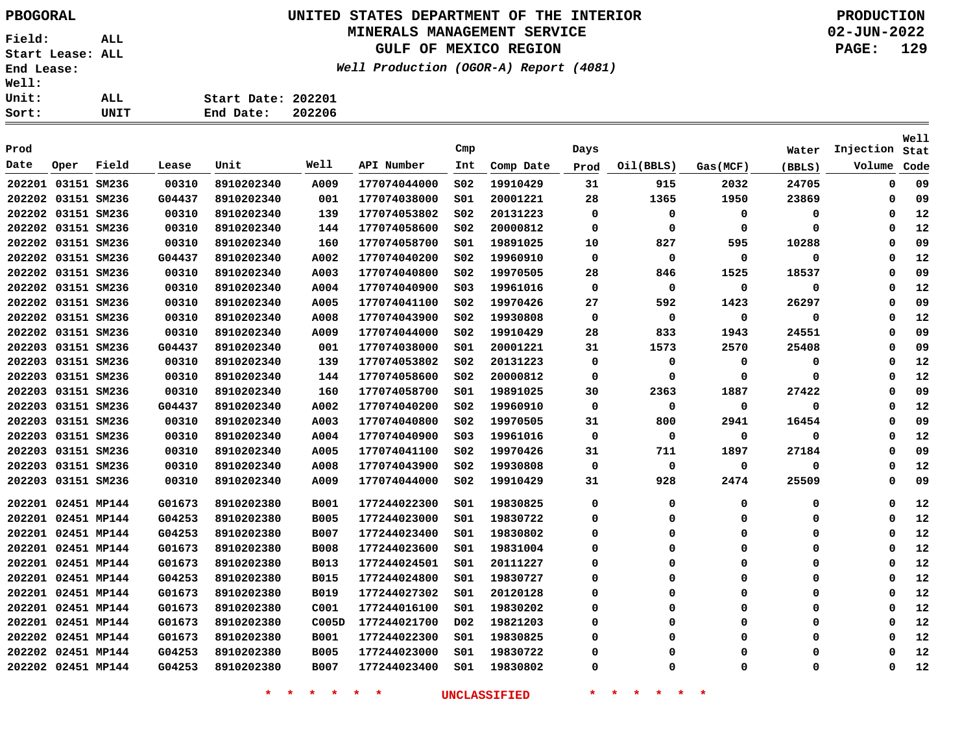# **UNITED STATES DEPARTMENT OF THE INTERIOR PBOGORAL PRODUCTION**

## **MINERALS MANAGEMENT SERVICE**

**GULF OF MEXICO REGION**

**Well Production (OGOR-A) Report (4081)**

**02-JUN-2022 PAGE: 129**

| t: | UNIT | End Date:          | 202206 |
|----|------|--------------------|--------|
| t: | ALL  | Start Date: 202201 |        |
| T: |      |                    |        |

| Prod               |                    |       |        |            |             |              | Cmp              |           | Days     |             |          | Water    | Injection   | Well<br>Stat |
|--------------------|--------------------|-------|--------|------------|-------------|--------------|------------------|-----------|----------|-------------|----------|----------|-------------|--------------|
| Date               | Oper               | Field | Lease  | Unit       | Well        | API Number   | Int              | Comp Date | Prod     | Oil(BBLS)   | Gas(MCF) | (BBLS)   | Volume      | Code         |
| 202201 03151 SM236 |                    |       | 00310  | 8910202340 | A009        | 177074044000 | SO <sub>2</sub>  | 19910429  | 31       | 915         | 2032     | 24705    | 0           | 09           |
| 202202 03151 SM236 |                    |       | G04437 | 8910202340 | 001         | 177074038000 | SO1              | 20001221  | 28       | 1365        | 1950     | 23869    | $\mathbf 0$ | 09           |
| 202202 03151 SM236 |                    |       | 00310  | 8910202340 | 139         | 177074053802 | SO <sub>2</sub>  | 20131223  | $\Omega$ | $\mathbf 0$ | $\Omega$ | 0        | 0           | 12           |
| 202202 03151 SM236 |                    |       | 00310  | 8910202340 | 144         | 177074058600 | SO <sub>2</sub>  | 20000812  | $\Omega$ | $\mathbf 0$ | $\Omega$ | 0        | 0           | 12           |
| 202202 03151 SM236 |                    |       | 00310  | 8910202340 | 160         | 177074058700 | SO1              | 19891025  | 10       | 827         | 595      | 10288    | $\Omega$    | 09           |
| 202202 03151 SM236 |                    |       | G04437 | 8910202340 | A002        | 177074040200 | SO <sub>2</sub>  | 19960910  | $\Omega$ | $\mathbf 0$ | $\Omega$ | 0        | $\Omega$    | 12           |
| 202202 03151 SM236 |                    |       | 00310  | 8910202340 | A003        | 177074040800 | SO <sub>2</sub>  | 19970505  | 28       | 846         | 1525     | 18537    | 0           | 09           |
| 202202 03151 SM236 |                    |       | 00310  | 8910202340 | A004        | 177074040900 | SO <sub>3</sub>  | 19961016  | 0        | 0           | 0        | 0        | 0           | 12           |
| 202202 03151 SM236 |                    |       | 00310  | 8910202340 | A005        | 177074041100 | SO <sub>2</sub>  | 19970426  | 27       | 592         | 1423     | 26297    | 0           | 09           |
| 202202 03151 SM236 |                    |       | 00310  | 8910202340 | A008        | 177074043900 | SO <sub>2</sub>  | 19930808  | $\Omega$ | $\mathbf 0$ | $\Omega$ | 0        | $\Omega$    | 12           |
| 202202 03151 SM236 |                    |       | 00310  | 8910202340 | A009        | 177074044000 | SO <sub>2</sub>  | 19910429  | 28       | 833         | 1943     | 24551    | $\Omega$    | 09           |
| 202203 03151 SM236 |                    |       | G04437 | 8910202340 | 001         | 177074038000 | SO1              | 20001221  | 31       | 1573        | 2570     | 25408    | 0           | 09           |
| 202203 03151 SM236 |                    |       | 00310  | 8910202340 | 139         | 177074053802 | SO <sub>2</sub>  | 20131223  | 0        | 0           | 0        | 0        | $\Omega$    | 12           |
| 202203 03151 SM236 |                    |       | 00310  | 8910202340 | 144         | 177074058600 | SO <sub>2</sub>  | 20000812  | $\Omega$ | 0           | $\Omega$ | 0        | $\Omega$    | 12           |
| 202203             | 03151 SM236        |       | 00310  | 8910202340 | 160         | 177074058700 | SO1              | 19891025  | 30       | 2363        | 1887     | 27422    | $\Omega$    | 09           |
| 202203             | 03151 SM236        |       | G04437 | 8910202340 | A002        | 177074040200 | SO <sub>2</sub>  | 19960910  | 0        | 0           | 0        | 0        | 0           | 12           |
| 202203             | 03151 SM236        |       | 00310  | 8910202340 | A003        | 177074040800 | SO <sub>2</sub>  | 19970505  | 31       | 800         | 2941     | 16454    | $\Omega$    | 09           |
| 202203             | 03151 SM236        |       | 00310  | 8910202340 | A004        | 177074040900 | S03              | 19961016  | $\Omega$ | 0           | 0        | 0        | $\Omega$    | 12           |
| 202203             | 03151 SM236        |       | 00310  | 8910202340 | A005        | 177074041100 | SO <sub>2</sub>  | 19970426  | 31       | 711         | 1897     | 27184    | $\Omega$    | 09           |
| 202203 03151 SM236 |                    |       | 00310  | 8910202340 | A008        | 177074043900 | SO <sub>2</sub>  | 19930808  | 0        | $\mathbf 0$ | 0        | 0        | $\Omega$    | 12           |
| 202203             | 03151 SM236        |       | 00310  | 8910202340 | A009        | 177074044000 | SO <sub>2</sub>  | 19910429  | 31       | 928         | 2474     | 25509    | $\Omega$    | 09           |
| 202201 02451 MP144 |                    |       | G01673 | 8910202380 | <b>B001</b> | 177244022300 | 501              | 19830825  | $\Omega$ | $\mathbf 0$ | 0        | 0        | $\mathbf 0$ | 12           |
| 202201 02451 MP144 |                    |       | G04253 | 8910202380 | <b>B005</b> | 177244023000 | SO1              | 19830722  | 0        | $\mathbf 0$ | 0        | 0        | $\Omega$    | 12           |
| 202201 02451 MP144 |                    |       | G04253 | 8910202380 | <b>B007</b> | 177244023400 | SO1              | 19830802  | 0        | 0           | 0        | 0        | 0           | 12           |
| 202201 02451 MP144 |                    |       | G01673 | 8910202380 | <b>B008</b> | 177244023600 | S01              | 19831004  | 0        | 0           | 0        | 0        | 0           | 12           |
| 202201 02451 MP144 |                    |       | G01673 | 8910202380 | <b>B013</b> | 177244024501 | SO1              | 20111227  | $\Omega$ | $\Omega$    | $\Omega$ | 0        | $\Omega$    | 12           |
| 202201 02451 MP144 |                    |       | G04253 | 8910202380 | <b>B015</b> | 177244024800 | SO1              | 19830727  | 0        | $\Omega$    | $\Omega$ | 0        | 0           | 12           |
| 202201 02451 MP144 |                    |       | G01673 | 8910202380 | <b>B019</b> | 177244027302 | SO1              | 20120128  | $\Omega$ | 0           | $\Omega$ | 0        | 0           | 12           |
| 202201 02451 MP144 |                    |       | G01673 | 8910202380 | C001        | 177244016100 | SO1              | 19830202  | 0        | 0           | $\Omega$ | 0        | 0           | 12           |
| 202201 02451 MP144 |                    |       | G01673 | 8910202380 | C005D       | 177244021700 | D <sub>0</sub> 2 | 19821203  | $\Omega$ | $\Omega$    | $\Omega$ | 0        | $\Omega$    | 12           |
| 202202 02451 MP144 |                    |       | G01673 | 8910202380 | <b>B001</b> | 177244022300 | SO1              | 19830825  | $\Omega$ | $\Omega$    | $\Omega$ | 0        | $\Omega$    | 12           |
|                    | 202202 02451 MP144 |       | G04253 | 8910202380 | <b>B005</b> | 177244023000 | SO1              | 19830722  | $\Omega$ | $\Omega$    | $\Omega$ | 0        | $\Omega$    | 12           |
| 202202 02451 MP144 |                    |       | G04253 | 8910202380 | <b>B007</b> | 177244023400 | SO1              | 19830802  | 0        | $\Omega$    | $\Omega$ | $\Omega$ | $\Omega$    | 12           |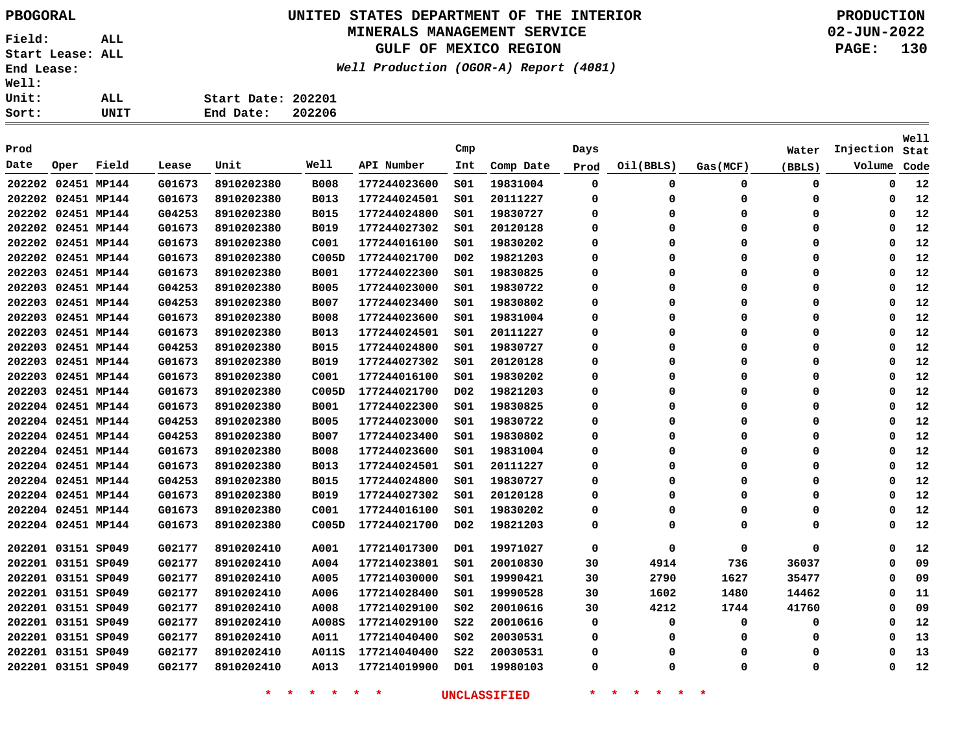# **UNITED STATES DEPARTMENT OF THE INTERIOR PBOGORAL PRODUCTION**

### **MINERALS MANAGEMENT SERVICE**

**GULF OF MEXICO REGION**

**Well Production (OGOR-A) Report (4081)**

**02-JUN-2022 PAGE: 130**

| ALL. | Start Date: 202201  |  |
|------|---------------------|--|
| UNIT | 202206<br>End Date: |  |

| Prod               |      |       |        |            |             |              | Cmp              |           | Days        |             |             | Water    | Injection | Well<br>Stat |
|--------------------|------|-------|--------|------------|-------------|--------------|------------------|-----------|-------------|-------------|-------------|----------|-----------|--------------|
| Date               | Oper | Field | Lease  | Unit       | Well        | API Number   | Int              | Comp Date | Prod        | Oil(BBLS)   | Gas (MCF)   | (BBLS)   | Volume    | Code         |
| 202202 02451 MP144 |      |       | G01673 | 8910202380 | <b>B008</b> | 177244023600 | SO1              | 19831004  | $\mathbf 0$ | 0           | 0           | 0        | 0         | 12           |
| 202202 02451 MP144 |      |       | G01673 | 8910202380 | <b>B013</b> | 177244024501 | SO1              | 20111227  | 0           | 0           | 0           | 0        | 0         | 12           |
| 202202 02451 MP144 |      |       | G04253 | 8910202380 | <b>B015</b> | 177244024800 | SO1              | 19830727  | 0           | 0           | 0           | 0        | 0         | 12           |
| 202202 02451 MP144 |      |       | G01673 | 8910202380 | <b>B019</b> | 177244027302 | SO1              | 20120128  | $\Omega$    | $\Omega$    | $\Omega$    | $\Omega$ | $\Omega$  | 12           |
| 202202 02451 MP144 |      |       | G01673 | 8910202380 | C001        | 177244016100 | SO1              | 19830202  | $\Omega$    | $\Omega$    | $\Omega$    | $\Omega$ | $\Omega$  | 12           |
| 202202 02451 MP144 |      |       | G01673 | 8910202380 | C005D       | 177244021700 | D02              | 19821203  | $\Omega$    | $\Omega$    | $\Omega$    | 0        | $\Omega$  | 12           |
| 202203 02451 MP144 |      |       | G01673 | 8910202380 | <b>B001</b> | 177244022300 | SO1              | 19830825  | $\Omega$    | $\Omega$    | $\mathbf 0$ | 0        | $\Omega$  | 12           |
| 202203 02451 MP144 |      |       | G04253 | 8910202380 | <b>B005</b> | 177244023000 | SO1              | 19830722  | $\Omega$    | $\Omega$    | $\Omega$    | 0        | $\Omega$  | 12           |
| 202203 02451 MP144 |      |       | G04253 | 8910202380 | <b>B007</b> | 177244023400 | S01              | 19830802  | 0           | $\Omega$    | 0           | 0        | $\Omega$  | 12           |
| 202203 02451 MP144 |      |       | G01673 | 8910202380 | <b>B008</b> | 177244023600 | SO1              | 19831004  | $\Omega$    | $\Omega$    | $\mathbf 0$ | 0        | $\Omega$  | 12           |
| 202203 02451 MP144 |      |       | G01673 | 8910202380 | <b>B013</b> | 177244024501 | SO1              | 20111227  | $\Omega$    | $\mathbf 0$ | $\mathbf 0$ | 0        | $\Omega$  | 12           |
| 202203 02451 MP144 |      |       | G04253 | 8910202380 | <b>B015</b> | 177244024800 | SO1              | 19830727  | $\Omega$    | $\mathbf 0$ | $\mathbf 0$ | 0        | $\Omega$  | 12           |
| 202203 02451 MP144 |      |       | G01673 | 8910202380 | <b>B019</b> | 177244027302 | SO1              | 20120128  | $\Omega$    | 0           | 0           | 0        | $\Omega$  | 12           |
| 202203 02451 MP144 |      |       | G01673 | 8910202380 | C001        | 177244016100 | SO1              | 19830202  | 0           | 0           | 0           | 0        | 0         | 12           |
| 202203 02451 MP144 |      |       | G01673 | 8910202380 | C005D       | 177244021700 | D <sub>0</sub> 2 | 19821203  | 0           | 0           | 0           | 0        | 0         | 12           |
| 202204 02451 MP144 |      |       | G01673 | 8910202380 | <b>B001</b> | 177244022300 | SO1              | 19830825  | $\Omega$    | $\Omega$    | 0           | 0        | $\Omega$  | 12           |
| 202204 02451 MP144 |      |       | G04253 | 8910202380 | <b>B005</b> | 177244023000 | SO1              | 19830722  | 0           | $\Omega$    | $\mathbf 0$ | 0        | $\Omega$  | 12           |
| 202204 02451 MP144 |      |       | G04253 | 8910202380 | <b>B007</b> | 177244023400 | SO1              | 19830802  | 0           | $\Omega$    | $\Omega$    | 0        | $\Omega$  | 12           |
| 202204 02451 MP144 |      |       | G01673 | 8910202380 | <b>B008</b> | 177244023600 | SO1              | 19831004  | 0           | $\Omega$    | 0           | 0        | 0         | 12           |
| 202204 02451 MP144 |      |       | G01673 | 8910202380 | <b>B013</b> | 177244024501 | SO1              | 20111227  | 0           | 0           | 0           | 0        | 0         | 12           |
| 202204 02451 MP144 |      |       | G04253 | 8910202380 | <b>B015</b> | 177244024800 | SO1              | 19830727  | 0           | 0           | 0           | 0        | 0         | 12           |
| 202204 02451 MP144 |      |       | G01673 | 8910202380 | <b>B019</b> | 177244027302 | SO1              | 20120128  | $\Omega$    | O           | $\Omega$    | 0        | $\Omega$  | 12           |
| 202204 02451 MP144 |      |       | G01673 | 8910202380 | C001        | 177244016100 | SO1              | 19830202  | $\Omega$    | $\Omega$    | $\mathbf 0$ | 0        | $\Omega$  | 12           |
| 202204 02451 MP144 |      |       | G01673 | 8910202380 | C005D       | 177244021700 | D <sub>0</sub> 2 | 19821203  | 0           | $\Omega$    | $\Omega$    | 0        | $\Omega$  | 12           |
| 202201 03151 SP049 |      |       | G02177 | 8910202410 | A001        | 177214017300 | D01              | 19971027  | 0           | 0           | $\mathbf 0$ | 0        | 0         | 12           |
| 202201 03151 SP049 |      |       | G02177 | 8910202410 | A004        | 177214023801 | SO1              | 20010830  | 30          | 4914        | 736         | 36037    | 0         | 09           |
| 202201 03151 SP049 |      |       | G02177 | 8910202410 | A005        | 177214030000 | S01              | 19990421  | 30          | 2790        | 1627        | 35477    | 0         | 09           |
| 202201 03151 SP049 |      |       | G02177 | 8910202410 | A006        | 177214028400 | SO1              | 19990528  | 30          | 1602        | 1480        | 14462    | $\Omega$  | 11           |
| 202201 03151 SP049 |      |       | G02177 | 8910202410 | A008        | 177214029100 | SO <sub>2</sub>  | 20010616  | 30          | 4212        | 1744        | 41760    | $\Omega$  | 09           |
| 202201 03151 SP049 |      |       | G02177 | 8910202410 | A008S       | 177214029100 | <b>S22</b>       | 20010616  | 0           | $\mathbf 0$ | 0           | 0        | 0         | 12           |
| 202201 03151 SP049 |      |       | G02177 | 8910202410 | A011        | 177214040400 | SO <sub>2</sub>  | 20030531  | 0           | 0           | 0           | 0        | $\Omega$  | 13           |
| 202201 03151 SP049 |      |       | G02177 | 8910202410 | A011S       | 177214040400 | <b>S22</b>       | 20030531  | 0           | 0           | 0           | 0        | $\Omega$  | 13           |
| 202201 03151 SP049 |      |       | G02177 | 8910202410 | A013        | 177214019900 | D01              | 19980103  | 0           | 0           | 0           | 0        | $\Omega$  | 12           |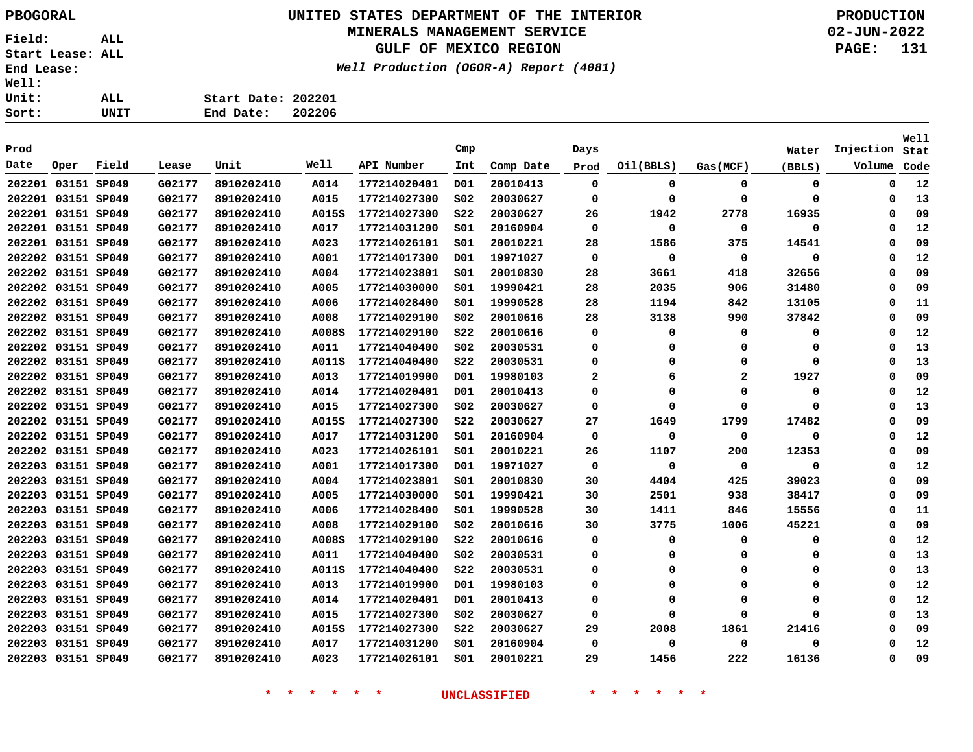**Field: ALL Start Lease: ALL End Lease: Well:**   $Un$ <u>so</u>:

# **UNITED STATES DEPARTMENT OF THE INTERIOR PBOGORAL PRODUCTION**

#### **MINERALS MANAGEMENT SERVICE**

**GULF OF MEXICO REGION**

**Well Production (OGOR-A) Report (4081)**

**02-JUN-2022 PAGE: 131**

| rt:  | UNIT | 202206<br>End Date: |
|------|------|---------------------|
| it:  | ALL  | Start Date: 202201  |
| :11: |      |                     |

|        |                    |       |        |            |       |              |                 |           |                |           |                |          |           | <b>Well</b> |
|--------|--------------------|-------|--------|------------|-------|--------------|-----------------|-----------|----------------|-----------|----------------|----------|-----------|-------------|
| Prod   |                    |       |        |            |       |              | Cmp             |           | Days           |           |                | Water    | Injection | Stat        |
| Date   | Oper               | Field | Lease  | Unit       | Well  | API Number   | Int             | Comp Date | Prod           | Oil(BBLS) | Gas(MCF)       | (BBLS)   | Volume    | Code        |
|        | 202201 03151 SP049 |       | G02177 | 8910202410 | A014  | 177214020401 | D01             | 20010413  | $\mathbf 0$    | 0         | 0              | 0        | 0         | 12          |
|        | 202201 03151 SP049 |       | G02177 | 8910202410 | A015  | 177214027300 | SO <sub>2</sub> | 20030627  | $\mathbf 0$    | 0         | $\Omega$       | 0        | 0         | 13          |
|        | 202201 03151 SP049 |       | G02177 | 8910202410 | A015S | 177214027300 | \$22            | 20030627  | 26             | 1942      | 2778           | 16935    | $\Omega$  | 09          |
|        | 202201 03151 SP049 |       | G02177 | 8910202410 | A017  | 177214031200 | SO1             | 20160904  | 0              | 0         | $\mathbf 0$    | 0        | 0         | 12          |
|        | 202201 03151 SP049 |       | G02177 | 8910202410 | A023  | 177214026101 | S01             | 20010221  | 28             | 1586      | 375            | 14541    | 0         | 09          |
|        | 202202 03151 SP049 |       | G02177 | 8910202410 | A001  | 177214017300 | D01             | 19971027  | 0              | 0         | 0              | 0        | 0         | 12          |
|        | 202202 03151 SP049 |       | G02177 | 8910202410 | A004  | 177214023801 | S01             | 20010830  | 28             | 3661      | 418            | 32656    | 0         | 09          |
|        | 202202 03151 SP049 |       | G02177 | 8910202410 | A005  | 177214030000 | S01             | 19990421  | 28             | 2035      | 906            | 31480    | 0         | 09          |
|        | 202202 03151 SP049 |       | G02177 | 8910202410 | A006  | 177214028400 | S01             | 19990528  | 28             | 1194      | 842            | 13105    | 0         | 11          |
|        | 202202 03151 SP049 |       | G02177 | 8910202410 | A008  | 177214029100 | SO <sub>2</sub> | 20010616  | 28             | 3138      | 990            | 37842    | $\Omega$  | 09          |
|        | 202202 03151 SP049 |       | G02177 | 8910202410 | A008S | 177214029100 | <b>S22</b>      | 20010616  | 0              | 0         | 0              | 0        | $\Omega$  | 12          |
|        | 202202 03151 SP049 |       | G02177 | 8910202410 | A011  | 177214040400 | SO <sub>2</sub> | 20030531  | 0              | 0         | $\Omega$       | 0        | $\Omega$  | 13          |
|        | 202202 03151 SP049 |       | G02177 | 8910202410 | A011S | 177214040400 | <b>S22</b>      | 20030531  | 0              | $\Omega$  | $\Omega$       | 0        | $\Omega$  | 13          |
|        | 202202 03151 SP049 |       | G02177 | 8910202410 | A013  | 177214019900 | D01             | 19980103  | $\overline{2}$ | 6         | $\overline{a}$ | 1927     | $\Omega$  | 09          |
|        | 202202 03151 SP049 |       | G02177 | 8910202410 | A014  | 177214020401 | D01             | 20010413  | 0              | $\Omega$  | $\Omega$       | 0        | $\Omega$  | 12          |
|        | 202202 03151 SP049 |       | G02177 | 8910202410 | A015  | 177214027300 | SO <sub>2</sub> | 20030627  | 0              | $\Omega$  | $\Omega$       | 0        | $\Omega$  | 13          |
|        | 202202 03151 SP049 |       | G02177 | 8910202410 | A015S | 177214027300 | <b>S22</b>      | 20030627  | 27             | 1649      | 1799           | 17482    | 0         | 09          |
|        | 202202 03151 SP049 |       | G02177 | 8910202410 | A017  | 177214031200 | SO1             | 20160904  | 0              | 0         | 0              | 0        | 0         | 12          |
|        | 202202 03151 SP049 |       | G02177 | 8910202410 | A023  | 177214026101 | SO1             | 20010221  | 26             | 1107      | 200            | 12353    | 0         | 09          |
|        | 202203 03151 SP049 |       | G02177 | 8910202410 | A001  | 177214017300 | D01             | 19971027  | $\mathbf 0$    | 0         | 0              | 0        | $\Omega$  | 12          |
|        | 202203 03151 SP049 |       | G02177 | 8910202410 | A004  | 177214023801 | SO1             | 20010830  | 30             | 4404      | 425            | 39023    | $\Omega$  | 09          |
|        | 202203 03151 SP049 |       | G02177 | 8910202410 | A005  | 177214030000 | SO1             | 19990421  | 30             | 2501      | 938            | 38417    | 0         | 09          |
| 202203 | 03151 SP049        |       | G02177 | 8910202410 | A006  | 177214028400 | SO1             | 19990528  | 30             | 1411      | 846            | 15556    | $\Omega$  | 11          |
|        | 202203 03151 SP049 |       | G02177 | 8910202410 | A008  | 177214029100 | SO <sub>2</sub> | 20010616  | 30             | 3775      | 1006           | 45221    | $\Omega$  | 09          |
| 202203 | 03151 SP049        |       | G02177 | 8910202410 | A008S | 177214029100 | <b>S22</b>      | 20010616  | 0              | 0         | 0              | 0        | $\Omega$  | 12          |
| 202203 | 03151 SP049        |       | G02177 | 8910202410 | A011  | 177214040400 | SO <sub>2</sub> | 20030531  | 0              | 0         | 0              | 0        | $\Omega$  | 13          |
|        | 202203 03151 SP049 |       | G02177 | 8910202410 | A011S | 177214040400 | <b>S22</b>      | 20030531  | 0              | $\Omega$  | $\Omega$       | 0        | $\Omega$  | 13          |
|        | 202203 03151 SP049 |       | G02177 | 8910202410 | A013  | 177214019900 | D01             | 19980103  | 0              | 0         | $\Omega$       | 0        | $\Omega$  | 12          |
|        | 202203 03151 SP049 |       | G02177 | 8910202410 | A014  | 177214020401 | D01             | 20010413  | 0              | $\Omega$  | $\Omega$       | 0        | $\Omega$  | 12          |
|        | 202203 03151 SP049 |       | G02177 | 8910202410 | A015  | 177214027300 | SO <sub>2</sub> | 20030627  | 0              | $\Omega$  | $\Omega$       | $\Omega$ | $\Omega$  | 13          |
|        | 202203 03151 SP049 |       | G02177 | 8910202410 | A015S | 177214027300 | <b>S22</b>      | 20030627  | 29             | 2008      | 1861           | 21416    | 0         | 09          |
|        | 202203 03151 SP049 |       | G02177 | 8910202410 | A017  | 177214031200 | SO1             | 20160904  | 0              | 0         | 0              | 0        | $\Omega$  | 12          |
|        | 202203 03151 SP049 |       | G02177 | 8910202410 | A023  | 177214026101 | SO1             | 20010221  | 29             | 1456      | 222            | 16136    | $\Omega$  | 09          |
|        |                    |       |        |            |       |              |                 |           |                |           |                |          |           |             |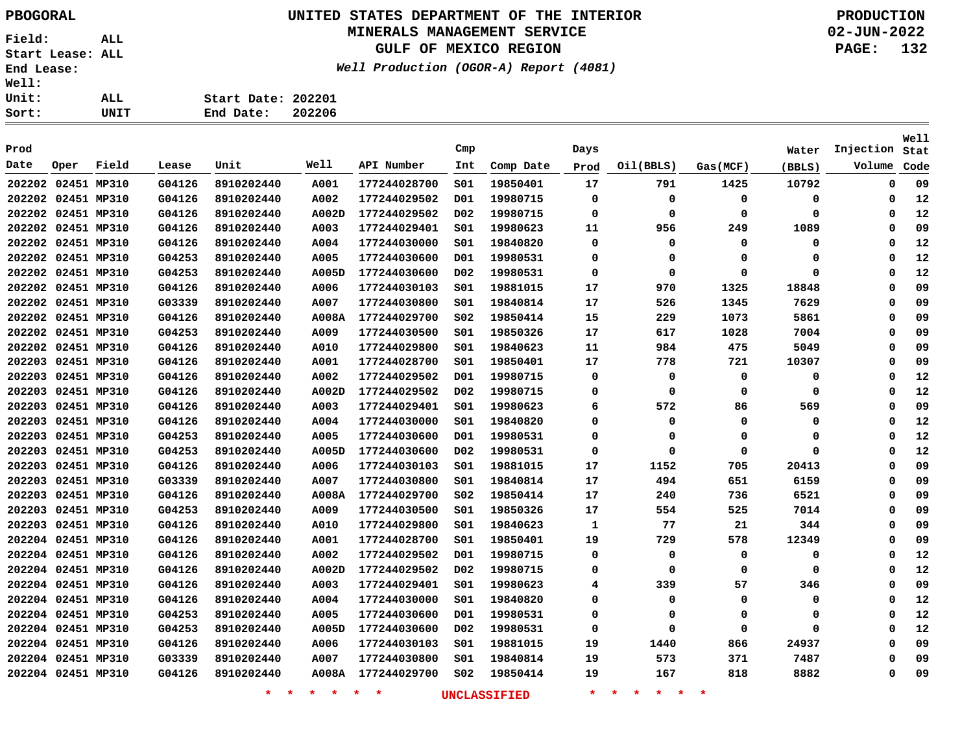#### **UNITED STATES DEPARTMENT OF THE INTERIOR PBOGORAL PRODUCTION MINERALS MANAGEMENT SERVICE**

**GULF OF MEXICO REGION**

**Well Production (OGOR-A) Report (4081)**

| ALL  | Start Date: 202201 |        |
|------|--------------------|--------|
| UNIT | End Date:          | 202206 |

|      |                    |       |        |                    |                 |              |                  |              |             |                          |             |        |             | <b>Well</b> |
|------|--------------------|-------|--------|--------------------|-----------------|--------------|------------------|--------------|-------------|--------------------------|-------------|--------|-------------|-------------|
| Prod |                    |       |        |                    | Well            |              | Cmp              |              | Days        |                          |             | Water  | Injection   | Stat        |
| Date | Oper               | Field | Lease  | Unit               |                 | API Number   | Int              | Comp Date    | Prod        | Oil(BBLS)                | Gas (MCF)   | (BBLS) | Volume      | Code        |
|      | 202202 02451 MP310 |       | G04126 | 8910202440         | A001            | 177244028700 | SO1              | 19850401     | 17          | 791                      | 1425        | 10792  | 0           | 09          |
|      | 202202 02451 MP310 |       | G04126 | 8910202440         | A002            | 177244029502 | D01              | 19980715     | $\mathbf 0$ | 0                        | 0           | 0      | 0           | 12          |
|      | 202202 02451 MP310 |       | G04126 | 8910202440         | A002D           | 177244029502 | D02              | 19980715     | 0           | 0                        | 0           | 0      | 0           | 12          |
|      | 202202 02451 MP310 |       | G04126 | 8910202440         | A003            | 177244029401 | SO1              | 19980623     | 11          | 956                      | 249         | 1089   | 0           | 09          |
|      | 202202 02451 MP310 |       | G04126 | 8910202440         | A004            | 177244030000 | SO1              | 19840820     | $\Omega$    | 0                        | $\mathbf 0$ | 0      | $\Omega$    | 12          |
|      | 202202 02451 MP310 |       | G04253 | 8910202440         | A005            | 177244030600 | D01              | 19980531     | 0           | 0                        | 0           | 0      | $\Omega$    | 12          |
|      | 202202 02451 MP310 |       | G04253 | 8910202440         | A005D           | 177244030600 | D02              | 19980531     | 0           | 0                        | $\Omega$    | 0      | 0           | 12          |
|      | 202202 02451 MP310 |       | G04126 | 8910202440         | A006            | 177244030103 | S01              | 19881015     | 17          | 970                      | 1325        | 18848  | 0           | 09          |
|      | 202202 02451 MP310 |       | G03339 | 8910202440         | A007            | 177244030800 | SO1              | 19840814     | 17          | 526                      | 1345        | 7629   | 0           | 09          |
|      | 202202 02451 MP310 |       | G04126 | 8910202440         | <b>A008A</b>    | 177244029700 | SO <sub>2</sub>  | 19850414     | 15          | 229                      | 1073        | 5861   | 0           | 09          |
|      | 202202 02451 MP310 |       | G04253 | 8910202440         | A009            | 177244030500 | SO1              | 19850326     | 17          | 617                      | 1028        | 7004   | 0           | 09          |
|      | 202202 02451 MP310 |       | G04126 | 8910202440         | A010            | 177244029800 | S01              | 19840623     | 11          | 984                      | 475         | 5049   | 0           | 09          |
|      | 202203 02451 MP310 |       | G04126 | 8910202440         | A001            | 177244028700 | SO1              | 19850401     | 17          | 778                      | 721         | 10307  | 0           | 09          |
|      | 202203 02451 MP310 |       | G04126 | 8910202440         | A002            | 177244029502 | D01              | 19980715     | 0           | 0                        | 0           | 0      | 0           | 12          |
|      | 202203 02451 MP310 |       | G04126 | 8910202440         | A002D           | 177244029502 | D <sub>0</sub> 2 | 19980715     | 0           | 0                        | 0           | 0      | 0           | 12          |
|      | 202203 02451 MP310 |       | G04126 | 8910202440         | A003            | 177244029401 | SO1              | 19980623     | 6           | 572                      | 86          | 569    | 0           | 09          |
|      | 202203 02451 MP310 |       | G04126 | 8910202440         | A004            | 177244030000 | S01              | 19840820     | 0           | 0                        | 0           | 0      | 0           | 12          |
|      | 202203 02451 MP310 |       | G04253 | 8910202440         | A005            | 177244030600 | D01              | 19980531     | 0           | 0                        | 0           | 0      | 0           | 12          |
|      | 202203 02451 MP310 |       | G04253 | 8910202440         | A005D           | 177244030600 | D02              | 19980531     | $\Omega$    | 0                        | $\Omega$    | 0      | 0           | 12          |
|      | 202203 02451 MP310 |       | G04126 | 8910202440         | A006            | 177244030103 | SO1              | 19881015     | 17          | 1152                     | 705         | 20413  | 0           | 09          |
|      | 202203 02451 MP310 |       | G03339 | 8910202440         | A007            | 177244030800 | S01              | 19840814     | 17          | 494                      | 651         | 6159   | 0           | 09          |
|      | 202203 02451 MP310 |       | G04126 | 8910202440         | A008A           | 177244029700 | S02              | 19850414     | 17          | 240                      | 736         | 6521   | 0           | 09          |
|      | 202203 02451 MP310 |       | G04253 | 8910202440         | A009            | 177244030500 | SO1              | 19850326     | 17          | 554                      | 525         | 7014   | 0           | 09          |
|      | 202203 02451 MP310 |       | G04126 | 8910202440         | A010            | 177244029800 | SO1              | 19840623     | 1           | 77                       | 21          | 344    | $\mathbf 0$ | 09          |
|      | 202204 02451 MP310 |       | G04126 | 8910202440         | A001            | 177244028700 | SO1              | 19850401     | 19          | 729                      | 578         | 12349  | 0           | 09          |
|      | 202204 02451 MP310 |       | G04126 | 8910202440         | A002            | 177244029502 | D01              | 19980715     | 0           | 0                        | 0           | 0      | 0           | 12          |
|      | 202204 02451 MP310 |       | G04126 | 8910202440         | A002D           | 177244029502 | D02              | 19980715     | 0           | $\mathbf 0$              | 0           | 0      | 0           | 12          |
|      | 202204 02451 MP310 |       | G04126 | 8910202440         | A003            | 177244029401 | SO1              | 19980623     | 4           | 339                      | 57          | 346    | $\mathbf 0$ | 09          |
|      | 202204 02451 MP310 |       | G04126 | 8910202440         | A004            | 177244030000 | SO1              | 19840820     | 0           | 0                        | 0           | 0      | $\Omega$    | 12          |
|      | 202204 02451 MP310 |       | G04253 | 8910202440         | A005            | 177244030600 | D01              | 19980531     | 0           | 0                        | 0           | 0      | 0           | 12          |
|      | 202204 02451 MP310 |       | G04253 | 8910202440         | A005D           | 177244030600 | D02              | 19980531     | 0           | 0                        | 0           | 0      | 0           | 12          |
|      | 202204 02451 MP310 |       | G04126 | 8910202440         | A006            | 177244030103 | SO1              | 19881015     | 19          | 1440                     | 866         | 24937  | 0           | 09          |
|      | 202204 02451 MP310 |       | G03339 | 8910202440         | A007            | 177244030800 | SO1              | 19840814     | 19          | 573                      | 371         | 7487   | 0           | 09          |
|      | 202204 02451 MP310 |       | G04126 | 8910202440         | <b>A008A</b>    | 177244029700 | SO <sub>2</sub>  | 19850414     | 19          | 167                      | 818         | 8882   | $\Omega$    | 09          |
|      |                    |       |        | $\star$<br>$\star$ | $\star$ $\star$ | $*$ $*$      |                  | UNCLASSIFIED | $\star$     | $\star$ $\star$<br>* * * |             |        |             |             |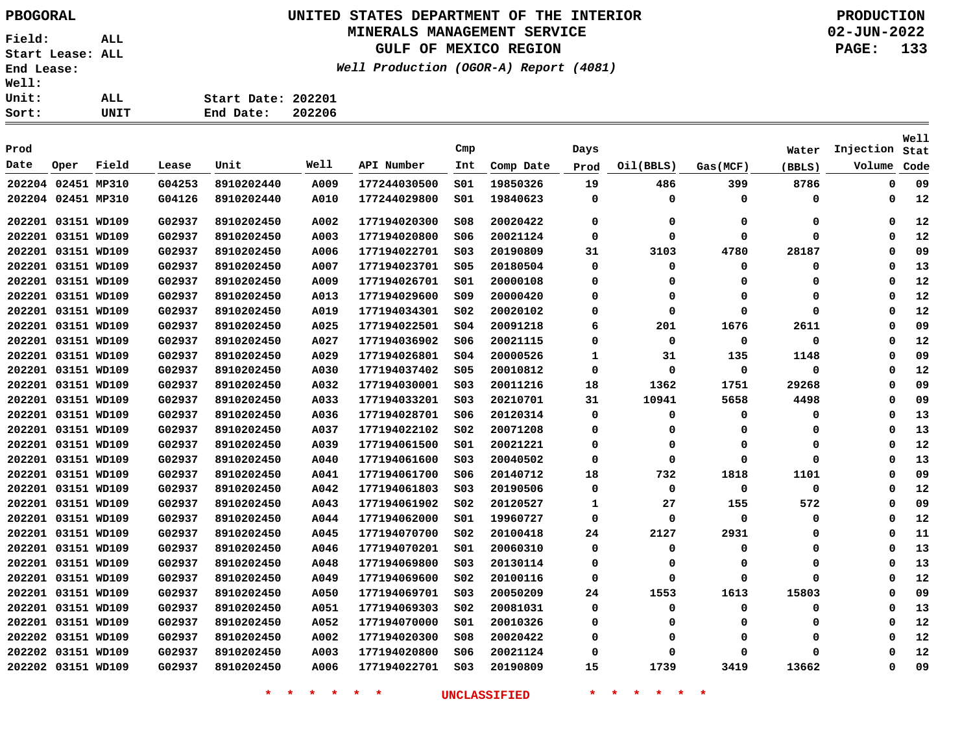## **UNITED STATES DEPARTMENT OF THE INTERIOR PBOGORAL PRODUCTION**

#### **MINERALS MANAGEMENT SERVICE**

**GULF OF MEXICO REGION**

**Well Production (OGOR-A) Report (4081)**

**02-JUN-2022 PAGE: 133**

| Sort: | UNIT | End Date:          | 202206 |
|-------|------|--------------------|--------|
| Unit: | ALL  | Start Date: 202201 |        |
| Well: |      |                    |        |

| Prod               |                    |       |        |            |      |              | Cmp             |           | Days     |             |          | Water  | Injection   | Well<br>Stat |
|--------------------|--------------------|-------|--------|------------|------|--------------|-----------------|-----------|----------|-------------|----------|--------|-------------|--------------|
| Date               | Oper               | Field | Lease  | Unit       | Well | API Number   | Int             | Comp Date | Prod     | Oil(BBLS)   | Gas(MCF) | (BBLS) | Volume      | Code         |
| 202204 02451 MP310 |                    |       | G04253 | 8910202440 | A009 | 177244030500 | SO1             | 19850326  | 19       | 486         | 399      | 8786   | $\mathbf 0$ | 09           |
| 202204 02451 MP310 |                    |       | G04126 | 8910202440 | A010 | 177244029800 | SO1             | 19840623  | $\Omega$ | 0           | 0        | 0      | 0           | 12           |
| 202201 03151 WD109 |                    |       | G02937 | 8910202450 | A002 | 177194020300 | 508             | 20020422  | 0        | 0           | 0        | 0      | 0           | 12           |
| 202201 03151 WD109 |                    |       | G02937 | 8910202450 | A003 | 177194020800 | \$06            | 20021124  | $\Omega$ | $\mathbf 0$ | $\Omega$ | 0      | $\Omega$    | 12           |
| 202201             | 03151 WD109        |       | G02937 | 8910202450 | A006 | 177194022701 | SO <sub>3</sub> | 20190809  | 31       | 3103        | 4780     | 28187  | 0           | 09           |
| 202201             | 03151 WD109        |       | G02937 | 8910202450 | A007 | 177194023701 | \$05            | 20180504  | 0        | $\mathbf 0$ | 0        | 0      | $\Omega$    | 13           |
| 202201             | 03151 WD109        |       | G02937 | 8910202450 | A009 | 177194026701 | SO1             | 20000108  | $\Omega$ | 0           | Ω        | 0      | $\Omega$    | 12           |
| 202201 03151 WD109 |                    |       | G02937 | 8910202450 | A013 | 177194029600 | 509             | 20000420  | 0        | 0           | $\Omega$ | 0      | $\Omega$    | 12           |
| 202201 03151 WD109 |                    |       | G02937 | 8910202450 | A019 | 177194034301 | SO <sub>2</sub> | 20020102  | 0        | 0           | $\Omega$ | 0      | $\Omega$    | 12           |
| 202201 03151 WD109 |                    |       | G02937 | 8910202450 | A025 | 177194022501 | \$04            | 20091218  | 6        | 201         | 1676     | 2611   | $\Omega$    | 09           |
| 202201 03151 WD109 |                    |       | G02937 | 8910202450 | A027 | 177194036902 | \$06            | 20021115  | $\Omega$ | $\mathbf 0$ | 0        | 0      | $\Omega$    | 12           |
| 202201 03151 WD109 |                    |       | G02937 | 8910202450 | A029 | 177194026801 | SO <sub>4</sub> | 20000526  | 1        | 31          | 135      | 1148   | $\Omega$    | 09           |
| 202201 03151 WD109 |                    |       | G02937 | 8910202450 | A030 | 177194037402 | \$05            | 20010812  | 0        | 0           | 0        | 0      | $\Omega$    | 12           |
|                    | 202201 03151 WD109 |       | G02937 | 8910202450 | A032 | 177194030001 | SO <sub>3</sub> | 20011216  | 18       | 1362        | 1751     | 29268  | $\Omega$    | 09           |
| 202201 03151 WD109 |                    |       | G02937 | 8910202450 | A033 | 177194033201 | SO <sub>3</sub> | 20210701  | 31       | 10941       | 5658     | 4498   | $\Omega$    | 09           |
| 202201 03151 WD109 |                    |       | G02937 | 8910202450 | A036 | 177194028701 | S06             | 20120314  | 0        | 0           | 0        | 0      | 0           | 13           |
| 202201 03151 WD109 |                    |       | G02937 | 8910202450 | A037 | 177194022102 | S02             | 20071208  | 0        | 0           | 0        | 0      | $\Omega$    | 13           |
| 202201 03151 WD109 |                    |       | G02937 | 8910202450 | A039 | 177194061500 | SO1             | 20021221  | 0        | 0           | $\Omega$ | 0      | $\Omega$    | 12           |
| 202201 03151 WD109 |                    |       | G02937 | 8910202450 | A040 | 177194061600 | SO <sub>3</sub> | 20040502  | 0        | 0           | $\Omega$ | 0      | $\Omega$    | 13           |
| 202201 03151 WD109 |                    |       | G02937 | 8910202450 | A041 | 177194061700 | S06             | 20140712  | 18       | 732         | 1818     | 1101   | $\Omega$    | 09           |
| 202201 03151 WD109 |                    |       | G02937 | 8910202450 | A042 | 177194061803 | SO <sub>3</sub> | 20190506  | 0        | $\mathbf 0$ | 0        | 0      | 0           | 12           |
| 202201 03151 WD109 |                    |       | G02937 | 8910202450 | A043 | 177194061902 | SO <sub>2</sub> | 20120527  | 1        | 27          | 155      | 572    | 0           | 09           |
| 202201 03151 WD109 |                    |       | G02937 | 8910202450 | A044 | 177194062000 | SO1             | 19960727  | 0        | 0           | 0        | 0      | 0           | 12           |
| 202201 03151 WD109 |                    |       | G02937 | 8910202450 | A045 | 177194070700 | SO <sub>2</sub> | 20100418  | 24       | 2127        | 2931     | 0      | $\Omega$    | 11           |
| 202201 03151 WD109 |                    |       | G02937 | 8910202450 | A046 | 177194070201 | SO1             | 20060310  | 0        | 0           | $\Omega$ | 0      | 0           | 13           |
| 202201 03151 WD109 |                    |       | G02937 | 8910202450 | A048 | 177194069800 | SO <sub>3</sub> | 20130114  | 0        | 0           | 0        | 0      | 0           | 13           |
| 202201 03151 WD109 |                    |       | G02937 | 8910202450 | A049 | 177194069600 | S02             | 20100116  | 0        | $\Omega$    | O        | O      | $\Omega$    | 12           |
| 202201 03151 WD109 |                    |       | G02937 | 8910202450 | A050 | 177194069701 | SO <sub>3</sub> | 20050209  | 24       | 1553        | 1613     | 15803  | $\Omega$    | 09           |
| 202201 03151 WD109 |                    |       | G02937 | 8910202450 | A051 | 177194069303 | SO <sub>2</sub> | 20081031  | $\Omega$ | $\mathbf 0$ | $\Omega$ | 0      | $\Omega$    | 13           |
| 202201 03151 WD109 |                    |       | G02937 | 8910202450 | A052 | 177194070000 | SO1             | 20010326  | 0        | 0           | $\Omega$ | 0      | $\Omega$    | 12           |
| 202202 03151 WD109 |                    |       | G02937 | 8910202450 | A002 | 177194020300 | 508             | 20020422  | $\Omega$ | 0           | $\Omega$ | 0      | $\Omega$    | 12           |
| 202202 03151 WD109 |                    |       | G02937 | 8910202450 | A003 | 177194020800 | 506             | 20021124  | $\Omega$ | $\Omega$    | O        | 0      | $\Omega$    | 12           |
| 202202 03151 WD109 |                    |       | G02937 | 8910202450 | A006 | 177194022701 | SO <sub>3</sub> | 20190809  | 15       | 1739        | 3419     | 13662  | $\Omega$    | 09           |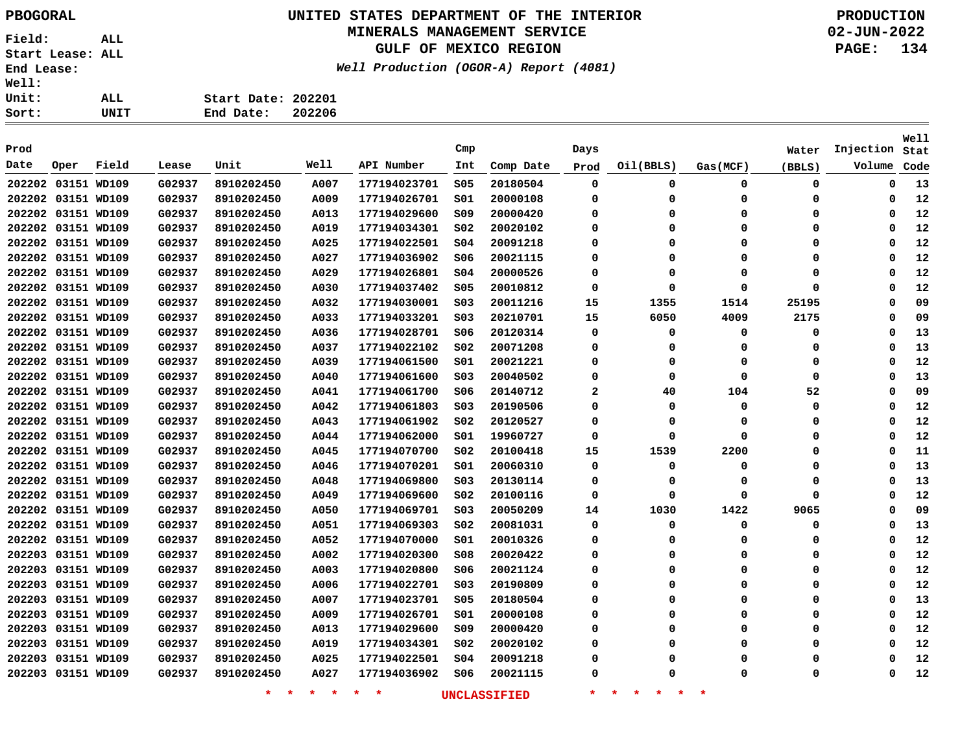## **UNITED STATES DEPARTMENT OF THE INTERIOR PBOGORAL PRODUCTION**

#### **MINERALS MANAGEMENT SERVICE**

**GULF OF MEXICO REGION**

**Well Production (OGOR-A) Report (4081)**

| t: | UNIT | End Date:          | 202206 |
|----|------|--------------------|--------|
| t: | ALL  | Start Date: 202201 |        |
| i: |      |                    |        |

| Prod               |      |       |        |                    |                 |              | Cmp             |                     | Days         |                                     |          | Water    | Injection   | <b>Well</b><br>Stat |
|--------------------|------|-------|--------|--------------------|-----------------|--------------|-----------------|---------------------|--------------|-------------------------------------|----------|----------|-------------|---------------------|
| Date               | Oper | Field | Lease  | Unit               | Well            | API Number   | Int             | Comp Date           | Prod         | Oil(BBLS)                           | Gas(MCF) | (BBLS)   | Volume      | Code                |
| 202202 03151 WD109 |      |       | G02937 | 8910202450         | A007            | 177194023701 | \$05            | 20180504            | $\mathbf 0$  | 0                                   | 0        | 0        | $\mathbf 0$ | 13                  |
| 202202 03151 WD109 |      |       | G02937 | 8910202450         | A009            | 177194026701 | SO1             | 20000108            | 0            | $\Omega$                            | 0        | 0        | 0           | 12                  |
| 202202 03151 WD109 |      |       | G02937 | 8910202450         | A013            | 177194029600 | 509             | 20000420            | $\Omega$     | $\Omega$                            | $\Omega$ | 0        | 0           | 12                  |
| 202202 03151 WD109 |      |       | G02937 | 8910202450         | A019            | 177194034301 | S02             | 20020102            | $\Omega$     | $\Omega$                            | $\Omega$ | 0        | $\mathbf 0$ | 12                  |
| 202202 03151 WD109 |      |       | G02937 | 8910202450         | A025            | 177194022501 | \$04            | 20091218            | $\Omega$     | O                                   | $\Omega$ | 0        | $\Omega$    | 12                  |
| 202202 03151 WD109 |      |       | G02937 | 8910202450         | A027            | 177194036902 | S06             | 20021115            | $\Omega$     | O                                   | $\Omega$ | $\Omega$ | $\Omega$    | 12                  |
| 202202 03151 WD109 |      |       | G02937 | 8910202450         | A029            | 177194026801 | SO <sub>4</sub> | 20000526            | $\Omega$     | O                                   | $\Omega$ | $\Omega$ | $\Omega$    | 12                  |
| 202202 03151 WD109 |      |       | G02937 | 8910202450         | A030            | 177194037402 | S05             | 20010812            | $\Omega$     | O                                   | $\Omega$ | $\Omega$ | $\Omega$    | 12                  |
| 202202 03151 WD109 |      |       | G02937 | 8910202450         | A032            | 177194030001 | S03             | 20011216            | 15           | 1355                                | 1514     | 25195    | $\Omega$    | 09                  |
| 202202 03151 WD109 |      |       | G02937 | 8910202450         | A033            | 177194033201 | S03             | 20210701            | 15           | 6050                                | 4009     | 2175     | $\Omega$    | 09                  |
| 202202 03151 WD109 |      |       | G02937 | 8910202450         | A036            | 177194028701 | S06             | 20120314            | 0            | 0                                   | 0        | 0        | 0           | 13                  |
| 202202 03151 WD109 |      |       | G02937 | 8910202450         | A037            | 177194022102 | SO <sub>2</sub> | 20071208            | 0            | $\Omega$                            | $\Omega$ | 0        | $\Omega$    | 13                  |
| 202202 03151 WD109 |      |       | G02937 | 8910202450         | A039            | 177194061500 | SO1             | 20021221            | 0            | $\Omega$                            | 0        | 0        | $\Omega$    | 12                  |
| 202202 03151 WD109 |      |       | G02937 | 8910202450         | A040            | 177194061600 | S03             | 20040502            | $\Omega$     | 0                                   | $\Omega$ | 0        | $\Omega$    | 13                  |
| 202202 03151 WD109 |      |       | G02937 | 8910202450         | A041            | 177194061700 | S06             | 20140712            | $\mathbf{2}$ | 40                                  | 104      | 52       | $\Omega$    | 09                  |
| 202202 03151 WD109 |      |       | G02937 | 8910202450         | A042            | 177194061803 | SO <sub>3</sub> | 20190506            | $\Omega$     | $\Omega$                            | $\Omega$ | 0        | $\Omega$    | 12                  |
| 202202 03151 WD109 |      |       | G02937 | 8910202450         | A043            | 177194061902 | SO <sub>2</sub> | 20120527            | 0            | $\Omega$                            | $\Omega$ | 0        | $\Omega$    | 12                  |
| 202202 03151 WD109 |      |       | G02937 | 8910202450         | A044            | 177194062000 | S01             | 19960727            | 0            | 0                                   | $\Omega$ | 0        | 0           | 12                  |
| 202202 03151 WD109 |      |       | G02937 | 8910202450         | A045            | 177194070700 | S02             | 20100418            | 15           | 1539                                | 2200     | 0        | 0           | 11                  |
| 202202 03151 WD109 |      |       | G02937 | 8910202450         | A046            | 177194070201 | S01             | 20060310            | 0            | 0                                   | 0        | 0        | 0           | 13                  |
| 202202 03151 WD109 |      |       | G02937 | 8910202450         | A048            | 177194069800 | S03             | 20130114            | 0            | $\Omega$                            | 0        | 0        | 0           | 13                  |
| 202202 03151 WD109 |      |       | G02937 | 8910202450         | A049            | 177194069600 | S02             | 20100116            | 0            | 0                                   | $\Omega$ | 0        | 0           | 12                  |
| 202202 03151 WD109 |      |       | G02937 | 8910202450         | A050            | 177194069701 | S03             | 20050209            | 14           | 1030                                | 1422     | 9065     | 0           | 09                  |
| 202202 03151 WD109 |      |       | G02937 | 8910202450         | A051            | 177194069303 | S02             | 20081031            | 0            | 0                                   | 0        | 0        | 0           | 13                  |
| 202202 03151 WD109 |      |       | G02937 | 8910202450         | A052            | 177194070000 | SO1             | 20010326            | 0            | 0                                   | $\Omega$ | $\Omega$ | $\mathbf 0$ | 12                  |
| 202203 03151 WD109 |      |       | G02937 | 8910202450         | A002            | 177194020300 | 508             | 20020422            | 0            | $\Omega$                            | $\Omega$ | $\Omega$ | 0           | 12                  |
| 202203 03151 WD109 |      |       | G02937 | 8910202450         | A003            | 177194020800 | S06             | 20021124            | 0            | $\Omega$                            | $\Omega$ | 0        | 0           | 12                  |
| 202203 03151 WD109 |      |       | G02937 | 8910202450         | A006            | 177194022701 | S03             | 20190809            | 0            | 0                                   | $\Omega$ | 0        | 0           | 12                  |
| 202203 03151 WD109 |      |       | G02937 | 8910202450         | A007            | 177194023701 | <b>S05</b>      | 20180504            | 0            | 0                                   | $\Omega$ | 0        | 0           | 13                  |
| 202203 03151 WD109 |      |       | G02937 | 8910202450         | <b>A009</b>     | 177194026701 | S01             | 20000108            | 0            | 0                                   | $\Omega$ | 0        | 0           | 12                  |
| 202203 03151 WD109 |      |       | G02937 | 8910202450         | A013            | 177194029600 | S09             | 20000420            | $\Omega$     | $\Omega$                            | $\Omega$ | 0        | $\Omega$    | 12                  |
| 202203 03151 WD109 |      |       | G02937 | 8910202450         | <b>A019</b>     | 177194034301 | S02             | 20020102            | 0            | $\Omega$                            | $\Omega$ | 0        | $\Omega$    | 12                  |
| 202203 03151 WD109 |      |       | G02937 | 8910202450         | A025            | 177194022501 | 504             | 20091218            | $\Omega$     | O                                   | $\Omega$ | 0        | 0           | 12                  |
| 202203 03151 WD109 |      |       | G02937 | 8910202450         | A027            | 177194036902 | S06             | 20021115            | $\Omega$     | O                                   | $\Omega$ | $\Omega$ | $\Omega$    | 12                  |
|                    |      |       |        | $\star$<br>$\star$ | $\star$ $\star$ | $\star$<br>* |                 | <b>UNCLASSIFIED</b> | $\star$      | $\star$<br>$\star$<br>一大<br>$\star$ | $\ast$   |          |             |                     |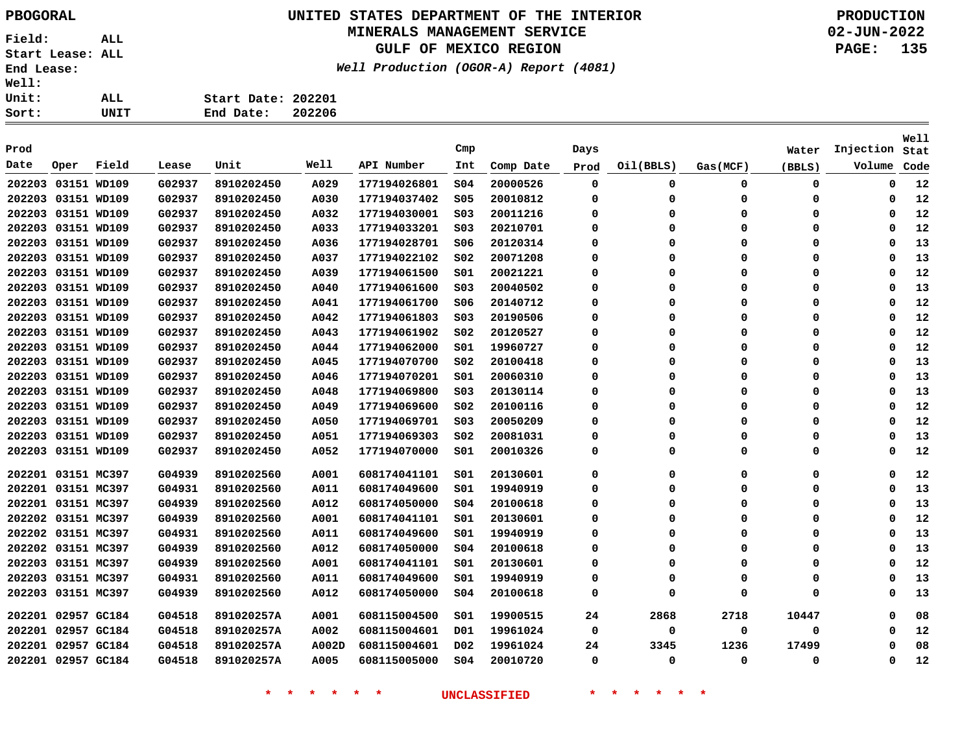# **UNITED STATES DEPARTMENT OF THE INTERIOR PBOGORAL PRODUCTION**

#### **MINERALS MANAGEMENT SERVICE**

**GULF OF MEXICO REGION**

**Well Production (OGOR-A) Report (4081)**

**02-JUN-2022 PAGE: 135**

| ALL. | Start Date: 202201 |        |
|------|--------------------|--------|
| UNIT | End Date:          | 202206 |

| Prod               |                    |       |        |            |       |              | Cmp             |           | Days |           |             | Water    | Injection | Well<br>Stat |
|--------------------|--------------------|-------|--------|------------|-------|--------------|-----------------|-----------|------|-----------|-------------|----------|-----------|--------------|
| Date               | Oper               | Field | Lease  | Unit       | Well  | API Number   | Int             | Comp Date | Prod | Oil(BBLS) | Gas (MCF)   | (BBLS)   | Volume    | Code         |
| 202203 03151 WD109 |                    |       | G02937 | 8910202450 | A029  | 177194026801 | SO <sub>4</sub> | 20000526  | 0    | 0         | 0           | 0        | 0         | 12           |
|                    | 202203 03151 WD109 |       | G02937 | 8910202450 | A030  | 177194037402 | \$05            | 20010812  | 0    | 0         | 0           | 0        | 0         | 12           |
|                    | 202203 03151 WD109 |       | G02937 | 8910202450 | A032  | 177194030001 | SO <sub>3</sub> | 20011216  | 0    | $\Omega$  | $\mathbf 0$ | 0        | $\Omega$  | 12           |
|                    | 202203 03151 WD109 |       | G02937 | 8910202450 | A033  | 177194033201 | S03             | 20210701  | 0    | 0         | 0           | 0        | 0         | 12           |
|                    | 202203 03151 WD109 |       | G02937 | 8910202450 | A036  | 177194028701 | S06             | 20120314  | 0    | 0         | 0           | 0        | $\Omega$  | 13           |
| 202203 03151 WD109 |                    |       | G02937 | 8910202450 | A037  | 177194022102 | SO <sub>2</sub> | 20071208  | 0    | 0         | $\mathbf 0$ | 0        | $\Omega$  | 13           |
| 202203 03151 WD109 |                    |       | G02937 | 8910202450 | A039  | 177194061500 | SO1             | 20021221  | 0    | 0         | 0           | 0        | $\Omega$  | 12           |
| 202203 03151 WD109 |                    |       | G02937 | 8910202450 | A040  | 177194061600 | SO <sub>3</sub> | 20040502  | 0    | 0         | 0           | 0        | 0         | 13           |
| 202203 03151 WD109 |                    |       | G02937 | 8910202450 | A041  | 177194061700 | S06             | 20140712  | 0    | 0         | $\Omega$    | 0        | $\Omega$  | 12           |
| 202203 03151 WD109 |                    |       | G02937 | 8910202450 | A042  | 177194061803 | S03             | 20190506  | 0    | 0         | 0           | 0        | 0         | 12           |
| 202203 03151 WD109 |                    |       | G02937 | 8910202450 | A043  | 177194061902 | SO <sub>2</sub> | 20120527  | 0    | 0         | 0           | 0        | 0         | 12           |
| 202203 03151 WD109 |                    |       | G02937 | 8910202450 | A044  | 177194062000 | SO1             | 19960727  | 0    | 0         | 0           | 0        | $\Omega$  | 12           |
| 202203 03151 WD109 |                    |       | G02937 | 8910202450 | A045  | 177194070700 | S02             | 20100418  | 0    | 0         | 0           | 0        | 0         | 13           |
| 202203 03151 WD109 |                    |       | G02937 | 8910202450 | A046  | 177194070201 | S01             | 20060310  | 0    | 0         | 0           | 0        | 0         | 13           |
| 202203 03151 WD109 |                    |       | G02937 | 8910202450 | A048  | 177194069800 | SO <sub>3</sub> | 20130114  | 0    | 0         | 0           | 0        | 0         | 13           |
| 202203 03151 WD109 |                    |       | G02937 | 8910202450 | A049  | 177194069600 | SO <sub>2</sub> | 20100116  | 0    | 0         | 0           | 0        | 0         | 12           |
|                    | 202203 03151 WD109 |       | G02937 | 8910202450 | A050  | 177194069701 | SO <sub>3</sub> | 20050209  | 0    | 0         | 0           | 0        | $\Omega$  | 12           |
|                    | 202203 03151 WD109 |       | G02937 | 8910202450 | A051  | 177194069303 | S02             | 20081031  | 0    | $\Omega$  | 0           | 0        | 0         | 13           |
|                    | 202203 03151 WD109 |       | G02937 | 8910202450 | A052  | 177194070000 | S01             | 20010326  | 0    | 0         | $\mathbf 0$ | 0        | $\Omega$  | 12           |
| 202201 03151 MC397 |                    |       | G04939 | 8910202560 | A001  | 608174041101 | 501             | 20130601  | 0    | 0         | $\mathbf 0$ | 0        | $\Omega$  | 12           |
| 202201 03151 MC397 |                    |       | G04931 | 8910202560 | A011  | 608174049600 | SO1             | 19940919  | 0    | 0         | 0           | 0        | 0         | 13           |
| 202201 03151 MC397 |                    |       | G04939 | 8910202560 | A012  | 608174050000 | SO <sub>4</sub> | 20100618  | 0    | 0         | 0           | 0        | 0         | 13           |
| 202202 03151 MC397 |                    |       | G04939 | 8910202560 | A001  | 608174041101 | S01             | 20130601  | 0    | 0         | $\Omega$    | 0        | 0         | 12           |
| 202202 03151 MC397 |                    |       | G04931 | 8910202560 | A011  | 608174049600 | S01             | 19940919  | 0    | 0         | $\Omega$    | 0        | $\Omega$  | 13           |
| 202202 03151 MC397 |                    |       | G04939 | 8910202560 | A012  | 608174050000 | 504             | 20100618  | 0    | 0         | 0           | 0        | 0         | 13           |
| 202203 03151 MC397 |                    |       | G04939 | 8910202560 | A001  | 608174041101 | SO1             | 20130601  | 0    | 0         | 0           | 0        | $\Omega$  | 12           |
| 202203 03151 MC397 |                    |       | G04931 | 8910202560 | A011  | 608174049600 | SO1             | 19940919  | 0    | 0         | $\mathbf 0$ | $\Omega$ | $\Omega$  | 13           |
| 202203 03151 MC397 |                    |       | G04939 | 8910202560 | A012  | 608174050000 | 504             | 20100618  | 0    | 0         | 0           | $\Omega$ | 0         | 13           |
|                    | 202201 02957 GC184 |       | G04518 | 891020257A | A001  | 608115004500 | 501             | 19900515  | 24   | 2868      | 2718        | 10447    | 0         | 08           |
| 202201 02957 GC184 |                    |       | G04518 | 891020257A | A002  | 608115004601 | D01             | 19961024  | 0    | 0         | 0           | 0        | 0         | 12           |
|                    | 202201 02957 GC184 |       | G04518 | 891020257A | A002D | 608115004601 | D02             | 19961024  | 24   | 3345      | 1236        | 17499    | 0         | 08           |
|                    | 202201 02957 GC184 |       | G04518 | 891020257A | A005  | 608115005000 | SO <sub>4</sub> | 20010720  | 0    | 0         | $\mathbf 0$ | 0        | $\Omega$  | 12           |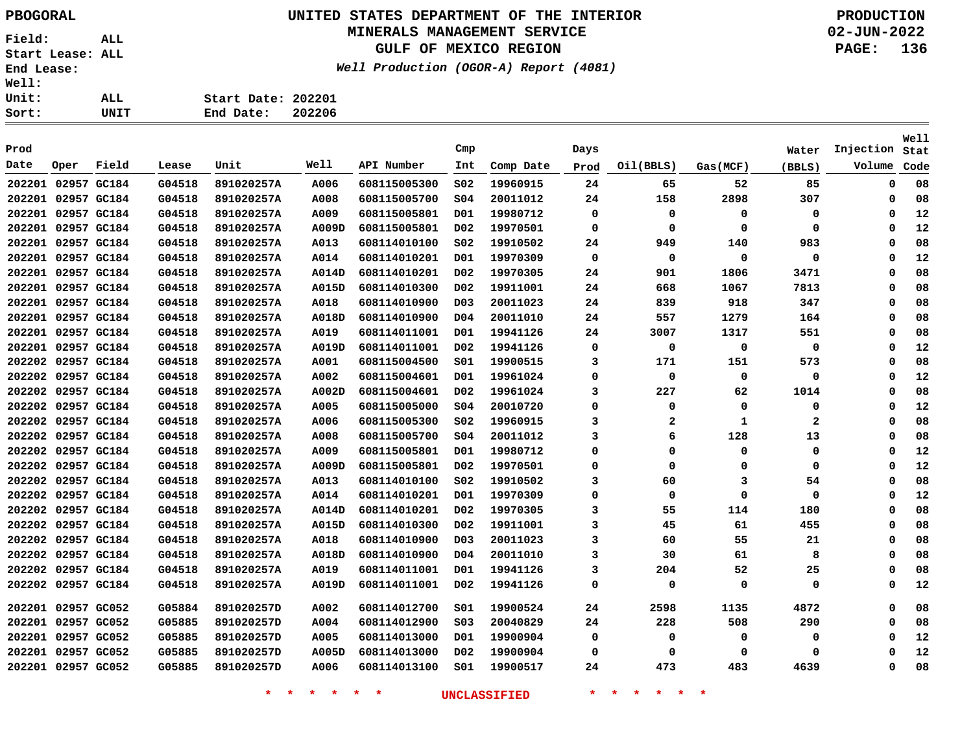# **UNITED STATES DEPARTMENT OF THE INTERIOR PBOGORAL PRODUCTION**

### **MINERALS MANAGEMENT SERVICE**

**GULF OF MEXICO REGION**

**Well Production (OGOR-A) Report (4081)**

**02-JUN-2022 PAGE: 136**

| rt:        | UNIT | End Date:          | 202206 |
|------------|------|--------------------|--------|
| uit:       | ALL  | Start Date: 202201 |        |
| <b>11:</b> |      |                    |        |

| Prod |                    |       |        |            |             |              | Cmp              |           | Days        |              |           | Water        | Injection   | <b>Well</b><br>Stat |
|------|--------------------|-------|--------|------------|-------------|--------------|------------------|-----------|-------------|--------------|-----------|--------------|-------------|---------------------|
| Date | Oper               | Field | Lease  | Unit       | Well        | API Number   | Int              | Comp Date | Prod        | Oil(BBLS)    | Gas (MCF) | (BBLS)       | Volume      | Code                |
|      | 202201 02957 GC184 |       | G04518 | 891020257A | A006        | 608115005300 | SO <sub>2</sub>  | 19960915  | 24          | 65           | 52        | 85           | $\mathbf 0$ | 08                  |
|      | 202201 02957 GC184 |       | G04518 | 891020257A | A008        | 608115005700 | \$04             | 20011012  | 24          | 158          | 2898      | 307          | $\mathbf 0$ | 08                  |
|      | 202201 02957 GC184 |       | G04518 | 891020257A | A009        | 608115005801 | D01              | 19980712  | 0           | $\Omega$     | 0         | 0            | 0           | 12                  |
|      | 202201 02957 GC184 |       | G04518 | 891020257A | A009D       | 608115005801 | D02              | 19970501  | 0           | $\mathbf 0$  | $\Omega$  | 0            | $\Omega$    | 12                  |
|      | 202201 02957 GC184 |       | G04518 | 891020257A | A013        | 608114010100 | SO <sub>2</sub>  | 19910502  | 24          | 949          | 140       | 983          | $\Omega$    | 08                  |
|      | 202201 02957 GC184 |       | G04518 | 891020257A | A014        | 608114010201 | D01              | 19970309  | $\mathbf 0$ | $\mathbf 0$  | $\Omega$  | 0            | $\Omega$    | 12                  |
|      | 202201 02957 GC184 |       | G04518 | 891020257A | A014D       | 608114010201 | D <sub>0</sub> 2 | 19970305  | 24          | 901          | 1806      | 3471         | $\Omega$    | 08                  |
|      | 202201 02957 GC184 |       | G04518 | 891020257A | A015D       | 608114010300 | D02              | 19911001  | 24          | 668          | 1067      | 7813         | $\Omega$    | 08                  |
|      | 202201 02957 GC184 |       | G04518 | 891020257A | A018        | 608114010900 | D <sub>0</sub> 3 | 20011023  | 24          | 839          | 918       | 347          | $\Omega$    | 08                  |
|      | 202201 02957 GC184 |       | G04518 | 891020257A | A018D       | 608114010900 | D04              | 20011010  | 24          | 557          | 1279      | 164          | $\Omega$    | 08                  |
|      | 202201 02957 GC184 |       | G04518 | 891020257A | A019        | 608114011001 | D01              | 19941126  | 24          | 3007         | 1317      | 551          | 0           | 08                  |
|      | 202201 02957 GC184 |       | G04518 | 891020257A | A019D       | 608114011001 | D02              | 19941126  | 0           | 0            | 0         | 0            | 0           | 12                  |
|      | 202202 02957 GC184 |       | G04518 | 891020257A | A001        | 608115004500 | S01              | 19900515  | 3           | 171          | 151       | 573          | $\Omega$    | 08                  |
|      | 202202 02957 GC184 |       | G04518 | 891020257A | A002        | 608115004601 | D01              | 19961024  | $\Omega$    | 0            | 0         | 0            | 0           | 12                  |
|      | 202202 02957 GC184 |       | G04518 | 891020257A | A002D       | 608115004601 | D02              | 19961024  | 3           | 227          | 62        | 1014         | 0           | 08                  |
|      | 202202 02957 GC184 |       | G04518 | 891020257A | A005        | 608115005000 | SO <sub>4</sub>  | 20010720  | $\Omega$    | 0            | 0         | 0            | 0           | 12                  |
|      | 202202 02957 GC184 |       | G04518 | 891020257A | A006        | 608115005300 | SO <sub>2</sub>  | 19960915  | 3           | $\mathbf{2}$ | 1         | $\mathbf{2}$ | 0           | 08                  |
|      | 202202 02957 GC184 |       | G04518 | 891020257A | <b>A008</b> | 608115005700 | SO <sub>4</sub>  | 20011012  | 3           | 6            | 128       | 13           | 0           | 08                  |
|      | 202202 02957 GC184 |       | G04518 | 891020257A | A009        | 608115005801 | D01              | 19980712  | $\Omega$    | 0            | 0         | 0            | 0           | 12                  |
|      | 202202 02957 GC184 |       | G04518 | 891020257A | A009D       | 608115005801 | D02              | 19970501  | 0           | 0            | 0         | 0            | 0           | 12                  |
|      | 202202 02957 GC184 |       | G04518 | 891020257A | A013        | 608114010100 | SO <sub>2</sub>  | 19910502  | 3           | 60           | 3         | 54           | 0           | 08                  |
|      | 202202 02957 GC184 |       | G04518 | 891020257A | A014        | 608114010201 | D01              | 19970309  | 0           | 0            | 0         | 0            | 0           | 12                  |
|      | 202202 02957 GC184 |       | G04518 | 891020257A | A014D       | 608114010201 | D02              | 19970305  | 3           | 55           | 114       | 180          | 0           | 08                  |
|      | 202202 02957 GC184 |       | G04518 | 891020257A | A015D       | 608114010300 | D02              | 19911001  | 3           | 45           | 61        | 455          | 0           | 08                  |
|      | 202202 02957 GC184 |       | G04518 | 891020257A | A018        | 608114010900 | D <sub>03</sub>  | 20011023  | 3           | 60           | 55        | 21           | 0           | 08                  |
|      | 202202 02957 GC184 |       | G04518 | 891020257A | A018D       | 608114010900 | D04              | 20011010  | 3           | 30           | 61        | 8            | 0           | 08                  |
|      | 202202 02957 GC184 |       | G04518 | 891020257A | A019        | 608114011001 | D01              | 19941126  | 3           | 204          | 52        | 25           | 0           | 08                  |
|      | 202202 02957 GC184 |       | G04518 | 891020257A | A019D       | 608114011001 | D02              | 19941126  | 0           | 0            | 0         | 0            | $\Omega$    | 12                  |
|      | 202201 02957 GC052 |       | G05884 | 891020257D | A002        | 608114012700 | S01              | 19900524  | 24          | 2598         | 1135      | 4872         | 0           | 08                  |
|      | 202201 02957 GC052 |       | G05885 | 891020257D | A004        | 608114012900 | SO <sub>3</sub>  | 20040829  | 24          | 228          | 508       | 290          | 0           | 08                  |
|      | 202201 02957 GC052 |       | G05885 | 891020257D | A005        | 608114013000 | D01              | 19900904  | 0           | 0            | 0         | 0            | 0           | 12                  |
|      | 202201 02957 GC052 |       | G05885 | 891020257D | A005D       | 608114013000 | D02              | 19900904  | 0           | 0            | 0         | 0            | $\Omega$    | 12                  |
|      | 202201 02957 GC052 |       | G05885 | 891020257D | A006        | 608114013100 | S01              | 19900517  | 24          | 473          | 483       | 4639         | $\Omega$    | 08                  |